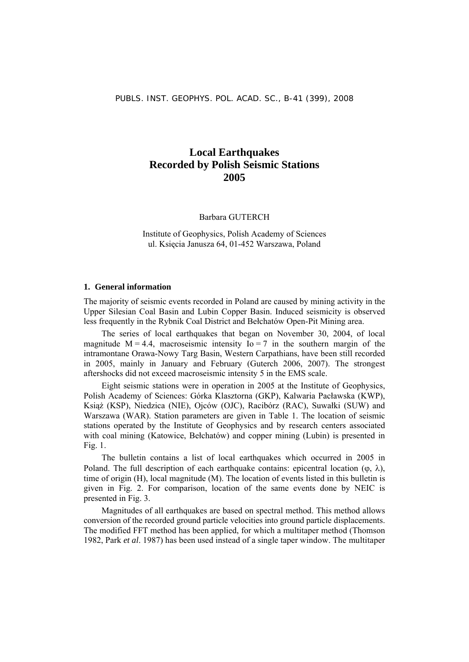#### **Local Earthquakes Recorded by Polish Seismic Stations 2005**

Barbara GUTERCH

Institute of Geophysics, Polish Academy of Sciences ul. Księcia Janusza 64, 01-452 Warszawa, Poland

#### **1. General information**

The majority of seismic events recorded in Poland are caused by mining activity in the Upper Silesian Coal Basin and Lubin Copper Basin. Induced seismicity is observed less frequently in the Rybnik Coal District and Bełchatów Open-Pit Mining area.

The series of local earthquakes that began on November 30, 2004, of local magnitude  $M = 4.4$ , macroseismic intensity  $I_0 = 7$  in the southern margin of the intramontane Orawa-Nowy Targ Basin, Western Carpathians, have been still recorded in 2005, mainly in January and February (Guterch 2006, 2007). The strongest aftershocks did not exceed macroseismic intensity 5 in the EMS scale.

Eight seismic stations were in operation in 2005 at the Institute of Geophysics, Polish Academy of Sciences: Górka Klasztorna (GKP), Kalwaria Pacławska (KWP), Książ (KSP), Niedzica (NIE), Ojców (OJC), Racibórz (RAC), Suwałki (SUW) and Warszawa (WAR). Station parameters are given in Table 1. The location of seismic stations operated by the Institute of Geophysics and by research centers associated with coal mining (Katowice, Bełchatów) and copper mining (Lubin) is presented in Fig. 1.

The bulletin contains a list of local earthquakes which occurred in 2005 in Poland. The full description of each earthquake contains: epicentral location ( $\varphi$ ,  $\lambda$ ), time of origin (H), local magnitude (M). The location of events listed in this bulletin is given in Fig. 2. For comparison, location of the same events done by NEIC is presented in Fig. 3.

Magnitudes of all earthquakes are based on spectral method. This method allows conversion of the recorded ground particle velocities into ground particle displacements. The modified FFT method has been applied, for which a multitaper method (Thomson 1982, Park *et al*. 1987) has been used instead of a single taper window. The multitaper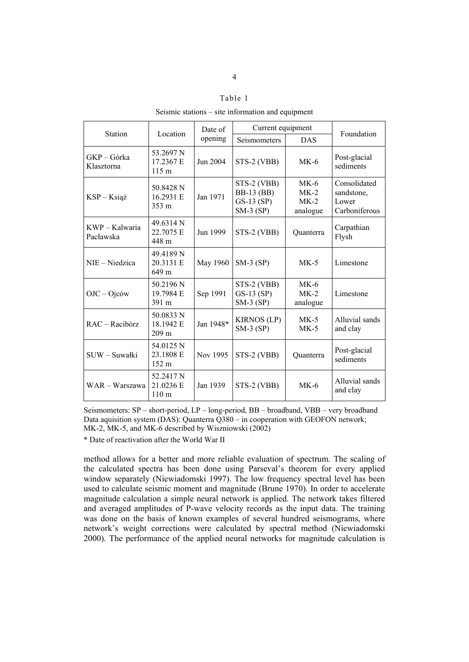#### Table 1

Seismic stations – site information and equipment

|                             |                                            | Date of   | Current equipment                                               |                                        |                                                      |  |
|-----------------------------|--------------------------------------------|-----------|-----------------------------------------------------------------|----------------------------------------|------------------------------------------------------|--|
| <b>Station</b>              | Location                                   | opening   | Seismometers                                                    | <b>DAS</b>                             | Foundation                                           |  |
| GKP - Górka<br>Klasztorna   | 53.2697 N<br>17.2367 E<br>$115 \text{ m}$  | Jun 2004  | STS-2 (VBB)                                                     | $MK-6$                                 | Post-glacial<br>sediments                            |  |
| KSP-Książ                   | 50.8428 N<br>16.2931 E<br>$353 \text{ m}$  | Jan 1971  | STS-2 (VBB)<br><b>BB-13 (BB)</b><br>$GS-13$ (SP)<br>$SM-3$ (SP) | $MK-6$<br>$MK-2$<br>$MK-2$<br>analogue | Consolidated<br>sandstone,<br>Lower<br>Carboniferous |  |
| KWP – Kalwaria<br>Pacławska | 49.6314 N<br>22.7075 E<br>448 m            | Jun 1999  | STS-2 (VBB)                                                     | Quanterra                              | Carpathian<br>Flysh                                  |  |
| NIE – Niedzica              | 49.4189 N<br>20.3131 E<br>649 m            | May 1960  | $SM-3$ (SP)                                                     | $MK-5$                                 | Limestone                                            |  |
| $OJC - Ojc$ ów              | 50.2196 N<br>19.7984 E<br>391 m            | Sep 1991  | STS-2 (VBB)<br>$GS-13$ $(SP)$<br>$SM-3$ (SP)                    | $MK-6$<br>$MK-2$<br>analogue           | Limestone                                            |  |
| RAC - Racibórz              | 50.0833 N<br>18.1942 E<br>209 <sub>m</sub> | Jan 1948* | <b>KIRNOS (LP)</b><br>$SM-3$ (SP)                               | $MK-5$<br>$MK-5$                       | Alluvial sands<br>and clay                           |  |
| SUW - Suwałki               | 54.0125 N<br>23.1808 E<br>152 m            | Nov 1995  | STS-2 (VBB)                                                     | Quanterra                              | Post-glacial<br>sediments                            |  |
| WAR - Warszawa              | 52.2417 N<br>21.0236 E<br>110 <sub>m</sub> | Jan 1939  | STS-2 (VBB)                                                     | $MK-6$                                 | Alluvial sands<br>and clay                           |  |

Seismometers: SP – short-period, LP – long-period, BB – broadband, VBB – very broadband Data aquisition system (DAS): Quanterra Q380 – in cooperation with GEOFON network; MK-2, MK-5, and MK-6 described by Wiszniowski (2002)

\* Date of reactivation after the World War II

method allows for a better and more reliable evaluation of spectrum. The scaling of the calculated spectra has been done using Parseval's theorem for every applied window separately (Niewiadomski 1997). The low frequency spectral level has been used to calculate seismic moment and magnitude (Brune 1970). In order to accelerate magnitude calculation a simple neural network is applied. The network takes filtered and averaged amplitudes of P-wave velocity records as the input data. The training was done on the basis of known examples of several hundred seismograms, where network's weight corrections were calculated by spectral method (Niewiadomski 2000). The performance of the applied neural networks for magnitude calculation is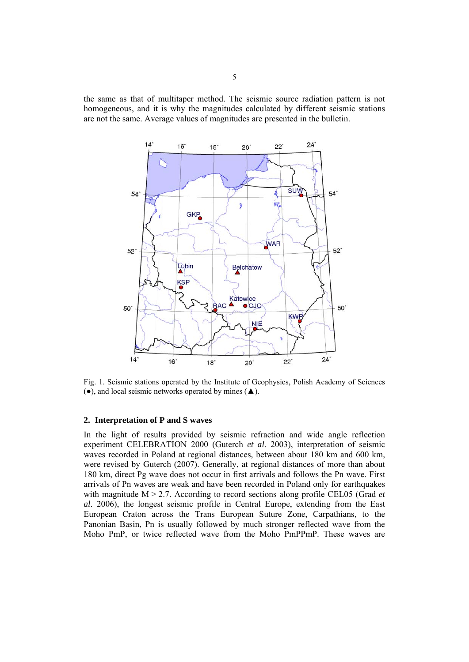the same as that of multitaper method. The seismic source radiation pattern is not homogeneous, and it is why the magnitudes calculated by different seismic stations are not the same. Average values of magnitudes are presented in the bulletin.



Fig. 1. Seismic stations operated by the Institute of Geophysics, Polish Academy of Sciences (●), and local seismic networks operated by mines (▲).

#### **2. Interpretation of P and S waves**

In the light of results provided by seismic refraction and wide angle reflection experiment CELEBRATION 2000 (Guterch *et al*. 2003), interpretation of seismic waves recorded in Poland at regional distances, between about 180 km and 600 km, were revised by Guterch (2007). Generally, at regional distances of more than about 180 km, direct Pg wave does not occur in first arrivals and follows the Pn wave. First arrivals of Pn waves are weak and have been recorded in Poland only for earthquakes with magnitude  $M > 2.7$ . According to record sections along profile CEL05 (Grad *et al*. 2006), the longest seismic profile in Central Europe, extending from the East European Craton across the Trans European Suture Zone, Carpathians, to the Panonian Basin, Pn is usually followed by much stronger reflected wave from the Moho PmP, or twice reflected wave from the Moho PmPPmP. These waves are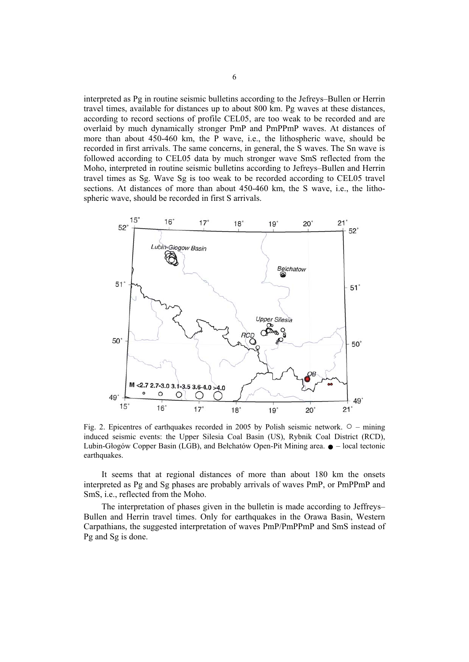interpreted as Pg in routine seismic bulletins according to the Jefreys–Bullen or Herrin travel times, available for distances up to about 800 km. Pg waves at these distances, according to record sections of profile CEL05, are too weak to be recorded and are overlaid by much dynamically stronger PmP and PmPPmP waves. At distances of more than about 450-460 km, the P wave, i.e., the lithospheric wave, should be recorded in first arrivals. The same concerns, in general, the S waves. The Sn wave is followed according to CEL05 data by much stronger wave SmS reflected from the Moho, interpreted in routine seismic bulletins according to Jefreys–Bullen and Herrin travel times as Sg. Wave Sg is too weak to be recorded according to CEL05 travel sections. At distances of more than about 450-460 km, the S wave, i.e., the lithospheric wave, should be recorded in first S arrivals.



Fig. 2. Epicentres of earthquakes recorded in 2005 by Polish seismic network.  $\circ$  – mining induced seismic events: the Upper Silesia Coal Basin (US), Rybnik Coal District (RCD), Lubin-Głogów Copper Basin (LGB), and Bełchatów Open-Pit Mining area.  $\bullet$  – local tectonic earthquakes.

It seems that at regional distances of more than about 180 km the onsets interpreted as Pg and Sg phases are probably arrivals of waves PmP, or PmPPmP and SmS, i.e., reflected from the Moho.

The interpretation of phases given in the bulletin is made according to Jeffreys– Bullen and Herrin travel times. Only for earthquakes in the Orawa Basin, Western Carpathians, the suggested interpretation of waves PmP/PmPPmP and SmS instead of Pg and Sg is done.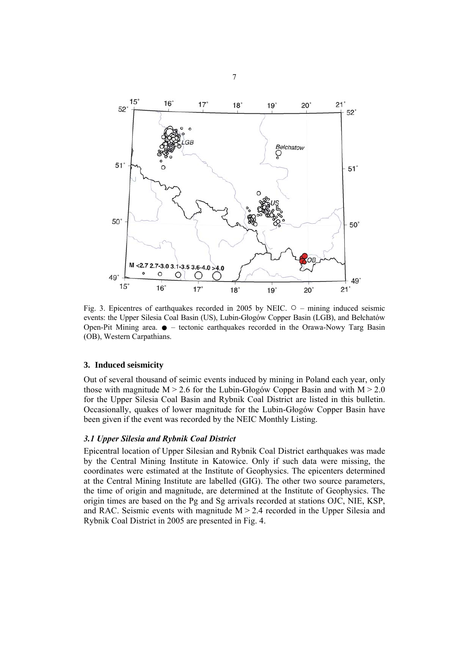

Fig. 3. Epicentres of earthquakes recorded in 2005 by NEIC. ○ – mining induced seismic events: the Upper Silesia Coal Basin (US), Lubin-Głogów Copper Basin (LGB), and Bełchatów Open-Pit Mining area.  $\bullet$  – tectonic earthquakes recorded in the Orawa-Nowy Targ Basin (OB), Western Carpathians.

#### **3. Induced seismicity**

Out of several thousand of seimic events induced by mining in Poland each year, only those with magnitude  $M > 2.6$  for the Lubin-Głogów Copper Basin and with  $M > 2.0$ for the Upper Silesia Coal Basin and Rybnik Coal District are listed in this bulletin. Occasionally, quakes of lower magnitude for the Lubin-Głogów Copper Basin have been given if the event was recorded by the NEIC Monthly Listing.

#### *3.1 Upper Silesia and Rybnik Coal District*

Epicentral location of Upper Silesian and Rybnik Coal District earthquakes was made by the Central Mining Institute in Katowice. Only if such data were missing, the coordinates were estimated at the Institute of Geophysics. The epicenters determined at the Central Mining Institute are labelled (GIG). The other two source parameters, the time of origin and magnitude, are determined at the Institute of Geophysics. The origin times are based on the Pg and Sg arrivals recorded at stations OJC, NIE, KSP, and RAC. Seismic events with magnitude  $M > 2.4$  recorded in the Upper Silesia and Rybnik Coal District in 2005 are presented in Fig. 4.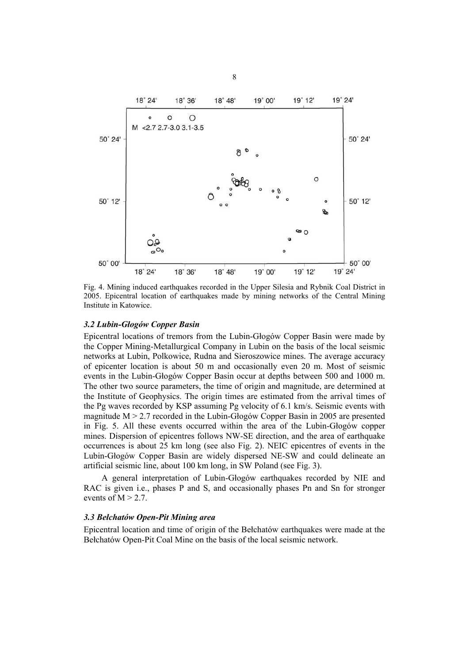

Fig. 4. Mining induced earthquakes recorded in the Upper Silesia and Rybnik Coal District in 2005. Epicentral location of earthquakes made by mining networks of the Central Mining Institute in Katowice.

#### *3.2 Lubin-Głogów Copper Basin*

Epicentral locations of tremors from the Lubin-Głogów Copper Basin were made by the Copper Mining-Metallurgical Company in Lubin on the basis of the local seismic networks at Lubin, Polkowice, Rudna and Sieroszowice mines. The average accuracy of epicenter location is about 50 m and occasionally even 20 m. Most of seismic events in the Lubin-Głogów Copper Basin occur at depths between 500 and 1000 m. The other two source parameters, the time of origin and magnitude, are determined at the Institute of Geophysics. The origin times are estimated from the arrival times of the Pg waves recorded by KSP assuming Pg velocity of 6.1 km/s. Seismic events with magnitude M > 2.7 recorded in the Lubin-Głogów Copper Basin in 2005 are presented in Fig. 5. All these events occurred within the area of the Lubin-Głogów copper mines. Dispersion of epicentres follows NW-SE direction, and the area of earthquake occurrences is about 25 km long (see also Fig. 2). NEIC epicentres of events in the Lubin-Głogów Copper Basin are widely dispersed NE-SW and could delineate an artificial seismic line, about 100 km long, in SW Poland (see Fig. 3).

A general interpretation of Lubin-Głogów earthquakes recorded by NIE and RAC is given i.e., phases P and S, and occasionally phases Pn and Sn for stronger events of  $M > 2.7$ .

#### *3.3 Bełchatów Open-Pit Mining area*

Epicentral location and time of origin of the Bełchatów earthquakes were made at the Bełchatów Open-Pit Coal Mine on the basis of the local seismic network.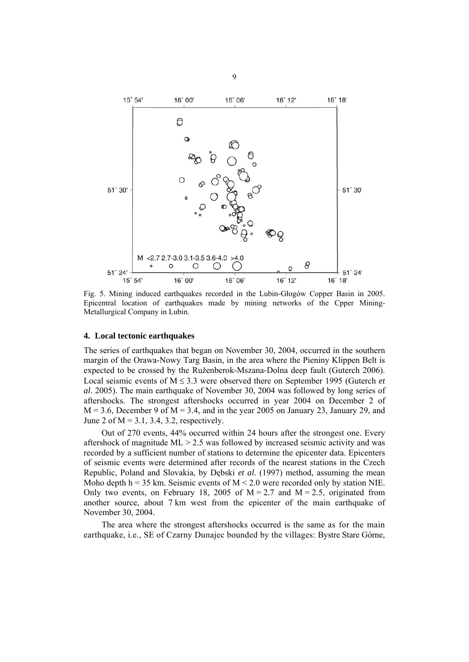

Fig. 5. Mining induced earthquakes recorded in the Lubin-Głogów Copper Basin in 2005. Epicentral location of earthquakes made by mining networks of the Cpper Mining-Metallurgical Company in Lubin.

#### **4. Local tectonic earthquakes**

The series of earthquakes that began on November 30, 2004, occurred in the southern margin of the Orawa-Nowy Targ Basin, in the area where the Pieniny Klippen Belt is expected to be crossed by the Ruženberok-Mszana-Dolna deep fault (Guterch 2006). Local seismic events of  $M \leq 3.3$  were observed there on September 1995 (Guterch *et al*. 2005). The main earthquake of November 30, 2004 was followed by long series of aftershocks. The strongest aftershocks occurred in year 2004 on December 2 of  $M = 3.6$ , December 9 of  $M = 3.4$ , and in the year 2005 on January 23, January 29, and June 2 of  $M = 3.1$ , 3.4, 3.2, respectively.

Out of 270 events, 44% occurred within 24 hours after the strongest one. Every aftershock of magnitude  $ML > 2.5$  was followed by increased seismic activity and was recorded by a sufficient number of stations to determine the epicenter data. Epicenters of seismic events were determined after records of the nearest stations in the Czech Republic, Poland and Slovakia, by Dębski *et al*. (1997) method, assuming the mean Moho depth  $h = 35$  km. Seismic events of  $M \le 2.0$  were recorded only by station NIE. Only two events, on February 18, 2005 of  $M = 2.7$  and  $M = 2.5$ , originated from another source, about 7 km west from the epicenter of the main earthquake of November 30, 2004.

The area where the strongest aftershocks occurred is the same as for the main earthquake, i.e., SE of Czarny Dunajec bounded by the villages: Bystre Stare Górne,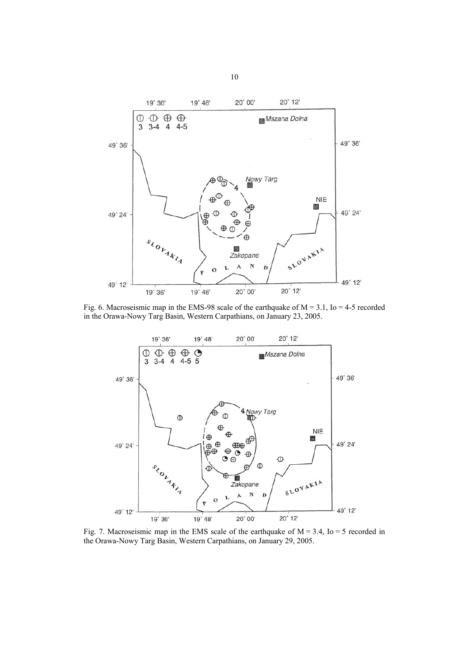

Fig. 6. Macroseismic map in the EMS-98 scale of the earthquake of  $M = 3.1$ , Io = 4-5 recorded in the Orawa-Nowy Targ Basin, Western Carpathians, on January 23, 2005.



Fig. 7. Macroseismic map in the EMS scale of the earthquake of  $M = 3.4$ , Io = 5 recorded in the Orawa-Nowy Targ Basin, Western Carpathians, on January 29, 2005.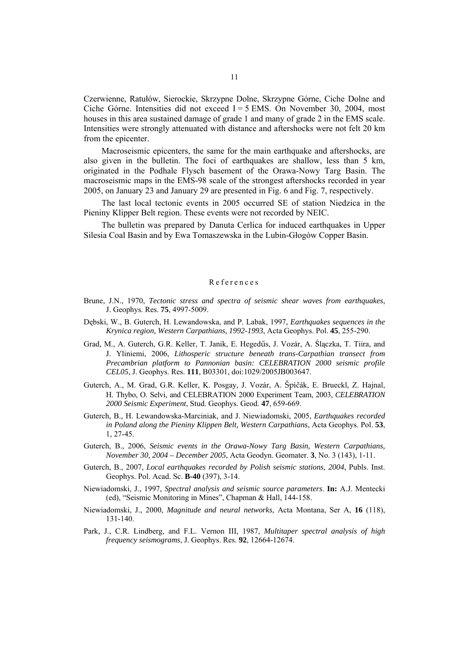Czerwienne, Ratułów, Sierockie, Skrzypne Dolne, Skrzypne Górne, Ciche Dolne and Ciche Górne. Intensities did not exceed I = 5 EMS. On November 30, 2004, most houses in this area sustained damage of grade 1 and many of grade 2 in the EMS scale. Intensities were strongly attenuated with distance and aftershocks were not felt 20 km from the epicenter.

Macroseismic epicenters, the same for the main earthquake and aftershocks, are also given in the bulletin. The foci of earthquakes are shallow, less than 5 km, originated in the Podhale Flysch basement of the Orawa-Nowy Targ Basin. The macroseismic maps in the EMS-98 scale of the strongest aftershocks recorded in year 2005, on January 23 and January 29 are presented in Fig. 6 and Fig. 7, respectively.

The last local tectonic events in 2005 occurred SE of station Niedzica in the Pieniny Klipper Belt region. These events were not recorded by NEIC.

The bulletin was prepared by Danuta Cerlica for induced earthquakes in Upper Silesia Coal Basin and by Ewa Tomaszewska in the Lubin-Głogów Copper Basin.

#### References

- Brune, J.N., 1970, *Tectonic stress and spectra of seismic shear waves from earthquakes*, J. Geophys. Res. **75**, 4997-5009.
- Dębski, W., B. Guterch, H. Lewandowska, and P. Labak, 1997, *Earthquakes sequences in the Krynica region, Western Carpathians, 1992-1993*, Acta Geophys. Pol. **45**, 255-290.
- Grad, M., A. Guterch, G.R. Keller, T. Janik, E. Hegedűs, J. Vozár, A. Ślączka, T. Tiira, and J. Yliniemi, 2006, *Lithosperic structure beneath trans-Carpathian transect from Precambrian platform to Pannonian basin: CELEBRATION 2000 seismic profile CEL05*, J. Geophys. Res. **111**, B03301, doi:1029/2005JB003647.
- Guterch, A., M. Grad, G.R. Keller, K. Posgay, J. Vozár, A. Špičák, E. Brueckl, Z. Hajnal, H. Thybo, O. Selvi, and CELEBRATION 2000 Experiment Team, 2003, *CELEBRATION 2000 Seismic Experiment*, Stud. Geophys. Geod. **47**, 659-669.
- Guterch, B., H. Lewandowska-Marciniak, and J. Niewiadomski, 2005, *Earthquakes recorded in Poland along the Pieniny Klippen Belt, Western Carpathians*, Acta Geophys. Pol. **53**, 1, 27-45.
- Guterch, B., 2006, *Seismic events in the Orawa-Nowy Targ Basin, Western Carpathians, November 30, 2004 – December 2005*, Acta Geodyn. Geomater. **3**, No. 3 (143), 1-11.
- Guterch, B., 2007, *Local earthquakes recorded by Polish seismic stations, 2004*, Publs. Inst. Geophys. Pol. Acad. Sc. **B-40** (397), 3-14.
- Niewiadomski, J., 1997, *Spectral analysis and seismic source parameters*. **In:** A.J. Mentecki (ed), "Seismic Monitoring in Mines", Chapman & Hall, 144-158.
- Niewiadomski, J., 2000, *Magnitude and neural networks*, Acta Montana, Ser A, **16** (118), 131-140.
- Park, J., C.R. Lindberg, and F.L. Vernon III, 1987, *Multitaper spectral analysis of high frequency seismograms*, J. Geophys. Res. **92**, 12664-12674.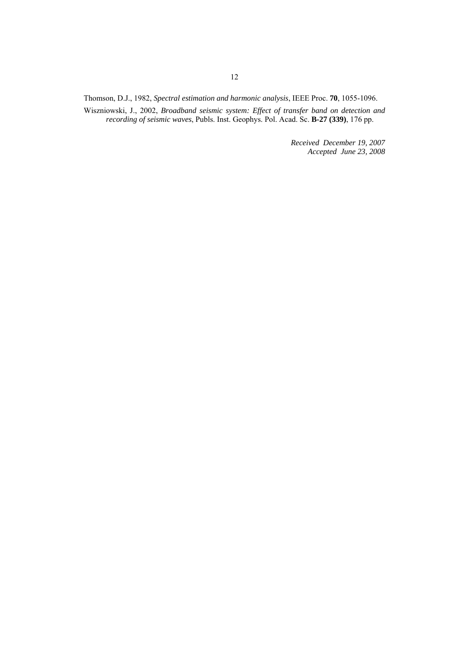Thomson, D.J., 1982, *Spectral estimation and harmonic analysis*, IEEE Proc. **70**, 1055-1096.

Wiszniowski, J., 2002, *Broadband seismic system: Effect of transfer band on detection and recording of seismic waves*, Publs. Inst. Geophys. Pol. Acad. Sc. **B-27 (339)**, 176 pp.

> *Received December 19, 2007 Accepted June 23, 2008*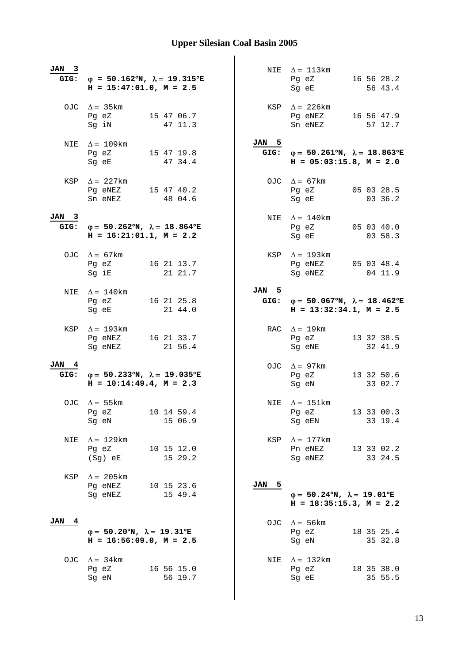| $_{3}$<br>JAN<br>GIG: | $\varphi = 50.162^{\circ}N$ , $\lambda = 19.315^{\circ}E$<br>$H = 15:47:01.0, M = 2.5$ |               | NIE $\Delta = 113 \text{km}$<br>16 56 28.2<br>Pg eZ<br>56 43.4<br>Sg eE                     |
|-----------------------|----------------------------------------------------------------------------------------|---------------|---------------------------------------------------------------------------------------------|
|                       | OJC $\Delta = 35 \text{km}$<br>15 47 06.7<br>Pg eZ<br>47 11.3<br>Sg iN                 |               | KSP $\Delta$ = 226 km<br>16 56 47.9<br>Pg eNEZ<br>Sn eNEZ<br>57 12.7                        |
| NIE                   | $\Delta = 109 \text{km}$<br>Pg eZ<br>15 47 19.8<br>47 34.4<br>Sq eE                    | JAN 5<br>GIG: | $\varphi = 50.261^{\circ}N$ , $\lambda = 18.863^{\circ}E$<br>$H = 05:03:15.8, M = 2.0$      |
| KSP                   | $\Delta = 227$ km<br>Pg eNEZ<br>15 47 40.2<br>48 04.6<br>Sn eNEZ                       |               | OJC $\Delta = 67$ km<br>05 03 28.5<br>Pg eZ<br>03 36.2<br>Sg eE                             |
| JAN 3<br>GIG:         | $\varphi = 50.262^{\circ}N$ , $\lambda = 18.864^{\circ}E$<br>$H = 16:21:01.1, M = 2.2$ |               | NIE $\Delta = 140$ km<br>Pg eZ<br>05 03 40.0<br>Sg eE<br>03 58.3                            |
|                       | OJC $\Delta = 67 \text{km}$<br>16 21 13.7<br>Pg eZ<br>21 21.7<br>Sg iE                 |               | KSP $\Delta = 193 \text{km}$<br>Pq eNEZ 05 03 48.4<br>04 11.9<br>Sg eNEZ                    |
| NIE                   | $\Delta = 140$ km<br>16 21 25.8<br>Pg eZ<br>21 44.0<br>Sg eE                           | JAN 5         | GIG: $\varphi = 50.067^{\circ}N$ , $\lambda = 18.462^{\circ}E$<br>$H = 13:32:34.1, M = 2.5$ |
| KSP                   | $\Delta = 193$ km<br>Pg eNEZ<br>16 21 33.7<br>Sg eNEZ<br>21 56.4                       |               | RAC $\Delta = 19$ km<br>Pg eZ<br>13 32 38.5<br>Sg eNE<br>32 41.9                            |
| JAN 4<br>GIG:         | $φ = 50.233oN, λ = 19.035oE$<br>$H = 10:14:49.4$ , $M = 2.3$                           |               | OJC $\Delta = 97 \text{km}$<br>Pg eZ<br>13 32 50.6<br>Sg eN<br>33 02.7                      |
| OJC                   | $\Delta = 55$ km<br>10 14 59.4<br>Pg eZ<br>15 06.9<br>Sg eN                            | NIE           | $\Delta = 151 \text{km}$<br>Pg eZ<br>13 33 00.3<br>33 19.4<br>Sg eEN                        |
| NIE                   | $\Delta = 129$ km<br>10 15 12.0<br>Pg eZ<br>15 29.2<br>$(Sg)$ eE                       | KSP           | $\Delta = 177$ km<br>13 33 02.2<br>Pn eNEZ<br>33 24.5<br>Sg eNEZ                            |
| KSP                   | $\Delta$ = 205 km<br>Pg eNEZ<br>10 15 23.6<br>15 49.4<br>Sg eNEZ                       | 5<br>JAN      | $\varphi = 50.24^{\circ}N$ , $\lambda = 19.01^{\circ}E$<br>$H = 18:35:15.3$ , $M = 2.2$     |
| 4<br>JAN              | $\varphi = 50.20^{\circ}N$ , $\lambda = 19.31^{\circ}E$<br>$H = 16:56:09.0, M = 2.5$   |               | OJC $\Delta = 56 \text{km}$<br>18 35 25.4<br>Pg eZ<br>35 32.8<br>Sg eN                      |
| OJC                   | $\Delta = 34 \text{km}$<br>16 56 15.0<br>Pg eZ<br>56 19.7<br>Sg eN                     | NIE           | $\Delta = 132 \text{km}$<br>Pg eZ<br>18 35 38.0<br>35 55.5<br>Sg eE                         |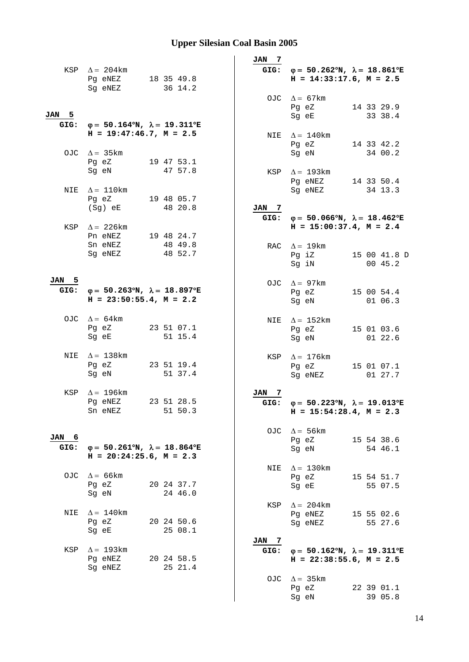|       |                                                           |  |                       |     | JAN 7          |                                                                |                       |
|-------|-----------------------------------------------------------|--|-----------------------|-----|----------------|----------------------------------------------------------------|-----------------------|
|       | KSP $\Delta = 204 \text{km}$                              |  |                       |     |                | GIG: $\varphi = 50.262^{\circ}N$ , $\lambda = 18.861^{\circ}E$ |                       |
|       | Pg eNEZ                                                   |  | 18 35 49.8            |     |                | $H = 14:33:17.6$ , $M = 2.5$                                   |                       |
|       | Sg eNEZ                                                   |  | 36 14.2               |     |                |                                                                |                       |
|       |                                                           |  |                       |     |                | OJC $\Delta = 67$ km<br>Pg eZ                                  | 14 33 29.9            |
| JAN 5 |                                                           |  |                       |     |                | Sg eE                                                          | 33 38.4               |
| GIG:  | $φ = 50.164°N, λ = 19.311°E$                              |  |                       |     |                |                                                                |                       |
|       | $H = 19:47:46.7$ , $M = 2.5$                              |  |                       |     |                | NIE $\Delta = 140$ km                                          |                       |
|       | OJC $\Delta = 35 \text{km}$                               |  |                       |     |                | Pg eZ                                                          | 14 33 42.2<br>34 00.2 |
|       | Pg eZ                                                     |  | 19 47 53.1            |     |                | Sg eN                                                          |                       |
|       | Sg eN                                                     |  | 47 57.8               |     | KSP            | $\Delta = 193$ km                                              |                       |
|       |                                                           |  |                       |     |                | Pg eNEZ                                                        | 14 33 50.4            |
| NIE   | $\Delta = 110$ km                                         |  |                       |     |                | Sg eNEZ                                                        | 34 13.3               |
|       | Pg eZ                                                     |  | 19 48 05.7<br>48 20.8 |     | JAN 7          |                                                                |                       |
|       | (Sg) eE                                                   |  |                       |     | GIG:           | $\varphi = 50.066^{\circ}N$ , $\lambda = 18.462^{\circ}E$      |                       |
|       | KSP $\Delta$ = 226 km                                     |  |                       |     |                | $H = 15:00:37.4$ , $M = 2.4$                                   |                       |
|       | Pn eNEZ                                                   |  | 19 48 24.7            |     |                |                                                                |                       |
|       | Sn eNEZ                                                   |  | 48 49.8               |     |                | RAC $\Delta = 19$ km                                           |                       |
|       | Sg eNEZ                                                   |  | 48 52.7               |     |                | Pg iZ                                                          | 15 00 41.8 D          |
|       |                                                           |  |                       |     |                | Sg iN                                                          | 00 45.2               |
| JAN 5 |                                                           |  |                       |     |                | OJC $\Delta = 97 \text{km}$                                    |                       |
| GIG:  | $\varphi = 50.263^{\circ}N$ , $\lambda = 18.897^{\circ}E$ |  |                       |     |                | Pg eZ                                                          | 15 00 54.4            |
|       | $H = 23:50:55.4$ , $M = 2.2$                              |  |                       |     |                | Sg eN                                                          | 01 06.3               |
|       | OJC $\Delta = 64 \text{km}$                               |  |                       |     |                |                                                                |                       |
|       | Pg eZ                                                     |  | 23 51 07.1            |     |                | NIE $\Delta = 152 \text{km}$<br>Pg eZ                          | 15 01 03.6            |
|       | Sg eE                                                     |  | 51 15.4               |     |                | Sg eN                                                          | 01 22.6               |
|       |                                                           |  |                       |     |                |                                                                |                       |
|       | NIE $\Delta = 138$ km                                     |  |                       |     |                | KSP $\Delta = 176$ km                                          |                       |
|       | Pg eZ<br>Sg eN                                            |  | 23 51 19.4<br>51 37.4 |     |                | Pg eZ                                                          | 15 01 07.1<br>01 27.7 |
|       |                                                           |  |                       |     |                | Sg eNEZ                                                        |                       |
| KSP   | $\Delta = 196$ km                                         |  |                       | JAN | $\overline{7}$ |                                                                |                       |
|       | Pq eNEZ                                                   |  | 23 51 28.5            |     | GIG:           | $\varphi = 50.223^{\circ}N$ , $\lambda = 19.013^{\circ}E$      |                       |
|       | Sn eNEZ                                                   |  | 51 50.3               |     |                | $H = 15:54:28.4$ , $M = 2.3$                                   |                       |
|       |                                                           |  |                       |     |                | OJC $\Delta = 56 \text{km}$                                    |                       |
| JAN 6 |                                                           |  |                       |     |                | Pg eZ                                                          | 15 54 38.6            |
| GIG:  | $\varphi = 50.261^{\circ}N$ , $\lambda = 18.864^{\circ}E$ |  |                       |     |                | Sg eN                                                          | 54 46.1               |
|       | $H = 20:24:25.6$ , $M = 2.3$                              |  |                       |     |                |                                                                |                       |
|       | OJC $\Delta = 66$ km                                      |  |                       |     | NIE            | $\Delta = 130$ km                                              |                       |
|       | Pg eZ                                                     |  | 20 24 37.7            |     |                | Pg eZ<br>Sg eE                                                 | 15 54 51.7<br>55 07.5 |
|       | Sg eN                                                     |  | 24 46.0               |     |                |                                                                |                       |
|       |                                                           |  |                       |     | KSP            | $\Delta = 204 \text{km}$                                       |                       |
|       | NIE $\Delta = 140$ km                                     |  |                       |     |                | Pg eNEZ                                                        | 15 55 02.6            |
|       | Pg eZ                                                     |  | 20 24 50.6            |     |                | Sg eNEZ                                                        | 55 27.6               |
|       | Sg eE                                                     |  | 25 08.1               |     | JAN 7          |                                                                |                       |
|       | KSP $\Delta = 193$ km                                     |  |                       |     | GIG:           | $\varphi = 50.162^{\circ}N$ , $\lambda = 19.311^{\circ}E$      |                       |
|       | Pg eNEZ                                                   |  | 20 24 58.5            |     |                | $H = 22:38:55.6$ , $M = 2.5$                                   |                       |
|       | Sg eNEZ                                                   |  | 25 21.4               |     |                |                                                                |                       |
|       |                                                           |  |                       |     |                | OJC $\Delta = 35 \text{km}$                                    |                       |
|       |                                                           |  |                       |     |                | Pg eZ                                                          | 22 39 01.1            |
|       |                                                           |  |                       |     |                | Sg eN                                                          | 39 05.8               |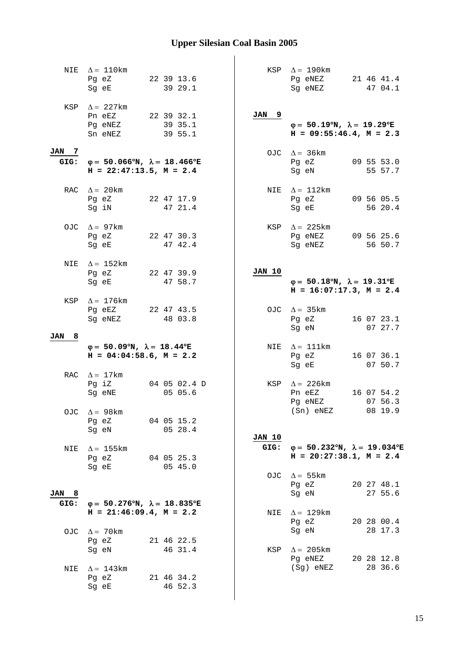| NIE                   | $\Delta = 110$ km                                         |                       |                   | KSP $\Delta = 190$ km                                                                  |            |
|-----------------------|-----------------------------------------------------------|-----------------------|-------------------|----------------------------------------------------------------------------------------|------------|
|                       | Pg eZ                                                     | 22 39 13.6            |                   | Pg eNEZ                                                                                | 21 46 41.4 |
|                       | Sg eE                                                     | 39 29.1               |                   | Sg eNEZ                                                                                | 47 04.1    |
|                       |                                                           |                       |                   |                                                                                        |            |
|                       | KSP $\Delta = 227$ km                                     |                       |                   |                                                                                        |            |
|                       | Pn eEZ                                                    | 22 39 32.1            | <b>JAN</b><br>- 9 |                                                                                        |            |
|                       | Pg eNEZ                                                   | 39 35.1               |                   | $\varphi = 50.19^{\circ}N$ , $\lambda = 19.29^{\circ}E$                                |            |
|                       | Sn eNEZ                                                   | 39 55.1               |                   | $H = 09:55:46.4, M = 2.3$                                                              |            |
|                       |                                                           |                       |                   |                                                                                        |            |
| JAN<br>$\overline{7}$ |                                                           |                       |                   |                                                                                        |            |
| GIG:                  | $\varphi = 50.066^{\circ}N$ , $\lambda = 18.466^{\circ}E$ |                       |                   | OJC $\Delta = 36 \text{km}$<br>Pg eZ                                                   | 09 55 53.0 |
|                       | $H = 22:47:13.5$ , $M = 2.4$                              |                       |                   |                                                                                        | 55 57.7    |
|                       |                                                           |                       |                   | Sg eN                                                                                  |            |
|                       |                                                           |                       |                   |                                                                                        |            |
|                       | RAC $\Delta = 20$ km                                      |                       |                   | NIE $\Delta = 112 \text{km}$                                                           |            |
|                       | Pg eZ                                                     | 22 47 17.9            |                   | Pg eZ                                                                                  | 09 56 05.5 |
|                       | Sg iN                                                     | 47 21.4               |                   | Sg eE                                                                                  | 56 20.4    |
|                       |                                                           |                       |                   |                                                                                        |            |
|                       | OJC $\Delta = 97$ km                                      |                       |                   | KSP $\Delta$ = 225 km                                                                  |            |
|                       | Pg eZ                                                     | 22 47 30.3            |                   | Pg eNEZ                                                                                | 09 56 25.6 |
|                       | Sg eE                                                     | 47 42.4               |                   | Sq eNEZ                                                                                | 56 50.7    |
|                       |                                                           |                       |                   |                                                                                        |            |
|                       | NIE $\Delta = 152 \text{km}$                              |                       |                   |                                                                                        |            |
|                       | Pg eZ                                                     | 22 47 39.9            | JAN 10            |                                                                                        |            |
|                       | Sq eE                                                     | 47 58.7               |                   | $\varphi = 50.18^{\circ}N$ , $\lambda = 19.31^{\circ}E$                                |            |
|                       |                                                           |                       |                   | $H = 16:07:17.3$ , $M = 2.4$                                                           |            |
|                       | KSP $\Delta = 176$ km                                     |                       |                   |                                                                                        |            |
|                       | Pg eEZ                                                    | 22 47 43.5            |                   | OJC $\Delta = 35 \text{km}$                                                            |            |
|                       | Sg eNEZ                                                   | 48 03.8               |                   | Pg eZ                                                                                  | 16 07 23.1 |
|                       |                                                           |                       |                   |                                                                                        |            |
|                       |                                                           |                       |                   | Sg eN                                                                                  | 07 27.7    |
| 8<br>JAN              |                                                           |                       |                   |                                                                                        |            |
|                       | $\varphi = 50.09^{\circ}N$ , $\lambda = 18.44^{\circ}E$   |                       |                   | NIE $\Delta = 111$ km                                                                  |            |
|                       | $H = 04:04:58.6$ , $M = 2.2$                              |                       |                   | Pg eZ                                                                                  | 16 07 36.1 |
|                       |                                                           |                       |                   | Sg eE                                                                                  | 07 50.7    |
|                       | RAC $\Delta = 17$ km                                      |                       |                   |                                                                                        |            |
|                       | Pg iZ                                                     | 04 05 02.4 D          |                   | KSP $\Delta = 226 \text{km}$                                                           |            |
|                       | Sq eNE                                                    | 05 05.6               |                   | Pn eEZ                                                                                 | 16 07 54.2 |
|                       |                                                           |                       |                   | Pg eNEZ                                                                                | 07 56.3    |
| OJC                   |                                                           |                       |                   | $(Sn)$ eNEZ                                                                            | 08 19.9    |
|                       | $\Delta$ = 98 km                                          |                       |                   |                                                                                        |            |
|                       | Pg eZ                                                     | 04 05 15.2            |                   |                                                                                        |            |
|                       | Sg eN                                                     | 05 28.4               | JAN 10            |                                                                                        |            |
|                       |                                                           |                       | GIG:              |                                                                                        |            |
| NIE                   | $\Delta = 155$ km                                         |                       |                   | $\varphi = 50.232^{\circ}N$ , $\lambda = 19.034^{\circ}E$<br>$H = 20:27:38.1, M = 2.4$ |            |
|                       | Pg eZ                                                     | 04 05 25.3            |                   |                                                                                        |            |
|                       | Sg eE                                                     | 05 45.0               |                   |                                                                                        |            |
|                       |                                                           |                       |                   | OJC $\Delta = 55 \text{km}$                                                            |            |
| - 8                   |                                                           |                       |                   | Pg eZ                                                                                  | 20 27 48.1 |
| JAN                   |                                                           |                       |                   | Sg eN                                                                                  | 27 55.6    |
| GIG:                  | $\varphi = 50.276^{\circ}N$ , $\lambda = 18.835^{\circ}E$ |                       |                   |                                                                                        |            |
|                       | $H = 21:46:09.4$ , $M = 2.2$                              |                       | NIE               | $\Delta = 129$ km                                                                      |            |
|                       |                                                           |                       |                   | Pg eZ                                                                                  | 20 28 00.4 |
| OJC.                  | $\Delta = 70$ km                                          |                       |                   | Sg eN                                                                                  | 28 17.3    |
|                       | Pg eZ                                                     | 21 46 22.5            |                   |                                                                                        |            |
|                       | Sg eN                                                     | 46 31.4               | KSP               | $\Delta$ = 205 km                                                                      |            |
|                       |                                                           |                       |                   | Pg eNEZ                                                                                | 20 28 12.8 |
| NIE                   | $\Delta = 143$ km                                         |                       |                   | (Sg) eNEZ                                                                              | 28 36.6    |
|                       | Pg eZ<br>Sg eE                                            | 21 46 34.2<br>46 52.3 |                   |                                                                                        |            |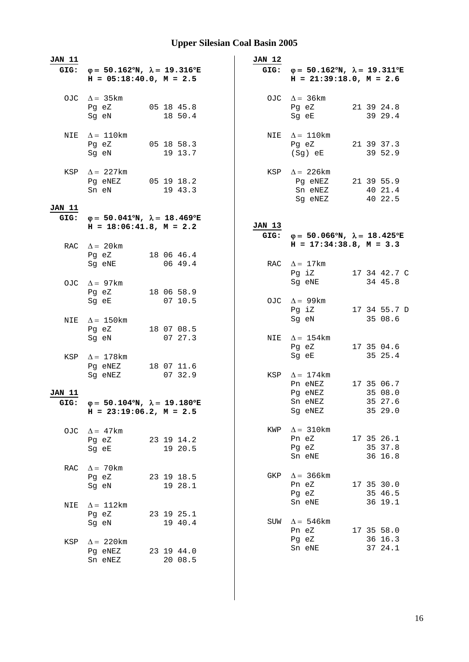| <b>JAN 11</b> |                                                                                        |                         | <b>JAN 12</b> |                                                                                             |  |                                  |
|---------------|----------------------------------------------------------------------------------------|-------------------------|---------------|---------------------------------------------------------------------------------------------|--|----------------------------------|
| GIG:          | $\varphi = 50.162^{\circ}N$ , $\lambda = 19.316^{\circ}E$<br>$H = 05:18:40.0, M = 2.5$ |                         |               | GIG: $\varphi = 50.162^{\circ}N$ , $\lambda = 19.311^{\circ}E$<br>$H = 21:39:18.0, M = 2.6$ |  |                                  |
|               | OJC $\Delta = 35 \text{km}$<br>Pg eZ<br>Sg eN                                          | 05 18 45.8<br>18 50.4   |               | OJC $\Delta = 36 \text{km}$<br>Pg eZ<br>Sg eE                                               |  | 21 39 24.8<br>39 29.4            |
| NIE           | $\Delta = 110$ km<br>Pg eZ<br>Sq eN                                                    | 05 18 58.3<br>19 13.7   | NIE           | $\Delta = 110$ km<br>Pg eZ<br>$(Sg)$ eE                                                     |  | 21 39 37.3<br>39 52.9            |
| KSP<br>JAN 11 | $\Delta = 227$ km<br>Pg eNEZ<br>Sn eN                                                  | $05$ 19 18.2<br>19 43.3 | KSP           | $\Delta$ = 226 km<br>Pg eNEZ<br>Sn eNEZ<br>Sg eNEZ                                          |  | 21 39 55.9<br>40 21.4<br>40 22.5 |
| GIG:          | $\varphi = 50.041^{\circ}N$ , $\lambda = 18.469^{\circ}E$                              |                         |               |                                                                                             |  |                                  |
|               | $H = 18:06:41.8$ , $M = 2.2$                                                           |                         | JAN 13        |                                                                                             |  |                                  |
|               |                                                                                        |                         |               | GIG: $\varphi = 50.066^{\circ}N$ , $\lambda = 18.425^{\circ}E$                              |  |                                  |
|               | RAC $\Delta = 20$ km                                                                   |                         |               | $H = 17:34:38.8, M = 3.3$                                                                   |  |                                  |
|               | Pg eZ 18 06 46.4<br>Sg eNE                                                             | 06 49.4                 |               | RAC $\Delta = 17$ km<br>Pg iZ                                                               |  |                                  |
|               |                                                                                        |                         |               | Sg eNE                                                                                      |  | 17 34 42.7 C<br>34 45.8          |
|               | OJC $\Delta = 97$ km                                                                   |                         |               |                                                                                             |  |                                  |
|               | Pg eZ                                                                                  | 18 06 58.9              |               |                                                                                             |  |                                  |
|               | Sg eE                                                                                  | 07 10.5                 |               | OJC $\Delta = 99 \text{km}$<br>Pg iZ                                                        |  | 17 34 55.7 D                     |
|               |                                                                                        |                         |               | Sg eN                                                                                       |  | 35 08.6                          |
| NIE           | $\Delta = 150$ km                                                                      |                         |               |                                                                                             |  |                                  |
|               | Pg eZ                                                                                  | 18 07 08.5              |               |                                                                                             |  |                                  |
|               | Sg eN                                                                                  | 07 27.3                 | NIE           | $\Delta = 154$ km                                                                           |  |                                  |
|               |                                                                                        |                         |               | Pg eZ                                                                                       |  | 17 35 04.6                       |
| KSP           | $\Delta = 178$ km                                                                      |                         |               | Sg eE                                                                                       |  | 35 25.4                          |
|               | Pg eNEZ 18 07 11.6                                                                     |                         |               |                                                                                             |  |                                  |
|               | Sq eNEZ                                                                                | 07 32.9                 | KSP           | $\Delta = 174$ km                                                                           |  |                                  |
|               |                                                                                        |                         |               | Pn eNEZ                                                                                     |  | 17 35 06.7                       |
| JAN 11        |                                                                                        |                         |               | Pg eNEZ                                                                                     |  | 35 08.0                          |
| GIG:          | $\varphi = 50.104^{\circ}N$ , $\lambda = 19.180^{\circ}E$                              |                         |               | Sn eNEZ                                                                                     |  | 35 27.6                          |
|               | $H = 23:19:06.2, M = 2.5$                                                              |                         |               | Sg eNEZ                                                                                     |  | 35 29.0                          |
|               | OJC $\Delta = 47 \text{km}$                                                            |                         | KWP           | $\Delta = 310$ km                                                                           |  |                                  |
|               | Pg eZ                                                                                  | 23 19 14.2              |               | Pn eZ                                                                                       |  | 17 35 26.1                       |
|               | Sg eE                                                                                  | 19 20.5                 |               | Pg eZ                                                                                       |  | 35 37.8                          |
|               |                                                                                        |                         |               | Sn eNE                                                                                      |  | 36 16.8                          |
| RAC           | $\Delta = 70$ km                                                                       |                         |               |                                                                                             |  |                                  |
|               | Pg eZ                                                                                  | 23 19 18.5              | GKP           | $\Delta$ = 366 km                                                                           |  |                                  |
|               | Sq eN                                                                                  | 19 28.1                 |               | Pn eZ                                                                                       |  | 17 35 30.0                       |
|               |                                                                                        |                         |               | Pg eZ                                                                                       |  | 35 46.5                          |
| NIE           | $\Delta = 112 \text{km}$                                                               |                         |               | Sn eNE                                                                                      |  | 36 19.1                          |
|               | Pg eZ                                                                                  | 23 19 25.1              |               |                                                                                             |  |                                  |
|               | Sg eN                                                                                  | 19 40.4                 | SUW           | $\Delta = 546$ km                                                                           |  |                                  |
|               |                                                                                        |                         |               | Pn eZ                                                                                       |  | 17 35 58.0                       |
| KSP           | $\Delta = 220$ km                                                                      |                         |               | Pg eZ                                                                                       |  | 36 16.3                          |
|               | Pg eNEZ                                                                                | 23 19 44.0              |               | Sn eNE                                                                                      |  | 37 24.1                          |
|               | Sn eNEZ                                                                                | 20 08.5                 |               |                                                                                             |  |                                  |
|               |                                                                                        |                         |               |                                                                                             |  |                                  |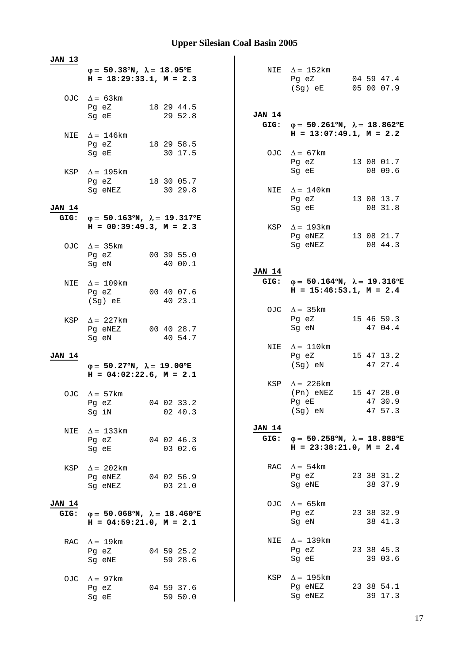| <b>JAN 13</b> |                                      |                                                                                         |               |                                                                |                                                           |
|---------------|--------------------------------------|-----------------------------------------------------------------------------------------|---------------|----------------------------------------------------------------|-----------------------------------------------------------|
|               |                                      | $\varphi = 50.38^{\circ}N$ , $\lambda = 18.95^{\circ}E$<br>$H = 18:29:33.1, M = 2.3$    |               | NIE $\Delta = 152 \text{km}$<br>Pg eZ<br>(Sg) eE               | 04 59 47.4<br>05 00 07.9                                  |
|               | OJC $\Delta = 63 \text{km}$          |                                                                                         |               |                                                                |                                                           |
|               | Pg eZ<br>Sg eE                       | 18 29 44.5<br>29 52.8                                                                   | <b>JAN 14</b> |                                                                |                                                           |
|               |                                      |                                                                                         |               | GIG: $\varphi = 50.261^{\circ}N$ , $\lambda = 18.862^{\circ}E$ |                                                           |
|               | NIE $\Delta = 146$ km                |                                                                                         |               | $H = 13:07:49.1, M = 2.2$                                      |                                                           |
|               | Pg eZ                                | 18 29 58.5                                                                              |               |                                                                |                                                           |
|               | Sg eE                                | 30 17.5                                                                                 |               | OJC $\Delta = 67 \text{km}$                                    |                                                           |
|               |                                      |                                                                                         |               | Pg eZ                                                          | 13 08 01.7                                                |
|               | KSP $\Delta = 195 \text{km}$         |                                                                                         |               | Sg eE                                                          | 08 09.6                                                   |
|               | Pg eZ<br>Sg eNEZ                     | 18 30 05.7<br>30 29.8                                                                   |               | NIE $\Delta = 140$ km                                          |                                                           |
|               |                                      |                                                                                         |               | Pg eZ                                                          | 13 08 13.7                                                |
| <b>JAN 14</b> |                                      |                                                                                         |               | Sg eE                                                          | 08 31.8                                                   |
| GIG:          |                                      | $\varphi = 50.163^{\circ}N$ , $\lambda = 19.317^{\circ}E$                               |               |                                                                |                                                           |
|               |                                      | $H = 00:39:49.3, M = 2.3$                                                               |               | KSP $\Delta = 193 \text{km}$                                   |                                                           |
|               |                                      |                                                                                         |               | Pg eNEZ<br>Sg eNEZ                                             | 13 08 21.7<br>08 44.3                                     |
|               | OJC $\Delta = 35 \text{km}$<br>Pg eZ | 00 39 55.0                                                                              |               |                                                                |                                                           |
|               | Sg eN                                | 40 00.1                                                                                 |               |                                                                |                                                           |
|               |                                      |                                                                                         | <b>JAN 14</b> |                                                                |                                                           |
| NIE           | $\Delta = 109$ km                    |                                                                                         |               | GIG: $\varphi = 50.164^{\circ}N$ , $\lambda = 19.316^{\circ}E$ |                                                           |
|               | Pg eZ                                | 00 40 07.6                                                                              |               | $H = 15:46:53.1, M = 2.4$                                      |                                                           |
|               | (Sg) eE                              | 40 23.1                                                                                 |               |                                                                |                                                           |
|               |                                      |                                                                                         |               | OJC $\Delta = 35 \text{km}$<br>Pg eZ                           | 15 46 59.3                                                |
| KSP           | $\Delta = 227$ km<br>Pg eNEZ         | 00 40 28.7                                                                              |               | Sg eN                                                          | 47 04.4                                                   |
|               | Sg eN                                | 40 54.7                                                                                 |               |                                                                |                                                           |
|               |                                      |                                                                                         |               | NIE $\Delta = 110$ km                                          |                                                           |
| <b>JAN 14</b> |                                      |                                                                                         |               | Pg eZ                                                          | 15 47 13.2                                                |
|               |                                      | $\varphi = 50.27^{\circ}N$ , $\lambda = 19.00^{\circ}E$<br>$H = 04:02:22.6$ , $M = 2.1$ |               | (Sg) eN                                                        | 47 27.4                                                   |
|               |                                      |                                                                                         |               | KSP $\Delta$ = 226km                                           |                                                           |
|               | OJC $\Delta = 57$ km                 |                                                                                         |               | (Pn) eNEZ                                                      | 15 47 28.0                                                |
|               |                                      | Pg eZ 04 02 33.2                                                                        |               | $Pq$ eE                                                        | 47 30.9                                                   |
|               | Sg iN                                | 02 40.3                                                                                 |               | (Sg) eN                                                        | 47 57.3                                                   |
|               |                                      |                                                                                         | <b>JAN 14</b> |                                                                |                                                           |
| NIE           | $\Delta = 133$ km<br>Pg eZ           | 04 02 46.3                                                                              | GIG:          |                                                                | $\varphi = 50.258^{\circ}N$ , $\lambda = 18.888^{\circ}E$ |
|               | Sg eE                                | 03 02.6                                                                                 |               |                                                                | $H = 23:38:21.0, M = 2.4$                                 |
|               |                                      |                                                                                         |               |                                                                |                                                           |
| KSP           | $\Delta = 202 \text{km}$             |                                                                                         |               | RAC $\Delta = 54 \text{km}$                                    |                                                           |
|               |                                      | Pg eNEZ 04 02 56.9                                                                      |               | Pg eZ                                                          | 23 38 31.2<br>38 37.9                                     |
|               | Sq eNEZ                              | 0321.0                                                                                  |               | Sg eNE                                                         |                                                           |
| <b>JAN 14</b> |                                      |                                                                                         |               | OJC $\Delta = 65 \text{km}$                                    |                                                           |
| GIG:          |                                      | $\varphi = 50.068^{\circ}N$ , $\lambda = 18.460^{\circ}E$                               |               | Pg eZ                                                          | 23 38 32.9                                                |
|               |                                      | $H = 04:59:21.0, M = 2.1$                                                               |               | Sg eN                                                          | 38 41.3                                                   |
|               |                                      |                                                                                         |               |                                                                |                                                           |
| RAC           | $\Delta = 19 \text{km}$              |                                                                                         | NIE           | $\Delta = 139$ km                                              | 23 38 45.3                                                |
|               | Pg eZ<br>Sg eNE                      | 04 59 25.2<br>59 28.6                                                                   |               | Pg eZ<br>Sg eE                                                 | 39 03.6                                                   |
|               |                                      |                                                                                         |               |                                                                |                                                           |
| OJC.          | $\Delta = 97$ km                     |                                                                                         | KSP           | $\Delta = 195$ km                                              |                                                           |
|               | Pg eZ                                | 04 59 37.6                                                                              |               | Pg eNEZ                                                        | 23 38 54.1                                                |
|               | Sg eE                                | 59 50.0                                                                                 |               | Sg eNEZ                                                        | 39 17.3                                                   |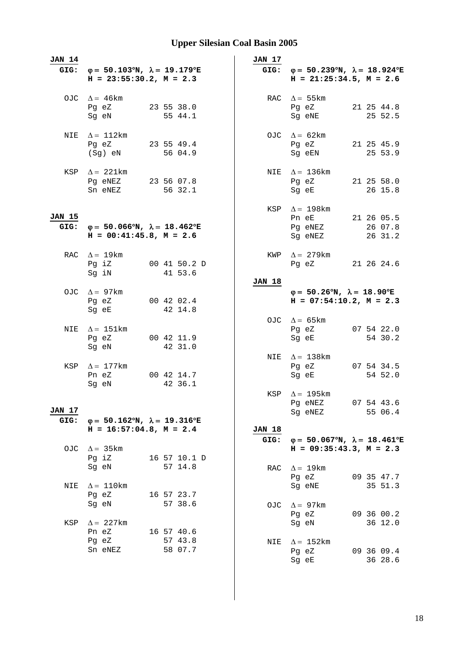| <b>JAN 14</b>         | GIG: $\varphi = 50.103^{\circ}N$ , $\lambda = 19.179^{\circ}E$<br>$H = 23:55:30.2, M = 2.3$ |                                  | JAN 17                | GIG: $\varphi = 50.239^{\circ}N$ , $\lambda = 18.924^{\circ}E$<br>$H = 21:25:34.5, M = 2.6$ |
|-----------------------|---------------------------------------------------------------------------------------------|----------------------------------|-----------------------|---------------------------------------------------------------------------------------------|
|                       | OJC $\Delta = 46 \text{km}$<br>Pg eZ<br>Sg eN                                               | 23 55 38.0<br>55 44.1            |                       | RAC $\Delta = 55 \text{km}$<br>21 25 44.8<br>Pg eZ<br>Sg eNE<br>25 52.5                     |
| NIE                   | $\Delta = 112$ km<br>Pg eZ<br>(Sg) eN                                                       | 23 55 49.4<br>56 04.9            |                       | OJC $\Delta = 62 \text{km}$<br>Pg eZ<br>21 25 45.9<br>Sq eEN<br>25 53.9                     |
|                       | KSP $\Delta = 221 \text{km}$<br>Pg eNEZ 23 56 07.8<br>Sn eNEZ                               | 56 32.1                          |                       | NIE $\Delta = 136 \text{km}$<br>Pg eZ<br>21 25 58.0<br>Sg eE<br>26 15.8                     |
| <b>JAN 15</b><br>GIG: | $\varphi = 50.066^{\circ}N$ , $\lambda = 18.462^{\circ}E$<br>$H = 00:41:45.8$ , $M = 2.6$   |                                  |                       | KSP $\Delta = 198$ km<br>Pn eE<br>21 26 05.5<br>Pg eNEZ<br>26 07.8<br>Sg eNEZ<br>26 31.2    |
|                       | RAC $\Delta = 19$ km<br>Pg iZ<br>Sg iN                                                      | 00 41 50.2 D<br>41 53.6          |                       | KWP $\Delta = 279$ km<br>Pg eZ<br>21 26 24.6                                                |
|                       | OJC $\Delta = 97 \text{km}$<br>Pg eZ<br>Sg eE                                               | 00 42 02.4<br>42 14.8            | <b>JAN 18</b>         | $\varphi = 50.26^{\circ}N$ , $\lambda = 18.90^{\circ}E$<br>$H = 07:54:10.2, M = 2.3$        |
| NIE                   | $\Delta = 151$ km<br>Pg eZ<br>Sg eN                                                         | 00 42 11.9<br>42 31.0            |                       | OJC $\Delta = 65 \text{km}$<br>07 54 22.0<br>Pg eZ<br>54 30.2<br>Sg eE                      |
|                       | KSP $\Delta = 177$ km<br>Pn eZ<br>Sg eN                                                     | 00 42 14.7<br>42 36.1            |                       | NIE $\Delta = 138$ km<br>07 54 34.5<br>Pg eZ<br>54 52.0<br>Sg eE                            |
| JAN 17<br>GIG:        | $\varphi = 50.162^{\circ}N$ , $\lambda = 19.316^{\circ}E$                                   |                                  |                       | KSP $\Delta = 195$ km<br>07 54 43.6<br>Pg eNEZ<br>55 06.4<br>Sg eNEZ                        |
|                       | $H = 16:57:04.8$ , $M = 2.4$                                                                |                                  | <b>JAN 18</b><br>GIG: | $\varphi = 50.067^{\circ}N$ , $\lambda = 18.461^{\circ}E$                                   |
| OJC                   | $\Delta$ = 35 km<br>Pg iZ<br>Sg eN                                                          | 16 57 10.1 D<br>57 14.8          | RAC                   | $H = 09:35:43.3, M = 2.3$<br>$\Delta = 19 \text{km}$<br>Pg eZ<br>09 35 47.7                 |
| NIE                   | $\Delta = 110$ km<br>Pg eZ<br>Sg eN                                                         | 16 57 23.7<br>57 38.6            | OJC                   | 35 51.3<br>Sg eNE<br>$\Delta = 97 \text{km}$<br>09 36 00.2<br>Pg eZ                         |
| KSP                   | $\Delta = 227$ km<br>Pn eZ<br>Pg eZ<br>Sn eNEZ                                              | 16 57 40.6<br>57 43.8<br>58 07.7 | NIE                   | 36 12.0<br>Sg eN<br>$\Delta = 152 \text{km}$<br>09 36 09.4<br>Pg eZ<br>Sg eE<br>36 28.6     |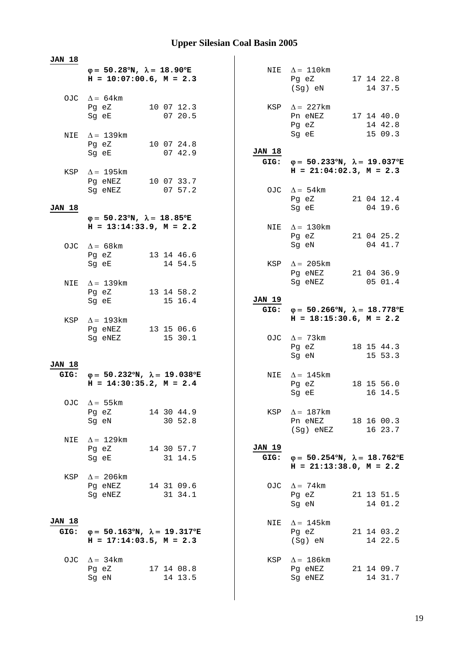| 17 14 22.8<br>14 37.5<br>Pn eNEZ 17 14 40.0<br>14 42.8<br>15 09.3                      |
|----------------------------------------------------------------------------------------|
|                                                                                        |
|                                                                                        |
|                                                                                        |
| $\varphi = 50.233^{\circ}N$ , $\lambda = 19.037^{\circ}E$<br>$H = 21:04:02.3, M = 2.3$ |
| Pg eZ 21 04 12.4<br>04 19.6                                                            |
|                                                                                        |
| 21 04 25.2<br>04 41.7                                                                  |
| Pg eNEZ 21 04 36.9<br>05 01.4                                                          |
| $φ = 50.266°N, λ = 18.778°E$                                                           |
| $H = 18:15:30.6$ , $M = 2.2$                                                           |
| 18 15 44.3<br>15 53.3                                                                  |
| 18 15 56.0<br>16 14.5                                                                  |
| Pn eNEZ 18 16 00.3<br>(Sg) eNEZ<br>16 23.7                                             |
| $\varphi = 50.254^{\circ}N$ , $\lambda = 18.762^{\circ}E$<br>$H = 21:13:38.0, M = 2.2$ |
| 21 13 51.5<br>14 01.2                                                                  |
| 21 14 03.2<br>14 22.5                                                                  |
| 21 14 09.7<br>14 31.7                                                                  |
|                                                                                        |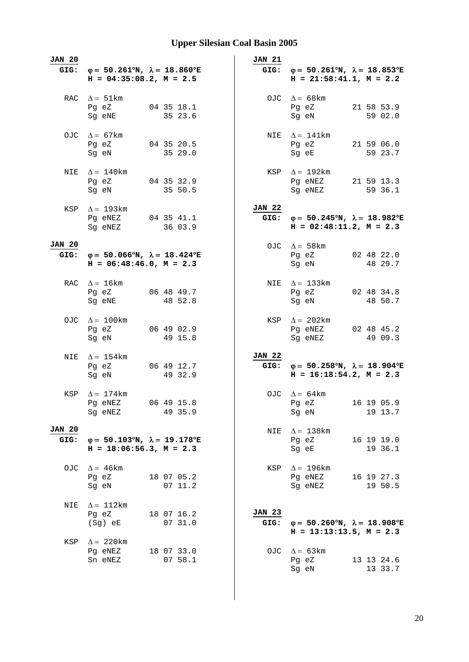| <b>JAN 20</b><br>GIG: | $\varphi = 50.261^{\circ}N$ , $\lambda = 18.860^{\circ}E$<br>$H = 04:35:08.2$ , $M = 2.5$ |                       | <b>JAN 21</b><br>GIG: | $\varphi = 50.261^{\circ}N$ , $\lambda = 18.853^{\circ}E$<br>$H = 21:58:41.1, M = 2.2$      |
|-----------------------|-------------------------------------------------------------------------------------------|-----------------------|-----------------------|---------------------------------------------------------------------------------------------|
|                       | RAC $\Delta = 51 \text{km}$<br>Pg eZ<br>Sg eNE                                            | 04 35 18.1<br>35 23.6 |                       | OJC $\Delta = 68$ km<br>21 58 53.9<br>Pg eZ<br>59 02.0<br>Sg eN                             |
| OJC                   | $\Delta = 67$ km<br>Pg eZ<br>Sg eN                                                        | 04 35 20.5<br>35 29.0 |                       | NIE $\Delta = 141$ km<br>21 59 06.0<br>Pg eZ<br>59 23.7<br>Sg eE                            |
| NIE                   | $\Delta = 140$ km<br>Pg eZ<br>Sg eN                                                       | 04 35 32.9<br>35 50.5 |                       | KSP $\Delta = 192 \text{km}$<br>Pg eNEZ<br>21 59 13.3<br>Sg eNEZ<br>59 36.1                 |
| KSP                   | $\Delta = 193 \text{km}$<br>Pg eNEZ 04 35 41.1<br>Sg eNEZ                                 | 36 03.9               | JAN 22<br>GIG:        | $\varphi = 50.245^{\circ}N$ , $\lambda = 18.982^{\circ}E$<br>$H = 02:48:11.2, M = 2.3$      |
| <b>JAN 20</b><br>GIG: | $φ = 50.066°N, λ = 18.424°E$<br>$H = 06:48:46.0, M = 2.3$                                 |                       |                       | OJC $\Delta = 58$ km<br>Pq eZ 02 48 22.0<br>Sg eN<br>48 29.7                                |
|                       | RAC $\Delta = 16$ km<br>Pg eZ<br>Sg eNE                                                   | 06 48 49.7<br>48 52.8 |                       | NIE $\Delta = 133$ km<br>02 48 34.8<br>Pg eZ<br>Sg eN<br>48 50.7                            |
|                       | OJC $\Delta = 100$ km<br>Pg eZ<br>Sg eN                                                   | 06 49 02.9<br>49 15.8 |                       | KSP $\Delta = 202 \text{km}$<br>Pg eNEZ 02 48 45.2<br>49 09.3<br>Sg eNEZ                    |
| NIE                   | $\Delta = 154$ km<br>Pg eZ<br>Sg eN                                                       | 06 49 12.7<br>49 32.9 | JAN 22                | GIG: $\varphi = 50.258^{\circ}N$ , $\lambda = 18.904^{\circ}E$<br>$H = 16:18:54.2, M = 2.3$ |
| KSP                   | $\Delta = 174$ km<br>Pg eNEZ<br>Sg eNEZ                                                   | 06 49 15.8<br>49 35.9 |                       | OJC $\Delta = 64 \text{km}$<br>Pg eZ<br>16 19 05.9<br>19 13.7<br>Sg eN                      |
| <b>JAN 20</b><br>GIG: | $\varphi = 50.103^{\circ}N$ , $\lambda = 19.178^{\circ}E$<br>$H = 18:06:56.3, M = 2.3$    |                       |                       | NIE $\Delta = 138$ km<br>16 19 19.0<br>Pg eZ<br>Sg eE<br>19 36.1                            |
| OJC                   | $\Delta = 46 \text{km}$<br>Pg eZ<br>Sg eN                                                 | 18 07 05.2<br>07 11.2 |                       | KSP $\Delta = 196 \text{km}$<br>Pg eNEZ<br>16 19 27.3<br>19 50.5<br>Sg eNEZ                 |
| NIE                   | $\Delta = 112 \text{km}$<br>Pg eZ<br>(Sg) eE                                              | 18 07 16.2<br>07 31.0 | <b>JAN 23</b><br>GIG: | $\varphi = 50.260^{\circ}N$ , $\lambda = 18.908^{\circ}E$<br>$H = 13:13:13.5$ , $M = 2.3$   |
| KSP                   | $\Delta$ = 220 km<br>Pg eNEZ<br>Sn eNEZ                                                   | 18 07 33.0<br>07 58.1 |                       | OJC $\Delta = 63 \text{km}$<br>Pg eZ<br>13 13 24.6<br>Sg eN<br>13 33.7                      |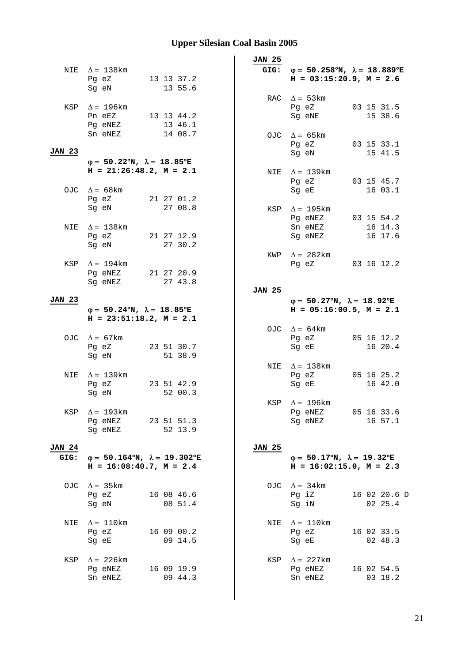|                       |                                                                                           |                       | <b>JAN 25</b> |                                                                                                |                         |
|-----------------------|-------------------------------------------------------------------------------------------|-----------------------|---------------|------------------------------------------------------------------------------------------------|-------------------------|
|                       | NIE $\Delta = 138$ km<br>Pg eZ 13 13 37.2<br>Sg eN                                        | 13 55.6               |               | GIG: $\varphi = 50.258^{\circ}N$ , $\lambda = 18.889^{\circ}E$<br>$H = 03:15:20.9$ , $M = 2.6$ |                         |
|                       | KSP $\Delta = 196$ km<br>Pn eEZ<br>Pg eNEZ                                                | 13 13 44.2<br>13 46.1 |               | RAC $\Delta = 53 \text{km}$<br>Pg eZ<br>Sg eNE                                                 | 03 15 31.5<br>15 38.6   |
| <b>JAN 23</b>         | Sn eNEZ                                                                                   | 14 08.7               |               | OJC $\Delta = 65 \text{km}$<br>Pg eZ<br>Sg eN                                                  | 03 15 33.1<br>15 41.5   |
|                       | $\varphi = 50.22^{\circ}N$ , $\lambda = 18.85^{\circ}E$<br>$H = 21:26:48.2, M = 2.1$      |                       | NIE           | $\Delta = 139$ km<br>Pg eZ                                                                     | 03 15 45.7              |
|                       | OJC $\Delta = 68 \text{km}$<br>Pg eZ<br>Sg eN                                             | 21 27 01.2<br>27 08.8 | KSP           | Sg eE<br>$\Delta = 195$ km                                                                     | 16 03.1                 |
| NIE                   | $\Delta = 138$ km<br>Pg eZ                                                                | 21 27 12.9            |               | Pq eNEZ 03 15 54.2<br>Sn eNEZ<br>Sg eNEZ                                                       | 16 14.3<br>16 17.6      |
|                       | Sg eN<br>KSP $\Delta = 194$ km<br>Pg eNEZ 21 27 20.9                                      | 27 30.2               | KWP           | $\Delta = 282 \text{km}$<br>Pg eZ 03 16 12.2                                                   |                         |
| <b>JAN 23</b>         | Sg eNEZ                                                                                   | 27 43.8               | <b>JAN 25</b> |                                                                                                |                         |
|                       | $\varphi = 50.24^{\circ}N$ , $\lambda = 18.85^{\circ}E$<br>$H = 23:51:18.2, M = 2.1$      |                       |               | $\varphi = 50.27^{\circ}N$ , $\lambda = 18.92^{\circ}E$<br>$H = 05:16:00.5$ , $M = 2.1$        |                         |
|                       | OJC $\Delta = 67 \text{km}$<br>Pg eZ<br>Sq eN                                             | 23 51 30.7<br>51 38.9 |               | OJC $\Delta = 64 \text{km}$<br>Pg eZ<br>Sg eE                                                  | 05 16 12.2<br>16 20.4   |
|                       | NIE $\Delta = 139$ km<br>Pg eZ<br>Sg eN                                                   | 23 51 42.9<br>52 00.3 |               | NIE $\Delta = 138$ km<br>Pg eZ<br>Sg eE                                                        | 05 16 25.2<br>16 42.0   |
|                       | KSP $\Delta = 193$ km<br>Pg eNEZ 23 51 51.3<br>Sg eNEZ                                    | 52 13.9               |               | KSP $\Delta = 196$ km<br>Pg eNEZ 05 16 33.6<br>Sg eNEZ                                         | 16 57.1                 |
| <b>JAN 24</b><br>GIG: | $\varphi = 50.164^{\circ}N$ , $\lambda = 19.302^{\circ}E$<br>$H = 16:08:40.7$ , $M = 2.4$ |                       | <b>JAN 25</b> | $\varphi = 50.17^{\circ}N$ , $\lambda = 19.32^{\circ}E$<br>$H = 16:02:15.0$ , $M = 2.3$        |                         |
|                       | OJC $\Delta = 35 \text{km}$<br>Pg eZ<br>Sg eN                                             | 16 08 46.6<br>08 51.4 |               | OJC $\Delta = 34 \text{km}$<br>Pg iZ<br>Sg iN                                                  | 16 02 20.6 D<br>02 25.4 |
| NIE                   | $\Delta = 110 \mathrm{km}$<br>Pg eZ<br>Sg eE                                              | 16 09 00.2<br>09 14.5 | NIE           | $\Delta = 110$ km<br>Pg eZ<br>Sg eE                                                            | 16 02 33.5<br>02 48.3   |
| KSP                   | $\Delta$ = 226 km<br>Pg eNEZ<br>Sn eNEZ                                                   | 16 09 19.9<br>09 44.3 | KSP           | $\Delta = 227 \text{km}$<br>Pg eNEZ<br>Sn eNEZ                                                 | 16 02 54.5<br>03 18.2   |
|                       |                                                                                           |                       |               |                                                                                                |                         |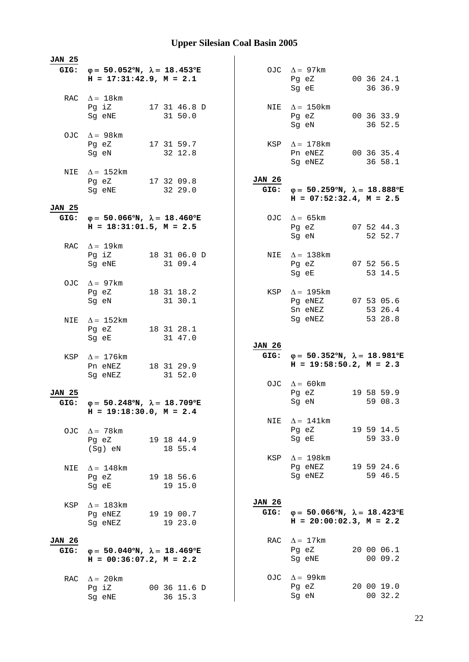| <b>JAN 25</b>         |                                                                                             |                                  |                       |                                                                                             |  |                       |
|-----------------------|---------------------------------------------------------------------------------------------|----------------------------------|-----------------------|---------------------------------------------------------------------------------------------|--|-----------------------|
|                       | GIG: $\varphi = 50.052^{\circ}N$ , $\lambda = 18.453^{\circ}E$<br>$H = 17:31:42.9, M = 2.1$ |                                  |                       | OJC $\Delta = 97 \text{km}$<br>Pg eZ<br>Sg eE                                               |  | 00 36 24.1<br>36 36.9 |
|                       | RAC $\Delta = 18$ km<br>Pg iZ<br>Sg eNE                                                     | 17 31 46.8 D<br>31 50.0          |                       | NIE $\Delta = 150 \text{km}$<br>Pg eZ 00 36 33.9<br>Sg eN                                   |  | 36 52.5               |
|                       | OJC $\Delta = 98$ km<br>Pg eZ 17 31 59.7<br>Sq eN                                           | 32 12.8                          |                       | KSP $\Delta = 178$ km<br>Pn eNEZ<br>Sg eNEZ                                                 |  | 00 36 35.4<br>36 58.1 |
| NIE                   | $\Delta = 152 \text{km}$<br>Pg eZ<br>Sg eNE                                                 | 17 32 09.8<br>32 29.0            | <b>JAN 26</b><br>GIG: | $\varphi = 50.259^{\circ}N$ , $\lambda = 18.888^{\circ}E$<br>$H = 07:52:32.4$ , $M = 2.5$   |  |                       |
| <b>JAN 25</b><br>GIG: | $\varphi = 50.066^{\circ}N$ , $\lambda = 18.460^{\circ}E$<br>$H = 18:31:01.5$ , $M = 2.5$   |                                  |                       | OJC $\Delta = 65 \text{km}$<br>Pg eZ<br>Sg eN                                               |  | 07 52 44.3<br>52 52.7 |
|                       | RAC $\Delta = 19 \text{km}$<br>Pg iZ<br>Sg eNE                                              | 18 31 06.0 D<br>31 09.4          |                       | NIE $\Delta = 138$ km<br>Pg eZ<br>Sg eE                                                     |  | 07 52 56.5<br>53 14.5 |
|                       | OJC $\Delta = 97 \text{km}$<br>Pg eZ<br>Sg eN                                               | 18 31 18.2<br>31 30.1            |                       | KSP $\Delta = 195$ km<br>Pg eNEZ<br>Sn eNEZ                                                 |  | 07 53 05.6<br>53 26.4 |
| NIE                   | $\Delta = 152$ km                                                                           |                                  |                       | Sg eNEZ                                                                                     |  | 53 28.8               |
|                       | Pg eZ<br>Sg eE                                                                              | 18 31 28.1<br>31 47.0            |                       |                                                                                             |  |                       |
| KSP                   | $\Delta = 176$ km<br>Pn eNEZ 18 31 29.9<br>Sq eNEZ                                          | 31 52.0                          | <b>JAN 26</b>         | GIG: $\varphi = 50.352^{\circ}N$ , $\lambda = 18.981^{\circ}E$<br>$H = 19:58:50.2, M = 2.3$ |  |                       |
| <b>JAN 25</b><br>GIG: | $\varphi = 50.248^{\circ}N$ , $\lambda = 18.709^{\circ}E$<br>$H = 19:18:30.0, M = 2.4$      |                                  |                       | OJC $\Delta = 60$ km<br>Pq eZ<br>Sq eN                                                      |  | 19 58 59.9<br>59 08.3 |
| OJC                   | $\Delta = 78$ km<br>Pg eZ                                                                   | 19 18 44.9                       | NIE                   | $\Delta = 141$ km<br>Pg eZ<br>Sg eE                                                         |  | 19 59 14.5<br>59 33.0 |
| NIE                   | (Sg) eN<br>$\Delta = 148$ km<br>Pg eZ<br>Sg eE                                              | 18 55.4<br>19 18 56.6<br>19 15.0 |                       | KSP $\Delta = 198$ km<br>Pg eNEZ<br>Sg eNEZ                                                 |  | 19 59 24.6<br>59 46.5 |
| KSP                   | $\Delta = 183$ km<br>Pg eNEZ<br>Sg eNEZ                                                     | 19 19 00.7<br>19 23.0            | <b>JAN 26</b><br>GIG: | $\varphi = 50.066^{\circ}N$ , $\lambda = 18.423^{\circ}E$<br>$H = 20:00:02.3$ , $M = 2.2$   |  |                       |
| JAN 26<br>GIG:        | $\varphi = 50.040^{\circ}N$ , $\lambda = 18.469^{\circ}E$<br>$H = 00:36:07.2$ , $M = 2.2$   |                                  |                       | RAC $\Delta = 17$ km<br>Pg eZ<br>Sg eNE                                                     |  | 20 00 06.1<br>00 09.2 |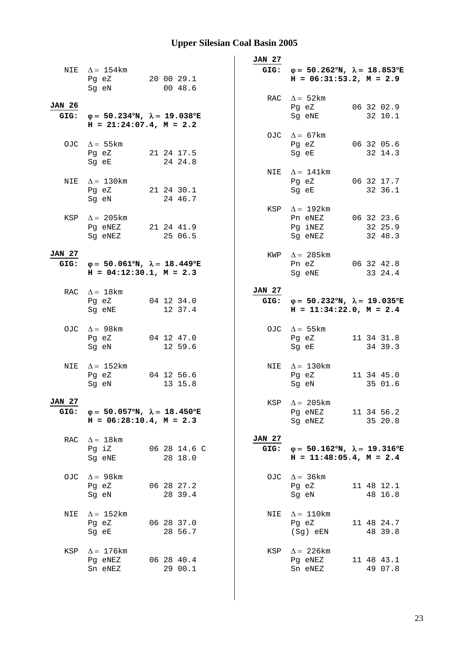|                       | NIE $\Delta = 154 \text{km}$<br>Pg eZ<br>Sg eN                                                 | 20 00 29.1<br>00 48.6   | JAN 27                | GIG: $\varphi = 50.262^{\circ}N$ , $\lambda = 18.853^{\circ}E$<br>$H = 06:31:53.2, M = 2.9$ |                       |
|-----------------------|------------------------------------------------------------------------------------------------|-------------------------|-----------------------|---------------------------------------------------------------------------------------------|-----------------------|
| <b>JAN 26</b>         | GIG: $\varphi = 50.234^{\circ}N$ , $\lambda = 19.038^{\circ}E$<br>$H = 21:24:07.4$ , $M = 2.2$ |                         |                       | RAC $\Delta = 52 \text{km}$<br>Pg eZ<br>Sg eNE                                              | 06 32 02.9<br>32 10.1 |
|                       | OJC $\Delta = 55 \text{km}$<br>Pg eZ<br>Sg eE                                                  | 21 24 17.5<br>24 24.8   |                       | OJC $\Delta = 67 \text{km}$<br>Pg eZ<br>Sg eE                                               | 06 32 05.6<br>32 14.3 |
|                       | NIE $\Delta = 130$ km<br>Pg eZ 21 24 30.1<br>Sg eN                                             | 24 46.7                 |                       | NIE $\Delta = 141$ km<br>Pg eZ 06 32 17.7<br>Sg eE                                          | 32 36.1               |
| KSP                   | $\Delta = 205 \text{km}$<br>Pg eNEZ 21 24 41.9<br>Sq eNEZ                                      | 25 06.5                 |                       | KSP $\Delta = 192 \text{km}$<br>Pn eNEZ 06 32 23.6<br>Pg iNEZ<br>Sg eNEZ                    | 32 25.9<br>32 48.3    |
| <b>JAN 27</b><br>GIG: | φ= 50.061°N, $\lambda$ = 18.449°E<br>$H = 04:12:30.1, M = 2.3$                                 |                         |                       | KWP $\Delta = 285 \text{km}$<br>Pn eZ<br>Sg eNE                                             | 06 32 42.8<br>33 24.4 |
|                       | RAC $\Delta = 18$ km<br>Pg eZ<br>Sg eNE                                                        | 04 12 34.0<br>12 37.4   | <b>JAN 27</b>         | GIG: $\varphi = 50.232^{\circ}N$ , $\lambda = 19.035^{\circ}E$<br>$H = 11:34:22.0, M = 2.4$ |                       |
|                       | OJC $\Delta = 98$ km<br>Pg eZ<br>Sg eN                                                         | 04 12 47.0<br>12 59.6   |                       | OJC $\Delta = 55 \text{km}$<br>Pg eZ<br>Sg eE                                               | 11 34 31.8<br>34 39.3 |
| NIE                   | $\Delta = 152$ km<br>Pg eZ<br>Sg eN                                                            | 04 12 56.6<br>13 15.8   |                       | NIE $\Delta = 130$ km<br>Pg eZ<br>Sg eN                                                     | 11 34 45.0<br>35 01.6 |
| <b>JAN 27</b>         | GIG: $\varphi = 50.057^{\circ}N$ , $\lambda = 18.450^{\circ}E$<br>$H = 06:28:10.4$ , $M = 2.3$ |                         |                       | KSP $\Delta = 205 \text{km}$<br>Pg eNEZ<br>Sg eNEZ                                          | 11 34 56.2<br>35 20.8 |
| RAC                   | $\Delta = 18 \text{km}$<br>Pg iZ<br>Sg eNE                                                     | 06 28 14.6 C<br>28 18.0 | <b>JAN 27</b><br>GIG: | $\varphi = 50.162^{\circ}N$ , $\lambda = 19.316^{\circ}E$<br>$H = 11:48:05.4$ , $M = 2.4$   |                       |
| OJC.                  | $\Delta = 98 \text{km}$<br>Pg eZ<br>Sg eN                                                      | 06 28 27.2<br>28 39.4   | OJC                   | $\Delta = 36 \text{km}$<br>Pg eZ<br>Sg eN                                                   | 11 48 12.1<br>48 16.8 |
| NIE                   | $\Delta = 152$ km<br>Pg eZ<br>Sg eE                                                            | 06 28 37.0<br>28 56.7   | NIE                   | $\Delta = 110$ km<br>Pg eZ<br>(Sg) eEN                                                      | 11 48 24.7<br>48 39.8 |
| KSP                   | $\Delta = 176$ km<br>Pg eNEZ<br>Sn eNEZ                                                        | 06 28 40.4<br>29 00.1   |                       | KSP $\Delta = 226 \text{km}$<br>Pg eNEZ<br>Sn eNEZ                                          | 11 48 43.1<br>49 07.8 |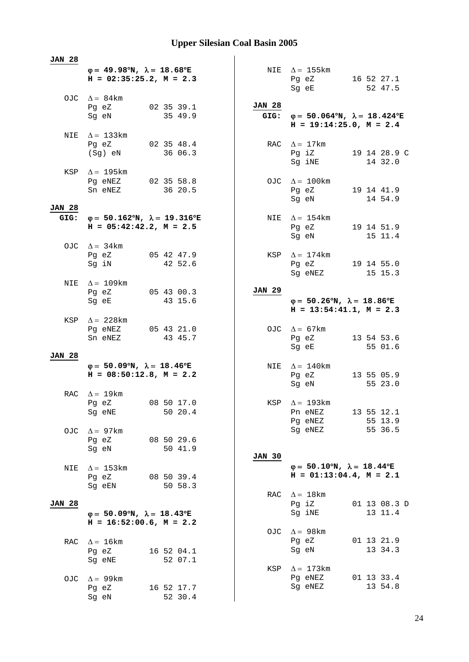| <b>JAN 28</b> |                                                                                           |               |                                                                                             |
|---------------|-------------------------------------------------------------------------------------------|---------------|---------------------------------------------------------------------------------------------|
|               | $\varphi = 49.98^{\circ}N$ , $\lambda = 18.68^{\circ}E$<br>$H = 02:35:25.2, M = 2.3$      |               | NIE $\Delta = 155$ km<br>16 52 27.1<br>Pg eZ<br>Sg eE<br>52 47.5                            |
|               | OJC $\Delta = 84 \text{km}$<br>02 35 39.1<br>Pg eZ<br>35 49.9<br>Sg eN                    | <b>JAN 28</b> | GIG: $\varphi = 50.064^{\circ}N$ , $\lambda = 18.424^{\circ}E$<br>$H = 19:14:25.0, M = 2.4$ |
|               | NIE $\Delta = 133$ km<br>02 35 48.4<br>Pg eZ<br>36 06.3<br>(Sg) eN                        |               | RAC $\Delta = 17 \text{km}$<br>Pg iZ<br>19 14 28.9 C<br>14 32.0<br>Sg iNE                   |
|               | KSP $\Delta = 195 \text{km}$<br>Pg eNEZ 02 35 58.8<br>36 20.5<br>Sn eNEZ                  |               | OJC $\Delta = 100 \text{km}$<br>Pg eZ 19 14 41.9<br>14 54.9<br>Sg eN                        |
| <b>JAN 28</b> |                                                                                           |               |                                                                                             |
| GIG:          | $\varphi = 50.162^{\circ}N$ , $\lambda = 19.316^{\circ}E$<br>$H = 05:42:42.2$ , $M = 2.5$ | NIE           | $\Delta = 154$ km<br>Pg eZ 19 14 51.9<br>Sg eN<br>15 11.4                                   |
|               | OJC $\Delta = 34 \text{km}$<br>Pg eZ 05 42 47.9<br>42 52.6<br>Sg iN                       | KSP           | $\Delta = 174$ km<br>19 14 55.0<br>Pg eZ<br>Sg eNEZ<br>15 15.3                              |
| NIE           | $\Delta = 109$ km<br>Pg eZ<br>05 43 00.3<br>43 15.6<br>Sg eE                              | <b>JAN 29</b> | $\varphi = 50.26^{\circ}N$ , $\lambda = 18.86^{\circ}E$                                     |
|               |                                                                                           |               | $H = 13:54:41.1, M = 2.3$                                                                   |
| KSP           | $\Delta = 228$ km<br>Pg eNEZ<br>05 43 21.0<br>43 45.7<br>Sn eNEZ                          |               | OJC $\Delta = 67 \text{km}$<br>13 54 53.6<br>Pg eZ<br>55 01.6<br>Sg eE                      |
| <b>JAN 28</b> |                                                                                           |               |                                                                                             |
|               | $\varphi = 50.09^{\circ}N$ , $\lambda = 18.46^{\circ}E$<br>$H = 08:50:12.8$ , $M = 2.2$   |               | NIE $\Delta = 140$ km<br>13 55 05.9<br>Pg eZ<br>55 23.0<br>Sg eN                            |
|               | RAC $\Delta = 19$ km<br>08 50 17.0<br>Pg eZ<br>50 20.4<br>Sg eNE                          |               | KSP $\Delta = 193$ km<br>13 55 12.1<br>Pn eNEZ<br>Pg eNEZ<br>55 13.9                        |
| OJC           | $\Delta = 97 \text{km}$<br>08 50 29.6<br>Pg eZ<br>Sg eN<br>50 41.9                        |               | 55 36.5<br>Sg eNEZ                                                                          |
| NIE           | $\Delta$ = 153 km<br>Pg eZ<br>08 50 39.4<br>Sg eEN<br>50 58.3                             | <b>JAN 30</b> | $\varphi = 50.10^{\circ}N$ , $\lambda = 18.44^{\circ}E$<br>$H = 01:13:04.4$ , $M = 2.1$     |
| <b>JAN 28</b> | $\varphi = 50.09^{\circ}N$ , $\lambda = 18.43^{\circ}E$<br>$H = 16:52:00.6$ , $M = 2.2$   | RAC           | $\Delta = 18$ km<br>Pg iZ<br>01 13 08.3 D<br>Sg iNE<br>13 11.4                              |
| RAC           | $\Delta = 16 \text{km}$<br>Pg eZ<br>16 52 04.1<br>Sg eNE<br>52 07.1                       | OJC           | $\Delta = 98$ km<br>01 13 21.9<br>Pg eZ<br>13 34.3<br>Sg eN                                 |
| OJC.          | $\Delta = 99$ km<br>Pg eZ<br>16 52 17.7<br>52 30.4<br>Sg eN                               | KSP           | $\Delta = 173$ km<br>Pg eNEZ<br>01 13 33.4<br>Sg eNEZ<br>13 54.8                            |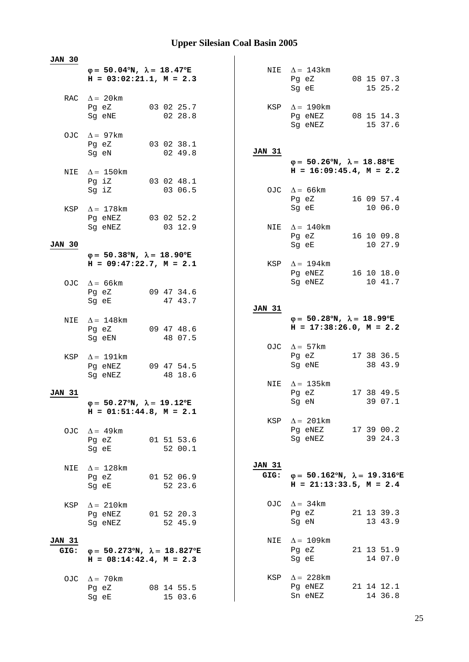| <b>JAN 30</b>         |                                                                                         |                                                           |                       |                                                                                         |                                                                                        |
|-----------------------|-----------------------------------------------------------------------------------------|-----------------------------------------------------------|-----------------------|-----------------------------------------------------------------------------------------|----------------------------------------------------------------------------------------|
|                       | $\varphi = 50.04^{\circ}N$ , $\lambda = 18.47^{\circ}E$<br>$H = 03:02:21.1, M = 2.3$    |                                                           |                       | NIE $\Delta = 143 \text{km}$<br>Pg eZ<br>Sg eE                                          | 08 15 07.3<br>15 25.2                                                                  |
|                       | RAC $\Delta = 20$ km<br>Pg eZ<br>Sg eNE                                                 | 03 02 25.7<br>02 28.8                                     |                       | KSP $\Delta = 190$ km<br>Pg eNEZ<br>Sg eNEZ                                             | 08 15 14.3<br>15 37.6                                                                  |
|                       | OJC $\Delta = 97 \text{km}$<br>Pg eZ<br>Sg eN                                           | 03 02 38.1<br>02 49.8                                     | <b>JAN 31</b>         |                                                                                         |                                                                                        |
|                       | NIE $\Delta = 150$ km                                                                   |                                                           |                       | $\varphi = 50.26^{\circ}N$ , $\lambda = 18.88^{\circ}E$<br>$H = 16:09:45.4$ , $M = 2.2$ |                                                                                        |
|                       | Pg iZ<br>Sg iZ                                                                          | 03 02 48.1<br>03 06.5                                     |                       | OJC $\Delta = 66 \text{km}$<br>Pg eZ                                                    | 16 09 57.4                                                                             |
| KSP                   | $\Delta = 178$ km<br>Pg eNEZ 03 02 52.2                                                 |                                                           |                       | Sg eE                                                                                   | 10 06.0                                                                                |
| <b>JAN 30</b>         | Sg eNEZ                                                                                 | 03 12.9                                                   |                       | NIE $\Delta = 140$ km<br>Pg eZ<br>Sg eE                                                 | 16 10 09.8<br>10 27.9                                                                  |
|                       | $\varphi = 50.38^{\circ}N$ , $\lambda = 18.90^{\circ}E$<br>$H = 09:47:22.7$ , $M = 2.1$ |                                                           |                       | KSP $\Delta = 194$ km                                                                   |                                                                                        |
|                       | OJC $\Delta = 66 \text{km}$                                                             |                                                           |                       | Pg eNEZ<br>Sg eNEZ                                                                      | 16 10 18.0<br>10 41.7                                                                  |
|                       | Pg eZ<br>Sg eE                                                                          | 09 47 34.6<br>47 43.7                                     | JAN 31                |                                                                                         |                                                                                        |
| NIE                   | $\Delta = 148$ km<br>Pg eZ<br>Sg eEN                                                    | 09 47 48.6<br>48 07.5                                     |                       | $\varphi = 50.28^{\circ}N$ , $\lambda = 18.99^{\circ}E$<br>$H = 17:38:26.0, M = 2.2$    |                                                                                        |
| KSP                   | $\Delta = 191$ km                                                                       |                                                           |                       | OJC $\Delta = 57 \text{km}$<br>Pg eZ                                                    | 17 38 36.5                                                                             |
|                       | Pg eNEZ<br>Sg eNEZ                                                                      | 09 47 54.5<br>48 18.6                                     |                       | Sg eNE                                                                                  | 38 43.9                                                                                |
| <b>JAN 31</b>         |                                                                                         |                                                           |                       | NIE $\Delta = 135 \text{km}$<br>Pg eZ                                                   | 17 38 49.5                                                                             |
|                       | $\varphi = 50.27^{\circ}N$ , $\lambda = 19.12^{\circ}E$<br>$H = 01:51:44.8$ , $M = 2.1$ |                                                           |                       | Sg eN                                                                                   | 39 07.1                                                                                |
|                       | OJC $\Delta = 49 \text{km}$<br>Pg eZ<br>Sg eE                                           | 01 51 53.6<br>52 00.1                                     |                       | KSP $\Delta = 201 \text{km}$<br>Pg eNEZ<br>Sg eNEZ                                      | 17 39 00.2<br>39 24.3                                                                  |
| NIE                   | $\Delta = 128$ km<br>Pg eZ<br>Sg eE                                                     | 01 52 06.9<br>52 23.6                                     | <b>JAN 31</b><br>GIG: |                                                                                         | $\varphi = 50.162^{\circ}N$ , $\lambda = 19.316^{\circ}E$<br>$H = 21:13:33.5, M = 2.4$ |
| KSP                   | $\Delta = 210$ km<br>Pg eNEZ<br>Sg eNEZ                                                 | 01 52 20.3<br>52 45.9                                     |                       | OJC $\Delta = 34 \text{km}$<br>Pg eZ<br>Sg eN                                           | 21 13 39.3<br>13 43.9                                                                  |
| <b>JAN 31</b><br>GIG: | $H = 08:14:42.4$ , $M = 2.3$                                                            | $\varphi = 50.273^{\circ}N$ , $\lambda = 18.827^{\circ}E$ |                       | NIE $\Delta = 109$ km<br>Pg eZ<br>Sg eE                                                 | 21 13 51.9<br>14 07.0                                                                  |
|                       | OJC $\Delta = 70$ km<br>Pg eZ<br>Sg eE                                                  | 08 14 55.5<br>15 03.6                                     |                       | KSP $\Delta = 228$ km<br>Pg eNEZ<br>Sn eNEZ                                             | 21 14 12.1<br>14 36.8                                                                  |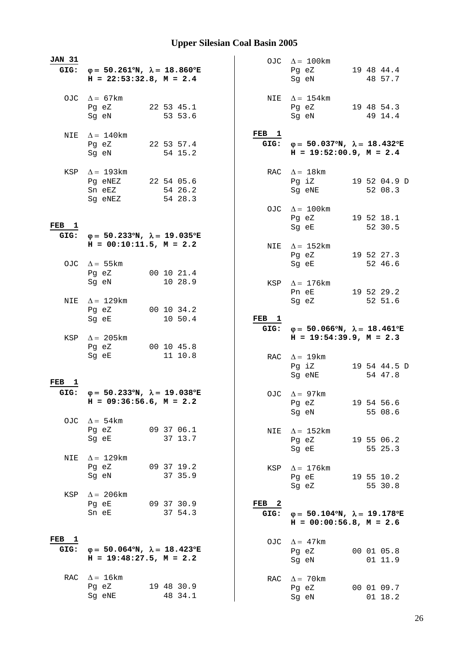| <b>JAN 31</b>            | GIG: $\varphi = 50.261^{\circ}N$ , $\lambda = 18.860^{\circ}E$<br>$H = 22:53:32.8$ , $M = 2.4$ |            |                       |  |                          |     | OJC $\Delta = 100 \text{km}$<br>Pg eZ<br>Sq eN                                                                          |  | 19 48 44.4<br>48 57.7   |
|--------------------------|------------------------------------------------------------------------------------------------|------------|-----------------------|--|--------------------------|-----|-------------------------------------------------------------------------------------------------------------------------|--|-------------------------|
|                          | OJC $\Delta = 67 \text{km}$<br>Pg eZ<br>Sg eN                                                  | 22 53 45.1 | 53 53.6               |  |                          |     | NIE $\Delta = 154$ km<br>Pg eZ<br>Sg eN                                                                                 |  | 19 48 54.3<br>49 14.4   |
| NIE                      | $\Delta = 140$ km<br>Pg eZ<br>Sg eN                                                            |            | 22 53 57.4<br>54 15.2 |  | FEB <sub>1</sub>         |     | GIG: $\varphi = 50.037^{\circ}N$ , $\lambda = 18.432^{\circ}E$<br>$H = 19:52:00.9$ , $M = 2.4$                          |  |                         |
|                          | KSP $\Delta = 193 \text{km}$<br>Pg eNEZ<br>22 54 05.6<br>Sn eEZ<br>Sg eNEZ                     |            | 54 26.2<br>54 28.3    |  |                          | RAC | $\Delta = 18 \text{km}$<br>Pg iZ<br>Sg eNE                                                                              |  | 19 52 04.9 D<br>52 08.3 |
| FEB <sub>1</sub><br>GIG: | $\varphi = 50.233^{\circ}N$ , $\lambda = 19.035^{\circ}E$                                      |            |                       |  |                          | OJC | $\Delta = 100$ km<br>Pg eZ<br>Sg eE                                                                                     |  | 19 52 18.1<br>52 30.5   |
|                          | $H = 00:10:11.5$ , $M = 2.2$<br>OJC $\Delta = 55 \text{km}$                                    |            |                       |  |                          | NIE | $\Delta = 152 \text{km}$<br>Pg eZ<br>Sg eE                                                                              |  | 19 52 27.3<br>52 46.6   |
|                          | Pg eZ<br>Sg eN                                                                                 | 00 10 21.4 | 10 28.9               |  |                          | KSP | $\Delta = 176$ km<br>Pn eE                                                                                              |  | 19 52 29.2              |
| NIE                      | $\Delta = 129$ km<br>Pg eZ<br>Sg eE                                                            |            | 00 10 34.2<br>10 50.4 |  | FEB <sub>1</sub>         |     | Sg eZ                                                                                                                   |  | 52 51.6                 |
|                          |                                                                                                |            |                       |  |                          |     |                                                                                                                         |  |                         |
| KSP                      | $\Delta = 205 \text{km}$<br>Pg eZ<br>Sq eE                                                     | 00 10 45.8 | 11 10.8               |  | GIG:                     |     | $\varphi = 50.066^{\circ}N$ , $\lambda = 18.461^{\circ}E$<br>$H = 19:54:39.9, M = 2.3$<br>RAC $\Delta = 19$ km<br>Pg iZ |  | 19 54 44.5 D            |
| FEB<br><b>1</b><br>GIG:  | $\varphi = 50.233^{\circ}N$ , $\lambda = 19.038^{\circ}E$<br>$H = 09:36:56.6$ , $M = 2.2$      |            |                       |  |                          |     | Sg eNE<br>OJC $\Delta = 97$ km<br>Pg eZ                                                                                 |  | 54 47.8<br>19 54 56.6   |
|                          | OJC $\Delta = 54 \text{km}$<br>Pg eZ<br>Sq eE                                                  | 09 37 06.1 | 37 13.7               |  |                          | NIE | Sg eN<br>$\Delta = 152 \text{km}$<br>Pg eZ                                                                              |  | 55 08.6<br>19 55 06.2   |
| NIE                      | $\Delta = 129$ km<br>Pg eZ<br>Sg eN                                                            | 09 37 19.2 | 37 35.9               |  |                          | KSP | Sg eE<br>$\Delta = 176$ km<br>Pg eE                                                                                     |  | 55 25.3<br>19 55 10.2   |
| KSP                      | $\Delta = 206 \text{km}$<br>Pg eE<br>Sn eE                                                     | 09 37 30.9 | 37 54.3               |  | FEB <sub>2</sub><br>GIG: |     | Sg eZ<br>$\varphi = 50.104^{\circ}N$ , $\lambda = 19.178^{\circ}E$<br>$H = 00:00:56.8$ , $M = 2.6$                      |  | 55 30.8                 |
| FEB <sub>1</sub><br>GIG: | $\varphi = 50.064^{\circ}N$ , $\lambda = 18.423^{\circ}E$<br>$H = 19:48:27.5$ , $M = 2.2$      |            |                       |  |                          | OJC | $\Delta = 47$ km<br>Pg eZ<br>Sg eN                                                                                      |  | 00 01 05.8<br>01 11.9   |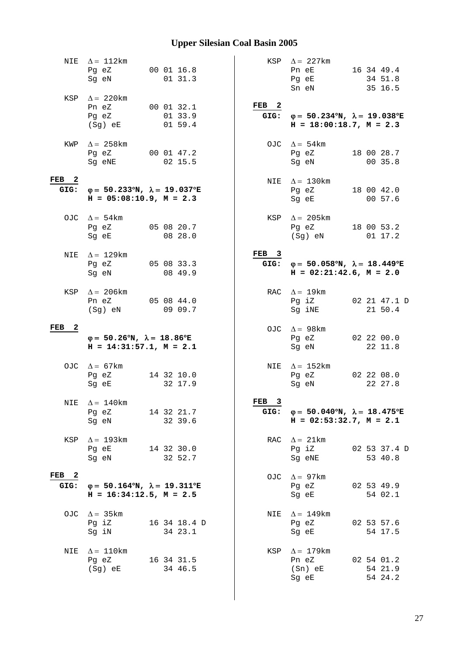| NIE                      | $\Delta = 112 \text{km}$<br>Pg eZ<br>Sg eN                                                                                                   | 00 01 16.8   | 01 31.3            |                          | KSP $\Delta = 227 \text{km}$<br>Pn eE<br>Pg eE<br>Sn eN                                        | 16 34 49.4<br>34 51.8<br>35 16.5 |
|--------------------------|----------------------------------------------------------------------------------------------------------------------------------------------|--------------|--------------------|--------------------------|------------------------------------------------------------------------------------------------|----------------------------------|
|                          | KSP $\Delta = 220$ km<br>Pn eZ<br>Pg eZ<br>$(Sg)$ eE                                                                                         | 00 01 32.1   | 01 33.9<br>01 59.4 | FEB <sub>2</sub>         | GIG: $\varphi = 50.234^{\circ}N$ , $\lambda = 19.038^{\circ}E$<br>$H = 18:00:18.7, M = 2.3$    |                                  |
| KWP                      | $\Delta = 258$ km<br>Pg eZ<br>Sg eNE                                                                                                         | 00 01 47.2   | 02 15.5            | OJC                      | $\Delta = 54 \text{km}$<br>Pg eZ<br>Sg eN                                                      | 18 00 28.7<br>00 35.8            |
| FEB <sub>2</sub><br>GIG: | $\varphi = 50.233^{\circ}N$ , $\lambda = 19.037^{\circ}E$<br>$H = 05:08:10.9$ , $M = 2.3$                                                    |              |                    | NIE                      | $\Delta$ = 130 km<br>Pg eZ<br>Sg eE                                                            | 18 00 42.0<br>00 57.6            |
|                          | OJC $\Delta = 54 \text{km}$<br>Pg eZ<br>Sg eE                                                                                                | 05 08 20.7   | 08 28.0            | KSP                      | $\Delta = 205 \text{km}$<br>Pg eZ<br>(Sg) eN                                                   | 18 00 53.2<br>01 17.2            |
| NIE                      | $\Delta = 129$ km<br>Pg eZ<br>Sg eN                                                                                                          | 05 08 33.3   | 08 49.9            | FEB <sub>3</sub><br>GIG: | $\varphi = 50.058^{\circ}N$ , $\lambda = 18.449^{\circ}E$<br>$H = 02:21:42.6$ , $M = 2.0$      |                                  |
| KSP                      | $\Delta = 206$ km<br>Pn eZ<br>$(Sg)$ eN                                                                                                      | 05 08 44.0   | 09 09.7            |                          | RAC $\Delta = 19 \text{km}$<br>Pg iZ<br>Sg iNE                                                 | 02 21 47.1 D<br>21 50.4          |
| $\mathbf{2}$<br>FEB      | $\varphi = 50.26^{\circ}N$ , $\lambda = 18.86^{\circ}E$<br>$H = 14:31:57.1, M = 2.1$                                                         |              |                    |                          | OJC $\Delta = 98$ km<br>Pg eZ<br>Sg eN                                                         | 02 22 00.0<br>22 11.8            |
|                          | OJC $\Delta = 67$ km<br>Pg eZ<br>Sg eE                                                                                                       | 14 32 10.0   | 32 17.9            | NIE                      | $\Delta = 152 \text{km}$<br>Pg eZ<br>Sg eN                                                     | 02 22 08.0<br>22 27.8            |
|                          | NIE $\Delta = 140$ km<br>Pg eZ<br>Sg eN                                                                                                      | 14 32 21.7   | 32 39.6            | FEB <sub>3</sub>         | GIG: $\varphi = 50.040^{\circ}N$ , $\lambda = 18.475^{\circ}E$<br>$H = 02:53:32.7$ , $M = 2.1$ |                                  |
| KSP                      | $\Delta = 193$ km<br>Pg eE<br>Sg eN and the state of the state of the state of the state of the state of the state of the state of the state | 14 32 30.0   | 32 52.7            | RAC                      | $\Delta = 21 \text{km}$<br>Pg iZ<br>Sg eNE                                                     | 02 53 37.4 D<br>53 40.8          |
| $FEB$ 2<br>GIG:          | $\varphi = 50.164^{\circ}N$ , $\lambda = 19.311^{\circ}E$<br>$H = 16:34:12.5$ , $M = 2.5$                                                    |              |                    | OJC                      | $\Delta = 97 \text{km}$<br>Pg eZ<br>Sg eE                                                      | 02 53 49.9<br>54 02.1            |
|                          | OJC $\Delta = 35 \text{km}$<br>Pg iZ<br>Sg iN                                                                                                | 16 34 18.4 D | 34 23.1            | NIE                      | $\Delta = 149$ km<br>Pg eZ<br>Sg eE                                                            | 02 53 57.6<br>54 17.5            |
| NIE                      | $\Delta = 110$ km<br>Pg eZ<br>(Sg) eE                                                                                                        | 16 34 31.5   | 34 46.5            | KSP                      | $\Delta = 179$ km<br>Pn eZ<br>$(Sn)$ eE<br>Sg eE                                               | 02 54 01.2<br>54 21.9<br>54 24.2 |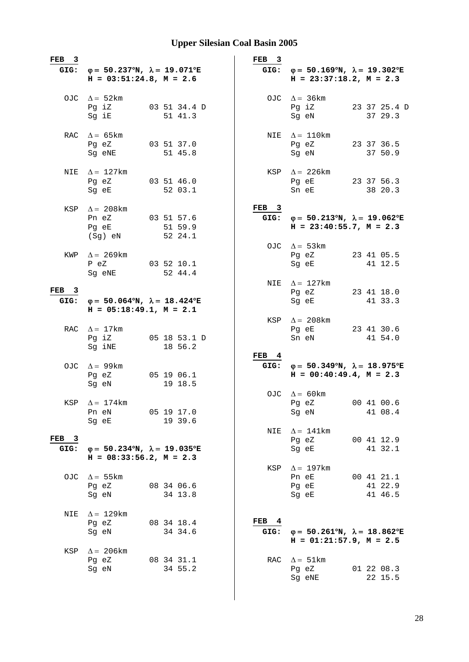| FEB<br>$\overline{\mathbf{3}}$ |                                                                                           |  |                                  | $\overline{\mathbf{3}}$<br>FEB |                                                                                                |                                  |
|--------------------------------|-------------------------------------------------------------------------------------------|--|----------------------------------|--------------------------------|------------------------------------------------------------------------------------------------|----------------------------------|
| GIG:                           | $\varphi = 50.237^{\circ}N$ , $\lambda = 19.071^{\circ}E$<br>$H = 03:51:24.8$ , $M = 2.6$ |  |                                  | GIG:                           | $\varphi = 50.169^{\circ}N$ , $\lambda = 19.302^{\circ}E$<br>$H = 23:37:18.2, M = 2.3$         |                                  |
|                                | OJC $\Delta = 52$ km<br>Pg iZ<br>Sg iE                                                    |  | 03 51 34.4 D<br>51 41.3          |                                | OJC $\Delta = 36 \text{km}$<br>Pg iZ<br>Sg eN                                                  | 23 37 25.4 D<br>37 29.3          |
|                                | RAC $\Delta = 65 \text{km}$<br>Pg eZ<br>Sg eNE                                            |  | 03 51 37.0<br>51 45.8            |                                | NIE $\Delta = 110$ km<br>Pg eZ<br>Sg eN                                                        | 23 37 36.5<br>37 50.9            |
| NIE                            | $\Delta = 127$ km<br>Pg eZ<br>Sg eE                                                       |  | 03 51 46.0<br>52 03.1            | KSP                            | $\Delta$ = 226 km<br>Pg eE<br>Sn eE                                                            | 23 37 56.3<br>38 20.3            |
| KSP                            | $\Delta = 208$ km<br>Pn eZ<br>Pg eE<br>$(Sg)$ eN                                          |  | 03 51 57.6<br>51 59.9<br>52 24.1 | FEB <sub>3</sub>               | GIG: $\varphi = 50.213^{\circ}N$ , $\lambda = 19.062^{\circ}E$<br>$H = 23:40:55.7$ , $M = 2.3$ |                                  |
| KWP                            | $\Delta = 269$ km<br>P eZ<br>Sg eNE                                                       |  | 03 52 10.1<br>52 44.4            |                                | OJC $\Delta = 53 \text{km}$<br>Pg eZ<br>Sg eE                                                  | 23 41 05.5<br>41 12.5            |
| FEB <sub>3</sub><br>GIG:       | $\varphi = 50.064^{\circ}N$ , $\lambda = 18.424^{\circ}E$<br>$H = 05:18:49.1, M = 2.1$    |  |                                  |                                | NIE $\Delta = 127 \text{km}$<br>Pg eZ<br>Sg eE                                                 | 23 41 18.0<br>41 33.3            |
|                                | RAC $\Delta = 17$ km<br>Pg iZ<br>Sg iNE                                                   |  | 05 18 53.1 D<br>18 56.2          | KSP                            | $\Delta = 208$ km<br>Pg eE<br>Sn eN                                                            | 23 41 30.6<br>41 54.0            |
|                                | OJC $\Delta = 99$ km<br>Pg eZ<br>Sg eN                                                    |  | 05 19 06.1<br>19 18.5            | FEB <sub>4</sub>               | GIG: $\varphi = 50.349^{\circ}N$ , $\lambda = 18.975^{\circ}E$<br>$H = 00:40:49.4$ , $M = 2.3$ |                                  |
| KSP                            | $\Delta = 174$ km<br>Pn eN<br>Sg eE                                                       |  | 05 19 17.0<br>19 39.6            | OJC                            | $\Delta = 60$ km<br>Pg eZ<br>Sg eN                                                             | 00 41 00.6<br>41 08.4            |
| FEB<br>$\mathbf{3}$<br>GIG:    | $\varphi = 50.234^{\circ}N$ , $\lambda = 19.035^{\circ}E$<br>$H = 08:33:56.2$ , $M = 2.3$ |  |                                  | NIE                            | $\Delta = 141$ km<br>Pg eZ<br>Sg eE                                                            | 00 41 12.9<br>41 32.1            |
| OJC.                           | $\Delta = 55$ km<br>Pg eZ<br>Sq eN                                                        |  | 08 34 06.6<br>34 13.8            | KSP                            | $\Delta = 197 \text{km}$<br>Pn eE<br>Pg eE<br>Sg eE                                            | 00 41 21.1<br>41 22.9<br>41 46.5 |
| NIE                            | $\Delta = 129$ km<br>Pg eZ<br>Sg eN                                                       |  | 08 34 18.4<br>34 34.6            | FEB <sub>4</sub><br>GIG:       | $\varphi = 50.261^{\circ}N$ , $\lambda = 18.862^{\circ}E$<br>$H = 01:21:57.9$ , $M = 2.5$      |                                  |
| KSP                            | $\Delta$ = 206 km<br>Pg eZ<br>Sg eN                                                       |  | 08 34 31.1<br>34 55.2            | RAC                            | $\Delta = 51 \text{km}$<br>Pg eZ<br>Sg eNE                                                     | 01 22 08.3<br>22 15.5            |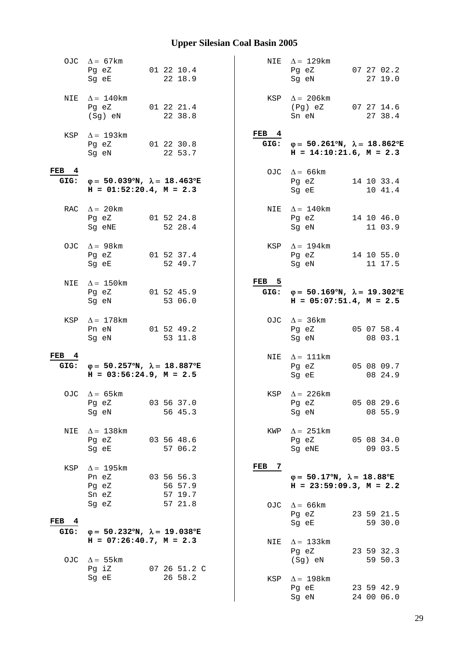|                  | OJC $\Delta = 67 \text{km}$<br>Pg eZ<br>Sg eE                                                                          | 01 22 10.4<br>22 18.9            |                  | NIE $\Delta = 129 \text{km}$<br>Pg eZ<br>Sg eN                                                 | 07 27 02.2<br>27 19.0 |
|------------------|------------------------------------------------------------------------------------------------------------------------|----------------------------------|------------------|------------------------------------------------------------------------------------------------|-----------------------|
| NIE              | $\Delta = 140$ km<br>Pg eZ<br>(Sg) eN                                                                                  | 01 22 21.4<br>22 38.8            |                  | KSP $\Delta = 206 \text{km}$<br>(Pg) eZ 07 27 14.6<br>Sn eN                                    | 27 38.4               |
|                  | KSP $\Delta = 193 \text{km}$<br>Pg eZ<br>Sg eN                                                                         | 01 22 30.8<br>22 53.7            | FEB <sub>4</sub> | GIG: $\varphi = 50.261^{\circ}N$ , $\lambda = 18.862^{\circ}E$<br>$H = 14:10:21.6$ , $M = 2.3$ |                       |
| FEB 4            | GIG: $\varphi = 50.039^{\circ}N$ , $\lambda = 18.463^{\circ}E$<br>$H = 01:52:20.4$ , $M = 2.3$                         |                                  |                  | OJC $\Delta = 66$ km<br>Pg eZ<br>Sg eE                                                         | 14 10 33.4<br>10 41.4 |
|                  | RAC $\Delta = 20$ km<br>Pg eZ<br>Sg eNE                                                                                | 01 52 24.8<br>52 28.4            |                  | NIE $\Delta = 140$ km<br>$Pg$ eZ<br>Sg eN                                                      | 14 10 46.0<br>11 03.9 |
|                  | OJC $\Delta = 98$ km<br>Pg eZ<br>Sg eE                                                                                 | 01 52 37.4<br>52 49.7            |                  | KSP $\Delta = 194 \text{km}$<br>Pg eZ<br>Sq eN                                                 | 14 10 55.0<br>11 17.5 |
| NIE              | $\Delta = 150$ km<br>Pg eZ<br>Sg eN                                                                                    | 01 52 45.9<br>53 06.0            | FEB <sub>5</sub> | GIG: $\varphi = 50.169^{\circ}N$ , $\lambda = 19.302^{\circ}E$<br>$H = 05:07:51.4$ , $M = 2.5$ |                       |
| KSP              | $\Delta = 178$ km<br>Pn eN<br>Sg eN                                                                                    | 01 52 49.2<br>53 11.8            |                  | OJC $\Delta = 36 \text{km}$<br>Pg eZ<br>Sg eN                                                  | 05 07 58.4<br>08 03.1 |
| FEB <sub>4</sub> | GIG: $\varphi = 50.257^{\circ}N$ , $\lambda = 18.887^{\circ}E$<br>$H = 03:56:24.9$ , $M = 2.5$                         |                                  |                  | NIE $\Delta = 111$ km<br>Pg eZ<br>Sg eE                                                        | 05 08 09.7<br>08 24.9 |
|                  | OJC $\Delta = 65$ km<br>Pg eZ<br>Sg eN                                                                                 | 03 56 37.0<br>56 45.3            |                  | KSP $\Delta$ = 226 km<br>Pg eZ<br>Sg eN                                                        | 05 08 29.6<br>08 55.9 |
| NIE              | $\Delta = 138$ km<br>Pg eZ<br>Sg eE                                                                                    | 03 56 48.6<br>57 06.2            | KWP              | $\Delta = 251 \text{km}$<br>Pg eZ<br>Sg eNE                                                    | 05 08 34.0<br>09 03.5 |
| KSP              | $\Delta = 195$ km<br>Pn eZ<br>Pg eZ<br>Sn eZ                                                                           | 03 56 56.3<br>56 57.9<br>57 19.7 | FEB<br>-7        | $\varphi = 50.17^{\circ}N$ , $\lambda = 18.88^{\circ}E$<br>$H = 23:59:09.3, M = 2.2$           |                       |
| FEB <sub>4</sub> | Sg eZ                                                                                                                  | 57 21.8                          | OJC              | $\Delta$ = 66 km<br>Pg eZ<br>Sg eE                                                             | 23 59 21.5<br>59 30.0 |
| GIG:             |                                                                                                                        |                                  |                  |                                                                                                |                       |
| OJC              | $\varphi = 50.232^{\circ}N$ , $\lambda = 19.038^{\circ}E$<br>$H = 07:26:40.7$ , $M = 2.3$<br>$\Delta = 55$ km<br>Pg iZ | 07 26 51.2 C                     | NIE              | $\Delta = 133$ km<br>Pg eZ<br>(Sg) eN                                                          | 23 59 32.3<br>59 50.3 |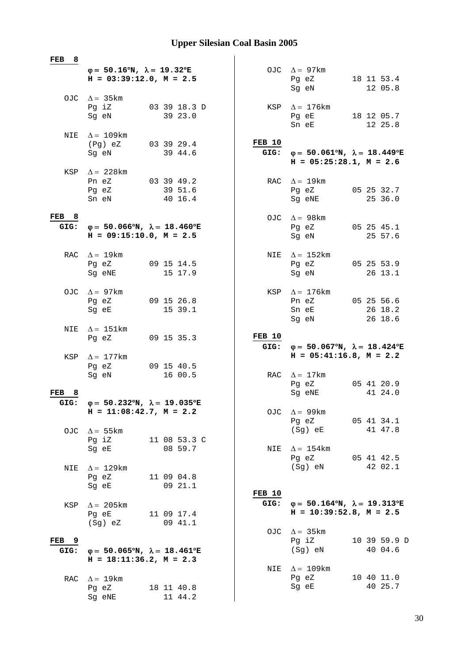| FEB<br>- 8               |                                                                                           |                                  |                |                                                                                                |                                  |
|--------------------------|-------------------------------------------------------------------------------------------|----------------------------------|----------------|------------------------------------------------------------------------------------------------|----------------------------------|
|                          | $\varphi = 50.16^{\circ}N$ , $\lambda = 19.32^{\circ}E$<br>$H = 03:39:12.0$ , $M = 2.5$   |                                  |                | OJC $\Delta = 97 \text{km}$<br>Pg eZ<br>Sg eN                                                  | 18 11 53.4<br>12 05.8            |
|                          | OJC $\Delta = 35 \text{km}$<br>Pg iZ<br>Sg eN                                             | 03 39 18.3 D<br>39 23.0          | KSP            | $\Delta = 176$ km<br>Pg eE<br>Sn eE                                                            | 18 12 05.7<br>12 25.8            |
|                          | NIE $\Delta = 109$ km<br>(Pg) eZ<br>Sg eN                                                 | 03 39 29.4<br>39 44.6            | FEB 10<br>GIG: | $\varphi = 50.061^{\circ}N$ , $\lambda = 18.449^{\circ}E$<br>$H = 05:25:28.1, M = 2.6$         |                                  |
| KSP                      | $\Delta = 228$ km<br>Pn eZ<br>Pg eZ<br>Sn eN                                              | 03 39 49.2<br>39 51.6<br>40 16.4 | RAC            | $\Delta = 19 \text{km}$<br>Pg eZ<br>Sg eNE                                                     | 05 25 32.7<br>25 36.0            |
| FEB 8<br>GIG:            | $\varphi = 50.066^{\circ}N$ , $\lambda = 18.460^{\circ}E$<br>$H = 09:15:10.0, M = 2.5$    |                                  | OJC            | $\Delta = 98$ km<br>Pg eZ<br>Sq eN                                                             | 05 25 45.1<br>25 57.6            |
|                          | RAC $\Delta = 19 \text{km}$<br>Pg eZ<br>Sg eNE                                            | 09 15 14.5<br>15 17.9            |                | NIE $\Delta = 152 \text{km}$<br>Pg eZ<br>Sg eN                                                 | 05 25 53.9<br>26 13.1            |
|                          | OJC $\Delta = 97 \text{km}$<br>Pg eZ<br>Sg eE                                             | 09 15 26.8<br>15 39.1            |                | KSP $\Delta = 176$ km<br>Pn eZ<br>Sn eE<br>Sg eN                                               | 05 25 56.6<br>26 18.2<br>26 18.6 |
| NIE                      | $\Delta = 151 \text{km}$                                                                  |                                  |                |                                                                                                |                                  |
|                          | Pg eZ                                                                                     | 09 15 35.3                       | FEB 10<br>GIG: | $\varphi = 50.067^{\circ}N$ , $\lambda = 18.424^{\circ}E$                                      |                                  |
|                          | KSP $\Delta = 177$ km<br>Pg eZ<br>Sg eN                                                   | 09 15 40.5<br>16 00.5            | RAC            | $H = 05:41:16.8$ , $M = 2.2$<br>$\Delta = 17 \text{km}$                                        |                                  |
| FEB<br>8                 |                                                                                           |                                  |                | Pg eZ<br>Sg eNE                                                                                | 05 41 20.9<br>41 24.0            |
| GIG:                     | $\varphi = 50.232^{\circ}N$ , $\lambda = 19.035^{\circ}E$<br>$H = 11:08:42.7$ , $M = 2.2$ |                                  | OJC            | $\Delta = 99 \text{km}$<br>Pg eZ                                                               | 05 41 34.1                       |
|                          | OJC $\Delta = 55 \text{km}$<br>Pg iZ<br>Sg eE                                             | 11 08 53.3 C<br>08 59.7          | NIE            | (Sg) eE<br>$\Delta = 154$ km                                                                   | 41 47.8                          |
| NIE                      | $\Delta = 129$ km<br>Pq eZ<br>Sg eE                                                       | 11 09 04.8<br>09 21.1            |                | Pg eZ<br>(Sg) eN                                                                               | 05 41 42.5<br>42 02.1            |
| KSP                      | $\Delta = 205$ km<br>Pg eE<br>(Sg) eZ                                                     | 11 09 17.4<br>09 41.1            | <b>FEB</b> 10  | GIG: $\varphi = 50.164^{\circ}N$ , $\lambda = 19.313^{\circ}E$<br>$H = 10:39:52.8$ , $M = 2.5$ |                                  |
| FEB <sub>9</sub><br>GIG: | $\varphi = 50.065^{\circ}N$ , $\lambda = 18.461^{\circ}E$<br>$H = 18:11:36.2, M = 2.3$    |                                  |                | OJC $\Delta = 35 \text{km}$<br>Pg iZ<br>(Sg) eN                                                | 10 39 59.9 D<br>40 04.6          |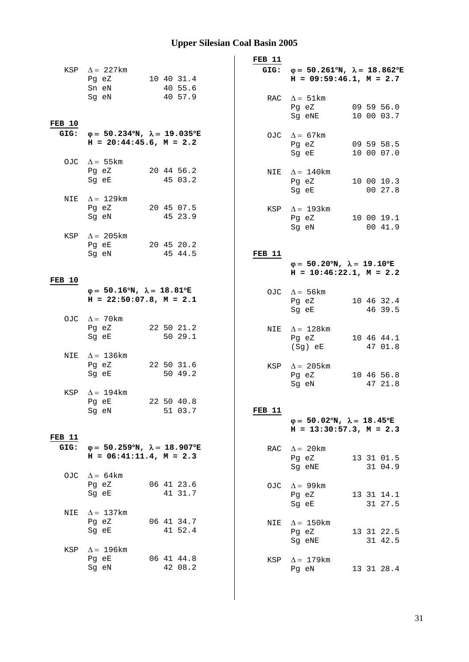|                |                                                                | FEB 11        |                                                                |
|----------------|----------------------------------------------------------------|---------------|----------------------------------------------------------------|
|                | KSP $\Delta$ = 227km                                           |               | GIG: $\varphi = 50.261^{\circ}N$ , $\lambda = 18.862^{\circ}E$ |
|                | 10 40 31.4<br>Pg eZ                                            |               | $H = 09:59:46.1, M = 2.7$                                      |
|                | Sn eN<br>40 55.6                                               |               |                                                                |
|                | 40 57.9<br>Sg eN                                               |               | RAC $\Delta = 51 \text{km}$                                    |
|                |                                                                |               | Pg eZ<br>09 59 56.0                                            |
| <b>FEB 10</b>  |                                                                |               | Sg eNE<br>10 00 03.7                                           |
|                | GIG: $\varphi = 50.234^{\circ}N$ , $\lambda = 19.035^{\circ}E$ |               | OJC $\Delta = 67 \text{km}$                                    |
|                | $H = 20:44:45.6$ , $M = 2.2$                                   |               | 09 59 58.5<br>Pg eZ                                            |
|                |                                                                |               | Sg eE<br>10 00 07.0                                            |
|                | OJC $\Delta = 55 \text{km}$                                    |               |                                                                |
|                | 20 44 56.2<br>Pg eZ                                            |               | NIE $\Delta = 140$ km                                          |
|                | 45 03.2<br>Sg eE                                               |               | Pg eZ<br>10 00 10.3                                            |
| NIE            | $\Delta = 129$ km                                              |               | 00 27.8<br>Sg eE                                               |
|                | Pg eZ<br>20 45 07.5                                            |               | KSP $\Delta = 193$ km                                          |
|                | 45 23.9<br>Sg eN                                               |               | Pg eZ<br>10 00 19.1                                            |
|                |                                                                |               | 00 41.9<br>Sg eN                                               |
|                | KSP $\Delta$ = 205 km                                          |               |                                                                |
|                | Pg eE<br>20 45 20.2<br>45 44.5                                 |               |                                                                |
|                | Sg eN                                                          | <b>FEB 11</b> | $\varphi = 50.20^{\circ}N$ , $\lambda = 19.10^{\circ}E$        |
|                |                                                                |               | $H = 10:46:22.1, M = 2.2$                                      |
| <b>FEB 10</b>  |                                                                |               |                                                                |
|                | $\varphi = 50.16^{\circ}N$ , $\lambda = 18.81^{\circ}E$        |               | OJC $\Delta = 56 \text{km}$                                    |
|                | $H = 22:50:07.8$ , $M = 2.1$                                   |               | Pg eZ<br>10 46 32.4                                            |
|                |                                                                |               | 46 39.5<br>Sg eE                                               |
|                | OJC $\Delta = 70$ km<br>22 50 21.2<br>Pg eZ                    |               |                                                                |
|                | 50 29.1<br>Sg eE                                               |               | NIE $\Delta = 128$ km<br>10 46 44.1<br>Pg eZ                   |
|                |                                                                |               | 47 01.8<br>(Sg) eE                                             |
|                | NIE $\Delta = 136 \text{km}$                                   |               |                                                                |
|                | Pg eZ<br>22 50 31.6                                            |               | KSP $\Delta$ = 205km                                           |
|                | 50 49.2<br>Sg eE                                               |               | 10 46 56.8<br>Pg eZ                                            |
| KSP            | $\Delta = 194$ km                                              |               | Sg eN<br>47 21.8                                               |
|                | 22 50 40.8<br>Pq eE                                            |               |                                                                |
|                | 51 03.7<br>Sg eN                                               | <b>FEB 11</b> |                                                                |
|                |                                                                |               | $\varphi = 50.02^{\circ}N$ , $\lambda = 18.45^{\circ}E$        |
|                |                                                                |               | $H = 13:30:57.3, M = 2.3$                                      |
| FEB 11<br>GIG: | $\varphi = 50.259^{\circ}N$ , $\lambda = 18.907^{\circ}E$      |               |                                                                |
|                | $H = 06:41:11.4$ , $M = 2.3$                                   | RAC           | $\Delta = 20 \text{km}$<br>Pg eZ<br>13 31 01.5                 |
|                |                                                                |               | 31 04.9<br>Sg eNE                                              |
|                | OJC $\Delta = 64$ km                                           |               |                                                                |
|                | 06 41 23.6<br>Pg eZ                                            | OJC           | $\Delta = 99$ km                                               |
|                | 41 31.7<br>Sg eE                                               |               | Pg eZ<br>13 31 14.1                                            |
|                |                                                                |               | 31 27.5<br>Sg eE                                               |
| NIE            | $\Delta = 137$ km<br>06 41 34.7<br>Pg eZ                       |               |                                                                |
|                | 41 52.4<br>Sg eE                                               | NIE           | $\Delta = 150$ km<br>13 31 22.5<br>Pg eZ                       |
|                |                                                                |               | 31 42.5<br>Sg eNE                                              |
| KSP            | $\Delta$ = 196km                                               |               |                                                                |
|                | 06 41 44.8<br>Pg eE                                            | KSP           | $\Delta = 179$ km                                              |
|                | 42 08.2<br>Sg eN                                               |               | 13 31 28.4<br>Pg eN                                            |
|                |                                                                |               |                                                                |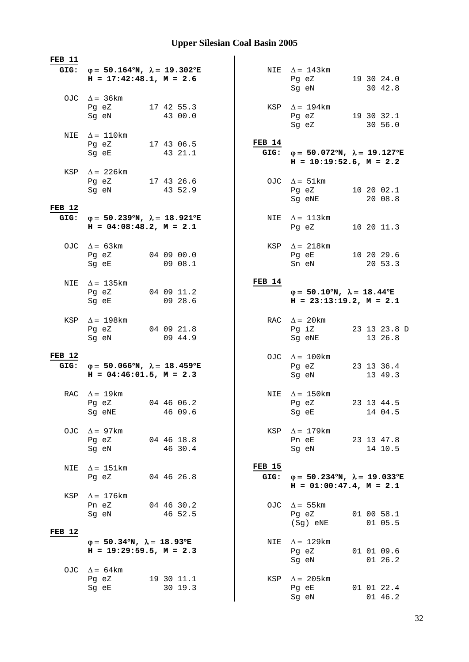| <b>FEB 11</b> |                                                                                                |                       |                       |                                                                                                |  |                         |
|---------------|------------------------------------------------------------------------------------------------|-----------------------|-----------------------|------------------------------------------------------------------------------------------------|--|-------------------------|
|               | GIG: $\varphi = 50.164^{\circ}N$ , $\lambda = 19.302^{\circ}E$<br>$H = 17:42:48.1, M = 2.6$    |                       |                       | NIE $\Delta = 143$ km<br>Pg eZ<br>Sg eN                                                        |  | 19 30 24.0<br>30 42.8   |
|               | OJC $\Delta = 36 \text{km}$<br>Pg eZ<br>Sg eN                                                  | 17 42 55.3<br>43 00.0 |                       | KSP $\Delta = 194$ km<br>Pg eZ<br>Sg eZ                                                        |  | 19 30 32.1<br>30 56.0   |
|               | NIE $\Delta = 110$ km<br>Pg eZ 17 43 06.5<br>Sg eE                                             | 43 21.1               | FEB 14                | GIG: $\varphi = 50.072^{\circ}N$ , $\lambda = 19.127^{\circ}E$<br>$H = 10:19:52.6$ , $M = 2.2$ |  |                         |
|               | KSP $\Delta$ = 226 km<br>Pg eZ 17 43 26.6<br>Sg eN                                             | 43 52.9               |                       | OJC $\Delta = 51 \text{km}$<br>Pg eZ 10 20 02.1                                                |  |                         |
| <b>FEB 12</b> |                                                                                                |                       |                       | Sg eNE                                                                                         |  | 20 08.8                 |
| GIG:          | $\varphi = 50.239^{\circ}N$ , $\lambda = 18.921^{\circ}E$<br>$H = 04:08:48.2, M = 2.1$         |                       | NIE                   | $\Delta = 113 \text{km}$<br>Pg eZ                                                              |  | 10 20 11.3              |
|               | OJC $\Delta = 63 \text{km}$<br>Pg eZ 04 09 00.0<br>Sg eE                                       | 0908.1                | KSP                   | $\Delta = 218$ km<br>Pg eE 10 20 29.6<br>Sn eN                                                 |  | 20 53.3                 |
| NIE           | $\Delta = 135$ km<br>Pg eZ<br>Sg eE                                                            | 04 09 11.2<br>09 28.6 | FEB 14                | $\varphi = 50.10^{\circ}N$ , $\lambda = 18.44^{\circ}E$<br>$H = 23:13:19.2, M = 2.1$           |  |                         |
| KSP           | $\Delta = 198$ km<br>Pg eZ<br>Sg eN                                                            | 04 09 21.8<br>09 44.9 |                       | RAC $\Delta = 20 \text{km}$<br>Pg iZ<br>Sg eNE                                                 |  | 23 13 23.8 D<br>13 26.8 |
| <b>FEB 12</b> | GIG: $\varphi = 50.066^{\circ}N$ , $\lambda = 18.459^{\circ}E$<br>$H = 04:46:01.5$ , $M = 2.3$ |                       |                       | OJC $\Delta = 100$ km<br>Pg eZ<br>Sg eN                                                        |  | 23 13 36.4<br>13 49.3   |
|               | RAC $\Delta = 19$ km<br>Pg eZ 04 46 06.2<br>Sg eNE                                             | 46 09.6               |                       | NIE $\Delta = 150$ km<br>Pg eZ<br>Sg eE                                                        |  | 23 13 44.5<br>14 04.5   |
| OJC           | $\Delta = 97 \text{km}$<br>Pg eZ<br>Sg eN                                                      | 04 46 18.8<br>46 30.4 | KSP                   | $\Delta = 179$ km<br>Pn eE<br>Sg eN                                                            |  | 23 13 47.8<br>14 10.5   |
| NIE           | $\Delta = 151 \text{km}$<br>Pg eZ                                                              | 04 46 26.8            | <b>FEB 15</b><br>GIG: | $\varphi = 50.234^{\circ}N$ , $\lambda = 19.033^{\circ}E$<br>$H = 01:00:47.4$ , $M = 2.1$      |  |                         |
| KSP           | $\Delta = 176$ km<br>Pn eZ<br>Sg eN                                                            | 04 46 30.2<br>46 52.5 | OJC                   | $\Delta = 55 \text{km}$<br>Pg eZ<br>(Sg) eNE                                                   |  | 01 00 58.1<br>01 05.5   |
| <b>FEB 12</b> |                                                                                                |                       |                       |                                                                                                |  |                         |
|               | $\varphi = 50.34^{\circ}N$ , $\lambda = 18.93^{\circ}E$<br>$H = 19:29:59.5, M = 2.3$           |                       | NIE                   | $\Delta = 129$ km<br>Pg eZ<br>Sg eN                                                            |  | 01 01 09.6<br>01 26.2   |
|               | OJC $\Delta = 64 \text{km}$<br>Pg eZ<br>Sg eE                                                  | 19 30 11.1<br>30 19.3 | KSP                   | $\Delta = 205 \text{km}$<br>Pg eE<br>Sg eN                                                     |  | 01 01 22.4<br>01 46.2   |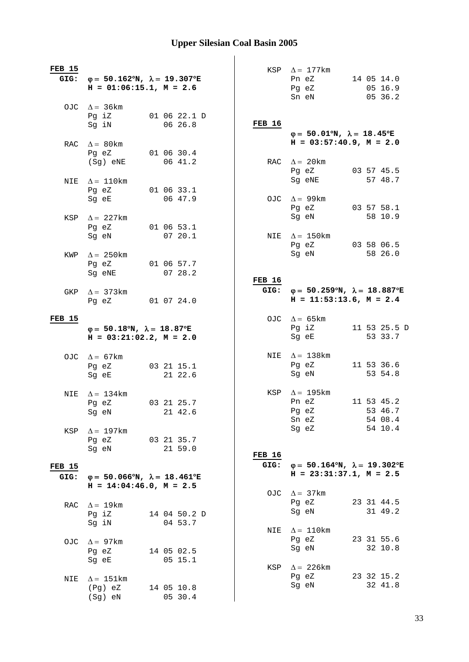| <b>FEB 15</b><br>GIG: | $\varphi = 50.162^{\circ}N$ , $\lambda = 19.307^{\circ}E$<br>$H = 01:06:15.1, M = 2.6$  |                         | KSP           | $\Delta = 177$ km<br>14 05 14.0<br>Pn eZ<br>05 16.9<br>Pg eZ<br>Sn eN<br>05 36.2               |  |
|-----------------------|-----------------------------------------------------------------------------------------|-------------------------|---------------|------------------------------------------------------------------------------------------------|--|
|                       | OJC $\Delta = 36 \text{km}$<br>Pg iZ<br>Sg iN                                           | 01 06 22.1 D<br>06 26.8 | <b>FEB 16</b> | $\varphi = 50.01^{\circ}N$ , $\lambda = 18.45^{\circ}E$                                        |  |
| RAC.                  | $\Delta = 80$ km<br>Pq eZ                                                               | 01 06 30.4              |               | $H = 03:57:40.9$ , $M = 2.0$                                                                   |  |
| NIE                   | (Sg) eNE<br>$\Delta = 110$ km                                                           | 06 41.2                 |               | RAC $\Delta = 20$ km<br>03 57 45.5<br>Pg eZ<br>Sg eNE<br>57 48.7                               |  |
|                       | Pg eZ<br>Sg eE                                                                          | 01 06 33.1<br>06 47.9   |               | OJC $\Delta = 99$ km<br>Pg eZ<br>03 57 58.1                                                    |  |
| KSP                   | $\Delta = 227$ km<br>Pq eZ<br>Sg eN                                                     | 01 06 53.1<br>07 20.1   | NIE           | Sg eN<br>58 10.9<br>$\Delta = 150$ km                                                          |  |
| KWP                   | $\Delta = 250$ km                                                                       |                         |               | Pg eZ<br>03 58 06.5<br>Sg eN<br>58 26.0                                                        |  |
|                       | Pg eZ<br>Sg eNE                                                                         | 01 06 57.7<br>07 28.2   | <b>FEB 16</b> |                                                                                                |  |
| GKP                   | $\Delta = 373$ km<br>Pg eZ                                                              | 01 07 24.0              |               | GIG: $\varphi = 50.259^{\circ}N$ , $\lambda = 18.887^{\circ}E$<br>$H = 11:53:13.6$ , $M = 2.4$ |  |
| <b>FEB 15</b>         | $\varphi = 50.18^{\circ}N$ , $\lambda = 18.87^{\circ}E$<br>$H = 03:21:02.2$ , $M = 2.0$ |                         |               | OJC $\Delta = 65 \text{km}$<br>Pg iZ<br>11 53 25.5 D<br>53 33.7<br>Sg eE                       |  |
|                       | OJC $\Delta = 67 \text{km}$<br>Pg eZ<br>Sg eE                                           | 03 21 15.1<br>21 22.6   |               | NIE $\Delta = 138$ km<br>11 53 36.6<br>Pg eZ<br>Sg eN<br>53 54.8                               |  |
| NIE                   | $\Delta = 134 \text{km}$<br>Pq eZ<br>Sg eN                                              | 03 21 25.7<br>21 42.6   | KSP           | $\Delta = 195$ km<br>11 53 45.2<br>Pn eZ<br>53 46.7<br>Pg eZ<br>Sn eZ<br>54 08.4               |  |
| KSP                   | $\Delta = 197$ km<br>Pg eZ<br>Sg eN                                                     | 03 21 35.7<br>21 59.0   |               | 54 10.4<br>Sg eZ                                                                               |  |
|                       |                                                                                         |                         | <b>FEB 16</b> |                                                                                                |  |
| <b>FEB 15</b>         |                                                                                         |                         | GIG:          | $\varphi = 50.164^{\circ}N$ , $\lambda = 19.302^{\circ}E$<br>$H = 23:31:37.1, M = 2.5$         |  |
| GIG:                  | $\varphi = 50.066^{\circ}N$ , $\lambda = 18.461^{\circ}E$<br>$H = 14:04:46.0, M = 2.5$  |                         |               |                                                                                                |  |
|                       |                                                                                         |                         | OJC           | $\Delta = 37$ km                                                                               |  |
| RAC                   | $\Delta = 19 \text{km}$<br>Pg iZ<br>Sg iN                                               | 14 04 50.2 D<br>04 53.7 |               | Pg eZ<br>23 31 44.5<br>31 49.2<br>Sg eN                                                        |  |
| OJC.                  | $\Delta = 97$ km<br>Pg eZ<br>Sg eE                                                      | 14 05 02.5<br>05 15.1   | NIE           | $\Delta = 110$ km<br>Pg eZ<br>23 31 55.6<br>32 10.8<br>Sg eN                                   |  |
| NIE                   | $\Delta = 151 \text{km}$<br>(Pg) eZ<br>$(Sg)$ eN                                        | 14 05 10.8<br>05 30.4   | KSP           | $\Delta = 226 \text{km}$<br>23 32 15.2<br>Pg eZ<br>32 41.8<br>Sg eN                            |  |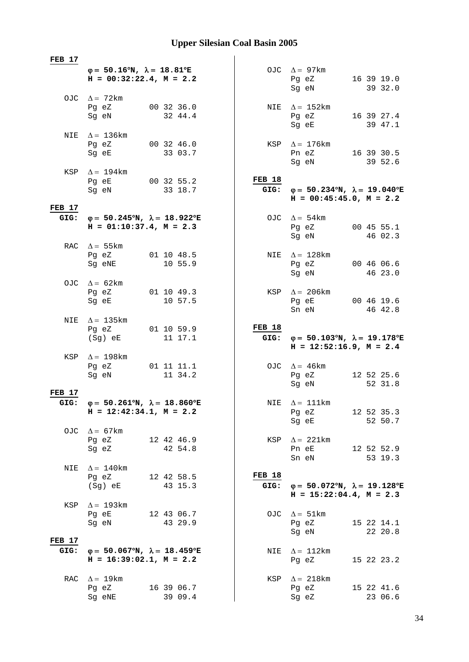| FEB 17         |                                                                                         |                                  |                                                                                                |                       |
|----------------|-----------------------------------------------------------------------------------------|----------------------------------|------------------------------------------------------------------------------------------------|-----------------------|
|                | $\varphi = 50.16^{\circ}N$ , $\lambda = 18.81^{\circ}E$<br>$H = 00:32:22.4$ , $M = 2.2$ |                                  | OJC $\Delta = 97 \text{km}$<br>Pg eZ<br>Sg eN                                                  | 16 39 19.0<br>39 32.0 |
|                | OJC $\Delta = 72 \text{km}$<br>00 32 36.0<br>Pg eZ<br>Sg eN                             | 32 44.4                          | NIE $\Delta = 152$ km<br>Pg eZ<br>Sg eE                                                        | 16 39 27.4<br>39 47.1 |
|                | NIE $\Delta = 136 \text{km}$<br>Pg eZ 00 32 46.0<br>Sg eE                               | 33 03.7                          | KSP $\Delta = 176$ km<br>Pn eZ 16 39 30.5<br>Sg eN                                             | 39 52.6               |
|                | KSP $\Delta = 194$ km<br>Pg eE 00 32 55.2<br>Sg eN 33 18.7                              | <b>FEB 18</b>                    | GIG: $\varphi = 50.234^{\circ}N$ , $\lambda = 19.040^{\circ}E$<br>$H = 00:45:45.0, M = 2.2$    |                       |
| <b>FEB 17</b>  |                                                                                         |                                  |                                                                                                |                       |
| GIG:           | $φ = 50.245°N, λ = 18.922°E$<br>$H = 01:10:37.4$ , $M = 2.3$                            |                                  | OJC $\Delta = 54 \text{km}$<br>Pg eZ 00 45 55.1<br>Sg eN                                       | 46 02.3               |
|                | RAC $\Delta = 55 \text{km}$<br>Pg eZ 01 10 48.5<br>Sg eNE                               | 10 55.9                          | NIE $\Delta = 128$ km<br>Pg eZ<br>Sg eN                                                        | 00 46 06.6<br>46 23.0 |
|                | OJC $\Delta = 62 \text{km}$<br>01 10 49.3<br>Pg eZ<br>Sg eE                             | 10 57.5                          | KSP $\Delta$ = 206km<br>Pg eE<br>Sn eN                                                         | 00 46 19.6<br>46 42.8 |
| NIE            | $\Delta = 135$ km<br>Pg eZ 01 10 59.9                                                   | <b>FEB 18</b>                    |                                                                                                |                       |
|                | (Sg) eE                                                                                 | 11 17.1                          | GIG: $\varphi = 50.103^{\circ}N$ , $\lambda = 19.178^{\circ}E$<br>$H = 12:52:16.9$ , $M = 2.4$ |                       |
|                | KSP $\Delta = 198$ km<br>Pg eZ 01 11 11.1<br>Sg eN                                      | 11 34.2                          | OJC $\Delta = 46 \text{km}$<br>Pg eZ<br>Sg eN                                                  | 12 52 25.6<br>52 31.8 |
| <b>FEB 17</b>  |                                                                                         |                                  |                                                                                                |                       |
| GIG:           | $φ = 50.261°N, λ = 18.860°E$<br>$H = 12:42:34.1, M = 2.2$                               |                                  | NIE $\Delta = 111$ km<br>Pg eZ 12 52 35.3<br>Sg eE                                             | 52 50.7               |
|                | OJC $\Delta = 67 \text{km}$<br>Pg eZ<br>12 42 46.9<br>42 54.8<br>Sg eZ                  |                                  | KSP $\Delta = 221 \text{km}$<br>Pn eE<br>Sn eN                                                 | 12 52 52.9<br>53 19.3 |
| NIE            | $\Delta = 140$ km<br>Pg eZ<br>12 42 58.5<br>(Sg) eE                                     | <b>FEB 18</b><br>43 15.3<br>GIG: | $\varphi = 50.072^{\circ}N$ , $\lambda = 19.128^{\circ}E$<br>$H = 15:22:04.4$ , $M = 2.3$      |                       |
| KSP            | $\Delta = 193$ km<br>Pg eE<br>12 43 06.7<br>Sg eN                                       | 43 29.9                          | OJC $\Delta = 51 \text{km}$<br>Pg eZ<br>Sg eN                                                  | 15 22 14.1<br>22 20.8 |
| FEB 17<br>GIG: | $\varphi = 50.067^{\circ}N$ , $\lambda = 18.459^{\circ}E$<br>$H = 16:39:02.1, M = 2.2$  |                                  | NIE $\Delta = 112 \text{km}$<br>Pg eZ                                                          | 15 22 23.2            |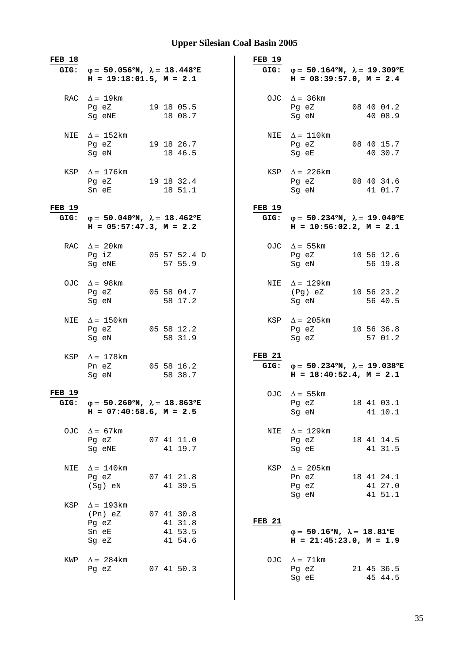| <b>FEB 18</b> | GIG: $\varphi = 50.056^{\circ}N$ , $\lambda = 18.448^{\circ}E$<br>$H = 19:18:01.5$ , $M = 2.1$ |                                             | <b>FEB 19</b> | GIG: $\varphi = 50.164^{\circ}N$ , $\lambda = 19.309^{\circ}E$<br>$H = 08:39:57.0, M = 2.4$    |
|---------------|------------------------------------------------------------------------------------------------|---------------------------------------------|---------------|------------------------------------------------------------------------------------------------|
|               |                                                                                                |                                             |               |                                                                                                |
|               | RAC $\Delta = 19 \text{km}$<br>Pg eZ<br>Sg eNE                                                 | 19 18 05.5<br>18 08.7                       |               | OJC $\Delta = 36 \text{km}$<br>08 40 04.2<br>Pg eZ<br>Sg eN<br>40 08.9                         |
|               | NIE $\Delta = 152 \text{km}$<br>Pg eZ 19 18 26.7<br>Sg eN                                      | 18 46.5                                     |               | NIE $\Delta = 110$ km<br>Pg eZ<br>08 40 15.7<br>Sg eE<br>40 30.7                               |
|               | KSP $\Delta = 176$ km<br>Pg eZ 19 18 32.4<br>Sn eE                                             | 18 51.1                                     |               | KSP $\Delta$ = 226 km<br>Pg eZ 08 40 34.6<br>Sg eN<br>41 01.7                                  |
| <b>FEB 19</b> | GIG: $\varphi = 50.040^{\circ}N$ , $\lambda = 18.462^{\circ}E$<br>$H = 05:57:47.3$ , $M = 2.2$ |                                             | <b>FEB 19</b> | GIG: $\varphi = 50.234^{\circ}N$ , $\lambda = 19.040^{\circ}E$<br>$H = 10:56:02.2, M = 2.1$    |
|               | RAC $\Delta = 20$ km<br>Sg eNE                                                                 | Pg iZ 05 57 52.4 D<br>57 55.9               |               | OJC $\Delta = 55 \text{km}$<br>Pg eZ 10 56 12.6<br>Sg eN<br>56 19.8                            |
|               | OJC $\Delta = 98 \text{km}$<br>Pg eZ<br>Sg eN                                                  | 05 58 04.7<br>58 17.2                       |               | NIE $\Delta = 129$ km<br>(Pg) eZ 10 56 23.2<br>Sg eN<br>56 40.5                                |
| NIE           | $\Delta = 150$ km<br>Pg eZ<br>Sg eN                                                            | 05 58 12.2<br>58 31.9                       |               | KSP $\Delta = 205 \text{km}$<br>10 56 36.8<br>Pg eZ<br>Sg eZ<br>57 01.2                        |
| KSP           | $\Delta = 178$ km<br>Pn eZ<br>Sg eN                                                            | 05 58 16.2<br>58 38.7                       | <b>FEB 21</b> | GIG: $\varphi = 50.234^{\circ}N$ , $\lambda = 19.038^{\circ}E$<br>$H = 18:40:52.4$ , $M = 2.1$ |
| <b>FEB 19</b> | GIG: $\varphi = 50.260^{\circ}N$ , $\lambda = 18.863^{\circ}E$<br>$H = 07:40:58.6$ , $M = 2.5$ |                                             |               | OJC $\Delta = 55 \text{km}$<br>Pg eZ 18 41 03.1<br>41 10.1<br>Sg eN                            |
| OJC           | $\Delta = 67$ km<br>Pg eZ<br>Sg eNE                                                            | 07 41 11.0<br>41 19.7                       | NIE           | $\Delta = 129$ km<br>18 41 14.5<br>Pg eZ<br>41 31.5<br>Sg eE                                   |
| NIE           | $\Delta = 140$ km<br>Pg eZ<br>(Sg) eN                                                          | 07 41 21.8<br>41 39.5                       | KSP           | $\Delta = 205 \text{km}$<br>Pn eZ<br>18 41 24.1<br>Pg eZ<br>41 27.0<br>41 51.1<br>Sg eN        |
| KSP           | $\Delta = 193$ km<br>(Pn) eZ<br>Pg eZ<br>Sn eE<br>Sg eZ                                        | 07 41 30.8<br>41 31.8<br>41 53.5<br>41 54.6 | <b>FEB 21</b> | $\varphi = 50.16^{\circ}N$ , $\lambda = 18.81^{\circ}E$<br>$H = 21:45:23.0, M = 1.9$           |
| KWP           | $\Delta = 284$ km<br>Pg eZ                                                                     | 07 41 50.3                                  |               | OJC $\Delta = 71$ km<br>21 45 36.5<br>Pg eZ<br>Sg eE<br>45 44.5                                |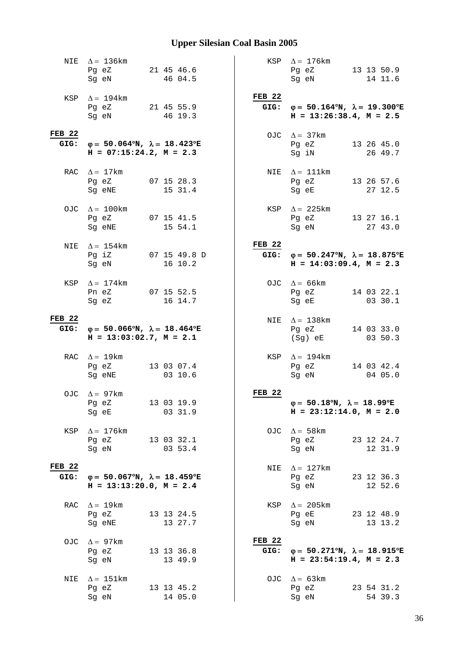|                       | NIE $\Delta = 136 \text{km}$<br>Pg eZ<br>Sg eN                                              | 21 45 46.6<br>46 04.5         |                           | KSP $\Delta = 176$ km<br>13 13 50.9<br>Pg eZ<br>14 11.6<br>Sg eN                               |
|-----------------------|---------------------------------------------------------------------------------------------|-------------------------------|---------------------------|------------------------------------------------------------------------------------------------|
|                       | KSP $\Delta = 194$ km<br>Pg eZ 21 45 55.9<br>Sg eN                                          | 46 19.3                       | <b>FEB 22</b>             | GIG: $\varphi = 50.164^{\circ}N$ , $\lambda = 19.300^{\circ}E$<br>$H = 13:26:38.4$ , $M = 2.5$ |
| <b>FEB 22</b>         | GIG: $\varphi = 50.064^{\circ}N$ , $\lambda = 18.423^{\circ}E$<br>$H = 07:15:24.2, M = 2.3$ |                               |                           | OJC $\Delta = 37 \text{km}$<br>13 26 45.0<br>Pg eZ<br>Sg iN<br>26 49.7                         |
|                       | RAC $\Delta = 17$ km<br>Pg eZ<br>Sg eNE                                                     | 07 15 28.3<br>15 31.4         |                           | NIE $\Delta = 111$ km<br>$Pg$ eZ<br>13 26 57.6<br>Sg eE<br>27 12.5                             |
|                       | OJC $\Delta = 100$ km<br>Pq eZ 07 15 41.5<br>Sg eNE                                         | 15 54.1                       |                           | KSP $\Delta$ = 225km<br>Pg eZ 13 27 16.1<br>Sq eN<br>27 43.0                                   |
| NIE                   | $\Delta = 154$ km<br>Sg eN                                                                  | Pg iZ 07 15 49.8 D<br>16 10.2 | FEB <sub>22</sub><br>GIG: | $\varphi = 50.247^{\circ}N$ , $\lambda = 18.875^{\circ}E$<br>$H = 14:03:09.4$ , $M = 2.3$      |
| KSP                   | $\Delta = 174$ km<br>Pn eZ<br>Sg eZ                                                         | 07 15 52.5<br>16 14.7         |                           | OJC $\Delta = 66$ km<br>Pg eZ<br>14 03 22.1<br>Sg eE<br>03 30.1                                |
| <b>FEB 22</b><br>GIG: | $\varphi = 50.066^{\circ}N$ , $\lambda = 18.464^{\circ}E$<br>$H = 13:03:02.7$ , $M = 2.1$   |                               | NIE                       | $\Delta = 138$ km<br>14 03 33.0<br>Pg eZ<br>03 50.3<br>(Sg) eE                                 |
|                       | RAC $\Delta = 19 \text{km}$<br>Pg eZ<br>Sq eNE                                              | 13 03 07.4<br>03 10.6         |                           | KSP $\Delta = 194$ km<br>14 03 42.4<br>Pg eZ<br>Sg eN<br>04 05.0                               |
|                       | OJC $\Delta = 97 \text{km}$<br>Pg eZ<br>Sg eE                                               | 13 03 19.9<br>03 31.9         | <b>FEB 22</b>             | $\varphi = 50.18^{\circ}N$ , $\lambda = 18.99^{\circ}E$<br>$H = 23:12:14.0, M = 2.0$           |
| KSP                   | $\Delta = 176$ km<br>Pg eZ 13 03 32.1<br>Sg eN                                              | 03 53.4                       |                           | OJC $\Delta = 58 \text{km}$<br>Pg eZ 23 12 24.7<br>Sg eN<br>12 31.9                            |
| <b>FEB 22</b><br>GIG: | $\varphi = 50.067$ °N, $\lambda = 18.459$ °E<br>$H = 13:13:20.0, M = 2.4$                   |                               | NIE                       | $\Delta = 127$ km<br>Pg eZ<br>23 12 36.3<br>12 52.6<br>Sg eN                                   |
| RAC                   | $\Delta = 19 \text{km}$<br>Pg eZ<br>Sg eNE                                                  | 13 13 24.5<br>13 27.7         |                           | KSP $\Delta = 205 \text{km}$<br>Pg eE<br>23 12 48.9<br>Sg eN<br>13 13.2                        |
|                       | OJC $\Delta = 97 \text{km}$<br>Pg eZ<br>Sg eN                                               | 13 13 36.8<br>13 49.9         | <b>FEB 22</b><br>GIG:     | $\varphi = 50.271^{\circ}N$ , $\lambda = 18.915^{\circ}E$<br>$H = 23:54:19.4, M = 2.3$         |
| NIE                   | $\Delta = 151$ km<br>Pg eZ<br>Sg eN                                                         | 13 13 45.2<br>14 05.0         |                           | OJC $\Delta = 63 \text{km}$<br>Pg eZ<br>23 54 31.2<br>54 39.3<br>Sg eN                         |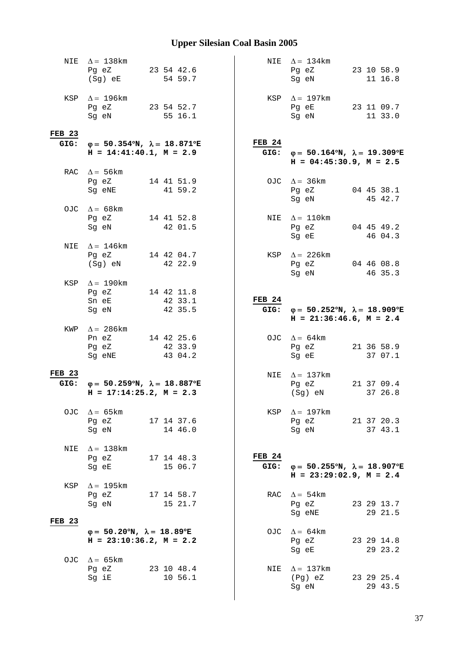| NIE           | $\Delta = 138$ km                                                                           |  |                       |  | NIE               | $\Delta = 134$ km                                                                              |  |            |
|---------------|---------------------------------------------------------------------------------------------|--|-----------------------|--|-------------------|------------------------------------------------------------------------------------------------|--|------------|
|               | Pg eZ                                                                                       |  | 23 54 42.6            |  |                   | Pg eZ 23 10 58.9                                                                               |  |            |
|               | (Sg) eE                                                                                     |  | 54 59.7               |  |                   | Sg eN                                                                                          |  | 11 16.8    |
|               |                                                                                             |  |                       |  |                   |                                                                                                |  |            |
|               | KSP $\Delta = 196$ km                                                                       |  |                       |  |                   | KSP $\Delta = 197$ km                                                                          |  |            |
|               | Pg eZ 23 54 52.7                                                                            |  |                       |  |                   | Pg eE 23 11 09.7                                                                               |  |            |
|               | Sg eN                                                                                       |  | 55 16.1               |  |                   | Sg eN                                                                                          |  | 11 33.0    |
|               |                                                                                             |  |                       |  |                   |                                                                                                |  |            |
| <b>FEB 23</b> |                                                                                             |  |                       |  | FEB <sub>24</sub> |                                                                                                |  |            |
|               | GIG: $\varphi = 50.354^{\circ}N$ , $\lambda = 18.871^{\circ}E$<br>$H = 14:41:40.1, M = 2.9$ |  |                       |  |                   | GIG: $\varphi = 50.164^{\circ}N$ , $\lambda = 19.309^{\circ}E$                                 |  |            |
|               |                                                                                             |  |                       |  |                   | $H = 04:45:30.9$ , $M = 2.5$                                                                   |  |            |
|               | RAC $\Delta = 56 \text{km}$                                                                 |  |                       |  |                   |                                                                                                |  |            |
|               | Pg eZ 14 41 51.9                                                                            |  |                       |  |                   | OJC $\Delta = 36 \text{km}$                                                                    |  |            |
|               | Sg eNE 41 59.2                                                                              |  |                       |  |                   | Pg eZ 04 45 38.1                                                                               |  |            |
|               |                                                                                             |  |                       |  |                   | Sg eN                                                                                          |  | 45 42.7    |
|               | OJC $\Delta = 68$ km                                                                        |  |                       |  |                   |                                                                                                |  |            |
|               | Pg eZ 14 41 52.8                                                                            |  |                       |  |                   | NIE $\Delta = 110$ km                                                                          |  |            |
|               | Sg eN                                                                                       |  | 42 01.5               |  |                   | Pg eZ 04 45 49.2                                                                               |  |            |
|               |                                                                                             |  |                       |  |                   | Sg eE                                                                                          |  | 46 04.3    |
| NIE           | $\Delta = 146$ km                                                                           |  |                       |  |                   |                                                                                                |  |            |
|               | Pg eZ 14 42 04.7                                                                            |  |                       |  |                   | KSP $\Delta$ = 226km                                                                           |  |            |
|               | (Sg) eN                                                                                     |  | 42 22.9               |  |                   | Pg eZ 04 46 08.8                                                                               |  |            |
|               |                                                                                             |  |                       |  |                   | Sg eN                                                                                          |  | 46 35.3    |
|               | KSP $\Delta = 190$ km                                                                       |  |                       |  |                   |                                                                                                |  |            |
|               | Pg eZ 14 42 11.8                                                                            |  |                       |  |                   |                                                                                                |  |            |
|               | Sn eE                                                                                       |  | 42 33.1               |  | <b>FEB 24</b>     |                                                                                                |  |            |
|               | Sg eN                                                                                       |  | 42 35.5               |  |                   | GIG: $\varphi = 50.252^{\circ}N$ , $\lambda = 18.909^{\circ}E$<br>$H = 21:36:46.6$ , $M = 2.4$ |  |            |
|               |                                                                                             |  |                       |  |                   |                                                                                                |  |            |
|               |                                                                                             |  |                       |  |                   |                                                                                                |  |            |
| KWP           | $\Delta = 286$ km                                                                           |  |                       |  |                   |                                                                                                |  |            |
|               | Pn eZ 14 42 25.6                                                                            |  |                       |  |                   | OJC $\Delta = 64 \text{km}$                                                                    |  |            |
|               | Pg eZ                                                                                       |  | 42 33.9               |  |                   | Pg eZ 21 36 58.9                                                                               |  |            |
|               | Sg eNE                                                                                      |  | 43 04.2               |  |                   | Sg eE                                                                                          |  | 37 07.1    |
| <b>FEB 23</b> |                                                                                             |  |                       |  |                   |                                                                                                |  |            |
|               |                                                                                             |  |                       |  |                   | NIE $\Delta = 137 \text{km}$                                                                   |  |            |
|               | GIG: $\varphi = 50.259^{\circ}N$ , $\lambda = 18.887^{\circ}E$<br>$H = 17:14:25.2, M = 2.3$ |  |                       |  |                   | Pg eZ 21 37 09.4<br>(Sg) eN                                                                    |  | 37 26.8    |
|               |                                                                                             |  |                       |  |                   |                                                                                                |  |            |
| OJC           | $\Delta = 65$ km                                                                            |  |                       |  | KSP               | $\Delta = 197$ km                                                                              |  |            |
|               | Pg eZ 17 14 37.6                                                                            |  |                       |  |                   | Pg eZ                                                                                          |  | 21 37 20.3 |
|               | Sg eN                                                                                       |  | 14 46.0               |  |                   | Sg eN                                                                                          |  | 37 43.1    |
|               |                                                                                             |  |                       |  |                   |                                                                                                |  |            |
| NIE           | $\Delta = 138$ km                                                                           |  |                       |  |                   |                                                                                                |  |            |
|               | Pg eZ                                                                                       |  | 17 14 48.3            |  | <b>FEB 24</b>     |                                                                                                |  |            |
|               | Sg eE                                                                                       |  | 15 06.7               |  |                   | GIG: $\varphi = 50.255^{\circ}N$ , $\lambda = 18.907^{\circ}E$                                 |  |            |
|               |                                                                                             |  |                       |  |                   | $H = 23:29:02.9$ , $M = 2.4$                                                                   |  |            |
| KSP           | $\Delta = 195$ km                                                                           |  |                       |  |                   |                                                                                                |  |            |
|               | Pg eZ                                                                                       |  | 17 14 58.7            |  |                   | RAC $\Delta = 54 \text{km}$                                                                    |  |            |
|               | Sg eN                                                                                       |  | 15 21.7               |  |                   | Pg eZ                                                                                          |  | 23 29 13.7 |
|               |                                                                                             |  |                       |  |                   | Sg eNE                                                                                         |  | 29 21.5    |
| <b>FEB 23</b> |                                                                                             |  |                       |  |                   |                                                                                                |  |            |
|               | $\varphi = 50.20^{\circ}N$ , $\lambda = 18.89^{\circ}E$                                     |  |                       |  |                   | OJC $\Delta = 64 \text{km}$                                                                    |  |            |
|               | $H = 23:10:36.2$ , $M = 2.2$                                                                |  |                       |  |                   | Pg eZ                                                                                          |  | 23 29 14.8 |
|               |                                                                                             |  |                       |  |                   | Sg eE                                                                                          |  | 29 23.2    |
|               | OJC $\Delta = 65 \text{km}$                                                                 |  |                       |  | NIE               |                                                                                                |  |            |
|               | Pg eZ<br>Sg iE                                                                              |  | 23 10 48.4<br>10 56.1 |  |                   | $\Delta = 137$ km<br>(Pg) eZ                                                                   |  | 23 29 25.4 |
|               |                                                                                             |  |                       |  |                   | Sg eN                                                                                          |  | 29 43.5    |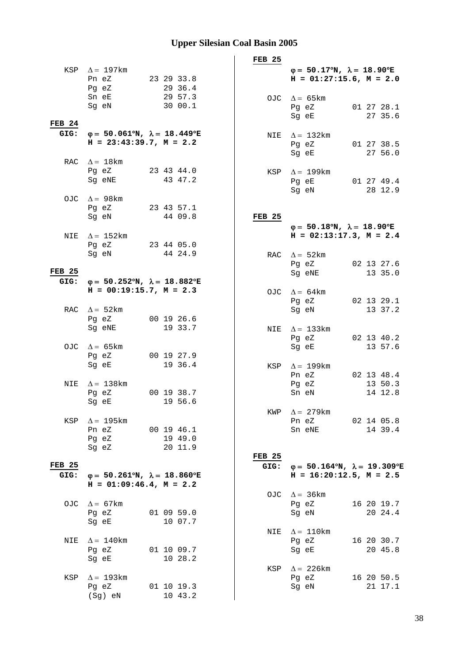|                       |                                                                                           |                                  | <b>FEB 25</b>         |                                                                                         |
|-----------------------|-------------------------------------------------------------------------------------------|----------------------------------|-----------------------|-----------------------------------------------------------------------------------------|
|                       | KSP $\Delta = 197$ km<br>Pn eZ                                                            | 23 29 33.8<br>29 36.4            |                       | $\varphi = 50.17^{\circ}N$ , $\lambda = 18.90^{\circ}E$<br>$H = 01:27:15.6$ , $M = 2.0$ |
| <b>FEB 24</b>         | Pg eZ<br>Sn eE<br>Sg eN                                                                   | 29 57.3<br>30 00.1               |                       | OJC $\Delta = 65 \text{km}$<br>01 27 28.1<br>Pg eZ<br>27 35.6<br>Sg eE                  |
| GIG:                  | $\varphi = 50.061^{\circ}N$ , $\lambda = 18.449^{\circ}E$<br>$H = 23:43:39.7$ , $M = 2.2$ |                                  |                       | NIE $\Delta = 132 \text{km}$<br>Pg eZ<br>01 27 38.5<br>27 56.0<br>Sq eE                 |
|                       | RAC $\Delta = 18$ km<br>Pg eZ<br>Sg eNE                                                   | 23 43 44.0<br>43 47.2            |                       | KSP $\Delta = 199$ km<br>Pg eE<br>01 27 49.4<br>Sg eN<br>28 12.9                        |
|                       | OJC $\Delta = 98 \text{km}$<br>Pg eZ                                                      | 23 43 57.1<br>44 09.8            | <b>FEB 25</b>         |                                                                                         |
| NIE                   | Sg eN<br>$\Delta = 152 \text{km}$                                                         |                                  |                       | $\varphi = 50.18^{\circ}N$ , $\lambda = 18.90^{\circ}E$<br>$H = 02:13:17.3, M = 2.4$    |
| <b>FEB 25</b>         | Pg eZ<br>Sg eN                                                                            | 23 44 05.0<br>44 24.9            |                       | RAC $\Delta = 52$ km<br>Pg eZ<br>02 13 27.6<br>Sg eNE<br>13 35.0                        |
| GIG:                  | $\varphi = 50.252^{\circ}N$ , $\lambda = 18.882^{\circ}E$<br>$H = 00:19:15.7, M = 2.3$    |                                  |                       | OJC $\Delta = 64 \text{km}$                                                             |
|                       | RAC $\Delta = 52$ km<br>Pg eZ                                                             | 00 19 26.6                       |                       | Pg eZ<br>02 13 29.1<br>13 37.2<br>Sg eN                                                 |
|                       | Sg eNE<br>OJC $\Delta = 65 \text{km}$                                                     | 19 33.7                          |                       | NIE $\Delta = 133$ km<br>02 13 40.2<br>Pg eZ<br>13 57.6<br>Sg eE                        |
|                       | Pg eZ<br>Sg eE                                                                            | 00 19 27.9<br>19 36.4            |                       | KSP $\Delta = 199$ km<br>02 13 48.4<br>Pn eZ                                            |
| NIE                   | $\Delta = 138$ km<br>Pg eZ<br>Sg eE                                                       | 00 19 38.7<br>19 56.6            |                       | Pg eZ<br>13 50.3<br>14 12.8<br>Sn eN                                                    |
| KSP                   | $\Delta = 195$ km<br>Pn eZ<br>Pg eZ<br>Sg eZ                                              | 00 19 46.1<br>19 49.0<br>20 11.9 |                       | KWP $\Delta = 279$ km<br>Pn eZ<br>02 14 05.8<br>14 39.4<br>Sn eNE                       |
| <b>FEB 25</b><br>GIG: | $\varphi = 50.261^{\circ}N$ , $\lambda = 18.860^{\circ}E$<br>$H = 01:09:46.4, M = 2.2$    |                                  | <b>FEB 25</b><br>GIG: | $\varphi = 50.164^{\circ}N$ , $\lambda = 19.309^{\circ}E$<br>$H = 16:20:12.5, M = 2.5$  |
|                       | OJC $\Delta = 67$ km<br>Pg eZ<br>Sg eE                                                    | 01 09 59.0<br>10 07.7            |                       | OJC $\Delta = 36 \text{km}$<br>16 20 19.7<br>Pg eZ<br>20 24.4<br>Sg eN                  |
| NIE                   | $\Delta = 140$ km<br>Pg eZ<br>Sg eE                                                       | 01 10 09.7<br>10 28.2            | NIE                   | $\Delta = 110$ km<br>16 20 30.7<br>Pg eZ<br>20 45.8<br>Sg eE                            |
| KSP                   | $\Delta = 193 \text{km}$<br>Pg eZ<br>(Sg) eN                                              | 01 10 19.3<br>10 43.2            |                       | KSP $\Delta = 226 \text{km}$<br>Pg eZ<br>16 20 50.5<br>Sg eN<br>21 17.1                 |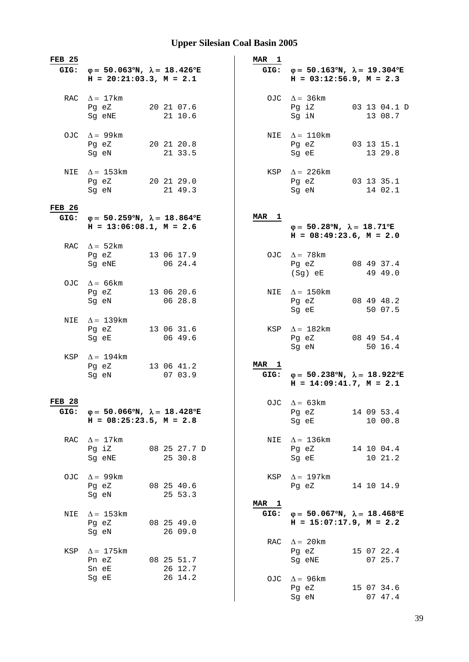| <b>FEB 25</b>         |                                                                                           |                         | <b>MAR</b><br>$\mathbf{1}$ |                                                                                                |                         |
|-----------------------|-------------------------------------------------------------------------------------------|-------------------------|----------------------------|------------------------------------------------------------------------------------------------|-------------------------|
| GIG:                  | $\varphi = 50.063^{\circ}N$ , $\lambda = 18.426^{\circ}E$<br>$H = 20:21:03.3, M = 2.1$    |                         | GIG:                       | $\varphi = 50.163^{\circ}N$ , $\lambda = 19.304^{\circ}E$<br>$H = 03:12:56.9$ , $M = 2.3$      |                         |
|                       | RAC $\Delta = 17$ km<br>Pg eZ<br>Sg eNE                                                   | 20 21 07.6<br>21 10.6   |                            | OJC $\Delta = 36 \text{km}$<br>Pg iZ<br>Sg iN                                                  | 03 13 04.1 D<br>13 08.7 |
|                       | OJC $\Delta = 99$ km<br>Pg eZ<br>Sq eN                                                    | 20 21 20.8<br>21 33.5   |                            | NIE $\Delta = 110$ km<br>Pg eZ<br>Sg eE                                                        | 03 13 15.1<br>13 29.8   |
| NIE                   | $\Delta = 153$ km<br>Pg eZ<br>Sg eN                                                       | 20 21 29.0<br>21 49.3   | KSP                        | $\Delta$ = 226 km<br>Pg eZ<br>Sg eN                                                            | 03 13 35.1<br>14 02.1   |
| <b>FEB 26</b><br>GIG: | $\varphi = 50.259^{\circ}N$ , $\lambda = 18.864^{\circ}E$<br>$H = 13:06:08.1, M = 2.6$    |                         | <b>MAR</b><br>$\mathbf{1}$ | $\varphi = 50.28^{\circ}N$ , $\lambda = 18.71^{\circ}E$<br>$H = 08:49:23.6$ , $M = 2.0$        |                         |
|                       | RAC $\Delta = 52$ km<br>Pg eZ<br>Sg eNE                                                   | 13 06 17.9<br>06 24.4   |                            | OJC $\Delta = 78$ km<br>Pg eZ<br>(Sg) eE                                                       | 08 49 37.4<br>49 49.0   |
|                       | OJC $\Delta = 66 \text{km}$<br>Pg eZ<br>Sg eN                                             | 13 06 20.6<br>06 28.8   |                            | NIE $\Delta = 150$ km<br>Pg eZ<br>Sg eE                                                        | 08 49 48.2<br>50 07.5   |
| NIE                   | $\Delta = 139$ km<br>Pg eZ<br>Sg eE                                                       | 13 06 31.6<br>06 49.6   | KSP                        | $\Delta = 182 \text{km}$<br>Pg eZ<br>Sg eN                                                     | 08 49 54.4<br>50 16.4   |
| KSP                   | $\Delta = 194$ km<br>Pg eZ<br>Sg eN                                                       | 13 06 41.2<br>07 03.9   | MAR 1                      | GIG: $\varphi = 50.238^{\circ}N$ , $\lambda = 18.922^{\circ}E$<br>$H = 14:09:41.7$ , $M = 2.1$ |                         |
| <b>FEB 28</b><br>GIG: | $\varphi = 50.066^{\circ}N$ , $\lambda = 18.428^{\circ}E$<br>$H = 08:25:23.5$ , $M = 2.8$ |                         |                            | OJC $\Delta = 63 \text{km}$<br>Pg eZ<br>Sg eE                                                  | 14 09 53.4<br>10 00.8   |
| RAC                   | $\Delta = 17$ km<br>Pg iZ<br>Sq eNE                                                       | 08 25 27.7 D<br>25 30.8 | NIE                        | $\Delta = 136$ km<br>Pg eZ<br>Sq eE                                                            | 14 10 04.4<br>10 21.2   |
| OJC.                  | $\Delta$ = 99 km<br>Pg eZ<br>Sg eN                                                        | 08 25 40.6<br>25 53.3   | KSP                        | $\Delta = 197$ km<br>Pg eZ                                                                     | 14 10 14.9              |
| NIE                   | $\Delta$ = 153 km<br>Pg eZ<br>Sg eN                                                       | 08 25 49.0<br>26 09.0   | MAR 1<br>GIG:              | $\varphi = 50.067^{\circ}N$ , $\lambda = 18.468^{\circ}E$<br>$H = 15:07:17.9$ , $M = 2.2$      |                         |
| KSP                   | $\Delta = 175$ km<br>Pn eZ<br>Sn eE                                                       | 08 25 51.7<br>26 12.7   | RAC                        | $\Delta = 20$ km<br>Pg eZ<br>Sg eNE                                                            | 15 07 22.4<br>07 25.7   |
|                       | Sg eE                                                                                     | 26 14.2                 | OJC                        | $\Delta$ = 96 km<br>Pg eZ<br>Sg eN                                                             | 15 07 34.6<br>07 47.4   |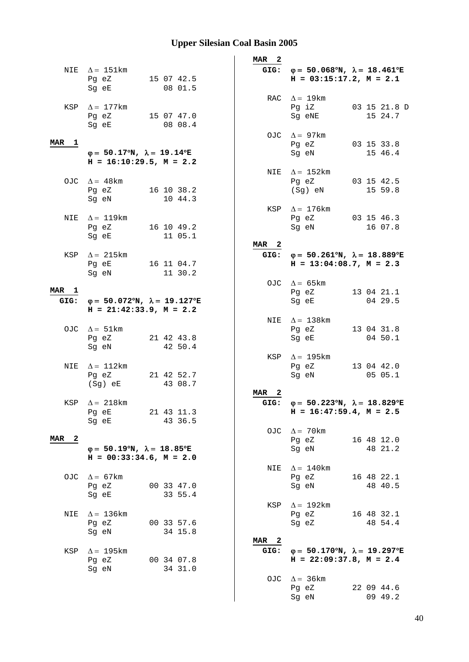|                  |                                                                                                                                              |                                                                              | MAR 2                     |                                                                                                |                         |
|------------------|----------------------------------------------------------------------------------------------------------------------------------------------|------------------------------------------------------------------------------|---------------------------|------------------------------------------------------------------------------------------------|-------------------------|
|                  | NIE $\Delta = 151 \text{km}$<br>Pg eZ<br>Sg eE                                                                                               | 15 07 42.5<br>08 01.5                                                        |                           | GIG: $\varphi = 50.068^{\circ}N$ , $\lambda = 18.461^{\circ}E$<br>$H = 03:15:17.2, M = 2.1$    |                         |
|                  | KSP $\Delta = 177$ km<br>Pg eZ<br>Sg eE                                                                                                      | 15 07 47.0<br>08 08.4                                                        |                           | RAC $\Delta = 19$ km<br>Pq iZ<br>Sg eNE                                                        | 03 15 21.8 D<br>15 24.7 |
| MAR 1            | $\varphi = 50.17^{\circ}N$ , $\lambda = 19.14^{\circ}E$                                                                                      |                                                                              |                           | OJC $\Delta = 97 \text{km}$<br>Pg eZ<br>Sq eN                                                  | 03 15 33.8<br>15 46.4   |
|                  | OJC $\Delta = 48$ km<br>Pg eZ                                                                                                                | $H = 16:10:29.5$ , $M = 2.2$<br>16 10 38.2                                   | NIE                       | $\Delta = 152 \text{km}$<br>Pg eZ<br>(Sg) eN                                                   | 03 15 42.5<br>15 59.8   |
|                  | Sg eN                                                                                                                                        | 10 44.3                                                                      | KSP                       | $\Delta = 176$ km                                                                              |                         |
| NIE              | $\Delta = 119$ km<br>Pg eZ<br>Sq eE and the state of the state of the state of the state of the state of the state of the state of the state | 16 10 49.2<br>11 05.1                                                        |                           | Pg eZ<br>Sg eN                                                                                 | 03 15 46.3<br>16 07.8   |
|                  | KSP $\Delta = 215 \text{km}$<br>Pg eE<br>Sq eN                                                                                               | 16 11 04.7<br>11 30.2                                                        | MAR <sub>2</sub>          | GIG: $\varphi = 50.261^{\circ}N$ , $\lambda = 18.889^{\circ}E$<br>$H = 13:04:08.7$ , $M = 2.3$ |                         |
| MAR 1<br>GIG:    |                                                                                                                                              | $\varphi = 50.072$ °N, $\lambda = 19.127$ °E<br>$H = 21:42:33.9$ , $M = 2.2$ |                           | OJC $\Delta = 65 \text{km}$<br>Pg eZ<br>Sg eE                                                  | 13 04 21.1<br>04 29.5   |
|                  | OJC $\Delta = 51 \text{km}$<br>Pg eZ<br>Sg eN                                                                                                | 21 42 43.8<br>42 50.4                                                        |                           | NIE $\Delta = 138$ km<br>Pg eZ<br>Sg eE                                                        | 13 04 31.8<br>04 50.1   |
| NIE              | $\Delta = 112 \text{km}$<br>Pg eZ<br>(Sg) eE                                                                                                 | 21 42 52.7<br>43 08.7                                                        | KSP                       | $\Delta$ = 195 km<br>Pg eZ<br>Sq eN                                                            | 13 04 42.0<br>05 05.1   |
|                  | KSP $\Delta = 218$ km<br>Pg eE<br>Sg eE                                                                                                      | 21 43 11.3<br>43 36.5                                                        | - 2<br><b>MAR</b><br>GIG: | $\varphi = 50.223^{\circ}N$ , $\lambda = 18.829^{\circ}E$<br>$H = 16:47:59.4, M = 2.5$         |                         |
| MAR <sub>2</sub> | $\varphi = 50.19^{\circ}N$ , $\lambda = 18.85^{\circ}E$                                                                                      | $H = 00:33:34.6, M = 2.0$                                                    | OJC                       | $\Delta = 70$ km<br>Pg eZ<br>Sg eN                                                             | 16 48 12.0<br>48 21.2   |
| OJC              | $\Delta = 67 \text{km}$<br>Pg eZ<br>Sg eE                                                                                                    | 00 33 47.0<br>33 55.4                                                        | NIE                       | $\Delta = 140$ km<br>Pg eZ<br>Sg eN                                                            | 16 48 22.1<br>48 40.5   |
| NIE              | $\Delta = 136$ km<br>Pg eZ<br>Sg eN                                                                                                          | 00 33 57.6<br>34 15.8                                                        | KSP                       | $\Delta = 192 \text{km}$<br>Pg eZ<br>Sg eZ                                                     | 16 48 32.1<br>48 54.4   |
| KSP              | $\Delta = 195$ km<br>Pg eZ<br>Sg eN                                                                                                          | 00 34 07.8<br>34 31.0                                                        | MAR <sub>2</sub><br>GIG:  | $\varphi = 50.170^{\circ}N$ , $\lambda = 19.297^{\circ}E$<br>$H = 22:09:37.8$ , $M = 2.4$      |                         |
|                  |                                                                                                                                              |                                                                              | OJC                       | $\Delta = 36 \text{km}$<br>Pg eZ<br>Sg eN                                                      | 22 09 44.6<br>09 49.2   |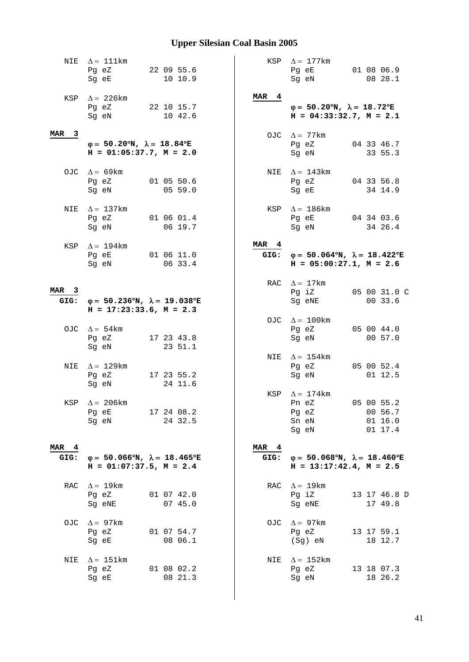| NIE                      | $\Delta = 111$ km<br>Pg eZ<br>Sg eE                                                       | 22 09 55.6<br>10 10.9 |                          | KSP $\Delta = 177$ km<br>Pg eE<br>Sg eN                                                   | 01 08 06.9<br>08 28.1                          |
|--------------------------|-------------------------------------------------------------------------------------------|-----------------------|--------------------------|-------------------------------------------------------------------------------------------|------------------------------------------------|
|                          | KSP $\Delta$ = 226 km<br>Pg eZ<br>Sg eN                                                   | 22 10 15.7<br>10 42.6 | MAR <sub>4</sub>         | $\varphi = 50.20^{\circ}N$ , $\lambda = 18.72^{\circ}E$<br>$H = 04:33:32.7$ , $M = 2.1$   |                                                |
| MAR 3                    | $\varphi = 50.20^{\circ}N$ , $\lambda = 18.84^{\circ}E$<br>$H = 01:05:37.7$ , $M = 2.0$   |                       | OJC                      | $\Delta = 77$ km<br>Pg eZ<br>Sq eN                                                        | 04 33 46.7<br>33 55.3                          |
|                          | OJC $\Delta = 69 \text{km}$<br>Pg eZ<br>Sg eN                                             | 01 05 50.6<br>05 59.0 | NIE                      | $\Delta$ = 143km<br>Pg eZ<br>Sg eE                                                        | 04 33 56.8<br>34 14.9                          |
| NIE                      | $\Delta = 137$ km<br>Pg eZ<br>Sg eN                                                       | 01 06 01.4<br>06 19.7 | KSP                      | $\Delta = 186$ km<br>Pg eE<br>Sg eN                                                       | 04 34 03.6<br>34 26.4                          |
| KSP                      | $\Delta = 194$ km<br>Pg eE<br>Sg eN                                                       | 01 06 11.0<br>06 33.4 | MAR 4<br>GIG:            | $\varphi = 50.064^{\circ}N$ , $\lambda = 18.422^{\circ}E$<br>$H = 05:00:27.1, M = 2.6$    |                                                |
| MAR <sub>3</sub><br>GIG: | $\varphi = 50.236^{\circ}N$ , $\lambda = 19.038^{\circ}E$<br>$H = 17:23:33.6$ , $M = 2.3$ |                       | RAC                      | $\Delta = 17 \text{km}$<br>Pg iZ<br>Sg eNE                                                | 05 00 31.0 C<br>00 33.6                        |
|                          | OJC $\Delta = 54 \text{km}$<br>Pg eZ<br>Sg eN                                             | 17 23 43.8<br>23 51.1 |                          | OJC $\Delta = 100 \text{km}$<br>Pg eZ<br>Sg eN                                            | 05 00 44.0<br>00 57.0                          |
| NIE                      | $\Delta = 129$ km<br>Pg eZ<br>Sg eN                                                       | 17 23 55.2<br>24 11.6 |                          | NIE $\Delta = 154$ km<br>Pg eZ<br>Sg eN                                                   | 05 00 52.4<br>01 12.5                          |
|                          | KSP $\Delta = 206 \text{km}$<br>Pg eE<br>Sg eN                                            | 17 24 08.2<br>24 32.5 |                          | KSP $\Delta = 174$ km<br>Pn eZ<br>Pg eZ<br>Sn eN<br>Sg eN                                 | 05 00 55.2<br>00 56.7<br>$01\;16.0$<br>01 17.4 |
| MAR <sub>4</sub><br>GIG: | $\varphi = 50.066^{\circ}N$ , $\lambda = 18.465^{\circ}E$<br>$H = 01:07:37.5$ , $M = 2.4$ |                       | MAR <sub>4</sub><br>GIG: | $\varphi = 50.068^{\circ}N$ , $\lambda = 18.460^{\circ}E$<br>$H = 13:17:42.4$ , $M = 2.5$ |                                                |
| RAC                      | $\Delta = 19 \text{km}$<br>Pg eZ<br>Sg eNE                                                | 01 07 42.0<br>07 45.0 | RAC                      | $\Delta = 19 \text{km}$<br>Pg iZ<br>Sg eNE                                                | 13 17 46.8 D<br>17 49.8                        |
| OJC.                     | $\Delta = 97$ km<br>Pg eZ<br>Sg eE                                                        | 01 07 54.7<br>08 06.1 | OJC                      | $\Delta = 97$ km<br>Pg eZ<br>(Sg) eN                                                      | 13 17 59.1<br>18 12.7                          |
| NIE                      | $\Delta = 151$ km<br>Pg eZ<br>Sg eE                                                       | 01 08 02.2<br>08 21.3 | NIE                      | $\Delta = 152 \text{km}$<br>Pg eZ<br>Sg eN                                                | 13 18 07.3<br>18 26.2                          |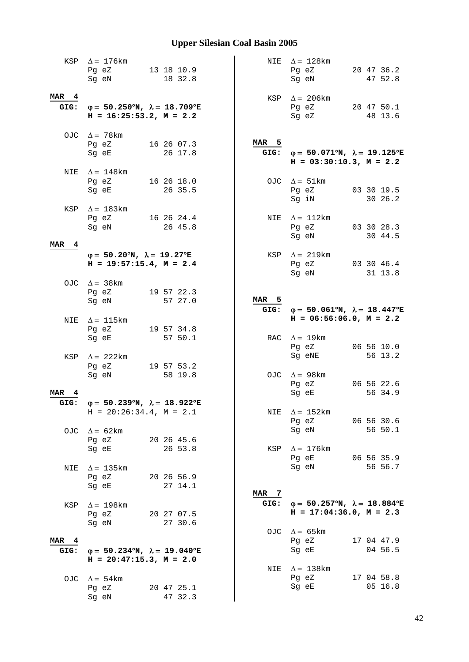|                          | KSP $\Delta = 176$ km<br>13 18 10.9<br>Pg eZ<br>18 32.8<br>Sg eN                            |               | NIE $\Delta = 128$ km<br>20 47 36.2<br>Pg eZ<br>47 52.8<br>Sg eN                               |
|--------------------------|---------------------------------------------------------------------------------------------|---------------|------------------------------------------------------------------------------------------------|
| MAR 4                    | GIG: $\varphi = 50.250^{\circ}N$ , $\lambda = 18.709^{\circ}E$<br>$H = 16:25:53.2, M = 2.2$ |               | KSP $\Delta = 206 \text{km}$<br>Pg eZ<br>20 47 50.1<br>Sg eZ<br>48 13.6                        |
|                          | OJC $\Delta = 78 \text{km}$<br>16 26 07.3<br>Pg eZ<br>26 17.8<br>Sg eE                      | MAR 5         | GIG: $\varphi = 50.071^{\circ}N$ , $\lambda = 19.125^{\circ}E$<br>$H = 03:30:10.3$ , $M = 2.2$ |
|                          | NIE $\Delta = 148$ km<br>Pg eZ<br>16 26 18.0<br>26 35.5<br>Sg eE                            |               | OJC $\Delta = 51 \text{km}$<br>03 30 19.5<br>Pg eZ<br>Sg iN<br>30 26.2                         |
|                          | KSP $\Delta = 183 \text{km}$<br>Pg eZ 16 26 24.4<br>Sg eN<br>26 45.8                        |               | NIE $\Delta = 112 \text{km}$<br>Pg eZ<br>03 30 28.3<br>Sg eN<br>30 44.5                        |
| MAR 4                    | $\varphi = 50.20^{\circ}N$ , $\lambda = 19.27^{\circ}E$<br>$H = 19:57:15.4, M = 2.4$        |               | KSP $\Delta = 219 \text{km}$<br>Pg eZ<br>03 30 46.4<br>Sg eN<br>31 13.8                        |
|                          | OJC $\Delta = 38 \text{km}$<br>Pg eZ<br>19 57 22.3<br>Sg eN<br>57 27.0                      | MAR 5<br>GIG: | $\varphi = 50.061^{\circ}N$ , $\lambda = 18.447^{\circ}E$                                      |
| NIE                      | $\Delta = 115$ km                                                                           |               | $H = 06:56:06.0, M = 2.2$                                                                      |
|                          | Pg eZ<br>19 57 34.8<br>Sg eE<br>57 50.1                                                     |               | RAC $\Delta = 19 \text{km}$                                                                    |
|                          | KSP $\Delta$ = 222km<br>Pg eZ<br>19 57 53.2<br>58 19.8<br>Sq eN                             |               | 06 56 10.0<br>Pg eZ<br>Sg eNE<br>56 13.2<br>OJC $\Delta = 98 \text{km}$                        |
| MAR<br>4<br>GIG:         | $\varphi = 50.239$ °N, $\lambda = 18.922$ °E                                                |               | Pg eZ<br>06 56 22.6<br>56 34.9<br>Sg eE                                                        |
|                          | $H = 20:26:34.4, M = 2.1$<br>OJC $\Delta = 62 \text{km}$                                    |               | NIE $\Delta = 152$ km<br>06 56 30.6<br>Pg eZ<br>56 50.1<br>Sg eN                               |
| NIE                      | 20 26 45.6<br>Pg eZ<br>26 53.8<br>Sg eE<br>$\Delta$ = 135 km                                | KSP           | $\Delta = 176$ km<br>Pg eE<br>06 56 35.9<br>Sg eN<br>56 56.7                                   |
|                          | Pg eZ<br>20 26 56.9<br>27 14.1<br>Sg eE                                                     | MAR 7         |                                                                                                |
| KSP                      | $\Delta = 198$ km<br>Pg eZ<br>20 27 07.5<br>27 30.6<br>Sg eN                                | GIG:          | $\varphi = 50.257^{\circ}N$ , $\lambda = 18.884^{\circ}E$<br>$H = 17:04:36.0, M = 2.3$         |
| MAR <sub>4</sub><br>GIG: | $\varphi = 50.234^{\circ}N$ , $\lambda = 19.040^{\circ}E$<br>$H = 20:47:15.3$ , $M = 2.0$   |               | OJC $\Delta = 65 \text{km}$<br>17 04 47.9<br>Pg eZ<br>04 56.5<br>Sg eE                         |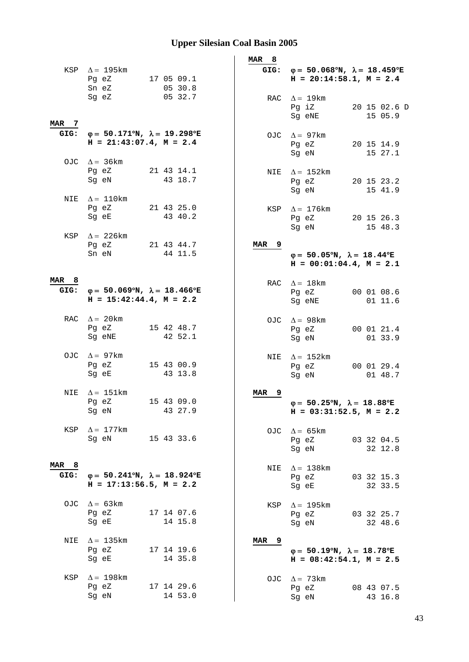|                          | KSP $\Delta = 195$ km<br>Pg eZ                                                            |            | 17 05 09.1            |  | MAR <sub>8</sub> | GIG: $\varphi = 50.068^{\circ}N$ , $\lambda = 18.459^{\circ}E$<br>$H = 20:14:58.1, M = 2.4$      |                         |  |
|--------------------------|-------------------------------------------------------------------------------------------|------------|-----------------------|--|------------------|--------------------------------------------------------------------------------------------------|-------------------------|--|
| MAR 7                    | Sn eZ<br>Sg eZ                                                                            |            | 05 30.8<br>05 32.7    |  | RAC              | $\Delta = 19 \text{km}$<br>Pg iZ<br>Sg eNE                                                       | 20 15 02.6 D<br>15 05.9 |  |
| GIG:                     | $\varphi = 50.171^{\circ}N$ , $\lambda = 19.298^{\circ}E$<br>$H = 21:43:07.4$ , $M = 2.4$ |            |                       |  |                  | OJC $\Delta = 97 \text{km}$<br>Pg eZ<br>Sq eN                                                    | 20 15 14.9<br>15 27.1   |  |
|                          | OJC $\Delta = 36 \text{km}$<br>Pg eZ<br>Sg eN                                             |            | 21 43 14.1<br>43 18.7 |  | NIE              | $\Delta = 152 \text{km}$<br>Pg eZ<br>Sg eN                                                       | 20 15 23.2<br>15 41.9   |  |
| NIE                      | $\Delta = 110 \mathrm{km}$<br>Pg eZ<br>Sg eE                                              |            | 21 43 25.0<br>43 40.2 |  | KSP              | $\Delta = 176$ km<br>Pg eZ                                                                       | 20 15 26.3              |  |
| KSP                      | $\Delta = 226$ km<br>Pq eZ<br>Sn eN                                                       |            | 21 43 44.7<br>44 11.5 |  | MAR <sub>9</sub> | Sg eN<br>$\varphi = 50.05^{\circ}N$ , $\lambda = 18.44^{\circ}E$<br>$H = 00:01:04.4$ , $M = 2.1$ | 15 48.3                 |  |
| MAR <sub>8</sub><br>GIG: | $\varphi = 50.069^{\circ}N$ , $\lambda = 18.466^{\circ}E$<br>$H = 15:42:44.4$ , $M = 2.2$ |            |                       |  |                  | RAC $\Delta = 18$ km<br>Pg eZ<br>Sg eNE                                                          | 00 01 08.6<br>01 11.6   |  |
|                          | RAC $\Delta = 20$ km<br>Pg eZ<br>Sg eNE                                                   |            | 15 42 48.7<br>42 52.1 |  |                  | OJC $\Delta = 98$ km<br>Pg eZ<br>Sg eN                                                           | 00 01 21.4<br>01 33.9   |  |
|                          | OJC $\Delta = 97$ km<br>Pq eZ<br>Sg eE                                                    |            | 15 43 00.9<br>43 13.8 |  | NIE              | $\Delta = 152 \text{km}$<br>Pg eZ<br>Sg eN                                                       | 00 01 29.4<br>01 48.7   |  |
| NIE                      | $\Delta = 151 \text{km}$<br>Pg eZ<br>Sq eN                                                |            | 15 43 09.0<br>43 27.9 |  | 9<br><b>MAR</b>  | $\varphi = 50.25^{\circ}N$ , $\lambda = 18.88^{\circ}E$<br>$H = 03:31:52.5$ , $M = 2.2$          |                         |  |
| KSP                      | $\Delta = 177$ km<br>Sq eN<br>15 43 33.6                                                  |            |                       |  | OJC              | $\Delta = 65 \text{km}$<br>Pg eZ<br>Sg eN                                                        | 03 32 04.5<br>32 12.8   |  |
| MAR <sub>8</sub><br>GIG: | $\varphi = 50.241^{\circ}N$ , $\lambda = 18.924^{\circ}E$<br>$H = 17:13:56.5$ , $M = 2.2$ |            |                       |  | NIE              | $\Delta = 138$ km<br>Pg eZ<br>Sg eE                                                              | 03 32 15.3<br>32 33.5   |  |
|                          | OJC $\Delta = 63 \text{km}$<br>Pg eZ<br>Sg eE                                             | 17 14 07.6 | 14 15.8               |  | KSP              | $\Delta = 195$ km<br>Pg eZ<br>Sg eN                                                              | 03 32 25.7<br>32 48.6   |  |
| NIE                      | $\Delta = 135$ km<br>Pg eZ<br>Sg eE                                                       |            | 17 14 19.6<br>14 35.8 |  | MAR 9            | $\varphi = 50.19^{\circ}N$ , $\lambda = 18.78^{\circ}E$<br>$H = 08:42:54.1, M = 2.5$             |                         |  |
| KSP                      | $\Delta = 198$ km<br>Pg eZ<br>Sg eN                                                       |            | 17 14 29.6<br>14 53.0 |  | OJC              | $\Delta = 73$ km<br>Pg eZ<br>Sg eN                                                               | 08 43 07.5<br>43 16.8   |  |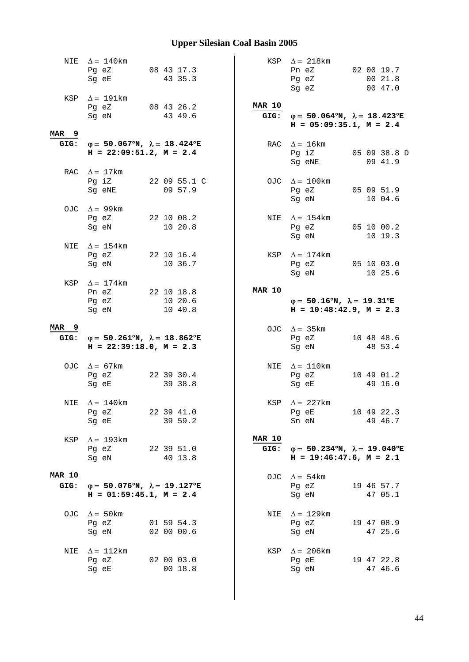|                                 | NIE $\Delta = 140$ km<br>Pg eZ<br>Sg eE                                                     | 08 43 17.3<br>43 35.3            |                       | KSP $\Delta = 218 \text{km}$<br>Pn eZ<br>Pg eZ<br>Sg eZ                                     | 02 00 19.7<br>00 21.8<br>00 47.0 |
|---------------------------------|---------------------------------------------------------------------------------------------|----------------------------------|-----------------------|---------------------------------------------------------------------------------------------|----------------------------------|
|                                 | KSP $\Delta = 191 \text{km}$<br>Pg eZ<br>Sg eN                                              | 08 43 26.2<br>43 49.6            | <b>MAR 10</b>         | GIG: $\varphi = 50.064^{\circ}N$ , $\lambda = 18.423^{\circ}E$<br>$H = 05:09:35.1, M = 2.4$ |                                  |
| MAR <sub>9</sub>                | GIG: $\varphi = 50.067^{\circ}N$ , $\lambda = 18.424^{\circ}E$<br>$H = 22:09:51.2, M = 2.4$ |                                  | RAC                   | $\Delta = 16 \text{km}$<br>Pg iZ<br>Sg eNE                                                  | 05 09 38.8 D<br>09 41.9          |
|                                 | RAC $\Delta = 17$ km<br>Pg iZ<br>Sg eNE                                                     | 22 09 55.1 C<br>09 57.9          |                       | OJC $\Delta = 100$ km<br>Pg eZ 05 09 51.9<br>Sg eN                                          | 10 04.6                          |
|                                 | OJC $\Delta = 99 \text{km}$<br>Pg eZ 22 10 08.2<br>Sg eN                                    | 10 20.8                          | NIE                   | $\Delta = 154 \text{km}$<br>Pg eZ 05 10 00.2<br>Sq eN                                       | 10 19.3                          |
| NIE                             | $\Delta = 154$ km<br>Pg eZ 22 10 16.4<br>Sq eN                                              | 10 36.7                          | KSP                   | $\Delta = 174$ km<br>Pg eZ<br>Sg eN                                                         | 05 10 03.0<br>10 25.6            |
|                                 | KSP $\Delta = 174$ km<br>Pn eZ<br>Pg eZ<br>Sg eN                                            | 22 10 18.8<br>10 20.6<br>10 40.8 | <b>MAR 10</b>         | $\varphi = 50.16^{\circ}N$ , $\lambda = 19.31^{\circ}E$<br>$H = 10:48:42.9$ , $M = 2.3$     |                                  |
| MAR <sub>9</sub><br>GIG:        | $φ = 50.261°N, λ = 18.862°E$<br>$H = 22:39:18.0, M = 2.3$                                   |                                  |                       | OJC $\Delta = 35 \text{km}$<br>Pg eZ<br>Sg eN                                               | 10 48 48.6<br>48 53.4            |
|                                 | OJC $\Delta = 67 \text{km}$<br>Pg eZ<br>Sg eE                                               | 22 39 30.4<br>39 38.8            |                       | NIE $\Delta = 110$ km<br>Pg eZ<br>Sq eE                                                     | 10 49 01.2<br>49 16.0            |
|                                 | NIE $\Delta = 140$ km<br>Pg eZ<br>Sg eE                                                     | 22 39 41.0<br>39 59.2            |                       | KSP $\Delta = 227$ km<br>Pg eE<br>Sn eN                                                     | 10 49 22.3<br>49 46.7            |
| KSP                             | $\Delta$ = 193km<br>Pg eZ<br>Sg eN                                                          | 22 39 51.0<br>40 13.8            | <b>MAR 10</b><br>GIG: | $\varphi = 50.234^{\circ}N$ , $\lambda = 19.040^{\circ}E$<br>$H = 19:46:47.6$ , $M = 2.1$   |                                  |
| <b>MAR 10</b><br>GIG:           | $\varphi = 50.076^{\circ}N$ , $\lambda = 19.127^{\circ}E$<br>$H = 01:59:45.1, M = 2.4$      |                                  | OJC                   | $\Delta = 54 \text{km}$<br>Pg eZ<br>Sg eN                                                   | 19 46 57.7<br>47 05.1            |
|                                 | OJC $\Delta = 50 \text{km}$<br>Pg eZ<br>Sg eN                                               | 01 59 54.3<br>02 00 00.6         | NIE                   | $\Delta = 129$ km<br>Pg eZ<br>Sg eN                                                         | 19 47 08.9<br>47 25.6            |
| $\Delta = 112 \text{km}$<br>NIE |                                                                                             |                                  | KSP                   | $\Delta$ = 206 km                                                                           |                                  |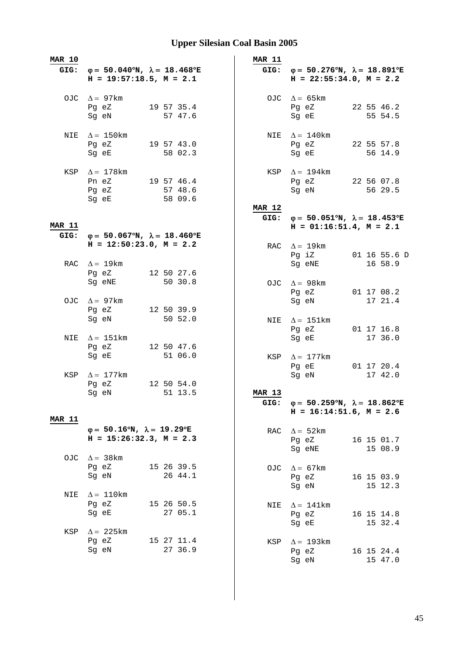| <b>MAR 10</b> |                                                                                           | MAR 11                |                                                                                             |                         |
|---------------|-------------------------------------------------------------------------------------------|-----------------------|---------------------------------------------------------------------------------------------|-------------------------|
| GIG:          | $\varphi = 50.040^{\circ}N$ , $\lambda = 18.468^{\circ}E$<br>$H = 19:57:18.5$ , $M = 2.1$ |                       | GIG: $\varphi = 50.276^{\circ}N$ , $\lambda = 18.891^{\circ}E$<br>$H = 22:55:34.0, M = 2.2$ |                         |
|               | OJC $\Delta = 97 \text{km}$<br>19 57 35.4<br>Pg eZ<br>Sg eN<br>57 47.6                    |                       | OJC $\Delta = 65 \text{km}$<br>Pg eZ<br>Sg eE                                               | 22 55 46.2<br>55 54.5   |
| NIE           | $\Delta = 150$ km<br>19 57 43.0<br>Pg eZ<br>58 02.3<br>Sg eE                              |                       | NIE $\Delta = 140$ km<br>Pg eZ<br>Sg eE                                                     | 22 55 57.8<br>56 14.9   |
|               | KSP $\Delta = 178$ km<br>Pn eZ 19 57 46.4<br>Pg eZ<br>57 48.6<br>58 09.6<br>Sg eE         | KSP                   | $\Delta = 194 \text{km}$<br>Pg eZ<br>Sg eN                                                  | 22 56 07.8<br>56 29.5   |
|               |                                                                                           | <b>MAR 12</b>         | GIG: $\varphi = 50.051^{\circ}N$ , $\lambda = 18.453^{\circ}E$                              |                         |
| <b>MAR 11</b> |                                                                                           |                       | $H = 01:16:51.4$ , $M = 2.1$                                                                |                         |
| GIG:          | $\varphi = 50.067^{\circ}N$ , $\lambda = 18.460^{\circ}E$                                 |                       |                                                                                             |                         |
|               | $H = 12:50:23.0, M = 2.2$<br>RAC $\Delta = 19$ km                                         |                       | RAC $\Delta = 19$ km<br>Pq iZ<br>Sq eNE                                                     | 01 16 55.6 D<br>16 58.9 |
|               | 12 50 27.6<br>Pg eZ                                                                       |                       |                                                                                             |                         |
|               | Sg eNE<br>50 30.8                                                                         |                       | OJC $\Delta = 98$ km<br>Pg eZ                                                               | 01 17 08.2              |
|               | OJC $\Delta = 97$ km                                                                      |                       | Sg eN                                                                                       | 17 21.4                 |
|               | 12 50 39.9<br>Pg eZ<br>50 52.0<br>Sg eN                                                   |                       | NIE $\Delta = 151 \text{km}$<br>Pg eZ                                                       | 01 17 16.8              |
| NIE           | $\Delta = 151 \text{km}$                                                                  |                       | Sg eE                                                                                       | 17 36.0                 |
|               | Pg eZ<br>12 50 47.6<br>51 06.0<br>Sg eE                                                   | KSP                   | $\Delta = 177$ km<br>Pg eE                                                                  | 01 17 20.4              |
| KSP           | $\Delta = 177$ km                                                                         |                       | Sg eN                                                                                       | 17 42.0                 |
|               | Pg eZ<br>12 50 54.0<br>Sg eN<br>51 13.5                                                   | <b>MAR 13</b><br>GIG: | $\varphi = 50.259^{\circ}N$ , $\lambda = 18.862^{\circ}E$<br>$H = 16:14:51.6$ , $M = 2.6$   |                         |
| <b>MAR 11</b> |                                                                                           |                       |                                                                                             |                         |
|               | $\varphi = 50.16^{\circ}N$ , $\lambda = 19.29^{\circ}E$<br>$H = 15:26:32.3, M = 2.3$      | RAC                   | $\Delta = 52 \text{km}$<br>Pg eZ<br>Sg eNE                                                  | 16 15 01.7<br>15 08.9   |
| OJC           | $\Delta = 38$ km<br>Pg eZ<br>15 26 39.5<br>26 44.1<br>Sg eN                               | OJC                   | $\Delta = 67 \text{km}$                                                                     |                         |
| NIE           | $\Delta = 110 \mathrm{km}$                                                                |                       | Pg eZ<br>Sg eN                                                                              | 16 15 03.9<br>15 12.3   |
|               | Pg eZ<br>15 26 50.5<br>Sg eE<br>27 05.1                                                   | NIE                   | $\Delta = 141$ km<br>Pg eZ<br>Sg eE                                                         | 16 15 14.8<br>15 32.4   |
| KSP           | $\Delta$ = 225 km<br>Pg eZ<br>15 27 11.4<br>27 36.9<br>Sg eN                              | KSP                   | $\Delta = 193$ km<br>Pg eZ<br>Sg eN                                                         | 16 15 24.4<br>15 47.0   |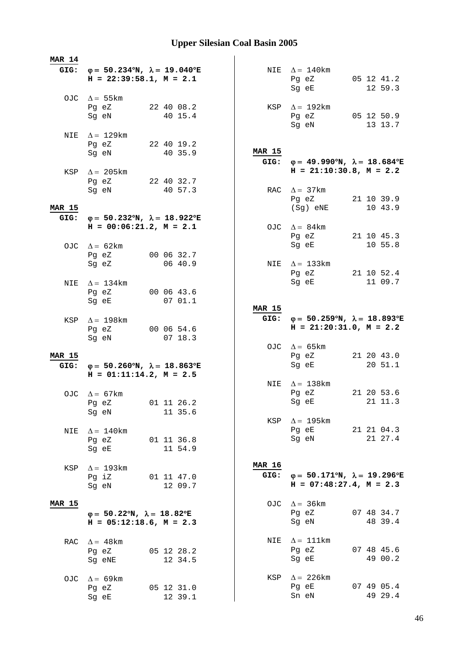| <b>MAR 14</b> |                                                                |                       |               |                                                                |                       |
|---------------|----------------------------------------------------------------|-----------------------|---------------|----------------------------------------------------------------|-----------------------|
|               | GIG: $\varphi = 50.234^{\circ}N$ , $\lambda = 19.040^{\circ}E$ |                       |               | NIE $\Delta = 140$ km                                          |                       |
|               | $H = 22:39:58.1, M = 2.1$                                      |                       |               | Pg eZ                                                          | 05 12 41.2            |
|               |                                                                |                       |               | Sg eE                                                          | 12 59.3               |
|               | OJC $\Delta = 55 \text{km}$                                    |                       |               |                                                                |                       |
|               | Pg eZ                                                          | 22 40 08.2            |               | KSP $\Delta = 192$ km                                          |                       |
|               | Sg eN                                                          | 40 15.4               |               | Pg eZ 05 12 50.9<br>Sg eN                                      |                       |
|               |                                                                |                       |               |                                                                | 13 13.7               |
|               | NIE $\Delta = 129$ km<br>Pg eZ 22 40 19.2                      |                       |               |                                                                |                       |
|               | Sg eN                                                          | 40 35.9               | <b>MAR 15</b> |                                                                |                       |
|               |                                                                |                       |               | GIG: $\varphi = 49.990^{\circ}N$ , $\lambda = 18.684^{\circ}E$ |                       |
|               | KSP $\Delta$ = 205 km                                          |                       |               | $H = 21:10:30.8$ , $M = 2.2$                                   |                       |
|               | Pg eZ 22 40 32.7                                               |                       |               |                                                                |                       |
|               | Sg eN                                                          | 40 57.3               |               | RAC $\Delta = 37 \text{km}$                                    |                       |
| <b>MAR 15</b> |                                                                |                       |               | Pg eZ 21 10 39.9<br>(Sg) eNE                                   | 10 43.9               |
| GIG:          | $φ = 50.232oN, λ = 18.922oE$                                   |                       |               |                                                                |                       |
|               | $H = 00:06:21.2$ , $M = 2.1$                                   |                       |               | OJC $\Delta = 84 \text{km}$                                    |                       |
|               |                                                                |                       |               | Pg eZ 21 10 45.3                                               |                       |
|               | OJC $\Delta = 62 \text{km}$                                    |                       |               | Sq eE                                                          | 10 55.8               |
|               | Pg eZ 00 06 32.7                                               |                       |               |                                                                |                       |
|               | Sq eZ                                                          | 06 40.9               |               | NIE $\Delta = 133$ km                                          |                       |
|               |                                                                |                       |               | Pg eZ<br>Sg eE                                                 | 21 10 52.4            |
| NIE           | $\Delta = 134$ km<br>Pg eZ                                     | 00 06 43.6            |               |                                                                | 11 09.7               |
|               | Sg eE                                                          | 0701.1                |               |                                                                |                       |
|               |                                                                |                       | MAR 15        |                                                                |                       |
| KSP           | $\Delta = 198$ km                                              |                       |               | GIG: $\varphi = 50.259^{\circ}N$ , $\lambda = 18.893^{\circ}E$ |                       |
|               | Pg eZ                                                          | 00 06 54.6            |               | $H = 21:20:31.0, M = 2.2$                                      |                       |
|               | Sg eN                                                          | 0718.3                |               |                                                                |                       |
|               |                                                                |                       |               | OJC $\Delta = 65 \text{km}$                                    |                       |
| <b>MAR 15</b> | GIG: $\varphi = 50.260^{\circ}N$ , $\lambda = 18.863^{\circ}E$ |                       |               | Pg eZ<br>Sg eE                                                 | 21 20 43.0<br>20 51.1 |
|               | $H = 01:11:14.2, M = 2.5$                                      |                       |               |                                                                |                       |
|               |                                                                |                       |               | NIE $\Delta = 138$ km                                          |                       |
|               | OJC $\Delta = 67$ km                                           |                       |               | Pg eZ                                                          | 21 20 53.6            |
|               | Pg eZ 01 11 26.2                                               |                       |               | Sq eE 21 11.3                                                  |                       |
|               | Sg eN                                                          | 11 35.6               |               |                                                                |                       |
|               |                                                                |                       |               | KSP $\Delta = 195$ km                                          |                       |
| NIE           | $\Delta = 140$ km                                              | 01 11 36.8            |               | Pg eE<br>Sg eN                                                 | 21 21 04.3<br>21 27.4 |
|               | Pg eZ<br>Sg eE                                                 | 11 54.9               |               |                                                                |                       |
|               |                                                                |                       |               |                                                                |                       |
| KSP           | $\Delta$ = 193km                                               |                       | <b>MAR 16</b> |                                                                |                       |
|               | Pg iZ                                                          | 01 11 47.0            | GIG:          | $\varphi = 50.171^{\circ}N$ , $\lambda = 19.296^{\circ}E$      |                       |
|               |                                                                |                       |               |                                                                |                       |
|               | Sg eN                                                          | 12 09.7               |               | $H = 07:48:27.4$ , $M = 2.3$                                   |                       |
| <b>MAR 15</b> |                                                                |                       |               |                                                                |                       |
|               |                                                                |                       |               | OJC $\Delta = 36 \text{km}$                                    |                       |
|               | $\varphi = 50.22^{\circ}N$ , $\lambda = 18.82^{\circ}E$        |                       |               | Pg eZ                                                          | 07 48 34.7            |
|               | $H = 05:12:18.6$ , $M = 2.3$                                   |                       |               | Sg eN                                                          | 48 39.4               |
| RAC           |                                                                |                       | NIE           | $\Delta = 111$ km                                              |                       |
|               | $\Delta = 48 \text{km}$<br>Pg eZ                               | 05 12 28.2            |               | Pg eZ                                                          | 07 48 45.6            |
|               | Sg eNE                                                         | 12 34.5               |               | Sg eE                                                          | 49 00.2               |
|               |                                                                |                       |               |                                                                |                       |
| OJC.          | $\Delta = 69$ km                                               |                       |               | KSP $\Delta$ = 226km                                           |                       |
|               | Pg eZ<br>Sg eE                                                 | 05 12 31.0<br>12 39.1 |               | Pg eE<br>Sn eN                                                 | 07 49 05.4<br>49 29.4 |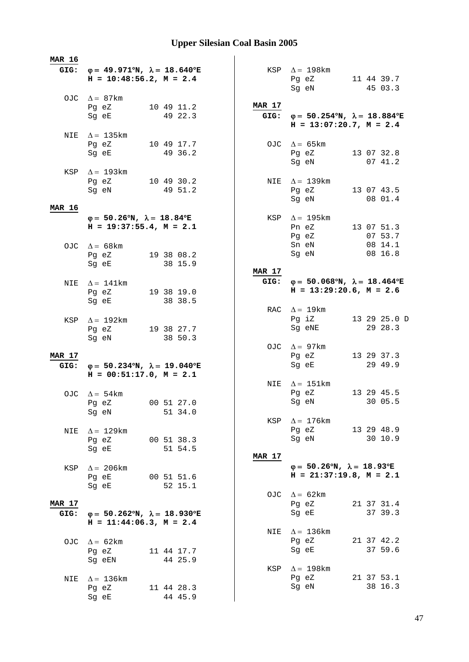| <b>MAR 16</b> |                                                                                                                                    |                       |               |                                                                |              |
|---------------|------------------------------------------------------------------------------------------------------------------------------------|-----------------------|---------------|----------------------------------------------------------------|--------------|
|               | GIG: $\varphi = 49.971^{\circ}N$ , $\lambda = 18.640^{\circ}E$<br>$H = 10:48:56.2, M = 2.4$                                        |                       |               | KSP $\Delta = 198$ km<br>Pg eZ                                 | 11 44 39.7   |
|               |                                                                                                                                    |                       |               | Sg eN                                                          | 45 03.3      |
|               | OJC $\Delta = 87$ km                                                                                                               |                       | MAR 17        |                                                                |              |
|               | Pg eZ<br>Sg eE                                                                                                                     | 10 49 11.2<br>49 22.3 |               | GIG: $\varphi = 50.254^{\circ}N$ , $\lambda = 18.884^{\circ}E$ |              |
|               |                                                                                                                                    |                       |               | $H = 13:07:20.7$ , $M = 2.4$                                   |              |
|               | NIE $\Delta = 135 \text{km}$                                                                                                       |                       |               |                                                                |              |
|               | Pg eZ 10 49 17.7<br>Sg eE                                                                                                          | 49 36.2               |               | OJC $\Delta = 65 \text{km}$<br>Pg eZ                           | 13 07 32.8   |
|               |                                                                                                                                    |                       |               | Sg eN                                                          | 07 41.2      |
|               | KSP $\Delta = 193 \text{km}$                                                                                                       |                       |               |                                                                |              |
|               | Pg eZ 10 49 30.2<br>Sg eN                                                                                                          | 49 51.2               |               | NIE $\Delta = 139$ km<br>Pg eZ 13 07 43.5                      |              |
|               |                                                                                                                                    |                       |               | Sg eN                                                          | 08 01.4      |
| <b>MAR 16</b> |                                                                                                                                    |                       |               |                                                                |              |
|               | $\varphi = 50.26^{\circ}N$ , $\lambda = 18.84^{\circ}E$<br>$H = 19:37:55.4, M = 2.1$                                               |                       | KSP           | $\Delta$ = 195 km<br>Pn eZ 13 07 51.3                          |              |
|               |                                                                                                                                    |                       |               | Pg eZ                                                          | 07 53.7      |
|               | OJC $\Delta = 68 \text{km}$                                                                                                        |                       |               | Sn eN                                                          | 08 14.1      |
|               | Pg eZ 19 38 08.2<br>Sg eE and the state of the state of the state of the state of the state of the state of the state of the state | 38 15.9               |               | Sg eN                                                          | 08 16.8      |
|               |                                                                                                                                    |                       | <b>MAR 17</b> |                                                                |              |
| NIE           | $\Delta = 141$ km                                                                                                                  |                       |               | GIG: $\varphi = 50.068^{\circ}N$ , $\lambda = 18.464^{\circ}E$ |              |
|               | Pg eZ                                                                                                                              | 19 38 19.0            |               | $H = 13:29:20.6$ , $M = 2.6$                                   |              |
|               | Sg eE                                                                                                                              | 38 38.5               |               | RAC $\Delta = 19$ km                                           |              |
| KSP           | $\Delta = 192 \text{km}$                                                                                                           |                       |               | Pg iZ                                                          | 13 29 25.0 D |
|               | Pg eZ                                                                                                                              | 19 38 27.7            |               | Sg eNE                                                         | 29 28.3      |
|               | Sg eN                                                                                                                              | 38 50.3               |               | OJC $\Delta = 97 \text{km}$                                    |              |
| MAR 17        |                                                                                                                                    |                       |               | Pg eZ                                                          | 13 29 37.3   |
| GIG:          | $\varphi = 50.234^{\circ}N$ , $\lambda = 19.040^{\circ}E$                                                                          |                       |               | Sg eE                                                          | 29 49.9      |
|               | $H = 00:51:17.0, M = 2.1$                                                                                                          |                       |               | NIE $\Delta = 151 \text{km}$                                   |              |
|               | OJC $\Delta = 54 \text{km}$                                                                                                        |                       |               | Pg eZ                                                          | 13 29 45.5   |
|               | Pg eZ 00 51 27.0                                                                                                                   |                       |               | Sg eN                                                          | 30 05.5      |
|               | Sq eN                                                                                                                              | 51 34.0               | KSP           | $\Delta = 176$ km                                              |              |
| NIE           | $\Delta = 129$ km                                                                                                                  |                       |               | Pg eZ 13 29 48.9                                               |              |
|               | Pg eZ                                                                                                                              | 00 51 38.3            |               | Sg eN                                                          | 30 10.9      |
|               | Sg eE                                                                                                                              | 51 54.5               | <b>MAR 17</b> |                                                                |              |
| KSP           | $\Delta = 206 \text{km}$                                                                                                           |                       |               | $\varphi = 50.26^{\circ}N$ , $\lambda = 18.93^{\circ}E$        |              |
|               | Pg eE                                                                                                                              | 00 51 51.6            |               | $H = 21:37:19.8$ , $M = 2.1$                                   |              |
|               | Sq eE                                                                                                                              | 52 15.1               |               |                                                                |              |
| <b>MAR 17</b> |                                                                                                                                    |                       |               | OJC $\Delta = 62 \text{km}$<br>Pg eZ                           | 21 37 31.4   |
| GIG:          | $\varphi = 50.262^{\circ}N$ , $\lambda = 18.930^{\circ}E$                                                                          |                       |               | Sg eE                                                          | 37 39.3      |
|               | $H = 11:44:06.3, M = 2.4$                                                                                                          |                       |               |                                                                |              |
|               |                                                                                                                                    |                       | NIE           | $\Delta$ = 136km<br>Pg eZ                                      | 21 37 42.2   |
|               | OJC $\Delta = 62 \text{km}$<br>Pg eZ                                                                                               | 11 44 17.7            |               | Sg eE                                                          | 37 59.6      |
|               | Sg eEN                                                                                                                             | 44 25.9               |               |                                                                |              |
|               |                                                                                                                                    |                       | KSP           | $\Delta = 198$ km<br>Pg eZ                                     | 21 37 53.1   |
| NIE           | $\Delta = 136$ km<br>Pg eZ                                                                                                         | 11 44 28.3            |               | Sg eN                                                          | 38 16.3      |
|               | Sg eE                                                                                                                              | 44 45.9               |               |                                                                |              |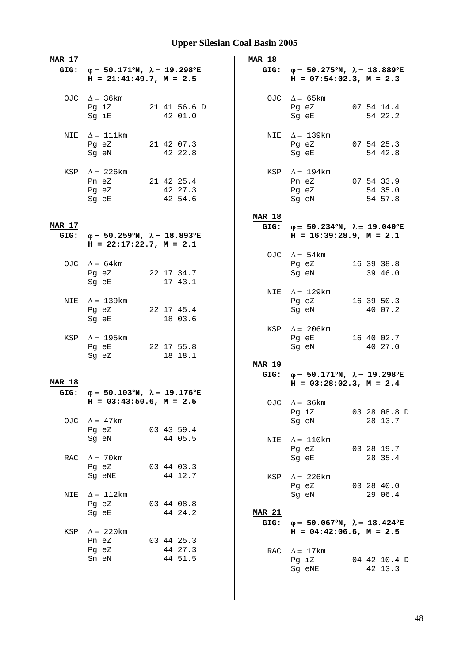| <b>MAR 17</b> |                                                                                        |  |              | <b>MAR 18</b> |                                                                                                |              |
|---------------|----------------------------------------------------------------------------------------|--|--------------|---------------|------------------------------------------------------------------------------------------------|--------------|
| GIG:          | $\varphi = 50.171^{\circ}N$ , $\lambda = 19.298^{\circ}E$<br>$H = 21:41:49.7, M = 2.5$ |  |              |               | GIG: $\varphi = 50.275^{\circ}N$ , $\lambda = 18.889^{\circ}E$<br>$H = 07:54:02.3$ , $M = 2.3$ |              |
|               | OJC $\Delta = 36 \text{km}$<br>Pg iZ                                                   |  | 21 41 56.6 D |               | OJC $\Delta = 65 \text{km}$<br>Pg eZ                                                           | 07 54 14.4   |
|               | Sg iE                                                                                  |  | 42 01.0      |               | Sg eE                                                                                          | 54 22.2      |
| NIE           | $\Delta = 111$ km<br>Pg eZ                                                             |  | 21 42 07.3   |               | NIE $\Delta = 139$ km<br>Pg eZ                                                                 | 07 54 25.3   |
|               | Sq eN                                                                                  |  | 42 22.8      |               | Sg eE                                                                                          | 54 42.8      |
|               | KSP $\Delta$ = 226 km<br>Pn eZ 21 42 25.4                                              |  |              |               | KSP $\Delta = 194$ km<br>Pn eZ 07 54 33.9                                                      |              |
|               | Pg eZ 42 27.3                                                                          |  |              |               | Pg eZ 54 35.0                                                                                  |              |
|               | Sg eE 42 54.6                                                                          |  |              |               | Sg eN 54 57.8                                                                                  |              |
|               |                                                                                        |  |              | <b>MAR 18</b> |                                                                                                |              |
| MAR 17        |                                                                                        |  |              |               | GIG: $\varphi = 50.234^{\circ}N$ , $\lambda = 19.040^{\circ}E$                                 |              |
| GIG:          | $φ = 50.259°N, λ = 18.893°E$<br>$H = 22:17:22.7$ , $M = 2.1$                           |  |              |               | $H = 16:39:28.9, M = 2.1$                                                                      |              |
|               |                                                                                        |  |              |               | OJC $\Delta = 54 \text{km}$                                                                    |              |
|               | OJC $\Delta = 64 \text{km}$                                                            |  |              |               | Pg eZ                                                                                          | 16 39 38.8   |
|               | Pg eZ 22 17 34.7<br>Sg eE                                                              |  | 17 43.1      |               | Sg eN                                                                                          | 39 46.0      |
|               |                                                                                        |  |              |               | NIE $\Delta = 129$ km                                                                          |              |
|               | NIE $\Delta = 139$ km                                                                  |  |              |               | Pg eZ                                                                                          | 16 39 50.3   |
|               | Pg eZ 22 17 45.4                                                                       |  |              |               | Sg eN                                                                                          | 40 07.2      |
|               | Sg eE                                                                                  |  | 18 03.6      |               |                                                                                                |              |
|               |                                                                                        |  |              | KSP           | $\Delta = 206 \text{km}$                                                                       |              |
|               | KSP $\Delta = 195 \text{km}$                                                           |  |              |               | Pg eE 16 40 02.7                                                                               |              |
|               | Pg eE 22 17 55.8                                                                       |  |              |               | Sg eN                                                                                          | 40 27.0      |
|               | Sg eZ                                                                                  |  | 18 18.1      |               |                                                                                                |              |
|               |                                                                                        |  |              | <b>MAR 19</b> |                                                                                                |              |
| <b>MAR 18</b> |                                                                                        |  |              |               | GIG: $\varphi = 50.171^{\circ}N$ , $\lambda = 19.298^{\circ}E$<br>$H = 03:28:02.3, M = 2.4$    |              |
| GIG:          | $\varphi = 50.103^{\circ}N$ , $\lambda = 19.176^{\circ}E$                              |  |              |               |                                                                                                |              |
|               | $H = 03:43:50.6$ , $M = 2.5$                                                           |  |              |               | OJC $\Delta = 36 \text{km}$                                                                    |              |
|               |                                                                                        |  |              |               | Pg iZ                                                                                          | 03 28 08.8 D |
| OJC           | $\Delta = 47$ km                                                                       |  |              |               | Sg eN                                                                                          | 28 13.7      |
|               | Pg eZ                                                                                  |  | 03 43 59.4   |               |                                                                                                |              |
|               | Sg eN                                                                                  |  | 44 05.5      | NIE           | $\Delta = 110$ km                                                                              |              |
|               |                                                                                        |  |              |               | Pg eZ                                                                                          | 03 28 19.7   |
| RAC           | $\Delta$ = 70 km                                                                       |  |              |               | Sg eE                                                                                          | 28 35.4      |
|               | Pg eZ                                                                                  |  | 03 44 03.3   |               |                                                                                                |              |
|               | Sg eNE                                                                                 |  | 44 12.7      | KSP           | $\Delta$ = 226 km                                                                              |              |
|               |                                                                                        |  |              |               | Pg eZ                                                                                          | 03 28 40.0   |
| NIE           | $\Delta = 112 \text{km}$                                                               |  |              |               | Sg eN                                                                                          | 29 06.4      |
|               | Pg eZ                                                                                  |  | 03 44 08.8   |               |                                                                                                |              |
|               | Sg eE                                                                                  |  | 44 24.2      | <b>MAR 21</b> |                                                                                                |              |
|               |                                                                                        |  |              | GIG:          | $\varphi = 50.067^{\circ}N$ , $\lambda = 18.424^{\circ}E$                                      |              |
| KSP           | $\Delta$ = 220 km                                                                      |  |              |               | $H = 04:42:06.6$ , $M = 2.5$                                                                   |              |
|               | Pn eZ                                                                                  |  | 03 44 25.3   |               |                                                                                                |              |
|               | Pg eZ                                                                                  |  | 44 27.3      | RAC           | $\Delta = 17$ km                                                                               |              |
|               | Sn eN                                                                                  |  | 44 51.5      |               | Pg iZ                                                                                          | 04 42 10.4 D |
|               |                                                                                        |  |              |               | Sg eNE                                                                                         | 42 13.3      |
|               |                                                                                        |  |              |               |                                                                                                |              |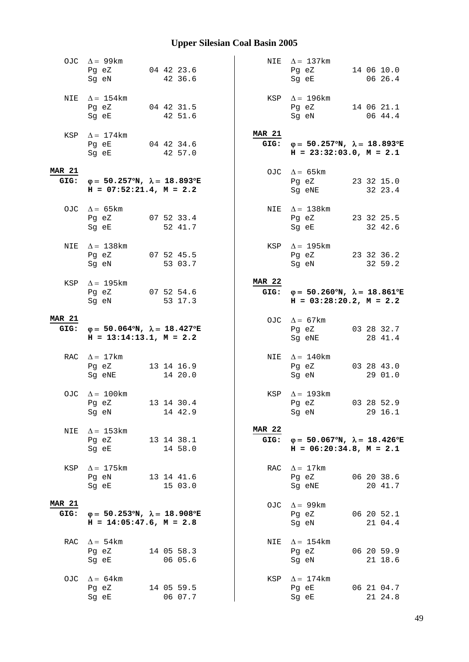|                       | OJC $\Delta = 99 \text{km}$<br>Pg eZ 04 42 23.6<br>Sg eN                                    | 42 36.6               |                       | NIE $\Delta = 137$ km<br>Pg eZ 14 06 10.0<br>Sg eE                                                                                                          | 06 26.4               |
|-----------------------|---------------------------------------------------------------------------------------------|-----------------------|-----------------------|-------------------------------------------------------------------------------------------------------------------------------------------------------------|-----------------------|
|                       | NIE $\Delta = 154$ km<br>Pg eZ 04 42 31.5<br>Sg eE                                          | 42 51.6               |                       | KSP $\Delta = 196$ km<br>Pg eZ 14 06 21.1<br>Sg eN                                                                                                          | 06 44.4               |
|                       | $KSP \quad \Delta = 174 \text{km}$<br>Pg eE 04 42 34.6<br>Sq eE                             | 42 57.0               | <b>MAR 21</b>         | GIG: $\varphi = 50.257^{\circ}N$ , $\lambda = 18.893^{\circ}E$<br>$H = 23:32:03.0, M = 2.1$                                                                 |                       |
| <b>MAR 21</b>         | GIG: $\varphi = 50.257^{\circ}N$ , $\lambda = 18.893^{\circ}E$<br>$H = 07:52:21.4, M = 2.2$ |                       |                       | OJC $\Delta = 65 \text{km}$<br>Pg eZ<br>Sg eNE                                                                                                              | 23 32 15.0<br>32 23.4 |
|                       | OJC $\Delta = 65 \text{km}$<br>Pg eZ 07 52 33.4<br>Sg eE 52 41.7                            |                       |                       | NIE $\Delta = 138$ km<br>Pq eZ 23 32 25.5<br>Sg eE and the state of the state of the state of the state of the state of the state of the state of the state | 32 42.6               |
| NIE                   | $\Delta = 138$ km<br>Pg eZ 07 52 45.5<br>Sg eN 53 03.7                                      |                       |                       | KSP $\Delta = 195 \text{km}$<br>Pg eZ 23 32 36.2<br>Sg eN                                                                                                   | 32 59.2               |
| KSP                   | $\Delta = 195$ km<br>Pg eZ 07 52 54.6<br>Sg eN                                              | 53 17.3               | <b>MAR 22</b>         | GIG: $\varphi = 50.260^{\circ}N$ , $\lambda = 18.861^{\circ}E$<br>$H = 03:28:20.2, M = 2.2$                                                                 |                       |
| <b>MAR 21</b>         | GIG: $\varphi = 50.064^{\circ}N$ , $\lambda = 18.427^{\circ}E$<br>$H = 13:14:13.1, M = 2.2$ |                       |                       | OJC $\Delta = 67 \text{km}$<br>Pg eZ<br>Sg eNE                                                                                                              | 03 28 32.7<br>28 41.4 |
|                       | RAC $\Delta = 17 \text{km}$<br>Pg eZ<br>Sg eNE                                              | 13 14 16.9<br>14 20.0 |                       | NIE $\Delta = 140$ km<br>Pg eZ 03 28 43.0<br>Sg eN                                                                                                          | 29 01.0               |
|                       | OJC $\Delta = 100 \text{km}$<br>Pg eZ 13 14 30.4<br>Sg eN                                   | 14 42.9               |                       | KSP $\Delta = 193 \text{km}$<br>Pg eZ<br>Sg eN                                                                                                              | 03 28 52.9<br>29 16.1 |
| NIE                   | $\Delta$ = 153 km<br>Pg eZ<br>Sg eE                                                         | 13 14 38.1<br>14 58.0 | <b>MAR 22</b><br>GIG: | $\varphi = 50.067^{\circ}N$ , $\lambda = 18.426^{\circ}E$<br>$H = 06:20:34.8$ , $M = 2.1$                                                                   |                       |
| KSP                   | $\Delta = 175$ km<br>Pg eN<br>Sg eE                                                         | 13 14 41.6<br>15 03.0 | RAC                   | $\Delta = 17 \text{km}$<br>Pg eZ<br>Sg eNE                                                                                                                  | 06 20 38.6<br>20 41.7 |
| <b>MAR 21</b><br>GIG: | $\varphi = 50.253^{\circ}N$ , $\lambda = 18.908^{\circ}E$<br>$H = 14:05:47.6$ , $M = 2.8$   |                       | OJC                   | $\Delta = 99$ km<br>Pg eZ<br>Sg eN                                                                                                                          | 06 20 52.1<br>21 04.4 |
| RAC                   | $\Delta = 54 \text{km}$<br>Pg eZ<br>Sg eE                                                   | 14 05 58.3<br>06 05.6 | NIE                   | $\Delta = 154$ km<br>Pg eZ<br>Sg eN                                                                                                                         | 06 20 59.9<br>21 18.6 |
| OJC.                  | $\Delta = 64$ km<br>Pg eZ                                                                   | 14 05 59.5            | KSP                   | $\Delta = 174$ km<br>Pg eE                                                                                                                                  | 06 21 04.7            |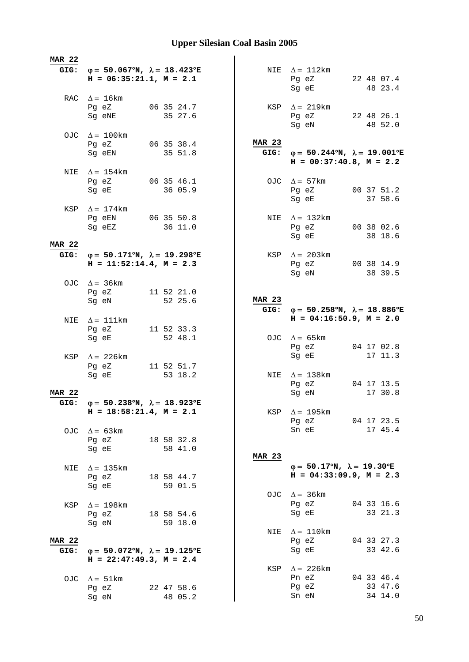| <b>MAR 22</b>         |                                                                                                                          |                       |               |                                                                                                |                       |
|-----------------------|--------------------------------------------------------------------------------------------------------------------------|-----------------------|---------------|------------------------------------------------------------------------------------------------|-----------------------|
|                       | GIG: $\varphi = 50.067^{\circ}N$ , $\lambda = 18.423^{\circ}E$<br>$H = 06:35:21.1, M = 2.1$                              |                       |               | NIE $\Delta = 112 \text{km}$<br>Pg eZ<br>Sg eE                                                 | 22 48 07.4<br>48 23.4 |
|                       | RAC $\Delta = 16 \text{km}$<br>Pg eZ<br>Sg eNE                                                                           | 06 35 24.7<br>35 27.6 |               | KSP $\Delta = 219 \text{km}$<br>Pg eZ 22 48 26.1                                               |                       |
|                       | OJC $\Delta = 100 \text{km}$                                                                                             |                       |               | Sg eN                                                                                          | 48 52.0               |
|                       | Pg eZ<br>Sg eEN                                                                                                          | 06 35 38.4<br>35 51.8 | <b>MAR 23</b> | GIG: $\varphi = 50.244^{\circ}N$ , $\lambda = 19.001^{\circ}E$<br>$H = 00:37:40.8$ , $M = 2.2$ |                       |
|                       | NIE $\Delta = 154$ km<br>Pg eZ 06 35 46.1<br>Sg eE                                                                       | 36 05.9               |               | OJC $\Delta = 57 \text{km}$<br>Pg eZ 00 37 51.2<br>Sg eE                                       | 37 58.6               |
|                       | KSP $\Delta = 174$ km<br>Pg eEN 06 35 50.8<br>Sg eEZ                                                                     | 36 11.0               |               | NIE $\Delta = 132 \text{km}$<br>Pg eZ 00 38 02.6                                               |                       |
| <b>MAR 22</b>         |                                                                                                                          |                       |               | Sg eE                                                                                          | 38 18.6               |
| GIG:                  | $\varphi = 50.171^{\circ}N$ , $\lambda = 19.298^{\circ}E$<br>$H = 11:52:14.4$ , $M = 2.3$<br>OJC $\Delta = 36 \text{km}$ |                       |               | KSP $\Delta$ = 203km<br>Pg eZ<br>Sg eN                                                         | 00 38 14.9<br>38 39.5 |
|                       | Pg eZ<br>Sg eN                                                                                                           | 11 52 21.0<br>52 25.6 | <b>MAR 23</b> |                                                                                                |                       |
| NIE                   | $\Delta = 111$ km                                                                                                        |                       | GIG:          | $φ = 50.258°N, λ = 18.886°E$<br>$H = 04:16:50.9$ , $M = 2.0$                                   |                       |
|                       | Pg eZ                                                                                                                    |                       |               |                                                                                                |                       |
|                       | Sg eE                                                                                                                    | 11 52 33.3<br>52 48.1 |               | OJC $\Delta = 65 \text{km}$<br>Pg eZ                                                           | 04 17 02.8            |
|                       | KSP $\Delta$ = 226km<br>Pg eZ<br>Sg eE                                                                                   | 11 52 51.7<br>53 18.2 |               | Sg eE<br>NIE $\Delta = 138$ km                                                                 | 17 11.3               |
| <b>MAR 22</b>         |                                                                                                                          |                       |               | Pg eZ<br>Sg eN                                                                                 | 04 17 13.5<br>17 30.8 |
| GIG:                  | $\varphi = 50.238^{\circ}N$ , $\lambda = 18.923^{\circ}E$<br>$H = 18:58:21.4$ , $M = 2.1$                                |                       |               | KSP $\Delta = 195$ km<br>Pg eZ                                                                 | 04 17 23.5            |
|                       | OJC $\Delta = 63 \text{km}$<br>Pg eZ<br>Sg eE                                                                            | 18 58 32.8<br>58 41.0 | <b>MAR 23</b> | Sn eE                                                                                          | 17 45.4               |
| NIE                   | $\Delta$ = 135 km<br>Pg eZ<br>Sg eE                                                                                      | 18 58 44.7<br>59 01.5 |               | $\varphi = 50.17^{\circ}N$ , $\lambda = 19.30^{\circ}E$<br>$H = 04:33:09.9, M = 2.3$           |                       |
| KSP                   | $\Delta = 198$ km<br>Pg eZ                                                                                               | 18 58 54.6            |               | OJC $\Delta = 36 \text{km}$<br>Pg eZ<br>Sg eE                                                  | 04 33 16.6<br>33 21.3 |
| <b>MAR 22</b><br>GIG: | Sg eN<br>$\varphi = 50.072$ °N, $\lambda = 19.125$ °E                                                                    | 59 18.0               | NIE           | $\Delta = 110 \mathrm{km}$<br>Pg eZ<br>Sg eE                                                   | 04 33 27.3<br>33 42.6 |
|                       | $H = 22:47:49.3$ , $M = 2.4$<br>$\Delta = 51 \text{km}$                                                                  |                       |               | KSP $\Delta = 226 \text{km}$<br>Pn eZ                                                          | 04 33 46.4            |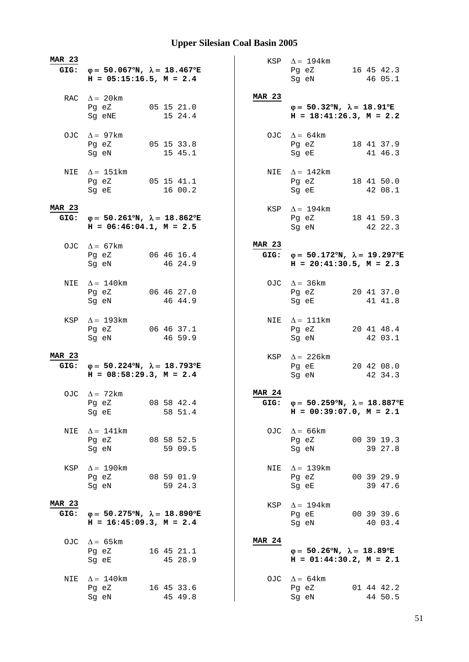| <b>MAR 23</b>         | GIG: $\varphi = 50.067^{\circ}N$ , $\lambda = 18.467^{\circ}E$<br>$H = 05:15:16.5, M = 2.4$                                                                        |                       |               | KSP $\Delta = 194 \text{km}$<br>Pg eZ 16 45 42.3<br>46 05.1<br>Sg eN                           |
|-----------------------|--------------------------------------------------------------------------------------------------------------------------------------------------------------------|-----------------------|---------------|------------------------------------------------------------------------------------------------|
|                       | RAC $\Delta = 20$ km<br>Pg eZ<br>Sg eNE                                                                                                                            | 05 15 21.0<br>15 24.4 | <b>MAR 23</b> | $\varphi = 50.32^{\circ}N$ , $\lambda = 18.91^{\circ}E$<br>$H = 18:41:26.3, M = 2.2$           |
|                       | OJC $\Delta = 97 \text{km}$<br>Pg eZ<br>Sg eN                                                                                                                      | 05 15 33.8<br>15 45.1 |               | OJC $\Delta = 64 \text{km}$<br>Pg eZ<br>18 41 37.9<br>Sg eE<br>41 46.3                         |
|                       | NIE $\Delta = 151 \text{km}$<br>Pg eZ 05 15 41.1<br>Sg eE and the state of the state of the state of the state of the state of the state of the state of the state | 16 00.2               |               | NIE $\Delta = 142$ km<br>Pg eZ 18 41 50.0<br>Sg eE<br>42 08.1                                  |
| <b>MAR 23</b>         | GIG: $\varphi = 50.261^{\circ}N$ , $\lambda = 18.862^{\circ}E$<br>$H = 06:46:04.1, M = 2.5$                                                                        |                       |               | KSP $\Delta = 194$ km<br>Pg eZ 18 41 59.3<br>Sq eN<br>42 22.3                                  |
|                       | OJC $\Delta = 67 \text{km}$<br>Pg eZ 06 46 16.4<br>Sg eN                                                                                                           | 46 24.9               | <b>MAR 23</b> | GIG: $\varphi = 50.172^{\circ}N$ , $\lambda = 19.297^{\circ}E$<br>$H = 20:41:30.5$ , $M = 2.3$ |
| NIE                   | $\Delta = 140$ km<br>Pg eZ<br>Sg eN                                                                                                                                | 06 46 27.0<br>46 44.9 |               | OJC $\Delta = 36 \text{km}$<br>Pg eZ 20 41 37.0<br>Sg eE<br>41 41.8                            |
| KSP                   | $\Delta = 193 \text{km}$<br>Pg eZ<br>Sg eN                                                                                                                         | 06 46 37.1<br>46 59.9 |               | NIE $\Delta = 111$ km<br>20 41 48.4<br>Pg eZ<br>Sg eN<br>42 03.1                               |
| <b>MAR 23</b>         | GIG: $\varphi = 50.224^{\circ}N$ , $\lambda = 18.793^{\circ}E$<br>$H = 08:58:29.3$ , $M = 2.4$                                                                     |                       |               | KSP $\Delta$ = 226km<br>20 42 08.0<br>Pg eE<br>Sg eN<br>42 34.3                                |
|                       | OJC $\Delta = 72 \text{km}$<br>Pg eZ<br>Sg eE                                                                                                                      | 08 58 42.4<br>58 51.4 | <b>MAR 24</b> | GIG: $\varphi = 50.259^{\circ}N$ , $\lambda = 18.887^{\circ}E$<br>$H = 00:39:07.0, M = 2.1$    |
| NIE                   | $\Delta = 141$ km<br>Pg eZ<br>Sg eN                                                                                                                                | 08 58 52.5<br>59 09.5 |               | OJC $\Delta = 66 \text{km}$<br>00 39 19.3<br>Pg eZ<br>Sg eN<br>39 27.8                         |
| KSP                   | $\Delta = 190$ km<br>Pg eZ<br>Sg eN                                                                                                                                | 08 59 01.9<br>59 24.3 | NIE           | $\Delta = 139 \text{km}$<br>Pg eZ<br>00 39 29.9<br>39 47.6<br>Sg eE                            |
| <b>MAR 23</b><br>GIG: | $\varphi = 50.275^{\circ}N$ , $\lambda = 18.890^{\circ}E$<br>$H = 16:45:09.3, M = 2.4$                                                                             |                       |               | KSP $\Delta = 194$ km<br>Pg eE<br>00 39 39.6<br>Sg eN<br>40 03.4                               |
|                       | OJC $\Delta = 65 \text{km}$<br>Pg eZ<br>Sg eE                                                                                                                      | 16 45 21.1<br>45 28.9 | <b>MAR 24</b> | $\varphi = 50.26^{\circ}N$ , $\lambda = 18.89^{\circ}E$<br>$H = 01:44:30.2, M = 2.1$           |
| NIE                   | $\Delta = 140$ km<br>Pg eZ<br>Sg eN                                                                                                                                | 16 45 33.6<br>45 49.8 |               | OJC $\Delta = 64 \text{km}$<br>Pg eZ<br>01 44 42.2<br>44 50.5<br>Sg eN                         |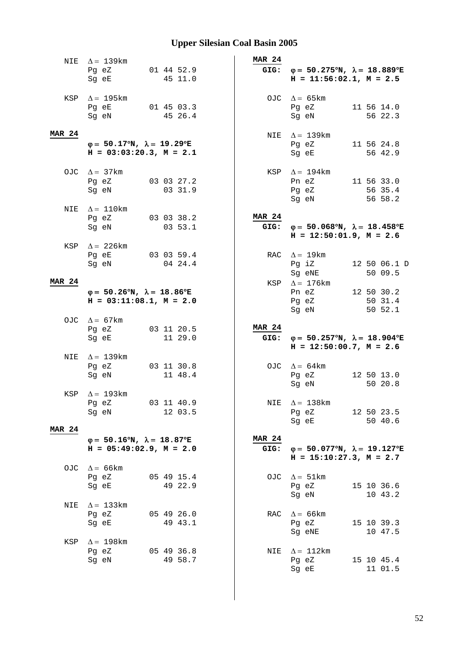| NIE           | $\Delta = 139 \text{km}$                                                                |                       | <b>MAR 24</b>         |                                                                                                |                                  |
|---------------|-----------------------------------------------------------------------------------------|-----------------------|-----------------------|------------------------------------------------------------------------------------------------|----------------------------------|
|               | Pq eZ<br>Sq eE                                                                          | 01 44 52.9<br>45 11.0 | GIG:                  | $\varphi = 50.275^{\circ}N$ , $\lambda = 18.889^{\circ}E$<br>$H = 11:56:02.1, M = 2.5$         |                                  |
| KSP           | $\Delta = 195 \mathrm{km}$<br>Pg eE<br>Sg eN                                            | 01 45 03.3<br>45 26.4 |                       | OJC $\Delta = 65 \text{km}$<br>Pg eZ<br>Sg eN                                                  | 11 56 14.0<br>56 22.3            |
| <b>MAR 24</b> | $\varphi = 50.17^{\circ}N$ , $\lambda = 19.29^{\circ}E$<br>$H = 03:03:20.3, M = 2.1$    |                       |                       | NIE $\Delta = 139$ km<br>Pg eZ<br>Sq eE                                                        | 11 56 24.8<br>56 42.9            |
|               | OJC $\Delta = 37 \text{km}$<br>Pg eZ<br>Sg eN                                           | 03 03 27.2<br>03 31.9 |                       | KSP $\Delta = 194$ km<br>Pn eZ<br>Pg eZ<br>Sg eN                                               | 11 56 33.0<br>56 35.4<br>56 58.2 |
| NIE           | $\Delta = 110$ km<br>Pg eZ<br>Sg eN                                                     | 03 03 38.2<br>03 53.1 | <b>MAR 24</b>         | GIG: $\varphi = 50.068^{\circ}N$ , $\lambda = 18.458^{\circ}E$<br>$H = 12:50:01.9$ , $M = 2.6$ |                                  |
| KSP           | $\Delta = 226$ km<br>Pg eE 03 03 59.4<br>Sg eN                                          | 04 24.4               |                       | RAC $\Delta = 19$ km<br>Pg iZ<br>Sg eNE                                                        | 12 50 06.1 D<br>50 09.5          |
| <b>MAR 24</b> | $\varphi = 50.26^{\circ}N$ , $\lambda = 18.86^{\circ}E$<br>$H = 03:11:08.1, M = 2.0$    |                       |                       | KSP $\Delta = 176$ km<br>Pn eZ<br>Pg eZ<br>Sg eN                                               | 12 50 30.2<br>50 31.4<br>50 52.1 |
|               | OJC $\Delta = 67$ km<br>Pg eZ<br>Sg eE                                                  | 03 11 20.5<br>11 29.0 | <b>MAR 24</b>         | GIG: $\varphi = 50.257^{\circ}N$ , $\lambda = 18.904^{\circ}E$<br>$H = 12:50:00.7$ , $M = 2.6$ |                                  |
| NIE           | $\Delta = 139 \text{km}$<br>Pg eZ<br>Sg eN                                              | 03 11 30.8<br>11 48.4 |                       | OJC $\Delta = 64 \text{km}$<br>Pg eZ<br>Sg eN                                                  | 12 50 13.0<br>50 20.8            |
| KSP           | $\Delta = 193 \text{km}$<br>Pg eZ<br>Sg eN                                              | 03 11 40.9<br>12 03.5 | NIE                   | $\Delta$ = 138 km<br>Pg eZ<br>Sg eE                                                            | 12 50 23.5<br>50 40.6            |
| <b>MAR 24</b> |                                                                                         |                       |                       |                                                                                                |                                  |
|               | $\varphi = 50.16^{\circ}N$ , $\lambda = 18.87^{\circ}E$<br>$H = 05:49:02.9$ , $M = 2.0$ |                       | <b>MAR 24</b><br>GIG: | $\varphi = 50.077$ °N, $\lambda = 19.127$ °E<br>$H = 15:10:27.3$ , $M = 2.7$                   |                                  |
| OJC.          | $\Delta$ = 66 km<br>Pg eZ<br>Sg eE                                                      | 05 49 15.4<br>49 22.9 | OJC                   | $\Delta = 51 \text{km}$<br>Pg eZ<br>Sg eN                                                      | 15 10 36.6<br>10 43.2            |
| NIE           | $\Delta$ = 133km<br>Pg eZ<br>Sg eE                                                      | 05 49 26.0<br>49 43.1 | RAC                   | $\Delta$ = 66 km<br>Pg eZ<br>Sg eNE                                                            | 15 10 39.3<br>10 47.5            |
| KSP           | $\Delta = 198$ km<br>Pg eZ<br>Sg eN                                                     | 05 49 36.8<br>49 58.7 | NIE                   | $\Delta = 112 \text{km}$<br>Pg eZ<br>Sg eE                                                     | 15 10 45.4<br>11 01.5            |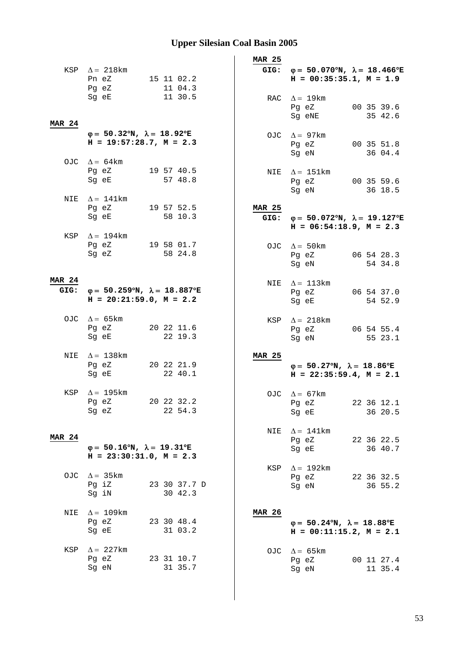|               |                                                                                             |                         | <b>MAR 25</b>         |                                                                                             |
|---------------|---------------------------------------------------------------------------------------------|-------------------------|-----------------------|---------------------------------------------------------------------------------------------|
|               | KSP $\Delta = 218$ km<br>Pn eZ<br>Pg eZ                                                     | 15 11 02.2<br>11 04.3   |                       | GIG: $\varphi = 50.070^{\circ}N$ , $\lambda = 18.466^{\circ}E$<br>$H = 00:35:35.1, M = 1.9$ |
| <b>MAR 24</b> | Sg eE                                                                                       | 11 30.5                 |                       | RAC $\Delta = 19$ km<br>00 35 39.6<br>Pg eZ<br>35 42.6<br>Sg eNE                            |
|               | $\varphi = 50.32^{\circ}N$ , $\lambda = 18.92^{\circ}E$<br>$H = 19:57:28.7, M = 2.3$        |                         |                       | OJC $\Delta = 97 \text{km}$<br>00 35 51.8<br>Pg eZ<br>36 04.4<br>Sg eN                      |
|               | OJC $\Delta = 64 \text{km}$<br>Pg eZ<br>Sg eE                                               | 19 57 40.5<br>57 48.8   |                       | NIE $\Delta = 151 \text{km}$<br>Pg eZ<br>00 35 59.6<br>Sg eN<br>36 18.5                     |
| NIE           | $\Delta = 141 \text{km}$<br>Pg eZ<br>Sg eE                                                  | 19 57 52.5<br>58 10.3   | <b>MAR 25</b><br>GIG: | $\varphi = 50.072^{\circ}N$ , $\lambda = 19.127^{\circ}E$<br>$H = 06:54:18.9$ , $M = 2.3$   |
| KSP           | $\Delta = 194$ km<br>Pg eZ<br>Sg eZ                                                         | 19 58 01.7<br>58 24.8   |                       | OJC $\Delta = 50$ km<br>Pg eZ<br>06 54 28.3<br>Sg eN<br>54 34.8                             |
| <b>MAR 24</b> | GIG: $\varphi = 50.259^{\circ}N$ , $\lambda = 18.887^{\circ}E$<br>$H = 20:21:59.0, M = 2.2$ |                         |                       | NIE $\Delta = 113 \text{km}$<br>Pg eZ<br>06 54 37.0<br>54 52.9<br>Sg eE                     |
|               | OJC $\Delta = 65 \text{km}$<br>Pg eZ<br>Sg eE                                               | 20 22 11.6<br>22 19.3   |                       | KSP $\Delta = 218 \text{km}$<br>06 54 55.4<br>Pg eZ<br>55 23.1<br>Sg eN                     |
| NIE           | $\Delta = 138$ km<br>Pg eZ<br>Sg eE                                                         | 20 22 21.9<br>22 40.1   | <b>MAR 25</b>         | $\varphi = 50.27^{\circ}N$ , $\lambda = 18.86^{\circ}E$<br>$H = 22:35:59.4, M = 2.1$        |
| KSP           | $\Delta = 195$ km<br>Pq eZ<br>Sg eZ                                                         | 20 22 32.2<br>22 54.3   |                       | OJC $\Delta = 67$ km<br>22 36 12.1<br>Pg eZ<br>36 20.5<br>Sg eE                             |
| <b>MAR 24</b> | $\varphi = 50.16^{\circ}N$ , $\lambda = 19.31^{\circ}E$<br>$H = 23:30:31.0$ , $M = 2.3$     |                         | NIE                   | $\Delta = 141$ km<br>22 36 22.5<br>Pg eZ<br>36 40.7<br>Sg eE                                |
|               | OJC $\Delta = 35 \text{km}$<br>Pg iZ<br>Sg iN                                               | 23 30 37.7 D<br>30 42.3 | KSP                   | $\Delta = 192 \text{km}$<br>22 36 32.5<br>Pg eZ<br>36 55.2<br>Sg eN                         |
| NIE           | $\Delta = 109$ km<br>Pg eZ<br>Sg eE                                                         | 23 30 48.4<br>31 03.2   | <b>MAR 26</b>         | $\varphi = 50.24^{\circ}N$ , $\lambda = 18.88^{\circ}E$<br>$H = 00:11:15.2, M = 2.1$        |
| KSP           | $\Delta$ = 227km<br>Pg eZ<br>Sg eN                                                          | 23 31 10.7<br>31 35.7   |                       | OJC $\Delta = 65 \text{km}$<br>00 11 27.4<br>Pg eZ<br>Sg eN<br>11 35.4                      |
|               |                                                                                             |                         |                       |                                                                                             |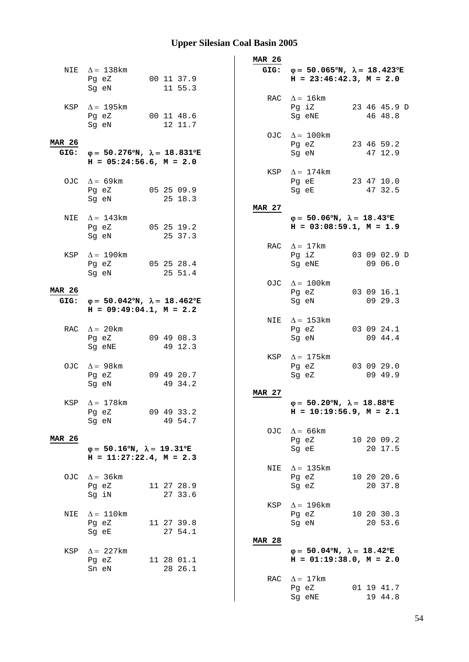|                       |                                                                                                                                                                                                                               |                                                           | <b>MAR 26</b> |                                                                                             |
|-----------------------|-------------------------------------------------------------------------------------------------------------------------------------------------------------------------------------------------------------------------------|-----------------------------------------------------------|---------------|---------------------------------------------------------------------------------------------|
|                       | NIE $\Delta = 138$ km<br>Pg eZ<br>Sg eN                                                                                                                                                                                       | 00 11 37.9<br>11 55.3                                     |               | GIG: $\varphi = 50.065^{\circ}N$ , $\lambda = 18.423^{\circ}E$<br>$H = 23:46:42.3, M = 2.0$ |
|                       | KSP $\Delta = 195 \text{km}$<br>Pg eZ 00 11 48.6<br>Sg eN                                                                                                                                                                     | 12 11.7                                                   |               | RAC $\Delta = 16 \text{km}$<br>Pg iZ<br>23 46 45.9 D<br>46 48.8<br>Sg eNE                   |
| <b>MAR 26</b><br>GIG: | φ= 50.276°N, $\lambda$ = 18.831°E<br>$H = 05:24:56.6$ , $M = 2.0$                                                                                                                                                             |                                                           |               | OJC $\Delta = 100 \text{km}$<br>23 46 59.2<br>Pg eZ<br>47 12.9<br>Sq eN                     |
|                       | OJC $\Delta = 69 \text{km}$<br>Pg eZ 05 25 09.9                                                                                                                                                                               |                                                           | KSP           | $\Delta = 174$ km<br>Pg eE<br>23 47 10.0<br>47 32.5<br>Sg eE                                |
|                       | Sg eN and the state of the state of the state of the state of the state of the state of the state of the state of the state of the state of the state of the state of the state of the state of the state of the state of the | 25 18.3                                                   | <b>MAR 27</b> |                                                                                             |
| NIE                   | $\Delta = 143$ km<br>Pg eZ 05 25 19.2<br>Sg eN                                                                                                                                                                                | 25 37.3                                                   |               | $\varphi = 50.06^{\circ}N$ , $\lambda = 18.43^{\circ}E$<br>$H = 03:08:59.1, M = 1.9$        |
| KSP                   | $\Delta = 190$ km<br>Pg eZ<br>Sg eN                                                                                                                                                                                           | 05 25 28.4<br>25 51.4                                     | RAC           | $\Delta = 17 \text{km}$<br>03 09 02.9 D<br>Pg iZ<br>09 06.0<br>Sg eNE                       |
| <b>MAR 26</b><br>GIG: | $H = 09:49:04.1, M = 2.2$                                                                                                                                                                                                     | $\varphi = 50.042^{\circ}N$ , $\lambda = 18.462^{\circ}E$ |               | OJC $\Delta = 100$ km<br>03 09 16.1<br>Pg eZ<br>09 29.3<br>Sg eN                            |
|                       | RAC $\Delta = 20$ km<br>Pg eZ<br>Sg eNE                                                                                                                                                                                       | 09 49 08.3<br>49 12.3                                     |               | NIE $\Delta = 153 \text{km}$<br>03 09 24.1<br>Pg eZ<br>09 44.4<br>Sg eN                     |
|                       | OJC $\Delta = 98 \text{km}$<br>Pg eZ<br>Sq eN                                                                                                                                                                                 | 09 49 20.7<br>49 34.2                                     | KSP           | $\Delta = 175$ km<br>03 09 29.0<br>Pg eZ<br>09 49.9<br>Sg eZ                                |
|                       | KSP $\Delta = 178$ km<br>Pg eZ<br>Sg eN                                                                                                                                                                                       | 09 49 33.2<br>49 54.7                                     | <b>MAR 27</b> | $\varphi = 50.20^{\circ}N$ , $\lambda = 18.88^{\circ}E$<br>$H = 10:19:56.9$ , $M = 2.1$     |
| <b>MAR 26</b>         | $\varphi = 50.16^{\circ}N$ , $\lambda = 19.31^{\circ}E$<br>$H = 11:27:22.4, M = 2.3$                                                                                                                                          |                                                           | OJC           | $\Delta = 66$ km<br>10 20 09.2<br>Pg eZ<br>20 17.5<br>Sg eE                                 |
| OJC                   | $\Delta = 36 \text{km}$<br>Pg eZ<br>Sg iN                                                                                                                                                                                     | 11 27 28.9<br>27 33.6                                     | NIE           | $\Delta = 135$ km<br>10 20 20.6<br>Pg eZ<br>20 37.8<br>Sg eZ                                |
| NIE                   | $\Delta = 110$ km<br>Pg eZ<br>Sg eE                                                                                                                                                                                           | 11 27 39.8<br>27 54.1                                     | KSP           | $\Delta = 196$ km<br>10 20 30.3<br>Pg eZ<br>20 53.6<br>Sg eN                                |
| KSP                   | $\Delta = 227$ km<br>Pg eZ<br>Sn eN                                                                                                                                                                                           | 11 28 01.1<br>28 26.1                                     | <b>MAR 28</b> | $\varphi = 50.04^{\circ}N$ , $\lambda = 18.42^{\circ}E$<br>$H = 01:19:38.0, M = 2.0$        |
|                       |                                                                                                                                                                                                                               |                                                           | RAC           | $\Delta = 17 \text{km}$<br>Pg eZ<br>01 19 41.7<br>19 44.8<br>Sg eNE                         |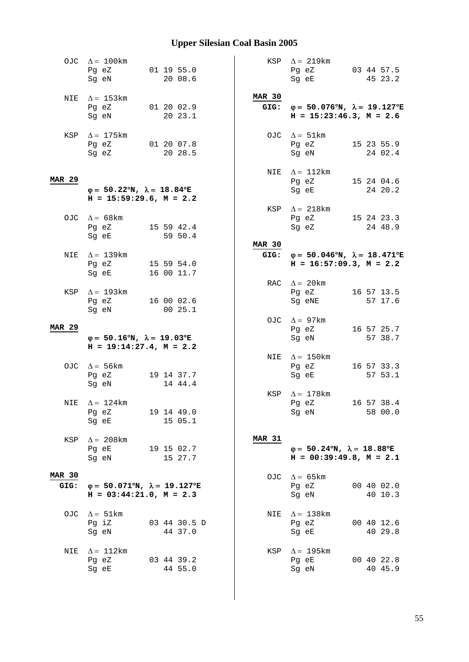|                       | OJC $\Delta = 100 \text{km}$<br>Pg eZ<br>Sg eN                                            | 01 19 55.0<br>20 08.6   |               | KSP $\Delta = 219 \text{km}$<br>Pg eZ<br>Sq eE                                                 | 03 44 57.5<br>45 23.2 |
|-----------------------|-------------------------------------------------------------------------------------------|-------------------------|---------------|------------------------------------------------------------------------------------------------|-----------------------|
|                       | NIE $\Delta = 153 \text{km}$<br>Pg eZ<br>Sg eN                                            | 01 20 02.9<br>20 23.1   | <b>MAR 30</b> | GIG: $\varphi = 50.076^{\circ}N$ , $\lambda = 19.127^{\circ}E$<br>$H = 15:23:46.3$ , $M = 2.6$ |                       |
|                       | KSP $\Delta = 175 \text{km}$<br>Pg eZ 01 20 07.8<br>Sq eZ                                 | 20 28.5                 |               | OJC $\Delta = 51 \text{km}$<br>Pg eZ<br>Sg eN                                                  | 15 23 55.9<br>24 02.4 |
| MAR 29                | $\varphi = 50.22^{\circ}N$ , $\lambda = 18.84^{\circ}E$<br>$H = 15:59:29.6$ , $M = 2.2$   |                         |               | NIE $\Delta = 112 \text{km}$<br>Pg eZ<br>Sg eE                                                 | 15 24 04.6<br>24 20.2 |
|                       | OJC $\Delta = 68$ km<br>Pg eZ 15 59 42.4<br>Sg eE                                         | 59 50.4                 |               | KSP $\Delta = 218 \text{km}$<br>Pg eZ 15 24 23.3<br>Sg eZ                                      | 24 48.9               |
| NIE                   | $\Delta = 139$ km<br>Pg eZ<br>Sg eE 16 00 11.7                                            | 15 59 54.0              | <b>MAR 30</b> | GIG: $\varphi = 50.046^{\circ}N$ , $\lambda = 18.471^{\circ}E$<br>$H = 16:57:09.3, M = 2.2$    |                       |
| KSP                   | $\Delta = 193$ km<br>Pg eZ<br>Sg eN                                                       | 16 00 02.6<br>0025.1    |               | RAC $\Delta = 20$ km<br>Pg eZ<br>Sg eNE                                                        | 16 57 13.5<br>57 17.6 |
| <b>MAR 29</b>         | $\varphi = 50.16^{\circ}N$ , $\lambda = 19.03^{\circ}E$<br>$H = 19:14:27.4$ , $M = 2.2$   |                         |               | OJC $\Delta = 97 \text{km}$<br>Pg eZ<br>Sg eN                                                  | 16 57 25.7<br>57 38.7 |
|                       | OJC $\Delta = 56 \text{km}$<br>Pg eZ<br>Sg eN                                             | 19 14 37.7<br>14 44.4   |               | NIE $\Delta = 150$ km<br>Pg eZ<br>Sg eE                                                        | 16 57 33.3<br>57 53.1 |
|                       | NIE $\Delta = 124$ km<br>Pg eZ<br>Sg eE                                                   | 19 14 49.0<br>15 05.1   |               | KSP $\Delta = 178$ km<br>Pg eZ<br>Sg eN                                                        | 16 57 38.4<br>58 00.0 |
| KSP                   | $\Delta = 208 \text{km}$<br>Pg eE 19 15 02.7<br>Sg eN                                     | 15 27.7                 | <b>MAR 31</b> | $\varphi = 50.24^{\circ}N$ , $\lambda = 18.88^{\circ}E$<br>$H = 00:39:49.8$ , $M = 2.1$        |                       |
| <b>MAR 30</b><br>GIG: | $\varphi = 50.071^{\circ}N$ , $\lambda = 19.127^{\circ}E$<br>$H = 03:44:21.0$ , $M = 2.3$ |                         |               | OJC $\Delta = 65 \text{km}$<br>Pg eZ<br>Sg eN                                                  | 00 40 02.0<br>40 10.3 |
| OJC.                  | $\Delta = 51 \text{km}$<br>Pg iZ<br>Sg eN                                                 | 03 44 30.5 D<br>44 37.0 | NIE           | $\Delta = 138$ km<br>Pg eZ<br>Sg eE                                                            | 00 40 12.6<br>40 29.8 |
| NIE                   | $\Delta = 112$ km<br>Pg eZ<br>Sg eE                                                       | 03 44 39.2<br>44 55.0   | KSP           | $\Delta = 195$ km<br>Pg eE<br>Sg eN                                                            | 00 40 22.8<br>40 45.9 |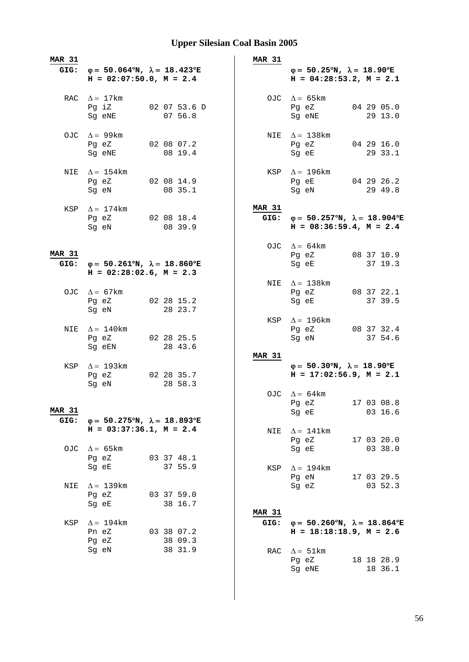| MAR 31        | GIG: $\varphi = 50.064^{\circ}N$ , $\lambda = 18.423^{\circ}E$ |                         | <b>MAR 31</b> | $\varphi = 50.25^{\circ}N$ , $\lambda = 18.90^{\circ}E$                                 |                       |
|---------------|----------------------------------------------------------------|-------------------------|---------------|-----------------------------------------------------------------------------------------|-----------------------|
|               | $H = 02:07:50.0, M = 2.4$                                      |                         |               | $H = 04:28:53.2, M = 2.1$                                                               |                       |
|               | RAC $\Delta = 17 \text{km}$                                    |                         |               | OJC $\Delta = 65 \text{km}$                                                             |                       |
|               | Pg iZ<br>Sg eNE                                                | 02 07 53.6 D<br>07 56.8 |               | Pg eZ<br>Sg eNE                                                                         | 04 29 05.0<br>29 13.0 |
|               | OJC $\Delta = 99 \text{km}$                                    |                         |               | NIE $\Delta = 138$ km                                                                   |                       |
|               | Pg eZ                                                          | 02 08 07.2              |               | Pg eZ                                                                                   | 04 29 16.0            |
|               | Sq eNE                                                         | 08 19.4                 |               | Sg eE                                                                                   | 29 33.1               |
|               | NIE $\Delta = 154$ km                                          |                         |               | KSP $\Delta = 196$ km                                                                   |                       |
|               | Pg eZ<br>Sg eN                                                 | 02 08 14.9<br>08 35.1   |               | Pg eE<br>Sg eN                                                                          | 04 29 26.2<br>29 49.8 |
|               | KSP $\Delta = 174$ km                                          |                         | MAR 31        |                                                                                         |                       |
|               | Pg eZ 02 08 18.4                                               |                         | GIG:          | $φ = 50.257°N, λ = 18.904°E$                                                            |                       |
|               | Sg eN                                                          | 08 39.9                 |               | $H = 08:36:59.4, M = 2.4$                                                               |                       |
|               |                                                                |                         |               | OJC $\Delta = 64 \text{km}$                                                             |                       |
| <b>MAR 31</b> | GIG: $\varphi = 50.261^{\circ}N$ , $\lambda = 18.860^{\circ}E$ |                         |               | Pg eZ 08 37 10.9<br>Sg eE                                                               | 37 19.3               |
|               | $H = 02:28:02.6$ , $M = 2.3$                                   |                         |               |                                                                                         |                       |
|               | OJC $\Delta = 67 \text{km}$                                    |                         |               | NIE $\Delta = 138$ km<br>Pg eZ                                                          | 08 37 22.1            |
|               | Pg eZ                                                          | 02 28 15.2              |               | Sg eE                                                                                   | 37 39.5               |
|               | Sg eN                                                          | 28 23.7                 |               |                                                                                         |                       |
|               |                                                                |                         |               | KSP $\Delta = 196$ km                                                                   |                       |
| NIE           | $\Delta = 140$ km<br>Pg eZ                                     | 02 28 25.5              |               | Pg eZ<br>Sg eN                                                                          | 08 37 32.4<br>37 54.6 |
|               | Sg eEN                                                         | 28 43.6                 |               |                                                                                         |                       |
|               |                                                                |                         | <b>MAR 31</b> |                                                                                         |                       |
|               | KSP $\Delta = 193$ km<br>Pg eZ                                 | 02 28 35.7              |               | $\varphi = 50.30^{\circ}N$ , $\lambda = 18.90^{\circ}E$<br>$H = 17:02:56.9$ , $M = 2.1$ |                       |
|               | Sg eN                                                          | 28 58.3                 |               |                                                                                         |                       |
|               |                                                                |                         |               | OJC $\Delta = 64 \text{km}$                                                             |                       |
| <b>MAR 31</b> |                                                                |                         |               | Pg eZ 17 03 08.8                                                                        |                       |
| GIG:          | $\varphi = 50.275^{\circ}N$ , $\lambda = 18.893^{\circ}E$      |                         |               | Sg eE                                                                                   | 03 16.6               |
|               | $H = 03:37:36.1, M = 2.4$                                      |                         | NIE           | $\Delta = 141$ km                                                                       |                       |
|               |                                                                |                         |               | Pg eZ                                                                                   | 17 03 20.0            |
| OJC           | $\Delta = 65 \text{km}$<br>Pg eZ                               | 03 37 48.1              |               | Sg eE                                                                                   | 03 38.0               |
|               | Sg eE                                                          | 37 55.9                 | KSP           | $\Delta = 194$ km                                                                       |                       |
|               |                                                                |                         |               | Pg eN                                                                                   | 17 03 29.5            |
| NIE           | $\Delta = 139$ km                                              |                         |               | Sg eZ                                                                                   | 03 52.3               |
|               | Pg eZ<br>Sg eE                                                 | 03 37 59.0<br>38 16.7   |               |                                                                                         |                       |
|               |                                                                |                         | <b>MAR 31</b> |                                                                                         |                       |
| KSP           | $\Delta = 194$ km                                              |                         | GIG:          | $\varphi = 50.260^{\circ}N$ , $\lambda = 18.864^{\circ}E$                               |                       |
|               | Pn eZ                                                          | 03 38 07.2              |               | $H = 18:18:18.9$ , $M = 2.6$                                                            |                       |
|               | Pg eZ<br>Sg eN                                                 | 38 09.3<br>38 31.9      |               |                                                                                         |                       |
|               |                                                                |                         |               | RAC $\Delta = 51$ km<br>Pg eZ                                                           | 18 18 28.9            |
|               |                                                                |                         |               | Sg eNE                                                                                  | 18 36.1               |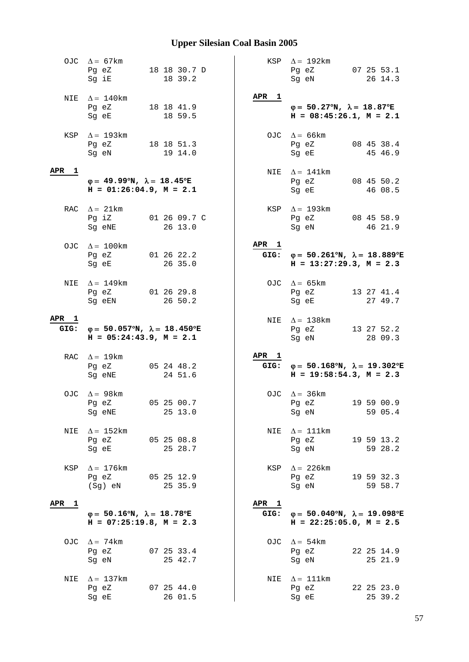|               | OJC $\Delta = 67$ km<br>Pg eZ<br>Sg iE                                                    | 18 18 30.7 D<br>18 39.2 |                          | KSP $\Delta = 192 \text{km}$<br>Pg eZ<br>Sq eN                                              | 07 25 53.1<br>26 14.3 |
|---------------|-------------------------------------------------------------------------------------------|-------------------------|--------------------------|---------------------------------------------------------------------------------------------|-----------------------|
|               | NIE $\Delta = 140$ km<br>Pg eZ<br>Sg eE                                                   | 18 18 41.9<br>18 59.5   | APR 1                    | $\varphi = 50.27^{\circ}N$ , $\lambda = 18.87^{\circ}E$<br>$H = 08:45:26.1, M = 2.1$        |                       |
|               | KSP $\Delta = 193 \text{km}$<br>Pg eZ<br>Sg eN                                            | 18 18 51.3<br>19 14.0   |                          | OJC $\Delta = 66$ km<br>Pg eZ<br>Sg eE                                                      | 08 45 38.4<br>45 46.9 |
| APR 1         | $\varphi = 49.99^{\circ}N$ , $\lambda = 18.45^{\circ}E$<br>$H = 01:26:04.9$ , $M = 2.1$   |                         |                          | NIE $\Delta = 141$ km<br>Pg eZ<br>Sg eE                                                     | 08 45 50.2<br>46 08.5 |
|               | RAC $\Delta = 21$ km<br>Pg iZ<br>Sg eNE                                                   | 01 26 09.7 C<br>26 13.0 |                          | KSP $\Delta = 193 \text{km}$<br>Pg eZ<br>Sg eN                                              | 08 45 58.9<br>46 21.9 |
|               | OJC $\Delta = 100$ km<br>Pg eZ<br>Sg eE                                                   | 01 26 22.2<br>26 35.0   | APR 1                    | GIG: $\varphi = 50.261^{\circ}N$ , $\lambda = 18.889^{\circ}E$<br>$H = 13:27:29.3, M = 2.3$ |                       |
| NIE           | $\Delta = 149$ km<br>Pg eZ<br>Sg eEN                                                      | 01 26 29.8<br>26 50.2   |                          | OJC $\Delta = 65$ km<br>Pg eZ<br>Sg eE                                                      | 13 27 41.4<br>27 49.7 |
| APR 1<br>GIG: | $\varphi = 50.057^{\circ}N$ , $\lambda = 18.450^{\circ}E$<br>$H = 05:24:43.9$ , $M = 2.1$ |                         |                          | NIE $\Delta = 138$ km<br>Pg eZ<br>Sg eN                                                     | 13 27 52.2<br>28 09.3 |
|               | RAC $\Delta = 19 \text{km}$<br>Pg eZ<br>Sg eNE                                            | 05 24 48.2<br>24 51.6   | APR <sub>1</sub>         | GIG: $\varphi = 50.168^{\circ}N$ , $\lambda = 19.302^{\circ}E$<br>$H = 19:58:54.3, M = 2.3$ |                       |
|               | OJC $\Delta = 98$ km<br>Pg eZ<br>Sg eNE                                                   | 05 25 00.7<br>25 13.0   |                          | OJC $\Delta = 36 \text{km}$<br>Pg eZ<br>Sg eN                                               | 19 59 00.9<br>59 05.4 |
| NIE           | $\Delta = 152 \text{km}$<br>Pg eZ<br>Sg eE                                                | 05 25 08.8<br>25 28.7   | NIE                      | $\Delta = 111$ km<br>Pg eZ<br>Sg eN                                                         | 19 59 13.2<br>59 28.2 |
| KSP           | $\Delta = 176$ km<br>Pg eZ<br>(Sg) eN                                                     | 05 25 12.9<br>25 35.9   | KSP                      | $\Delta$ = 226 km<br>Pg eZ<br>Sq eN                                                         | 19 59 32.3<br>59 58.7 |
| APR 1         | $\varphi = 50.16^{\circ}N$ , $\lambda = 18.78^{\circ}E$<br>$H = 07:25:19.8$ , $M = 2.3$   |                         | APR <sub>1</sub><br>GIG: | $\varphi = 50.040^{\circ}N$ , $\lambda = 19.098^{\circ}E$<br>$H = 22:25:05.0$ , $M = 2.5$   |                       |
|               | OJC $\Delta = 74 \text{km}$<br>Pg eZ<br>Sg eN                                             | 07 25 33.4<br>25 42.7   |                          | OJC $\Delta = 54 \text{km}$<br>Pg eZ<br>Sg eN                                               | 22 25 14.9<br>25 21.9 |
| NIE           | $\Delta = 137$ km<br>Pg eZ<br>Sg eE                                                       | 07 25 44.0<br>26 01.5   | NIE                      | $\Delta = 111$ km<br>Pg eZ<br>Sg eE                                                         | 22 25 23.0<br>25 39.2 |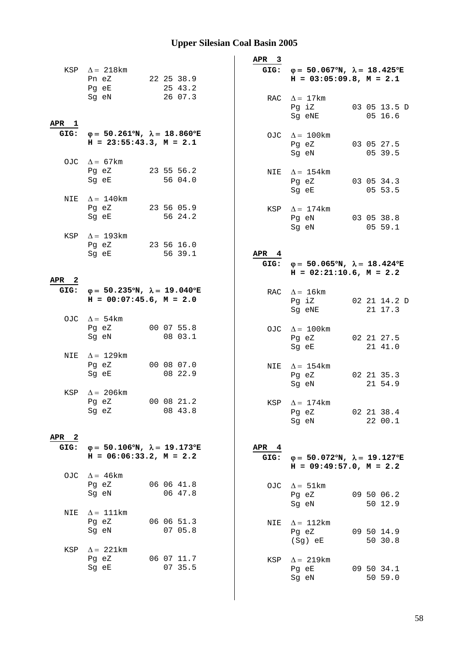|                  | KSP $\Delta = 218 \text{km}$<br>Pn eZ<br>Pg eE<br>Sg eN                                        | 22 25 38.9<br>25 43.2<br>26 07.3 | APR <sub>3</sub>         | GIG: $\varphi = 50.067^{\circ}N$ , $\lambda = 18.425^{\circ}E$<br>$H = 03:05:09.8$ , $M = 2.1$<br>RAC $\Delta = 17$ km |                         |
|------------------|------------------------------------------------------------------------------------------------|----------------------------------|--------------------------|------------------------------------------------------------------------------------------------------------------------|-------------------------|
| APR <sub>1</sub> | GIG: $\varphi = 50.261^{\circ}N$ , $\lambda = 18.860^{\circ}E$                                 |                                  |                          | Pg iZ<br>Sg eNE<br>OJC $\Delta = 100$ km                                                                               | 03 05 13.5 D<br>05 16.6 |
|                  | $H = 23:55:43.3, M = 2.1$<br>OJC $\Delta = 67$ km                                              |                                  |                          | Pg eZ<br>Sg eN                                                                                                         | 03 05 27.5<br>05 39.5   |
|                  | Pg eZ<br>Sg eE                                                                                 | 23 55 56.2<br>56 04.0            |                          | NIE $\Delta = 154$ km<br>Pg eZ<br>Sg eE                                                                                | 03 05 34.3<br>05 53.5   |
|                  | NIE $\Delta = 140$ km<br>Pg eZ<br>Sg eE                                                        | 23 56 05.9<br>56 24.2            |                          | KSP $\Delta = 174$ km<br>Pg eN<br>Sg eN                                                                                | 03 05 38.8<br>05 59.1   |
| KSP              | $\Delta$ = 193km<br>Pg eZ<br>Sg eE                                                             | 23 56 16.0<br>56 39.1            | APR <sub>4</sub>         | GIG: $\varphi = 50.065^{\circ}N$ , $\lambda = 18.424^{\circ}E$                                                         |                         |
| APR <sub>2</sub> |                                                                                                |                                  |                          | $H = 02:21:10.6$ , $M = 2.2$                                                                                           |                         |
|                  | GIG: $\varphi = 50.235^{\circ}N$ , $\lambda = 19.040^{\circ}E$<br>$H = 00:07:45.6$ , $M = 2.0$ |                                  |                          | RAC $\Delta = 16$ km<br>Pg iZ<br>Sg eNE                                                                                | 02 21 14.2 D<br>21 17.3 |
|                  | OJC $\Delta = 54 \text{km}$<br>Pg eZ<br>Sg eN                                                  | 00 07 55.8<br>08 03.1            |                          | OJC $\Delta = 100 \text{km}$<br>Pg eZ<br>Sg eE                                                                         | 02 21 27.5<br>21 41.0   |
|                  | NIE $\Delta = 129$ km<br>Pg eZ<br>Sg eE                                                        | 00 08 07.0<br>08 22.9            |                          | NIE $\Delta = 154 \text{km}$<br>Pg eZ<br>Sg eN                                                                         | 02 21 35.3<br>21 54.9   |
|                  | KSP $\Delta$ = 206km<br>Pg eZ<br>Sg eZ                                                         | 00 08 21.2<br>08 43.8            |                          | KSP $\Delta = 174$ km<br>Pg eZ<br>Sg eN                                                                                | 02 21 38.4<br>22 00.1   |
| APR 2            |                                                                                                |                                  |                          |                                                                                                                        |                         |
| GIG:             | $\varphi = 50.106^{\circ}N$ , $\lambda = 19.173^{\circ}E$<br>$H = 06:06:33.2, M = 2.2$         |                                  | APR <sub>4</sub><br>GIG: | $\varphi = 50.072^{\circ}N$ , $\lambda = 19.127^{\circ}E$<br>$H = 09:49:57.0$ , $M = 2.2$                              |                         |
|                  | OJC $\Delta = 46 \text{km}$<br>Pg eZ<br>Sg eN                                                  | 06 06 41.8<br>06 47.8            |                          | OJC $\Delta = 51 \text{km}$<br>Pg eZ<br>Sg eN                                                                          | 09 50 06.2<br>50 12.9   |
| NIE              | $\Delta = 111$ km<br>Pg eZ<br>Sg eN                                                            | 06 06 51.3<br>07 05.8            | NIE                      | $\Delta = 112 \text{km}$<br>Pg eZ<br>(Sg) eE                                                                           | 09 50 14.9<br>50 30.8   |
| KSP              | $\Delta$ = 221km<br>Pg eZ<br>Sg eE                                                             | 06 07 11.7<br>07 35.5            | KSP                      | $\Delta = 219$ km<br>Pg eE<br>Sg eN                                                                                    | 09 50 34.1<br>50 59.0   |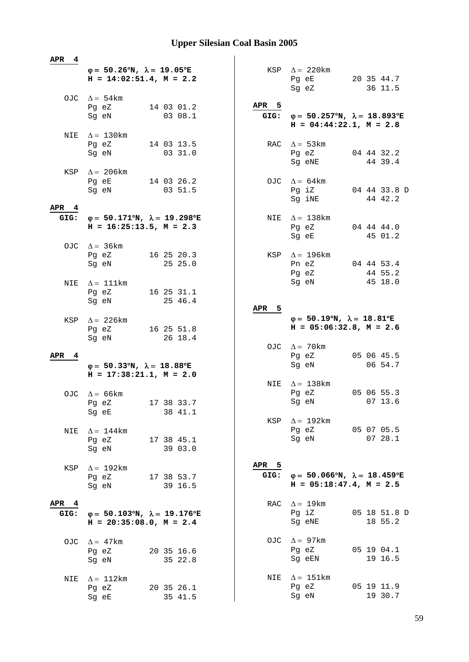| APR<br>- 4               |                                                                                         |                  |                                                                                             |
|--------------------------|-----------------------------------------------------------------------------------------|------------------|---------------------------------------------------------------------------------------------|
|                          | $\varphi = 50.26^{\circ}N$ , $\lambda = 19.05^{\circ}E$<br>$H = 14:02:51.4$ , $M = 2.2$ |                  | KSP $\Delta$ = 220 km<br>Pg eE<br>20 35 44.7<br>36 11.5<br>Sg eZ                            |
|                          | OJC $\Delta = 54 \text{km}$<br>Pg eZ<br>14 03 01.2<br>03 08.1<br>Sg eN                  | APR 5            | GIG: $\varphi = 50.257^{\circ}N$ , $\lambda = 18.893^{\circ}E$<br>$H = 04:44:22.1, M = 2.8$ |
|                          | NIE $\Delta = 130$ km<br>Pg eZ<br>14 03 13.5<br>03 31.0<br>Sg eN                        | RAC              | $\Delta = 53 \text{km}$<br>Pg eZ<br>04 44 32.2<br>44 39.4<br>Sg eNE                         |
| KSP                      | $\Delta = 206$ km<br>14 03 26.2<br>Pg eE<br>Sg eN<br>03 51.5                            | OJC              | $\Delta = 64 \text{km}$<br>04 44 33.8 D<br>Pg iZ<br>44 42.2<br>Sg iNE                       |
| APR <sub>4</sub><br>GIG: | $\varphi = 50.171^{\circ}N$ , $\lambda = 19.298^{\circ}E$<br>$H = 16:25:13.5, M = 2.3$  | NIE              | $\Delta = 138$ km<br>04 44 44.0<br>Pg eZ<br>45 01.2<br>Sg eE                                |
|                          | OJC $\Delta = 36 \text{km}$<br>Pg eZ<br>16 25 20.3<br>25 25.0<br>Sg eN                  |                  | KSP $\Delta = 196 \text{km}$<br>04 44 53.4<br>Pn eZ                                         |
| NIE                      | $\Delta = 111$ km<br>Pg eZ<br>16 25 31.1<br>25 46.4<br>Sg eN                            |                  | 44 55.2<br>Pg eZ<br>45 18.0<br>Sg eN                                                        |
| KSP                      | $\Delta = 226$ km<br>16 25 51.8<br>Pg eZ<br>26 18.4<br>Sg eN                            | APR <sub>5</sub> | $\varphi = 50.19^{\circ}N$ , $\lambda = 18.81^{\circ}E$<br>$H = 05:06:32.8$ , $M = 2.6$     |
| APR 4                    | $\varphi = 50.33^{\circ}N$ , $\lambda = 18.88^{\circ}E$                                 |                  | OJC $\Delta = 70$ km<br>Pg eZ<br>05 06 45.5<br>06 54.7<br>Sg eN                             |
|                          | $H = 17:38:21.1, M = 2.0$                                                               |                  |                                                                                             |
|                          | OJC $\Delta = 66$ km<br>17 38 33.7<br>Pg eZ<br>38 41.1<br>Sg eE                         | NIE              | $\Delta = 138$ km<br>05 06 55.3<br>Pg eZ<br>07 13.6<br>Sg eN                                |
| NIE                      | $\Delta = 144$ km<br>Pg eZ<br>17 38 45.1<br>Sg eN<br>39 03.0                            | KSP              | $\Delta = 192 \text{km}$<br>Pg eZ<br>05 07 05.5<br>Sg eN<br>0728.1                          |
| KSP                      | $\Delta = 192 \text{km}$<br>Pg eZ<br>17 38 53.7<br>Sg eN<br>39 16.5                     | APR 5<br>GIG:    | $\varphi = 50.066^{\circ}N$ , $\lambda = 18.459^{\circ}E$<br>$H = 05:18:47.4$ , $M = 2.5$   |
| APR <sub>4</sub><br>GIG: | $\varphi = 50.103^{\circ}N$ , $\lambda = 19.176^{\circ}E$<br>$H = 20:35:08.0, M = 2.4$  | RAC              | $\Delta = 19 \text{km}$<br>Pg iZ<br>05 18 51.8 D<br>18 55.2<br>Sg eNE                       |
|                          | OJC $\Delta = 47 \text{km}$<br>20 35 16.6<br>Pg eZ<br>35 22.8<br>Sg eN                  |                  | OJC $\Delta = 97 \text{km}$<br>Pg eZ<br>05 19 04.1<br>19 16.5<br>Sg eEN                     |
| NIE                      | $\Delta = 112 \text{km}$<br>20 35 26.1<br>Pg eZ<br>Sg eE<br>35 41.5                     | NIE              | $\Delta = 151 \text{km}$<br>Pg eZ<br>05 19 11.9<br>19 30.7<br>Sg eN                         |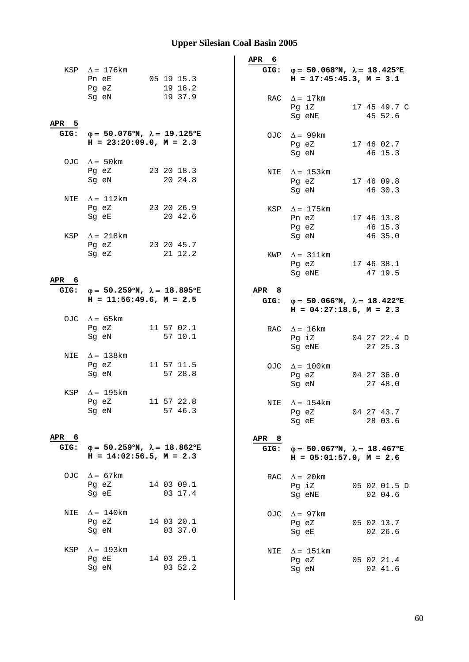|               |                                                                                             |            |         | APR 6         |                                                                                                |                         |
|---------------|---------------------------------------------------------------------------------------------|------------|---------|---------------|------------------------------------------------------------------------------------------------|-------------------------|
|               | KSP $\Delta = 176$ km<br>Pn eE<br>Pg eZ                                                     | 05 19 15.3 | 19 16.2 |               | GIG: $\varphi = 50.068^{\circ}N$ , $\lambda = 18.425^{\circ}E$<br>$H = 17:45:45.3$ , $M = 3.1$ |                         |
| APR 5         | Sg eN                                                                                       |            | 19 37.9 |               | RAC $\Delta = 17$ km<br>Pg iZ<br>Sg eNE                                                        | 17 45 49.7 C<br>45 52.6 |
|               | GIG: $\varphi = 50.076^{\circ}N$ , $\lambda = 19.125^{\circ}E$<br>$H = 23:20:09.0, M = 2.3$ |            |         |               | OJC $\Delta = 99 \text{km}$<br>Pg eZ<br>Sg eN                                                  | 17 46 02.7<br>46 15.3   |
|               | OJC $\Delta = 50$ km<br>Pg eZ<br>Sg eN                                                      | 23 20 18.3 | 20 24.8 | NIE           | $\Delta = 153 \text{km}$<br>Pg eZ<br>Sg eN                                                     | 17 46 09.8<br>46 30.3   |
| NIE           | $\Delta = 112 \text{km}$<br>Pg eZ<br>Sg eE                                                  | 23 20 26.9 | 20 42.6 | KSP           | $\Delta = 175$ km<br>Pn eZ<br>Pg eZ                                                            | 17 46 13.8<br>46 15.3   |
|               | KSP $\Delta = 218 \text{km}$<br>Pg eZ<br>Sg eZ                                              | 23 20 45.7 | 21 12.2 | KWP           | Sq eN<br>$\Delta$ = 311km                                                                      | 46 35.0                 |
| APR 6<br>GIG: | $φ = 50.259°N, λ = 18.895°E$                                                                |            |         | APR 8         | Pg eZ<br>Sg eNE                                                                                | 17 46 38.1<br>47 19.5   |
|               | $H = 11:56:49.6$ , $M = 2.5$<br>OJC $\Delta = 65$ km                                        |            |         | GIG:          | $\varphi = 50.066^{\circ}N$ , $\lambda = 18.422^{\circ}E$<br>$H = 04:27:18.6$ , $M = 2.3$      |                         |
|               | Pg eZ<br>Sg eN                                                                              | 11 57 02.1 | 57 10.1 |               | RAC $\Delta = 16 \text{km}$<br>Pg iZ<br>Sg eNE                                                 | 04 27 22.4 D<br>27 25.3 |
| NIE           | $\Delta = 138$ km<br>Pg eZ<br>Sg eN                                                         | 11 57 11.5 | 57 28.8 |               | OJC $\Delta = 100 \text{km}$<br>Pg eZ<br>Sg eN                                                 | 04 27 36.0<br>27 48.0   |
| KSP           | $\Delta = 195$ km<br>Pg eZ<br>Sg eN                                                         | 11 57 22.8 | 57 46.3 |               | NIE $\Delta = 154$ km<br>Pg eZ<br>Sg eE                                                        | 04 27 43.7<br>28 03.6   |
| APR 6<br>GIG: | $\varphi = 50.259^{\circ}N$ , $\lambda = 18.862^{\circ}E$<br>$H = 14:02:56.5$ , $M = 2.3$   |            |         | APR 8<br>GIG: | $\varphi = 50.067^{\circ}N$ , $\lambda = 18.467^{\circ}E$<br>$H = 05:01:57.0$ , $M = 2.6$      |                         |
|               | OJC $\Delta = 67 \text{km}$<br>Pg eZ<br>Sg eE                                               | 14 03 09.1 | 03 17.4 | RAC           | $\Delta = 20$ km<br>Pg iZ<br>Sg eNE                                                            | 05 02 01.5 D<br>02 04.6 |
| NIE           | $\Delta = 140$ km<br>Pg eZ<br>Sg eN                                                         | 14 03 20.1 | 03 37.0 | OJC           | $\Delta = 97$ km<br>Pg eZ<br>Sg eE                                                             | 05 02 13.7<br>02 26.6   |
| KSP           | $\Delta$ = 193km<br>Pg eE<br>Sg eN                                                          | 14 03 29.1 | 03 52.2 | NIE           | $\Delta = 151$ km<br>Pg eZ<br>Sg eN                                                            | 05 02 21.4<br>02 41.6   |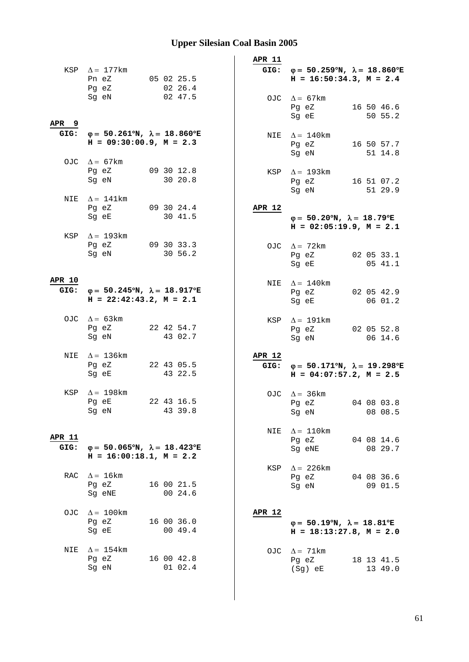|                       | KSP $\Delta = 177$ km<br>Pn eZ<br>Pg eZ<br>Sg eN                                               | 05 02 25.5<br>02 26.4<br>02 47.5 | APR 11<br>GIG:        | $\varphi = 50.259^{\circ}N$ , $\lambda = 18.860^{\circ}E$<br>$H = 16:50:34.3, M = 2.4$<br>OJC $\Delta = 67$ km<br>16 50 46.6<br>Pg eZ<br>Sg eE<br>50 55.2 |
|-----------------------|------------------------------------------------------------------------------------------------|----------------------------------|-----------------------|-----------------------------------------------------------------------------------------------------------------------------------------------------------|
| APR <sub>9</sub>      | GIG: $\varphi = 50.261^{\circ}N$ , $\lambda = 18.860^{\circ}E$<br>$H = 09:30:00.9$ , $M = 2.3$ |                                  |                       | NIE $\Delta = 140$ km<br>16 50 57.7<br>Pg eZ<br>Sg eN<br>51 14.8                                                                                          |
|                       | OJC $\Delta = 67$ km<br>Pg eZ<br>Sg eN                                                         | 09 30 12.8<br>30 20.8            |                       | KSP $\Delta = 193 \text{km}$<br>16 51 07.2<br>Pg eZ<br>Sg eN<br>51 29.9                                                                                   |
|                       | NIE $\Delta = 141$ km<br>Pg eZ<br>Sg eE                                                        | 093024.4<br>30 41.5              | APR 12                | $\varphi = 50.20^{\circ}N$ , $\lambda = 18.79^{\circ}E$<br>$H = 02:05:19.9, M = 2.1$                                                                      |
| KSP                   | $\Delta$ = 193km<br>Pg eZ 09 30 33.3<br>Sg eN                                                  | 30 56.2                          |                       | OJC $\Delta = 72$ km<br>Pg eZ<br>02 05 33.1<br>05 41.1<br>Sg eE                                                                                           |
| <b>APR 10</b><br>GIG: | $\varphi = 50.245^{\circ}N$ , $\lambda = 18.917^{\circ}E$<br>$H = 22:42:43.2, M = 2.1$         |                                  |                       | NIE $\Delta = 140$ km<br>Pg eZ 02 05 42.9<br>0601.2<br>Sg eE                                                                                              |
|                       | OJC $\Delta = 63 \text{km}$<br>Pg eZ<br>Sg eN                                                  | 22 42 54.7<br>43 02.7            |                       | KSP $\Delta = 191 \text{km}$<br>Pg eZ<br>02 05 52.8<br>Sg eN<br>06 14.6                                                                                   |
|                       | NIE $\Delta = 136 \text{km}$<br>Pg eZ<br>Sg eE                                                 | 22 43 05.5<br>43 22.5            | <b>APR 12</b><br>GIG: | $\varphi = 50.171^{\circ}N$ , $\lambda = 19.298^{\circ}E$<br>$H = 04:07:57.2$ , $M = 2.5$                                                                 |
|                       | KSP $\Delta = 198$ km<br>Pg eE<br>Sg eN                                                        | 22 43 16.5<br>43 39.8            |                       | OJC $\Delta = 36 \text{km}$<br>Pg eZ 04 08 03.8<br>08 08.5<br>Sq eN                                                                                       |
| <b>APR 11</b><br>GIG: | $\varphi = 50.065^{\circ}N$ , $\lambda = 18.423^{\circ}E$<br>$H = 16:00:18.1, M = 2.2$         |                                  | NIE                   | $\Delta = 110 \text{km}$<br>Pg eZ<br>04 08 14.6<br>08 29.7<br>Sg eNE                                                                                      |
| RAC                   | $\Delta = 16 \text{km}$<br>Pg eZ<br>Sg eNE                                                     | 16 00 21.5<br>00 24.6            | KSP                   | $\Delta$ = 226km<br>Pg eZ<br>04 08 36.6<br>09 01.5<br>Sg eN                                                                                               |
| OJC                   | $\Delta = 100$ km<br>Pg eZ<br>Sg eE                                                            | 16 00 36.0<br>0049.4             | APR 12                | $\varphi = 50.19^{\circ}N$ , $\lambda = 18.81^{\circ}E$<br>$H = 18:13:27.8$ , $M = 2.0$                                                                   |
| NIE                   | $\Delta = 154 \text{km}$<br>Pg eZ<br>Sg eN                                                     | 16 00 42.8<br>01 02.4            | OJC                   | $\Delta = 71$ km<br>Pg eZ<br>18 13 41.5<br>(Sg) eE<br>13 49.0                                                                                             |
|                       |                                                                                                |                                  |                       |                                                                                                                                                           |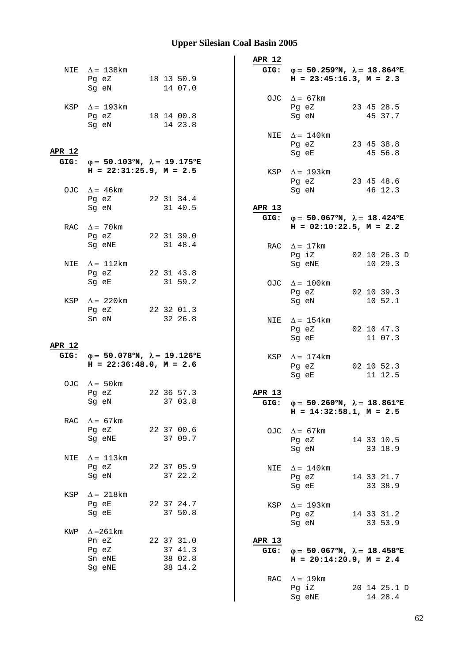|            |                                                                                                |                                  | APR 12         |                                                                                                |                         |
|------------|------------------------------------------------------------------------------------------------|----------------------------------|----------------|------------------------------------------------------------------------------------------------|-------------------------|
|            | NIE $\Delta = 138$ km<br>Pg eZ 18 13 50.9<br>Sg eN                                             | 14 07.0                          |                | GIG: $\varphi = 50.259^{\circ}N$ , $\lambda = 18.864^{\circ}E$<br>$H = 23:45:16.3, M = 2.3$    |                         |
|            | KSP $\Delta$ = 193km<br>Pg eZ 18 14 00.8<br>Sg eN                                              | 14 23.8                          |                | OJC $\Delta = 67 \text{km}$<br>Pg eZ<br>Sg eN                                                  | 23 45 28.5<br>45 37.7   |
| APR 12     |                                                                                                |                                  |                | NIE $\Delta = 140$ km<br>Pg eZ<br>Sg eE                                                        | 23 45 38.8<br>45 56.8   |
|            | GIG: $\varphi = 50.103^{\circ}N$ , $\lambda = 19.175^{\circ}E$<br>$H = 22:31:25.9$ , $M = 2.5$ |                                  | KSP            | $\Delta = 193$ km<br>Pg eZ                                                                     | 23 45 48.6              |
|            | OJC $\Delta = 46 \text{km}$<br>Pg eZ 22 31 34.4<br>Sg eN                                       | 31 40.5                          | APR 13         | Sg eN                                                                                          | 46 12.3                 |
|            | RAC $\Delta = 70$ km                                                                           |                                  |                | GIG: $\varphi = 50.067^{\circ}N$ , $\lambda = 18.424^{\circ}E$<br>$H = 02:10:22.5$ , $M = 2.2$ |                         |
|            | Pg eZ<br>Sg eNE                                                                                | 22 31 39.0<br>31 48.4            | RAC            | $\Delta = 17 \text{km}$<br>Pg iZ 02 10 26.3 D                                                  |                         |
| NIE        | $\Delta = 112$ km<br>Pg eZ<br>Sg eE                                                            | 22 31 43.8<br>31 59.2            |                | Sg eNE<br>OJC $\Delta = 100 \text{km}$                                                         | 10 29.3                 |
| KSP        | $\Delta = 220$ km<br>Pg eZ 22 32 01.3                                                          |                                  |                | Pg eZ<br>Sg eN                                                                                 | 02 10 39.3<br>10 52.1   |
|            | Sn eN                                                                                          | 32 26.8                          |                | NIE $\Delta = 154$ km<br>Pg eZ<br>Sg eE                                                        | 02 10 47.3<br>11 07.3   |
| APR 12     | GIG: $\varphi = 50.078^{\circ}N$ , $\lambda = 19.126^{\circ}E$<br>$H = 22:36:48.0, M = 2.6$    |                                  | KSP            | $\Delta = 174$ km<br>Pg eZ<br>Sq eE                                                            | 02 10 52.3<br>11 12.5   |
|            | OJC $\Delta = 50$ km<br>22 36 57.3<br>Pq eZ<br>Sg eN 37 03.8                                   |                                  | APR 13<br>GIG: | $\varphi = 50.260^{\circ}N$ , $\lambda = 18.861^{\circ}E$                                      |                         |
| <b>RAC</b> | $\Delta = 67 \text{km}$<br>Pg eZ<br>Sg eNE                                                     | 22 37 00.6<br>37 09.7            | OJC            | $H = 14:32:58.1, M = 2.5$<br>$\Delta = 67$ km<br>Pg eZ                                         | 14 33 10.5              |
| NIE        | $\Delta = 113 \text{km}$<br>Pg eZ                                                              | 22 37 05.9                       | NIE            | Sg eN<br>$\Delta = 140$ km                                                                     | 33 18.9                 |
| KSP        | Sg eN<br>$\Delta = 218$ km                                                                     | 37 22.2                          |                | Pg eZ<br>Sg eE                                                                                 | 14 33 21.7<br>33 38.9   |
|            | Pg eE<br>Sg eE                                                                                 | 22 37 24.7<br>37 50.8            | KSP            | $\Delta = 193 \text{km}$<br>Pg eZ<br>Sg eN                                                     | 14 33 31.2<br>33 53.9   |
| KWP        | $\Delta = 261$ km<br>Pn eZ<br>Pg eZ<br>Sn eNE                                                  | 22 37 31.0<br>37 41.3<br>38 02.8 | APR 13<br>GIG: | $\varphi = 50.067$ °N, $\lambda = 18.458$ °E<br>$H = 20:14:20.9$ , $M = 2.4$                   |                         |
|            | Sg eNE                                                                                         | 38 14.2                          | RAC            | $\Delta = 19 \text{km}$<br>Pg iZ<br>Sg eNE                                                     | 20 14 25.1 D<br>14 28.4 |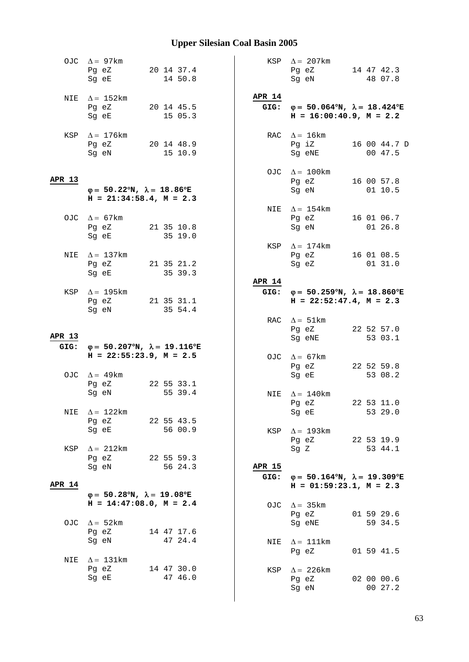|               | OJC $\Delta = 97 \text{km}$<br>Pg eZ<br>Sq eE                                                                                                                             | 20 14 37.4<br>14 50.8 |                       | KSP $\Delta = 207 \text{km}$<br>Pg eZ<br>Sg eN                                                 | 14 47 42.3<br>48 07.8   |
|---------------|---------------------------------------------------------------------------------------------------------------------------------------------------------------------------|-----------------------|-----------------------|------------------------------------------------------------------------------------------------|-------------------------|
| NIE           | $\Delta = 152 \text{km}$<br>Pg eZ 20 14 45.5<br>Sg eE                                                                                                                     | 15 05.3               | <b>APR 14</b>         | GIG: $\varphi = 50.064^{\circ}N$ , $\lambda = 18.424^{\circ}E$<br>$H = 16:00:40.9$ , $M = 2.2$ |                         |
|               | KSP $\Delta = 176$ km<br>Pg eZ 20 14 48.9<br>Sg eN                                                                                                                        | 15 10.9               |                       | RAC $\Delta = 16 \text{km}$<br>Pg iZ<br>Sq eNE                                                 | 16 00 44.7 D<br>00 47.5 |
| APR 13        | $\varphi = 50.22^{\circ}N$ , $\lambda = 18.86^{\circ}E$<br>$H = 21:34:58.4, M = 2.3$                                                                                      |                       |                       | OJC $\Delta = 100 \text{km}$<br>Pg eZ<br>Sg eN                                                 | 16 00 57.8<br>01 10.5   |
|               | OJC $\Delta = 67 \text{km}$<br>Pg eZ 21 35 10.8<br>Sg eE and the state of the state of the state of the state of the state of the state of the state of the state         | 35 19.0               | NIE                   | $\Delta = 154 \text{km}$<br>Pg eZ 16 01 06.7<br>Sg eN                                          | 01 26.8                 |
| NIE           | $\Delta = 137$ km<br>Pg eZ<br>Sg eE                                                                                                                                       | 21 35 21.2<br>35 39.3 | KSP                   | $\Delta = 174$ km<br>Pg eZ 16 01 08.5<br>Sg eZ 01 31.0                                         |                         |
| KSP           | $\Delta = 195$ km<br>Pg eZ 21 35 31.1<br>Sg eN                                                                                                                            | 35 54.4               | <b>APR 14</b><br>GIG: | $\varphi = 50.259^{\circ}N$ , $\lambda = 18.860^{\circ}E$<br>$H = 22:52:47.4$ , $M = 2.3$      |                         |
| APR 13        | GIG: $\varphi = 50.207^{\circ}N$ , $\lambda = 19.116^{\circ}E$                                                                                                            |                       |                       | RAC $\Delta = 51 \text{km}$<br>Pg eZ<br>Sg eNE                                                 | 22 52 57.0<br>53 03.1   |
|               | $H = 22:55:23.9$ , $M = 2.5$<br>OJC $\Delta = 49$ km<br>Pg eZ                                                                                                             | 22 55 33.1            |                       | OJC $\Delta = 67 \text{km}$<br>Pg eZ<br>Sg eE                                                  | 22 52 59.8<br>53 08.2   |
| NIE           | Sg eN<br>$\Delta = 122$ km<br>Pg eZ                                                                                                                                       | 55 39.4<br>22 55 43.5 |                       | NIE $\Delta = 140$ km<br>Pg eZ<br>Sg eE                                                        | 22 53 11.0<br>53 29.0   |
| KSP           | Sg eE and the state of the state of the state of the state of the state of the state of the state of the state<br>$\Delta = 212 \text{km}$<br>Pg eZ                       | 56 00.9<br>22 55 59.3 | KSP                   | $\Delta = 193 \text{km}$<br>Pg eZ 22 53 19.9<br>Sq Z                                           | 53 44.1                 |
| <b>APR 14</b> | Sg eN and the state of the state of the state of the state of the state of the state of the state of the state<br>$\varphi = 50.28^{\circ}N$ , $\lambda = 19.08^{\circ}E$ | 56 24.3               | <b>APR 15</b><br>GIG: | $\varphi = 50.164^{\circ}N$ , $\lambda = 19.309^{\circ}E$<br>$H = 01:59:23.1, M = 2.3$         |                         |
|               | $H = 14:47:08.0, M = 2.4$<br>OJC $\Delta = 52 \text{km}$                                                                                                                  |                       | OJC                   | $\Delta = 35 \text{km}$<br>Pg eZ<br>Sg eNE                                                     | 01 59 29.6<br>59 34.5   |
| NIE           | Pg eZ<br>Sg eN<br>$\Delta = 131$ km                                                                                                                                       | 14 47 17.6<br>47 24.4 | NIE                   | $\Delta = 111$ km<br>Pg eZ                                                                     | 01 59 41.5              |
|               | Pg eZ<br>Sg eE                                                                                                                                                            | 14 47 30.0<br>47 46.0 | KSP                   | $\Delta$ = 226 km<br>Pg eZ<br>Sg eN                                                            | 02 00 00.6<br>00 27.2   |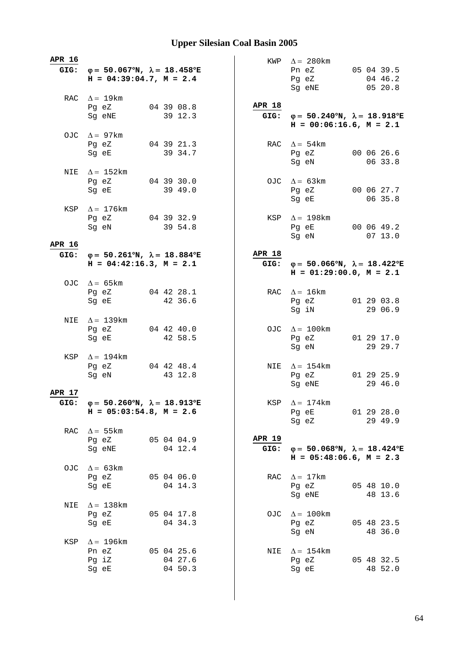| APR 16 | GIG: $\varphi = 50.067^{\circ}N$ , $\lambda = 18.458^{\circ}E$<br>$H = 04:39:04.7$ , $M = 2.4$ |                                  |                       | KWP $\Delta = 280 \text{km}$<br>05 04 39.5<br>Pn eZ<br>04 46.2<br>Pg eZ<br>05 20.8<br>Sg eNE   |  |
|--------|------------------------------------------------------------------------------------------------|----------------------------------|-----------------------|------------------------------------------------------------------------------------------------|--|
|        | RAC $\Delta = 19 \text{km}$<br>Pg eZ<br>Sg eNE                                                 | 04 39 08.8<br>39 12.3            | <b>APR 18</b>         | GIG: $\varphi = 50.240^{\circ}N$ , $\lambda = 18.918^{\circ}E$<br>$H = 00:06:16.6$ , $M = 2.1$ |  |
|        | OJC $\Delta = 97 \text{km}$<br>Pg eZ<br>Sg eE                                                  | 04 39 21.3<br>39 34.7            |                       | RAC $\Delta = 54 \text{km}$<br>00 06 26.6<br>Pg eZ<br>Sg eN<br>06 33.8                         |  |
|        | NIE $\Delta = 152 \text{km}$<br>Pg eZ<br>Sg eE                                                 | 043930.0<br>39 49.0              |                       | OJC $\Delta = 63 \text{km}$<br>Pg eZ 00 06 27.7<br>Sg eE<br>06 35.8                            |  |
|        | KSP $\Delta = 176$ km<br>Pg eZ 04 39 32.9<br>Sg eN                                             | 39 54.8                          |                       | KSP $\Delta = 198$ km<br>Pq eE 00 06 49.2<br>Sg eN<br>07 13.0                                  |  |
| APR 16 |                                                                                                |                                  | <b>APR 18</b>         |                                                                                                |  |
| GIG:   | $\varphi = 50.261^{\circ}N$ , $\lambda = 18.884^{\circ}E$<br>$H = 04:42:16.3, M = 2.1$         |                                  | GIG:                  | $\varphi = 50.066^{\circ}N$ , $\lambda = 18.422^{\circ}E$<br>$H = 01:29:00.0, M = 2.1$         |  |
|        | OJC $\Delta = 65 \text{km}$                                                                    |                                  |                       |                                                                                                |  |
|        | Pg eZ<br>Sg eE                                                                                 | 04 42 28.1<br>42 36.6            |                       | RAC $\Delta = 16$ km<br>01 29 03.8<br>Pg eZ<br>Sg iN<br>29 06.9                                |  |
| NIE    | $\Delta = 139 \text{km}$<br>Pg eZ<br>Sg eE                                                     | 04 42 40.0<br>42 58.5            |                       | OJC $\Delta = 100$ km<br>01 29 17.0<br>Pg eZ<br>29 29.7<br>Sg eN                               |  |
| KSP    | $\Delta = 194$ km<br>Pg eZ<br>Sg eN                                                            | 04 42 48.4<br>43 12.8            |                       | NIE $\Delta = 154$ km<br>Pg eZ<br>01 29 25.9<br>29 46.0<br>Sg eNE                              |  |
| APR 17 | GIG: $\varphi = 50.260^{\circ}N$ , $\lambda = 18.913^{\circ}E$<br>$H = 05:03:54.8$ , $M = 2.6$ |                                  |                       | KSP $\Delta = 174$ km<br>Pg eE 01 29 28.0<br>Sg eZ<br>29 49.9                                  |  |
|        | RAC $\Delta = 55 \text{km}$<br>Pg eZ<br>Sg eNE                                                 | 05 04 04.9<br>$04$ 12.4          | <b>APR 19</b><br>GIG: | $\varphi = 50.068^{\circ}N$ , $\lambda = 18.424^{\circ}E$<br>$H = 05:48:06.6$ , $M = 2.3$      |  |
|        | OJC $\Delta = 63 \text{km}$<br>Pg eZ 05 04 06.0<br>Sg eE                                       | 04 14.3                          | RAC                   | $\Delta = 17 \text{km}$<br>Pg eZ<br>05 48 10.0<br>48 13.6<br>Sg eNE                            |  |
| NIE    | $\Delta = 138$ km<br>Pg eZ<br>Sg eE                                                            | 05 04 17.8<br>04 34.3            |                       | OJC $\Delta = 100$ km<br>05 48 23.5<br>Pg eZ<br>Sg eN<br>48 36.0                               |  |
| KSP    | $\Delta = 196$ km<br>Pn eZ<br>Pg iZ<br>Sg eE                                                   | 05 04 25.6<br>04 27.6<br>04 50.3 | NIE                   | $\Delta = 154$ km<br>05 48 32.5<br>Pg eZ<br>Sg eE<br>48 52.0                                   |  |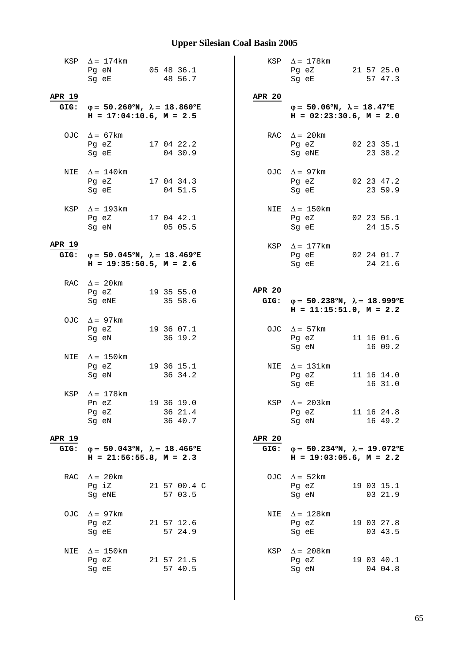|                       | KSP $\Delta = 174$ km<br>Pg eN 05 48 36.1<br>Sg eE                                                                                                                                                                                                                                | 48 56.7                          |                       | KSP $\Delta = 178$ km<br>Pg eZ 21 57 25.0<br>Sg eE<br>57 47.3                                                                                                          |
|-----------------------|-----------------------------------------------------------------------------------------------------------------------------------------------------------------------------------------------------------------------------------------------------------------------------------|----------------------------------|-----------------------|------------------------------------------------------------------------------------------------------------------------------------------------------------------------|
| APR 19                | GIG: $\varphi = 50.260^{\circ}N$ , $\lambda = 18.860^{\circ}E$<br>$H = 17:04:10.6$ , $M = 2.5$                                                                                                                                                                                    |                                  | <b>APR 20</b>         | $\varphi = 50.06^{\circ}N$ , $\lambda = 18.47^{\circ}E$<br>$H = 02:23:30.6$ , $M = 2.0$                                                                                |
|                       | OJC $\Delta = 67 \text{km}$<br>Pg eZ<br>Sg eE                                                                                                                                                                                                                                     | 17 04 22.2<br>04 30.9            |                       | RAC $\Delta = 20 \text{km}$<br>02 23 35.1<br>Pg eZ<br>23 38.2<br>Sg eNE                                                                                                |
|                       | NIE $\Delta = 140$ km<br>Pg eZ 17 04 34.3<br>Sg eE and the state of the state of the state of the state of the state of the state of the state of the state                                                                                                                       | 04 51.5                          |                       | OJC $\Delta = 97 \text{km}$<br>Pg eZ<br>02 23 47.2<br>Sg eE<br>23 59.9                                                                                                 |
|                       | KSP $\Delta = 193 \text{km}$<br>Pg eZ 17 04 42.1<br>Sg eN and the state of the state of the state of the state of the state of the state of the state of the state of the state of the state of the state of the state of the state of the state of the state of the state of the | 05 05.5                          |                       | NIE $\Delta = 150$ km<br>Pg eZ 02 23 56.1<br>Sg eE and the state of the state of the state of the state of the state of the state of the state of the state<br>24 15.5 |
| <b>APR 19</b>         | GIG: $\varphi = 50.045^{\circ}N$ , $\lambda = 18.469^{\circ}E$<br>$H = 19:35:50.5$ , $M = 2.6$                                                                                                                                                                                    |                                  |                       | KSP $\Delta = 177$ km<br>Pg eE 02 24 01.7<br>24 21.6<br>Sq eE and the state of the state of the state of the state of the state of the state of the state of the state |
|                       | RAC $\Delta = 20$ km<br>Pg eZ<br>Sg eNE                                                                                                                                                                                                                                           | 19 35 55.0<br>35 58.6            | <b>APR 20</b>         | GIG: $\varphi = 50.238^{\circ}N$ , $\lambda = 18.999^{\circ}E$<br>$H = 11:15:51.0, M = 2.2$                                                                            |
|                       | OJC $\Delta = 97 \text{km}$<br>Pg eZ<br>Sg eN                                                                                                                                                                                                                                     | 19 36 07.1<br>36 19.2            |                       | OJC $\Delta = 57 \text{km}$<br>11 16 01.6<br>Pg eZ<br>16 09.2<br>Sg eN                                                                                                 |
| NIE                   | $\Delta = 150$ km<br>Pg eZ 19 36 15.1<br>Sg eN                                                                                                                                                                                                                                    | 36 34.2                          |                       | NIE $\Delta = 131 \text{km}$<br>Pg eZ<br>11 16 14.0<br>Sg eE<br>16 31.0                                                                                                |
| KSP                   | $\Delta = 178$ km<br>Pn eZ<br>Pg eZ<br>Sg eN                                                                                                                                                                                                                                      | 19 36 19.0<br>36 21.4<br>36 40.7 |                       | KSP $\Delta = 203 \text{km}$<br>Pg eZ<br>11 16 24.8<br>Sg eN<br>16 49.2                                                                                                |
| <b>APR 19</b><br>GIG: | $\varphi = 50.043^{\circ}N$ , $\lambda = 18.466^{\circ}E$<br>$H = 21:56:55.8$ , $M = 2.3$                                                                                                                                                                                         |                                  | <b>APR 20</b><br>GIG: | $\varphi = 50.234^{\circ}N$ , $\lambda = 19.072^{\circ}E$<br>$H = 19:03:05.6$ , $M = 2.2$                                                                              |
| RAC                   | $\Delta = 20 \text{km}$<br>Pq iZ<br>Sg eNE                                                                                                                                                                                                                                        | 21 57 00.4 C<br>57 03.5          | OJC                   | $\Delta = 52 \text{km}$<br>19 03 15.1<br>Pg eZ<br>03 21.9<br>Sg eN                                                                                                     |
| OJC.                  | $\Delta = 97$ km<br>Pg eZ<br>Sg eE                                                                                                                                                                                                                                                | 21 57 12.6<br>57 24.9            | NIE                   | $\Delta = 128$ km<br>19 03 27.8<br>Pg eZ<br>Sg eE<br>03 43.5                                                                                                           |
| NIE                   | $\Delta = 150$ km<br>Pg eZ<br>Sg eE                                                                                                                                                                                                                                               | 21 57 21.5<br>57 40.5            | KSP                   | $\Delta = 208$ km<br>19 03 40.1<br>Pg eZ<br>Sg eN<br>04 04.8                                                                                                           |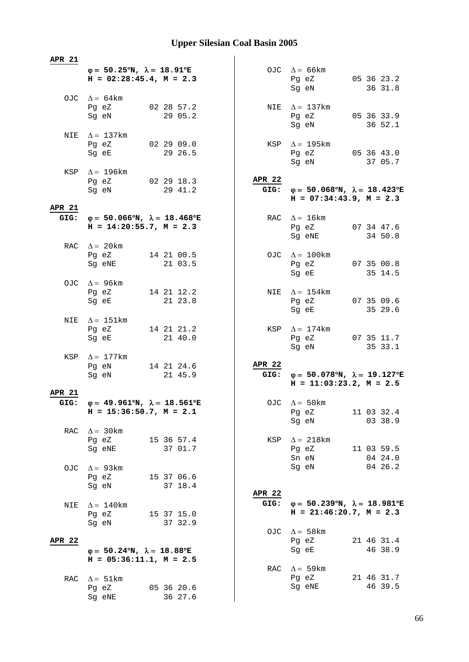| <b>APR 21</b> |                                                                                                |               |                                                                                             |
|---------------|------------------------------------------------------------------------------------------------|---------------|---------------------------------------------------------------------------------------------|
|               | $\varphi = 50.25^{\circ}N$ , $\lambda = 18.91^{\circ}E$<br>$H = 02:28:45.4$ , $M = 2.3$        |               | OJC $\Delta = 66 \text{km}$<br>05 36 23.2<br>Pg eZ<br>Sg eN<br>36 31.8                      |
|               | OJC $\Delta = 64 \text{km}$<br>02 28 57.2<br>Pg eZ<br>Sg eN<br>29 05.2                         |               | NIE $\Delta = 137$ km<br>Pg eZ 05 36 33.9<br>Sg eN<br>36 52.1                               |
|               | NIE $\Delta = 137$ km<br>Pg eZ 02 29 09.0<br>29 26.5<br>Sg eE                                  |               | KSP $\Delta = 195$ km<br>Pg eZ 05 36 43.0<br>Sg eN<br>37 05.7                               |
|               | KSP $\Delta = 196$ km<br>Pg eZ 02 29 18.3<br>Sg eN 29 41.2                                     | <b>APR 22</b> | GIG: $\varphi = 50.068^{\circ}N$ , $\lambda = 18.423^{\circ}E$<br>$H = 07:34:43.9, M = 2.3$ |
| <b>APR 21</b> |                                                                                                |               |                                                                                             |
|               | GIG: $\varphi = 50.066^{\circ}N$ , $\lambda = 18.468^{\circ}E$<br>$H = 14:20:55.7$ , $M = 2.3$ |               | RAC $\Delta = 16 \text{km}$<br>Pg eZ 07 34 47.6<br>Sg eNE 34 50.8                           |
|               | RAC $\Delta = 20$ km<br>Pg eZ 14 21 00.5<br>Sq eNE<br>21 03.5                                  |               | OJC $\Delta = 100$ km<br>Pg eZ<br>07 35 00.8<br>Sg eE<br>35 14.5                            |
|               | OJC $\Delta = 96 \text{km}$<br>14 21 12.2<br>Pg eZ<br>21 23.8<br>Sg eE                         |               | NIE $\Delta = 154$ km<br>Pg eZ 07 35 09.6<br>35 29.6<br>Sg eE                               |
| NIE           | $\Delta = 151$ km<br>Pg eZ 14 21 21.2<br>21 40.0<br>Sg eE                                      |               | KSP $\Delta = 174$ km<br>Pg eZ 07 35 11.7<br>Sg eN<br>35 33.1                               |
|               | KSP $\Delta = 177$ km<br>Pq eN 14 21 24.6<br>Sg eN<br>21 45.9                                  | <b>APR 22</b> | GIG: $\varphi = 50.078^{\circ}N$ , $\lambda = 19.127^{\circ}E$<br>$H = 11:03:23.2, M = 2.5$ |
| <b>APR 21</b> |                                                                                                |               |                                                                                             |
| GIG:          | $\varphi = 49.961^{\circ}N$ , $\lambda = 18.561^{\circ}E$<br>$H = 15:36:50.7$ , $M = 2.1$      |               | OJC $\Delta = 50 \text{km}$<br>11 03 32.4<br>Pg eZ<br>Sg eN<br>03 38.9                      |
| RAC           | $\Delta = 30 \text{km}$<br>Pg eZ<br>15 36 57.4<br>37 01.7<br>Sq eNE                            | KSP           | $\Delta = 218 \text{km}$<br>Pg eZ<br>11 03 59.5<br>04 24.0<br>Sn eN                         |
| OJC.          | $\Delta$ = 93 km<br>Pg eZ<br>15 37 06.6<br>37 18.4<br>Sq eN                                    | <b>APR 22</b> | Sg eN<br>04 26.2                                                                            |
| NIE           | $\Delta = 140$ km<br>15 37 15.0<br>Pg eZ<br>37 32.9<br>Sg eN                                   | GIG:          | $\varphi = 50.239^{\circ}N$ , $\lambda = 18.981^{\circ}E$<br>$H = 21:46:20.7$ , $M = 2.3$   |
| <b>APR 22</b> | $\varphi = 50.24^{\circ}N$ , $\lambda = 18.88^{\circ}E$<br>$H = 05:36:11.1, M = 2.5$           |               | OJC $\Delta = 58$ km<br>21 46 31.4<br>Pg eZ<br>46 38.9<br>Sg eE                             |
|               |                                                                                                |               | RAC $\Delta = 59 \text{km}$<br>21 46 31.7                                                   |
| RAC           | $\Delta = 51 \text{km}$<br>05 36 20.6<br>Pg eZ<br>36 27.6<br>Sg eNE                            |               | Pg eZ<br>46 39.5<br>Sg eNE                                                                  |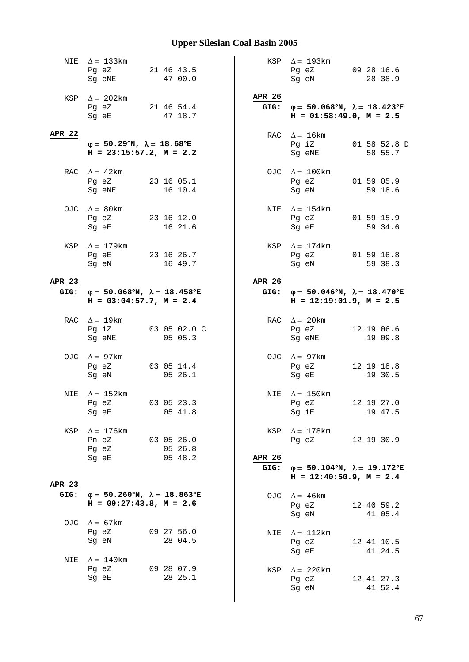|               | NIE $\Delta = 133 \text{km}$<br>Pg eZ<br>Sg eNE                                                                                                            | 21 46 43.5<br>47 00.0   |                       | KSP $\Delta = 193 \text{km}$<br>Pg eZ<br>Sg eN                                                                                               | 09 28 16.6<br>28 38.9   |
|---------------|------------------------------------------------------------------------------------------------------------------------------------------------------------|-------------------------|-----------------------|----------------------------------------------------------------------------------------------------------------------------------------------|-------------------------|
|               | KSP $\Delta = 202 \text{km}$<br>Pg eZ 21 46 54.4<br>Sg eE                                                                                                  | 47 18.7                 | APR 26                | GIG: $\varphi = 50.068^{\circ}N$ , $\lambda = 18.423^{\circ}E$<br>$H = 01:58:49.0, M = 2.5$                                                  |                         |
| <b>APR 22</b> | $\varphi = 50.29^{\circ}N$ , $\lambda = 18.68^{\circ}E$<br>$H = 23:15:57.2$ , $M = 2.2$                                                                    |                         |                       | RAC $\Delta = 16 \text{km}$<br>Pg iZ<br>Sg eNE                                                                                               | 01 58 52.8 D<br>58 55.7 |
|               | RAC $\Delta = 42 \text{km}$<br>Pg eZ<br>Sg eNE                                                                                                             | 23 16 05.1<br>16 10.4   |                       | OJC $\Delta = 100 \text{km}$<br>Pg eZ 01 59 05.9<br>Sg eN                                                                                    | 59 18.6                 |
|               | OJC $\Delta = 80$ km<br>Pg eZ 23 16 12.0<br>Sg eE and the state of the state of the state of the state of the state of the state of the state of the state | 16 21.6                 | NIE                   | $\Delta = 154$ km<br>Pg eZ 01 59 15.9<br>Sg eE and the state of the state of the state of the state of the state of the state of the state o | 59 34.6                 |
|               | KSP $\Delta = 179$ km<br>Pg eE 23 16 26.7<br>Sg eN                                                                                                         | 16 49.7                 | KSP                   | $\Delta = 174$ km<br>Pg eZ 01 59 16.8<br>Sg eN                                                                                               | 59 38.3                 |
| <b>APR 23</b> |                                                                                                                                                            |                         | APR 26                |                                                                                                                                              |                         |
| GIG:          | $\varphi = 50.068^{\circ}N$ , $\lambda = 18.458^{\circ}E$<br>$H = 03:04:57.7$ , $M = 2.4$                                                                  |                         | GIG:                  | $\varphi = 50.046^{\circ}N$ , $\lambda = 18.470^{\circ}E$<br>$H = 12:19:01.9$ , $M = 2.5$                                                    |                         |
|               | RAC $\Delta = 19 \text{km}$<br>Pg iZ<br>Sg eNE                                                                                                             | 03 05 02.0 C<br>05 05.3 |                       | RAC $\Delta = 20 \text{km}$<br>Pg eZ<br>Sg eNE                                                                                               | 12 19 06.6<br>19 09.8   |
|               | OJC $\Delta = 97 \text{km}$<br>Pg eZ<br>Sg eN                                                                                                              | 03 05 14.4<br>05 26.1   |                       | OJC $\Delta = 97 \text{km}$<br>Pg eZ<br>Sg eE                                                                                                | 12 19 18.8<br>19 30.5   |
| NIE           | $\Delta = 152$ km<br>Pg eZ 03 05 23.3<br>Sg eE                                                                                                             | 05 41.8                 |                       | NIE $\Delta = 150$ km<br>$Pg$ eZ<br>Sg iE                                                                                                    | 12 19 27.0<br>19 47.5   |
| KSP           | $\Delta$ = 176 km<br>Pn eZ<br>Pg eZ                                                                                                                        | 030526.0<br>05 26.8     | KSP                   | $\Delta = 178$ km<br>Pg eZ 12 19 30.9                                                                                                        |                         |
| <b>APR 23</b> | Sg eE                                                                                                                                                      | 0548.2                  | <b>APR 26</b><br>GIG: | $\varphi = 50.104^{\circ}N$ , $\lambda = 19.172^{\circ}E$<br>$H = 12:40:50.9$ , $M = 2.4$                                                    |                         |
| GIG:          | $\varphi = 50.260^{\circ}N$ , $\lambda = 18.863^{\circ}E$<br>$H = 09:27:43.8$ , $M = 2.6$                                                                  |                         | OJC                   | $\Delta = 46 \text{km}$<br>Pg eZ<br>Sg eN                                                                                                    | 12 40 59.2<br>41 05.4   |
|               | OJC $\Delta = 67 \text{km}$<br>Pg eZ<br>Sg eN                                                                                                              | 09 27 56.0<br>28 04.5   | NIE                   | $\Delta =~112 \rm km$<br>Pg eZ<br>Sg eE                                                                                                      | 12 41 10.5<br>41 24.5   |
| NIE           | $\Delta = 140$ km<br>Pg eZ<br>Sg eE                                                                                                                        | 09 28 07.9<br>28 25.1   | KSP                   | $\Delta = 220$ km<br>Pg eZ<br>Sg eN                                                                                                          | 12 41 27.3<br>41 52.4   |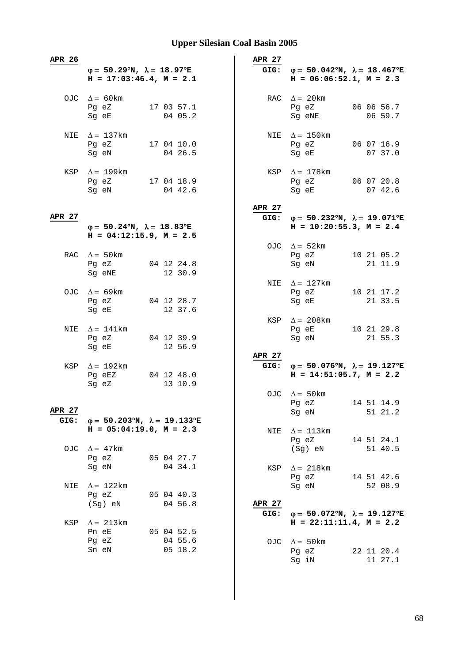| APR 26 | $\varphi = 50.29^{\circ}N$ , $\lambda = 18.97^{\circ}E$<br>$H = 17:03:46.4$ , $M = 2.1$ |  |                       | APR 27 | GIG: $\varphi = 50.042^{\circ}N$ , $\lambda = 18.467^{\circ}E$<br>$H = 06:06:52.1, M = 2.3$ |                       |  |
|--------|-----------------------------------------------------------------------------------------|--|-----------------------|--------|---------------------------------------------------------------------------------------------|-----------------------|--|
|        | OJC $\Delta = 60 \text{km}$<br>Pg eZ<br>Sg eE                                           |  | 17 03 57.1<br>04 05.2 |        | RAC $\Delta = 20$ km<br>Pg eZ<br>Sg eNE                                                     | 06 06 56.7<br>06 59.7 |  |
|        | NIE $\Delta = 137 \text{km}$<br>Pg eZ<br>Sg eN                                          |  | 17 04 10.0<br>04 26.5 |        | NIE $\Delta = 150$ km<br>Pg eZ<br>Sg eE                                                     | 06 07 16.9<br>07 37.0 |  |
|        | KSP $\Delta = 199$ km<br>Pg eZ 17 04 18.9<br>Sg eN                                      |  | 04 42.6               |        | KSP $\Delta = 178$ km<br>Pg eZ 06 07 20.8<br>Sg eE                                          | 07 42.6               |  |
|        |                                                                                         |  |                       | APR 27 |                                                                                             |                       |  |
| APR 27 |                                                                                         |  |                       | GIG:   | $φ = 50.232°N, λ = 19.071°E$                                                                |                       |  |
|        | $\varphi = 50.24^{\circ}N$ , $\lambda = 18.83^{\circ}E$<br>$H = 04:12:15.9$ , $M = 2.5$ |  |                       |        | $H = 10:20:55.3$ , $M = 2.4$                                                                |                       |  |
|        |                                                                                         |  |                       |        | OJC $\Delta = 52 \text{km}$                                                                 |                       |  |
|        | RAC $\Delta = 50 \text{km}$                                                             |  |                       |        | Pg eZ 10 21 05.2                                                                            |                       |  |
|        | Pg eZ<br>Sg eNE                                                                         |  | 04 12 24.8<br>12 30.9 |        | Sg eN                                                                                       | 21 11.9               |  |
|        |                                                                                         |  |                       |        | NIE $\Delta = 127 \text{km}$                                                                |                       |  |
|        | OJC $\Delta = 69$ km                                                                    |  |                       |        | Pg eZ                                                                                       | 10 21 17.2            |  |
|        | Pg eZ                                                                                   |  | 04 12 28.7            |        | Sg eE                                                                                       | 21 33.5               |  |
|        | Sg eE                                                                                   |  | 12 37.6               |        |                                                                                             |                       |  |
|        |                                                                                         |  |                       |        | KSP $\Delta = 208 \text{km}$                                                                |                       |  |
| NIE    | $\Delta = 141$ km                                                                       |  |                       |        | Pg eE                                                                                       | 10 21 29.8            |  |
|        | Pg eZ                                                                                   |  | 04 12 39.9            |        | Sg eN                                                                                       | 21 55.3               |  |
|        | Sg eE                                                                                   |  | 12 56.9               |        |                                                                                             |                       |  |
|        |                                                                                         |  |                       | APR 27 |                                                                                             |                       |  |
|        | KSP $\Delta = 192 \text{km}$                                                            |  |                       |        | GIG: $\varphi = 50.076^{\circ}N$ , $\lambda = 19.127^{\circ}E$                              |                       |  |
|        | Pg eEZ<br>Sg eZ                                                                         |  | 04 12 48.0<br>13 10.9 |        | $H = 14:51:05.7$ , $M = 2.2$                                                                |                       |  |
|        |                                                                                         |  |                       |        | OJC $\Delta = 50$ km                                                                        |                       |  |
|        |                                                                                         |  |                       |        | Pg eZ                                                                                       | 14 51 14.9            |  |
| APR 27 |                                                                                         |  |                       |        | Sg eN                                                                                       | 51 21.2               |  |
| GIG:   | $\varphi = 50.203^{\circ}N$ , $\lambda = 19.133^{\circ}E$                               |  |                       |        |                                                                                             |                       |  |
|        | $H = 05:04:19.0, M = 2.3$                                                               |  |                       | NIE    | $\Delta = 113 \text{km}$                                                                    |                       |  |
|        |                                                                                         |  |                       |        | Pg eZ                                                                                       | 14 51 24.1            |  |
| OJC    | $\Delta = 47 \text{km}$                                                                 |  |                       |        | (Sg) eN                                                                                     | 51 40.5               |  |
|        | Pg eZ<br>Sg eN                                                                          |  | 05 04 27.7<br>04 34.1 |        |                                                                                             |                       |  |
|        |                                                                                         |  |                       |        | KSP $\Delta = 218 \text{km}$<br>Pg eZ                                                       | 14 51 42.6            |  |
| NIE    | $\Delta = 122$ km                                                                       |  |                       |        | Sg eN                                                                                       | 52 08.9               |  |
|        | Pg eZ                                                                                   |  | 05 04 40.3            |        |                                                                                             |                       |  |
|        | $(Sg)$ eN                                                                               |  | 04 56.8               | APR 27 |                                                                                             |                       |  |
|        |                                                                                         |  |                       | GIG:   | $\varphi = 50.072^{\circ}N$ , $\lambda = 19.127^{\circ}E$                                   |                       |  |
| KSP    | $\Delta = 213 \text{km}$                                                                |  |                       |        | $H = 22:11:11.4, M = 2.2$                                                                   |                       |  |
|        | Pn eE                                                                                   |  | 05 04 52.5            |        |                                                                                             |                       |  |
|        | Pg eZ                                                                                   |  | 04 55.6               |        | OJC $\Delta = 50 \text{km}$                                                                 |                       |  |
|        | Sn eN                                                                                   |  | 05 18.2               |        | Pg eZ                                                                                       | 22 11 20.4            |  |
|        |                                                                                         |  |                       |        | Sg iN                                                                                       | 11 27.1               |  |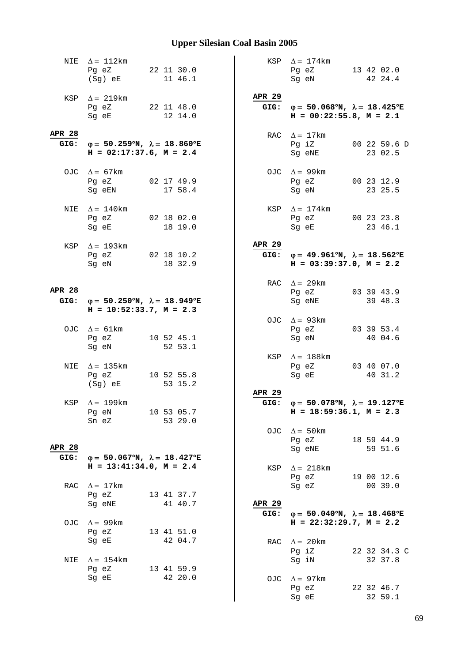|                       | NIE $\Delta = 112 \text{km}$<br>Pg eZ 22 11 30.0<br>(Sg) eE 11 46.1                                                                                         |  |                       |                       | KSP $\Delta = 174 \text{km}$<br>Pg eZ 13 42 02.0<br>Sg eN                                                                                               |  | 42 24.4                 |
|-----------------------|-------------------------------------------------------------------------------------------------------------------------------------------------------------|--|-----------------------|-----------------------|---------------------------------------------------------------------------------------------------------------------------------------------------------|--|-------------------------|
|                       | KSP $\Delta = 219 \text{km}$<br>Pg eZ 22 11 48.0<br>Sg eE                                                                                                   |  | 12 14.0               | APR 29                | GIG: $\varphi = 50.068^{\circ}N$ , $\lambda = 18.425^{\circ}E$<br>$H = 00:22:55.8$ , $M = 2.1$                                                          |  |                         |
| <b>APR 28</b>         | GIG: $\varphi = 50.259^{\circ}N$ , $\lambda = 18.860^{\circ}E$<br>$H = 02:17:37.6$ , $M = 2.4$                                                              |  |                       |                       | RAC $\Delta = 17 \text{km}$<br>Pg iZ<br>Sg eNE                                                                                                          |  | 00 22 59.6 D<br>23 02.5 |
|                       | OJC $\Delta = 67 \text{km}$<br>Pg eZ 02 17 49.9<br>Sg eEN                                                                                                   |  | 17 58.4               |                       | OJC $\Delta = 99 \text{km}$<br>Pg eZ 00 23 12.9<br>Sg eN                                                                                                |  | 23 25.5                 |
|                       | NIE $\Delta = 140$ km<br>Pg eZ 02 18 02.0<br>Sg eE and the state of the state of the state of the state of the state of the state of the state of the state |  | 18 19.0               | KSP                   | $\Delta = 174$ km<br>Pg eZ 00 23 23.8<br>Sg eE and the state of the state of the state of the state of the state of the state of the state of the state |  | 23 46.1                 |
|                       | KSP $\Delta = 193 \text{km}$<br>Pg eZ 02 18 10.2<br>Sg eN                                                                                                   |  | 18 32.9               | <b>APR 29</b>         | GIG: $\varphi = 49.961^{\circ}N$ , $\lambda = 18.562^{\circ}E$<br>$H = 03:39:37.0, M = 2.2$                                                             |  |                         |
| <b>APR 28</b>         | GIG: $\varphi = 50.250^{\circ}N$ , $\lambda = 18.949^{\circ}E$<br>$H = 10:52:33.7, M = 2.3$                                                                 |  |                       |                       | RAC $\Delta = 29 \text{km}$<br>Pg eZ 03 39 43.9<br>Sg eNE                                                                                               |  | 39 48.3                 |
|                       | OJC $\Delta = 61 \text{km}$<br>Pg eZ<br>Sg eN                                                                                                               |  | 10 52 45.1<br>52 53.1 |                       | OJC $\Delta = 93 \text{km}$<br>Pg eZ<br>Sg eN                                                                                                           |  | 03 39 53.4<br>40 04.6   |
| NIE                   | $\Delta = 135$ km<br>Pg eZ<br>(Sg) eE                                                                                                                       |  | 10 52 55.8<br>53 15.2 |                       | KSP $\Delta = 188$ km<br>Pg eZ<br>Sq eE                                                                                                                 |  | 03 40 07.0<br>40 31.2   |
|                       | KSP $\Delta = 199$ km<br>Pg eN<br>Sn eZ                                                                                                                     |  | 10 53 05.7<br>53 29.0 | APR 29                | GIG: $\varphi = 50.078^{\circ}N$ , $\lambda = 19.127^{\circ}E$<br>$H = 18:59:36.1, M = 2.3$                                                             |  |                         |
| <b>APR 28</b><br>GIG: | $\varphi = 50.067$ °N, $\lambda = 18.427$ °E                                                                                                                |  |                       | OJC                   | $\Delta = 50 \text{km}$<br>Pg eZ<br>Sg eNE                                                                                                              |  | 18 59 44.9<br>59 51.6   |
| RAC                   | $H = 13:41:34.0, M = 2.4$<br>$\Delta = 17$ km<br>Pg eZ                                                                                                      |  | 13 41 37.7            | KSP                   | $\Delta = 218 \text{km}$<br>Pg eZ<br>Sg eZ                                                                                                              |  | 19 00 12.6<br>00 39.0   |
|                       | Sg eNE<br>OJC $\Delta = 99 \text{km}$<br>Pg eZ                                                                                                              |  | 41 40.7<br>13 41 51.0 | <b>APR 29</b><br>GIG: | $\varphi = 50.040^{\circ}N$ , $\lambda = 18.468^{\circ}E$<br>$H = 22:32:29.7$ , $M = 2.2$                                                               |  |                         |
| NIE                   | Sg eE<br>$\Delta = 154 \text{km}$                                                                                                                           |  | 42 04.7               | RAC                   | $\Delta = 20$ km<br>Pg iZ<br>Sg iN                                                                                                                      |  | 22 32 34.3 C<br>32 37.8 |
|                       | Pg eZ<br>Sg eE                                                                                                                                              |  | 13 41 59.9<br>42 20.0 | OJC                   | $\Delta = 97$ km<br>Pg eZ<br>Sg eE                                                                                                                      |  | 22 32 46.7<br>32 59.1   |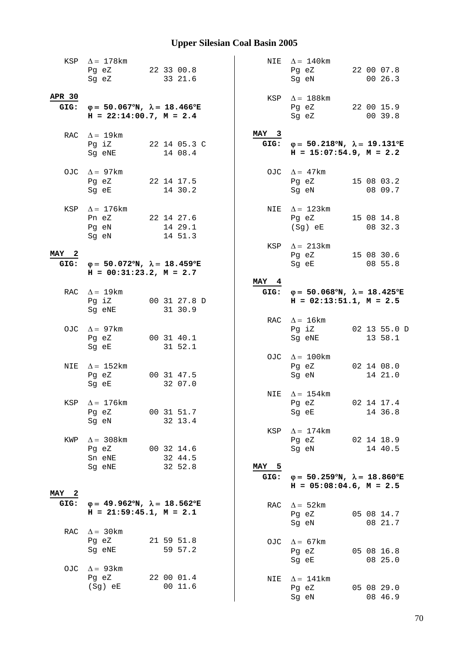|               | KSP $\Delta = 178$ km<br>Pg eZ 22 33 00.8<br>Sg eZ                                                                                                     |  | 33 21.6                 |              | NIE $\Delta = 140$ km<br>Pg eZ<br>Sg eN                                                                                                                        |  | 22 00 07.8<br>00 26.3   |
|---------------|--------------------------------------------------------------------------------------------------------------------------------------------------------|--|-------------------------|--------------|----------------------------------------------------------------------------------------------------------------------------------------------------------------|--|-------------------------|
| APR 30        | GIG: $\varphi = 50.067^{\circ}N$ , $\lambda = 18.466^{\circ}E$<br>$H = 22:14:00.7$ , $M = 2.4$                                                         |  |                         | KSP          | $\Delta = 188$ km<br>Pg eZ<br>Sg eZ                                                                                                                            |  | 22 00 15.9<br>00 39.8   |
|               | RAC $\Delta = 19$ km<br>Pg iZ<br>Sg eNE                                                                                                                |  | 22 14 05.3 C<br>14 08.4 | MAY 3        | GIG: $\varphi = 50.218^{\circ}N$ , $\lambda = 19.131^{\circ}E$<br>$H = 15:07:54.9$ , $M = 2.2$                                                                 |  |                         |
|               | OJC $\Delta = 97 \text{km}$<br>Pg eZ<br>Sg eE and the state of the state of the state of the state of the state of the state of the state of the state |  | 22 14 17.5<br>14 30.2   |              | OJC $\Delta = 47 \text{km}$<br>Pg eZ<br>Sg eN                                                                                                                  |  | 15 08 03.2<br>08 09.7   |
|               | KSP $\Delta = 176$ km<br>Pn eZ 22 14 27.6<br>Pg eN<br>Sg eN                                                                                            |  | 14 29.1<br>14 51.3      | NIE          | $\Delta = 123 \text{km}$<br>Pg eZ 15 08 14.8<br>$(Sg)$ eE                                                                                                      |  | 08 32.3                 |
| MAY 2<br>GIG: | $\varphi = 50.072^{\circ}N$ , $\lambda = 18.459^{\circ}E$<br>$H = 00:31:23.2, M = 2.7$                                                                 |  |                         | KSP          | $\Delta = 213 \text{km}$<br>Pg eZ 15 08 30.6<br>Sq eE and the state of the state of the state of the state of the state of the state of the state of the state |  | 08 55.8                 |
|               |                                                                                                                                                        |  |                         | MAY 4        |                                                                                                                                                                |  |                         |
|               | RAC $\Delta = 19$ km<br>Pg iZ<br>Sg eNE                                                                                                                |  | 00 31 27.8 D<br>31 30.9 |              | GIG: $\varphi = 50.068^{\circ}N$ , $\lambda = 18.425^{\circ}E$<br>$H = 02:13:51.1, M = 2.5$                                                                    |  |                         |
|               | OJC $\Delta = 97 \text{km}$<br>Pg eZ<br>Sg eE                                                                                                          |  | 00 31 40.1<br>31 52.1   |              | RAC $\Delta = 16 \text{km}$<br>Pg iZ<br>Sg eNE                                                                                                                 |  | 02 13 55.0 D<br>13 58.1 |
| NIE           | $\Delta = 152 \text{km}$<br>Pg eZ<br>Sg eE                                                                                                             |  | 00 31 47.5<br>32 07.0   |              | OJC $\Delta = 100$ km<br>Pg eZ<br>Sg eN                                                                                                                        |  | 02 14 08.0<br>14 21.0   |
|               | KSP $\Delta = 176$ km<br>Pg eZ<br>Sg eN                                                                                                                |  | 00 31 51.7<br>32 13.4   |              | NIE $\Delta = 154$ km<br>Pg eZ<br>Sg eE                                                                                                                        |  | 02 14 17.4<br>14 36.8   |
| KWP           | $\Delta$ = 308 km<br>Pg eZ 00 32 14.6<br>Sn eNE<br>Sg eNE                                                                                              |  | 32 44.5<br>32 52.8      | KSP<br>MAY 5 | $\Delta = 174$ km<br>Pg eZ 02 14 18.9<br>Sg eN                                                                                                                 |  | 14 40.5                 |
|               |                                                                                                                                                        |  |                         | GIG:         | $\varphi = 50.259^{\circ}N$ , $\lambda = 18.860^{\circ}E$<br>$H = 05:08:04.6$ , $M = 2.5$                                                                      |  |                         |
| MAY 2         |                                                                                                                                                        |  |                         |              |                                                                                                                                                                |  |                         |
| GIG:          | $\varphi = 49.962^{\circ}N$ , $\lambda = 18.562^{\circ}E$<br>$H = 21:59:45.1, M = 2.1$                                                                 |  |                         | RAC          | $\Delta = 52 \text{km}$<br>Pg eZ<br>Sg eN                                                                                                                      |  | 05 08 14.7<br>08 21.7   |
|               | RAC $\Delta = 30 \text{km}$<br>Pg eZ<br>Sg eNE                                                                                                         |  | 21 59 51.8<br>59 57.2   | OJC          | $\Delta = 67 \text{km}$<br>Pg eZ<br>Sg eE                                                                                                                      |  | 05 08 16.8<br>08 25.0   |
| OJC           | $\Delta = 93$ km<br>Pg eZ<br>(Sg) eE                                                                                                                   |  | 22 00 01.4<br>00 11.6   | NIE          | $\Delta = 141$ km<br>Pg eZ<br>Sg eN                                                                                                                            |  | 05 08 29.0<br>08 46.9   |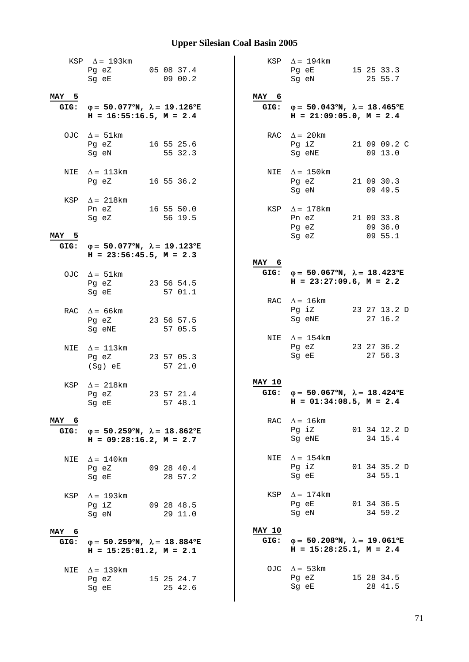|               | KSP $\Delta = 193 \text{km}$<br>05 08 37.4<br>Pg eZ<br>Sq eE and the state of the state of the state of the state of the state of the state of the state of the state |  | 09 00.2               |                       | KSP $\Delta = 194$ km<br>Pg eE 15 25 33.3<br>Sg eN                                                                                             |  | 25 55.7                          |
|---------------|-----------------------------------------------------------------------------------------------------------------------------------------------------------------------|--|-----------------------|-----------------------|------------------------------------------------------------------------------------------------------------------------------------------------|--|----------------------------------|
| MAY 5         | GIG: $\varphi = 50.077^{\circ}N$ , $\lambda = 19.126^{\circ}E$<br>$H = 16:55:16.5$ , $M = 2.4$                                                                        |  |                       | MAY 6                 | GIG: $\varphi = 50.043^{\circ}N$ , $\lambda = 18.465^{\circ}E$<br>$H = 21:09:05.0$ , $M = 2.4$                                                 |  |                                  |
|               | OJC $\Delta = 51 \text{km}$<br>Pg eZ<br>Sg eN                                                                                                                         |  | 16 55 25.6<br>55 32.3 |                       | RAC $\Delta = 20$ km<br>Pg iZ<br>Sg eNE                                                                                                        |  | 21 09 09.2 C<br>09 13.0          |
|               | NIE $\Delta = 113 \text{km}$<br>Pg eZ                                                                                                                                 |  | 16 55 36.2            |                       | NIE $\Delta = 150$ km<br>Pg eZ<br>Sg eN                                                                                                        |  | 21 09 30.3<br>09 49.5            |
| MAY 5         | KSP $\Delta = 218 \text{km}$<br>Pn eZ<br>Sg eZ                                                                                                                        |  | 16 55 50.0<br>56 19.5 |                       | KSP $\Delta = 178$ km<br>Pn eZ<br>Pg eZ<br>Sg eZ                                                                                               |  | 21 09 33.8<br>09 36.0<br>09 55.1 |
|               | GIG: $\varphi = 50.077^{\circ}N$ , $\lambda = 19.123^{\circ}E$<br>$H = 23:56:45.5$ , $M = 2.3$                                                                        |  |                       |                       |                                                                                                                                                |  |                                  |
|               | OJC $\Delta = 51 \text{km}$<br>Pg eZ 23 56 54.5<br>Sg eE                                                                                                              |  | 57 01.1               | MAY 6<br>GIG:         | $\varphi = 50.067^{\circ}N$ , $\lambda = 18.423^{\circ}E$<br>$H = 23:27:09.6$ , $M = 2.2$                                                      |  |                                  |
|               | RAC $\Delta = 66 \text{km}$<br>Pg eZ<br>Sg eNE                                                                                                                        |  | 23 56 57.5<br>57 05.5 | RAC                   | $\Delta = 16 \text{km}$<br>Pg iZ<br>Sg eNE                                                                                                     |  | 23 27 13.2 D<br>27 16.2          |
| NIE           | $\Delta = 113 \mathrm{km}$<br>Pg eZ<br>(Sg) eE                                                                                                                        |  | 23 57 05.3<br>57 21.0 |                       | NIE $\Delta = 154$ km<br>Pg eZ<br>Sg eE                                                                                                        |  | 23 27 36.2<br>27 56.3            |
| KSP           | $\Delta = 218$ km<br>Pg eZ<br>Sg eE                                                                                                                                   |  | 23 57 21.4<br>57 48.1 | <b>MAY 10</b>         | GIG: $\varphi = 50.067^{\circ}N$ , $\lambda = 18.424^{\circ}E$<br>$H = 01:34:08.5$ , $M = 2.4$                                                 |  |                                  |
| MAY 6         | GIG: $\varphi = 50.259^{\circ}N$ , $\lambda = 18.862^{\circ}E$<br>$H = 09:28:16.2, M = 2.7$                                                                           |  |                       |                       | RAC $\Delta = 16 \text{km}$<br>Pg iZ<br>Sg eNE                                                                                                 |  | 01 34 12.2 D<br>34 15.4          |
| NIE           | $\Delta = 140$ km<br>Pg eZ<br>Sg eE                                                                                                                                   |  | 09 28 40.4<br>28 57.2 | NIE                   | $\Delta = 154$ km<br>Pg iZ 01 34 35.2 D<br>Sg eE and the state of the state of the state of the state of the state of the state of the state o |  | 34 55.1                          |
|               | KSP $\Delta = 193$ km<br>Pg iZ 09 28 48.5<br>Sg eN 29 11.0                                                                                                            |  |                       | KSP                   | $\Delta = 174$ km<br>Pg eE 01 34 36.5<br>Sg eN                                                                                                 |  | 34 59.2                          |
| MAY 6<br>GIG: | $\varphi = 50.259^{\circ}N$ , $\lambda = 18.884^{\circ}E$<br>$H = 15:25:01.2, M = 2.1$                                                                                |  |                       | <b>MAY 10</b><br>GIG: | $φ = 50.208°N, λ = 19.061°E$<br>$H = 15:28:25.1, M = 2.4$                                                                                      |  |                                  |
| NIE           | $\Delta = 139 \mathrm{km}$<br>Pg eZ 15 25 24.7<br>Sg eE and the state of the state of the state of the state of the state of the state of the state of the state      |  | 25 42.6               |                       | OJC $\Delta = 53 \text{km}$<br>Pg eZ<br>Sg eE                                                                                                  |  | 15 28 34.5<br>28 41.5            |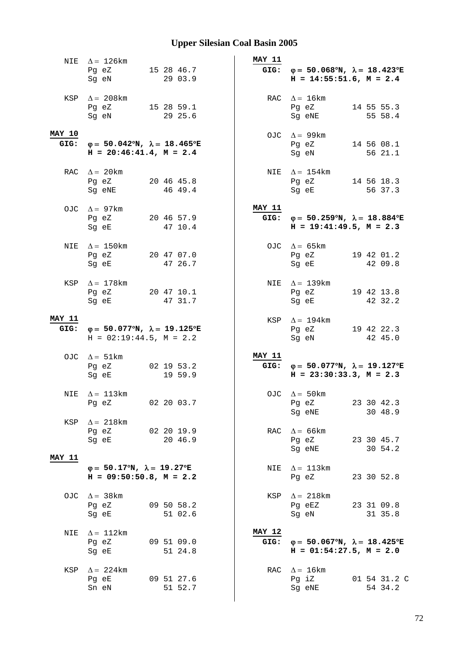| NIE           | $\Delta = 126 \text{km}$                                       |                       | <b>MAY 11</b> |                                                                                                |                         |
|---------------|----------------------------------------------------------------|-----------------------|---------------|------------------------------------------------------------------------------------------------|-------------------------|
|               | Pg eZ<br>Sg eN                                                 | 15 28 46.7<br>29 03.9 |               | GIG: $\varphi = 50.068^{\circ}N$ , $\lambda = 18.423^{\circ}E$<br>$H = 14:55:51.6$ , $M = 2.4$ |                         |
|               |                                                                |                       |               |                                                                                                |                         |
| KSP           | $\Delta = 208$ km                                              |                       |               | RAC $\Delta = 16$ km                                                                           |                         |
|               | Pq eZ 15 28 59.1<br>Sg eN                                      | 29 25.6               |               | Pg eZ<br>Sg eNE                                                                                | 14 55 55.3<br>55 58.4   |
|               |                                                                |                       |               |                                                                                                |                         |
| <b>MAY 10</b> |                                                                |                       |               | OJC $\Delta = 99$ km                                                                           |                         |
| GIG:          | $\varphi = 50.042^{\circ}N$ , $\lambda = 18.465^{\circ}E$      |                       |               | Pg eZ                                                                                          | 14 56 08.1              |
|               | $H = 20:46:41.4, M = 2.4$                                      |                       |               | Sg eN                                                                                          | 56 21.1                 |
|               | RAC $\Delta = 20$ km                                           |                       |               | NIE $\Delta = 154$ km                                                                          |                         |
|               | Pg eZ 20 46 45.8                                               |                       |               | Pg eZ                                                                                          | 14 56 18.3              |
|               | Sg eNE                                                         | 46 49.4               |               | Sg eE                                                                                          | 56 37.3                 |
|               | OJC $\Delta = 97$ km                                           |                       | <b>MAY 11</b> |                                                                                                |                         |
|               | Pg eZ 20 46 57.9                                               |                       |               | GIG: $\varphi = 50.259^{\circ}N$ , $\lambda = 18.884^{\circ}E$                                 |                         |
|               | Sg eE                                                          | 47 10.4               |               | $H = 19:41:49.5, M = 2.3$                                                                      |                         |
|               |                                                                |                       |               |                                                                                                |                         |
| NIE           | $\Delta = 150$ km<br>Pg eZ 20 47 07.0                          |                       |               | OJC $\Delta = 65 \text{km}$<br>Pg eZ                                                           | 19 42 01.2              |
|               | Sq eE                                                          | 47 26.7               |               | Sg eE                                                                                          | 42 09.8                 |
|               |                                                                |                       |               |                                                                                                |                         |
|               | KSP $\Delta = 178$ km                                          |                       |               | NIE $\Delta = 139$ km                                                                          |                         |
|               | Pg eZ 20 47 10.1<br>Sg eE                                      | 47 31.7               |               | Pg eZ<br>Sg eE                                                                                 | 19 42 13.8<br>42 32.2   |
|               |                                                                |                       |               |                                                                                                |                         |
| <b>MAY 11</b> |                                                                |                       |               | KSP $\Delta = 194 \text{km}$                                                                   |                         |
|               | GIG: $\varphi = 50.077^{\circ}N$ , $\lambda = 19.125^{\circ}E$ |                       |               | Pg eZ 19 42 22.3                                                                               |                         |
|               | $H = 02:19:44.5, M = 2.2$                                      |                       |               | Sg eN                                                                                          | 42 45.0                 |
|               | OJC $\Delta = 51 \text{km}$                                    |                       | <b>MAY 11</b> |                                                                                                |                         |
|               | Pg eZ 02 19 53.2                                               |                       |               | GIG: $\varphi = 50.077^{\circ}N$ , $\lambda = 19.127^{\circ}E$                                 |                         |
|               | Sq eE                                                          | 19 59.9               |               | $H = 23:30:33.3, M = 2.3$                                                                      |                         |
| NIE           | $\Delta = 113 \text{km}$                                       |                       |               | OJC $\Delta = 50 \text{km}$                                                                    |                         |
|               | Pg eZ                                                          | 02 20 03.7            |               | Pg eZ                                                                                          | 23 30 42.3              |
|               |                                                                |                       |               | Sg eNE                                                                                         | 30 48.9                 |
| KSP           | $\Delta = 218$ km                                              | 02 20 19.9            | RAC           | $\Delta$ = 66 km                                                                               |                         |
|               | Pg eZ<br>Sg eE                                                 | 20 46.9               |               | Pg eZ                                                                                          | 23 30 45.7              |
|               |                                                                |                       |               | Sg eNE                                                                                         | 30 54.2                 |
| <b>MAY 11</b> |                                                                |                       |               |                                                                                                |                         |
|               | $\varphi = 50.17^{\circ}N$ , $\lambda = 19.27^{\circ}E$        |                       | NIE           | $\Delta = 113 \text{km}$                                                                       |                         |
|               | $H = 09:50:50.8$ , $M = 2.2$                                   |                       |               | Pg eZ                                                                                          | 23 30 52.8              |
| OJC           | $\Delta = 38 \text{km}$                                        |                       | KSP           | $\Delta = 218$ km                                                                              |                         |
|               | Pg eZ                                                          | 09 50 58.2            |               | Pg eEZ                                                                                         | 23 31 09.8              |
|               | Sg eE                                                          | 51 02.6               |               | Sg eN                                                                                          | 31 35.8                 |
| NIE           | $\Delta = 112 \text{km}$                                       |                       | <b>MAY 12</b> |                                                                                                |                         |
|               | Pg eZ                                                          | 09 51 09.0            | GIG:          | $\varphi = 50.067^{\circ}N$ , $\lambda = 18.425^{\circ}E$                                      |                         |
|               | Sg eE                                                          | 51 24.8               |               | $H = 01:54:27.5$ , $M = 2.0$                                                                   |                         |
|               |                                                                |                       |               |                                                                                                |                         |
| KSP           |                                                                |                       | RAC           | $\Delta = 16 \text{km}$                                                                        |                         |
|               | $\Delta = 224$ km                                              |                       |               |                                                                                                |                         |
|               | Pg eE<br>Sn eN                                                 | 09 51 27.6<br>51 52.7 |               | Pg iZ<br>Sg eNE                                                                                | 01 54 31.2 C<br>54 34.2 |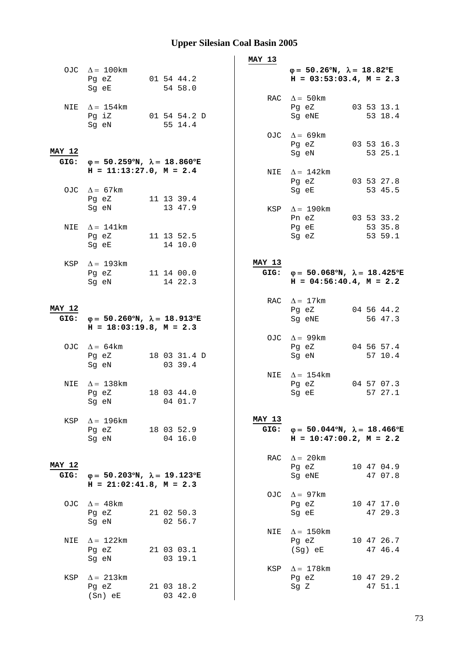|                       |                                                                                                                                              |                         | MAY 13                |                                                                                         |
|-----------------------|----------------------------------------------------------------------------------------------------------------------------------------------|-------------------------|-----------------------|-----------------------------------------------------------------------------------------|
|                       | OJC $\Delta = 100 \text{km}$<br>Pg eZ<br>Sg eE                                                                                               | 01 54 44.2<br>54 58.0   |                       | $\varphi = 50.26^{\circ}N$ , $\lambda = 18.82^{\circ}E$<br>$H = 03:53:03.4$ , $M = 2.3$ |
|                       | NIE $\Delta = 154$ km<br>$Pg$ iZ<br>Sg eN                                                                                                    | 01 54 54.2 D<br>55 14.4 |                       | RAC $\Delta = 50$ km<br>03 53 13.1<br>Pg eZ<br>Sg eNE<br>53 18.4                        |
| <b>MAY 12</b>         |                                                                                                                                              |                         |                       | OJC $\Delta = 69 \text{km}$<br>Pg eZ<br>03 53 16.3<br>Sg eN<br>53 25.1                  |
| GIG:                  | $φ = 50.259°N, λ = 18.860°E$<br>$H = 11:13:27.0, M = 2.4$                                                                                    |                         |                       | NIE $\Delta = 142$ km<br>Pg eZ<br>03 53 27.8                                            |
|                       | OJC $\Delta = 67 \text{km}$<br>Pg eZ 11 13 39.4<br>Sg eN                                                                                     | 13 47.9                 |                       | Sg eE<br>53 45.5<br>KSP $\Delta = 190$ km                                               |
| NIE                   | $\Delta = 141 \text{km}$<br>Pg eZ<br>Sg eE                                                                                                   | 11 13 52.5<br>14 10.0   |                       | Pn eZ 03 53 33.2<br>Pg eE<br>53 35.8<br>53 59.1<br>Sg eZ                                |
|                       | KSP $\Delta = 193$ km                                                                                                                        | 11 14 00.0              | <b>MAY 13</b><br>GIG: |                                                                                         |
|                       | Pg eZ<br>Sg eN                                                                                                                               | 14 22.3                 |                       | $\varphi = 50.068^{\circ}N$ , $\lambda = 18.425^{\circ}E$<br>$H = 04:56:40.4, M = 2.2$  |
| <b>MAY 12</b><br>GIG: | $φ = 50.260°N, λ = 18.913°E$<br>$H = 18:03:19.8, M = 2.3$                                                                                    |                         |                       | RAC $\Delta = 17 \text{km}$<br>04 56 44.2<br>Pg eZ<br>56 47.3<br>Sg eNE                 |
|                       | OJC $\Delta = 64 \text{km}$                                                                                                                  |                         |                       | OJC $\Delta = 99 \text{km}$<br>04 56 57.4<br>Pg eZ                                      |
|                       | Pg eZ<br>Sg eN                                                                                                                               | 18 03 31.4 D<br>03 39.4 |                       | Sg eN<br>57 10.4                                                                        |
| NIE                   | $\Delta = 138$ km<br>Pg eZ<br>Sg eN and the state of the state of the state of the state of the state of the state of the state of the state | 18 03 44.0<br>04 01.7   |                       | NIE $\Delta = 154$ km<br>Pg eZ<br>04 57 07.3<br>57 27.1<br>Sg eE                        |
|                       | KSP $\Delta = 196 \text{km}$<br>Pg eZ<br>Sg eN                                                                                               | 18 03 52.9<br>04 16.0   | <b>MAY 13</b><br>GIG: | $\varphi = 50.044^{\circ}N$ , $\lambda = 18.466^{\circ}E$<br>$H = 10:47:00.2, M = 2.2$  |
| <b>MAY 12</b><br>GIG: | $\varphi = 50.203^{\circ}N$ , $\lambda = 19.123^{\circ}E$                                                                                    |                         |                       | RAC $\Delta = 20$ km<br>Pg eZ<br>10 47 04.9<br>Sg eNE<br>47 07.8                        |
|                       | $H = 21:02:41.8$ , $M = 2.3$<br>OJC $\Delta = 48$ km<br>Pg eZ                                                                                | 21 02 50.3              |                       | OJC $\Delta = 97 \text{km}$<br>Pg eZ<br>10 47 17.0<br>47 29.3<br>Sg eE                  |
|                       | Sg eN                                                                                                                                        | 02 56.7                 | NIE                   | $\Delta = 150$ km                                                                       |
| NIE                   | $\Delta = 122$ km<br>Pg eZ<br>Sg eN                                                                                                          | 21 03 03.1<br>03 19.1   |                       | 10 47 26.7<br>Pg eZ<br>47 46.4<br>(Sg) eE                                               |
| KSP                   | $\Delta$ = 213km<br>Pg eZ<br>$(Sn)$ eE                                                                                                       | 21 03 18.2<br>03 42.0   |                       | KSP $\Delta = 178$ km<br>Pg eZ<br>10 47 29.2<br>47 51.1<br>Sg Z                         |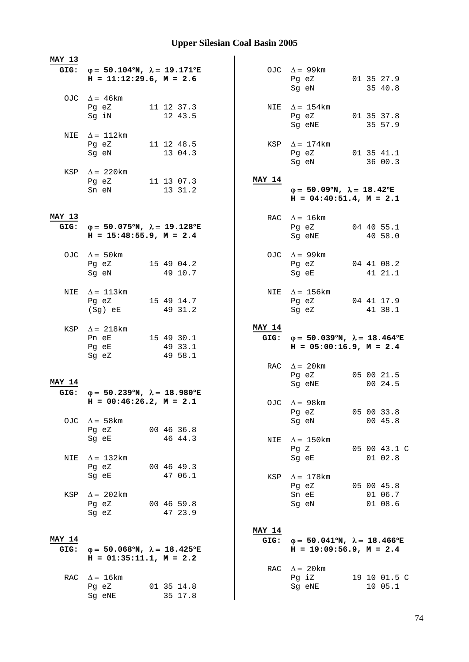| <b>MAY 13</b>         |                                                                                                |            |                       |  |               |                                                                                                |  |                         |
|-----------------------|------------------------------------------------------------------------------------------------|------------|-----------------------|--|---------------|------------------------------------------------------------------------------------------------|--|-------------------------|
|                       | GIG: $\varphi = 50.104^{\circ}N$ , $\lambda = 19.171^{\circ}E$<br>$H = 11:12:29.6$ , $M = 2.6$ |            |                       |  |               | OJC $\Delta = 99 \text{km}$<br>Pg eZ 01 35 27.9<br>Sg eN                                       |  | 35 40.8                 |
|                       | OJC $\Delta = 46 \text{km}$<br>Pg eZ 11 12 37.3<br>Sg iN                                       | 12 43.5    |                       |  |               | NIE $\Delta = 154$ km<br>Pg eZ 01 35 37.8                                                      |  |                         |
|                       | NIE $\Delta = 112$ km<br>Pg eZ 11 12 48.5                                                      |            |                       |  |               | Sg eNE<br>KSP $\Delta = 174$ km                                                                |  | 35 57.9                 |
|                       | Sg eN                                                                                          | 13 04.3    |                       |  |               | Pg eZ 01 35 41.1<br>Sg eN                                                                      |  | 36 00.3                 |
|                       | KSP $\Delta = 220$ km<br>Pg eZ 11 13 07.3<br>Sn eN                                             |            | 13 31.2               |  | MAY 14        | $\varphi = 50.09^{\circ}N$ , $\lambda = 18.42^{\circ}E$<br>$H = 04:40:51.4$ , $M = 2.1$        |  |                         |
| <b>MAY 13</b><br>GIG: | $\varphi = 50.075^{\circ}N$ , $\lambda = 19.128^{\circ}E$<br>$H = 15:48:55.9$ , $M = 2.4$      |            |                       |  |               | RAC $\Delta = 16 \text{km}$<br>Pg eZ 04 40 55.1<br>Sg eNE 40 58.0                              |  |                         |
|                       | OJC $\Delta = 50 \text{km}$<br>Pg eZ 15 49 04.2<br>Sg eN 49 10.7                               |            |                       |  |               | OJC $\Delta = 99 \text{km}$<br>Pg eZ 04 41 08.2<br>Sg eE 41 21.1                               |  |                         |
| NIE                   | $\Delta = 113 \mathrm{km}$<br>Pg eZ 15 49 14.7<br>(Sg) eE                                      | 49 31.2    |                       |  |               | NIE $\Delta = 156$ km<br>Pg eZ 04 41 17.9<br>Sg eZ                                             |  | 41 38.1                 |
|                       | KSP $\Delta = 218$ km<br>Pn eE 15 49 30.1<br>Pg eE                                             | 49 33.1    |                       |  | <b>MAY 14</b> | GIG: $\varphi = 50.039^{\circ}N$ , $\lambda = 18.464^{\circ}E$<br>$H = 05:00:16.9$ , $M = 2.4$ |  |                         |
|                       | Sg eZ                                                                                          |            | 49 58.1               |  |               |                                                                                                |  |                         |
| <b>MAY 14</b>         |                                                                                                |            |                       |  |               | RAC $\Delta = 20 \text{km}$<br>Pg eZ<br>Sg eNE                                                 |  | 05 00 21.5<br>00 24.5   |
|                       | GIG: $\varphi = 50.239^{\circ}N$ , $\lambda = 18.980^{\circ}E$<br>$H = 00:46:26.2$ , $M = 2.1$ |            |                       |  |               | OJC $\Delta = 98$ km<br>Pg eZ                                                                  |  | 05 00 33.8              |
|                       | OJC $\Delta = 58 \text{km}$<br>Pg eZ<br>Sq eE                                                  |            | 00 46 36.8<br>46 44.3 |  | NIE           | Sg eN<br>$\Delta = 150$ km                                                                     |  | 00 45.8                 |
| NIE                   | $\Delta$ = 132km<br>Pg eZ                                                                      |            | 00 46 49.3            |  |               | Pg Z<br>Sg eE                                                                                  |  | 05 00 43.1 C<br>01 02.8 |
|                       | Sg eE                                                                                          |            | 47 06.1               |  | KSP           | $\Delta = 178$ km<br>Pq eZ                                                                     |  | 05 00 45.8              |
| KSP                   | $\Delta = 202 \text{km}$<br>Pg eZ<br>Sg eZ                                                     | 00 46 59.8 | 47 23.9               |  |               | Sn eE<br>Sg eN                                                                                 |  | 01 06.7<br>01 08.6      |
| <b>MAY 14</b><br>GIG: | $φ = 50.068°N, λ = 18.425°E$                                                                   |            |                       |  | <b>MAY 14</b> | GIG: $\varphi = 50.041^{\circ}N$ , $\lambda = 18.466^{\circ}E$<br>$H = 19:09:56.9, M = 2.4$    |  |                         |
|                       | $H = 01:35:11.1, M = 2.2$                                                                      |            |                       |  |               |                                                                                                |  |                         |
| RAC                   | $\Delta = 16$ km<br>Pg eZ                                                                      | 01 35 14.8 |                       |  | RAC           | $\Delta = 20$ km<br>Pg iZ<br>Sg eNE                                                            |  | 19 10 01.5 C<br>10 05.1 |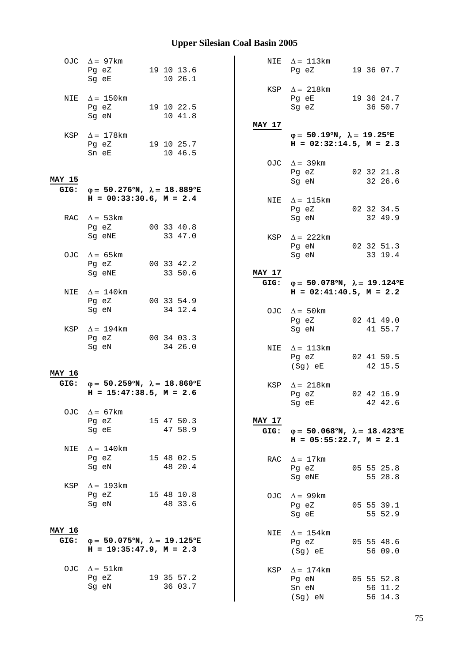|                       | OJC $\Delta = 97 \text{km}$<br>Pg eZ 19 10 13.6<br>Sq eE                                    | 10 26.1               |         |                | NIE $\Delta = 113 \text{km}$<br>Pg eZ                                                          |  | 19 36 07.7                       |  |
|-----------------------|---------------------------------------------------------------------------------------------|-----------------------|---------|----------------|------------------------------------------------------------------------------------------------|--|----------------------------------|--|
|                       | NIE $\Delta = 150$ km<br>Pg eZ 19 10 22.5<br>Sg eN                                          | 10 41.8               |         |                | KSP $\Delta = 218 \text{km}$<br>Pg eE 19 36 24.7<br>Sg eZ                                      |  | 36 50.7                          |  |
|                       | KSP $\Delta = 178$ km<br>Pg eZ 19 10 25.7<br>Sn eE                                          | 10 46.5               |         | MAY 17         | $\varphi = 50.19^{\circ}N$ , $\lambda = 19.25^{\circ}E$<br>$H = 02:32:14.5$ , $M = 2.3$        |  |                                  |  |
| <b>MAY 15</b>         | GIG: $\varphi = 50.276^{\circ}N$ , $\lambda = 18.889^{\circ}E$                              |                       |         |                | OJC $\Delta = 39 \text{km}$<br>Pg eZ<br>Sg eN                                                  |  | 02 32 21.8<br>32 26.6            |  |
|                       | $H = 00:33:30.6$ , $M = 2.4$                                                                |                       |         |                | NIE $\Delta = 115 \text{km}$<br>Pg eZ 02 32 34.5                                               |  |                                  |  |
|                       | RAC $\Delta = 53 \text{km}$<br>Pg eZ 00 33 40.8<br>Sg eNE 33 47.0                           |                       |         |                | Sg eN<br>KSP $\Delta$ = 222km                                                                  |  | 32 49.9                          |  |
| OJC                   | $\Delta = 65$ km                                                                            |                       |         |                | Pg eN 02 32 51.3<br>Sg eN                                                                      |  | 33 19.4                          |  |
|                       | Pg eZ<br>Sg eNE                                                                             | 00 33 42.2<br>33 50.6 |         | MAY 17<br>GIG: | $\varphi = 50.078^{\circ}N$ , $\lambda = 19.124^{\circ}E$                                      |  |                                  |  |
| NIE                   | $\Delta = 140$ km<br>Pg eZ                                                                  | 00 33 54.9            |         |                | $H = 02:41:40.5$ , $M = 2.2$                                                                   |  |                                  |  |
| KSP                   | Sg eN<br>$\Delta = 194$ km                                                                  | 34 12.4               |         |                | OJC $\Delta = 50 \text{km}$<br>Pg eZ<br>Sg eN                                                  |  | 02 41 49.0<br>41 55.7            |  |
|                       | Pg eZ 00 34 03.3<br>Sg eN                                                                   | 34 26.0               |         |                | NIE $\Delta = 113 \text{km}$<br>Pg eZ<br>(Sg) eE                                               |  | 02 41 59.5<br>42 15.5            |  |
| <b>MAY 16</b>         | GIG: $\varphi = 50.259^{\circ}N$ , $\lambda = 18.860^{\circ}E$<br>$H = 15:47:38.5, M = 2.6$ |                       |         |                | KSP $\Delta = 218$ km<br>Pg eZ<br>Sg eE 42 42.6                                                |  | 02 42 16.9                       |  |
| OJC.                  | $\Delta = 67$ km<br>Pg eZ<br>Sg eE                                                          | 15 47 50.3<br>47 58.9 |         | <b>MAY 17</b>  | GIG: $\varphi = 50.068^{\circ}N$ , $\lambda = 18.423^{\circ}E$<br>$H = 05:55:22.7$ , $M = 2.1$ |  |                                  |  |
| NIE                   | $\Delta = 140$ km<br>Pg eZ<br>Sg eN                                                         | 15 48 02.5            | 48 20.4 |                | RAC $\Delta = 17$ km<br>Pg eZ<br>Sg eNE                                                        |  | 05 55 25.8<br>55 28.8            |  |
| KSP                   | $\Delta = 193$ km<br>Pg eZ<br>Sg eN                                                         | 15 48 10.8<br>48 33.6 |         |                | OJC $\Delta = 99$ km<br>Pg eZ<br>Sg eE                                                         |  | 05 55 39.1<br>55 52.9            |  |
| <b>MAY 16</b><br>GIG: | φ= 50.075°N, $\lambda$ = 19.125°E<br>$H = 19:35:47.9$ , $M = 2.3$                           |                       |         | NIE            | $\Delta = 154$ km<br>Pg eZ<br>(Sg) eE                                                          |  | 05 55 48.6<br>56 09.0            |  |
|                       | OJC $\Delta = 51 \text{km}$<br>Pg eZ<br>Sg eN                                               | 19 35 57.2            | 36 03.7 | KSP            | $\Delta = 174$ km<br>Pg eN<br>Sn eN<br>(Sg) eN                                                 |  | 05 55 52.8<br>56 11.2<br>56 14.3 |  |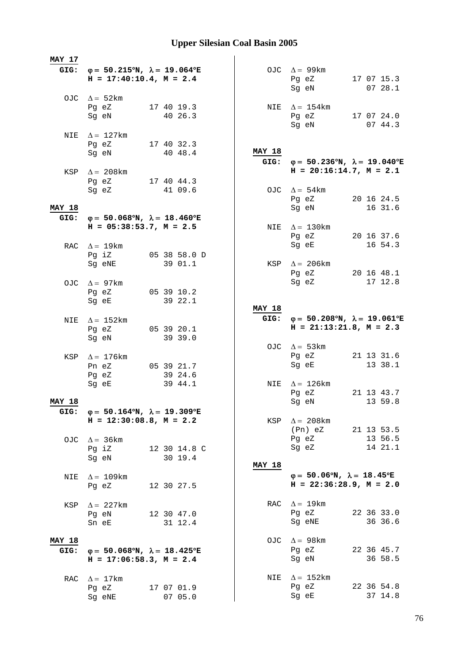| MAY 17        |                                                                                                |                       |               |                                                                                             |                       |
|---------------|------------------------------------------------------------------------------------------------|-----------------------|---------------|---------------------------------------------------------------------------------------------|-----------------------|
|               | GIG: $\varphi = 50.215^{\circ}N$ , $\lambda = 19.064^{\circ}E$<br>$H = 17:40:10.4$ , $M = 2.4$ |                       |               | OJC $\Delta = 99$ km<br>Pg eZ<br>Sg eN                                                      | 17 07 15.3<br>0728.1  |
|               | OJC $\Delta = 52 \text{km}$<br>Pg eZ<br>Sg eN                                                  | 17 40 19.3<br>40 26.3 |               | NIE $\Delta = 154$ km<br>Pg eZ 17 07 24.0                                                   |                       |
|               | NIE $\Delta = 127$ km<br>Pg eZ                                                                 | 17 40 32.3            |               | Sg eN                                                                                       | 07 44.3               |
|               | Sg eN<br>KSP $\Delta = 208$ km                                                                 | 40 48.4               | <b>MAY 18</b> | GIG: $\varphi = 50.236^{\circ}N$ , $\lambda = 19.040^{\circ}E$<br>$H = 20:16:14.7, M = 2.1$ |                       |
|               | Pg eZ 17 40 44.3<br>Sg eZ                                                                      | 41 09.6               |               | OJC $\Delta = 54 \text{km}$<br>Pg eZ 20 16 24.5                                             |                       |
| <b>MAY 18</b> |                                                                                                |                       |               | Sq eN                                                                                       | 16 31.6               |
| GIG:          | $\varphi = 50.068^{\circ}N$ , $\lambda = 18.460^{\circ}E$                                      |                       |               |                                                                                             |                       |
|               | $H = 05:38:53.7$ , $M = 2.5$<br>RAC $\Delta = 19 \text{km}$                                    |                       |               | NIE $\Delta = 130$ km<br>Pg eZ<br>Sg eE                                                     | 20 16 37.6<br>16 54.3 |
|               |                                                                                                | Pg iZ 05 38 58.0 D    |               |                                                                                             |                       |
|               | Sg eNE<br>OJC $\Delta = 97 \text{km}$                                                          | 39 01.1               |               | KSP $\Delta = 206 \text{km}$<br>Pg eZ<br>Sg eZ                                              | 20 16 48.1<br>17 12.8 |
|               | Pg eZ                                                                                          | 05 39 10.2            |               |                                                                                             |                       |
|               | Sg eE                                                                                          | 39 22.1               |               |                                                                                             |                       |
|               |                                                                                                |                       | <b>MAY 18</b> |                                                                                             |                       |
| NIE           | $\Delta = 152 \text{km}$                                                                       |                       |               | GIG: $\varphi = 50.208^{\circ}N$ , $\lambda = 19.061^{\circ}E$<br>$H = 21:13:21.8, M = 2.3$ |                       |
|               | Pg eZ<br>Sg eN                                                                                 | 05 39 20.1<br>39 39.0 |               |                                                                                             |                       |
|               |                                                                                                |                       |               | OJC $\Delta = 53 \text{km}$                                                                 |                       |
| KSP           | $\Delta = 176$ km                                                                              |                       |               | Pg eZ                                                                                       | 21 13 31.6            |
|               | Pn eZ                                                                                          | 05 39 21.7            |               | Sg eE                                                                                       | 13 38.1               |
|               | Pg eZ                                                                                          | 39 24.6               |               |                                                                                             |                       |
|               | Sg eE                                                                                          | 39 44.1               |               | NIE $\Delta = 126 \text{km}$<br>Pg eZ                                                       | 21 13 43.7            |
| <b>MAY 18</b> |                                                                                                |                       |               | Sg eN                                                                                       | 13 59.8               |
| GIG:          | $φ = 50.164°N, λ = 19.309°E$                                                                   |                       |               |                                                                                             |                       |
|               | $H = 12:30:08.8$ , $M = 2.2$                                                                   |                       |               | KSP $\Delta = 208 \text{km}$                                                                |                       |
|               |                                                                                                |                       |               | (Pn) eZ                                                                                     | 21 13 53.5            |
|               | OJC $\Delta = 36 \text{km}$<br>Pg iZ                                                           | 12 30 14.8 C          |               | Pg eZ<br>Sg eZ                                                                              | 13 56.5<br>14 21.1    |
|               | Sq eN                                                                                          | 30 19.4               |               |                                                                                             |                       |
|               |                                                                                                |                       | <b>MAY 18</b> |                                                                                             |                       |
| NIE           | $\Delta = 109 \text{km}$<br>Pg eZ                                                              | 12 30 27.5            |               | $\varphi = 50.06^{\circ}N$ , $\lambda = 18.45^{\circ}E$<br>$H = 22:36:28.9, M = 2.0$        |                       |
| KSP           | $\Delta$ = 227 km                                                                              |                       |               | RAC $\Delta = 19$ km                                                                        |                       |
|               | Pg eN                                                                                          | 12 30 47.0            |               | Pg eZ                                                                                       | 22 36 33.0            |
|               | Sn eE                                                                                          | 31 12.4               |               | Sg eNE                                                                                      | 36 36.6               |
| <b>MAY 18</b> |                                                                                                |                       |               | OJC $\Delta = 98 \text{km}$                                                                 |                       |
| GIG:          | $\varphi = 50.068^{\circ}N$ , $\lambda = 18.425^{\circ}E$                                      |                       |               | Pg eZ                                                                                       | 22 36 45.7            |
|               | $H = 17:06:58.3, M = 2.4$                                                                      |                       |               | Sg eN                                                                                       | 36 58.5               |
|               |                                                                                                |                       |               |                                                                                             |                       |
| RAC           | $\Delta = 17$ km                                                                               |                       |               | NIE $\Delta = 152 \text{km}$                                                                |                       |
|               |                                                                                                |                       |               |                                                                                             |                       |
|               | Pg eZ<br>Sg eNE                                                                                | 17 07 01.9<br>07 05.0 |               | Pg eZ<br>Sg eE                                                                              | 22 36 54.8<br>37 14.8 |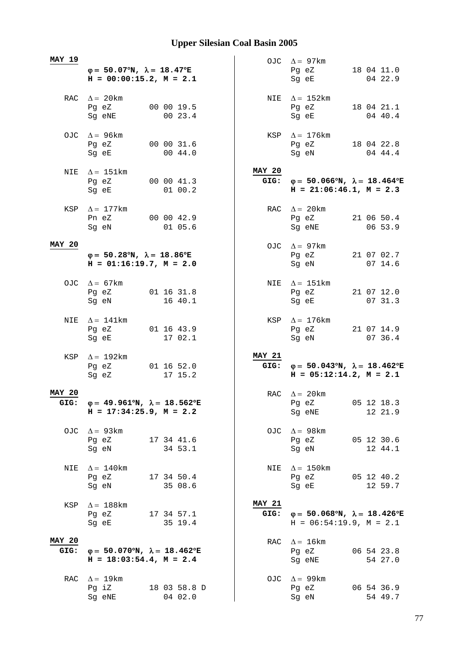| <b>MAY 19</b>         |                                                                                           |                       |                       | OJC $\Delta = 97 \text{km}$                                                                                                                             |                       |
|-----------------------|-------------------------------------------------------------------------------------------|-----------------------|-----------------------|---------------------------------------------------------------------------------------------------------------------------------------------------------|-----------------------|
|                       | $\varphi = 50.07^{\circ}N$ , $\lambda = 18.47^{\circ}E$<br>$H = 00:00:15.2, M = 2.1$      |                       |                       | Pg eZ<br>Sg eE                                                                                                                                          | 18 04 11.0<br>04 22.9 |
|                       | RAC $\Delta = 20$ km<br>Pg eZ<br>Sg eNE                                                   | 00 00 19.5<br>00 23.4 |                       | NIE $\Delta = 152 \text{km}$<br>Pg eZ<br>Sg eE                                                                                                          | 18 04 21.1<br>04 40.4 |
|                       | OJC $\Delta = 96 \text{km}$<br>Pg eZ<br>Sg eE                                             | 00 00 31.6<br>00 44.0 |                       | KSP $\Delta = 176$ km<br>Pg eZ 18 04 22.8<br>Sg eN                                                                                                      | 04 44.4               |
|                       | NIE $\Delta = 151 \text{km}$<br>Pg eZ<br>Sg eE                                            | 00 00 41.3<br>01 00.2 | <b>MAY 20</b>         | GIG: $\varphi = 50.066^{\circ}N$ , $\lambda = 18.464^{\circ}E$<br>$H = 21:06:46.1, M = 2.3$                                                             |                       |
|                       | KSP $\Delta = 177$ km<br>Pn eZ 00 00 42.9<br>Sg eN                                        | 01 05.6               |                       | RAC $\Delta = 20 \text{km}$<br>Pg eZ<br>Sg eNE                                                                                                          | 21 06 50.4<br>06 53.9 |
| <b>MAY 20</b>         | $\varphi = 50.28^{\circ}N$ , $\lambda = 18.86^{\circ}E$<br>$H = 01:16:19.7, M = 2.0$      |                       |                       | OJC $\Delta = 97$ km<br>Pg eZ 21 07 02.7<br>Sg eN                                                                                                       | 07 14.6               |
|                       | OJC $\Delta = 67 \text{km}$<br>Pg eZ<br>Sg eN                                             | 01 16 31.8<br>16 40.1 |                       | NIE $\Delta = 151 \text{km}$<br>Pg eZ<br>Sg eE                                                                                                          | 21 07 12.0<br>07 31.3 |
| NIE                   | $\Delta = 141 \text{km}$<br>Pg eZ<br>Sg eE                                                | 01 16 43.9<br>17 02.1 |                       | KSP $\Delta = 176 \text{km}$<br>Pg eZ<br>Sg eN                                                                                                          | 21 07 14.9<br>07 36.4 |
|                       | KSP $\Delta = 192$ km<br>Pg eZ<br>Sg eZ                                                   | 01 16 52.0<br>17 15.2 | <b>MAY 21</b>         | GIG: $\varphi = 50.043^{\circ}N$ , $\lambda = 18.462^{\circ}E$<br>$H = 05:12:14.2, M = 2.1$                                                             |                       |
| <b>MAY 20</b><br>GIG: | $\varphi = 49.961^{\circ}N$ , $\lambda = 18.562^{\circ}E$<br>$H = 17:34:25.9$ , $M = 2.2$ |                       |                       | RAC $\Delta = 20$ km<br>Pg eZ<br>Sg eNE                                                                                                                 | 05 12 18.3<br>12 21.9 |
|                       | OJC $\Delta = 93 \text{km}$<br>Pg eZ 17 34 41.6<br>Sg eN                                  | 34 53.1               |                       | OJC $\Delta = 98 \text{km}$<br>Pg eZ<br>Sg eN                                                                                                           | 05 12 30.6<br>12 44.1 |
| NIE                   | $\Delta = 140$ km<br>Pg eZ<br>Sg eN                                                       | 17 34 50.4<br>35 08.6 | NIE                   | $\Delta = 150$ km<br>Pg eZ 05 12 40.2<br>Sg eE and the state of the state of the state of the state of the state of the state of the state of the state | 12 59.7               |
| KSP                   | $\Delta = 188$ km<br>Pg eZ<br>Sg eE                                                       | 17 34 57.1<br>35 19.4 | <b>MAY 21</b><br>GIG: | $\varphi = 50.068^{\circ}N$ , $\lambda = 18.426^{\circ}E$<br>$H = 06:54:19.9, M = 2.1$                                                                  |                       |
| <b>MAY 20</b><br>GIG: | $\varphi = 50.070^{\circ}N$ , $\lambda = 18.462^{\circ}E$<br>$H = 18:03:54.4$ , $M = 2.4$ |                       |                       | RAC $\Delta = 16 \text{km}$<br>Pg eZ<br>Sg eNE                                                                                                          | 06 54 23.8<br>54 27.0 |
| RAC                   | $\Delta = 19 \text{km}$<br>Pg iZ                                                          | 18 03 58.8 D          |                       | OJC $\Delta = 99$ km<br>Pg eZ                                                                                                                           | 06 54 36.9            |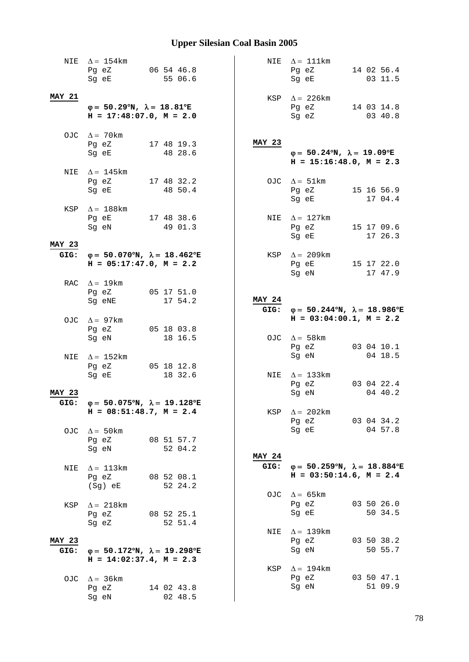| NIE           | $\Delta = 154$ km                                              | NIE           | $\Delta = 111$ km                                              |
|---------------|----------------------------------------------------------------|---------------|----------------------------------------------------------------|
|               | 06 54 46.8<br>Pg eZ                                            |               | 14 02 56.4<br>Pg eZ                                            |
|               | 55 06.6<br>Sg eE                                               |               | 03 11.5<br>Sg eE                                               |
|               |                                                                |               |                                                                |
| <b>MAY 21</b> |                                                                |               | KSP $\Delta$ = 226 km                                          |
|               | $\varphi = 50.29^{\circ}N$ , $\lambda = 18.81^{\circ}E$        |               | Pg eZ<br>14 03 14.8                                            |
|               | $H = 17:48:07.0, M = 2.0$                                      |               | Sg eZ<br>03 40.8                                               |
|               |                                                                |               |                                                                |
|               | OJC $\Delta = 70$ km<br>Pg eZ<br>17 48 19.3                    | <b>MAY 23</b> |                                                                |
|               | Sg eE<br>48 28.6                                               |               | $\varphi = 50.24^{\circ}N$ , $\lambda = 19.09^{\circ}E$        |
|               |                                                                |               | $H = 15:16:48.0, M = 2.3$                                      |
|               | NIE $\Delta = 145$ km                                          |               |                                                                |
|               | Pg eZ<br>17 48 32.2                                            |               | OJC $\Delta = 51 \text{km}$                                    |
|               | 48 50.4<br>Sg eE                                               |               | Pg eZ 15 16 56.9                                               |
|               |                                                                |               | Sg eE<br>17 04.4                                               |
|               | KSP $\Delta = 188$ km                                          |               |                                                                |
|               | Pq eE 17 48 38.6                                               |               | NIE $\Delta = 127$ km                                          |
|               | 49 01.3<br>Sg eN                                               |               | Pg eZ<br>15 17 09.6                                            |
|               |                                                                |               | Sq eE<br>17 26.3                                               |
| <b>MAY 23</b> |                                                                |               |                                                                |
|               | GIG: $\varphi = 50.070^{\circ}N$ , $\lambda = 18.462^{\circ}E$ |               | KSP $\Delta = 209$ km                                          |
|               | $H = 05:17:47.0$ , $M = 2.2$                                   |               | Pg eE<br>15 17 22.0                                            |
|               |                                                                |               | Sg eN<br>17 47.9                                               |
|               | RAC $\Delta = 19 \text{km}$                                    |               |                                                                |
|               | Pg eZ<br>05 17 51.0                                            |               |                                                                |
|               | Sg eNE<br>17 54.2                                              | <b>MAY 24</b> |                                                                |
|               |                                                                |               | GIG: $\varphi = 50.244^{\circ}N$ , $\lambda = 18.986^{\circ}E$ |
|               | OJC $\Delta = 97 \text{km}$                                    |               | $H = 03:04:00.1, M = 2.2$                                      |
|               |                                                                |               |                                                                |
|               | 05 18 03.8<br>Pg eZ                                            |               |                                                                |
|               | 18 16.5<br>Sg eN                                               |               | OJC $\Delta = 58 \text{km}$                                    |
|               |                                                                |               | Pg eZ<br>03 04 10.1                                            |
| <b>NIE</b>    | $\Delta = 152 \text{km}$                                       |               | Sg eN<br>04 18.5                                               |
|               | Pg eZ 05 18 12.8                                               |               |                                                                |
|               | 18 32.6<br>Sg eE                                               |               | NIE $\Delta = 133 \text{km}$                                   |
|               |                                                                |               | Pg eZ<br>03 04 22.4                                            |
| <b>MAY 23</b> |                                                                |               | Sg eN<br>04 40.2                                               |
| GIG:          | $\varphi = 50.075^{\circ}N$ , $\lambda = 19.128^{\circ}E$      |               |                                                                |
|               | $H = 08:51:48.7$ , $M = 2.4$                                   | KSP           | $\Delta = 202 \text{km}$                                       |
|               |                                                                |               | Pg eZ 03 04 34.2                                               |
|               | OJC $\Delta = 50$ km                                           |               | 04 57.8<br>Sg eE                                               |
|               | 08 51 57.7<br>Pg eZ                                            |               |                                                                |
|               | 52 04.2<br>Sg eN                                               | <b>MAY 24</b> |                                                                |
| NIE           | $\Delta = 113 \text{km}$                                       |               | GIG: $\varphi = 50.259^{\circ}N$ , $\lambda = 18.884^{\circ}E$ |
|               | Pg eZ<br>08 52 08.1                                            |               | $H = 03:50:14.6$ , $M = 2.4$                                   |
|               | (Sg) eE<br>52 24.2                                             |               |                                                                |
|               |                                                                |               | OJC $\Delta = 65 \text{km}$                                    |
| KSP           | $\Delta = 218$ km                                              |               | Pg eZ<br>03 50 26.0                                            |
|               | Pg eZ<br>08 52 25.1                                            |               | 50 34.5<br>Sg eE                                               |
|               | Sg eZ<br>52 51.4                                               |               |                                                                |
|               |                                                                | NIE           | $\Delta = 139$ km                                              |
| MAY 23        |                                                                |               | Pg eZ<br>03 50 38.2                                            |
| GIG:          | $\varphi = 50.172^{\circ}N$ , $\lambda = 19.298^{\circ}E$      |               | Sg eN<br>50 55.7                                               |
|               | $H = 14:02:37.4$ , $M = 2.3$                                   |               |                                                                |
|               |                                                                | KSP           | $\Delta = 194$ km                                              |
| OJC           | $\Delta = 36$ km                                               |               | Pg eZ<br>03 50 47.1                                            |
|               | Pg eZ<br>14 02 43.8<br>02 48.5<br>Sg eN                        |               | Sg eN<br>51 09.9                                               |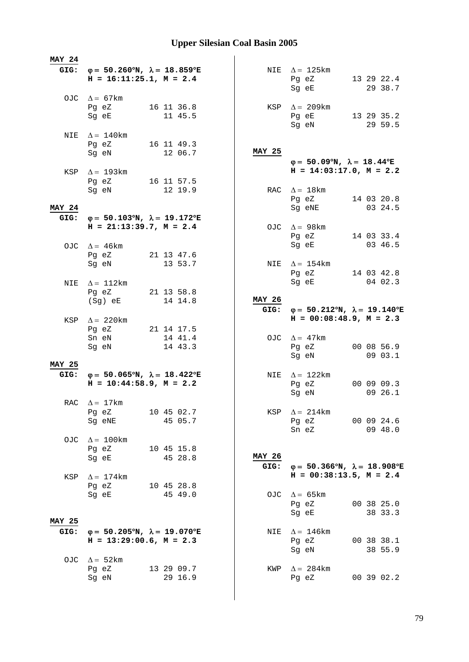| <b>MAY 24</b> |                                                                                                               |                       |               |                                                                                           |                       |
|---------------|---------------------------------------------------------------------------------------------------------------|-----------------------|---------------|-------------------------------------------------------------------------------------------|-----------------------|
|               | GIG: $\varphi = 50.260^{\circ}N$ , $\lambda = 18.859^{\circ}E$<br>$H = 16:11:25.1, M = 2.4$                   |                       |               | NIE $\Delta = 125 \text{km}$<br>Pg eZ 13 29 22.4<br>Sg eE                                 | 29 38.7               |
|               | OJC $\Delta = 67 \text{km}$<br>Pg eZ<br>Sg eE                                                                 | 16 11 36.8<br>11 45.5 |               | KSP $\Delta = 209$ km<br>Pg eE 13 29 35.2                                                 |                       |
|               | NIE $\Delta = 140$ km                                                                                         |                       |               | Sg eN                                                                                     | 29 59.5               |
|               | Pg eZ 16 11 49.3<br>Sg eN                                                                                     | 12 06.7               | <b>MAY 25</b> | $\varphi = 50.09^{\circ}N$ , $\lambda = 18.44^{\circ}E$                                   |                       |
|               | KSP $\Delta = 193 \text{km}$<br>Pg eZ 16 11 57.5                                                              |                       |               | $H = 14:03:17.0, M = 2.2$                                                                 |                       |
| <b>MAY 24</b> | Sg eN                                                                                                         | 12 19.9               |               | RAC $\Delta = 18$ km<br>Pg eZ 14 03 20.8<br>Sg eNE                                        | 03 24.5               |
| GIG:          | $φ = 50.103°N, λ = 19.172°E$<br>$H = 21:13:39.7, M = 2.4$                                                     |                       |               | OJC $\Delta = 98 \text{km}$                                                               |                       |
|               | OJC $\Delta = 46 \text{km}$                                                                                   |                       |               | Pg eZ 14 03 33.4<br>Sq eE                                                                 | 03 46.5               |
|               | Pg eZ 21 13 47.6<br>Sg eN                                                                                     | 13 53.7               |               | NIE $\Delta = 154 \text{km}$<br>Pg eZ<br>Sg eE                                            | 14 03 42.8<br>04 02.3 |
| NIE           | $\Delta = 112 \text{km}$<br>Pg eZ 21 13 58.8<br>(Sg) eE                                                       | 14 14.8               | <b>MAY 26</b> |                                                                                           |                       |
|               | KSP $\Delta = 220 \text{km}$<br>Pg eZ 21 14 17.5                                                              |                       | GIG:          | $\varphi = 50.212^{\circ}N$ , $\lambda = 19.140^{\circ}E$<br>$H = 00:08:48.9$ , $M = 2.3$ |                       |
|               | Sn eN<br>Sg eN                                                                                                | 14 41.4<br>14 43.3    |               | OJC $\Delta = 47$ km<br>Pg eZ<br>Sg eN                                                    | 00 08 56.9<br>09 03.1 |
| <b>MAY 25</b> | GIG: $\varphi = 50.065^{\circ}N$ , $\lambda = 18.422^{\circ}E$<br>$H = 10:44:58.9$ , $M = 2.2$                |                       |               | NIE $\Delta = 122 \text{km}$<br>Pg eZ<br>Sg eN                                            | 00 09 09.3<br>09 26.1 |
|               | RAC $\Delta = 17 \text{km}$<br>Pg eZ<br>Sg eNE                                                                | 10 45 02.7<br>45 05.7 |               | KSP $\Delta = 214 \text{km}$<br>Pg eZ 00 09 24.6<br>Sn eZ                                 | 09 48.0               |
| OJC           | $\Delta = 100$ km<br>Pg eZ<br>Sg eE                                                                           | 10 45 15.8<br>45 28.8 | <b>MAY 26</b> |                                                                                           |                       |
| KSP           | $\Delta = 174$ km<br>Pg eZ                                                                                    | 10 45 28.8            | GIG:          | $\varphi = 50.366^{\circ}N$ , $\lambda = 18.908^{\circ}E$<br>$H = 00:38:13.5$ , $M = 2.4$ |                       |
| MAY 25        | Sg eE                                                                                                         | 45 49.0               |               | OJC $\Delta = 65 \text{km}$<br>Pg eZ<br>Sg eE                                             | 00 38 25.0<br>38 33.3 |
| GIG:<br>OJC   | $\varphi = 50.205^{\circ}N$ , $\lambda = 19.070^{\circ}E$<br>$H = 13:29:00.6$ , $M = 2.3$<br>$\Delta = 52$ km |                       | NIE           | $\Delta = 146$ km<br>Pg eZ<br>Sg eN                                                       | 00 38 38.1<br>38 55.9 |
|               | Pg eZ<br>Sg eN                                                                                                | 13 29 09.7<br>29 16.9 |               | KWP $\Delta = 284 \text{km}$<br>Pq eZ                                                     | 00 39 02.2            |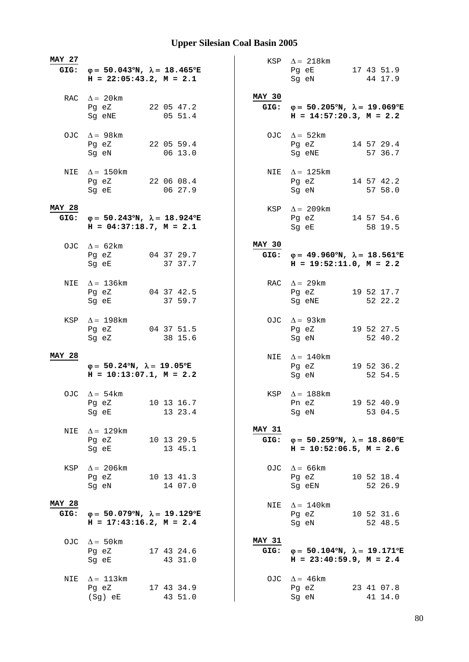| <b>MAY 27</b>         | GIG: $\varphi = 50.043^{\circ}N$ , $\lambda = 18.465^{\circ}E$<br>$H = 22:05:43.2, M = 2.1$ |                       |                       | KSP $\Delta = 218 \text{km}$<br>Pg eE 17 43 51.9<br>Sg eN                                      | 44 17.9               |
|-----------------------|---------------------------------------------------------------------------------------------|-----------------------|-----------------------|------------------------------------------------------------------------------------------------|-----------------------|
|                       | RAC $\Delta = 20 \text{km}$<br>Pg eZ<br>Sg eNE                                              | 22 05 47.2<br>0551.4  | MAY 30                | GIG: $\varphi = 50.205^{\circ}N$ , $\lambda = 19.069^{\circ}E$<br>$H = 14:57:20.3$ , $M = 2.2$ |                       |
|                       | OJC $\Delta = 98$ km<br>Pg eZ<br>Sg eN                                                      | 22 05 59.4<br>06 13.0 |                       | OJC $\Delta = 52 \text{km}$<br>Pg eZ<br>Sq eNE                                                 | 14 57 29.4<br>57 36.7 |
|                       | NIE $\Delta = 150$ km<br>Pg eZ 22 06 08.4<br>Sg eE                                          | 06 27.9               |                       | NIE $\Delta = 125 \text{km}$<br>Pg eZ 14 57 42.2<br>Sg eN                                      | 57 58.0               |
| <b>MAY 28</b><br>GIG: | $φ = 50.243°N, λ = 18.924°E$<br>$H = 04:37:18.7, M = 2.1$                                   |                       |                       | KSP $\Delta = 209$ km<br>Pg eZ 14 57 54.6<br>Sg eE                                             | 58 19.5               |
|                       | OJC $\Delta = 62 \text{km}$<br>Pg eZ 04 37 29.7<br>Sg eE 37 37.7                            |                       | <b>MAY 30</b>         | GIG: $\varphi = 49.960^{\circ}N$ , $\lambda = 18.561^{\circ}E$<br>$H = 19:52:11.0, M = 2.2$    |                       |
| NIE                   | $\Delta = 136$ km<br>Pg eZ<br>Sg eE                                                         | 04 37 42.5<br>37 59.7 |                       | RAC $\Delta = 29 \text{km}$<br>Pg eZ<br>Sg eNE                                                 | 19 52 17.7<br>52 22.2 |
| KSP                   | $\Delta = 198$ km<br>Pg eZ<br>Sg eZ                                                         | 04 37 51.5<br>38 15.6 |                       | OJC $\Delta = 93 \text{km}$<br>Pg eZ<br>Sg eN                                                  | 19 52 27.5<br>52 40.2 |
| <b>MAY 28</b>         | $\varphi = 50.24^{\circ}N$ , $\lambda = 19.05^{\circ}E$<br>$H = 10:13:07.1, M = 2.2$        |                       |                       | NIE $\Delta = 140$ km<br>Pg eZ<br>Sg eN                                                        | 19 52 36.2<br>52 54.5 |
|                       | OJC $\Delta = 54 \text{km}$<br>Pg eZ 10 13 16.7<br>Sg eE                                    | 13 23.4               |                       | KSP $\Delta = 188$ km<br>Pn eZ<br>Sg eN                                                        | 19 52 40.9<br>53 04.5 |
| NIE                   | $\Delta = 129 \mathrm{km}$<br>Pg eZ<br>Sg eE                                                | 10 13 29.5<br>13 45.1 | <b>MAY 31</b><br>GIG: | $\varphi = 50.259^{\circ}N$ , $\lambda = 18.860^{\circ}E$<br>$H = 10:52:06.5$ , $M = 2.6$      |                       |
| KSP                   | $\Delta$ = 206 km<br>Pg eZ<br>Sg eN                                                         | 10 13 41.3<br>14 07.0 |                       | OJC $\Delta = 66$ km<br>Pg eZ<br>Sg eEN                                                        | 10 52 18.4<br>52 26.9 |
| <b>MAY 28</b><br>GIG: | $\varphi = 50.079^{\circ}N$ , $\lambda = 19.129^{\circ}E$<br>$H = 17:43:16.2, M = 2.4$      |                       | NIE                   | $\Delta = 140$ km<br>Pg eZ<br>Sg eN                                                            | 10 52 31.6<br>52 48.5 |
|                       | OJC $\Delta = 50 \text{km}$<br>Pg eZ<br>Sg eE                                               | 17 43 24.6<br>43 31.0 | <b>MAY 31</b><br>GIG: | $\varphi = 50.104^{\circ}N$ , $\lambda = 19.171^{\circ}E$<br>$H = 23:40:59.9$ , $M = 2.4$      |                       |
| NIE                   | $\Delta = 113 \text{km}$<br>Pg eZ<br>(Sg) eE                                                | 17 43 34.9<br>43 51.0 |                       | OJC $\Delta = 46 \text{km}$<br>Pg eZ<br>Sg eN                                                  | 23 41 07.8<br>41 14.0 |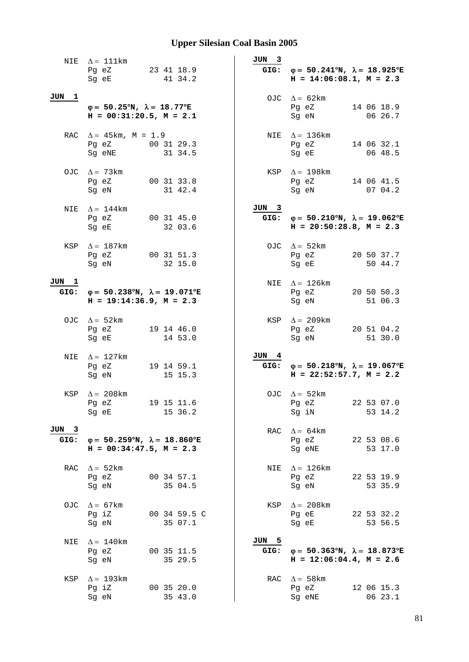|               | NIE $\Delta = 111$ km<br>Pg eZ<br>Sg eE                                                     | 23 41 18.9<br>41 34.2   | JUN 3         | GIG: $\varphi = 50.241^{\circ}N$ , $\lambda = 18.925^{\circ}E$<br>$H = 14:06:08.1, M = 2.3$ |
|---------------|---------------------------------------------------------------------------------------------|-------------------------|---------------|---------------------------------------------------------------------------------------------|
| JUN 1         | $\varphi = 50.25^{\circ}N$ , $\lambda = 18.77^{\circ}E$<br>$H = 00:31:20.5$ , $M = 2.1$     |                         |               | OJC $\Delta = 62 \text{km}$<br>14 06 18.9<br>Pg eZ<br>Sg eN<br>06 26.7                      |
|               | RAC $\Delta = 45 \text{km}$ , M = 1.9<br>Pg eZ 00 31 29.3<br>Sq eNE                         | 31 34.5                 |               | NIE $\Delta = 136$ km<br>14 06 32.1<br>Pg eZ<br>06 48.5<br>Sg eE                            |
|               | OJC $\Delta = 73 \text{km}$<br>Pg eZ<br>Sg eN                                               | 00 31 33.8<br>31 42.4   |               | KSP $\Delta = 198$ km<br>Pg eZ<br>14 06 41.5<br>Sg eN<br>0704.2                             |
|               | NIE $\Delta = 144$ km<br>Pg eZ<br>Sg eE                                                     | 00 31 45.0<br>32 03.6   | JUN 3         | GIG: $\varphi = 50.210^{\circ}N$ , $\lambda = 19.062^{\circ}E$<br>$H = 20:50:28.8, M = 2.3$ |
|               | KSP $\Delta = 187$ km<br>Pg eZ<br>Sg eN                                                     | 00 31 51.3<br>32 15.0   |               | OJC $\Delta = 52 \text{km}$<br>Pg eZ<br>20 50 37.7<br>Sg eE<br>50 44.7                      |
| JUN 1         | GIG: $\varphi = 50.238^{\circ}N$ , $\lambda = 19.071^{\circ}E$<br>$H = 19:14:36.9, M = 2.3$ |                         |               | NIE $\Delta = 126 \text{km}$<br>Pg eZ<br>20 50 50.3<br>51 06.3<br>Sg eN                     |
|               | OJC $\Delta = 52 \text{km}$<br>Pg eZ<br>Sg eE                                               | 19 14 46.0<br>14 53.0   |               | KSP $\Delta = 209$ km<br>20 51 04.2<br>Pg eZ<br>51 30.0<br>Sg eN                            |
| NIE           | $\Delta = 127$ km<br>Pg eZ<br>Sq eN                                                         | 19 14 59.1<br>15 15.3   | JUN 4         | GIG: $\varphi = 50.218^{\circ}N$ , $\lambda = 19.067^{\circ}E$<br>$H = 22:52:57.7, M = 2.2$ |
| KSP           | $\Delta = 208$ km<br>Pg eZ<br>Sq eE                                                         | 19 15 11.6<br>15 36.2   |               | OJC $\Delta = 52 \text{km}$<br>22 53 07.0<br>Pg eZ<br>53 14.2<br>Sg iN                      |
| JUN 3<br>GIG: | $\varphi = 50.259^{\circ}N$ , $\lambda = 18.860^{\circ}E$<br>$H = 00:34:47.5$ , $M = 2.3$   |                         | RAC           | $\Delta = 64 \text{km}$<br>22 53 08.6<br>Pg eZ<br>Sg eNE<br>53 17.0                         |
| RAC           | $\Delta = 52 \text{km}$<br>Pg eZ<br>Sg eN                                                   | 00 34 57.1<br>35 04.5   | NIE           | $\Delta = 126 \mathrm{km}$<br>Pg eZ<br>22 53 19.9<br>53 35.9<br>Sg eN                       |
| OJC.          | $\Delta = 67 \text{km}$<br>Pg iZ<br>Sg eN                                                   | 00 34 59.5 C<br>35 07.1 |               | KSP $\Delta = 208 \text{km}$<br>Pg eE<br>22 53 32.2<br>Sg eE<br>53 56.5                     |
| NIE           | $\Delta = 140$ km<br>Pg eZ<br>Sg eN                                                         | 00 35 11.5<br>35 29.5   | JUN 5<br>GIG: | $\varphi = 50.363^{\circ}N$ , $\lambda = 18.873^{\circ}E$<br>$H = 12:06:04.4$ , $M = 2.6$   |
| KSP           | $\Delta = 193$ km<br>Pg iZ<br>Sg eN                                                         | 00 35 20.0<br>35 43.0   |               | RAC $\Delta = 58$ km<br>12 06 15.3<br>Pg eZ<br>06 23.1<br>Sg eNE                            |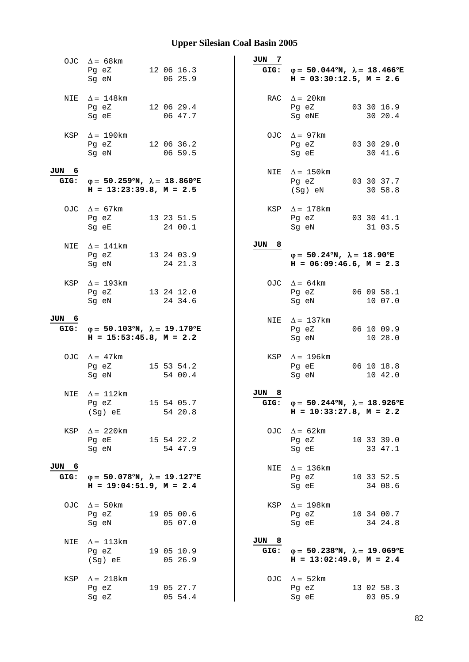|               | OJC $\Delta = 68 \text{km}$<br>Pg eZ<br>Sq eN                                                  | 12 06 16.3<br>06 25.9 | JUN 7             | GIG: $\varphi = 50.044^{\circ}N$ , $\lambda = 18.466^{\circ}E$<br>$H = 03:30:12.5$ , $M = 2.6$ |
|---------------|------------------------------------------------------------------------------------------------|-----------------------|-------------------|------------------------------------------------------------------------------------------------|
| NIE           | $\Delta = 148$ km<br>Pg eZ<br>Sg eE                                                            | 12 06 29.4<br>06 47.7 |                   | RAC $\Delta = 20$ km<br>03 30 16.9<br>Pg eZ<br>Sg eNE<br>30 20.4                               |
|               | KSP $\Delta = 190$ km<br>Pg eZ<br>Sg eN                                                        | 12 06 36.2<br>06 59.5 |                   | OJC $\Delta = 97 \text{km}$<br>03 30 29.0<br>Pg eZ<br>30 41.6<br>Sg eE                         |
| JUN 6         | GIG: $\varphi = 50.259^{\circ}N$ , $\lambda = 18.860^{\circ}E$<br>$H = 13:23:39.8$ , $M = 2.5$ |                       |                   | NIE $\Delta = 150$ km<br>Pg eZ<br>03 30 37.7<br>(Sg) eN<br>30 58.8                             |
|               | OJC $\Delta = 67 \text{km}$<br>Pg eZ<br>Sg eE                                                  | 13 23 51.5<br>24 00.1 |                   | KSP $\Delta = 178$ km<br>Pg eZ<br>03 30 41.1<br>Sg eN<br>31 03.5                               |
| NIE           | $\Delta = 141 \text{km}$<br>Pg eZ<br>Sq eN                                                     | 13 24 03.9<br>24 21.3 | $_{\rm 8}$<br>JUN | $\varphi = 50.24^{\circ}N$ , $\lambda = 18.90^{\circ}E$<br>$H = 06:09:46.6$ , $M = 2.3$        |
| KSP           | $\Delta = 193$ km<br>Pg eZ<br>Sg eN                                                            | 13 24 12.0<br>24 34.6 |                   | OJC $\Delta = 64 \text{km}$<br>Pg eZ<br>06 09 58.1<br>Sg eN<br>10 07.0                         |
| JUN 6<br>GIG: | $\varphi = 50.103^{\circ}N$ , $\lambda = 19.170^{\circ}E$<br>$H = 15:53:45.8$ , $M = 2.2$      |                       |                   | NIE $\Delta = 137 \text{km}$<br>06 10 09.9<br>Pg eZ<br>10 28.0<br>Sg eN                        |
|               | OJC $\Delta = 47 \text{km}$<br>Pg eZ<br>Sg eN                                                  | 15 53 54.2<br>54 00.4 |                   | KSP $\Delta = 196$ km<br>06 10 18.8<br>Pg eE<br>Sg eN<br>10 42.0                               |
| NIE           | $\Delta = 112 \text{km}$<br>Pg eZ<br>(Sg) eE                                                   | 15 54 05.7<br>54 20.8 | JUN 8<br>GIG:     | $\varphi = 50.244^{\circ}N$ , $\lambda = 18.926^{\circ}E$<br>$H = 10:33:27.8$ , $M = 2.2$      |
| KSP           | $\Delta = 220$ km<br>Pg eE 15 54 22.2<br>Sg eN                                                 | 54 47.9               |                   | OJC $\Delta = 62 \text{km}$<br>10 33 39.0<br>Pg eZ<br>Sg eE<br>33 47.1                         |
| JUN 6<br>GIG: | $\varphi = 50.078$ °N, $\lambda = 19.127$ °E<br>$H = 19:04:51.9$ , $M = 2.4$                   |                       | NIE               | $\Delta = 136$ km<br>Pg eZ<br>10 33 52.5<br>34 08.6<br>Sg eE                                   |
| OJC           | $\Delta = 50 \text{km}$<br>Pg eZ<br>Sg eN                                                      | 19 05 00.6<br>05 07.0 |                   | KSP $\Delta = 198$ km<br>10 34 00.7<br>Pg eZ<br>Sg eE<br>34 24.8                               |
| NIE           | $\Delta = 113 \text{km}$<br>Pg eZ<br>(Sg) eE                                                   | 19 05 10.9<br>05 26.9 | JUN 8<br>GIG:     | $\varphi = 50.238^{\circ}N$ , $\lambda = 19.069^{\circ}E$<br>$H = 13:02:49.0, M = 2.4$         |
| KSP           | $\Delta = 218$ km<br>Pg eZ<br>Sg eZ                                                            | 19 05 27.7<br>05 54.4 |                   | OJC $\Delta = 52$ km<br>13 02 58.3<br>Pg eZ<br>03 05.9<br>Sg eE                                |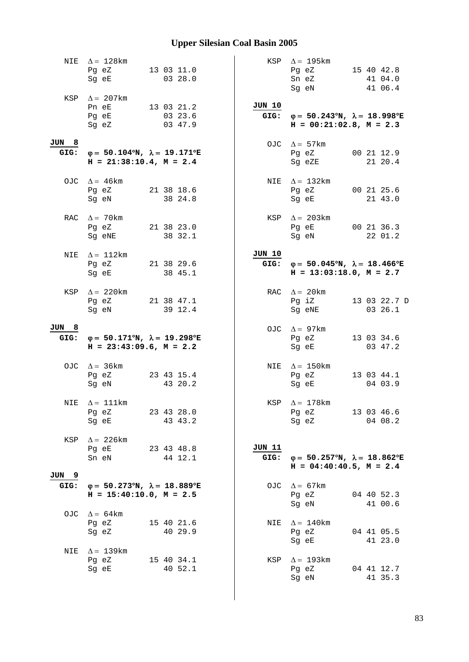| NIE           | $\Delta = 128$ km<br>Pg eZ<br>Sq eE                                                       | 13 03 11.0<br>03 28.0            |                       | KSP $\Delta = 195 \text{km}$<br>Pg eZ<br>Sn eZ<br>Sg eN                                        | 15 40 42.8<br>41 04.0<br>41 06.4 |
|---------------|-------------------------------------------------------------------------------------------|----------------------------------|-----------------------|------------------------------------------------------------------------------------------------|----------------------------------|
|               | KSP $\Delta = 207$ km<br>Pn eE<br>Pg eE<br>Sg eZ                                          | 13 03 21.2<br>03 23.6<br>03 47.9 | JUN 10                | GIG: $\varphi = 50.243^{\circ}N$ , $\lambda = 18.998^{\circ}E$<br>$H = 00:21:02.8$ , $M = 2.3$ |                                  |
| JUN 8<br>GIG: | $\varphi = 50.104^{\circ}N$ , $\lambda = 19.171^{\circ}E$<br>$H = 21:38:10.4$ , $M = 2.4$ |                                  |                       | OJC $\Delta = 57 \text{km}$<br>Pg eZ<br>Sg eZE                                                 | 00 21 12.9<br>21 20.4            |
|               | OJC $\Delta = 46 \text{km}$<br>Pg eZ 21 38 18.6<br>Sg eN                                  | 38 24.8                          |                       | NIE $\Delta = 132 \text{km}$<br>Pg eZ 00 21 25.6<br>Sg eE                                      | 21 43.0                          |
|               | RAC $\Delta = 70$ km<br>Pg eZ 21 38 23.0<br>Sg eNE                                        | 38 32.1                          | KSP                   | $\Delta = 203 \text{km}$<br>Pg eE 00 21 36.3<br>Sg eN                                          | 22 01.2                          |
| NIE           | $\Delta = 112 \text{km}$<br>Pg eZ<br>Sg eE                                                | 21 38 29.6<br>38 45.1            | JUN 10<br>GIG:        | $\varphi = 50.045^{\circ}N$ , $\lambda = 18.466^{\circ}E$<br>$H = 13:03:18.0, M = 2.7$         |                                  |
| KSP           | $\Delta = 220$ km<br>Pg eZ<br>Sg eN                                                       | 21 38 47.1<br>39 12.4            |                       | RAC $\Delta = 20 \text{km}$<br>Pg iZ<br>Sg eNE                                                 | 13 03 22.7 D<br>03 26.1          |
| JUN 8<br>GIG: | φ= 50.171°N, $\lambda$ = 19.298°E<br>$H = 23:43:09.6$ , $M = 2.2$                         |                                  |                       | OJC $\Delta = 97 \text{km}$<br>Pg eZ<br>Sg eE                                                  | 13 03 34.6<br>03 47.2            |
|               | OJC $\Delta = 36 \text{km}$<br>Pg eZ<br>Sg eN                                             | 23 43 15.4<br>43 20.2            |                       | NIE $\Delta = 150$ km<br>Pg eZ<br>Sg eE                                                        | 13 03 44.1<br>04 03.9            |
|               | NIE $\Delta = 111$ km<br>Pg eZ 23 43 28.0<br>Sg eE                                        | 43 43.2                          |                       | KSP $\Delta = 178$ km<br>Pg eZ 13 03 46.6<br>Sg eZ 04 08.2                                     |                                  |
| KSP           | $\Delta$ = 226 km<br>Pg eE<br>Sn eN                                                       | 23 43 48.8<br>44 12.1            | <b>JUN 11</b><br>GIG: | $\varphi = 50.257^{\circ}N$ , $\lambda = 18.862^{\circ}E$<br>$H = 04:40:40.5$ , $M = 2.4$      |                                  |
| JUN 9<br>GIG: | $\varphi = 50.273^{\circ}N$ , $\lambda = 18.889^{\circ}E$<br>$H = 15:40:10.0, M = 2.5$    |                                  | OJC                   | $\Delta = 67$ km<br>Pg eZ<br>Sg eN                                                             | 04 40 52.3<br>41 00.6            |
|               | OJC $\Delta = 64 \text{km}$<br>Pg eZ<br>Sg eZ                                             | 15 40 21.6<br>40 29.9            | NIE                   | $\Delta = 140$ km<br>Pg eZ<br>Sg eE                                                            | 04 41 05.5<br>41 23.0            |
| NIE           | $\Delta = 139$ km<br>Pg eZ<br>Sg eE                                                       | 15 40 34.1<br>40 52.1            | KSP                   | $\Delta = 193$ km<br>Pg eZ<br>Sg eN                                                            | 04 41 12.7<br>41 35.3            |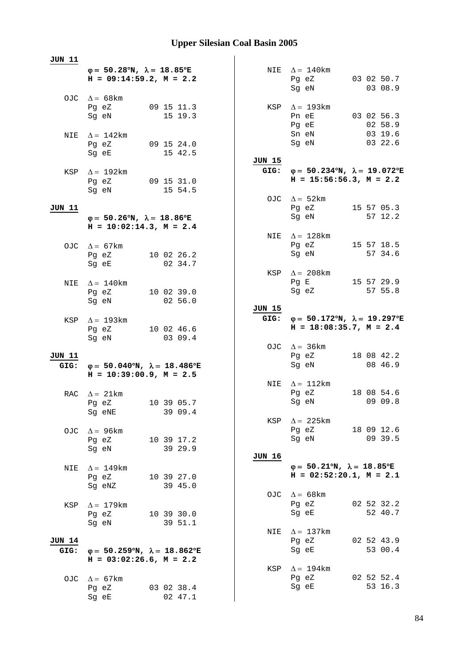| <b>JUN 11</b>         |                                                                                           |                                                                                                |
|-----------------------|-------------------------------------------------------------------------------------------|------------------------------------------------------------------------------------------------|
|                       | $\varphi = 50.28^{\circ}N$ , $\lambda = 18.85^{\circ}E$<br>$H = 09:14:59.2, M = 2.2$      | NIE $\Delta = 140$ km<br>03 02 50.7<br>Pg eZ<br>03 08.9<br>Sg eN                               |
|                       | OJC $\Delta = 68 \text{km}$<br>09 15 11.3<br>Pg eZ<br>15 19.3<br>Sg eN                    | KSP $\Delta = 193$ km<br>03 02 56.3<br>Pn eE<br>02 58.9<br>Pg eE                               |
|                       | NIE $\Delta = 142$ km<br>09 15 24.0<br>Pg eZ<br>15 42.5<br>Sg eE                          | Sn eN<br>03 19.6<br>03 22.6<br>Sg eN                                                           |
|                       | KSP $\Delta = 192 \text{km}$<br>Pg eZ 09 15 31.0<br>15 54.5<br>Sg eN                      | JUN 15<br>$φ = 50.234oN, λ = 19.072oE$<br>GIG:<br>$H = 15:56:56.3$ , $M = 2.2$                 |
| JUN 11                |                                                                                           | OJC $\Delta = 52 \text{km}$<br>Pg eZ 15 57 05.3                                                |
|                       | $\varphi = 50.26^{\circ}N$ , $\lambda = 18.86^{\circ}E$<br>$H = 10:02:14.3, M = 2.4$      | Sg eN<br>57 12.2                                                                               |
|                       | OJC $\Delta = 67 \text{km}$<br>Pg eZ 10 02 26.2<br>02 34.7<br>Sq eE                       | NIE $\Delta = 128$ km<br>Pg eZ<br>15 57 18.5<br>Sg eN<br>57 34.6                               |
| NIE                   | $\Delta = 140$ km<br>Pg eZ<br>10 02 39.0                                                  | KSP $\Delta = 208$ km<br>15 57 29.9<br>Pg E<br>Sg eZ<br>57 55.8                                |
| KSP                   | 02 56.0<br>Sg eN<br>$\Delta = 193 \text{km}$                                              | <u>JUN 15</u><br>GIG: $\varphi = 50.172^{\circ}N$ , $\lambda = 19.297^{\circ}E$                |
|                       | 10 02 46.6<br>Pg eZ<br>03 09.4<br>Sg eN                                                   | $H = 18:08:35.7$ , $M = 2.4$                                                                   |
| <u>JUN 11</u><br>GIG: | $\varphi = 50.040^{\circ}N$ , $\lambda = 18.486^{\circ}E$<br>$H = 10:39:00.9$ , $M = 2.5$ | OJC $\Delta = 36 \text{km}$<br>Pg eZ<br>18 08 42.2<br>Sg eN<br>08 46.9                         |
|                       | RAC $\Delta = 21 \text{km}$                                                               | NIE $\Delta = 112 \text{km}$<br>Pg eZ<br>18 08 54.6                                            |
|                       | Pg eZ 10 39 05.7<br>39 09.4<br>Sg eNE                                                     | 09 09.8<br>Sq eN<br>KSP $\Delta$ = 225km                                                       |
| OJC                   | $\Delta$ = 96 km<br>Pg eZ<br>10 39 17.2<br>39 29.9<br>Sg eN                               | Pg eZ<br>18 09 12.6<br>09 39.5<br>Sg eN                                                        |
| NIE                   | $\Delta = 149$ km<br>Pg eZ<br>10 39 27.0<br>39 45.0<br>Sg eNZ                             | JUN 16<br>$\varphi = 50.21^{\circ}N$ , $\lambda = 18.85^{\circ}E$<br>$H = 02:52:20.1, M = 2.1$ |
| KSP                   | $\Delta = 179$ km<br>Pg eZ<br>10 39 30.0                                                  | OJC $\Delta = 68$ km<br>02 52 32.2<br>Pg eZ<br>52 40.7<br>Sg eE                                |
| JUN 14                | 39 51.1<br>Sg eN                                                                          | $\Delta = 137$ km<br>NIE<br>02 52 43.9<br>Pg eZ                                                |
| GIG:                  | $\varphi = 50.259$ °N, $\lambda = 18.862$ °E<br>$H = 03:02:26.6$ , $M = 2.2$              | 53 00.4<br>Sg eE                                                                               |
| OJC.                  | $\Delta = 67$ km<br>03 02 38.4<br>Pg eZ<br>02 47.1<br>Sg eE                               | KSP $\Delta = 194 \text{km}$<br>02 52 52.4<br>Pg eZ<br>53 16.3<br>Sg eE                        |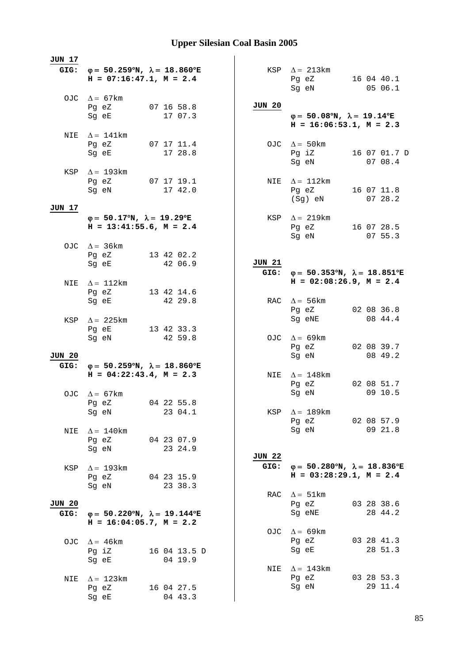| JUN 17                |                                                                                                                                    |                       |               |                                                                                      |                         |
|-----------------------|------------------------------------------------------------------------------------------------------------------------------------|-----------------------|---------------|--------------------------------------------------------------------------------------|-------------------------|
|                       | GIG: $\varphi = 50.259^{\circ}N$ , $\lambda = 18.860^{\circ}E$<br>$H = 07:16:47.1, M = 2.4$                                        |                       |               | $KSP \quad \Delta = 213km$<br>Pg eZ<br>Sg eN                                         | 16 04 40.1<br>05 06.1   |
|                       | OJC $\Delta = 67 \text{km}$                                                                                                        |                       |               |                                                                                      |                         |
|                       | Pg eZ                                                                                                                              | 07 16 58.8            | JUN 20        |                                                                                      |                         |
|                       | Sg eE                                                                                                                              | 17 07.3               |               | $\varphi = 50.08^{\circ}N$ , $\lambda = 19.14^{\circ}E$<br>$H = 16:06:53.1, M = 2.3$ |                         |
|                       | NIE $\Delta = 141$ km                                                                                                              |                       |               |                                                                                      |                         |
|                       | Pg eZ 07 17 11.4                                                                                                                   |                       |               | OJC $\Delta = 50 \text{km}$                                                          |                         |
|                       | Sg eE                                                                                                                              | 17 28.8               |               | Pg iZ<br>Sg eN                                                                       | 16 07 01.7 D<br>07 08.4 |
|                       | KSP $\Delta = 193 \text{km}$                                                                                                       |                       |               |                                                                                      |                         |
|                       | Pg eZ 07 17 19.1<br>Sg eN                                                                                                          | 17 42.0               |               | NIE $\Delta = 112 \text{km}$<br>Pg eZ 16 07 11.8                                     |                         |
|                       |                                                                                                                                    |                       |               | (Sg) eN                                                                              | 0728.2                  |
| JUN 17                |                                                                                                                                    |                       |               |                                                                                      |                         |
|                       | $\varphi = 50.17^{\circ}N$ , $\lambda = 19.29^{\circ}E$<br>$H = 13:41:55.6$ , $M = 2.4$                                            |                       | KSP           | $\Delta = 219 \text{km}$<br>Pg eZ 16 07 28.5                                         |                         |
|                       |                                                                                                                                    |                       |               | Sg eN                                                                                | 07 55.3                 |
|                       | OJC $\Delta = 36 \text{km}$                                                                                                        |                       |               |                                                                                      |                         |
|                       | Pg eZ 13 42 02.2<br>Sg eE and the state of the state of the state of the state of the state of the state of the state of the state | 42 06.9               | <b>JUN 21</b> |                                                                                      |                         |
|                       |                                                                                                                                    |                       |               | GIG: $\varphi = 50.353^{\circ}N$ , $\lambda = 18.851^{\circ}E$                       |                         |
| NIE                   | $\Delta = 112$ km                                                                                                                  |                       |               | $H = 02:08:26.9$ , $M = 2.4$                                                         |                         |
|                       | Pg eZ<br>Sg eE                                                                                                                     | 13 42 14.6<br>42 29.8 |               | RAC $\Delta = 56 \text{km}$                                                          |                         |
|                       |                                                                                                                                    |                       |               | Pg eZ                                                                                | 02 08 36.8              |
| KSP                   | $\Delta = 225$ km<br>Pg eE                                                                                                         | 13 42 33.3            |               | Sg eNE                                                                               | 08 44.4                 |
|                       | Sg eN                                                                                                                              | 42 59.8               |               | OJC $\Delta = 69 \text{km}$                                                          |                         |
|                       |                                                                                                                                    |                       |               | Pg eZ                                                                                | 02 08 39.7              |
| <b>JUN 20</b><br>GIG: | $φ = 50.259°N, λ = 18.860°E$                                                                                                       |                       |               | Sg eN                                                                                | 08 49.2                 |
|                       | $H = 04:22:43.4, M = 2.3$                                                                                                          |                       |               | NIE $\Delta = 148$ km                                                                |                         |
|                       |                                                                                                                                    |                       |               | Pg eZ                                                                                | 02 08 51.7<br>09 10.5   |
|                       | OJC $\Delta = 67 \text{km}$<br>Pg eZ 04 22 55.8                                                                                    |                       |               | Sg eN                                                                                |                         |
|                       | Sg eN                                                                                                                              | 23 04.1               | KSP           | $\Delta = 189$ km                                                                    |                         |
|                       |                                                                                                                                    |                       |               | Pg eZ 02 08 57.9<br>Sg eN                                                            | 09 21.8                 |
| NIE                   | $\Delta = 140$ km<br>Pg eZ                                                                                                         | 04 23 07.9            |               |                                                                                      |                         |
|                       | Sg eN                                                                                                                              | 23 24.9               | <b>JUN 22</b> |                                                                                      |                         |
| KSP                   | $\Delta = 193$ km                                                                                                                  |                       | GIG:          | $\varphi = 50.280^{\circ}N$ , $\lambda = 18.836^{\circ}E$                            |                         |
|                       | Pg eZ                                                                                                                              | 04 23 15.9            |               | $H = 03:28:29.1, M = 2.4$                                                            |                         |
|                       | Sg eN                                                                                                                              | 23 38.3               |               |                                                                                      |                         |
| JUN 20                |                                                                                                                                    |                       | RAC           | $\Delta = 51 \text{km}$<br>Pg eZ                                                     | 03 28 38.6              |
| GIG:                  | $\varphi = 50.220^{\circ}N$ , $\lambda = 19.144^{\circ}E$                                                                          |                       |               | Sg eNE                                                                               | 28 44.2                 |
|                       | $H = 16:04:05.7$ , $M = 2.2$                                                                                                       |                       |               |                                                                                      |                         |
|                       | OJC $\Delta = 46 \text{km}$                                                                                                        |                       |               | OJC $\Delta = 69 \text{km}$<br>Pg eZ                                                 | 03 28 41.3              |
|                       | Pg iZ                                                                                                                              | 16 04 13.5 D          |               | Sg eE                                                                                | 28 51.3                 |
|                       | Sg eE                                                                                                                              | 04 19.9               |               |                                                                                      |                         |
| NIE                   | $\Delta = 123$ km                                                                                                                  |                       | NIE           | $\Delta = 143$ km<br>Pg eZ                                                           | 03 28 53.3              |
|                       | Pg eZ                                                                                                                              | 16 04 27.5            |               | Sg eN                                                                                | 29 11.4                 |
|                       | Sg eE                                                                                                                              | 04 43.3               |               |                                                                                      |                         |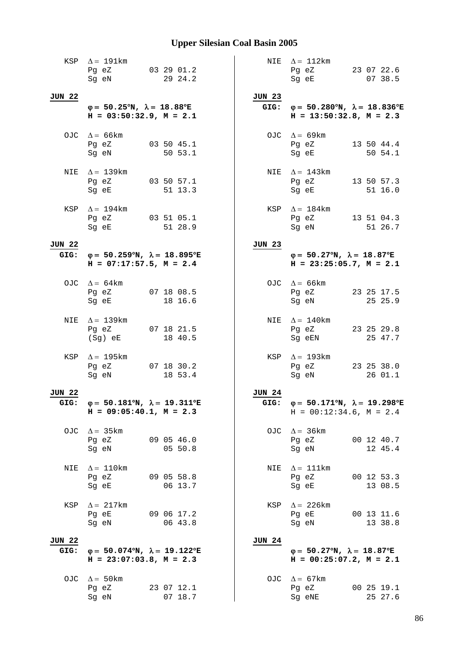|               | KSP $\Delta = 191 \text{km}$<br>03 29 01.2<br>Pg eZ<br>29 24.2<br>Sg eN                        |               | NIE $\Delta = 112 \text{km}$<br>Pg eZ 23 07 22.6<br>Sg eE<br>07 38.5                           |
|---------------|------------------------------------------------------------------------------------------------|---------------|------------------------------------------------------------------------------------------------|
| <b>JUN 22</b> | $\varphi = 50.25^{\circ}N$ , $\lambda = 18.88^{\circ}E$                                        | JUN 23        | GIG: $\varphi = 50.280^{\circ}N$ , $\lambda = 18.836^{\circ}E$                                 |
|               | $H = 03:50:32.9$ , $M = 2.1$                                                                   |               | $H = 13:50:32.8$ , $M = 2.3$                                                                   |
|               | OJC $\Delta = 66 \text{km}$<br>Pg eZ<br>03 50 45.1<br>50 53.1<br>Sq eN                         |               | OJC $\Delta = 69$ km<br>13 50 44.4<br>Pg eZ<br>Sg eE<br>50 54.1                                |
|               | NIE $\Delta = 139$ km<br>Pg eZ<br>$03\,50\,57.1$<br>51 13.3<br>Sg eE                           |               | NIE $\Delta = 143$ km<br>$Pg$ eZ<br>13 50 57.3<br>Sg eE<br>51 16.0                             |
|               | KSP $\Delta = 194$ km<br>Pg eZ 03 51 05.1<br>51 28.9<br>Sg eE                                  |               | KSP $\Delta = 184$ km<br>Pg eZ 13 51 04.3<br>Sg eN<br>51 26.7                                  |
| <b>JUN 22</b> |                                                                                                | JUN 23        |                                                                                                |
|               | GIG: $\varphi = 50.259^{\circ}N$ , $\lambda = 18.895^{\circ}E$<br>$H = 07:17:57.5$ , $M = 2.4$ |               | $\varphi = 50.27^{\circ}N$ , $\lambda = 18.87^{\circ}E$<br>$H = 23:25:05.7$ , $M = 2.1$        |
|               | OJC $\Delta = 64 \text{km}$<br>07 18 08.5<br>Pg eZ<br>Sg eE<br>18 16.6                         |               | OJC $\Delta = 66 \text{km}$<br>Pg eZ<br>23 25 17.5<br>Sg eN<br>25 25.9                         |
|               |                                                                                                |               |                                                                                                |
| NIE           | $\Delta = 139$ km<br>07 18 21.5<br>Pg eZ<br>18 40.5<br>(Sg) eE                                 |               | NIE $\Delta = 140$ km<br>23 25 29.8<br>Pg eZ<br>25 47.7<br>Sg eEN                              |
| KSP           | $\Delta = 195$ km<br>07 18 30.2<br>Pg eZ<br>18 53.4<br>Sg eN                                   |               | KSP $\Delta = 193$ km<br>23 25 38.0<br>Pg eZ<br>26 01.1<br>Sg eN                               |
| <b>JUN 22</b> |                                                                                                | <b>JUN 24</b> |                                                                                                |
| GIG:          | $\varphi = 50.181^{\circ}N$ , $\lambda = 19.311^{\circ}E$<br>$H = 09:05:40.1, M = 2.3$         |               | GIG: $\varphi = 50.171^{\circ}N$ , $\lambda = 19.298^{\circ}E$<br>$H = 00:12:34.6$ , $M = 2.4$ |
| OJC           | $\Delta = 35 \text{km}$<br>09 05 46.0<br>Pg eZ<br>05 50.8<br>Sg eN                             |               | OJC $\Delta = 36 \text{km}$<br>00 12 40.7<br>Pg eZ<br>12 45.4<br>Sg eN                         |
| NIE           | $\Delta = 110$ km<br>Pg eZ<br>09 05 58.8<br>06 13.7<br>Sg eE                                   | NIE           | $\Delta = 111$ km<br>Pg eZ<br>00 12 53.3<br>13 08.5<br>Sg eE                                   |
| KSP           | $\Delta = 217 \text{km}$<br>09 06 17.2<br>Pg eE<br>06 43.8<br>Sg eN                            | KSP           | $\Delta$ = 226 km<br>00 13 11.6<br>Pg eE<br>Sg eN<br>13 38.8                                   |
| JUN 22        |                                                                                                | <b>JUN 24</b> |                                                                                                |
| GIG:          | $\varphi = 50.074$ °N, $\lambda = 19.122$ °E<br>$H = 23:07:03.8$ , $M = 2.3$                   |               | $\varphi = 50.27^{\circ}N$ , $\lambda = 18.87^{\circ}E$<br>$H = 00:25:07.2$ , $M = 2.1$        |
| OJC.          | $\Delta = 50$ km<br>23 07 12.1<br>Pg eZ<br>07 18.7<br>Sg eN                                    |               | OJC $\Delta = 67 \text{km}$<br>Pg eZ<br>00 25 19.1<br>25 27.6<br>Sg eNE                        |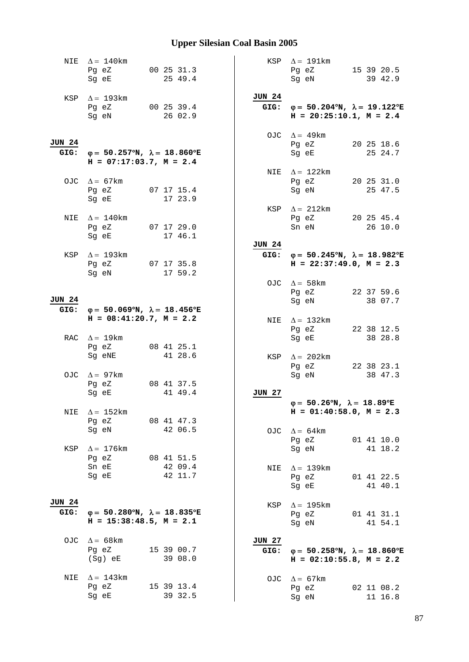|                       | NIE $\Delta = 140$ km<br>Pg eZ<br>Sg eE                                                   | 00 25 31.3<br>25 49.4   |                       | KSP $\Delta = 191 \text{km}$<br>Pg eZ<br>Sg eN                                              | 15 39 20.5<br>39 42.9 |
|-----------------------|-------------------------------------------------------------------------------------------|-------------------------|-----------------------|---------------------------------------------------------------------------------------------|-----------------------|
|                       | KSP $\Delta = 193 \text{km}$<br>Pg eZ 00 25 39.4<br>Sg eN                                 | 26 02.9                 | <b>JUN 24</b>         | GIG: $\varphi = 50.204^{\circ}N$ , $\lambda = 19.122^{\circ}E$<br>$H = 20:25:10.1, M = 2.4$ |                       |
| <b>JUN 24</b><br>GIG: | $\varphi = 50.257^{\circ}N$ , $\lambda = 18.860^{\circ}E$<br>$H = 07:17:03.7$ , $M = 2.4$ |                         |                       | OJC $\Delta = 49$ km<br>Pg eZ<br>Sg eE                                                      | 20 25 18.6<br>25 24.7 |
|                       | OJC $\Delta = 67$ km<br>Pg eZ 07 17 15.4<br>Sg eE                                         | 17 23.9                 |                       | NIE $\Delta = 122$ km<br>Pg eZ<br>Sg eN                                                     | 20 25 31.0<br>25 47.5 |
| NIE                   | $\Delta = 140$ km<br>Pg eZ<br>Sg eE                                                       | $07$ 17 29.0<br>17 46.1 |                       | KSP $\Delta = 212 \text{km}$<br>Pg eZ 20 25 45.4<br>Sn eN                                   | 26 10.0               |
| KSP                   | $\Delta = 193$ km<br>Pg eZ<br>Sg eN                                                       | 07 17 35.8<br>17 59.2   | <b>JUN 24</b><br>GIG: | $\varphi = 50.245^{\circ}N$ , $\lambda = 18.982^{\circ}E$<br>$H = 22:37:49.0, M = 2.3$      |                       |
| <b>JUN 24</b><br>GIG: | $\varphi = 50.069^{\circ}N$ , $\lambda = 18.456^{\circ}E$                                 |                         |                       | OJC $\Delta = 58 \text{km}$<br>Pg eZ<br>Sg eN                                               | 22 37 59.6<br>38 07.7 |
|                       | $H = 08:41:20.7$ , $M = 2.2$<br>RAC $\Delta = 19$ km                                      |                         |                       | NIE $\Delta = 132 \text{km}$<br>Pg eZ<br>Sg eE                                              | 22 38 12.5<br>38 28.8 |
|                       | Pg eZ<br>Sg eNE<br>OJC $\Delta = 97 \text{km}$                                            | 08 41 25.1<br>41 28.6   |                       | KSP $\Delta = 202 \text{km}$<br>Pg eZ<br>Sg eN                                              | 22 38 23.1<br>38 47.3 |
|                       | Pg eZ<br>Sg eE                                                                            | 08 41 37.5<br>41 49.4   | <b>JUN 27</b>         | $\varphi = 50.26^{\circ}N$ , $\lambda = 18.89^{\circ}E$                                     |                       |
| NIE                   | $\Delta = 152$ km<br>Pg eZ<br>Sg eN                                                       | 08 41 47.3<br>42 06.5   |                       | $H = 01:40:58.0, M = 2.3$<br>OJC $\Delta = 64 \text{km}$                                    |                       |
| KSP                   |                                                                                           |                         |                       | Pg eZ                                                                                       | 01 41 10.0            |
|                       | $\Delta = 176$ km<br>Pg eZ<br>Sn eE                                                       | 08 41 51.5              |                       | Sg eN                                                                                       | 41 18.2               |
|                       | Sg eE                                                                                     | 42 09.4<br>42 11.7      | NIE                   | $\Delta = 139 \text{km}$<br>Pg eZ<br>Sq eE                                                  | 01 41 22.5<br>41 40.1 |
| <b>JUN 24</b><br>GIG: | $\varphi = 50.280^{\circ}N$ , $\lambda = 18.835^{\circ}E$<br>$H = 15:38:48.5$ , $M = 2.1$ |                         | KSP                   | $\Delta$ = 195 km<br>Pg eZ<br>Sg eN                                                         | 01 41 31.1<br>41 54.1 |
| OJC                   | $\Delta = 68$ km<br>Pg eZ<br>(Sg) eE                                                      | 15 39 00.7<br>39 08.0   | JUN 27<br>GIG:        | $\varphi = 50.258^{\circ}N$ , $\lambda = 18.860^{\circ}E$<br>$H = 02:10:55.8$ , $M = 2.2$   |                       |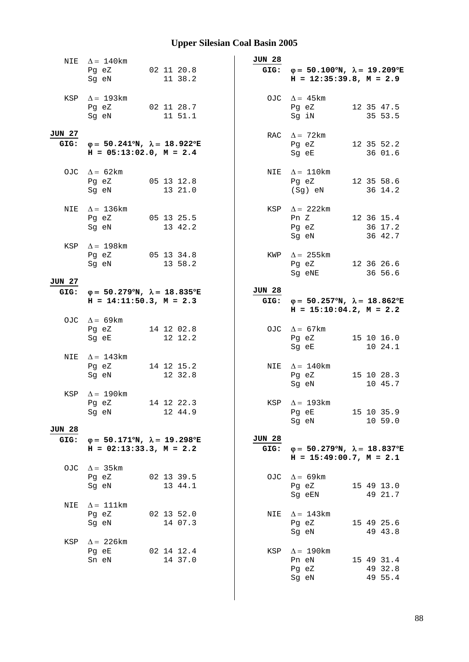|                | NIE $\Delta = 140$ km<br>Pg eZ<br>Sg eN                                                                                                                     | 02 11 20.8<br>11 38.2 | <b>JUN 28</b>         | GIG: $\varphi = 50.100^{\circ}N$ , $\lambda = 19.209^{\circ}E$<br>$H = 12:35:39.8, M = 2.9$                                                                                                                                                                                                             |
|----------------|-------------------------------------------------------------------------------------------------------------------------------------------------------------|-----------------------|-----------------------|---------------------------------------------------------------------------------------------------------------------------------------------------------------------------------------------------------------------------------------------------------------------------------------------------------|
|                | KSP $\Delta = 193 \text{km}$<br>Pg eZ 02 11 28.7<br>Sg eN                                                                                                   | 11 51.1               |                       | OJC $\Delta = 45 \text{km}$<br>12 35 47.5<br>Pg eZ<br>Sg iN<br>35 53.5                                                                                                                                                                                                                                  |
| JUN 27         | GIG: $\varphi = 50.241^{\circ}N$ , $\lambda = 18.922^{\circ}E$<br>$H = 05:13:02.0$ , $M = 2.4$                                                              |                       |                       | RAC $\Delta = 72 \text{km}$<br>Pg eZ<br>12 35 52.2<br>Sg eE<br>36 01.6                                                                                                                                                                                                                                  |
|                | OJC $\Delta = 62 \text{km}$<br>Pg eZ 05 13 12.8<br>Sg eN                                                                                                    | 13 21.0               |                       | NIE $\Delta = 110$ km<br>Pg eZ 12 35 58.6<br>(Sg) eN<br>36 14.2                                                                                                                                                                                                                                         |
|                | NIE $\Delta = 136$ km<br>Pg eZ 05 13 25.5<br>Sg eN and the state of the state of the state of the state of the state of the state of the state of the state | 13 42.2               |                       | KSP $\Delta$ = 222km<br>Pn Z 12 36 15.4<br>Pg eZ<br>36 17.2<br>Sg eN and the state of the state of the state of the state of the state of the state of the state of the state of the state of the state of the state of the state of the state of the state of the state of the state of the<br>36 42.7 |
|                | KSP $\Delta = 198$ km<br>Pg eZ 05 13 34.8<br>Sg eN                                                                                                          | 13 58.2               |                       | KWP $\Delta = 255$ km<br>12 36 26.6<br>Pg eZ<br>Sg eNE<br>36 56.6                                                                                                                                                                                                                                       |
| JUN 27         | GIG: $\varphi = 50.279^{\circ}N$ , $\lambda = 18.835^{\circ}E$<br>$H = 14:11:50.3, M = 2.3$                                                                 |                       | <b>JUN 28</b>         | GIG: $\varphi = 50.257^{\circ}N$ , $\lambda = 18.862^{\circ}E$<br>$H = 15:10:04.2, M = 2.2$                                                                                                                                                                                                             |
|                | OJC $\Delta = 69 \text{km}$<br>Pg eZ<br>Sg eE                                                                                                               | 14 12 02.8<br>12 12.2 |                       | OJC $\Delta = 67 \text{km}$<br>15 10 16.0<br>Pg eZ<br>10 24.1<br>Sg eE                                                                                                                                                                                                                                  |
| NIE            | $\Delta = 143$ km<br>Pg eZ 14 12 15.2<br>Sg eN                                                                                                              | 12 32.8               |                       | NIE $\Delta = 140$ km<br>Pg eZ<br>15 10 28.3<br>Sg eN<br>10 45.7                                                                                                                                                                                                                                        |
| KSP            | $\Delta = 190$ km<br>Pg eZ 14 12 22.3<br>Sg eN                                                                                                              | 12 44.9               |                       | KSP $\Delta = 193$ km<br>Pg eE 15 10 35.9<br>Sg eN<br>10 59.0                                                                                                                                                                                                                                           |
| JUN 28<br>GIG: | $\varphi = 50.171^{\circ}N$ , $\lambda = 19.298^{\circ}E$<br>$H = 02:13:33.3, M = 2.2$                                                                      |                       | <b>JUN 28</b><br>GIG: | $\varphi = 50.279^{\circ}N$ , $\lambda = 18.837^{\circ}E$<br>$H = 15:49:00.7$ , $M = 2.1$                                                                                                                                                                                                               |
|                | OJC $\Delta = 35 \text{km}$<br>Pg eZ 02 13 39.5<br>Sg eN                                                                                                    | 13 44.1               |                       | OJC $\Delta = 69 \text{km}$<br>Pg eZ<br>15 49 13.0<br>Sg eEN<br>49 21.7                                                                                                                                                                                                                                 |
| NIE            | $\Delta = 111$ km<br>Pg eZ<br>Sg eN                                                                                                                         | 02 13 52.0<br>14 07.3 | NIE                   | $\Delta = 143$ km<br>15 49 25.6<br>Pg eZ<br>Sg eN<br>49 43.8                                                                                                                                                                                                                                            |
| KSP            | $\Delta = 226 \text{km}$<br>Pg eE<br>Sn eN                                                                                                                  | 02 14 12.4<br>14 37.0 |                       | KSP $\Delta = 190$ km<br>15 49 31.4<br>Pn eN<br>49 32.8<br>Pg eZ<br>Sg eN<br>49 55.4                                                                                                                                                                                                                    |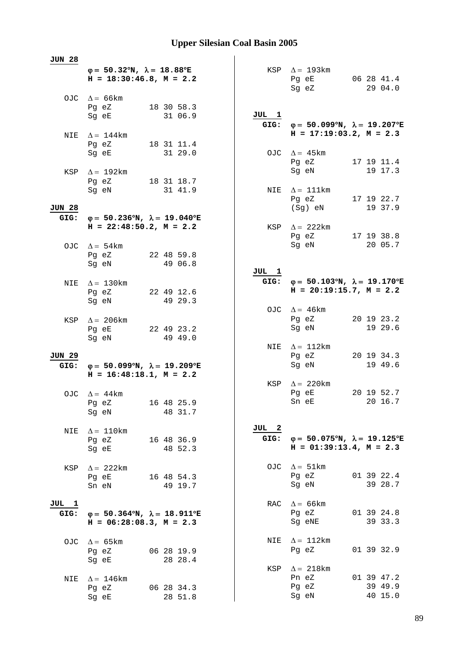| JUN 28 |                                                                                           |                       |       |                                                                                                |                       |
|--------|-------------------------------------------------------------------------------------------|-----------------------|-------|------------------------------------------------------------------------------------------------|-----------------------|
|        | $\varphi = 50.32^{\circ}N$ , $\lambda = 18.88^{\circ}E$<br>$H = 18:30:46.8$ , $M = 2.2$   |                       |       | KSP $\Delta = 193 \text{km}$<br>Pg eE<br>Sg eZ                                                 | 06 28 41.4<br>29 04.0 |
|        | OJC $\Delta = 66 \text{km}$                                                               |                       |       |                                                                                                |                       |
|        | Pg eZ<br>Sg eE                                                                            | 18 30 58.3<br>31 06.9 | JUL 1 |                                                                                                |                       |
|        |                                                                                           |                       |       | GIG: $\varphi = 50.099^{\circ}N$ , $\lambda = 19.207^{\circ}E$                                 |                       |
|        | NIE $\Delta = 144$ km                                                                     |                       |       | $H = 17:19:03.2, M = 2.3$                                                                      |                       |
|        | Pg eZ                                                                                     | 18 31 11.4            |       |                                                                                                |                       |
|        | Sg eE                                                                                     | 31 29.0               |       | OJC $\Delta = 45 \text{km}$<br>Pg eZ                                                           | 17 19 11.4            |
|        | KSP $\Delta = 192 \text{km}$                                                              |                       |       | Sg eN                                                                                          | 19 17.3               |
|        | Pg eZ                                                                                     | 18 31 18.7            |       |                                                                                                |                       |
|        | Sg eN                                                                                     | 31 41.9               |       | NIE $\Delta = 111$ km                                                                          |                       |
| JUN 28 |                                                                                           |                       |       | Pg eZ<br>(Sg) eN                                                                               | 17 19 22.7<br>19 37.9 |
| GIG:   | $\varphi = 50.236^{\circ}N$ , $\lambda = 19.040^{\circ}E$                                 |                       |       |                                                                                                |                       |
|        | $H = 22:48:50.2$ , $M = 2.2$                                                              |                       |       | KSP $\Delta = 222$ km                                                                          |                       |
|        |                                                                                           |                       |       | Pg eZ                                                                                          | 17 19 38.8            |
|        | OJC $\Delta = 54 \text{km}$<br>Pg eZ 22 48 59.8                                           |                       |       | Sg eN                                                                                          | 20 05.7               |
|        | Sq eN                                                                                     | 49 06.8               |       |                                                                                                |                       |
|        |                                                                                           |                       | JUL 1 |                                                                                                |                       |
| NIE    | $\Delta = 130$ km                                                                         |                       |       | GIG: $\varphi = 50.103^{\circ}N$ , $\lambda = 19.170^{\circ}E$<br>$H = 20:19:15.7$ , $M = 2.2$ |                       |
|        | Pg eZ<br>Sg eN                                                                            | 22 49 12.6<br>49 29.3 |       |                                                                                                |                       |
|        |                                                                                           |                       |       | OJC $\Delta = 46$ km                                                                           |                       |
| KSP    | $\Delta = 206$ km                                                                         |                       |       | Pg eZ                                                                                          | 20 19 23.2            |
|        | Pg eE                                                                                     | 22 49 23.2            |       | Sg eN                                                                                          | 19 29.6               |
|        | Sg eN                                                                                     | 49 49.0               |       | NIE $\Delta = 112 \text{km}$                                                                   |                       |
| JUN 29 |                                                                                           |                       |       | Pg eZ                                                                                          | 20 19 34.3            |
| GIG:   | $\varphi = 50.099^{\circ}N$ , $\lambda = 19.209^{\circ}E$                                 |                       |       | Sg eN                                                                                          | 19 49.6               |
|        | $H = 16:48:18.1, M = 2.2$                                                                 |                       |       | KSP $\Delta = 220$ km                                                                          |                       |
|        | OJC $\Delta = 44$ km                                                                      |                       |       | Pg eE                                                                                          | 20 19 52.7            |
|        | Pg eZ 16 48 25.9                                                                          |                       |       | Sn eE                                                                                          | 20 16.7               |
|        | Sg eN                                                                                     | 48 31.7               |       |                                                                                                |                       |
| NIE    | $\Delta = 110$ km                                                                         |                       | JUL 2 |                                                                                                |                       |
|        | Pg eZ                                                                                     | 16 48 36.9            | GIG:  | $\varphi = 50.075^{\circ}N$ , $\lambda = 19.125^{\circ}E$                                      |                       |
|        | Sg eE                                                                                     | 48 52.3               |       | $H = 01:39:13.4, M = 2.3$                                                                      |                       |
|        |                                                                                           |                       |       | OJC $\Delta = 51 \text{km}$                                                                    |                       |
| KSP    | $\Delta$ = 222 km<br>Pg eE                                                                | 16 48 54.3            |       | Pg eZ                                                                                          | 01 39 22.4            |
|        | Sn eN                                                                                     | 49 19.7               |       | Sg eN                                                                                          | 39 28.7               |
|        |                                                                                           |                       |       |                                                                                                |                       |
| JUL 1  |                                                                                           |                       |       | RAC $\Delta = 66$ km<br>Pg eZ                                                                  | 01 39 24.8            |
| GIG:   | $\varphi = 50.364^{\circ}N$ , $\lambda = 18.911^{\circ}E$<br>$H = 06:28:08.3$ , $M = 2.3$ |                       |       | Sg eNE                                                                                         | 39 33.3               |
|        | OJC $\Delta = 65 \text{km}$                                                               |                       | NIE   | $\Delta = 112 \text{km}$                                                                       |                       |
|        | Pg eZ                                                                                     | 06 28 19.9            |       | Pq eZ                                                                                          | 01 39 32.9            |
|        | Sg eE                                                                                     | 28 28.4               |       |                                                                                                |                       |
|        | $\Delta = 146$ km                                                                         |                       |       | KSP $\Delta = 218$ km<br>Pn eZ                                                                 | 01 39 47.2            |
| NIE    | Pg eZ                                                                                     | 06 28 34.3            |       | Pg eZ                                                                                          | 39 49.9               |
|        | Sg eE                                                                                     | 28 51.8               |       | Sg eN                                                                                          | 40 15.0               |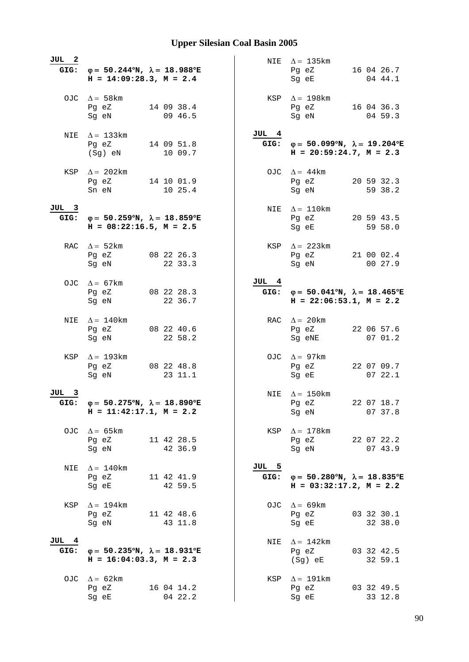| JUL 2         | GIG: $\varphi = 50.244^{\circ}N$ , $\lambda = 18.988^{\circ}E$<br>$H = 14:09:28.3, M = 2.4$    |               | NIE $\Delta = 135 \text{km}$<br>Pg eZ 16 04 26.7<br>Sg eE<br>04 44.1                           |
|---------------|------------------------------------------------------------------------------------------------|---------------|------------------------------------------------------------------------------------------------|
|               | OJC $\Delta = 58 \text{km}$<br>Pg eZ 14 09 38.4<br>09 46.5<br>Sg eN                            |               | KSP $\Delta = 198$ km<br>Pg eZ 16 04 36.3<br>Sg eN<br>04 59.3                                  |
|               | NIE $\Delta = 133$ km<br>Pg eZ 14 09 51.8<br>10 09.7<br>$(Sg)$ eN                              | JUL 4         | GIG: $\varphi = 50.099^{\circ}N$ , $\lambda = 19.204^{\circ}E$<br>$H = 20:59:24.7$ , $M = 2.3$ |
|               | KSP $\Delta = 202 \text{km}$<br>Pg eZ 14 10 01.9<br>Sn eN<br>10 25.4                           |               | OJC $\Delta = 44 \text{km}$<br>Pg eZ 20 59 32.3<br>Sg eN<br>59 38.2                            |
| JUL 3         | GIG: $\varphi = 50.259^{\circ}N$ , $\lambda = 18.859^{\circ}E$<br>$H = 08:22:16.5$ , $M = 2.5$ |               | NIE $\Delta = 110 \text{km}$<br>Pg eZ 20 59 43.5<br>Sg eE 59 58.0                              |
|               | RAC $\Delta = 52 \text{km}$<br>Pg eZ 08 22 26.3<br>Sg eN 22 33.3                               |               | KSP $\Delta = 223 \text{km}$<br>Pg eZ 21 00 02.4<br>Sg eN 00 27.9                              |
|               | OJC $\Delta = 67 \text{km}$<br>Pg eZ 08 22 28.3<br>Sg eN<br>22 36.7                            | JUL 4         | GIG: $\varphi = 50.041^{\circ}N$ , $\lambda = 18.465^{\circ}E$<br>$H = 22:06:53.1, M = 2.2$    |
| NIE           | $\Delta = 140$ km<br>08 22 40.6<br>Pg eZ<br>22 58.2<br>Sg eN                                   |               | RAC $\Delta = 20 \text{km}$<br>22 06 57.6<br>Pg eZ<br>07 01.2<br>Sg eNE                        |
|               | KSP $\Delta = 193$ km<br>Pg eZ 08 22 48.8<br>Sg eN<br>23 11.1                                  |               | OJC $\Delta = 97 \text{km}$<br>22 07 09.7<br>Pg eZ<br>0722.1<br>Sg eE                          |
| JUL 3<br>GIG: | $\varphi = 50.275^{\circ}N, \lambda = 18.890^{\circ}E$<br>$H = 11:42:17.1, M = 2.2$            |               | NIE $\Delta = 150 \text{km}$<br>22 07 18.7<br>Pg eZ<br>Sg eN<br>07 37.8                        |
|               | OJC $\Delta = 65 \text{km}$<br>Pg eZ<br>11 42 28.5<br>42 36.9<br>Sg eN                         |               | KSP $\Delta = 178$ km<br>Pg eZ 22 07 22.2<br>Sg eN<br>07 43.9                                  |
| NIE           | $\Delta = 140$ km<br>Pg eZ<br>11 42 41.9<br>42 59.5<br>Sg eE                                   | JUL 5<br>GIG: | $\varphi = 50.280^{\circ}N$ , $\lambda = 18.835^{\circ}E$<br>$H = 03:32:17.2, M = 2.2$         |
| KSP           | $\Delta = 194 \text{km}$<br>Pg eZ<br>11 42 48.6<br>Sg eN<br>43 11.8                            |               | OJC $\Delta = 69 \text{km}$<br>03 32 30.1<br>Pg eZ<br>Sg eE<br>32 38.0                         |
| JUL 4<br>GIG: | $\varphi = 50.235^{\circ}N$ , $\lambda = 18.931^{\circ}E$<br>$H = 16:04:03.3, M = 2.3$         | NIE           | $\Delta = 142$ km<br>03 32 42.5<br>Pg eZ<br>(Sg) eE<br>32 59.1                                 |
|               | OJC $\Delta = 62 \text{km}$<br>Pg eZ<br>16 04 14.2<br>04 22.2<br>Sg eE                         |               | KSP $\Delta = 191$ km<br>03 32 49.5<br>Pg eZ<br>33 12.8<br>Sg eE                               |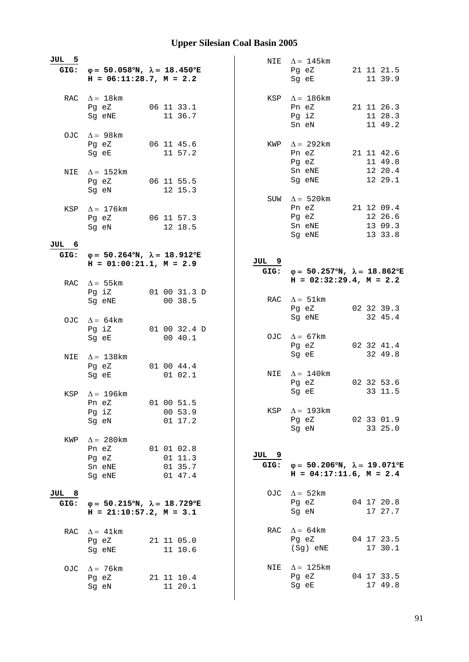| JUL 5         | GIG: $\varphi = 50.058^{\circ}N$ , $\lambda = 18.450^{\circ}E$<br>$H = 06:11:28.7, M = 2.2$ |                                           |               | NIE $\Delta = 145$ km<br>Pg eZ<br>Sg eE                                                   | 21 11 21.5<br>11 39.9                       |
|---------------|---------------------------------------------------------------------------------------------|-------------------------------------------|---------------|-------------------------------------------------------------------------------------------|---------------------------------------------|
|               | RAC $\Delta = 18$ km<br>Pg eZ<br>Sg eNE                                                     | 06 11 33.1<br>11 36.7                     |               | KSP $\Delta = 186$ km<br>Pn eZ<br>Pg iZ<br>Sn eN                                          | 21 11 26.3<br>11 28.3<br>11 49.2            |
|               | OJC $\Delta = 98$ km<br>Pg eZ<br>Sg eE                                                      | 06 11 45.6<br>11 57.2                     |               | KWP $\Delta = 292 \text{km}$<br>Pn eZ<br>Pg eZ                                            | 21 11 42.6<br>11 49.8<br>12 20.4            |
|               | NIE $\Delta = 152 \text{km}$<br>Pg eZ<br>Sg eN                                              | 06 11 55.5<br>12 15.3                     |               | Sn eNE<br>Sg eNE<br>SUW $\Delta = 520$ km                                                 | 12 29.1                                     |
| KSP           | $\Delta = 176$ km<br>Pg eZ 06 11 57.3<br>Sq eN                                              | 12 18.5                                   |               | Pn eZ<br>Pg eZ<br>Sn eNE<br>Sg eNE                                                        | 21 12 09.4<br>12 26.6<br>13 09.3<br>13 33.8 |
| JUL 6<br>GIG: | $\varphi = 50.264^{\circ}N$ , $\lambda = 18.912^{\circ}E$                                   |                                           |               |                                                                                           |                                             |
|               | $H = 01:00:21.1, M = 2.9$<br>RAC $\Delta = 55$ km                                           |                                           | JUL 9<br>GIG: | $\varphi = 50.257^{\circ}N$ , $\lambda = 18.862^{\circ}E$<br>$H = 02:32:29.4$ , $M = 2.2$ |                                             |
|               | Pg iZ<br>Sg eNE                                                                             | 01 00 31.3 D<br>00 38.5                   |               | RAC $\Delta = 51 \text{km}$<br>Pg eZ                                                      | 02 32 39.3                                  |
|               | OJC $\Delta = 64 \text{km}$<br>Pg iZ<br>Sg eE                                               | 01 00 32.4 D<br>00 40.1                   |               | Sg eNE<br>OJC $\Delta = 67 \text{km}$<br>Pg eZ                                            | 32 45.4<br>02 32 41.4                       |
| NIE           | $\Delta = 138$ km<br>Pg eZ<br>Sg eE                                                         | 01 00 44.4<br>01 02.1                     |               | Sg eE<br>NIE $\Delta = 140$ km                                                            | 32 49.8                                     |
| KSP           | $\Delta = 196$ km<br>Pn eZ                                                                  | 01 00 51.5                                |               | Pg eZ<br>Sg eE                                                                            | 02 32 53.6<br>33 11.5                       |
|               | Pg iZ<br>Sg eN                                                                              | 00 53.9<br>01 17.2                        | KSP           | $\Delta = 193$ km<br>Pg eZ<br>Sg eN                                                       | 02 33 01.9<br>33 25.0                       |
| KWP           | $\Delta = 280$ km<br>Pn eZ<br>Pg eZ<br>Sn eNE<br>Sg eNE                                     | 01 01 02.8<br>011.3<br>01 35.7<br>01 47.4 | JUL 9<br>GIG: | $\varphi = 50.206^{\circ}N$ , $\lambda = 19.071^{\circ}E$<br>$H = 04:17:11.6$ , $M = 2.4$ |                                             |
| JUL 8<br>GIG: | $\varphi = 50.215^{\circ}N$ , $\lambda = 18.729^{\circ}E$<br>$H = 21:10:57.2, M = 3.1$      |                                           |               | OJC $\Delta = 52 \text{km}$<br>Pg eZ<br>Sg eN                                             | 04 17 20.8<br>17 27.7                       |
| RAC           | $\Delta = 41 \text{km}$<br>Pg eZ<br>Sg eNE                                                  | 21 11 05.0<br>11 10.6                     |               | RAC $\Delta = 64 \text{km}$<br>Pg eZ<br>(Sg) eNE                                          | 04 17 23.5<br>17 30.1                       |
| OJC.          | $\Delta$ = 76 km<br>Pg eZ<br>Sg eN                                                          | 21 11 10.4<br>11 20.1                     |               | NIE $\Delta = 125 \text{km}$<br>Pg eZ<br>Sg eE                                            | 04 17 33.5<br>17 49.8                       |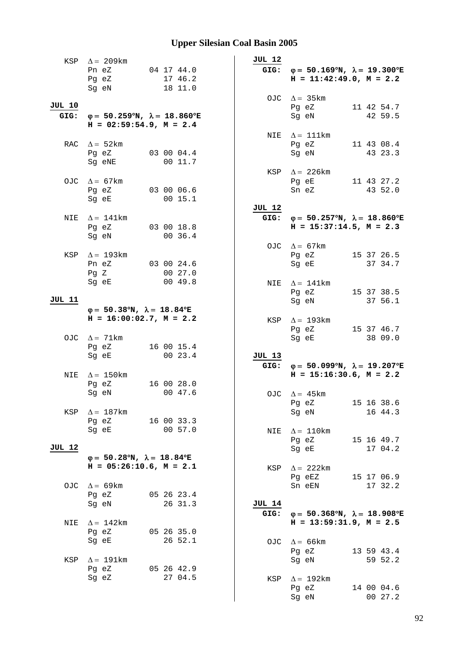|               | KSP $\Delta = 209 \text{km}$                                                                |                       | JUL 12        |                                                                                             |  |
|---------------|---------------------------------------------------------------------------------------------|-----------------------|---------------|---------------------------------------------------------------------------------------------|--|
|               | Pn eZ<br>Pg eZ                                                                              | 04 17 44.0<br>17 46.2 |               | GIG: $\varphi = 50.169^{\circ}N$ , $\lambda = 19.300^{\circ}E$<br>$H = 11:42:49.0, M = 2.2$ |  |
|               | Sg eN                                                                                       | 18 11.0               |               | OJC $\Delta = 35 \text{km}$                                                                 |  |
| <b>JUL 10</b> | GIG: $\varphi = 50.259^{\circ}N$ , $\lambda = 18.860^{\circ}E$<br>$H = 02:59:54.9, M = 2.4$ |                       |               | Pg eZ<br>11 42 54.7<br>Sg eN<br>42 59.5                                                     |  |
|               |                                                                                             |                       |               | NIE $\Delta = 111$ km                                                                       |  |
|               | RAC $\Delta = 52 \text{km}$<br>Pg eZ<br>Sg eNE                                              | 03 00 04.4<br>00 11.7 |               | Pg eZ<br>11 43 08.4<br>Sg eN<br>43 23.3                                                     |  |
|               |                                                                                             |                       |               | KSP $\Delta$ = 226 km                                                                       |  |
|               | OJC $\Delta = 67 \text{km}$<br>Pg eZ<br>Sg eE                                               | 03 00 06.6<br>00 15.1 |               | Pg eE<br>11 43 27.2<br>Sn eZ<br>43 52.0                                                     |  |
|               |                                                                                             |                       | JUL 12        |                                                                                             |  |
| NIE           | $\Delta = 141$ km<br>Pg eZ<br>Sg eN                                                         | 03 00 18.8<br>00 36.4 | GIG:          | $\varphi = 50.257^{\circ}N$ , $\lambda = 18.860^{\circ}E$<br>$H = 15:37:14.5, M = 2.3$      |  |
|               |                                                                                             |                       |               | OJC $\Delta = 67 \text{km}$                                                                 |  |
|               | KSP $\Delta = 193 \text{km}$<br>Pn eZ<br>PgZ                                                | 03 00 24.6<br>00 27.0 |               | Pg eZ 15 37 26.5<br>Sq eE<br>37 34.7                                                        |  |
|               | Sg eE                                                                                       | 0049.8                |               | NIE $\Delta = 141$ km                                                                       |  |
| JUL 11        |                                                                                             |                       |               | Pg eZ<br>15 37 38.5<br>37 56.1<br>Sg eN                                                     |  |
|               | $\varphi = 50.38^{\circ}N$ , $\lambda = 18.84^{\circ}E$                                     |                       |               |                                                                                             |  |
|               | $H = 16:00:02.7$ , $M = 2.2$<br>OJC $\Delta = 71 \text{km}$                                 |                       |               | KSP $\Delta = 193 \text{km}$<br>15 37 46.7<br>Pg eZ<br>Sg eE<br>38 09.0                     |  |
|               | Pg eZ                                                                                       | 16 00 15.4            |               |                                                                                             |  |
|               | Sg eE                                                                                       | 00 23.4               | JUL 13        |                                                                                             |  |
|               |                                                                                             |                       |               | GIG: $\varphi = 50.099^{\circ}N$ , $\lambda = 19.207^{\circ}E$                              |  |
| NIE           | $\Delta = 150$ km<br>Pg eZ                                                                  | 16 00 28.0            |               | $H = 15:16:30.6$ , $M = 2.2$                                                                |  |
|               | Sg eN                                                                                       | 00 47.6               |               | OJC $\Delta = 45$ km                                                                        |  |
|               |                                                                                             |                       |               | 15 16 38.6<br>Pg eZ                                                                         |  |
| KSP           | $\Delta = 187$ km<br>Pg eZ                                                                  | 16 00 33.3            |               | 16 44.3<br>Sg eN                                                                            |  |
|               | Sg eE                                                                                       | 00 57.0               | NIE           | $\Delta = 110$ km                                                                           |  |
| <b>JUL 12</b> |                                                                                             |                       |               | 15 16 49.7<br>Pg eZ<br>Sg eE<br>17 04.2                                                     |  |
|               | $\varphi = 50.28^{\circ}N$ , $\lambda = 18.84^{\circ}E$<br>$H = 05:26:10.6$ , $M = 2.1$     |                       | KSP           | $\Delta$ = 222km                                                                            |  |
| OJC           | $\Delta = 69$ km                                                                            |                       |               | Pg eEZ<br>15 17 06.9<br>Sn eEN<br>17 32.2                                                   |  |
|               | Pg eZ<br>Sg eN                                                                              | 05 26 23.4<br>26 31.3 | <b>JUL 14</b> |                                                                                             |  |
| NIE           | $\Delta = 142$ km                                                                           |                       | GIG:          | $\varphi = 50.368^{\circ}N$ , $\lambda = 18.908^{\circ}E$<br>$H = 13:59:31.9$ , $M = 2.5$   |  |
|               | Pg eZ                                                                                       | 05 26 35.0            |               |                                                                                             |  |
| KSP           | Sg eE<br>$\Delta = 191 \text{km}$                                                           | 26 52.1               |               | OJC $\Delta = 66$ km<br>Pg eZ<br>13 59 43.4<br>Sg eN<br>59 52.2                             |  |
|               | Pg eZ                                                                                       | 05 26 42.9            |               |                                                                                             |  |
|               | Sg eZ                                                                                       | 27 04.5               | KSP           | $\Delta = 192$ km<br>Pg eZ<br>14 00 04.6<br>00 27.2<br>Sg eN                                |  |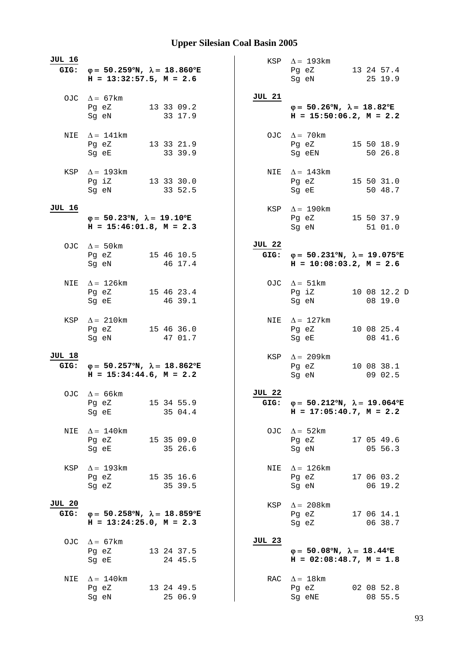| JUL 16                | GIG: $\varphi = 50.259^{\circ}N$ , $\lambda = 18.860^{\circ}E$<br>$H = 13:32:57.5$ , $M = 2.6$ |                       |                       | KSP $\Delta = 193 \text{km}$<br>Pg eZ<br>Sq eN                                                 | 13 24 57.4<br>25 19.9   |
|-----------------------|------------------------------------------------------------------------------------------------|-----------------------|-----------------------|------------------------------------------------------------------------------------------------|-------------------------|
|                       | OJC $\Delta = 67 \text{km}$<br>Pg eZ<br>Sg eN                                                  | 13 33 09.2<br>33 17.9 | JUL 21                | $\varphi = 50.26^{\circ}N$ , $\lambda = 18.82^{\circ}E$<br>$H = 15:50:06.2$ , $M = 2.2$        |                         |
|                       | NIE $\Delta = 141$ km<br>Pg eZ<br>Sg eE                                                        | 13 33 21.9<br>33 39.9 |                       | OJC $\Delta = 70$ km<br>Pg eZ<br>Sg eEN                                                        | 15 50 18.9<br>50 26.8   |
|                       | KSP $\Delta = 193 \text{km}$<br>Pg iZ<br>Sg eN                                                 | 13 33 30.0<br>33 52.5 |                       | NIE $\Delta = 143$ km<br>Pg eZ<br>Sg eE                                                        | 15 50 31.0<br>50 48.7   |
| JUL 16                | $\varphi = 50.23^{\circ}N$ , $\lambda = 19.10^{\circ}E$<br>$H = 15:46:01.8$ , $M = 2.3$        |                       | KSP                   | $\Delta = 190$ km<br>Pg eZ 15 50 37.9<br>Sq eN                                                 | 51 01.0                 |
|                       | OJC $\Delta = 50 \text{km}$<br>Pg eZ 15 46 10.5<br>Sg eN                                       | 46 17.4               | <b>JUL 22</b><br>GIG: | $\varphi = 50.231^{\circ}N$ , $\lambda = 19.075^{\circ}E$<br>$H = 10:08:03.2$ , $M = 2.6$      |                         |
| NIE                   | $\Delta = 126$ km<br>Pg eZ<br>Sg eE                                                            | 15 46 23.4<br>46 39.1 |                       | OJC $\Delta = 51 \text{km}$<br>Pg iZ<br>Sg eN                                                  | 10 08 12.2 D<br>08 19.0 |
| KSP                   | $\Delta = 210$ km<br>Pg eZ<br>Sg eN                                                            | 15 46 36.0<br>47 01.7 |                       | NIE $\Delta = 127 \text{km}$<br>Pg eZ<br>Sg eE                                                 | 10 08 25.4<br>08 41.6   |
| JUL 18<br>GIG:        | $\varphi = 50.257^{\circ}N$ , $\lambda = 18.862^{\circ}E$<br>$H = 15:34:44.6$ , $M = 2.2$      |                       | KSP                   | $\Delta = 209$ km<br>Pg eZ<br>Sg eN                                                            | 10 08 38.1<br>09 02.5   |
|                       | OJC $\Delta = 66 \text{km}$<br>Pg eZ<br>Sg eE                                                  | 15 34 55.9<br>35 04.4 | <b>JUL 22</b>         | GIG: $\varphi = 50.212^{\circ}N$ , $\lambda = 19.064^{\circ}E$<br>$H = 17:05:40.7$ , $M = 2.2$ |                         |
| NIE                   | $\Delta = 140$ km<br>Pg eZ 15 35 09.0<br>Sg eE                                                 | 35 26.6               | OJC                   | $\Delta = 52 \text{km}$<br>Pg eZ<br>Sg eN                                                      | 17 05 49.6<br>05 56.3   |
| KSP                   | $\Delta$ = 193km<br>Pg eZ 15 35 16.6<br>Sg eZ                                                  | 35 39.5               | NIE                   | $\Delta = 126$ km<br>Pg eZ<br>Sg eN                                                            | 17 06 03.2<br>06 19.2   |
| <b>JUL 20</b><br>GIG: | $\varphi = 50.258^{\circ}N$ , $\lambda = 18.859^{\circ}E$<br>$H = 13:24:25.0, M = 2.3$         |                       | KSP                   | $\Delta = 208$ km<br>Pg eZ<br>Sg eZ                                                            | 17 06 14.1<br>06 38.7   |
|                       | OJC $\Delta = 67 \text{km}$<br>Pg eZ<br>Sg eE                                                  | 13 24 37.5<br>24 45.5 | <b>JUL 23</b>         | $\varphi = 50.08^{\circ}N$ , $\lambda = 18.44^{\circ}E$<br>$H = 02:08:48.7$ , $M = 1.8$        |                         |
| NIE                   | $\Delta = 140$ km<br>Pg eZ<br>Sg eN                                                            | 13 24 49.5<br>25 06.9 | RAC                   | $\Delta = 18$ km<br>Pg eZ<br>Sg eNE                                                            | 02 08 52.8<br>08 55.5   |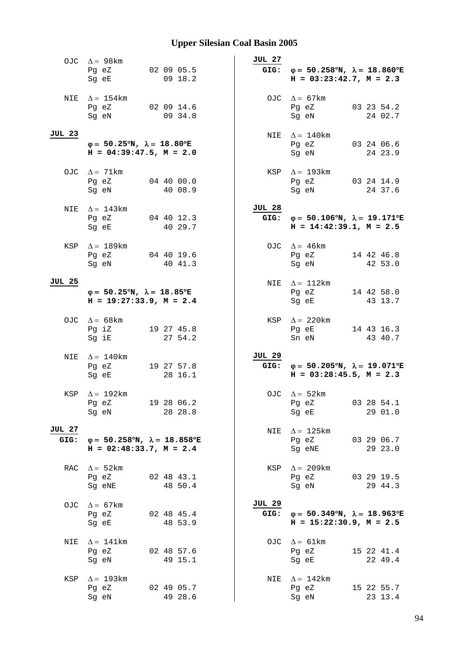| OJC            | $\Delta = 98$ km<br>02 09 05.5<br>Pg eZ<br>Sg eE<br>09 18.2                               | JUL 27<br>GIG:        | $\varphi = 50.258^{\circ}N$ , $\lambda = 18.860^{\circ}E$<br>$H = 03:23:42.7$ , $M = 2.3$      |
|----------------|-------------------------------------------------------------------------------------------|-----------------------|------------------------------------------------------------------------------------------------|
| NIE            | $\Delta = 154$ km<br>02 09 14.6<br>Pg eZ<br>09 34.8<br>Sg eN                              |                       | OJC $\Delta = 67$ km<br>03 23 54.2<br>Pg eZ<br>24 02.7<br>Sg eN                                |
| <b>JUL 23</b>  | $\varphi = 50.25^{\circ}N$ , $\lambda = 18.80^{\circ}E$<br>$H = 04:39:47.5, M = 2.0$      |                       | NIE $\Delta = 140$ km<br>Pg eZ<br>03 24 06.6<br>Sg eN<br>24 23.9                               |
|                | OJC $\Delta = 71$ km<br>Pg eZ<br>04 40 00.0<br>40 08.9<br>Sg eN                           |                       | KSP $\Delta = 193$ km<br>Pg eZ<br>03 24 14.9<br>Sg eN<br>24 37.6                               |
| NIE            | $\Delta = 143$ km<br>Pg eZ 04 40 12.3<br>40 29.7<br>Sg eE                                 | JUL 28                | GIG: $\varphi = 50.106^{\circ}N$ , $\lambda = 19.171^{\circ}E$<br>$H = 14:42:39.1, M = 2.5$    |
|                | KSP $\Delta = 189$ km<br>04 40 19.6<br>Pg eZ<br>40 41.3<br>Sg eN                          |                       | OJC $\Delta = 46 \text{km}$<br>Pg eZ<br>14 42 46.8<br>Sq eN<br>42 53.0                         |
| <b>JUL 25</b>  | $\varphi = 50.25^{\circ}N$ , $\lambda = 18.85^{\circ}E$<br>$H = 19:27:33.9, M = 2.4$      |                       | NIE $\Delta = 112$ km<br>Pg eZ<br>14 42 58.0<br>Sg eE<br>43 13.7                               |
|                | OJC $\Delta = 68$ km<br>Pg iZ<br>19 27 45.8<br>Sg iE<br>27 54.2                           |                       | KSP $\Delta = 220$ km<br>Pg eE<br>14 43 16.3<br>43 40.7<br>Sn eN                               |
| NIE            | $\Delta = 140$ km<br>Pg eZ<br>19 27 57.8<br>28 16.1<br>Sg eE                              | <b>JUL 29</b>         | GIG: $\varphi = 50.205^{\circ}N$ , $\lambda = 19.071^{\circ}E$<br>$H = 03:28:45.5$ , $M = 2.3$ |
| KSP            | $\Delta = 192 \text{km}$<br>Pg eZ<br>19 28 06.2<br>28 28.8<br>Sg eN                       |                       | OJC $\Delta = 52 \text{km}$<br>Pg eZ<br>03 28 54.1<br>29 01.0<br>Sg eE                         |
| JUL 27<br>GIG: | $\varphi = 50.258^{\circ}N$ , $\lambda = 18.858^{\circ}E$<br>$H = 02:48:33.7$ , $M = 2.4$ |                       | NIE $\Delta = 125 \text{km}$<br>03 29 06.7<br>Pg eZ<br>Sg eNE<br>29 23.0                       |
| RAC            | $\Delta = 52 \text{km}$<br>Pg eZ<br>02 48 43.1<br>48 50.4<br>Sg eNE                       |                       | KSP $\Delta = 209 \text{km}$<br>Pg eZ<br>03 29 19.5<br>29 44.3<br>Sg eN                        |
| OJC.           | $\Delta = 67$ km<br>Pg eZ<br>02 48 45.4<br>Sg eE<br>48 53.9                               | <b>JUL 29</b><br>GIG: | $\varphi = 50.349^{\circ}N$ , $\lambda = 18.963^{\circ}E$<br>$H = 15:22:30.9$ , $M = 2.5$      |
| NIE            | $\Delta = 141$ km<br>Pg eZ<br>02 48 57.6<br>49 15.1<br>Sg eN                              |                       | OJC $\Delta = 61 \text{km}$<br>Pg eZ<br>15 22 41.4<br>Sg eE<br>22 49.4                         |
| KSP            | $\Delta = 193$ km<br>Pg eZ<br>02 49 05.7<br>49 28.6<br>Sg eN                              | NIE                   | $\Delta = 142$ km<br>Pg eZ<br>15 22 55.7<br>Sg eN<br>23 13.4                                   |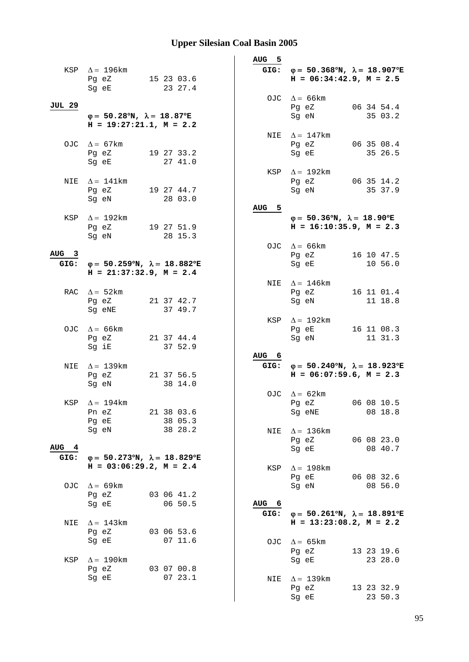|                  |                                                                |                                                           | AUG <sub>5</sub> |                                                                |
|------------------|----------------------------------------------------------------|-----------------------------------------------------------|------------------|----------------------------------------------------------------|
|                  | KSP $\Delta = 196 \text{km}$                                   |                                                           |                  | GIG: $\varphi = 50.368^{\circ}N$ , $\lambda = 18.907^{\circ}E$ |
|                  | Pg eZ                                                          | 15 23 03.6                                                |                  | $H = 06:34:42.9$ , $M = 2.5$                                   |
|                  | Sg eE                                                          | 23 27.4                                                   |                  |                                                                |
|                  |                                                                |                                                           |                  | OJC $\Delta = 66$ km                                           |
| JUL 29           |                                                                |                                                           |                  | 06 34 54.4<br>Pg eZ                                            |
|                  | $\varphi = 50.28^{\circ}N$ , $\lambda = 18.87^{\circ}E$        |                                                           |                  | Sg eN<br>35 03.2                                               |
|                  | $H = 19:27:21.1, M = 2.2$                                      |                                                           |                  |                                                                |
|                  |                                                                |                                                           |                  | NIE $\Delta = 147$ km                                          |
|                  | OJC $\Delta = 67 \text{km}$                                    |                                                           |                  | Pg eZ<br>06 35 08.4<br>35 26.5<br>Sq eE                        |
|                  | Pg eZ<br>Sg eE                                                 | 19 27 33.2<br>27 41.0                                     |                  |                                                                |
|                  |                                                                |                                                           |                  | KSP $\Delta = 192 \text{km}$                                   |
|                  | NIE $\Delta = 141$ km                                          |                                                           |                  | Pg eZ<br>06 35 14.2                                            |
|                  | Pg eZ                                                          | 19 27 44.7                                                |                  | Sg eN<br>35 37.9                                               |
|                  | Sg eN                                                          | 28 03.0                                                   |                  |                                                                |
|                  |                                                                |                                                           | AUG 5            |                                                                |
|                  | KSP $\Delta = 192 \text{km}$                                   |                                                           |                  | $\varphi = 50.36^{\circ}N$ , $\lambda = 18.90^{\circ}E$        |
|                  | Pg eZ                                                          | 19 27 51.9                                                |                  | $H = 16:10:35.9$ , $M = 2.3$                                   |
|                  | Sg eN                                                          | 28 15.3                                                   |                  |                                                                |
| AUG <sub>3</sub> |                                                                |                                                           |                  | OJC $\Delta = 66$ km                                           |
|                  | GIG: $\varphi = 50.259^{\circ}N$ , $\lambda = 18.882^{\circ}E$ |                                                           |                  | Pg eZ<br>16 10 47.5<br>10 56.0<br>Sg eE                        |
|                  | $H = 21:37:32.9$ , $M = 2.4$                                   |                                                           |                  |                                                                |
|                  |                                                                |                                                           |                  | NIE $\Delta = 146$ km                                          |
|                  | RAC $\Delta = 52 \text{km}$                                    |                                                           |                  | Pg eZ<br>16 11 01.4                                            |
|                  | Pg eZ                                                          | 21 37 42.7                                                |                  | 11 18.8<br>Sg eN                                               |
|                  | Sg eNE                                                         | 37 49.7                                                   |                  |                                                                |
|                  |                                                                |                                                           |                  | KSP $\Delta = 192 \text{km}$                                   |
|                  | OJC $\Delta = 66 \text{km}$                                    |                                                           |                  | Pg eE<br>16 11 08.3                                            |
|                  | Pg eZ<br>Sg iE                                                 | 21 37 44.4<br>37 52.9                                     |                  | Sg eN<br>11 31.3                                               |
|                  |                                                                |                                                           | AUG 6            |                                                                |
| NIE              | $\Delta = 139 \text{km}$                                       |                                                           |                  | GIG: $\varphi = 50.240^{\circ}N$ , $\lambda = 18.923^{\circ}E$ |
|                  | Pg eZ                                                          | 21 37 56.5                                                |                  | $H = 06:07:59.6$ , $M = 2.3$                                   |
|                  | Sg eN                                                          | 38 14.0                                                   |                  |                                                                |
|                  |                                                                |                                                           |                  | OJC $\Delta = 62 \text{km}$                                    |
|                  | KSP $\Delta = 194$ km                                          |                                                           |                  | 06 08 10.5<br>Pg eZ                                            |
|                  | Pn eZ                                                          | 21 38 03.6                                                |                  | 08 18.8<br>Sg eNE                                              |
|                  | Pg eE                                                          | 38 05.3<br>38 28.2                                        |                  |                                                                |
|                  | Sg eN                                                          |                                                           | NIE              | $\Delta = 136$ km<br>06 08 23.0<br>Pg eZ                       |
| AUG 4            |                                                                |                                                           |                  | 08 40.7<br>Sg eE                                               |
| GIG:             |                                                                | $\varphi = 50.273^{\circ}N$ , $\lambda = 18.829^{\circ}E$ |                  |                                                                |
|                  | $H = 03:06:29.2, M = 2.4$                                      |                                                           | KSP              | $\Delta = 198$ km                                              |
|                  |                                                                |                                                           |                  | Pg eE<br>06 08 32.6                                            |
| OJC.             |                                                                |                                                           |                  | 08 56.0<br>Sg eN                                               |
|                  | $\Delta = 69$ km                                               |                                                           |                  |                                                                |
|                  | Pg eZ                                                          | 03 06 41.2                                                |                  |                                                                |
|                  | Sg eE                                                          | 06 50.5                                                   | AUG <sub>6</sub> |                                                                |
|                  |                                                                |                                                           | GIG:             | $\varphi = 50.261^{\circ}N$ , $\lambda = 18.891^{\circ}E$      |
| NIE              | $\Delta = 143$ km                                              |                                                           |                  | $H = 13:23:08.2, M = 2.2$                                      |
|                  | Pg eZ                                                          | 03 06 53.6                                                |                  |                                                                |
|                  | Sg eE                                                          | 07 11.6                                                   |                  | OJC $\Delta = 65 \text{km}$                                    |
| KSP              | $\Delta = 190 \mathrm{km}$                                     |                                                           |                  | 13 23 19.6<br>Pg eZ<br>Sg eE<br>23 28.0                        |
|                  | Pg eZ                                                          | 03 07 00.8                                                |                  |                                                                |
|                  | Sg eE                                                          | 0723.1                                                    | NIE              | $\Delta = 139$ km                                              |
|                  |                                                                |                                                           |                  | 13 23 32.9<br>Pg eZ<br>23 50.3<br>Sg eE                        |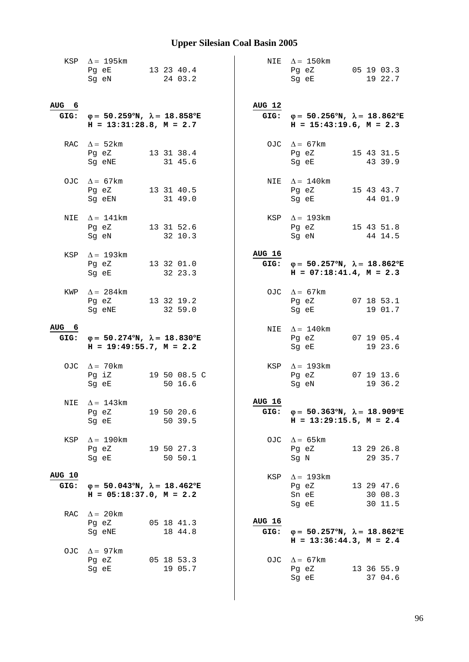|                  | KSP $\Delta = 195 \text{km}$<br>Pg eE 13 23 40.4<br>Sg eN                                                                                               | 24 03.2                 |                       | NIE $\Delta = 150$ km<br>Pg eZ 05 19 03.3<br>19 22.7<br>Sq eE                                  |
|------------------|---------------------------------------------------------------------------------------------------------------------------------------------------------|-------------------------|-----------------------|------------------------------------------------------------------------------------------------|
| AUG 6            | GIG: $\varphi = 50.259^{\circ}N$ , $\lambda = 18.858^{\circ}E$<br>$H = 13:31:28.8$ , $M = 2.7$                                                          |                         | <b>AUG 12</b>         | GIG: $\varphi = 50.256^{\circ}N$ , $\lambda = 18.862^{\circ}E$<br>$H = 15:43:19.6$ , $M = 2.3$ |
|                  | RAC $\Delta = 52 \text{km}$<br>Pg eZ<br>Sg eNE                                                                                                          | 13 31 38.4<br>31 45.6   |                       | OJC $\Delta = 67 \text{km}$<br>Pg eZ<br>15 43 31.5<br>Sg eE<br>43 39.9                         |
|                  | OJC $\Delta = 67 \text{km}$<br>Pg eZ 13 31 40.5<br>Sg eEN                                                                                               | 31 49.0                 |                       | NIE $\Delta = 140$ km<br>Pg eZ 15 43 43.7<br>Sg eE<br>44 01.9                                  |
|                  | NIE $\Delta = 141$ km<br>Pg eZ 13 31 52.6<br>Sg eN                                                                                                      | 32 10.3                 |                       | KSP $\Delta = 193 \text{km}$<br>Pg eZ 15 43 51.8<br>Sg eN<br>44 14.5                           |
|                  | KSP $\Delta = 193 \text{km}$<br>Pg eZ<br>Sg eE                                                                                                          | 13 32 01.0<br>32 23.3   | <b>AUG 16</b>         | GIG: $\varphi = 50.257^{\circ}N$ , $\lambda = 18.862^{\circ}E$<br>$H = 07:18:41.4, M = 2.3$    |
| KWP              | $\Delta = 284$ km<br>Pg eZ<br>Sg eNE                                                                                                                    | 13 32 19.2<br>32 59.0   |                       | OJC $\Delta = 67$ km<br>Pg eZ<br>07 18 53.1<br>Sg eE<br>19 01.7                                |
| AUG <sub>6</sub> | GIG: $\varphi = 50.274^{\circ}N$ , $\lambda = 18.830^{\circ}E$<br>$H = 19:49:55.7$ , $M = 2.2$                                                          |                         |                       | NIE $\Delta = 140$ km<br>07 19 05.4<br>Pg eZ<br>19 23.6<br>Sg eE                               |
|                  | OJC $\Delta = 70$ km<br>Pg iZ<br>Sg eE                                                                                                                  | 19 50 08.5 C<br>50 16.6 |                       | KSP $\Delta = 193$ km<br>Pg eZ<br>07 19 13.6<br>Sg eN<br>19 36.2                               |
|                  | NIE $\Delta = 143$ km<br>Pg eZ<br>Sg eE                                                                                                                 | 19 50 20.6<br>50 39.5   | <b>AUG 16</b>         | GIG: $\varphi = 50.363^{\circ}N$ , $\lambda = 18.909^{\circ}E$<br>$H = 13:29:15.5$ , $M = 2.4$ |
| KSP              | $\Delta = 190$ km<br>Pg eZ 19 50 27.3<br>Sg eE and the state of the state of the state of the state of the state of the state of the state of the state | 50 50.1                 |                       | OJC $\Delta = 65 \text{km}$<br>Pg eZ 13 29 26.8<br>29 35.7<br>Sg N                             |
| AUG 10<br>GIG:   | $\varphi = 50.043^{\circ}N$ , $\lambda = 18.462^{\circ}E$<br>$H = 05:18:37.0$ , $M = 2.2$                                                               |                         |                       | KSP $\Delta = 193 \text{km}$<br>Pg eZ<br>13 29 47.6<br>Sn eE<br>30 08.3<br>Sg eE<br>30 11.5    |
| RAC              | $\Delta = 20$ km<br>Pg eZ<br>Sg eNE                                                                                                                     | 05 18 41.3<br>18 44.8   | <b>AUG 16</b><br>GIG: | $\varphi = 50.257^{\circ}N$ , $\lambda = 18.862^{\circ}E$<br>$H = 13:36:44.3, M = 2.4$         |
|                  | OJC $\Delta = 97 \text{km}$<br>Pg eZ<br>Sg eE                                                                                                           | 05 18 53.3<br>19 05.7   |                       | OJC $\Delta = 67 \text{km}$<br>13 36 55.9<br>Pg eZ<br>Sg eE<br>37 04.6                         |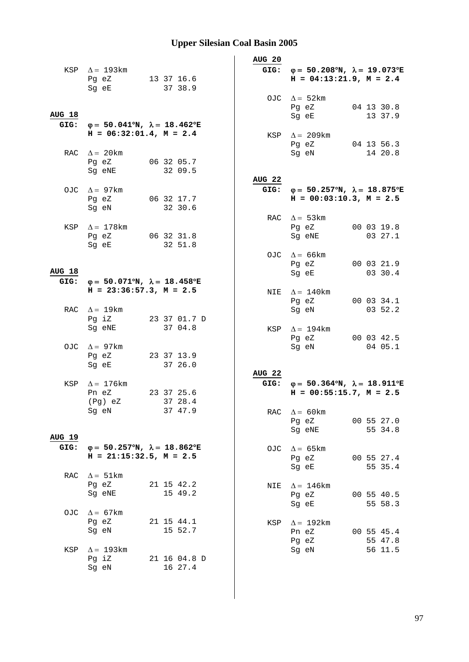|               |                                                                                             |                       | <b>AUG 20</b>     |                                                                |                       |
|---------------|---------------------------------------------------------------------------------------------|-----------------------|-------------------|----------------------------------------------------------------|-----------------------|
|               | KSP $\Delta = 193 \text{km}$                                                                |                       |                   | GIG: $\varphi = 50.208^{\circ}N$ , $\lambda = 19.073^{\circ}E$ |                       |
|               | Pg eZ 13 37 16.6                                                                            |                       |                   | $H = 04:13:21.9$ , $M = 2.4$                                   |                       |
|               | Sg eE                                                                                       | 37 38.9               |                   |                                                                |                       |
|               |                                                                                             |                       |                   | OJC $\Delta = 52 \text{km}$                                    |                       |
| <u>AUG 18</u> |                                                                                             |                       |                   | Pg eZ<br>Sg eE                                                 | 04 13 30.8<br>13 37.9 |
|               | GIG: $\varphi = 50.041^{\circ}N$ , $\lambda = 18.462^{\circ}E$                              |                       |                   |                                                                |                       |
|               | $H = 06:32:01.4$ , $M = 2.4$                                                                |                       |                   | KSP $\Delta = 209 \text{km}$                                   |                       |
|               |                                                                                             |                       |                   | Pg eZ 04 13 56.3                                               |                       |
|               | RAC $\Delta = 20$ km                                                                        |                       |                   | Sg eN                                                          | 14 20.8               |
|               | Pg eZ                                                                                       | 06 32 05.7            |                   |                                                                |                       |
|               | Sg eNE                                                                                      | 32 09.5               | AUG <sub>22</sub> |                                                                |                       |
|               | OJC $\Delta = 97 \text{km}$                                                                 |                       |                   | GIG: $\varphi = 50.257^{\circ}N$ , $\lambda = 18.875^{\circ}E$ |                       |
|               | Pg eZ 06 32 17.7                                                                            |                       |                   | $H = 00:03:10.3$ , $M = 2.5$                                   |                       |
|               | Sq eN                                                                                       | 32 30.6               |                   |                                                                |                       |
|               |                                                                                             |                       |                   | RAC $\Delta = 53 \text{km}$                                    |                       |
|               | KSP $\Delta = 178$ km<br>Pg eZ                                                              | 06 32 31.8            |                   | Pg eZ 00 03 19.8<br>Sg eNE                                     | 03 27.1               |
|               | Sg eE                                                                                       | 32 51.8               |                   |                                                                |                       |
|               |                                                                                             |                       |                   | OJC $\Delta = 66$ km                                           |                       |
|               |                                                                                             |                       |                   | Pg eZ                                                          | 00 03 21.9            |
| <b>AUG 18</b> |                                                                                             |                       |                   | Sg eE                                                          | 03 30.4               |
|               | GIG: $\varphi = 50.071^{\circ}N$ , $\lambda = 18.458^{\circ}E$<br>$H = 23:36:57.3, M = 2.5$ |                       |                   |                                                                |                       |
|               |                                                                                             |                       |                   | NIE $\Delta = 140$ km<br>Pg eZ                                 | 00 03 34.1            |
|               | RAC $\Delta = 19 \text{km}$                                                                 |                       |                   | Sg eN                                                          | 03 52.2               |
|               | Pg iZ                                                                                       | 23 37 01.7 D          |                   |                                                                |                       |
|               | Sg eNE                                                                                      | 37 04.8               |                   | KSP $\Delta = 194$ km                                          |                       |
|               |                                                                                             |                       |                   | Pg eZ                                                          | 00 03 42.5            |
|               | OJC $\Delta = 97 \text{km}$<br>Pg eZ                                                        | 23 37 13.9            |                   | Sg eN                                                          | 04 05.1               |
|               | Sg eE                                                                                       | 37 26.0               |                   |                                                                |                       |
|               |                                                                                             |                       | AUG <sub>22</sub> |                                                                |                       |
| KSP           | $\Delta = 176$ km                                                                           |                       |                   | GIG: $\varphi = 50.364^{\circ}N$ , $\lambda = 18.911^{\circ}E$ |                       |
|               | Pn eZ                                                                                       | 23 37 25.6            |                   | $H = 00:55:15.7$ , $M = 2.5$                                   |                       |
|               | (Pg) eZ 37 28.4<br>Sg eN                                                                    | 37 47.9               |                   | RAC $\Delta = 60 \text{km}$                                    |                       |
|               |                                                                                             |                       |                   | Pg eZ                                                          | 00 55 27.0            |
|               |                                                                                             |                       |                   | Sg eNE                                                         | 55 34.8               |
| <b>AUG 19</b> |                                                                                             |                       |                   |                                                                |                       |
| GIG:          | $\varphi = 50.257^{\circ}N$ , $\lambda = 18.862^{\circ}E$                                   |                       | OJC               | $\Delta = 65 \text{km}$                                        |                       |
|               | $H = 21:15:32.5$ , $M = 2.5$                                                                |                       |                   | Pg eZ<br>Sg eE                                                 | 00 55 27.4            |
| RAC           | $\Delta = 51 \text{km}$                                                                     |                       |                   |                                                                | 55 35.4               |
|               | Pg eZ                                                                                       | 21 15 42.2            | NIE               | $\Delta = 146$ km                                              |                       |
|               | Sg eNE                                                                                      | 15 49.2               |                   | Pg eZ                                                          | 00 55 40.5            |
|               |                                                                                             |                       |                   | Sg eE                                                          | 55 58.3               |
| OJC           | $\Delta = 67$ km                                                                            |                       |                   |                                                                |                       |
|               | Pg eZ<br>Sg eN                                                                              | 21 15 44.1<br>15 52.7 | KSP               | $\Delta = 192 \text{km}$                                       |                       |
|               |                                                                                             |                       |                   | Pn eZ<br>Pg eZ                                                 | 00 55 45.4<br>55 47.8 |
| KSP           | $\Delta = 193$ km                                                                           |                       |                   | Sg eN                                                          | 56 11.5               |
|               | Pg iZ                                                                                       | 21 16 04.8 D          |                   |                                                                |                       |
|               | Sg eN                                                                                       | 16 27.4               |                   |                                                                |                       |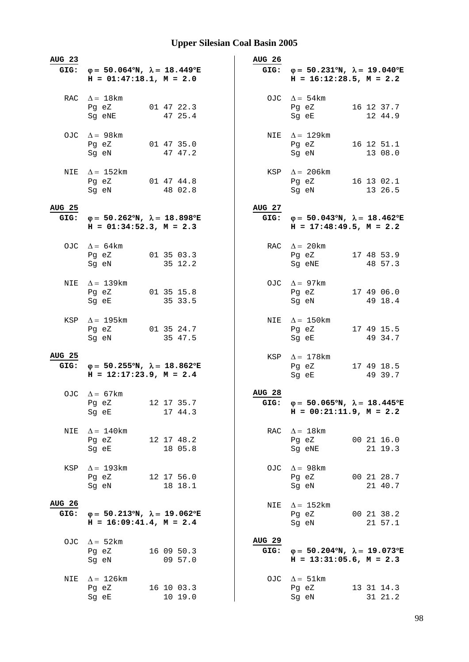| <b>AUG 23</b><br>GIG: | $\varphi = 50.064^{\circ}N$ , $\lambda = 18.449^{\circ}E$<br>$H = 01:47:18.1, M = 2.0$         | <b>AUG 26</b><br>GIG: | $\varphi = 50.231^{\circ}N$ , $\lambda = 19.040^{\circ}E$<br>$H = 16:12:28.5, M = 2.2$      |
|-----------------------|------------------------------------------------------------------------------------------------|-----------------------|---------------------------------------------------------------------------------------------|
| RAC                   | $\Delta = 18$ km<br>01 47 22.3<br>Pg eZ<br>47 25.4<br>Sg eNE                                   |                       | OJC $\Delta = 54 \text{km}$<br>16 12 37.7<br>Pg eZ<br>12 44.9<br>Sg eE                      |
| OJC                   | $\Delta = 98$ km<br>Pg eZ<br>01 47 35.0<br>47 47.2<br>Sg eN                                    |                       | NIE $\Delta = 129$ km<br>Pg eZ<br>16 12 51.1<br>Sg eN<br>13 08.0                            |
| NIE                   | $\Delta = 152$ km<br>Pg eZ 01 47 44.8<br>48 02.8<br>Sg eN                                      |                       | KSP $\Delta = 206 \text{km}$<br>$Pg$ eZ<br>16 13 02.1<br>Sg eN<br>13 26.5                   |
| <b>AUG 25</b><br>GIG: | $\varphi = 50.262^{\circ}N$ , $\lambda = 18.898^{\circ}E$<br>$H = 01:34:52.3, M = 2.3$         | AUG 27                | GIG: $\varphi = 50.043^{\circ}N$ , $\lambda = 18.462^{\circ}E$<br>$H = 17:48:49.5, M = 2.2$ |
|                       | OJC $\Delta = 64 \text{km}$<br>01 35 03.3<br>Pg eZ<br>35 12.2<br>Sq eN                         |                       | RAC $\Delta = 20$ km<br>Pg eZ<br>17 48 53.9<br>Sg eNE<br>48 57.3                            |
| NIE                   | $\Delta = 139 \text{km}$<br>Pg eZ<br>01 35 15.8<br>35 33.5<br>Sg eE                            |                       | OJC $\Delta = 97$ km<br>Pg eZ<br>17 49 06.0<br>49 18.4<br>Sg eN                             |
| KSP                   | $\Delta = 195$ km<br>01 35 24.7<br>Pg eZ<br>35 47.5<br>Sg eN                                   |                       | NIE $\Delta = 150$ km<br>Pg eZ<br>17 49 15.5<br>49 34.7<br>Sg eE                            |
| <b>AUG 25</b>         | GIG: $\varphi = 50.255^{\circ}N$ , $\lambda = 18.862^{\circ}E$<br>$H = 12:17:23.9$ , $M = 2.4$ |                       | KSP $\Delta = 178$ km<br>Pg eZ<br>17 49 18.5<br>49 39.7<br>Sg eE                            |
|                       | OJC $\Delta = 67 \text{km}$<br>12 17 35.7<br>Pg eZ<br>17 44.3<br>Sg eE                         | <b>AUG 28</b><br>GIG: | $\varphi = 50.065^{\circ}N$ , $\lambda = 18.445^{\circ}E$<br>$H = 00:21:11.9$ , $M = 2.2$   |
| NIE                   | $\Delta = 140$ km<br>Pg eZ<br>12 17 48.2<br>Sg eE<br>18 05.8                                   |                       | RAC $\Delta = 18$ km<br>00 21 16.0<br>Pg eZ<br>Sg eNE<br>21 19.3                            |
| KSP                   | $\Delta = 193 \text{km}$<br>Pg eZ<br>12 17 56.0<br>Sg eN<br>18 18.1                            |                       | OJC $\Delta = 98$ km<br>Pg eZ<br>00 21 28.7<br>Sg eN<br>21 40.7                             |
| <b>AUG 26</b><br>GIG: | $\varphi = 50.213^{\circ}N$ , $\lambda = 19.062^{\circ}E$<br>$H = 16:09:41.4$ , $M = 2.4$      | NIE                   | $\Delta = 152 \text{km}$<br>00 21 38.2<br>Pg eZ<br>21 57.1<br>Sg eN                         |
| OJC                   | $\Delta = 52$ km<br>Pg eZ<br>16 09 50.3<br>09 57.0<br>Sg eN                                    | <b>AUG 29</b><br>GIG: | $\varphi = 50.204^{\circ}N$ , $\lambda = 19.073^{\circ}E$<br>$H = 13:31:05.6$ , $M = 2.3$   |
| NIE                   | $\Delta = 126$ km<br>Pg eZ<br>16 10 03.3<br>10 19.0<br>Sg eE                                   |                       | OJC $\Delta = 51 \text{km}$<br>Pg eZ<br>13 31 14.3<br>Sg eN<br>31 21.2                      |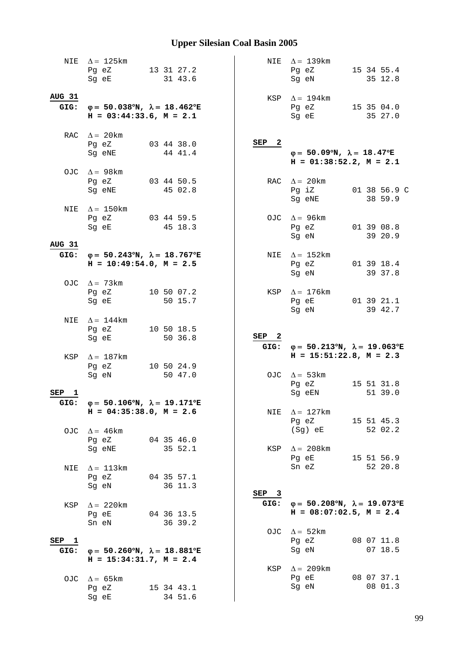|                             | NIE $\Delta = 125 \text{km}$<br>Pg eZ<br>Sq eE                                            | 13 31 27.2 | 31 43.6    |         |  |                          | NIE $\Delta = 139 \text{km}$<br>Pg eZ<br>Sg eN                                                 |  | 15 34 55.4<br>35 12.8   |
|-----------------------------|-------------------------------------------------------------------------------------------|------------|------------|---------|--|--------------------------|------------------------------------------------------------------------------------------------|--|-------------------------|
| <b>AUG 31</b><br>GIG:       | $\varphi = 50.038^{\circ}N$ , $\lambda = 18.462^{\circ}E$<br>$H = 03:44:33.6$ , $M = 2.1$ |            |            |         |  |                          | KSP $\Delta = 194 \text{km}$<br>Pg eZ<br>Sg eE                                                 |  | 15 35 04.0<br>35 27.0   |
|                             | RAC $\Delta = 20$ km<br>Pg eZ<br>Sg eNE                                                   | 03 44 38.0 | 44 41.4    |         |  | SEP <sub>2</sub>         | $\varphi = 50.09^{\circ}N$ , $\lambda = 18.47^{\circ}E$<br>$H = 01:38:52.2, M = 2.1$           |  |                         |
|                             | OJC $\Delta = 98$ km<br>Pg eZ<br>Sg eNE                                                   | 03 44 50.5 | 45 02.8    |         |  |                          | RAC $\Delta = 20 \text{km}$<br>Pg iZ<br>Sg eNE                                                 |  | 01 38 56.9 C<br>38 59.9 |
| NIE                         | $\Delta = 150$ km<br>Pg eZ<br>Sg eE                                                       | 03 44 59.5 | 45 18.3    |         |  | OJC                      | $\Delta = 96 \text{km}$<br>Pg eZ<br>Sg eN                                                      |  | 01 39 08.8<br>39 20.9   |
| AUG 31<br>GIG:              | $\varphi = 50.243^{\circ}N$ , $\lambda = 18.767^{\circ}E$<br>$H = 10:49:54.0, M = 2.5$    |            |            |         |  | NIE                      | $\Delta = 152 \text{km}$<br>Pg eZ<br>Sg eN                                                     |  | 01 39 18.4<br>39 37.8   |
|                             | OJC $\Delta = 73 \text{km}$<br>Pg eZ<br>Sg eE                                             | 10 50 07.2 |            | 50 15.7 |  |                          | KSP $\Delta = 176$ km<br>Pg eE<br>Sg eN                                                        |  | 01 39 21.1<br>39 42.7   |
| NIE                         | $\Delta = 144$ km<br>Pg eZ<br>Sg eE                                                       |            | 10 50 18.5 | 50 36.8 |  | SEP <sub>2</sub>         |                                                                                                |  |                         |
|                             | KSP $\Delta = 187$ km                                                                     |            |            |         |  |                          | GIG: $\varphi = 50.213^{\circ}N$ , $\lambda = 19.063^{\circ}E$<br>$H = 15:51:22.8$ , $M = 2.3$ |  |                         |
|                             | Pg eZ<br>Sg eN                                                                            | 10 50 24.9 |            | 50 47.0 |  |                          | OJC $\Delta = 53 \text{km}$                                                                    |  |                         |
| SEP<br>$\mathbf{1}$<br>GIG: | $\varphi = 50.106^{\circ}N, \lambda = 19.171^{\circ}E$                                    |            |            |         |  |                          | Pg eZ<br>Sg eEN                                                                                |  | 15 51 31.8<br>51 39.0   |
|                             | $H = 04:35:38.0, M = 2.6$<br>OJC $\Delta = 46 \text{km}$<br>Pg eZ                         | 04 35 46.0 |            |         |  | NIE                      | $\Delta = 127 \text{km}$<br>Pg eZ<br>(Sg) eE                                                   |  | 15 51 45.3<br>52 02.2   |
| NIE                         | Sg eNE<br>$\Delta = 113 \text{km}$<br>Pg eZ                                               | 04 35 57.1 | 35 52.1    |         |  | KSP                      | $\Delta = 208$ km<br>Pg eE 15 51 56.9<br>Sn eZ                                                 |  | 52 20.8                 |
| KSP                         | Sg eN<br>$\Delta = 220$ km<br>Pg eE                                                       | 04 36 13.5 | 36 11.3    |         |  | SEP <sub>3</sub><br>GIG: | $\varphi = 50.208^{\circ}N$ , $\lambda = 19.073^{\circ}E$<br>$H = 08:07:02.5$ , $M = 2.4$      |  |                         |
| SEP <sub>1</sub><br>GIG:    | Sn eN<br>$\varphi = 50.260^{\circ}N$ , $\lambda = 18.881^{\circ}E$                        |            | 36 39.2    |         |  |                          | OJC $\Delta = 52 \text{km}$<br>Pg eZ<br>Sg eN                                                  |  | 08 07 11.8<br>07 18.5   |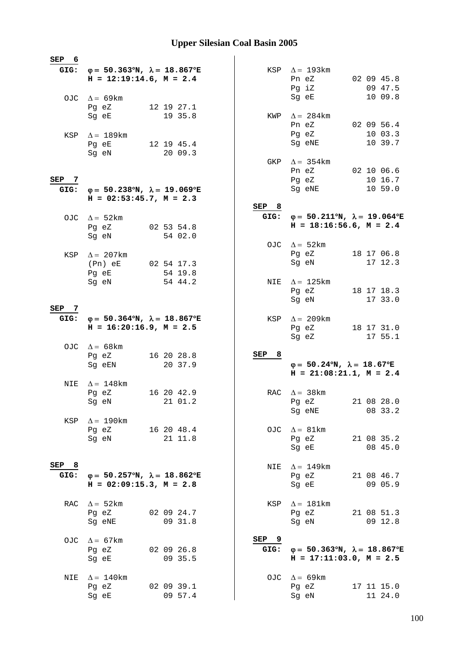| SEP 6 |                                                              |                       |          |                                                           |  |                       |
|-------|--------------------------------------------------------------|-----------------------|----------|-----------------------------------------------------------|--|-----------------------|
| GIG:  | $φ = 50.363°N, λ = 18.867°E$<br>$H = 12:19:14.6$ , $M = 2.4$ |                       |          | KSP $\Delta = 193 \text{km}$<br>Pn eZ<br>Pg iZ            |  | 02 09 45.8<br>09 47.5 |
|       | OJC $\Delta = 69 \text{km}$                                  |                       |          | Sg eE                                                     |  | 10 09.8               |
|       | Pg eZ                                                        | 12 19 27.1            |          |                                                           |  |                       |
|       | Sg eE                                                        | 19 35.8               |          | KWP $\Delta = 284$ km                                     |  |                       |
|       |                                                              |                       |          | Pn eZ                                                     |  | 02 09 56.4            |
|       | KSP $\Delta = 189$ km<br>Pg eE                               |                       |          | Pg eZ<br>Sg eNE                                           |  | 10 03.3<br>10 39.7    |
|       | Sg eN                                                        | 12 19 45.4<br>20 09.3 |          |                                                           |  |                       |
|       |                                                              |                       |          | GKP $\Delta = 354$ km                                     |  |                       |
|       |                                                              |                       |          | Pn eZ                                                     |  | 02 10 06.6            |
| SEP 7 |                                                              |                       |          | Pg eZ                                                     |  | 10 16.7               |
| GIG:  | $\varphi = 50.238^{\circ}N$ , $\lambda = 19.069^{\circ}E$    |                       |          | Sg eNE                                                    |  | 10 59.0               |
|       | $H = 02:53:45.7$ , $M = 2.3$                                 |                       | SEP 8    |                                                           |  |                       |
|       |                                                              |                       | GIG:     | $\varphi = 50.211^{\circ}N$ , $\lambda = 19.064^{\circ}E$ |  |                       |
| OJC.  | $\Delta = 52 \text{km}$<br>Pg eZ                             | 02 53 54.8            |          | $H = 18:16:56.6$ , $M = 2.4$                              |  |                       |
|       | Sq eN                                                        | 54 02.0               |          |                                                           |  |                       |
|       |                                                              |                       |          | OJC $\Delta = 52 \text{km}$                               |  |                       |
|       | KSP $\Delta = 207 \text{km}$                                 |                       |          | Pg eZ                                                     |  | 18 17 06.8            |
|       | (Pn) eE                                                      | 02 54 17.3            |          | Sg eN                                                     |  | 17 12.3               |
|       | Pg eE                                                        | 54 19.8               |          |                                                           |  |                       |
|       | Sg eN                                                        | 54 44.2               |          | NIE $\Delta = 125 \text{km}$<br>Pg eZ                     |  | 18 17 18.3            |
|       |                                                              |                       |          | Sg eN                                                     |  | 17 33.0               |
| SEP 7 |                                                              |                       |          |                                                           |  |                       |
| GIG:  | $\varphi = 50.364^{\circ}N$ , $\lambda = 18.867^{\circ}E$    |                       |          | KSP $\Delta = 209 \text{km}$                              |  |                       |
|       | $H = 16:20:16.9$ , $M = 2.5$                                 |                       |          | Pg eZ                                                     |  | 18 17 31.0            |
|       |                                                              |                       |          |                                                           |  |                       |
|       |                                                              |                       |          | Sg eZ                                                     |  | 17 55.1               |
|       | OJC $\Delta = 68$ km                                         |                       |          |                                                           |  |                       |
|       | Pg eZ                                                        | 16 20 28.8            | 8<br>SEP |                                                           |  |                       |
|       | Sg eEN                                                       | 20 37.9               |          | $\varphi = 50.24^{\circ}N$ , $\lambda = 18.67^{\circ}E$   |  |                       |
| NIE   |                                                              |                       |          | $H = 21:08:21.1, M = 2.4$                                 |  |                       |
|       | $\Delta = 148$ km<br>Pg eZ                                   | 16 20 42.9            | RAC      | $\Delta = 38$ km                                          |  |                       |
|       | Sg eN                                                        | 21 01.2               |          | Pg eZ                                                     |  | 21 08 28.0            |
|       |                                                              |                       |          | Sq eNE                                                    |  | 08 33.2               |
| KSP   | $\Delta = 190$ km                                            |                       |          |                                                           |  |                       |
|       | Pg eZ                                                        | 16 20 48.4            |          | OJC $\Delta = 81 \text{km}$                               |  |                       |
|       | Sg eN                                                        | 21 11.8               |          | Pg eZ                                                     |  | 21 08 35.2            |
|       |                                                              |                       |          | Sg eE                                                     |  | 08 45.0               |
| SEP 8 |                                                              |                       | NIE      | $\Delta = 149$ km                                         |  |                       |
| GIG:  | $\varphi = 50.257^{\circ}N$ , $\lambda = 18.862^{\circ}E$    |                       |          | Pg eZ                                                     |  | 21 08 46.7            |
|       | $H = 02:09:15.3, M = 2.8$                                    |                       |          | Sg eE                                                     |  | 09 05.9               |
|       |                                                              |                       |          |                                                           |  |                       |
|       | RAC $\Delta = 52$ km                                         |                       |          | KSP $\Delta = 181 \text{km}$                              |  |                       |
|       | Pg eZ                                                        | 02 09 24.7            |          | Pg eZ                                                     |  | 21 08 51.3            |
|       | Sg eNE                                                       | 09 31.8               |          | Sg eN                                                     |  | 09 12.8               |
| OJC   | $\Delta = 67$ km                                             |                       | SEP 9    |                                                           |  |                       |
|       | Pg eZ                                                        | 02 09 26.8            | GIG:     | $\varphi = 50.363^{\circ}N$ , $\lambda = 18.867^{\circ}E$ |  |                       |
|       | Sg eE                                                        | 09 35.5               |          | $H = 17:11:03.0, M = 2.5$                                 |  |                       |
|       |                                                              |                       |          |                                                           |  |                       |
| NIE   | $\Delta = 140$ km                                            |                       |          | OJC $\Delta = 69 \text{km}$                               |  |                       |
|       | Pg eZ<br>Sg eE                                               | 02 09 39.1<br>09 57.4 |          | Pg eZ<br>Sg eN                                            |  | 17 11 15.0<br>11 24.0 |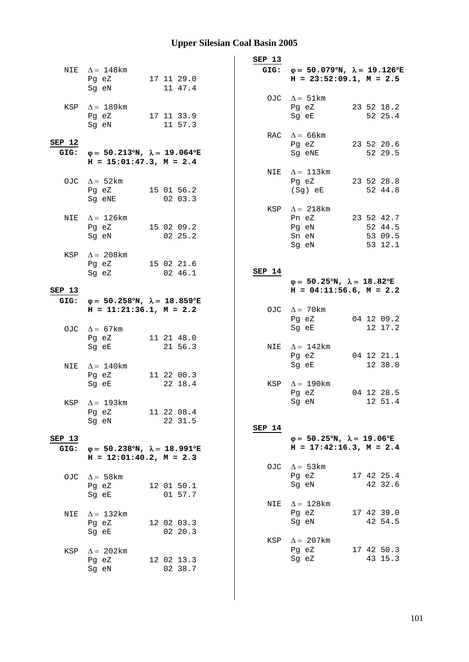|        |                                                              |            | SEP 13 |                                                                |  |
|--------|--------------------------------------------------------------|------------|--------|----------------------------------------------------------------|--|
|        | NIE $\Delta = 148$ km                                        |            |        | GIG: $\varphi = 50.079^{\circ}N$ , $\lambda = 19.126^{\circ}E$ |  |
|        | Pg eZ                                                        | 17 11 29.0 |        | $H = 23:52:09.1, M = 2.5$                                      |  |
|        | Sg eN                                                        | 11 47.4    |        |                                                                |  |
|        |                                                              |            |        | OJC $\Delta = 51 \text{km}$                                    |  |
|        | KSP $\Delta = 189$ km                                        |            |        | 23 52 18.2<br>Pg eZ                                            |  |
|        | Pg eZ                                                        | 17 11 33.9 |        | Sg eE<br>52 25.4                                               |  |
|        | Sg eN                                                        | 11 57.3    |        |                                                                |  |
|        |                                                              |            |        | RAC $\Delta$ = 66km                                            |  |
| SEP 12 |                                                              |            |        | 23 52 20.6<br>Pg eZ                                            |  |
| GIG:   | $φ = 50.213°N, λ = 19.064°E$<br>$H = 15:01:47.3$ , $M = 2.4$ |            |        | Sq eNE<br>52 29.5                                              |  |
|        |                                                              |            |        |                                                                |  |
|        | OJC $\Delta = 52 \text{km}$                                  |            |        | NIE $\Delta = 113 \text{km}$<br>Pg eZ<br>23 52 28.8            |  |
|        | Pg eZ                                                        | 15 01 56.2 |        | (Sg) eE<br>52 44.8                                             |  |
|        | Sg eNE                                                       | 02 03.3    |        |                                                                |  |
|        |                                                              |            |        | KSP $\Delta = 218$ km                                          |  |
|        | NIE $\Delta = 126 \text{km}$                                 |            |        | 23 52 42.7<br>Pn eZ                                            |  |
|        | Pg eZ 15 02 09.2                                             |            |        | Pg eN<br>52 44.5                                               |  |
|        | Sq eN                                                        | 02 25.2    |        | Sn eN<br>53 09.5                                               |  |
|        |                                                              |            |        | Sg eN<br>53 12.1                                               |  |
| KSP    | $\Delta = 208$ km                                            |            |        |                                                                |  |
|        | Pg eZ                                                        | 15 02 21.6 |        |                                                                |  |
|        | Sg eZ                                                        | 02 46.1    | SEP 14 | $\varphi = 50.25^{\circ}N$ , $\lambda = 18.82^{\circ}E$        |  |
| SEP 13 |                                                              |            |        | $H = 04:11:56.6$ , $M = 2.2$                                   |  |
| GIG:   | $\varphi = 50.258^{\circ}N$ , $\lambda = 18.859^{\circ}E$    |            |        |                                                                |  |
|        | $H = 11:21:36.1, M = 2.2$                                    |            |        | OJC $\Delta = 70$ km                                           |  |
|        |                                                              |            |        | 04 12 09.2<br>Pg eZ                                            |  |
|        | OJC $\Delta = 67 \text{km}$                                  |            |        | 12 17.2<br>Sg eE                                               |  |
|        | Pg eZ                                                        | 11 21 48.0 |        |                                                                |  |
|        | Sg eE                                                        | 21 56.3    |        | NIE $\Delta = 142$ km                                          |  |
|        |                                                              |            |        | Pg eZ<br>04 12 21.1                                            |  |
| NIE    | $\Delta = 140$ km                                            |            |        | 12 38.8<br>Sg eE                                               |  |
|        | Pg eZ                                                        | 11 22 00.3 |        |                                                                |  |
|        | Sg eE                                                        | 22 18.4    |        | KSP $\Delta = 190$ km<br>04 12 28.5                            |  |
|        |                                                              |            |        | Pg eZ<br>Sg eN 12 51.4                                         |  |
|        | KSP $\Delta = 193$ km<br>Pq eZ                               | 11 22 08.4 |        |                                                                |  |
|        | Sg eN                                                        | 22 31.5    |        |                                                                |  |
|        |                                                              |            | SEP 14 |                                                                |  |
| SEP 13 |                                                              |            |        | $\varphi = 50.25^{\circ}N$ , $\lambda = 19.06^{\circ}E$        |  |
| GIG:   | $\varphi = 50.238^{\circ}N$ , $\lambda = 18.991^{\circ}E$    |            |        | $H = 17:42:16.3$ , $M = 2.4$                                   |  |
|        | $H = 12:01:40.2$ , $M = 2.3$                                 |            |        |                                                                |  |
|        |                                                              |            |        | OJC $\Delta = 53 \text{km}$                                    |  |
| OJC.   | $\Delta = 58 \text{km}$                                      |            |        | Pg eZ<br>17 42 25.4                                            |  |
|        | Pg eZ                                                        | 12 01 50.1 |        | Sg eN<br>42 32.6                                               |  |
|        | Sg eE                                                        | 01 57.7    |        | $\Delta = 128$ km                                              |  |
|        |                                                              |            | NIE    | 17 42 39.0<br>Pg eZ                                            |  |
| NIE    | $\Delta = 132$ km<br>Pg eZ                                   | 12 02 03.3 |        | Sg eN<br>42 54.5                                               |  |
|        | Sg eE                                                        | 02 20.3    |        |                                                                |  |
|        |                                                              |            |        | KSP $\Delta = 207 \text{km}$                                   |  |
| KSP    | $\Delta = 202 \text{km}$                                     |            |        | 17 42 50.3<br>Pg eZ                                            |  |
|        | Pg eZ                                                        | 12 02 13.3 |        | Sg eZ<br>43 15.3                                               |  |
|        | Sg eN                                                        | 02 38.7    |        |                                                                |  |
|        |                                                              |            |        |                                                                |  |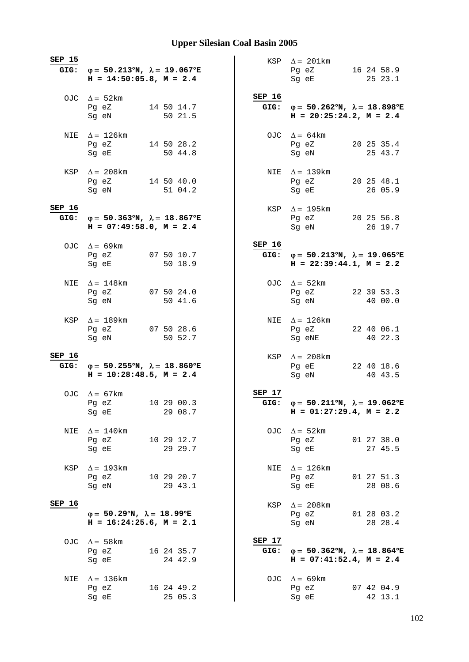| SEP 15        | GIG: $\varphi = 50.213^{\circ}N$ , $\lambda = 19.067^{\circ}E$<br>$H = 14:50:05.8$ , $M = 2.4$ |                       |                | KSP $\Delta = 201 \text{km}$<br>Pg eZ 16 24 58.9<br>Sg eE                                                                                                          | 25 23.1               |
|---------------|------------------------------------------------------------------------------------------------|-----------------------|----------------|--------------------------------------------------------------------------------------------------------------------------------------------------------------------|-----------------------|
|               | OJC $\Delta = 52 \text{km}$<br>Pg eZ<br>Sg eN                                                  | 14 50 14.7<br>50 21.5 | SEP 16         | GIG: $\varphi = 50.262^{\circ}N$ , $\lambda = 18.898^{\circ}E$<br>$H = 20:25:24.2, M = 2.4$                                                                        |                       |
|               | NIE $\Delta = 126$ km<br>Pg eZ 14 50 28.2<br>Sg eE                                             | 50 44.8               |                | OJC $\Delta = 64 \text{km}$<br>Pg eZ<br>Sg eN                                                                                                                      | 20 25 35.4<br>25 43.7 |
|               | KSP $\Delta = 208$ km<br>Pg eZ 14 50 40.0<br>Sg eN                                             | 51 04.2               |                | NIE $\Delta = 139$ km<br>Pg eZ 20 25 48.1<br>Sg eE                                                                                                                 | 26 05.9               |
| SEP 16        | GIG: $\varphi = 50.363^{\circ}N$ , $\lambda = 18.867^{\circ}E$<br>$H = 07:49:58.0, M = 2.4$    |                       |                | KSP $\Delta = 195 \text{km}$<br>Pq eZ 20 25 56.8<br>Sg eN and the state of the state of the state of the state of the state of the state of the state of the state | 26 19.7               |
|               | OJC $\Delta = 69 \text{km}$<br>Pg eZ 07 50 10.7<br>Sg eE 50 18.9                               |                       | SEP 16         | GIG: $\varphi = 50.213^{\circ}N$ , $\lambda = 19.065^{\circ}E$<br>$H = 22:39:44.1, M = 2.2$                                                                        |                       |
| NIE           | $\Delta = 148$ km<br>Pg eZ<br>Sg eN                                                            | 07 50 24.0<br>50 41.6 |                | OJC $\Delta = 52 \text{km}$<br>Pg eZ 22 39 53.3<br>Sg eN                                                                                                           | 40 00.0               |
|               | KSP $\Delta = 189$ km<br>Pg eZ 07 50 28.6<br>Sg eN                                             | 50 52.7               |                | NIE $\Delta = 126 \text{km}$<br>Pg eZ<br>Sg eNE                                                                                                                    | 22 40 06.1<br>40 22.3 |
| <b>SEP 16</b> | GIG: $\varphi = 50.255^{\circ}N$ , $\lambda = 18.860^{\circ}E$<br>$H = 10:28:48.5$ , $M = 2.4$ |                       |                | KSP $\Delta = 208$ km<br>Pg eE 22 40 18.6<br>Sg eN                                                                                                                 | 40 43.5               |
|               | OJC $\Delta = 67$ km<br>Pg eZ 10 29 00.3<br>Sg eE                                              | 29 08.7               | SEP 17         | GIG: $\varphi = 50.211^{\circ}N$ , $\lambda = 19.062^{\circ}E$<br>$H = 01:27:29.4, M = 2.2$                                                                        |                       |
| NIE           | $\Delta = 140$ km<br>Pg eZ<br>Sg eE                                                            | 10 29 12.7<br>29 29.7 |                | OJC $\Delta = 52 \text{km}$<br>Pg eZ<br>Sg eE                                                                                                                      | 01 27 38.0<br>27 45.5 |
| KSP           | $\Delta = 193$ km<br>Pg eZ<br>Sg eN                                                            | 10 29 20.7<br>29 43.1 | NIE            | $\Delta = 126 \mathrm{km}$<br>Pg eZ<br>Sg eE                                                                                                                       | 01 27 51.3<br>28 08.6 |
| SEP 16        | $\varphi = 50.29^{\circ}N$ , $\lambda = 18.99^{\circ}E$<br>$H = 16:24:25.6$ , $M = 2.1$        |                       |                | KSP $\Delta = 208$ km<br>Pg eZ<br>Sg eN                                                                                                                            | 01 28 03.2<br>28 28.4 |
|               | OJC $\Delta = 58 \text{km}$<br>Pg eZ<br>Sg eE                                                  | 16 24 35.7<br>24 42.9 | SEP 17<br>GIG: | $\varphi = 50.362^{\circ}N$ , $\lambda = 18.864^{\circ}E$<br>$H = 07:41:52.4$ , $M = 2.4$                                                                          |                       |
| NIE           | $\Delta = 136$ km<br>Pg eZ<br>Sg eE                                                            | 16 24 49.2<br>25 05.3 |                | OJC $\Delta = 69 \text{km}$<br>Pg eZ<br>Sg eE                                                                                                                      | 07 42 04.9<br>42 13.1 |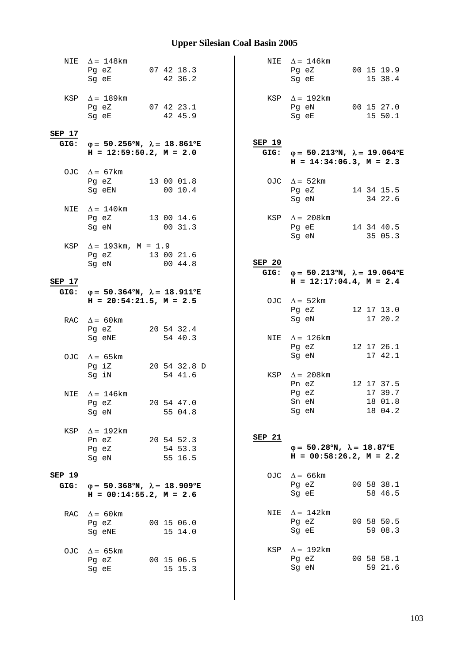|                       | NIE $\Delta = 148$ km<br>Pg eZ 07 42 18.3<br>Sg eE                                          | 42 36.2                          |        | NIE $\Delta = 146$ km<br>Pg eZ 00 15 19.9<br>Sg eE                                             | 15 38.4               |
|-----------------------|---------------------------------------------------------------------------------------------|----------------------------------|--------|------------------------------------------------------------------------------------------------|-----------------------|
|                       | KSP $\Delta = 189$ km<br>Pg eZ $07$ 42 23.1<br>Sg eE                                        | 42 45.9                          |        | KSP $\Delta = 192 \text{km}$<br>Pg eN 00 15 27.0<br>Sg eE                                      | 15 50.1               |
| SEP 17                |                                                                                             |                                  |        |                                                                                                |                       |
|                       | GIG: $\varphi = 50.256^{\circ}N$ , $\lambda = 18.861^{\circ}E$<br>$H = 12:59:50.2, M = 2.0$ |                                  | SEP 19 | GIG: $\varphi = 50.213^{\circ}N$ , $\lambda = 19.064^{\circ}E$<br>$H = 14:34:06.3$ , $M = 2.3$ |                       |
|                       | OJC $\Delta = 67 \text{km}$<br>Pg eZ<br>Sg eEN                                              | 13 00 01.8<br>0010.4             |        | OJC $\Delta = 52 \text{km}$<br>Pg eZ 14 34 15.5<br>Sg eN                                       | 34 22.6               |
|                       | NIE $\Delta = 140$ km<br>Pg eZ 13 00 14.6<br>Sg eN 00 31.3                                  |                                  |        | KSP $\Delta = 208$ km<br>Pg eE 14 34 40.5<br>Sg eN                                             | 35 05.3               |
|                       | KSP $\Delta = 193 \text{km}$ , M = 1.9<br>Pg eZ 13 00 21.6<br>Sg eN 00 44.8                 |                                  | SEP 20 | GIG: $\varphi = 50.213^{\circ}N$ , $\lambda = 19.064^{\circ}E$                                 |                       |
| SEP 17                | GIG: $\varphi = 50.364^{\circ}N$ , $\lambda = 18.911^{\circ}E$                              |                                  |        | $H = 12:17:04.4$ , $M = 2.4$                                                                   |                       |
|                       | $H = 20:54:21.5$ , $M = 2.5$                                                                |                                  |        | OJC $\Delta = 52 \text{km}$<br>Pg eZ                                                           | 12 17 13.0<br>17 20.2 |
|                       | RAC $\Delta = 60 \text{km}$<br>Pg eZ<br>Sg eNE                                              | 20 54 32.4<br>54 40.3            |        | Sg eN<br>NIE $\Delta = 126$ km<br>Pg eZ                                                        | 12 17 26.1            |
|                       | OJC $\Delta = 65 \text{km}$<br>Pg iZ<br>Sg iN                                               | 20 54 32.8 D<br>54 41.6          |        | Sg eN<br>KSP $\Delta = 208$ km                                                                 | 17 42.1               |
| NIE                   | $\Delta = 146$ km<br>Pg eZ<br>Sq eN                                                         | 20 54 47.0<br>55 04.8            |        | Pn eZ 12 17 37.5<br>Pg eZ<br>Sn eN 18 01.8<br>Sg eN                                            | 17 39.7<br>18 04.2    |
| KSP                   | $\Delta = 192 \text{km}$<br>Pn eZ<br>Pg eZ<br>Sg eN                                         | 20 54 52.3<br>54 53.3<br>55 16.5 | SEP 21 | $\varphi = 50.28^{\circ}N$ , $\lambda = 18.87^{\circ}E$<br>$H = 00:58:26.2$ , $M = 2.2$        |                       |
| <b>SEP 19</b><br>GIG: | $\varphi = 50.368^{\circ}N$ , $\lambda = 18.909^{\circ}E$<br>$H = 00:14:55.2, M = 2.6$      |                                  |        | OJC $\Delta = 66$ km<br>Pg eZ<br>Sg eE                                                         | 00 58 38.1<br>58 46.5 |
| <b>RAC</b>            | $\Delta = 60 \text{km}$<br>Pg eZ<br>Sg eNE                                                  | 00 15 06.0<br>15 14.0            | NIE    | $\Delta = 142$ km<br>Pg eZ<br>Sg eE                                                            | 00 58 50.5<br>59 08.3 |
| OJC.                  | $\Delta = 65 \text{km}$<br>Pg eZ<br>Sg eE                                                   | 00 15 06.5<br>15 15.3            | KSP    | $\Delta = 192$ km<br>Pg eZ<br>Sg eN                                                            | 00 58 58.1<br>59 21.6 |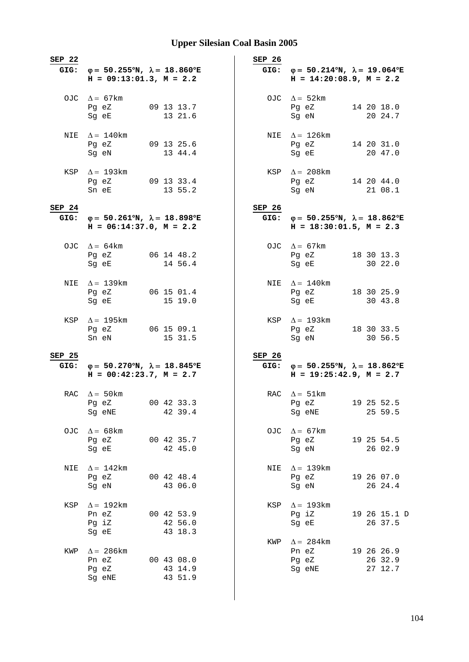| SEP 22 |                                                                                           |                                  | SEP 26   |                                                                                                |                                  |
|--------|-------------------------------------------------------------------------------------------|----------------------------------|----------|------------------------------------------------------------------------------------------------|----------------------------------|
| GIG:   | $\varphi = 50.255^{\circ}N$ , $\lambda = 18.860^{\circ}E$<br>$H = 09:13:01.3$ , $M = 2.2$ |                                  |          | GIG: $\varphi = 50.214^{\circ}N$ , $\lambda = 19.064^{\circ}E$<br>$H = 14:20:08.9, M = 2.2$    |                                  |
|        | OJC $\Delta = 67$ km<br>Pg eZ<br>Sg eE                                                    | 09 13 13.7<br>13 21.6            |          | OJC $\Delta = 52 \text{km}$<br>Pg eZ<br>Sg eN                                                  | 14 20 18.0<br>20 24.7            |
| NIE    | $\Delta = 140$ km<br>Pg eZ<br>Sg eN                                                       | 09 13 25.6<br>13 44.4            |          | NIE $\Delta = 126 \text{km}$<br>Pg eZ<br>Sg eE                                                 | 14 20 31.0<br>20 47.0            |
|        | KSP $\Delta = 193 \text{km}$<br>Pg eZ 09 13 33.4<br>Sn eE                                 | 13 55.2                          |          | KSP $\Delta = 208 \text{km}$<br>Pg eZ<br>Sg eN                                                 | 14 20 44.0<br>21 08.1            |
| SEP 24 |                                                                                           |                                  | SEP 26   |                                                                                                |                                  |
| GIG:   | $\varphi = 50.261^{\circ}N$ , $\lambda = 18.898^{\circ}E$<br>$H = 06:14:37.0, M = 2.2$    |                                  |          | GIG: $\varphi = 50.255^{\circ}N$ , $\lambda = 18.862^{\circ}E$<br>$H = 18:30:01.5$ , $M = 2.3$ |                                  |
|        | OJC $\Delta = 64 \text{km}$<br>Pg eZ 06 14 48.2<br>Sq eE                                  | 14 56.4                          |          | OJC $\Delta = 67 \text{km}$<br>Pg eZ<br>Sg eE                                                  | 18 30 13.3<br>30 22.0            |
|        | NIE $\Delta = 139$ km<br>Pg eZ<br>Sg eE                                                   | 06 15 01.4<br>15 19.0            |          | NIE $\Delta = 140$ km<br>Pg eZ<br>Sg eE                                                        | 18 30 25.9<br>30 43.8            |
|        | KSP $\Delta = 195$ km<br>Pg eZ 06 15 09.1<br>Sn eN                                        | 15 31.5                          |          | KSP $\Delta = 193 \text{km}$<br>Pg eZ 18 30 33.5<br>Sg eN                                      | 30 56.5                          |
| SEP 25 |                                                                                           |                                  | $SEP$ 26 |                                                                                                |                                  |
| GIG:   | $\varphi = 50.270^{\circ}N$ , $\lambda = 18.845^{\circ}E$<br>$H = 00:42:23.7, M = 2.7$    |                                  |          | GIG: $\varphi = 50.255^{\circ}N$ , $\lambda = 18.862^{\circ}E$<br>$H = 19:25:42.9$ , $M = 2.7$ |                                  |
|        | RAC $\Delta = 50$ km<br>Pg eZ<br>Sg eNE                                                   | 00 42 33.3<br>42 39.4            |          | RAC $\Delta = 51 \text{km}$<br>Pg eZ<br>Sg eNE                                                 | 19 25 52.5<br>25 59.5            |
| OJC    | $\Delta = 68$ km<br>Pg eZ<br>Sg eE                                                        | 00 42 35.7<br>42 45.0            | OJC      | $\Delta = 67 \text{km}$<br>Pg eZ<br>Sg eN                                                      | 19 25 54.5<br>26 02.9            |
| NIE    | $\Delta = 142 \text{km}$<br>Pg eZ<br>Sg eN                                                | 00 42 48.4<br>43 06.0            | NIE      | $\Delta = 139$ km<br>Pg eZ<br>Sg eN                                                            | 19 26 07.0<br>26 24.4            |
| KSP    | $\Delta = 192 \text{km}$<br>Pn eZ<br>Pg iZ<br>Sg eE                                       | 00 42 53.9<br>42 56.0<br>43 18.3 | KSP      | $\Delta = 193$ km<br>Pg iZ<br>Sg eE                                                            | 19 26 15.1 D<br>26 37.5          |
| KWP    | $\Delta$ = 286 km<br>Pn eZ<br>Pg eZ<br>Sg eNE                                             | 00 43 08.0<br>43 14.9<br>43 51.9 | KWP      | $\Delta = 284$ km<br>Pn eZ<br>Pg eZ<br>Sg eNE                                                  | 19 26 26.9<br>26 32.9<br>27 12.7 |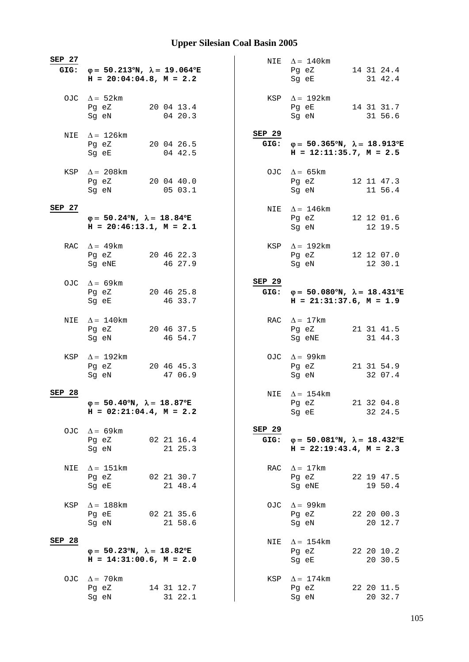| SEP 27 | GIG: $\varphi = 50.213^{\circ}N$ , $\lambda = 19.064^{\circ}E$<br>$H = 20:04:04.8$ , $M = 2.2$ |                       |                | NIE $\Delta = 140$ km<br>Pg eZ<br>Sg eE                                                        | 14 31 24.4<br>31 42.4 |
|--------|------------------------------------------------------------------------------------------------|-----------------------|----------------|------------------------------------------------------------------------------------------------|-----------------------|
|        | OJC $\Delta = 52 \text{km}$<br>Pg eZ<br>Sg eN                                                  | 20 04 13.4<br>04 20.3 |                | KSP $\Delta = 192 \text{km}$<br>Pg eE 14 31 31.7<br>Sg eN                                      | 31 56.6               |
|        | NIE $\Delta = 126 \text{km}$<br>Pg eZ<br>Sq eE                                                 | 20 04 26.5<br>04 42.5 | SEP 29         | GIG: $\varphi = 50.365^{\circ}N$ , $\lambda = 18.913^{\circ}E$<br>$H = 12:11:35.7$ , $M = 2.5$ |                       |
|        | KSP $\Delta = 208 \text{km}$<br>Pg eZ 20 04 40.0<br>Sg eN                                      | 05 03.1               |                | OJC $\Delta = 65 \text{km}$<br>Pg eZ<br>Sg eN                                                  | 12 11 47.3<br>11 56.4 |
| SEP 27 | $\varphi = 50.24^{\circ}N$ , $\lambda = 18.84^{\circ}E$<br>$H = 20:46:13.1, M = 2.1$           |                       |                | NIE $\Delta = 146$ km<br>Pq eZ 12 12 01.6<br>Sg eN                                             | 12 19.5               |
|        | RAC $\Delta = 49$ km<br>Pg eZ<br>Sg eNE                                                        | 20 46 22.3<br>46 27.9 |                | KSP $\Delta = 192 \text{km}$<br>Pg eZ 12 12 07.0<br>Sg eN                                      | 12 30.1               |
|        | OJC $\Delta = 69 \text{km}$<br>Pg eZ<br>Sg eE                                                  | 20 46 25.8<br>46 33.7 | SEP 29         | GIG: $\varphi = 50.080^{\circ}N$ , $\lambda = 18.431^{\circ}E$<br>$H = 21:31:37.6$ , $M = 1.9$ |                       |
| NIE    | $\Delta = 140$ km<br>Pg eZ<br>Sg eN                                                            | 20 46 37.5<br>46 54.7 |                | RAC $\Delta = 17$ km<br>Pg eZ<br>Sg eNE                                                        | 21 31 41.5<br>31 44.3 |
|        | KSP $\Delta = 192$ km<br>Pg eZ<br>Sg eN                                                        | 20 46 45.3<br>47 06.9 |                | OJC $\Delta = 99 \text{km}$<br>Pg eZ<br>Sg eN                                                  | 21 31 54.9<br>32 07.4 |
| SEP 28 | $\varphi = 50.40^{\circ}N$ , $\lambda = 18.87^{\circ}E$<br>$H = 02:21:04.4, M = 2.2$           |                       |                | NIE $\Delta = 154$ km<br>Pg eZ<br>Sg eE                                                        | 21 32 04.8<br>32 24.5 |
|        | OJC $\Delta = 69 \text{km}$<br>Pg eZ<br>Sg eN                                                  | 02 21 16.4<br>21 25.3 | SEP 29<br>GIG: | $\varphi = 50.081^{\circ}N$ , $\lambda = 18.432^{\circ}E$<br>$H = 22:19:43.4, M = 2.3$         |                       |
| NIE    | $\Delta = 151 \text{km}$<br>Pg eZ<br>Sg eE                                                     | 02 21 30.7<br>21 48.4 | RAC            | $\Delta = 17 \text{km}$<br>Pg eZ<br>Sg eNE                                                     | 22 19 47.5<br>19 50.4 |
| KSP    | $\Delta = 188$ km<br>Pg eE<br>Sg eN                                                            | 02 21 35.6<br>21 58.6 | OJC            | $\Delta = 99$ km<br>Pg eZ<br>Sg eN                                                             | 22 20 00.3<br>20 12.7 |
| SEP 28 | $\varphi = 50.23^{\circ}N$ , $\lambda = 18.82^{\circ}E$<br>$H = 14:31:00.6$ , $M = 2.0$        |                       | NIE            | $\Delta = 154$ km<br>Pg eZ<br>Sg eE                                                            | 22 20 10.2<br>20 30.5 |
|        | OJC $\Delta = 70 \text{km}$<br>Pg eZ<br>Sg eN                                                  | 14 31 12.7<br>31 22.1 | KSP            | $\Delta = 174$ km<br>Pg eZ<br>Sg eN                                                            | 22 20 11.5<br>20 32.7 |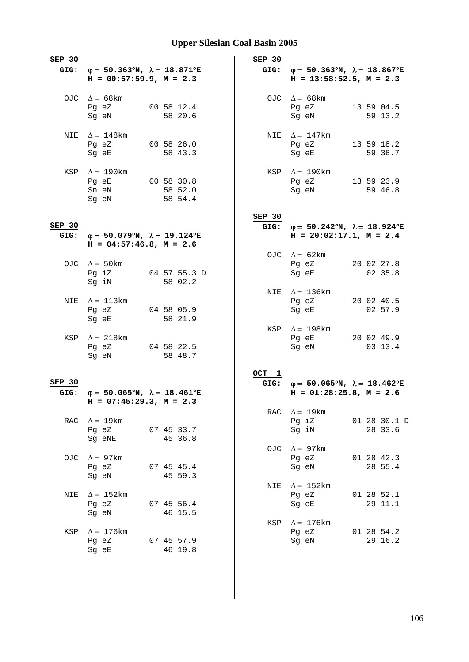| SEP 30         | GIG: $\varphi = 50.363^{\circ}N$ , $\lambda = 18.871^{\circ}E$<br>$H = 00:57:59.9, M = 2.3$ |                                  | SEP 30           | GIG: $\varphi = 50.363^{\circ}N$ , $\lambda = 18.867^{\circ}E$<br>$H = 13:58:52.5$ , $M = 2.3$ |                         |
|----------------|---------------------------------------------------------------------------------------------|----------------------------------|------------------|------------------------------------------------------------------------------------------------|-------------------------|
|                | OJC $\Delta = 68$ km<br>Pg eZ<br>Sg eN                                                      | 00 58 12.4<br>58 20.6            |                  | OJC $\Delta = 68 \text{km}$<br>Pg eZ<br>Sg eN                                                  | 13 59 04.5<br>59 13.2   |
|                | NIE $\Delta = 148$ km<br>Pg eZ<br>Sg eE                                                     | 00 58 26.0<br>58 43.3            |                  | NIE $\Delta = 147$ km<br>Pg eZ<br>Sg eE                                                        | 13 59 18.2<br>59 36.7   |
|                | KSP $\Delta = 190$ km<br>Pg eE<br>Sn eN<br>Sg eN                                            | 00 58 30.8<br>58 52.0<br>58 54.4 |                  | KSP $\Delta = 190$ km<br>Pg eZ<br>Sg eN                                                        | 13 59 23.9<br>59 46.8   |
| SEP 30<br>GIG: | $\varphi = 50.079$ °N, $\lambda = 19.124$ °E<br>$H = 04:57:46.8$ , $M = 2.6$                |                                  | $SEP$ 30<br>GIG: | $\varphi = 50.242^{\circ}N$ , $\lambda = 18.924^{\circ}E$<br>$H = 20:02:17.1, M = 2.4$         |                         |
|                | OJC $\Delta = 50 \text{km}$<br>Pg iZ<br>Sg iN                                               | 04 57 55.3 D<br>58 02.2          |                  | OJC $\Delta = 62 \text{km}$<br>Pg eZ<br>Sg eE                                                  | 20 02 27.8<br>02 35.8   |
| NIE            | $\Delta = 113$ km<br>Pg eZ<br>Sg eE                                                         | 04 58 05.9<br>58 21.9            |                  | NIE $\Delta = 136 \text{km}$<br>Pg eZ<br>Sg eE                                                 | 20 02 40.5<br>02 57.9   |
|                | KSP $\Delta = 218 \text{km}$<br>Pg eZ<br>Sg eN                                              | 04 58 22.5<br>58 48.7            |                  | KSP $\Delta = 198$ km<br>Pg eE<br>Sg eN                                                        | 20 02 49.9<br>03 13.4   |
| SEP 30<br>GIG: | $\varphi = 50.065^{\circ}N$ , $\lambda = 18.461^{\circ}E$<br>$H = 07:45:29.3, M = 2.3$      |                                  | OCT 1            | GIG: $\varphi = 50.065^{\circ}N$ , $\lambda = 18.462^{\circ}E$<br>$H = 01:28:25.8$ , $M = 2.6$ |                         |
|                | RAC $\Delta = 19 \text{km}$<br>Pg eZ 07 45 33.7<br>Sq eNE                                   | 45 36.8                          | RAC              | $\Delta = 19 \text{km}$<br>Pg iZ<br>Sg iN                                                      | 01 28 30.1 D<br>28 33.6 |
| OJC            | $\Delta = 97$ km<br>Pq eZ<br>Sg eN                                                          | 07 45 45.4<br>45 59.3            | OJC              | $\Delta = 97$ km<br>Pg eZ<br>Sg eN                                                             | 01 28 42.3<br>28 55.4   |
| NIE            | $\Delta = 152 \text{km}$<br>Pg eZ<br>Sg eN                                                  | 07 45 56.4<br>46 15.5            | NIE              | $\Delta = 152$ km<br>Pg eZ<br>Sg eE                                                            | 01 28 52.1<br>29 11.1   |
| KSP            | $\Delta = 176$ km<br>Pg eZ<br>Sg eE                                                         | 07 45 57.9<br>46 19.8            | KSP              | $\Delta = 176$ km<br>Pg eZ<br>Sg eN                                                            | 01 28 54.2<br>29 16.2   |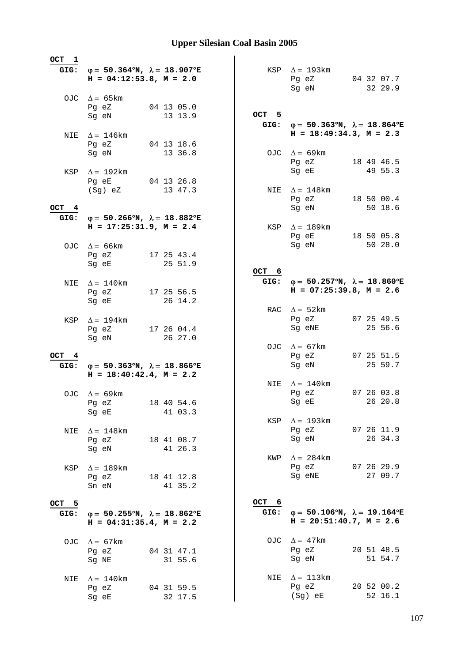| OCT 1 |                                                                |                       |       |                                                                |                       |
|-------|----------------------------------------------------------------|-----------------------|-------|----------------------------------------------------------------|-----------------------|
|       | GIG: $\varphi = 50.364^{\circ}N$ , $\lambda = 18.907^{\circ}E$ |                       |       | KSP $\Delta = 193 \text{km}$                                   |                       |
|       | $H = 04:12:53.8, M = 2.0$                                      |                       |       | Pg eZ                                                          | 04 32 07.7            |
|       |                                                                |                       |       | Sg eN                                                          | 32 29.9               |
|       | OJC $\Delta = 65 \text{km}$<br>Pg eZ                           | 04 13 05.0            |       |                                                                |                       |
|       | Sg eN                                                          | 13 13.9               | OCT 5 |                                                                |                       |
|       |                                                                |                       |       | GIG: $\varphi = 50.363^{\circ}N$ , $\lambda = 18.864^{\circ}E$ |                       |
|       | NIE $\Delta = 146$ km                                          |                       |       | $H = 18:49:34.3, M = 2.3$                                      |                       |
|       | Pg eZ                                                          | 04 13 18.6<br>13 36.8 |       |                                                                |                       |
|       | Sq eN                                                          |                       |       | OJC $\Delta = 69 \text{km}$<br>Pg eZ                           | 18 49 46.5            |
|       | KSP $\Delta = 192 \text{km}$                                   |                       |       | Sg eE                                                          | 49 55.3               |
|       | Pg eE                                                          | 04 13 26.8            |       |                                                                |                       |
|       | (Sg) eZ                                                        | 13 47.3               |       | NIE $\Delta = 148$ km                                          |                       |
| OCT 4 |                                                                |                       |       | Pg eZ<br>Sg eN                                                 | 18 50 00.4<br>50 18.6 |
| GIG:  | $\varphi = 50.266^{\circ}N$ , $\lambda = 18.882^{\circ}E$      |                       |       |                                                                |                       |
|       | $H = 17:25:31.9$ , $M = 2.4$                                   |                       |       | KSP $\Delta = 189$ km                                          |                       |
|       |                                                                |                       |       | Pg eE                                                          | 18 50 05.8            |
|       | OJC $\Delta = 66 \text{km}$                                    |                       |       | Sg eN                                                          | 50 28.0               |
|       | Pg eZ<br>Sq eE                                                 | 17 25 43.4<br>25 51.9 |       |                                                                |                       |
|       |                                                                |                       | OCT 6 |                                                                |                       |
| NIE   | $\Delta = 140$ km                                              |                       |       | GIG: $\varphi = 50.257^{\circ}N$ , $\lambda = 18.860^{\circ}E$ |                       |
|       | Pg eZ                                                          | 17 25 56.5            |       | $H = 07:25:39.8, M = 2.6$                                      |                       |
|       | Sg eE                                                          | 26 14.2               |       | RAC $\Delta = 52 \text{km}$                                    |                       |
| KSP   | $\Delta = 194$ km                                              |                       |       | Pg eZ                                                          | 07 25 49.5            |
|       | Pg eZ                                                          | 17 26 04.4            |       | Sg eNE                                                         | 25 56.6               |
|       | Sg eN                                                          | 26 27.0               |       |                                                                |                       |
| OCT 4 |                                                                |                       |       | OJC $\Delta = 67 \text{km}$<br>Pg eZ                           | 07 25 51.5            |
|       | GIG: $\varphi = 50.363^{\circ}N$ , $\lambda = 18.866^{\circ}E$ |                       |       | Sg eN                                                          | 25 59.7               |
|       | $H = 18:40:42.4$ , $M = 2.2$                                   |                       |       |                                                                |                       |
|       |                                                                |                       |       | NIE $\Delta = 140$ km                                          |                       |
|       | OJC $\Delta = 69$ km                                           |                       |       | Pg eZ<br>Sg eE 26 20.8                                         | 07 26 03.8            |
|       | Pg eZ<br>Sg eE                                                 | 18 40 54.6<br>41 03.3 |       |                                                                |                       |
|       |                                                                |                       |       | KSP $\Delta = 193$ km                                          |                       |
| NIE   | $\Delta = 148$ km                                              |                       |       | Pg eZ                                                          | 07 26 11.9            |
|       | Pg eZ                                                          | 18 41 08.7            |       | Sq eN                                                          | 26 34.3               |
|       | Sg eN                                                          | 41 26.3               |       | KWP $\Delta = 284 \text{km}$                                   |                       |
| KSP   | $\Delta = 189$ km                                              |                       |       | Pg eZ                                                          | 07 26 29.9            |
|       | Pg eZ                                                          | 18 41 12.8            |       | Sg eNE                                                         | 27 09.7               |
|       | Sn eN                                                          | 41 35.2               |       |                                                                |                       |
| OCT 5 |                                                                |                       | OCT 6 |                                                                |                       |
| GIG:  | $\varphi = 50.255^{\circ}N$ , $\lambda = 18.862^{\circ}E$      |                       | GIG:  | $\varphi = 50.106^{\circ}N$ , $\lambda = 19.164^{\circ}E$      |                       |
|       | $H = 04:31:35.4, M = 2.2$                                      |                       |       | $H = 20:51:40.7$ , $M = 2.6$                                   |                       |
|       |                                                                |                       |       |                                                                |                       |
| OJC   | $\Delta = 67$ km                                               |                       |       | OJC $\Delta = 47$ km                                           |                       |
|       | Pg eZ<br>Sg NE                                                 | 04 31 47.1<br>31 55.6 |       | Pg eZ<br>Sg eN                                                 | 20 51 48.5<br>51 54.7 |
|       |                                                                |                       |       |                                                                |                       |
| NIE   | $\Delta = 140$ km                                              |                       |       | NIE $\Delta = 113 \text{km}$                                   |                       |
|       | Pg eZ                                                          | 04 31 59.5            |       | Pg eZ                                                          | 20 52 00.2            |
|       | Sg eE                                                          | 32 17.5               |       | (Sg) eE                                                        | 52 16.1               |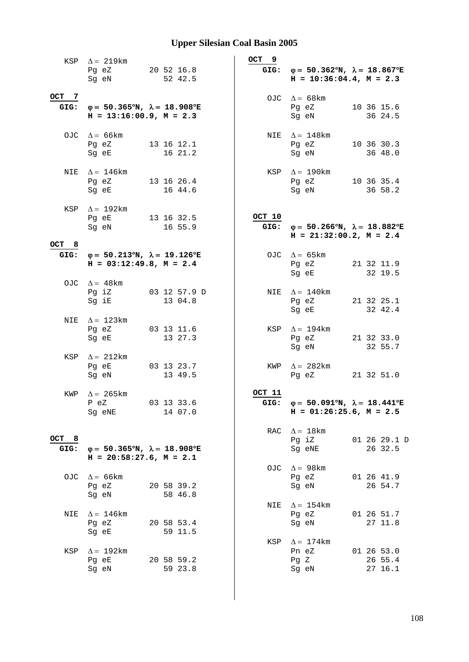|               | KSP $\Delta = 219 \text{km}$<br>Pg eZ<br>Sg eN                                            | 20 52 16.8<br>52 42.5   | OCT 9          | GIG: $\varphi = 50.362^{\circ}N$ , $\lambda = 18.867^{\circ}E$<br>$H = 10:36:04.4, M = 2.3$    |                                  |
|---------------|-------------------------------------------------------------------------------------------|-------------------------|----------------|------------------------------------------------------------------------------------------------|----------------------------------|
| OCT 7<br>GIG: | $\varphi = 50.365^{\circ}N$ , $\lambda = 18.908^{\circ}E$<br>$H = 13:16:00.9, M = 2.3$    |                         |                | OJC $\Delta = 68$ km<br>Pg eZ<br>Sg eN                                                         | 10 36 15.6<br>36 24.5            |
|               | OJC $\Delta = 66 \text{km}$<br>Pg eZ<br>Sg eE                                             | 13 16 12.1<br>16 21.2   | NIE            | $\Delta = 148$ km<br>Pg eZ<br>Sq eN                                                            | 10 36 30.3<br>36 48.0            |
|               | NIE $\Delta = 146$ km<br>Pg eZ<br>Sg eE                                                   | 13 16 26.4<br>16 44.6   | KSP            | $\Delta = 190$ km<br>Pg eZ<br>Sg eN                                                            | 10 36 35.4<br>36 58.2            |
| OCT 8         | KSP $\Delta = 192 \text{km}$<br>Pg eE<br>Sg eN                                            | 13 16 32.5<br>16 55.9   | OCT 10<br>GIG: | $\varphi = 50.266^{\circ}N$ , $\lambda = 18.882^{\circ}E$<br>$H = 21:32:00.2$ , $M = 2.4$      |                                  |
| GIG:          | $\varphi = 50.213^{\circ}N$ , $\lambda = 19.126^{\circ}E$<br>$H = 03:12:49.8$ , $M = 2.4$ |                         |                | OJC $\Delta = 65 \text{km}$<br>Pg eZ<br>Sg eE                                                  | 21 32 11.9<br>32 19.5            |
|               | OJC $\Delta = 48$ km<br>Pg iZ<br>Sg iE                                                    | 03 12 57.9 D<br>13 04.8 |                | NIE $\Delta = 140$ km<br>Pg eZ<br>Sg eE                                                        | 21 32 25.1<br>32 42.4            |
| NIE           | $\Delta = 123 \mathrm{km}$<br>Pg eZ<br>Sg eE                                              | 03 13 11.6<br>13 27.3   | KSP            | $\Delta = 194 \text{km}$<br>Pg eZ<br>Sg eN                                                     | 21 32 33.0<br>32 55.7            |
| KSP           | $\Delta = 212 \text{km}$<br>Pg eE<br>Sg eN                                                | 03 13 23.7<br>13 49.5   |                | KWP $\Delta = 282 \text{km}$<br>Pg eZ                                                          | 21 32 51.0                       |
| KWP           | $\Delta$ = 265 km<br>$P$ eZ<br>Sg eNE                                                     | 03 13 33.6<br>14 07.0   | OCT 11         | GIG: $\varphi = 50.091^{\circ}N$ , $\lambda = 18.441^{\circ}E$<br>$H = 01:26:25.6$ , $M = 2.5$ |                                  |
| OCT 8<br>GIG: | $\varphi = 50.365^{\circ}N$ , $\lambda = 18.908^{\circ}E$<br>$H = 20:58:27.6$ , $M = 2.1$ |                         | RAC            | $\Delta = 18 \text{km}$<br>Pg iZ<br>Sg eNE                                                     | 01 26 29.1 D<br>26 32.5          |
| OJC           | $\Delta$ = 66 km<br>Pg eZ<br>Sg eN                                                        | 20 58 39.2<br>58 46.8   | OJC            | $\Delta = 98 \text{km}$<br>Pg eZ<br>Sg eN                                                      | 01 26 41.9<br>26 54.7            |
| NIE           | $\Delta = 146$ km<br>Pg eZ<br>Sg eE                                                       | 20 58 53.4<br>59 11.5   | NIE            | $\Delta =~154 \, \mathrm{km}$<br>Pg eZ<br>Sg eN                                                | 01 26 51.7<br>27 11.8            |
| KSP           | $\Delta = 192 \text{km}$<br>Pg eE<br>Sg eN                                                | 20 58 59.2<br>59 23.8   | KSP            | $\Delta = 174$ km<br>Pn eZ<br>Pg Z<br>Sg eN                                                    | 01 26 53.0<br>26 55.4<br>27 16.1 |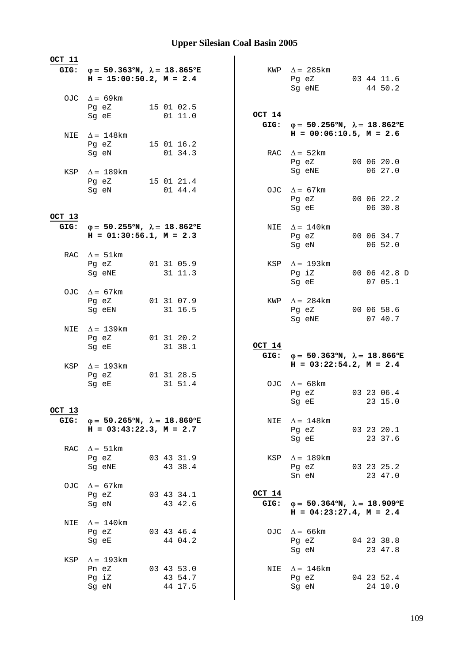| OCT 11         |                                                                                             |                       |                    |                |                                                                                                                                                                   |  |                         |
|----------------|---------------------------------------------------------------------------------------------|-----------------------|--------------------|----------------|-------------------------------------------------------------------------------------------------------------------------------------------------------------------|--|-------------------------|
|                | GIG: $\varphi = 50.363^{\circ}N$ , $\lambda = 18.865^{\circ}E$<br>$H = 15:00:50.2, M = 2.4$ |                       |                    |                | KWP $\Delta = 285 \text{km}$<br>Pg eZ 03 44 11.6<br>Sg eNE                                                                                                        |  | 44 50.2                 |
|                | OJC $\Delta = 69 \text{km}$<br>Pg eZ<br>Sg eE                                               | 15 01 02.5<br>01 11.0 |                    | OCT 14         |                                                                                                                                                                   |  |                         |
|                | NIE $\Delta = 148$ km<br>Pg eZ 15 01 16.2                                                   |                       |                    |                | GIG: $\varphi = 50.256^{\circ}N$ , $\lambda = 18.862^{\circ}E$<br>$H = 00:06:10.5$ , $M = 2.6$                                                                    |  |                         |
|                | Sg eN                                                                                       | 01 34.3               |                    |                | RAC $\Delta = 52 \text{km}$<br>Pg eZ<br>Sg eNE                                                                                                                    |  | 00 06 20.0<br>06 27.0   |
|                | KSP $\Delta = 189$ km<br>Pg eZ 15 01 21.4<br>Sg eN                                          | 01 44.4               |                    |                | OJC $\Delta = 67 \text{km}$<br>Pg eZ 00 06 22.2<br>Sg eE and the state of the state of the state of the state of the state of the state of the state of the state |  | 06 30.8                 |
| OCT 13         |                                                                                             |                       |                    |                |                                                                                                                                                                   |  |                         |
| GIG:           | $\varphi = 50.255^{\circ}N$ , $\lambda = 18.862^{\circ}E$<br>$H = 01:30:56.1, M = 2.3$      |                       |                    | NIE            | $\Delta = 140$ km<br>Pg eZ<br>Sg eN                                                                                                                               |  | 00 06 34.7<br>06 52.0   |
|                | RAC $\Delta = 51 \text{km}$<br>Pg eZ 01 31 05.9<br>Sq eNE                                   | 31 11.3               |                    |                | KSP $\Delta = 193$ km<br>Pg iZ<br>Sg eE                                                                                                                           |  | 00 06 42.8 D<br>07 05.1 |
|                | OJC $\Delta = 67 \text{km}$<br>Pg eZ<br>Sg eEN                                              | 01 31 07.9<br>31 16.5 |                    |                | KWP $\Delta = 284 \text{km}$<br>Pg eZ<br>Sg eNE                                                                                                                   |  | 00 06 58.6<br>07 40.7   |
| NIE            | $\Delta = 139$ km<br>Pg eZ<br>Sg eE                                                         | 01 31 20.2            | 31 38.1            | OCT 14         |                                                                                                                                                                   |  |                         |
|                |                                                                                             |                       |                    |                | GIG: $\varphi = 50.363^{\circ}N$ , $\lambda = 18.866^{\circ}E$<br>$H = 03:22:54.2, M = 2.4$                                                                       |  |                         |
|                | KSP $\Delta = 193 \text{km}$<br>Pg eZ<br>Sg eE                                              | 01 31 28.5            | 31 51.4            |                | OJC $\Delta = 68$ km<br>Pg eZ 03 23 06.4<br>Sg eE and the state of the state of the state of the state of the state of the state of the state of the state        |  | 23 15.0                 |
| OCT 13<br>GIG: | $\varphi = 50.265^{\circ}N$ , $\lambda = 18.860^{\circ}E$<br>$H = 03:43:22.3, M = 2.7$      |                       |                    | NIE            | $\Delta = 148$ km<br>Pg eZ 03 23 20.1<br>Sg eE                                                                                                                    |  | 23 37.6                 |
|                | RAC $\Delta = 51 \text{km}$<br>Pg eZ 03 43 31.9<br>Sg eNE                                   | 43 38.4               |                    | KSP            | $\Delta = 189$ km<br>Pg eZ<br>Sn eN                                                                                                                               |  | 03 23 25.2<br>23 47.0   |
|                | OJC $\Delta = 67 \text{km}$<br>Pg eZ<br>Sg eN                                               | 03 43 34.1<br>43 42.6 |                    | OCT 14<br>GIG: | $\varphi = 50.364^{\circ}N$ , $\lambda = 18.909^{\circ}E$<br>$H = 04:23:27.4$ , $M = 2.4$                                                                         |  |                         |
| NIE            | $\Delta = 140$ km<br>Pq eZ<br>Sg eE                                                         | 03 43 46.4<br>44 04.2 |                    |                | OJC $\Delta = 66 \text{km}$<br>Pg eZ<br>Sg eN                                                                                                                     |  | 04 23 38.8<br>23 47.8   |
| KSP            | $\Delta = 193$ km<br>Pn eZ<br>Pg iZ<br>Sg eN                                                | 03 43 53.0            | 43 54.7<br>44 17.5 |                | NIE $\Delta = 146$ km<br>Pg eZ<br>Sg eN                                                                                                                           |  | 04 23 52.4<br>24 10.0   |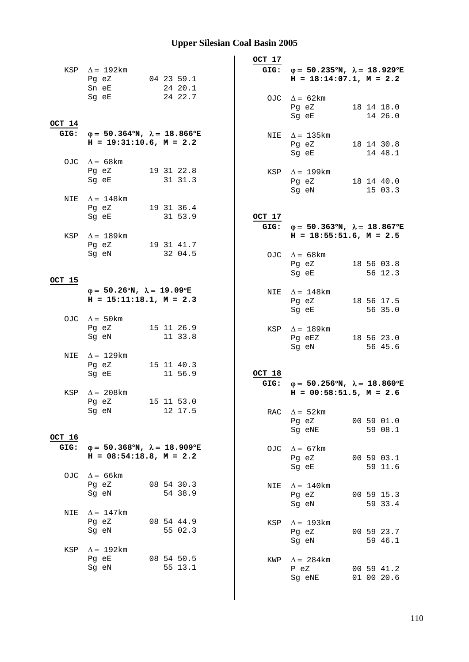|        |                                                                |                                                           | OCT 17 |                                                                                           |                          |
|--------|----------------------------------------------------------------|-----------------------------------------------------------|--------|-------------------------------------------------------------------------------------------|--------------------------|
|        | KSP $\Delta = 192 \text{km}$                                   |                                                           |        | GIG: $\varphi = 50.235^{\circ}N$ , $\lambda = 18.929^{\circ}E$                            |                          |
|        | Pg eZ                                                          | 04 23 59.1                                                |        | $H = 18:14:07.1, M = 2.2$                                                                 |                          |
|        | Sn eE<br>Sg eE                                                 | 24 20.1<br>24 22.7                                        |        |                                                                                           |                          |
|        |                                                                |                                                           |        | OJC $\Delta = 62 \text{km}$<br>Pg eZ                                                      | 18 14 18.0               |
|        |                                                                |                                                           |        | Sg eE                                                                                     | 14 26.0                  |
| OCT 14 |                                                                |                                                           |        |                                                                                           |                          |
|        | GIG: $\varphi = 50.364^{\circ}N$ , $\lambda = 18.866^{\circ}E$ |                                                           |        | NIE $\Delta = 135 \text{km}$                                                              |                          |
|        | $H = 19:31:10.6$ , $M = 2.2$                                   |                                                           |        | Pg eZ                                                                                     | 18 14 30.8               |
|        | OJC $\Delta = 68$ km                                           |                                                           |        | Sg eE                                                                                     | 14 48.1                  |
|        | Pg eZ                                                          | 19 31 22.8                                                |        | KSP $\Delta = 199$ km                                                                     |                          |
|        | Sg eE                                                          | 31 31.3                                                   |        | Pg eZ                                                                                     | 18 14 40.0               |
|        |                                                                |                                                           |        | Sg eN                                                                                     | 15 03.3                  |
| NIE    | $\Delta = 148$ km                                              |                                                           |        |                                                                                           |                          |
|        | Pg eZ<br>Sg eE                                                 | 19 31 36.4<br>31 53.9                                     | OCT 17 |                                                                                           |                          |
|        |                                                                |                                                           |        | GIG: $\varphi = 50.363^{\circ}N$ , $\lambda = 18.867^{\circ}E$                            |                          |
|        | KSP $\Delta = 189$ km                                          |                                                           |        | $H = 18:55:51.6$ , $M = 2.5$                                                              |                          |
|        | Pg eZ                                                          | 19 31 41.7                                                |        |                                                                                           |                          |
|        | Sg eN                                                          | 32 04.5                                                   |        | OJC $\Delta = 68$ km                                                                      |                          |
|        |                                                                |                                                           |        | Pg eZ                                                                                     | 18 56 03.8               |
| OCT 15 |                                                                |                                                           |        | Sg eE                                                                                     | 56 12.3                  |
|        | $\varphi = 50.26^{\circ}N$ , $\lambda = 19.09^{\circ}E$        |                                                           |        | NIE $\Delta = 148$ km                                                                     |                          |
|        | $H = 15:11:18.1, M = 2.3$                                      |                                                           |        | Pg eZ                                                                                     | 18 56 17.5               |
|        |                                                                |                                                           |        | Sg eE                                                                                     | 56 35.0                  |
|        | OJC $\Delta = 50$ km                                           |                                                           |        |                                                                                           |                          |
|        | Pg eZ<br>Sg eN                                                 | 15 11 26.9<br>11 33.8                                     |        | KSP $\Delta = 189$ km                                                                     |                          |
|        |                                                                |                                                           |        | Pg eEZ<br>Sg eN                                                                           | 18 56 23.0<br>56 45.6    |
|        | NIE $\Delta = 129$ km                                          |                                                           |        |                                                                                           |                          |
|        | Pg eZ                                                          | 15 11 40.3                                                |        |                                                                                           |                          |
|        | Sg eE                                                          | 11 56.9                                                   | OCT 18 |                                                                                           |                          |
|        |                                                                |                                                           | GIG:   | $\varphi = 50.256^{\circ}N$ , $\lambda = 18.860^{\circ}E$<br>$H = 00:58:51.5$ , $M = 2.6$ |                          |
| KSP    | $\Delta = 208$ km<br>Pg eZ                                     | 15 11 53.0                                                |        |                                                                                           |                          |
|        | Sg eN                                                          | 12 17.5                                                   |        | RAC $\Delta = 52 \text{km}$                                                               |                          |
|        |                                                                |                                                           |        | Pg eZ                                                                                     | 00 59 01.0               |
|        |                                                                |                                                           |        | Sg eNE                                                                                    | 59 08.1                  |
| OCT 16 |                                                                |                                                           |        |                                                                                           |                          |
| GIG:   | $H = 08:54:18.8$ , $M = 2.2$                                   | $\varphi = 50.368^{\circ}N$ , $\lambda = 18.909^{\circ}E$ | OJC    | $\Delta = 67 \text{km}$<br>Pg eZ                                                          | 00 59 03.1               |
|        |                                                                |                                                           |        | Sg eE                                                                                     | 59 11.6                  |
|        | OJC $\Delta = 66 \text{km}$                                    |                                                           |        |                                                                                           |                          |
|        | Pg eZ                                                          | 08 54 30.3                                                | NIE    | $\Delta = 140$ km                                                                         |                          |
|        | Sg eN                                                          | 54 38.9                                                   |        | Pg eZ                                                                                     | 00 59 15.3               |
|        |                                                                |                                                           |        | Sg eN                                                                                     | 59 33.4                  |
| NIE    | $\Delta = 147$ km<br>Pg eZ                                     | 08 54 44.9                                                |        |                                                                                           |                          |
|        | Sg eN                                                          | 55 02.3                                                   | KSP    | $\Delta = 193$ km<br>Pg eZ                                                                | 00 59 23.7               |
|        |                                                                |                                                           |        | Sg eN                                                                                     | 59 46.1                  |
| KSP    | $\Delta = 192$ km                                              |                                                           |        |                                                                                           |                          |
|        | Pg eE                                                          | 08 54 50.5                                                |        | KWP $\Delta = 284$ km                                                                     |                          |
|        | Sg eN                                                          | 55 13.1                                                   |        | P eZ<br>Sg eNE                                                                            | 00 59 41.2<br>01 00 20.6 |
|        |                                                                |                                                           |        |                                                                                           |                          |
|        |                                                                |                                                           |        |                                                                                           |                          |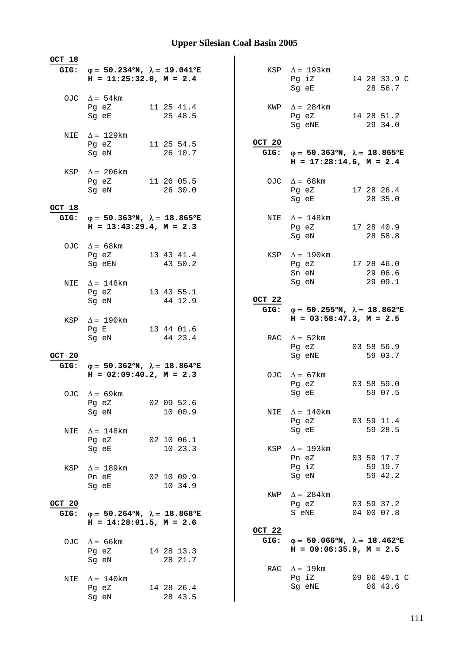| OCT 18 |                                                                                                                |  |                       |        |                                                                                                     |  |                       |
|--------|----------------------------------------------------------------------------------------------------------------|--|-----------------------|--------|-----------------------------------------------------------------------------------------------------|--|-----------------------|
|        | GIG: $\varphi = 50.234^{\circ}N$ , $\lambda = 19.041^{\circ}E$                                                 |  |                       |        | KSP $\Delta = 193 \text{km}$                                                                        |  |                       |
|        | $H = 11:25:32.0, M = 2.4$                                                                                      |  |                       |        | Pg iZ                                                                                               |  | 14 28 33.9 C          |
|        |                                                                                                                |  |                       |        | Sg eE                                                                                               |  | 28 56.7               |
|        | OJC $\Delta = 54 \text{km}$                                                                                    |  |                       |        |                                                                                                     |  |                       |
|        | Pg eZ<br>Sg eE                                                                                                 |  | 11 25 41.4<br>25 48.5 | KWP    | $\Delta = 284$ km<br>Pg eZ 14 28 51.2                                                               |  |                       |
|        |                                                                                                                |  |                       |        | Sg eNE                                                                                              |  | 29 34.0               |
|        | NIE $\Delta = 129$ km                                                                                          |  |                       |        |                                                                                                     |  |                       |
|        | Pg eZ 11 25 54.5                                                                                               |  |                       | OCT 20 |                                                                                                     |  |                       |
|        | Sg eN                                                                                                          |  | 26 10.7               |        | GIG: $\varphi = 50.363^{\circ}N$ , $\lambda = 18.865^{\circ}E$                                      |  |                       |
|        |                                                                                                                |  |                       |        | $H = 17:28:14.6$ , $M = 2.4$                                                                        |  |                       |
|        | KSP $\Delta = 206 \text{km}$<br>Pg eZ 11 26 05.5                                                               |  |                       |        | OJC $\Delta = 68 \text{km}$                                                                         |  |                       |
|        | Sg eN                                                                                                          |  | 26 30.0               |        | Pg eZ 17 28 26.4                                                                                    |  |                       |
|        |                                                                                                                |  |                       |        | Sg eE and the state of the state of the state of the state of the state of the state of the state o |  | 28 35.0               |
| OCT 18 |                                                                                                                |  |                       |        |                                                                                                     |  |                       |
| GIG:   | $\varphi = 50.363^{\circ}N$ , $\lambda = 18.865^{\circ}E$<br>$H = 13:43:29.4$ , $M = 2.3$                      |  |                       | NIE    | $\Delta = 148$ km<br>Pq eZ 17 28 40.9                                                               |  |                       |
|        |                                                                                                                |  |                       |        | Sg eN                                                                                               |  | 28 58.8               |
|        | OJC $\Delta = 68 \text{km}$                                                                                    |  |                       |        |                                                                                                     |  |                       |
|        | Pg eZ 13 43 41.4                                                                                               |  |                       |        | KSP $\Delta = 190$ km                                                                               |  |                       |
|        | Sq eEN 43 50.2                                                                                                 |  |                       |        | Pg eZ 17 28 46.0                                                                                    |  |                       |
|        |                                                                                                                |  |                       |        | Sn eN<br>Sg eN                                                                                      |  | 29 06.6<br>29 09.1    |
| NIE    | $\Delta = 148$ km<br>Pg eZ                                                                                     |  | 13 43 55.1            |        |                                                                                                     |  |                       |
|        | Sg eN and the state of the state of the state of the state of the state of the state of the state of the state |  | 44 12.9               | OCT 22 |                                                                                                     |  |                       |
|        |                                                                                                                |  |                       |        | GIG: $\varphi = 50.255^{\circ}N$ , $\lambda = 18.862^{\circ}E$                                      |  |                       |
| KSP    | $\Delta = 190 \mathrm{km}$                                                                                     |  |                       |        | $H = 03:58:47.3$ , $M = 2.5$                                                                        |  |                       |
|        | Pg E<br>Sg eN                                                                                                  |  | 13 44 01.6<br>44 23.4 |        | RAC $\Delta = 52$ km                                                                                |  |                       |
|        |                                                                                                                |  |                       |        | Pg eZ                                                                                               |  | 03 58 56.9            |
| OCT 20 |                                                                                                                |  |                       |        | Sg eNE                                                                                              |  | 59 03.7               |
| GIG:   | $\varphi = 50.362^{\circ}N$ , $\lambda = 18.864^{\circ}E$                                                      |  |                       |        |                                                                                                     |  |                       |
|        | $H = 02:09:40.2$ , $M = 2.3$                                                                                   |  |                       |        | OJC $\Delta = 67 \text{km}$                                                                         |  |                       |
|        | OJC $\Delta = 69$ km                                                                                           |  |                       |        | Pg eZ<br>Sg eE                                                                                      |  | 03 58 59.0<br>59 07.5 |
|        | Pg eZ 02 09 52.6                                                                                               |  |                       |        |                                                                                                     |  |                       |
|        | Sg eN                                                                                                          |  | 10 00.9               | NIE    | $\Delta = 140$ km                                                                                   |  |                       |
|        |                                                                                                                |  |                       |        | Pg eZ                                                                                               |  | 03 59 11.4            |
| NIE    | $\Delta = 148$ km                                                                                              |  |                       |        | Sg eE                                                                                               |  | 59 28.5               |
|        | Pg eZ 02 10 06.1<br>Sg eE                                                                                      |  | 10 23.3               | KSP    | $\Delta = 193$ km                                                                                   |  |                       |
|        |                                                                                                                |  |                       |        | Pn eZ                                                                                               |  | 03 59 17.7            |
| KSP    | $\Delta = 189$ km                                                                                              |  |                       |        | Pg iZ                                                                                               |  | 59 19.7               |
|        | Pn eE<br>$02$ 10 09.9                                                                                          |  |                       |        | Sg eN                                                                                               |  | 59 42.2               |
|        | Sg eE and the state of the state of the state of the state of the state of the state of the state of the state |  | 10 34.9               |        |                                                                                                     |  |                       |
| OCT 20 |                                                                                                                |  |                       | KWP    | $\Delta = 284$ km<br>Pg eZ                                                                          |  | 03 59 37.2            |
| GIG:   | $\varphi = 50.264^{\circ}N$ , $\lambda = 18.868^{\circ}E$                                                      |  |                       |        | S eNE                                                                                               |  | 04 00 07.8            |
|        | $H = 14:28:01.5$ , $M = 2.6$                                                                                   |  |                       |        |                                                                                                     |  |                       |
|        |                                                                                                                |  |                       | OCT 22 |                                                                                                     |  |                       |
|        | OJC $\Delta = 66 \text{km}$                                                                                    |  |                       |        | GIG: $\varphi = 50.066^{\circ}N$ , $\lambda = 18.462^{\circ}E$<br>$H = 09:06:35.9, M = 2.5$         |  |                       |
|        | Pg eZ<br>Sg eN                                                                                                 |  | 14 28 13.3<br>28 21.7 |        |                                                                                                     |  |                       |
|        |                                                                                                                |  |                       | RAC    | $\Delta = 19 \text{km}$                                                                             |  |                       |
| NIE    | $\Delta = 140$ km                                                                                              |  |                       |        | Pg iZ                                                                                               |  | 09 06 40.1 C          |
|        | Pg eZ                                                                                                          |  | 14 28 26.4            |        | Sg eNE                                                                                              |  | 06 43.6               |
|        | Sg eN                                                                                                          |  | 28 43.5               |        |                                                                                                     |  |                       |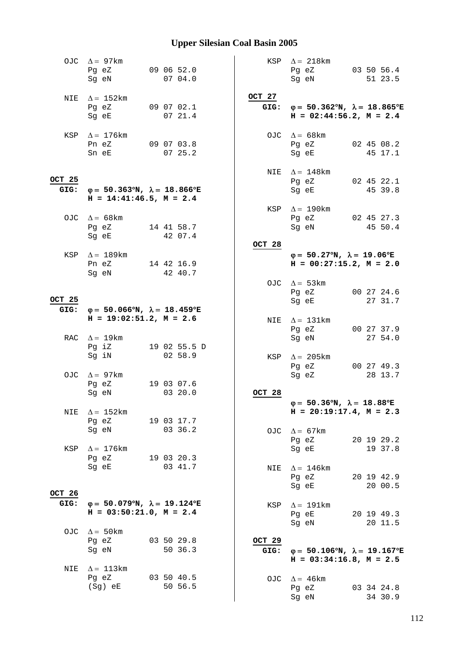|                | OJC $\Delta = 97 \text{km}$<br>Pg eZ<br>Sg eN                                             | 09 06 52.0<br>07 04.0 |                | KSP $\Delta = 218 \text{km}$<br>Pg eZ<br>Sg eN                                                 | 03 50 56.4<br>51 23.5 |
|----------------|-------------------------------------------------------------------------------------------|-----------------------|----------------|------------------------------------------------------------------------------------------------|-----------------------|
| NIE            | $\Delta = 152 \text{km}$<br>Pg eZ<br>Sg eE                                                | 09 07 02.1<br>0721.4  | OCT 27         | GIG: $\varphi = 50.362^{\circ}N$ , $\lambda = 18.865^{\circ}E$<br>$H = 02:44:56.2$ , $M = 2.4$ |                       |
|                | KSP $\Delta = 176$ km<br>Pn eZ<br>Sn eE                                                   | 09 07 03.8<br>0725.2  |                | OJC $\Delta = 68$ km<br>Pg eZ<br>Sq eE                                                         | 02 45 08.2<br>45 17.1 |
| OCT 25<br>GIG: | $φ = 50.363°N, λ = 18.866°E$<br>$H = 14:41:46.5$ , $M = 2.4$                              |                       |                | NIE $\Delta = 148$ km<br>Pg eZ<br>Sg eE                                                        | 02 45 22.1<br>45 39.8 |
|                | OJC $\Delta = 68$ km<br>Pg eZ<br>Sg eE                                                    | 14 41 58.7<br>42 07.4 |                | KSP $\Delta = 190 \text{km}$<br>Pq eZ 02 45 27.3<br>Sg eN                                      | 45 50.4               |
|                |                                                                                           |                       | OCT 28         |                                                                                                |                       |
| KSP            | $\Delta = 189 \mathrm{km}$<br>Pn eZ<br>Sg eN                                              | 14 42 16.9<br>42 40.7 |                | $\varphi = 50.27^{\circ}N$ , $\lambda = 19.06^{\circ}E$<br>$H = 00:27:15.2, M = 2.0$           |                       |
| OCT 25         | $\varphi = 50.066^{\circ}N$ , $\lambda = 18.459^{\circ}E$                                 |                       |                | OJC $\Delta = 53 \text{km}$<br>Pg eZ<br>Sg eE                                                  | 00 27 24.6<br>27 31.7 |
| GIG:           | $H = 19:02:51.2$ , $M = 2.6$                                                              |                       |                | NIE $\Delta = 131 \text{km}$<br>Pg eZ                                                          | 00 27 37.9            |
|                | RAC $\Delta = 19$ km<br>Pg iZ                                                             | 19 02 55.5 D          |                | Sg eN                                                                                          | 27 54.0               |
|                | Sg iN<br>OJC $\Delta = 97 \text{km}$                                                      | 02 58.9               |                | KSP $\Delta$ = 205km<br>Pg eZ<br>Sg eZ                                                         | 00 27 49.3<br>28 13.7 |
|                | Pg eZ                                                                                     | 19 03 07.6            |                |                                                                                                |                       |
|                | Sg eN                                                                                     | 03 20.0               | OCT 28         | $\varphi = 50.36^{\circ}N$ , $\lambda = 18.88^{\circ}E$                                        |                       |
| NIE            | $\Delta = 152 \text{km}$                                                                  |                       |                | $H = 20:19:17.4, M = 2.3$                                                                      |                       |
|                | Pg eZ<br>Sg eN                                                                            | 19 03 17.7<br>03 36.2 |                | OJC $\Delta = 67 \text{km}$                                                                    |                       |
| KSP            | $\Delta = 176$ km                                                                         |                       |                | Pg eZ<br>Sg eE                                                                                 | 20 19 29.2<br>19 37.8 |
|                | Pg eZ                                                                                     | 19 03 20.3            |                |                                                                                                |                       |
| OCT 26         | Sq eE                                                                                     | 03 41.7               | NIE            | $\Delta = 146$ km<br>Pg eZ<br>Sg eE                                                            | 20 19 42.9<br>20 00.5 |
| GIG:           | $\varphi = 50.079^{\circ}N$ , $\lambda = 19.124^{\circ}E$<br>$H = 03:50:21.0$ , $M = 2.4$ |                       | KSP            | $\Delta = 191$ km<br>Pg eE<br>Sg eN                                                            | 20 19 49.3<br>20 11.5 |
|                | OJC $\Delta = 50 \text{km}$                                                               |                       |                |                                                                                                |                       |
|                | Pg eZ<br>Sg eN                                                                            | 03 50 29.8<br>50 36.3 | OCT 29<br>GIG: | $\varphi = 50.106^{\circ}N$ , $\lambda = 19.167^{\circ}E$<br>$H = 03:34:16.8$ , $M = 2.5$      |                       |
| NIE            | $\Delta = 113 \text{km}$                                                                  |                       |                |                                                                                                |                       |
|                | Pg eZ<br>(Sg) eE                                                                          | 03 50 40.5<br>50 56.5 |                | OJC $\Delta = 46$ km<br>Pg eZ<br>Sg eN                                                         | 03 34 24.8<br>34 30.9 |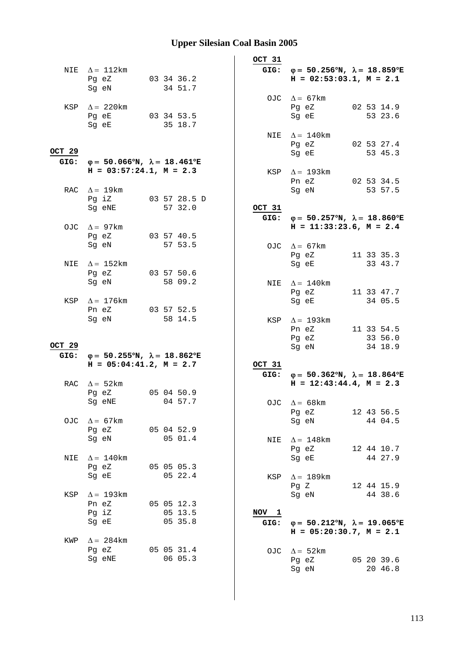| GIG: $\varphi = 50.256^{\circ}N$ , $\lambda = 18.859^{\circ}E$<br>NIE $\Delta = 112 \text{km}$<br>$H = 02:53:03.1, M = 2.1$<br>03 34 36.2<br>Pg eZ<br>34 51.7<br>Sg eN<br>OJC $\Delta = 67 \text{km}$<br>KSP $\Delta = 220$ km<br>02 53 14.9<br>Pg eZ<br>Pg eE 03 34 53.5<br>Sg eE<br>53 23.6<br>35 18.7<br>Sg eE<br>NIE $\Delta = 140$ km<br>02 53 27.4<br>Pg eZ<br>OCT 29<br>53 45.3<br>Sg eE<br>$φ = 50.066°N, λ = 18.461°E$<br>GIG:<br>$H = 03:57:24.1, M = 2.3$<br>KSP $\Delta = 193 \text{km}$<br>Pn eZ 02 53 34.5<br>RAC $\Delta = 19$ km<br>Sg eN<br>53 57.5<br>Pg iZ 03 57 28.5 D<br>57 32.0<br>OCT 31<br>Sg eNE<br>$\varphi = 50.257^{\circ}N$ , $\lambda = 18.860^{\circ}E$<br>GIG:<br>$H = 11:33:23.6$ , $M = 2.4$<br>OJC $\Delta = 97 \text{km}$<br>03 57 40.5<br>Pg eZ<br>57 53.5<br>Sg eN<br>OJC $\Delta = 67 \text{km}$<br>Pg eZ 11 33 35.3<br>$\Delta = 152$ km<br>Sq eE<br>33 43.7<br>NIE<br>Pg eZ<br>03 57 50.6<br>58 09.2<br>Sg eN<br>NIE $\Delta = 140$ km<br>Pg eZ<br>11 33 47.7<br>$\Delta = 176$ km<br>Sg eE<br>34 05.5<br>KSP<br>03 57 52.5<br>Pn eZ<br>58 14.5<br>Sg eN<br>KSP $\Delta = 193 \text{km}$<br>11 33 54.5<br>Pn eZ<br>33 56.0<br>Pg eZ<br>OCT 29<br>34 18.9<br>Sg eN<br>GIG: $\varphi = 50.255^{\circ}N$ , $\lambda = 18.862^{\circ}E$<br>$H = 05:04:41.2, M = 2.7$<br>OCT 31<br>GIG: $\varphi = 50.362^{\circ}N$ , $\lambda = 18.864^{\circ}E$<br>$H = 12:43:44.4, M = 2.3$<br>RAC $\Delta = 52 \text{km}$<br>050450.9<br>Pg eZ<br>04 57.7<br>Sg eNE<br>OJC $\Delta = 68$ km<br>12 43 56.5<br>Pg eZ<br>Sg eN<br>OJC<br>$\Delta = 67 \text{km}$<br>44 04.5<br>05 04 52.9<br>Pg eZ<br>05 01.4<br>Sg eN<br>NIE $\Delta = 148$ km<br>Pg eZ<br>12 44 10.7<br>44 27.9<br>$\Delta = 140$ km<br>Sg eE<br>NIE<br>05 05 05.3<br>Pg eZ<br>05 22.4<br>Sg eE<br>$\Delta = 189$ km<br>KSP<br>Pq Z<br>12 44 15.9<br>$\Delta = 193$ km<br>Sg eN<br>44 38.6<br>KSP<br>Pn eZ<br>05 05 12.3<br>Pg iZ<br>05 13.5<br>NOV 1<br>05 35.8<br>Sg eE<br>$\varphi = 50.212^{\circ}N$ , $\lambda = 19.065^{\circ}E$<br>GIG:<br>$H = 05:20:30.7$ , $M = 2.1$<br>$\Delta = 284 \text{km}$<br>KWP<br>05 05 31.4<br>Pg eZ<br>OJC $\Delta = 52$ km<br>06 05.3<br>Sg eNE<br>Pg eZ<br>05 20 39.6 |  |  | OCT 31 |       |         |
|-----------------------------------------------------------------------------------------------------------------------------------------------------------------------------------------------------------------------------------------------------------------------------------------------------------------------------------------------------------------------------------------------------------------------------------------------------------------------------------------------------------------------------------------------------------------------------------------------------------------------------------------------------------------------------------------------------------------------------------------------------------------------------------------------------------------------------------------------------------------------------------------------------------------------------------------------------------------------------------------------------------------------------------------------------------------------------------------------------------------------------------------------------------------------------------------------------------------------------------------------------------------------------------------------------------------------------------------------------------------------------------------------------------------------------------------------------------------------------------------------------------------------------------------------------------------------------------------------------------------------------------------------------------------------------------------------------------------------------------------------------------------------------------------------------------------------------------------------------------------------------------------------------------------------------------------------------------------------------------------------------------------------------------------------------------------------------------------------------------------------------------------------------------------------------------------------------|--|--|--------|-------|---------|
|                                                                                                                                                                                                                                                                                                                                                                                                                                                                                                                                                                                                                                                                                                                                                                                                                                                                                                                                                                                                                                                                                                                                                                                                                                                                                                                                                                                                                                                                                                                                                                                                                                                                                                                                                                                                                                                                                                                                                                                                                                                                                                                                                                                                     |  |  |        |       |         |
|                                                                                                                                                                                                                                                                                                                                                                                                                                                                                                                                                                                                                                                                                                                                                                                                                                                                                                                                                                                                                                                                                                                                                                                                                                                                                                                                                                                                                                                                                                                                                                                                                                                                                                                                                                                                                                                                                                                                                                                                                                                                                                                                                                                                     |  |  |        |       |         |
|                                                                                                                                                                                                                                                                                                                                                                                                                                                                                                                                                                                                                                                                                                                                                                                                                                                                                                                                                                                                                                                                                                                                                                                                                                                                                                                                                                                                                                                                                                                                                                                                                                                                                                                                                                                                                                                                                                                                                                                                                                                                                                                                                                                                     |  |  |        |       |         |
|                                                                                                                                                                                                                                                                                                                                                                                                                                                                                                                                                                                                                                                                                                                                                                                                                                                                                                                                                                                                                                                                                                                                                                                                                                                                                                                                                                                                                                                                                                                                                                                                                                                                                                                                                                                                                                                                                                                                                                                                                                                                                                                                                                                                     |  |  |        |       |         |
|                                                                                                                                                                                                                                                                                                                                                                                                                                                                                                                                                                                                                                                                                                                                                                                                                                                                                                                                                                                                                                                                                                                                                                                                                                                                                                                                                                                                                                                                                                                                                                                                                                                                                                                                                                                                                                                                                                                                                                                                                                                                                                                                                                                                     |  |  |        |       |         |
|                                                                                                                                                                                                                                                                                                                                                                                                                                                                                                                                                                                                                                                                                                                                                                                                                                                                                                                                                                                                                                                                                                                                                                                                                                                                                                                                                                                                                                                                                                                                                                                                                                                                                                                                                                                                                                                                                                                                                                                                                                                                                                                                                                                                     |  |  |        |       |         |
|                                                                                                                                                                                                                                                                                                                                                                                                                                                                                                                                                                                                                                                                                                                                                                                                                                                                                                                                                                                                                                                                                                                                                                                                                                                                                                                                                                                                                                                                                                                                                                                                                                                                                                                                                                                                                                                                                                                                                                                                                                                                                                                                                                                                     |  |  |        |       |         |
|                                                                                                                                                                                                                                                                                                                                                                                                                                                                                                                                                                                                                                                                                                                                                                                                                                                                                                                                                                                                                                                                                                                                                                                                                                                                                                                                                                                                                                                                                                                                                                                                                                                                                                                                                                                                                                                                                                                                                                                                                                                                                                                                                                                                     |  |  |        |       |         |
|                                                                                                                                                                                                                                                                                                                                                                                                                                                                                                                                                                                                                                                                                                                                                                                                                                                                                                                                                                                                                                                                                                                                                                                                                                                                                                                                                                                                                                                                                                                                                                                                                                                                                                                                                                                                                                                                                                                                                                                                                                                                                                                                                                                                     |  |  |        |       |         |
|                                                                                                                                                                                                                                                                                                                                                                                                                                                                                                                                                                                                                                                                                                                                                                                                                                                                                                                                                                                                                                                                                                                                                                                                                                                                                                                                                                                                                                                                                                                                                                                                                                                                                                                                                                                                                                                                                                                                                                                                                                                                                                                                                                                                     |  |  |        |       |         |
|                                                                                                                                                                                                                                                                                                                                                                                                                                                                                                                                                                                                                                                                                                                                                                                                                                                                                                                                                                                                                                                                                                                                                                                                                                                                                                                                                                                                                                                                                                                                                                                                                                                                                                                                                                                                                                                                                                                                                                                                                                                                                                                                                                                                     |  |  |        |       |         |
|                                                                                                                                                                                                                                                                                                                                                                                                                                                                                                                                                                                                                                                                                                                                                                                                                                                                                                                                                                                                                                                                                                                                                                                                                                                                                                                                                                                                                                                                                                                                                                                                                                                                                                                                                                                                                                                                                                                                                                                                                                                                                                                                                                                                     |  |  |        |       |         |
|                                                                                                                                                                                                                                                                                                                                                                                                                                                                                                                                                                                                                                                                                                                                                                                                                                                                                                                                                                                                                                                                                                                                                                                                                                                                                                                                                                                                                                                                                                                                                                                                                                                                                                                                                                                                                                                                                                                                                                                                                                                                                                                                                                                                     |  |  |        |       |         |
|                                                                                                                                                                                                                                                                                                                                                                                                                                                                                                                                                                                                                                                                                                                                                                                                                                                                                                                                                                                                                                                                                                                                                                                                                                                                                                                                                                                                                                                                                                                                                                                                                                                                                                                                                                                                                                                                                                                                                                                                                                                                                                                                                                                                     |  |  |        |       |         |
|                                                                                                                                                                                                                                                                                                                                                                                                                                                                                                                                                                                                                                                                                                                                                                                                                                                                                                                                                                                                                                                                                                                                                                                                                                                                                                                                                                                                                                                                                                                                                                                                                                                                                                                                                                                                                                                                                                                                                                                                                                                                                                                                                                                                     |  |  |        |       |         |
|                                                                                                                                                                                                                                                                                                                                                                                                                                                                                                                                                                                                                                                                                                                                                                                                                                                                                                                                                                                                                                                                                                                                                                                                                                                                                                                                                                                                                                                                                                                                                                                                                                                                                                                                                                                                                                                                                                                                                                                                                                                                                                                                                                                                     |  |  |        |       |         |
|                                                                                                                                                                                                                                                                                                                                                                                                                                                                                                                                                                                                                                                                                                                                                                                                                                                                                                                                                                                                                                                                                                                                                                                                                                                                                                                                                                                                                                                                                                                                                                                                                                                                                                                                                                                                                                                                                                                                                                                                                                                                                                                                                                                                     |  |  |        |       |         |
|                                                                                                                                                                                                                                                                                                                                                                                                                                                                                                                                                                                                                                                                                                                                                                                                                                                                                                                                                                                                                                                                                                                                                                                                                                                                                                                                                                                                                                                                                                                                                                                                                                                                                                                                                                                                                                                                                                                                                                                                                                                                                                                                                                                                     |  |  |        |       |         |
|                                                                                                                                                                                                                                                                                                                                                                                                                                                                                                                                                                                                                                                                                                                                                                                                                                                                                                                                                                                                                                                                                                                                                                                                                                                                                                                                                                                                                                                                                                                                                                                                                                                                                                                                                                                                                                                                                                                                                                                                                                                                                                                                                                                                     |  |  |        |       |         |
|                                                                                                                                                                                                                                                                                                                                                                                                                                                                                                                                                                                                                                                                                                                                                                                                                                                                                                                                                                                                                                                                                                                                                                                                                                                                                                                                                                                                                                                                                                                                                                                                                                                                                                                                                                                                                                                                                                                                                                                                                                                                                                                                                                                                     |  |  |        |       |         |
|                                                                                                                                                                                                                                                                                                                                                                                                                                                                                                                                                                                                                                                                                                                                                                                                                                                                                                                                                                                                                                                                                                                                                                                                                                                                                                                                                                                                                                                                                                                                                                                                                                                                                                                                                                                                                                                                                                                                                                                                                                                                                                                                                                                                     |  |  |        |       |         |
|                                                                                                                                                                                                                                                                                                                                                                                                                                                                                                                                                                                                                                                                                                                                                                                                                                                                                                                                                                                                                                                                                                                                                                                                                                                                                                                                                                                                                                                                                                                                                                                                                                                                                                                                                                                                                                                                                                                                                                                                                                                                                                                                                                                                     |  |  |        |       |         |
|                                                                                                                                                                                                                                                                                                                                                                                                                                                                                                                                                                                                                                                                                                                                                                                                                                                                                                                                                                                                                                                                                                                                                                                                                                                                                                                                                                                                                                                                                                                                                                                                                                                                                                                                                                                                                                                                                                                                                                                                                                                                                                                                                                                                     |  |  |        |       |         |
|                                                                                                                                                                                                                                                                                                                                                                                                                                                                                                                                                                                                                                                                                                                                                                                                                                                                                                                                                                                                                                                                                                                                                                                                                                                                                                                                                                                                                                                                                                                                                                                                                                                                                                                                                                                                                                                                                                                                                                                                                                                                                                                                                                                                     |  |  |        |       |         |
|                                                                                                                                                                                                                                                                                                                                                                                                                                                                                                                                                                                                                                                                                                                                                                                                                                                                                                                                                                                                                                                                                                                                                                                                                                                                                                                                                                                                                                                                                                                                                                                                                                                                                                                                                                                                                                                                                                                                                                                                                                                                                                                                                                                                     |  |  |        |       |         |
|                                                                                                                                                                                                                                                                                                                                                                                                                                                                                                                                                                                                                                                                                                                                                                                                                                                                                                                                                                                                                                                                                                                                                                                                                                                                                                                                                                                                                                                                                                                                                                                                                                                                                                                                                                                                                                                                                                                                                                                                                                                                                                                                                                                                     |  |  |        |       |         |
|                                                                                                                                                                                                                                                                                                                                                                                                                                                                                                                                                                                                                                                                                                                                                                                                                                                                                                                                                                                                                                                                                                                                                                                                                                                                                                                                                                                                                                                                                                                                                                                                                                                                                                                                                                                                                                                                                                                                                                                                                                                                                                                                                                                                     |  |  |        |       |         |
|                                                                                                                                                                                                                                                                                                                                                                                                                                                                                                                                                                                                                                                                                                                                                                                                                                                                                                                                                                                                                                                                                                                                                                                                                                                                                                                                                                                                                                                                                                                                                                                                                                                                                                                                                                                                                                                                                                                                                                                                                                                                                                                                                                                                     |  |  |        |       |         |
|                                                                                                                                                                                                                                                                                                                                                                                                                                                                                                                                                                                                                                                                                                                                                                                                                                                                                                                                                                                                                                                                                                                                                                                                                                                                                                                                                                                                                                                                                                                                                                                                                                                                                                                                                                                                                                                                                                                                                                                                                                                                                                                                                                                                     |  |  |        |       |         |
|                                                                                                                                                                                                                                                                                                                                                                                                                                                                                                                                                                                                                                                                                                                                                                                                                                                                                                                                                                                                                                                                                                                                                                                                                                                                                                                                                                                                                                                                                                                                                                                                                                                                                                                                                                                                                                                                                                                                                                                                                                                                                                                                                                                                     |  |  |        |       |         |
|                                                                                                                                                                                                                                                                                                                                                                                                                                                                                                                                                                                                                                                                                                                                                                                                                                                                                                                                                                                                                                                                                                                                                                                                                                                                                                                                                                                                                                                                                                                                                                                                                                                                                                                                                                                                                                                                                                                                                                                                                                                                                                                                                                                                     |  |  |        |       |         |
|                                                                                                                                                                                                                                                                                                                                                                                                                                                                                                                                                                                                                                                                                                                                                                                                                                                                                                                                                                                                                                                                                                                                                                                                                                                                                                                                                                                                                                                                                                                                                                                                                                                                                                                                                                                                                                                                                                                                                                                                                                                                                                                                                                                                     |  |  |        |       |         |
|                                                                                                                                                                                                                                                                                                                                                                                                                                                                                                                                                                                                                                                                                                                                                                                                                                                                                                                                                                                                                                                                                                                                                                                                                                                                                                                                                                                                                                                                                                                                                                                                                                                                                                                                                                                                                                                                                                                                                                                                                                                                                                                                                                                                     |  |  |        |       |         |
|                                                                                                                                                                                                                                                                                                                                                                                                                                                                                                                                                                                                                                                                                                                                                                                                                                                                                                                                                                                                                                                                                                                                                                                                                                                                                                                                                                                                                                                                                                                                                                                                                                                                                                                                                                                                                                                                                                                                                                                                                                                                                                                                                                                                     |  |  |        |       |         |
|                                                                                                                                                                                                                                                                                                                                                                                                                                                                                                                                                                                                                                                                                                                                                                                                                                                                                                                                                                                                                                                                                                                                                                                                                                                                                                                                                                                                                                                                                                                                                                                                                                                                                                                                                                                                                                                                                                                                                                                                                                                                                                                                                                                                     |  |  |        |       |         |
|                                                                                                                                                                                                                                                                                                                                                                                                                                                                                                                                                                                                                                                                                                                                                                                                                                                                                                                                                                                                                                                                                                                                                                                                                                                                                                                                                                                                                                                                                                                                                                                                                                                                                                                                                                                                                                                                                                                                                                                                                                                                                                                                                                                                     |  |  |        |       |         |
|                                                                                                                                                                                                                                                                                                                                                                                                                                                                                                                                                                                                                                                                                                                                                                                                                                                                                                                                                                                                                                                                                                                                                                                                                                                                                                                                                                                                                                                                                                                                                                                                                                                                                                                                                                                                                                                                                                                                                                                                                                                                                                                                                                                                     |  |  |        |       |         |
|                                                                                                                                                                                                                                                                                                                                                                                                                                                                                                                                                                                                                                                                                                                                                                                                                                                                                                                                                                                                                                                                                                                                                                                                                                                                                                                                                                                                                                                                                                                                                                                                                                                                                                                                                                                                                                                                                                                                                                                                                                                                                                                                                                                                     |  |  |        |       |         |
|                                                                                                                                                                                                                                                                                                                                                                                                                                                                                                                                                                                                                                                                                                                                                                                                                                                                                                                                                                                                                                                                                                                                                                                                                                                                                                                                                                                                                                                                                                                                                                                                                                                                                                                                                                                                                                                                                                                                                                                                                                                                                                                                                                                                     |  |  |        |       |         |
|                                                                                                                                                                                                                                                                                                                                                                                                                                                                                                                                                                                                                                                                                                                                                                                                                                                                                                                                                                                                                                                                                                                                                                                                                                                                                                                                                                                                                                                                                                                                                                                                                                                                                                                                                                                                                                                                                                                                                                                                                                                                                                                                                                                                     |  |  |        |       |         |
|                                                                                                                                                                                                                                                                                                                                                                                                                                                                                                                                                                                                                                                                                                                                                                                                                                                                                                                                                                                                                                                                                                                                                                                                                                                                                                                                                                                                                                                                                                                                                                                                                                                                                                                                                                                                                                                                                                                                                                                                                                                                                                                                                                                                     |  |  |        |       |         |
|                                                                                                                                                                                                                                                                                                                                                                                                                                                                                                                                                                                                                                                                                                                                                                                                                                                                                                                                                                                                                                                                                                                                                                                                                                                                                                                                                                                                                                                                                                                                                                                                                                                                                                                                                                                                                                                                                                                                                                                                                                                                                                                                                                                                     |  |  |        |       |         |
|                                                                                                                                                                                                                                                                                                                                                                                                                                                                                                                                                                                                                                                                                                                                                                                                                                                                                                                                                                                                                                                                                                                                                                                                                                                                                                                                                                                                                                                                                                                                                                                                                                                                                                                                                                                                                                                                                                                                                                                                                                                                                                                                                                                                     |  |  |        |       |         |
|                                                                                                                                                                                                                                                                                                                                                                                                                                                                                                                                                                                                                                                                                                                                                                                                                                                                                                                                                                                                                                                                                                                                                                                                                                                                                                                                                                                                                                                                                                                                                                                                                                                                                                                                                                                                                                                                                                                                                                                                                                                                                                                                                                                                     |  |  |        |       |         |
|                                                                                                                                                                                                                                                                                                                                                                                                                                                                                                                                                                                                                                                                                                                                                                                                                                                                                                                                                                                                                                                                                                                                                                                                                                                                                                                                                                                                                                                                                                                                                                                                                                                                                                                                                                                                                                                                                                                                                                                                                                                                                                                                                                                                     |  |  |        |       |         |
|                                                                                                                                                                                                                                                                                                                                                                                                                                                                                                                                                                                                                                                                                                                                                                                                                                                                                                                                                                                                                                                                                                                                                                                                                                                                                                                                                                                                                                                                                                                                                                                                                                                                                                                                                                                                                                                                                                                                                                                                                                                                                                                                                                                                     |  |  |        |       |         |
|                                                                                                                                                                                                                                                                                                                                                                                                                                                                                                                                                                                                                                                                                                                                                                                                                                                                                                                                                                                                                                                                                                                                                                                                                                                                                                                                                                                                                                                                                                                                                                                                                                                                                                                                                                                                                                                                                                                                                                                                                                                                                                                                                                                                     |  |  |        |       |         |
|                                                                                                                                                                                                                                                                                                                                                                                                                                                                                                                                                                                                                                                                                                                                                                                                                                                                                                                                                                                                                                                                                                                                                                                                                                                                                                                                                                                                                                                                                                                                                                                                                                                                                                                                                                                                                                                                                                                                                                                                                                                                                                                                                                                                     |  |  |        |       |         |
|                                                                                                                                                                                                                                                                                                                                                                                                                                                                                                                                                                                                                                                                                                                                                                                                                                                                                                                                                                                                                                                                                                                                                                                                                                                                                                                                                                                                                                                                                                                                                                                                                                                                                                                                                                                                                                                                                                                                                                                                                                                                                                                                                                                                     |  |  |        | Sg eN | 20 46.8 |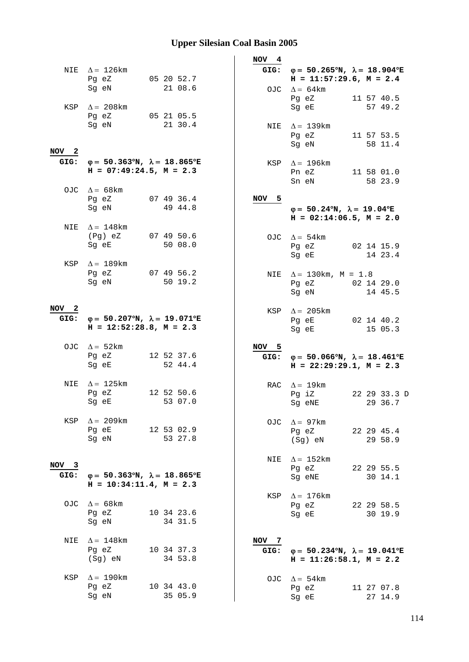|                          |                                                                                                                                                     |                       | NOV 4         |                                                                                                |
|--------------------------|-----------------------------------------------------------------------------------------------------------------------------------------------------|-----------------------|---------------|------------------------------------------------------------------------------------------------|
|                          | NIE $\Delta = 126$ km<br>Pg eZ                                                                                                                      | 05 20 52.7            |               | GIG: $\varphi = 50.265^{\circ}N$ , $\lambda = 18.904^{\circ}E$<br>$H = 11:57:29.6$ , $M = 2.4$ |
|                          | Sg eN<br>KSP $\Delta = 208 \text{km}$                                                                                                               | 21 08.6               | OJC           | $\Delta = 64 \text{km}$<br>Pg eZ<br>11 57 40.5<br>Sq eE<br>57 49.2                             |
|                          | Pg eZ<br>Sg eN                                                                                                                                      | 05 21 05.5<br>21 30.4 |               | NIE $\Delta = 139$ km<br>Pg eZ<br>11 57 53.5                                                   |
| NOV <sub>2</sub>         |                                                                                                                                                     |                       |               | 58 11.4<br>Sg eN                                                                               |
| GIG:                     | $\varphi = 50.363^{\circ}N$ , $\lambda = 18.865^{\circ}E$<br>$H = 07:49:24.5$ , $M = 2.3$                                                           |                       | KSP           | $\Delta = 196 \text{km}$<br>11 58 01.0<br>Pn eZ<br>58 23.9<br>Sn eN                            |
|                          | OJC $\Delta = 68$ km<br>Pg eZ<br>Sg eN                                                                                                              | 07 49 36.4<br>49 44.8 | NOV 5         | $\varphi = 50.24^{\circ}N$ , $\lambda = 19.04^{\circ}E$                                        |
| NIE                      | $\Delta = 148$ km                                                                                                                                   |                       |               | $H = 02:14:06.5$ , $M = 2.0$                                                                   |
|                          | (Pg) eZ<br>Sg eE                                                                                                                                    | 07 49 50.6<br>50 08.0 |               | OJC $\Delta = 54 \text{km}$<br>02 14 15.9<br>Pg eZ<br>14 23.4<br>Sg eE                         |
|                          | KSP $\Delta = 189$ km<br>Pg eZ<br>Sg eN                                                                                                             | 07 49 56.2<br>50 19.2 | NIE           | $\Delta = 130 \text{km}$ , M = 1.8<br>Pg eZ 02 14 29.0<br>Sg eN<br>14 45.5                     |
| NOV <sub>2</sub><br>GIG: | $\varphi = 50.207^{\circ}N$ , $\lambda = 19.071^{\circ}E$<br>$H = 12:52:28.8$ , $M = 2.3$                                                           |                       | KSP           | $\Delta = 205 \text{km}$<br>Pg eE<br>02 14 40.2<br>15 05.3<br>Sg eE                            |
|                          | OJC $\Delta = 52 \text{km}$<br>Pq eZ<br>Sg eE                                                                                                       | 12 52 37.6<br>52 44.4 | NOV 5<br>GIG: | $\varphi = 50.066^{\circ}N$ , $\lambda = 18.461^{\circ}E$<br>$H = 22:29:29.1, M = 2.3$         |
| NIE                      | $\Delta = 125 \text{km}$<br>Pg eZ<br>Sg eE and the state of the state of the state of the state of the state of the state of the state of the state | 12 52 50.6<br>53 07.0 |               | RAC $\Delta = 19$ km<br>Pg iZ<br>22 29 33.3 D<br>29 36.7<br>Sg eNE                             |
| KSP                      | $\Delta = 209$ km<br>Pg eE<br>Sg eN                                                                                                                 | 12 53 02.9<br>53 27.8 | OJC           | $\Delta = 97$ km<br>22 29 45.4<br>Pg eZ<br>29 58.9<br>(Sg) eN                                  |
| $NOV$ 3                  |                                                                                                                                                     |                       | NIE           | $\Delta = 152 \text{km}$                                                                       |
| GIG:                     | $\varphi = 50.363^{\circ}N$ , $\lambda = 18.865^{\circ}E$<br>$H = 10:34:11.4, M = 2.3$                                                              |                       |               | 22 29 55.5<br>Pg eZ<br>Sg eNE<br>30 14.1                                                       |
|                          | OJC $\Delta = 68 \text{km}$<br>Pg eZ<br>Sg eN                                                                                                       | 10 34 23.6<br>34 31.5 | KSP           | $\Delta = 176$ km<br>22 29 58.5<br>Pg eZ<br>30 19.9<br>Sg eE                                   |
| NIE                      | $\Delta = 148$ km<br>Pg eZ<br>(Sg) eN                                                                                                               | 10 34 37.3<br>34 53.8 | NOV 7<br>GIG: | $\varphi = 50.234^{\circ}N$ , $\lambda = 19.041^{\circ}E$<br>$H = 11:26:58.1, M = 2.2$         |
| KSP                      | $\Delta = 190$ km<br>Pg eZ<br>Sg eN                                                                                                                 | 10 34 43.0<br>35 05.9 |               | OJC $\Delta = 54 \text{km}$<br>Pg eZ<br>11 27 07.8<br>27 14.9<br>Sg eE                         |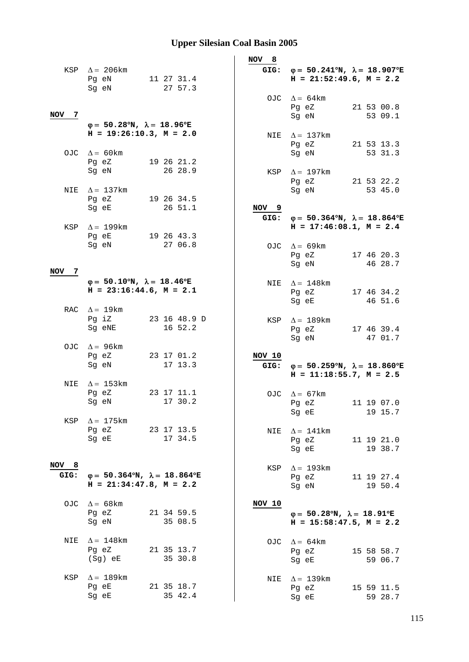|               |                                                                                           |                         | NOV 8            |                                                                                                |                       |
|---------------|-------------------------------------------------------------------------------------------|-------------------------|------------------|------------------------------------------------------------------------------------------------|-----------------------|
|               | KSP $\Delta$ = 206km<br>Pg eN                                                             | 11 27 31.4              |                  | GIG: $\varphi = 50.241^{\circ}N$ , $\lambda = 18.907^{\circ}E$<br>$H = 21:52:49.6$ , $M = 2.2$ |                       |
|               | Sg eN                                                                                     | 27 57.3                 |                  | OJC $\Delta = 64 \text{km}$<br>Pg eZ                                                           | 21 53 00.8            |
| NOV 7         | $\varphi = 50.28^{\circ}N$ , $\lambda = 18.96^{\circ}E$                                   |                         |                  | Sg eN                                                                                          | 53 09.1               |
|               | $H = 19:26:10.3, M = 2.0$                                                                 |                         |                  | NIE $\Delta = 137 \text{km}$<br>Pg eZ                                                          | 21 53 13.3            |
|               | OJC $\Delta = 60 \text{km}$<br>Pg eZ                                                      | 19 26 21.2              |                  | Sg eN                                                                                          | 53 31.3               |
| NIE           | Sg eN<br>$\Delta = 137$ km                                                                | 26 28.9                 |                  | KSP $\Delta = 197$ km<br>Pg eZ<br>Sg eN                                                        | 21 53 22.2<br>53 45.0 |
|               | Pg eZ<br>Sg eE                                                                            | 19 26 34.5<br>26 51.1   | NOV <sub>9</sub> |                                                                                                |                       |
| KSP           | $\Delta = 199$ km                                                                         |                         | GIG:             | $\varphi = 50.364^{\circ}N$ , $\lambda = 18.864^{\circ}E$<br>$H = 17:46:08.1, M = 2.4$         |                       |
|               | Pg eE<br>Sq eN                                                                            | 19 26 43.3<br>27 06.8   |                  | OJC $\Delta = 69 \text{km}$<br>Pg eZ                                                           | 17 46 20.3            |
| NOV<br>7      | $\varphi = 50.10^{\circ}N$ , $\lambda = 18.46^{\circ}E$                                   |                         |                  | Sg eN                                                                                          | 46 28.7               |
|               | $H = 23:16:44.6$ , $M = 2.1$<br>RAC $\Delta = 19 \text{km}$                               |                         | NIE              | $\Delta = 148$ km<br>Pg eZ<br>Sg eE                                                            | 17 46 34.2<br>46 51.6 |
|               | Pg iZ<br>Sg eNE                                                                           | 23 16 48.9 D<br>16 52.2 |                  | KSP $\Delta = 189$ km<br>Pg eZ<br>Sg eN                                                        | 17 46 39.4<br>47 01.7 |
|               | OJC $\Delta = 96 \text{km}$<br>Pg eZ<br>Sg eN                                             | 23 17 01.2<br>17 13.3   | NOV 10<br>GIG:   | $\varphi = 50.259^{\circ}N$ , $\lambda = 18.860^{\circ}E$<br>$H = 11:18:55.7$ , $M = 2.5$      |                       |
| NIE           | $\Delta = 153$ km<br>Pg eZ<br>Sg eN                                                       | 23 17 11.1<br>17 30.2   |                  | OJC $\Delta = 67 \text{km}$<br>Pg eZ                                                           | 11 19 07.0            |
|               | KSP $\Delta = 175$ km                                                                     |                         |                  | Sg eE                                                                                          | 19 15.7               |
|               | Pg eZ 23 17 13.5<br>Sg eE                                                                 | 17 34.5                 | NIE              | $\Delta = 141$ km<br>Pg eZ<br>Sg eE                                                            | 11 19 21.0<br>19 38.7 |
| NOV 8<br>GIG: | $\varphi = 50.364^{\circ}N$ , $\lambda = 18.864^{\circ}E$<br>$H = 21:34:47.8$ , $M = 2.2$ |                         |                  | KSP $\Delta = 193 \text{km}$<br>Pg eZ<br>Sg eN                                                 | 11 19 27.4<br>19 50.4 |
|               | OJC $\Delta = 68 \text{km}$<br>Pg eZ<br>Sg eN                                             | 21 34 59.5<br>35 08.5   | NOV 10           | $\varphi = 50.28^{\circ}N$ , $\lambda = 18.91^{\circ}E$<br>$H = 15:58:47.5$ , $M = 2.2$        |                       |
| NIE           | $\Delta = 148$ km<br>Pg eZ<br>(Sg) eE                                                     | 21 35 13.7<br>35 30.8   |                  | OJC $\Delta = 64$ km<br>Pg eZ<br>Sg eE                                                         | 15 58 58.7<br>59 06.7 |
| KSP           | $\Delta = 189$ km<br>Pg eE<br>Sg eE                                                       | 21 35 18.7<br>35 42.4   | NIE              | $\Delta = 139$ km<br>Pg eZ<br>Sg eE                                                            | 15 59 11.5<br>59 28.7 |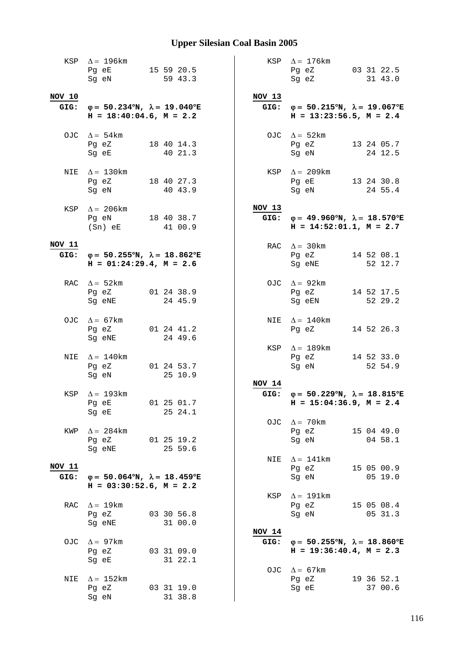|                | KSP $\Delta = 196 \text{km}$<br>Pg eE 15 59 20.5<br>Sg eN                                      | 59 43.3               |                | KSP $\Delta = 176$ km<br>Pg eZ 03 31 22.5<br>Sg eZ 31 43.0                                     |
|----------------|------------------------------------------------------------------------------------------------|-----------------------|----------------|------------------------------------------------------------------------------------------------|
|                |                                                                                                |                       |                |                                                                                                |
| NOV 10         | GIG: $\varphi = 50.234^{\circ}N$ , $\lambda = 19.040^{\circ}E$<br>$H = 18:40:04.6$ , $M = 2.2$ |                       | NOV 13         | GIG: $\varphi = 50.215^{\circ}N$ , $\lambda = 19.067^{\circ}E$<br>$H = 13:23:56.5$ , $M = 2.4$ |
|                | OJC $\Delta = 54 \text{km}$<br>Pg eZ 18 40 14.3<br>Sg eE                                       | 40 21.3               |                | OJC $\Delta = 52 \text{km}$<br>Pg eZ 13 24 05.7<br>Sg eN<br>24 12.5                            |
|                | NIE $\Delta = 130$ km<br>Pg eZ 18 40 27.3<br>Sg eN 40 43.9                                     |                       |                | KSP $\Delta = 209$ km<br>Pg eE 13 24 30.8<br>Sg eN<br>24 55.4                                  |
|                | KSP $\Delta$ = 206km<br>Pg eN 18 40 38.7<br>(Sn) eE 41 00.9                                    |                       | NOV 13         | GIG: $\varphi = 49.960^{\circ}N$ , $\lambda = 18.570^{\circ}E$<br>$H = 14:52:01.1, M = 2.7$    |
| NOV 11         | GIG: $\varphi = 50.255^{\circ}N$ , $\lambda = 18.862^{\circ}E$<br>$H = 01:24:29.4$ , $M = 2.6$ |                       |                | RAC $\Delta = 30 \text{km}$<br>Pg eZ 14 52 08.1<br>Sg eNE 52 12.7                              |
|                | RAC $\Delta = 52 \text{km}$<br>Pg eZ 01 24 38.9<br>Sg eNE                                      | 24 45.9               |                | OJC $\Delta = 92 \text{km}$<br>Pg eZ<br>14 52 17.5<br>Sg eEN<br>52 29.2                        |
|                | OJC $\Delta = 67 \text{km}$<br>Pg eZ<br>Sg eNE                                                 | 01 24 41.2<br>24 49.6 |                | NIE $\Delta = 140$ km<br>14 52 26.3<br>Pg eZ                                                   |
| NIE            | $\Delta = 140$ km<br>Pg eZ 01 24 53.7<br>Sg eN                                                 | 25 10.9               |                | KSP $\Delta = 189$ km<br>Pg eZ 14 52 33.0<br>Sg eN<br>52 54.9                                  |
|                | KSP $\Delta = 193 \text{km}$<br>Pg eE 01 25 01.7<br>Sg eE                                      | 25 24.1               | NOV 14         | GIG: $\varphi = 50.229^{\circ}N$ , $\lambda = 18.815^{\circ}E$<br>$H = 15:04:36.9$ , $M = 2.4$ |
| KWP            | $\Delta = 284$ km<br>Pg eZ<br>Sg eNE                                                           | 01 25 19.2<br>25 59.6 |                | OJC $\Delta = 70 \text{km}$<br>Pg eZ<br>15 04 49.0<br>Sg eN<br>04 58.1                         |
|                |                                                                                                |                       |                | NIE $\Delta = 141$ km                                                                          |
| NOV 11<br>GIG: | $\varphi = 50.064^{\circ}N$ , $\lambda = 18.459^{\circ}E$<br>$H = 03:30:52.6$ , $M = 2.2$      |                       |                | Pg eZ<br>15 05 00.9<br>Sg eN<br>05 19.0                                                        |
| RAC            | $\Delta = 19 \text{km}$<br>Pg eZ<br>Sg eNE                                                     | 03 30 56.8<br>31 00.0 | KSP            | $\Delta$ = 191km<br>Pg eZ<br>15 05 08.4<br>Sg eN<br>05 31.3                                    |
|                | OJC $\Delta = 97 \text{km}$<br>Pg eZ<br>Sg eE                                                  | 03 31 09.0<br>31 22.1 | NOV 14<br>GIG: | $\varphi = 50.255^{\circ}N$ , $\lambda = 18.860^{\circ}E$<br>$H = 19:36:40.4$ , $M = 2.3$      |
| NIE            | $\Delta = 152 \text{km}$<br>Pg eZ<br>Sg eN                                                     | 03 31 19.0<br>31 38.8 |                | OJC $\Delta = 67 \text{km}$<br>Pg eZ<br>19 36 52.1<br>Sg eE<br>37 00.6                         |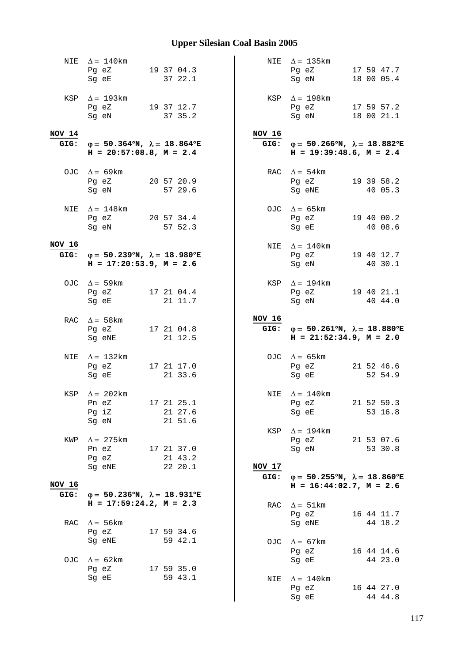|                | NIE $\Delta = 140$ km<br>Pg eZ<br>Sg eE                                                        | 19 37 04.3<br>37 22.1               |                  | NIE $\Delta = 135 \text{km}$<br>Pg eZ<br>Sg eN                                                 |  | 17 59 47.7<br>18 00 05.4 |
|----------------|------------------------------------------------------------------------------------------------|-------------------------------------|------------------|------------------------------------------------------------------------------------------------|--|--------------------------|
|                | KSP $\Delta = 193 \text{km}$<br>Pg eZ 19 37 12.7<br>Sg eN                                      | 37 35.2                             |                  | KSP $\Delta = 198$ km<br>Pg eZ 17 59 57.2<br>Sg eN                                             |  | 18 00 21.1               |
| NOV 14         | GIG: $\varphi = 50.364^{\circ}N$ , $\lambda = 18.864^{\circ}E$<br>$H = 20:57:08.8$ , $M = 2.4$ |                                     | NOV 16           | GIG: $\varphi = 50.266^{\circ}N$ , $\lambda = 18.882^{\circ}E$<br>$H = 19:39:48.6$ , $M = 2.4$ |  |                          |
|                | OJC $\Delta = 69 \text{km}$<br>Pg eZ<br>Sg eN                                                  | 20 57 20.9<br>57 29.6               |                  | RAC $\Delta = 54 \text{km}$<br>Pg eZ<br>Sg eNE                                                 |  | 19 39 58.2<br>40 05.3    |
| NIE            | $\Delta = 148$ km<br>Pq eZ 20 57 34.4<br>Sg eN                                                 | 57 52.3                             |                  | OJC $\Delta = 65 \text{km}$<br>Pg eZ 19 40 00.2<br>Sg eE                                       |  | 40 08.6                  |
| NOV 16         | GIG: $\varphi = 50.239^{\circ}N$ , $\lambda = 18.980^{\circ}E$<br>$H = 17:20:53.9$ , $M = 2.6$ |                                     |                  | NIE $\Delta = 140$ km<br>Pg eZ<br>Sq eN                                                        |  | 19 40 12.7<br>40 30.1    |
|                | OJC $\Delta = 59 \text{km}$<br>Pg eZ<br>Sg eE                                                  | 17 21 04.4<br>21 11.7               |                  | KSP $\Delta = 194$ km<br>Pg eZ<br>Sg eN                                                        |  | 19 40 21.1<br>40 44.0    |
|                | RAC $\Delta = 58 \text{km}$<br>Pg eZ<br>Sg eNE                                                 | 17 21 04.8                          | NOV 16<br>GIG:   | $\varphi = 50.261^{\circ}N$ , $\lambda = 18.880^{\circ}E$                                      |  |                          |
|                |                                                                                                | 21 12.5                             |                  | $H = 21:52:34.9$ , $M = 2.0$                                                                   |  |                          |
| NIE            | $\Delta = 132$ km<br>Pg eZ 17 21 17.0<br>Sg eE                                                 | 21 33.6                             |                  | OJC $\Delta = 65 \text{km}$<br>Pg eZ<br>Sg eE                                                  |  | 21 52 46.6<br>52 54.9    |
| KSP            | $\Delta = 202$ km<br>Pn eZ<br>Pg iZ<br>Sg eN                                                   | 17 21 25.1<br>21 27.6<br>21 51.6    |                  | NIE $\Delta = 140$ km<br>Pg eZ<br>Sg eE                                                        |  | 21 52 59.3<br>53 16.8    |
| KWP            | $\Delta = 275$ km<br>Pn eZ<br>Pg eZ                                                            | 17 21 37.0<br>21 43.2               | KSP              | $\Delta = 194 \text{km}$<br>Pg eZ 21 53 07.6<br>Sg eN                                          |  | 53 30.8                  |
|                | Sg eNE                                                                                         | 22 20.1                             | $NOV$ 17<br>GIG: | $\varphi = 50.255^{\circ}N$ , $\lambda = 18.860^{\circ}E$                                      |  |                          |
| NOV 16<br>GIG: | $\varphi = 50.236^{\circ}N$ , $\lambda = 18.931^{\circ}E$                                      |                                     |                  | $H = 16:44:02.7$ , $M = 2.6$                                                                   |  |                          |
|                | $H = 17:59:24.2, M = 2.3$                                                                      |                                     | RAC              | $\Delta = 51 \text{km}$<br>Pg eZ                                                               |  | 16 44 11.7               |
| RAC            | $\Delta = 56$ km                                                                               |                                     |                  | Sg eNE                                                                                         |  | 44 18.2                  |
|                | Pg eZ<br>Sg eNE<br>OJC $\Delta = 62 \text{km}$<br>Pg eZ                                        | 17 59 34.6<br>59 42.1<br>17 59 35.0 |                  | OJC $\Delta = 67 \text{km}$<br>Pg eZ<br>Sg eE                                                  |  | 16 44 14.6<br>44 23.0    |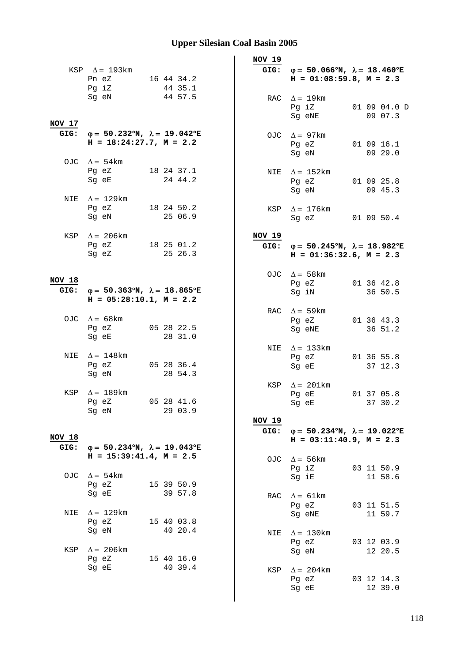|        |                                                                                                                                                                   |                       |  | NOV 19 |       |                                                                                                |  |                         |
|--------|-------------------------------------------------------------------------------------------------------------------------------------------------------------------|-----------------------|--|--------|-------|------------------------------------------------------------------------------------------------|--|-------------------------|
|        | KSP $\Delta = 193 \text{km}$<br>Pn eZ 16 44 34.2<br>Pg iZ                                                                                                         | 44 35.1               |  |        |       | GIG: $\varphi = 50.066^{\circ}N$ , $\lambda = 18.460^{\circ}E$<br>$H = 01:08:59.8, M = 2.3$    |  |                         |
| NOV 17 | Sg eN                                                                                                                                                             | 44 57.5               |  |        |       | RAC $\Delta = 19 \text{km}$<br>Pg iZ<br>Sg eNE                                                 |  | 01 09 04.0 D<br>09 07.3 |
|        | GIG: $\varphi = 50.232^{\circ}N$ , $\lambda = 19.042^{\circ}E$<br>$H = 18:24:27.7, M = 2.2$                                                                       |                       |  |        |       | OJC $\Delta = 97 \text{km}$<br>Pg eZ<br>Sg eN                                                  |  | 01 09 16.1<br>09 29.0   |
|        | OJC $\Delta = 54 \text{km}$<br>Pg eZ 18 24 37.1<br>Sg eE and the state of the state of the state of the state of the state of the state of the state of the state | 24 44.2               |  |        |       | NIE $\Delta = 152 \text{km}$<br>Pg eZ 01 09 25.8                                               |  | 09 45.3                 |
| NIE    | $\Delta = 129$ km<br>Pg eZ 18 24 50.2<br>Sg eN                                                                                                                    | 25 06.9               |  | KSP    |       | Sg eN<br>$\Delta = 176$ km<br>Sg eZ 01 09 50.4                                                 |  |                         |
|        | KSP $\Delta = 206 \text{km}$<br>Pg eZ 18 25 01.2<br>Sg eZ                                                                                                         | 25 26.3               |  | NOV 19 |       | GIG: $\varphi = 50.245^{\circ}N$ , $\lambda = 18.982^{\circ}E$<br>$H = 01:36:32.6$ , $M = 2.3$ |  |                         |
| NOV 18 |                                                                                                                                                                   |                       |  |        |       | OJC $\Delta = 58 \text{km}$<br>Pg eZ                                                           |  | 01 36 42.8              |
|        | GIG: $\varphi = 50.363^{\circ}N$ , $\lambda = 18.865^{\circ}E$<br>$H = 05:28:10.1, M = 2.2$                                                                       |                       |  |        |       | Sg iN                                                                                          |  | 36 50.5                 |
|        | OJC $\Delta = 68 \text{km}$<br>Pg eZ<br>Sg eE                                                                                                                     | 05 28 22.5<br>28 31.0 |  |        |       | RAC $\Delta = 59$ km<br>Pg eZ<br>Sg eNE                                                        |  | 01 36 43.3<br>36 51.2   |
| NIE    | $\Delta = 148$ km<br>Pg eZ 05 28 36.4<br>Sg eN                                                                                                                    | 28 54.3               |  |        |       | NIE $\Delta = 133$ km<br>Pg eZ<br>Sg eE                                                        |  | 01 36 55.8<br>37 12.3   |
|        | KSP $\Delta = 189$ km<br>Pq eZ<br>Sg eN                                                                                                                           | 05 28 41.6<br>29 03.9 |  |        | Pg eE | KSP $\Delta = 201 \text{km}$<br>Sg eE 37 30.2                                                  |  | 01 37 05.8              |
| NOV 18 |                                                                                                                                                                   |                       |  | NOV 19 |       | GIG: $\varphi = 50.234^{\circ}N$ , $\lambda = 19.022^{\circ}E$<br>$H = 03:11:40.9, M = 2.3$    |  |                         |
| GIG:   | $\varphi = 50.234^{\circ}N$ , $\lambda = 19.043^{\circ}E$<br>$H = 15:39:41.4$ , $M = 2.5$                                                                         |                       |  |        |       | $\Delta = 56 \text{km}$                                                                        |  |                         |
|        | OJC $\Delta = 54 \text{km}$<br>Pg eZ                                                                                                                              | 15 39 50.9            |  | OJC    |       | Pg iZ<br>Sg iE                                                                                 |  | 03 11 50.9<br>11 58.6   |
| NIE    | Sg eE<br>$\Delta = 129$ km                                                                                                                                        | 39 57.8               |  | RAC    |       | $\Delta = 61 \text{km}$<br>Pg eZ                                                               |  | 03 11 51.5              |
|        | Pg eZ<br>Sg eN                                                                                                                                                    | 15 40 03.8<br>40 20.4 |  | NIE    |       | Sg eNE<br>$\Delta = 130$ km                                                                    |  | 11 59.7                 |
| KSP    | $\Delta = 206 \text{km}$<br>Pg eZ                                                                                                                                 | 15 40 16.0            |  |        | Pg eZ | Sg eN                                                                                          |  | 03 12 03.9<br>12 20.5   |
|        | Sg eE                                                                                                                                                             | 40 39.4               |  | KSP    |       | $\Delta = 204 \text{km}$<br>Pg eZ<br>Sg eE                                                     |  | 03 12 14.3<br>12 39.0   |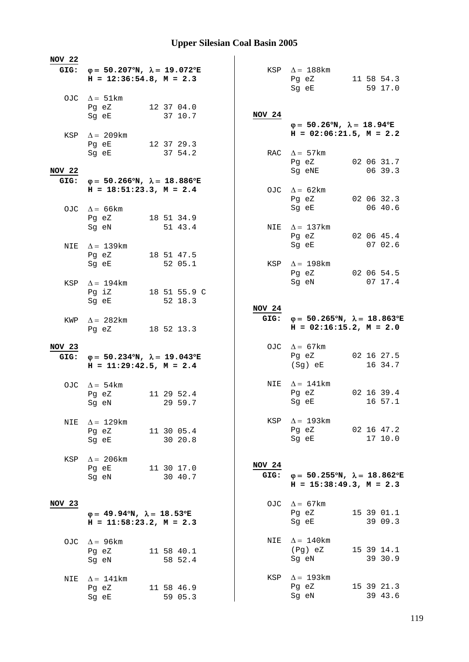| <b>NOV 22</b> |                                                                                                |                       |                       |                                                                                         |                       |
|---------------|------------------------------------------------------------------------------------------------|-----------------------|-----------------------|-----------------------------------------------------------------------------------------|-----------------------|
|               | GIG: $\varphi = 50.207^{\circ}N$ , $\lambda = 19.072^{\circ}E$<br>$H = 12:36:54.8$ , $M = 2.3$ |                       |                       | KSP $\Delta = 188$ km<br>Pg eZ 11 58 54.3<br>Sg eE                                      | 59 17.0               |
|               | OJC $\Delta = 51 \text{km}$                                                                    |                       |                       |                                                                                         |                       |
|               | Pg eZ<br>Sg eE                                                                                 | 12 37 04.0<br>37 10.7 | NOV 24                |                                                                                         |                       |
|               | KSP $\Delta = 209$ km                                                                          |                       |                       | $\varphi = 50.26^{\circ}N$ , $\lambda = 18.94^{\circ}E$<br>$H = 02:06:21.5$ , $M = 2.2$ |                       |
|               | Pg eE                                                                                          | 12 37 29.3            |                       |                                                                                         |                       |
| <b>NOV 22</b> | Sg eE                                                                                          | 37 54.2               |                       | RAC $\Delta = 57 \text{km}$<br>Pg eZ 02 06 31.7                                         | 06 39.3               |
| GIG:          | φ= 50.266°N, $\lambda$ = 18.886°E                                                              |                       |                       | Sg eNE                                                                                  |                       |
|               | $H = 18:51:23.3, M = 2.4$                                                                      |                       |                       | OJC $\Delta = 62 \text{km}$<br>Pg eZ 02 06 32.3                                         |                       |
|               | OJC $\Delta = 66 \text{km}$                                                                    |                       |                       | Sg eE                                                                                   | 06 40.6               |
|               | Pg eZ 18 51 34.9<br>Sg eN                                                                      | 51 43.4               |                       | NIE $\Delta = 137 \text{km}$                                                            |                       |
|               |                                                                                                |                       |                       | Pg eZ                                                                                   | 02 06 45.4            |
| NIE           | $\Delta = 139$ km                                                                              |                       |                       | Sg eE                                                                                   | 07 02.6               |
|               | Pg eZ                                                                                          | 18 51 47.5            |                       |                                                                                         |                       |
|               | Sg eE                                                                                          | 52 05.1               |                       | KSP $\Delta = 198$ km<br>Pg eZ                                                          | 02 06 54.5            |
| KSP           | $\Delta = 194$ km                                                                              |                       |                       | Sg eN                                                                                   | 07 17.4               |
|               | Pg iZ                                                                                          | 18 51 55.9 C          |                       |                                                                                         |                       |
|               | Sg eE                                                                                          | 52 18.3               | NOV 24                |                                                                                         |                       |
| KWP           | $\Delta = 282$ km                                                                              |                       |                       | GIG: $\varphi = 50.265^{\circ}N$ , $\lambda = 18.863^{\circ}E$                          |                       |
|               | Pg eZ 18 52 13.3                                                                               |                       |                       | $H = 02:16:15.2, M = 2.0$                                                               |                       |
|               |                                                                                                |                       |                       |                                                                                         |                       |
|               |                                                                                                |                       |                       |                                                                                         |                       |
| NOV 23        |                                                                                                |                       |                       | OJC $\Delta = 67 \text{km}$<br>Pg eZ 02 16 27.5                                         |                       |
|               | GIG: $\varphi = 50.234^{\circ}N$ , $\lambda = 19.043^{\circ}E$<br>$H = 11:29:42.5$ , $M = 2.4$ |                       |                       | (Sg) eE                                                                                 | 16 34.7               |
|               |                                                                                                |                       |                       |                                                                                         |                       |
|               | OJC $\Delta = 54 \text{km}$                                                                    |                       |                       | NIE $\Delta = 141$ km                                                                   |                       |
|               | Pg eZ<br>Sg eN 29 59.7                                                                         | 11 29 52.4            |                       | Pg eZ 02 16 39.4<br>Sg eE                                                               | 16 57.1               |
|               |                                                                                                |                       |                       |                                                                                         |                       |
| NIE           | $\Delta = 129$ km                                                                              |                       |                       | KSP $\Delta = 193 \text{km}$                                                            |                       |
|               | Pg eZ<br>Sg eE                                                                                 | 11 30 05.4<br>30 20.8 |                       | Pg eZ 02 16 47.2<br>Sg eE                                                               | 17 10.0               |
|               |                                                                                                |                       |                       |                                                                                         |                       |
| KSP           | $\Delta = 206$ km                                                                              |                       |                       |                                                                                         |                       |
|               | Pg eE                                                                                          | 11 30 17.0            | <b>NOV 24</b><br>GIG: | $φ = 50.255°N, λ = 18.862°E$                                                            |                       |
|               | Sg eN                                                                                          | 30 40.7               |                       | $H = 15:38:49.3, M = 2.3$                                                               |                       |
|               |                                                                                                |                       |                       |                                                                                         |                       |
| NOV 23        |                                                                                                |                       |                       | OJC $\Delta = 67 \text{km}$<br>Pg eZ                                                    | 15 39 01.1            |
|               | $\varphi = 49.94^{\circ}N$ , $\lambda = 18.53^{\circ}E$<br>$H = 11:58:23.2, M = 2.3$           |                       |                       | Sg eE                                                                                   | 39 09.3               |
|               |                                                                                                |                       |                       |                                                                                         |                       |
|               | OJC $\Delta = 96 \text{km}$                                                                    |                       |                       | NIE $\Delta = 140$ km<br>(Pg) eZ                                                        |                       |
|               | Pg eZ<br>Sg eN                                                                                 | 11 58 40.1<br>58 52.4 |                       | Sg eN                                                                                   | 15 39 14.1<br>39 30.9 |
|               |                                                                                                |                       |                       |                                                                                         |                       |
| NIE           | $\Delta = 141 \text{km}$                                                                       |                       |                       | KSP $\Delta = 193 \text{km}$                                                            |                       |
|               | Pg eZ<br>Sg eE                                                                                 | 11 58 46.9<br>59 05.3 |                       | Pg eZ<br>Sg eN                                                                          | 15 39 21.3<br>39 43.6 |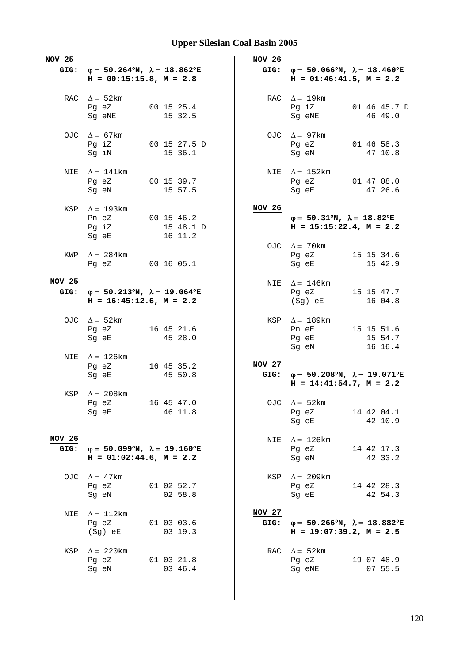| <b>NOV 25</b>  |                                                                                                |                         | <b>NOV 26</b>         |                                                                                           |
|----------------|------------------------------------------------------------------------------------------------|-------------------------|-----------------------|-------------------------------------------------------------------------------------------|
| GIG:           | $\varphi = 50.264^{\circ}N$ , $\lambda = 18.862^{\circ}E$<br>$H = 00:15:15.8$ , $M = 2.8$      |                         | GIG:                  | $\varphi = 50.066^{\circ}N$ , $\lambda = 18.460^{\circ}E$<br>$H = 01:46:41.5$ , $M = 2.2$ |
|                | RAC $\Delta = 52$ km<br>Pg eZ<br>Sg eNE                                                        | 00 15 25.4<br>15 32.5   |                       | RAC $\Delta = 19$ km<br>Pq iZ<br>01 46 45.7 D<br>46 49.0<br>Sg eNE                        |
|                | OJC $\Delta = 67 \text{km}$<br>Pg iZ<br>Sq iN                                                  | 00 15 27.5 D<br>15 36.1 |                       | OJC $\Delta = 97$ km<br>01 46 58.3<br>Pg eZ<br>Sg eN<br>47 10.8                           |
|                | NIE $\Delta = 141$ km<br>Pg eZ 00 15 39.7<br>Sg eN                                             | 15 57.5                 |                       | NIE $\Delta = 152 \text{km}$<br>Pg eZ 01 47 08.0<br>Sg eE<br>47 26.6                      |
|                | KSP $\Delta = 193 \text{km}$<br>Pn eZ 00 15 46.2<br>Pg iZ<br>Sg eE                             | 15 48.1 D<br>16 11.2    | NOV 26                | $\varphi = 50.31^{\circ}N$ , $\lambda = 18.82^{\circ}E$<br>$H = 15:15:22.4, M = 2.2$      |
| KWP            | $\Delta = 284$ km<br>Pq eZ 00 16 05.1                                                          |                         |                       | OJC $\Delta = 70$ km<br>Pg eZ<br>15 15 34.6<br>Sg eE<br>15 42.9                           |
| NOV 25         | GIG: $\varphi = 50.213^{\circ}N$ , $\lambda = 19.064^{\circ}E$<br>$H = 16:45:12.6$ , $M = 2.2$ |                         |                       | NIE $\Delta = 146$ km<br>Pg eZ<br>15 15 47.7<br>$(Sg)$ eE<br>16 04.8                      |
|                | OJC $\Delta = 52 \text{km}$<br>Pg eZ<br>Sg eE                                                  | 16 45 21.6<br>45 28.0   |                       | KSP $\Delta = 189$ km<br>15 15 51.6<br>Pn eE<br>15 54.7<br>Pg eE<br>16 16.4<br>Sg eN      |
| NIE            | $\Delta = 126$ km<br>Pg eZ 16 45 35.2<br>Sg eE                                                 | 45 50.8                 | NOV 27<br>GIG:        | $\varphi = 50.208$ °N, $\lambda = 19.071$ °E<br>$H = 14:41:54.7, M = 2.2$                 |
| KSP            | $\Delta = 208$ km<br>Pg eZ<br>Sg eE                                                            | 16 45 47.0<br>46 11.8   |                       | OJC $\Delta = 52 \text{km}$<br>14 42 04.1<br>Pg eZ<br>42 10.9<br>Sg eE                    |
| NOV 26<br>GIG: | $\varphi = 50.099^{\circ}N$ , $\lambda = 19.160^{\circ}E$<br>$H = 01:02:44.6$ , $M = 2.2$      |                         | NIE                   | $\Delta = 126 \text{km}$<br>14 42 17.3<br>Pg eZ<br>Sg eN<br>42 33.2                       |
|                | OJC $\Delta = 47$ km<br>Pg eZ<br>Sg eN                                                         | 01 02 52.7<br>02 58.8   | KSP                   | $\Delta = 209 \text{km}$<br>Pg eZ<br>14 42 28.3<br>Sg eE<br>42 54.3                       |
| NIE            | $\Delta = 112 \text{km}$<br>Pg eZ<br>(Sg) eE                                                   | 01 03 03.6<br>03 19.3   | <b>NOV 27</b><br>GIG: | $\varphi = 50.266^{\circ}N$ , $\lambda = 18.882^{\circ}E$<br>$H = 19:07:39.2, M = 2.5$    |
| KSP            | $\Delta = 220$ km<br>Pg eZ<br>Sg eN                                                            | 01 03 21.8<br>03 46.4   |                       | RAC $\Delta = 52 \text{km}$<br>Pg eZ<br>19 07 48.9<br>Sg eNE<br>07 55.5                   |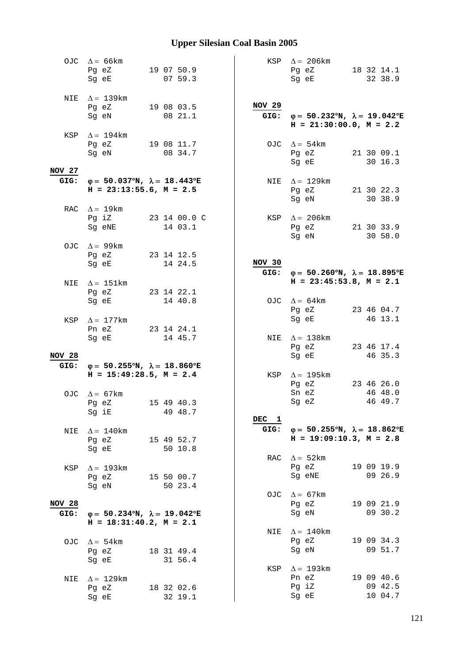|               | OJC $\Delta = 66 \text{km}$<br>Pg eZ 19 07 50.9<br>Sq eE                                                                                                          | 0759.3                        |               | KSP $\Delta = 206 \text{km}$<br>Pg eZ 18 32 14.1<br>Sg eE                                                                                                                                                                                                                         |  | 32 38.9               |
|---------------|-------------------------------------------------------------------------------------------------------------------------------------------------------------------|-------------------------------|---------------|-----------------------------------------------------------------------------------------------------------------------------------------------------------------------------------------------------------------------------------------------------------------------------------|--|-----------------------|
|               | NIE $\Delta = 139 \text{km}$<br>Pg eZ 19 08 03.5<br>Sg eN                                                                                                         | 08 21.1                       | <b>NOV 29</b> | GIG: $\varphi = 50.232^{\circ}N$ , $\lambda = 19.042^{\circ}E$<br>$H = 21:30:00.0, M = 2.2$                                                                                                                                                                                       |  |                       |
|               | KSP $\Delta = 194 \text{km}$<br>Pg eZ 19 08 11.7<br>Sg eN                                                                                                         | 08 34.7                       |               | OJC $\Delta = 54 \text{km}$<br>Pg eZ<br>Sg eE                                                                                                                                                                                                                                     |  | 21 30 09.1<br>30 16.3 |
| NOV 27        | GIG: $\varphi = 50.037^{\circ}N$ , $\lambda = 18.443^{\circ}E$                                                                                                    |                               |               | NIE $\Delta = 129$ km                                                                                                                                                                                                                                                             |  |                       |
|               | $H = 23:13:55.6$ , $M = 2.5$                                                                                                                                      |                               |               | Pg eZ 21 30 22.3<br>Sg eN                                                                                                                                                                                                                                                         |  | 30 38.9               |
|               | RAC $\Delta = 19 \text{km}$<br>Sg eNE                                                                                                                             | Pg iZ 23 14 00.0 C<br>14 03.1 |               | KSP $\Delta = 206 \text{km}$<br>Pg eZ 21 30 33.9<br>Sg eN and the state of the state of the state of the state of the state of the state of the state of the state of the state of the state of the state of the state of the state of the state of the state of the state of the |  | 30 58.0               |
|               | OJC $\Delta = 99 \text{km}$<br>Pg eZ 23 14 12.5<br>Sq eE and the state of the state of the state of the state of the state of the state of the state of the state | 14 24.5                       | NOV 30        |                                                                                                                                                                                                                                                                                   |  |                       |
|               |                                                                                                                                                                   |                               |               | GIG: $\varphi = 50.260^{\circ}N$ , $\lambda = 18.895^{\circ}E$                                                                                                                                                                                                                    |  |                       |
| NIE           | $\Delta = 151 \text{km}$                                                                                                                                          |                               |               | $H = 23:45:53.8$ , $M = 2.1$                                                                                                                                                                                                                                                      |  |                       |
|               | Pg eZ 23 14 22.1<br>Sg eE                                                                                                                                         | 14 40.8                       |               | OJC $\Delta = 64 \text{km}$                                                                                                                                                                                                                                                       |  |                       |
|               |                                                                                                                                                                   |                               |               | Pg eZ                                                                                                                                                                                                                                                                             |  | 23 46 04.7            |
| KSP           | $\Delta = 177$ km                                                                                                                                                 |                               |               | Sg eE                                                                                                                                                                                                                                                                             |  | 46 13.1               |
|               | Pn eZ 23 14 24.1                                                                                                                                                  |                               |               |                                                                                                                                                                                                                                                                                   |  |                       |
|               | Sg eE                                                                                                                                                             | 14 45.7                       |               | NIE $\Delta = 138$ km<br>Pg eZ                                                                                                                                                                                                                                                    |  | 23 46 17.4            |
| <b>NOV 28</b> |                                                                                                                                                                   |                               |               | Sg eE                                                                                                                                                                                                                                                                             |  | 46 35.3               |
|               | GIG: $\varphi = 50.255^{\circ}N$ , $\lambda = 18.860^{\circ}E$                                                                                                    |                               |               |                                                                                                                                                                                                                                                                                   |  |                       |
|               | $H = 15:49:28.5$ , $M = 2.4$                                                                                                                                      |                               |               | KSP $\Delta = 195$ km                                                                                                                                                                                                                                                             |  |                       |
|               |                                                                                                                                                                   |                               |               | Pg eZ 23 46 26.0                                                                                                                                                                                                                                                                  |  |                       |
|               | OJC $\Delta = 67 \text{km}$<br>Pg eZ 15 49 40.3                                                                                                                   |                               |               | Sn eZ<br>Sq eZ                                                                                                                                                                                                                                                                    |  | 46 48.0<br>46 49.7    |
|               | Sg iE                                                                                                                                                             | 49 48.7                       |               |                                                                                                                                                                                                                                                                                   |  |                       |
|               |                                                                                                                                                                   |                               | DEC 1         |                                                                                                                                                                                                                                                                                   |  |                       |
| NIE           | $\Delta = 140$ km<br>Pg eZ<br>Sg eE                                                                                                                               | 15 49 52.7<br>50 10.8         | GIG:          | $\varphi = 50.255^{\circ}N$ , $\lambda = 18.862^{\circ}E$<br>$H = 19:09:10.3, M = 2.8$                                                                                                                                                                                            |  |                       |
|               |                                                                                                                                                                   |                               | RAC           | $\Delta = 52 \text{km}$                                                                                                                                                                                                                                                           |  |                       |
| KSP           | $\Delta = 193$ km                                                                                                                                                 |                               |               | Pg eZ                                                                                                                                                                                                                                                                             |  | 19 09 19.9            |
|               | Pg eZ                                                                                                                                                             | 15 50 00.7                    |               | Sg eNE                                                                                                                                                                                                                                                                            |  | 09 26.9               |
|               | Sg eN                                                                                                                                                             | 50 23.4                       |               |                                                                                                                                                                                                                                                                                   |  |                       |
| <b>NOV 28</b> |                                                                                                                                                                   |                               |               | OJC $\Delta = 67 \text{km}$<br>Pg eZ                                                                                                                                                                                                                                              |  | 19 09 21.9            |
| GIG:          | $\varphi = 50.234^{\circ}N$ , $\lambda = 19.042^{\circ}E$                                                                                                         |                               |               | Sg eN                                                                                                                                                                                                                                                                             |  | 09 30.2               |
|               | $H = 18:31:40.2, M = 2.1$                                                                                                                                         |                               |               |                                                                                                                                                                                                                                                                                   |  |                       |
|               |                                                                                                                                                                   |                               | NIE           | $\Delta = 140$ km                                                                                                                                                                                                                                                                 |  |                       |
|               | OJC $\Delta = 54 \text{km}$                                                                                                                                       |                               |               | Pg eZ<br>Sg eN                                                                                                                                                                                                                                                                    |  | 19 09 34.3<br>09 51.7 |
|               | Pg eZ<br>Sg eE                                                                                                                                                    | 18 31 49.4<br>31 56.4         |               |                                                                                                                                                                                                                                                                                   |  |                       |
|               |                                                                                                                                                                   |                               |               | KSP $\Delta = 193$ km                                                                                                                                                                                                                                                             |  |                       |
| NIE           | $\Delta = 129$ km                                                                                                                                                 |                               |               | Pn eZ                                                                                                                                                                                                                                                                             |  | 19 09 40.6            |
|               | Pg eZ                                                                                                                                                             | 18 32 02.6                    |               | Pg iZ                                                                                                                                                                                                                                                                             |  | 09 42.5               |
|               | Sg eE                                                                                                                                                             | 32 19.1                       |               | Sg eE                                                                                                                                                                                                                                                                             |  | 10 04.7               |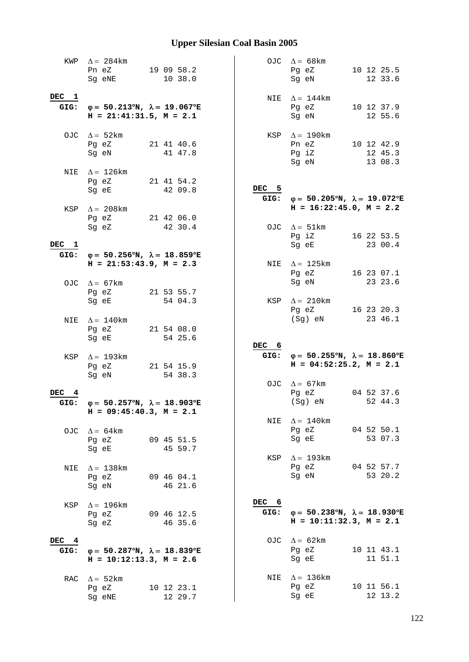|               | KWP $\Delta = 284 \text{km}$<br>Pn eZ<br>Sg eNE                                                | 19 09 58.2<br>10 38.0            |               | OJC $\Delta = 68 \text{km}$<br>Pg eZ<br>Sg eN                                               |  | 10 12 25.5<br>12 33.6            |
|---------------|------------------------------------------------------------------------------------------------|----------------------------------|---------------|---------------------------------------------------------------------------------------------|--|----------------------------------|
| DEC 1         | GIG: $\varphi = 50.213^{\circ}N$ , $\lambda = 19.067^{\circ}E$<br>$H = 21:41:31.5$ , $M = 2.1$ |                                  |               | NIE $\Delta = 144$ km<br>Pg eZ<br>Sg eN                                                     |  | 10 12 37.9<br>12 55.6            |
|               | OJC $\Delta = 52 \text{km}$<br>Pg eZ<br>Sg eN                                                  | 21 41 40.6<br>41 47.8            |               | KSP $\Delta = 190$ km<br>Pn eZ<br>Pg iZ<br>Sg eN                                            |  | 10 12 42.9<br>12 45.3<br>13 08.3 |
|               | NIE $\Delta = 126 \text{km}$<br>Pg eZ<br>Sg eE                                                 | 21 41 54.2<br>42 09.8            | DEC 5         | GIG: $\varphi = 50.205^{\circ}N$ , $\lambda = 19.072^{\circ}E$                              |  |                                  |
|               | KSP $\Delta$ = 208km<br>Pg eZ 21 42 06.0<br>Sg eZ                                              | 42 30.4                          |               | $H = 16:22:45.0, M = 2.2$<br>OJC $\Delta = 51 \text{km}$<br>Pg iZ 16 22 53.5                |  |                                  |
| DEC 1         | GIG: $\varphi = 50.256^{\circ}N$ , $\lambda = 18.859^{\circ}E$<br>$H = 21:53:43.9$ , $M = 2.3$ |                                  |               | Sq eE<br>NIE $\Delta = 125$ km                                                              |  | 23 00.4                          |
|               | OJC $\Delta = 67 \text{km}$                                                                    |                                  |               | Pg eZ<br>Sg eN                                                                              |  | 16 23 07.1<br>23 23.6            |
|               | Pg eZ<br>Sg eE                                                                                 | 21 53 55.7<br>54 04.3            |               | KSP $\Delta = 210$ km<br>Pg eZ<br>(Sg) eN                                                   |  | 16 23 20.3<br>23 46.1            |
| NIE           | $\Delta = 140$ km                                                                              |                                  |               |                                                                                             |  |                                  |
|               | Pg eZ<br>Sg eE                                                                                 | 21 54 08.0<br>54 25.6            |               |                                                                                             |  |                                  |
|               | KSP $\Delta = 193$ km<br>Pg eZ<br>Sg eN                                                        | 21 54 15.9<br>54 38.3            | DEC 6         | GIG: $\varphi = 50.255^{\circ}N$ , $\lambda = 18.860^{\circ}E$<br>$H = 04:52:25.2, M = 2.1$ |  |                                  |
| DEC 4<br>GIG: | $\varphi = 50.257^{\circ}N$ , $\lambda = 18.903^{\circ}E$                                      |                                  |               | OJC $\Delta = 67 \text{km}$<br>04 52 37.6<br>Pg eZ<br>$(Sg)$ eN                             |  | 52 44.3                          |
|               | $H = 09:45:40.3$ , $M = 2.1$<br>OJC $\Delta = 64 \text{km}$<br>Pg eZ                           | 09 45 51.5                       | NIE           | $\Delta = 140$ km<br>Pg eZ<br>Sq eE                                                         |  | 04 52 50.1<br>53 07.3            |
| NIE           | Sg eE<br>$\Delta$ = 138 km<br>Pg eZ<br>Sq eN                                                   | 45 59.7<br>09 46 04.1<br>46 21.6 |               | KSP $\Delta = 193 \text{km}$<br>Pg eZ<br>Sg eN                                              |  | 04 52 57.7<br>53 20.2            |
| KSP           | $\Delta = 196$ km<br>Pg eZ<br>Sg eZ                                                            | 09 46 12.5<br>46 35.6            | DEC 6<br>GIG: | $\varphi = 50.238^{\circ}N$ , $\lambda = 18.930^{\circ}E$<br>$H = 10:11:32.3, M = 2.1$      |  |                                  |
| DEC 4<br>GIG: | $\varphi = 50.287^{\circ}N$ , $\lambda = 18.839^{\circ}E$<br>$H = 10:12:13.3, M = 2.6$         |                                  |               | OJC $\Delta = 62 \text{km}$<br>Pg eZ<br>Sg eE                                               |  | 10 11 43.1<br>11 51.1            |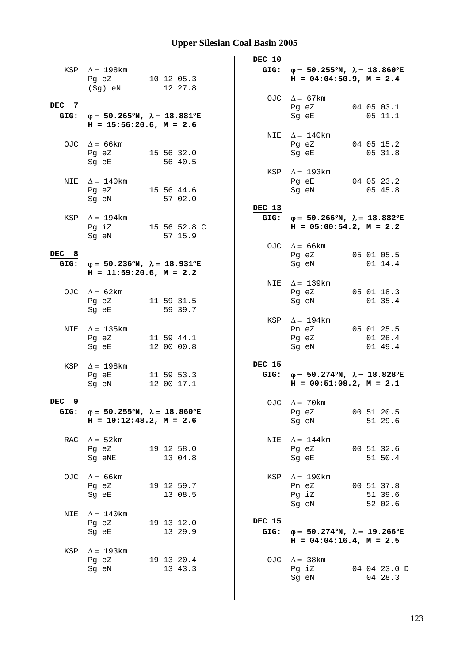|               | KSP $\Delta = 198$ km                                                                                                                                                                                                                                                      |                          |         | DEC 10         | GIG: $\varphi = 50.255^{\circ}N$ , $\lambda = 18.860^{\circ}E$                                 |  |                                  |
|---------------|----------------------------------------------------------------------------------------------------------------------------------------------------------------------------------------------------------------------------------------------------------------------------|--------------------------|---------|----------------|------------------------------------------------------------------------------------------------|--|----------------------------------|
|               | Pg eZ<br>(Sg) eN                                                                                                                                                                                                                                                           | 10 12 05.3               | 12 27.8 |                | $H = 04:04:50.9$ , $M = 2.4$                                                                   |  |                                  |
| DEC 7         | GIG: $\varphi = 50.265^{\circ}N$ , $\lambda = 18.881^{\circ}E$<br>$H = 15:56:20.6$ , $M = 2.6$                                                                                                                                                                             |                          |         |                | OJC $\Delta = 67 \text{km}$<br>Pg eZ<br>Sg eE                                                  |  | 04 05 03.1<br>05 11.1            |
|               | OJC $\Delta = 66 \text{km}$<br>Pg eZ<br>Sg eE                                                                                                                                                                                                                              | 15 56 32.0               | 56 40.5 |                | NIE $\Delta = 140$ km<br>Pg eZ<br>Sg eE                                                        |  | 04 05 15.2<br>05 31.8            |
|               | NIE $\Delta = 140$ km<br>Pg eZ 15 56 44.6<br>Sg eN and the state of the state of the state of the state of the state of the state of the state of the state of the state of the state of the state of the state of the state of the state of the state of the state of the |                          | 57 02.0 |                | KSP $\Delta = 193 \text{km}$<br>Pg eE<br>Sg eN                                                 |  | 04 05 23.2<br>05 45.8            |
|               | KSP $\Delta = 194$ km<br>Pg iZ 15 56 52.8 C<br>Sg eN                                                                                                                                                                                                                       |                          | 57 15.9 | DEC 13         | GIG: $\varphi = 50.266^{\circ}N$ , $\lambda = 18.882^{\circ}E$<br>$H = 05:00:54.2$ , $M = 2.2$ |  |                                  |
| DEC 8<br>GIG: | $\varphi = 50.236^{\circ}N$ , $\lambda = 18.931^{\circ}E$                                                                                                                                                                                                                  |                          |         |                | OJC $\Delta = 66 \text{km}$<br>Pg eZ<br>Sg eN                                                  |  | 05 01 05.5<br>$01 \; 14.4$       |
|               | $H = 11:59:20.6$ , $M = 2.2$<br>OJC $\Delta = 62 \text{km}$<br>Pg eZ<br>Sg eE                                                                                                                                                                                              | 11 59 31.5               | 59 39.7 |                | NIE $\Delta = 139$ km<br>Pg eZ<br>Sg eN                                                        |  | 05 01 18.3<br>01 35.4            |
| NIE           | $\Delta = 135$ km<br>Pg eZ<br>Sg eE                                                                                                                                                                                                                                        | 11 59 44.1<br>12 00 00.8 |         |                | KSP $\Delta = 194$ km<br>Pn eZ<br>Pg eZ<br>Sg eN                                               |  | 05 01 25.5<br>01 26.4<br>01 49.4 |
|               | KSP $\Delta = 198$ km<br>Pg eE<br>Sg eN                                                                                                                                                                                                                                    | 11 59 53.3<br>12 00 17.1 |         | <b>DEC 15</b>  | GIG: $\varphi = 50.274^{\circ}N$ , $\lambda = 18.828^{\circ}E$<br>$H = 00:51:08.2, M = 2.1$    |  |                                  |
| 9<br>DEC      | GIG: $\varphi = 50.255^{\circ}N$ , $\lambda = 18.860^{\circ}E$<br>$H = 19:12:48.2, M = 2.6$                                                                                                                                                                                |                          |         |                | OJC $\Delta = 70$ km<br>Pg eZ<br>Sg eN                                                         |  | 00 51 20.5<br>51 29.6            |
|               | RAC $\Delta = 52 \text{km}$<br>Pg eZ 19 12 58.0<br>Sg eNE                                                                                                                                                                                                                  |                          | 13 04.8 | NIE            | $\Delta = 144$ km<br>Pg eZ 00 51 32.6<br>Sg eE                                                 |  | 51 50.4                          |
| OJC           | $\Delta$ = 66 km<br>Pg eZ<br>Sg eE                                                                                                                                                                                                                                         | 19 12 59.7               | 13 08.5 | KSP            | $\Delta = 190$ km<br>Pn eZ<br>Pg iZ<br>Sg eN                                                   |  | 00 51 37.8<br>51 39.6<br>52 02.6 |
| NIE           | $\Delta = 140$ km<br>Pg eZ<br>Sg eE                                                                                                                                                                                                                                        | 19 13 12.0               | 13 29.9 | DEC 15<br>GIG: | $\varphi = 50.274^{\circ}N$ , $\lambda = 19.266^{\circ}E$<br>$H = 04:04:16.4$ , $M = 2.5$      |  |                                  |
| KSP           | $\Delta = 193$ km<br>Pg eZ<br>Sg eN                                                                                                                                                                                                                                        | 19 13 20.4               | 13 43.3 |                | OJC $\Delta = 38 \text{km}$<br>Pg iZ<br>Sg eN                                                  |  | 04 04 23.0 D<br>04 28.3          |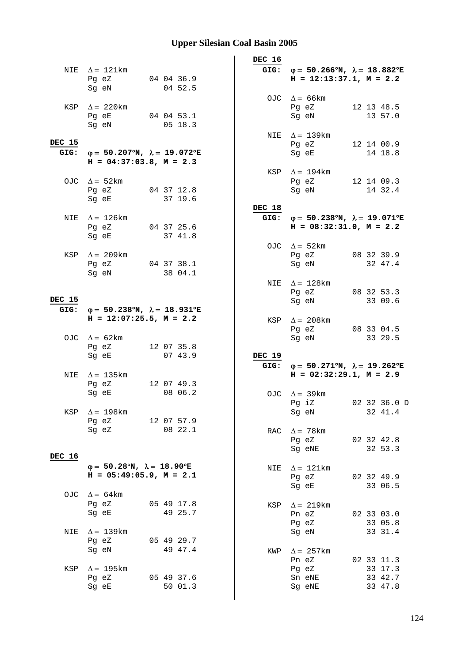|                |                                                                                                                                                                   |                       | DEC 16 |                                                                                                |                               |
|----------------|-------------------------------------------------------------------------------------------------------------------------------------------------------------------|-----------------------|--------|------------------------------------------------------------------------------------------------|-------------------------------|
|                | NIE $\Delta = 121$ km<br>Pg eZ<br>Sg eN                                                                                                                           | 04 04 36.9<br>04 52.5 |        | GIG: $\varphi = 50.266^{\circ}N$ , $\lambda = 18.882^{\circ}E$<br>$H = 12:13:37.1, M = 2.2$    |                               |
|                | KSP $\Delta = 220$ km<br>Pg eE 04 04 53.1<br>Sg eN                                                                                                                | 05 18.3               |        | OJC $\Delta = 66 \text{km}$<br>Pg eZ<br>Sg eN                                                  | 12 13 48.5<br>13 57.0         |
| DEC 15<br>GIG: | φ= 50.207°N, $\lambda$ = 19.072°E                                                                                                                                 |                       |        | NIE $\Delta = 139$ km<br>Pg eZ<br>Sg eE                                                        | 12 14 00.9<br>14 18.8         |
|                | $H = 04:37:03.8$ , $M = 2.3$                                                                                                                                      |                       |        |                                                                                                |                               |
|                | OJC $\Delta = 52 \text{km}$<br>Pg eZ 04 37 12.8<br>Sg eE and the state of the state of the state of the state of the state of the state of the state of the state | 37 19.6               |        | KSP $\Delta = 194$ km<br>Pg eZ<br>Sg eN                                                        | 12 14 09.3<br>14 32.4         |
|                |                                                                                                                                                                   |                       | DEC 18 |                                                                                                |                               |
| NIE            | $\Delta = 126$ km<br>Pg eZ 04 37 25.6<br>Sq eE and the state of the state of the state of the state of the state of the state of the state of the state           | 37 41.8               |        | GIG: $\varphi = 50.238^{\circ}N$ , $\lambda = 19.071^{\circ}E$<br>$H = 08:32:31.0$ , $M = 2.2$ |                               |
|                | KSP $\Delta = 209$ km<br>Pg eZ 04 37 38.1                                                                                                                         |                       |        | OJC $\Delta = 52 \text{km}$<br>Pg eZ 08 32 39.9<br>Sg eN                                       | 32 47.4                       |
| <b>DEC 15</b>  | Sg eN                                                                                                                                                             | 38 04.1               |        | NIE $\Delta = 128$ km<br>Pg eZ<br>Sg eN                                                        | 08 32 53.3<br>33 09.6         |
| GIG:           | $\varphi = 50.238^{\circ}N$ , $\lambda = 18.931^{\circ}E$                                                                                                         |                       |        |                                                                                                |                               |
|                | $H = 12:07:25.5$ , $M = 2.2$<br>OJC $\Delta = 62 \text{km}$                                                                                                       |                       |        | KSP $\Delta = 208$ km<br>Pg eZ<br>Sg eN                                                        | 08 33 04.5<br>33 29.5         |
|                | Pg eZ<br>Sg eE                                                                                                                                                    | 12 07 35.8<br>07 43.9 | DEC 19 |                                                                                                |                               |
|                |                                                                                                                                                                   |                       |        | GIG: $\varphi = 50.271^{\circ}N$ , $\lambda = 19.262^{\circ}E$                                 |                               |
| NIE            | $\Delta = 135$ km<br>Pg eZ<br>Sg eE                                                                                                                               | 12 07 49.3<br>08 06.2 |        | $H = 02:32:29.1, M = 2.9$                                                                      |                               |
|                | KSP $\Delta = 198$ km                                                                                                                                             |                       |        | OJC $\Delta = 39 \text{km}$<br>$Pg$ iZ<br>Sg eN                                                | 02 32 36.0 D<br>32 41.4       |
|                | Pg eZ 12 07 57.9<br>Sg eZ                                                                                                                                         | 08 22.1               | RAC    | $\Delta = 78$ km<br>Pg eZ<br>Sg eNE                                                            | 02 32 42.8<br>32 53.3         |
| DEC 16         | $\varphi = 50.28^{\circ}N$ , $\lambda = 18.90^{\circ}E$<br>$H = 05:49:05.9$ , $M = 2.1$                                                                           |                       | NIE    | $\Delta = 121$ km<br>Pg eZ                                                                     | 02 32 49.9                    |
|                | OJC $\Delta = 64 \text{km}$<br>Pg eZ<br>Sg eE                                                                                                                     | 05 49 17.8<br>49 25.7 | KSP    | Sg eE<br>$\Delta = 219 \text{km}$<br>Pn eZ                                                     | 33 06.5<br>02 33 03.0         |
| NIE            | $\Delta = 139 \text{km}$<br>Pg eZ                                                                                                                                 | 05 49 29.7            |        | Pg eZ<br>Sg eN                                                                                 | 33 05.8<br>33 31.4            |
|                | Sg eN                                                                                                                                                             | 49 47.4               | KWP    | $\Delta = 257$ km<br>Pn eZ                                                                     | 02 33 11.3                    |
| KSP            | $\Delta$ = 195 km<br>Pg eZ<br>Sg eE                                                                                                                               | 05 49 37.6<br>50 01.3 |        | Pg eZ<br>Sn eNE<br>Sg eNE                                                                      | 33 17.3<br>33 42.7<br>33 47.8 |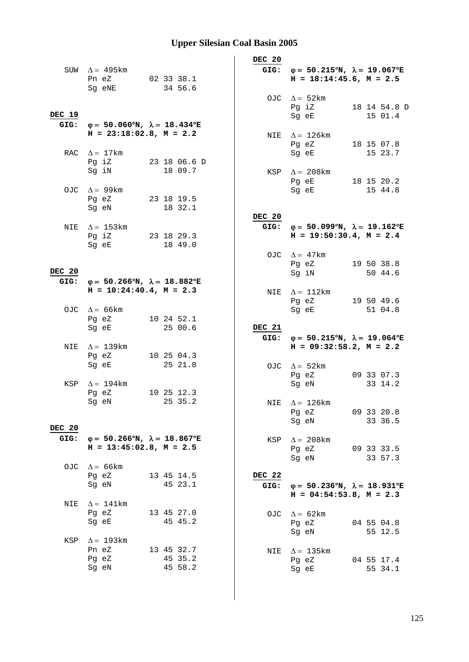|               | SUW $\Delta = 495 \text{km}$<br>Pn eZ 02 33 38.1<br>Sg eNE                                                                                              | 34 56.6               |         | DEC 20         | GIG: $\varphi = 50.215^{\circ}N$ , $\lambda = 19.067^{\circ}E$<br>$H = 18:14:45.6$ , $M = 2.5$                 |                         |
|---------------|---------------------------------------------------------------------------------------------------------------------------------------------------------|-----------------------|---------|----------------|----------------------------------------------------------------------------------------------------------------|-------------------------|
| DEC 19        | GIG: $\varphi = 50.060^{\circ}N$ , $\lambda = 18.434^{\circ}E$                                                                                          |                       |         |                | OJC $\Delta = 52 \text{km}$<br>Pg iZ<br>Sg eE                                                                  | 18 14 54.8 D<br>15 01.4 |
|               | $H = 23:18:02.8$ , $M = 2.2$<br>RAC $\Delta = 17 \text{km}$                                                                                             |                       |         |                | NIE $\Delta = 126 \text{km}$<br>Pg eZ<br>Sq eE                                                                 | 18 15 07.8<br>15 23.7   |
|               | Pg iZ 23 18 06.6 D<br>Sg iN                                                                                                                             | 18 09.7               |         |                | KSP $\Delta = 208$ km<br>Pg eE 18 15 20.2                                                                      |                         |
|               | OJC $\Delta = 99 \text{km}$<br>Pg eZ 23 18 19.5<br>Sg eN                                                                                                | 18 32.1               |         |                | Sg eE and the state of the state of the state of the state of the state of the state of the state of the state | 15 44.8                 |
| NIE           | $\Delta = 153$ km<br>Pg iZ 23 18 29.3<br>Sg eE and the state of the state of the state of the state of the state of the state of the state of the state | 18 49.0               |         | DEC 20<br>GIG: | $\varphi = 50.099$ °N, $\lambda = 19.162$ °E<br>$H = 19:50:30.4$ , $M = 2.4$                                   |                         |
| DEC 20        |                                                                                                                                                         |                       |         |                | OJC $\Delta = 47$ km<br>Pg eZ<br>Sg iN                                                                         | 19 50 38.8<br>50 44.6   |
|               | GIG: $\varphi = 50.266^{\circ}N$ , $\lambda = 18.882^{\circ}E$<br>$H = 10:24:40.4$ , $M = 2.3$                                                          |                       |         |                | NIE $\Delta = 112 \text{km}$<br>Pg eZ                                                                          | 19 50 49.6              |
|               | OJC $\Delta = 66 \text{km}$<br>Pg eZ<br>Sg eE                                                                                                           | 10 24 52.1<br>25 00.6 |         | DEC 21         | Sg eE                                                                                                          | 51 04.8                 |
| NIE           | $\Delta = 139$ km<br>Pg eZ                                                                                                                              | 10 25 04.3            |         |                | GIG: $\varphi = 50.215^{\circ}N$ , $\lambda = 19.064^{\circ}E$<br>$H = 09:32:58.2, M = 2.2$                    |                         |
| KSP           | Sg eE<br>$\Delta = 194$ km                                                                                                                              | 25 21.8               |         |                | OJC $\Delta = 52 \text{km}$<br>Pg eZ<br>Sg eN                                                                  | 09 33 07.3<br>33 14.2   |
| <b>DEC 20</b> | Pg eZ<br>Sg eN 25 35.2                                                                                                                                  | 10 25 12.3            |         |                | NIE $\Delta = 126$ km<br>Pg eZ<br>Sg eN                                                                        | 09 33 20.8<br>33 36.5   |
| GIG:          | $\varphi = 50.266^{\circ}N$ , $\lambda = 18.867^{\circ}E$<br>$H = 13:45:02.8$ , $M = 2.5$                                                               |                       |         | KSP            | $\Delta = 208$ km<br>Pg eZ 09 33 33.5<br>Sg eN                                                                 | 33 57.3                 |
|               | OJC $\Delta = 66 \text{km}$<br>Pg eZ<br>Sg eN                                                                                                           | 13 45 14.5<br>45 23.1 |         | DEC 22<br>GIG: | $\varphi = 50.236^{\circ}N$ , $\lambda = 18.931^{\circ}E$<br>$H = 04:54:53.8$ , $M = 2.3$                      |                         |
| NIE           | $\Delta = 141 \text{km}$<br>Pg eZ<br>Sg eE                                                                                                              | 13 45 27.0            | 45 45.2 |                | OJC $\Delta = 62 \text{km}$<br>Pg eZ<br>Sg eN                                                                  | 04 55 04.8<br>55 12.5   |
| KSP           | $\Delta = 193 \text{km}$<br>Pn eZ<br>Pg eZ<br>Sg eN                                                                                                     | 13 45 32.7<br>45 35.2 | 45 58.2 | NIE            | $\Delta$ = 135 km<br>Pg eZ<br>Sg eE                                                                            | 04 55 17.4<br>55 34.1   |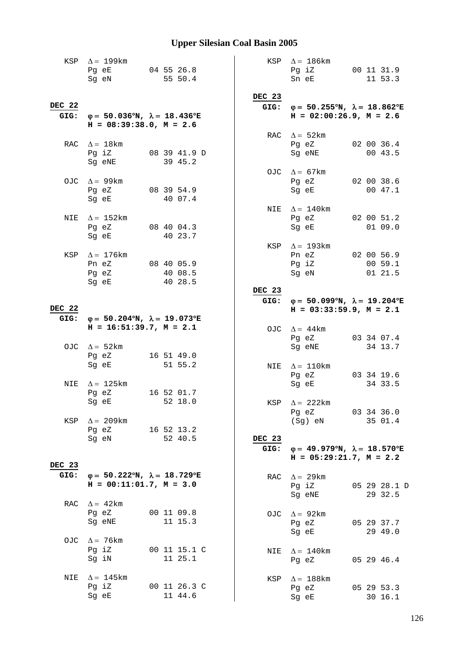|        | KSP $\Delta = 199$ km<br>Pg eE<br>Sg eN                                                                                                                           |  | 04 55 26.8<br>55 50.4   |              |        |     | KSP $\Delta = 186 \text{km}$<br>Pg iZ<br>Sn eE                                                 |  | 00 11 31.9<br>11 53.3 |
|--------|-------------------------------------------------------------------------------------------------------------------------------------------------------------------|--|-------------------------|--------------|--------|-----|------------------------------------------------------------------------------------------------|--|-----------------------|
|        |                                                                                                                                                                   |  |                         |              | DEC 23 |     |                                                                                                |  |                       |
| DEC 22 | GIG: $\varphi = 50.036^{\circ}N$ , $\lambda = 18.436^{\circ}E$<br>$H = 08:39:38.0, M = 2.6$                                                                       |  |                         |              |        |     | GIG: $\varphi = 50.255^{\circ}N$ , $\lambda = 18.862^{\circ}E$<br>$H = 02:00:26.9$ , $M = 2.6$ |  |                       |
|        |                                                                                                                                                                   |  |                         |              |        |     | RAC $\Delta = 52 \text{km}$                                                                    |  |                       |
|        | RAC $\Delta = 18$ km<br>Pg iZ<br>Sg eNE                                                                                                                           |  | 39 45.2                 | 08 39 41.9 D |        |     | Pg eZ<br>Sg eNE                                                                                |  | 02 00 36.4<br>00 43.5 |
|        |                                                                                                                                                                   |  |                         |              |        |     | OJC $\Delta = 67 \text{km}$                                                                    |  |                       |
|        | OJC $\Delta = 99 \text{km}$<br>Pg eZ 08 39 54.9<br>Sg eE and the state of the state of the state of the state of the state of the state of the state of the state |  | 40 07.4                 |              |        |     | Pg eZ<br>Sg eE                                                                                 |  | 02 00 38.6<br>00 47.1 |
|        |                                                                                                                                                                   |  |                         |              |        | NIE | $\Delta = 140$ km                                                                              |  |                       |
| NIE    | $\Delta = 152 \text{km}$<br>Pg eZ 08 40 04.3<br>Sg eE and the state of the state of the state of the state of the state of the state of the state of the state    |  | 40 23.7                 |              |        |     | Pg eZ 02 00 51.2<br>Sg eE                                                                      |  | 01 09.0               |
|        |                                                                                                                                                                   |  |                         |              |        | KSP | $\Delta$ = 193km                                                                               |  |                       |
|        | KSP $\Delta = 176$ km                                                                                                                                             |  |                         |              |        |     | Pn eZ 02 00 56.9                                                                               |  |                       |
|        | Pn eZ                                                                                                                                                             |  | 08 40 05.9              |              |        |     | Pg iZ                                                                                          |  | 00 59.1               |
|        | Pg eZ<br>Sg eE                                                                                                                                                    |  | 40 08.5<br>40 28.5      |              |        |     | Sg eN                                                                                          |  | 01 21.5               |
|        |                                                                                                                                                                   |  |                         |              | DEC 23 |     |                                                                                                |  |                       |
|        |                                                                                                                                                                   |  |                         |              | GIG:   |     | $\varphi = 50.099^{\circ}N$ , $\lambda = 19.204^{\circ}E$                                      |  |                       |
| DEC 22 |                                                                                                                                                                   |  |                         |              |        |     | $H = 03:33:59.9, M = 2.1$                                                                      |  |                       |
| GIG:   | $\varphi = 50.204^{\circ}N$ , $\lambda = 19.073^{\circ}E$                                                                                                         |  |                         |              |        |     |                                                                                                |  |                       |
|        | $H = 16:51:39.7, M = 2.1$                                                                                                                                         |  |                         |              |        |     | OJC $\Delta = 44$ km                                                                           |  |                       |
|        |                                                                                                                                                                   |  |                         |              |        |     | Pg eZ                                                                                          |  | 03 34 07.4            |
|        | OJC $\Delta = 52 \text{km}$                                                                                                                                       |  |                         |              |        |     | Sg eNE                                                                                         |  | 34 13.7               |
|        | Pg eZ                                                                                                                                                             |  | 16 51 49.0              |              |        |     |                                                                                                |  |                       |
|        | Sg eE                                                                                                                                                             |  | 51 55.2                 |              |        |     | NIE $\Delta = 110$ km                                                                          |  |                       |
|        |                                                                                                                                                                   |  |                         |              |        |     | Pg eZ                                                                                          |  | 03 34 19.6            |
| NIE    | $\Delta = 125 \mathrm{km}$                                                                                                                                        |  |                         |              |        |     | Sg eE                                                                                          |  | 34 33.5               |
|        | Pg eZ                                                                                                                                                             |  | 16 52 01.7              |              |        |     |                                                                                                |  |                       |
|        | Sq eE 52 18.0                                                                                                                                                     |  |                         |              |        |     | KSP $\Delta = 222$ km                                                                          |  |                       |
|        |                                                                                                                                                                   |  |                         |              |        |     | Pg eZ                                                                                          |  | 03 34 36.0<br>35 01.4 |
| KSP    | $\Delta = 209$ km<br>Pg eZ<br>16 52 13.2                                                                                                                          |  |                         |              |        |     | (Sg) eN                                                                                        |  |                       |
|        | Sq eN                                                                                                                                                             |  | 52 40.5                 |              | DEC 23 |     |                                                                                                |  |                       |
|        |                                                                                                                                                                   |  |                         |              | GIG:   |     | $\varphi = 49.979^{\circ}N$ , $\lambda = 18.570^{\circ}E$                                      |  |                       |
|        |                                                                                                                                                                   |  |                         |              |        |     | $H = 05:29:21.7$ , $M = 2.2$                                                                   |  |                       |
| DEC 23 |                                                                                                                                                                   |  |                         |              |        |     |                                                                                                |  |                       |
| GIG:   | $\varphi = 50.222^{\circ}N$ , $\lambda = 18.729^{\circ}E$                                                                                                         |  |                         |              |        | RAC | $\Delta = 29 \text{km}$                                                                        |  |                       |
|        | $H = 00:11:01.7, M = 3.0$                                                                                                                                         |  |                         |              |        |     | Pg iZ                                                                                          |  | 05 29 28.1 D          |
|        |                                                                                                                                                                   |  |                         |              |        |     | Sg eNE                                                                                         |  | 29 32.5               |
|        | RAC $\Delta = 42 \text{km}$                                                                                                                                       |  |                         |              |        |     |                                                                                                |  |                       |
|        | Pg eZ                                                                                                                                                             |  | 00 11 09.8              |              |        | OJC | $\Delta = 92 \text{km}$                                                                        |  |                       |
|        | Sg eNE                                                                                                                                                            |  | 11 15.3                 |              |        |     | Pg eZ                                                                                          |  | 05 29 37.7            |
|        |                                                                                                                                                                   |  |                         |              |        |     | Sg eE                                                                                          |  | 29 49.0               |
| OJC    | $\Delta = 76$ km<br>Pg iZ                                                                                                                                         |  |                         |              |        |     |                                                                                                |  |                       |
|        | Sg iN                                                                                                                                                             |  | 00 11 15.1 C<br>11 25.1 |              |        |     | NIE $\Delta = 140$ km                                                                          |  |                       |
|        |                                                                                                                                                                   |  |                         |              |        |     | Pg eZ                                                                                          |  | 05 29 46.4            |
| NIE    | $\Delta = 145$ km                                                                                                                                                 |  |                         |              |        |     | $\Delta = 188$ km                                                                              |  |                       |
|        | Pg iZ                                                                                                                                                             |  | 00 11 26.3 C            |              |        | KSP | Pg eZ                                                                                          |  | 05 29 53.3            |
|        | Sg eE                                                                                                                                                             |  | 11 44.6                 |              |        |     | Sg eE                                                                                          |  | 30 16.1               |
|        |                                                                                                                                                                   |  |                         |              |        |     |                                                                                                |  |                       |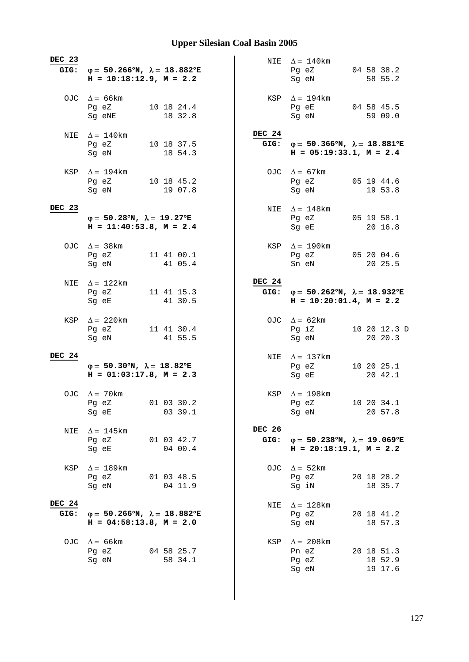| DEC 23                | GIG: $\varphi = 50.266^{\circ}N$ , $\lambda = 18.882^{\circ}E$<br>$H = 10:18:12.9, M = 2.2$ |         |                | NIE $\Delta = 140$ km<br>Pg eZ<br>Sg eN                                                     | 04 58 38.2<br>58 55.2            |
|-----------------------|---------------------------------------------------------------------------------------------|---------|----------------|---------------------------------------------------------------------------------------------|----------------------------------|
|                       | OJC $\Delta = 66 \text{km}$<br>10 18 24.4<br>Pg eZ<br>Sg eNE                                | 18 32.8 | KSP            | $\Delta = 194 \text{km}$<br>Pg eE<br>Sg eN                                                  | 04 58 45.5<br>59 09.0            |
|                       | NIE $\Delta = 140$ km<br>Pg eZ<br>10 18 37.5<br>Sg eN                                       | 18 54.3 | <b>DEC 24</b>  | GIG: $\varphi = 50.366^{\circ}N$ , $\lambda = 18.881^{\circ}E$<br>$H = 05:19:33.1, M = 2.4$ |                                  |
|                       | KSP $\Delta = 194$ km<br>Pg eZ 10 18 45.2<br>Sg eN                                          | 19 07.8 |                | OJC $\Delta = 67 \text{km}$<br>Pg eZ<br>Sg eN                                               | 05 19 44.6<br>19 53.8            |
| DEC 23                | $\varphi = 50.28^{\circ}N$ , $\lambda = 19.27^{\circ}E$<br>$H = 11:40:53.8$ , $M = 2.4$     |         | NIE            | $\Delta = 148$ km<br>Pg eZ 05 19 58.1<br>Sg eE                                              | 20 16.8                          |
|                       | OJC $\Delta = 38 \text{km}$<br>Pg eZ 11 41 00.1<br>Sg eN                                    | 41 05.4 | KSP            | $\Delta = 190$ km<br>Pg eZ 05 20 04.6<br>Sn eN                                              | 20 25.5                          |
| NIE                   | $\Delta = 122$ km<br>Pg eZ<br>11 41 15.3<br>Sg eE                                           | 41 30.5 | DEC 24<br>GIG: | $\varphi = 50.262^{\circ}N$ , $\lambda = 18.932^{\circ}E$<br>$H = 10:20:01.4$ , $M = 2.2$   |                                  |
| KSP                   | $\Delta = 220$ km<br>Pg eZ<br>11 41 30.4<br>Sg eN                                           | 41 55.5 |                | OJC $\Delta = 62 \text{km}$<br>Pg iZ<br>Sg eN                                               | 10 20 12.3 D<br>20 20.3          |
| DEC 24                | $\varphi = 50.30^{\circ}N$ , $\lambda = 18.82^{\circ}E$<br>$H = 01:03:17.8$ , $M = 2.3$     |         |                | NIE $\Delta = 137 \text{km}$<br>Pg eZ<br>Sg eE                                              | 10 20 25.1<br>20 42.1            |
|                       | OJC $\Delta = 70$ km<br>Pg eZ 01 03 30.2<br>Sg eE                                           | 03 39.1 |                | KSP $\Delta = 198$ km<br>Pg eZ<br>Sg eN                                                     | 10 20 34.1<br>20 57.8            |
| NIE                   | $\Delta = 145$ km<br>01 03 42.7<br>Pg eZ<br>Sg eE                                           | 04 00.4 | DEC 26<br>GIG: | $\varphi = 50.238^{\circ}N$ , $\lambda = 19.069^{\circ}E$<br>$H = 20:18:19.1, M = 2.2$      |                                  |
| KSP                   | $\Delta = 189$ km<br>Pg eZ<br>01 03 48.5<br>Sg eN 04 11.9                                   |         | OJC            | $\Delta = 52 \text{km}$<br>Pg eZ<br>Sg iN                                                   | 20 18 28.2<br>18 35.7            |
| <b>DEC 24</b><br>GIG: | $\varphi = 50.266^{\circ}N$ , $\lambda = 18.882^{\circ}E$<br>$H = 04:58:13.8$ , $M = 2.0$   |         | NIE            | $\Delta = 128$ km<br>Pg eZ<br>Sg eN                                                         | 20 18 41.2<br>18 57.3            |
| OJC                   | $\Delta$ = 66 km<br>Pg eZ<br>04 58 25.7<br>Sg eN                                            | 58 34.1 | KSP            | $\Delta = 208 \text{km}$<br>Pn eZ<br>Pg eZ<br>Sg eN                                         | 20 18 51.3<br>18 52.9<br>19 17.6 |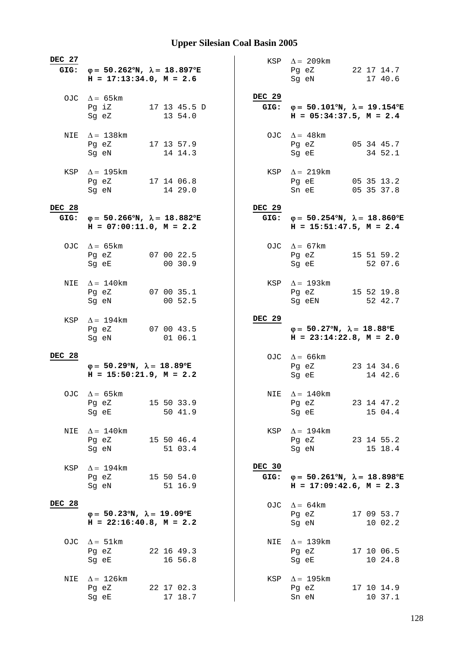| DEC 27                | GIG: $\varphi = 50.262^{\circ}N$ , $\lambda = 18.897^{\circ}E$<br>$H = 17:13:34.0, M = 2.6$ |                       | KSP $\Delta = 209 \text{km}$<br>Pg eZ<br>Sg eN                                                 | 22 17 14.7<br>17 40.6    |
|-----------------------|---------------------------------------------------------------------------------------------|-----------------------|------------------------------------------------------------------------------------------------|--------------------------|
|                       | OJC $\Delta = 65 \text{km}$<br>Pg iZ<br>17 13 45.5 D<br>Sg eZ<br>13 54.0                    | <b>DEC 29</b>         | GIG: $\varphi = 50.101^{\circ}N$ , $\lambda = 19.154^{\circ}E$<br>$H = 05:34:37.5$ , $M = 2.4$ |                          |
|                       | NIE $\Delta = 138$ km<br>Pg eZ<br>17 13 57.9<br>14 14.3<br>Sg eN                            |                       | OJC $\Delta = 48 \text{km}$<br>Pg eZ<br>Sq eE                                                  | 05 34 45.7<br>34 52.1    |
|                       | KSP $\Delta = 195 \text{km}$<br>Pg eZ<br>17 14 06.8<br>14 29.0<br>Sg eN                     |                       | KSP $\Delta = 219 \text{km}$<br>Pg eE<br>Sn eE                                                 | 05 35 13.2<br>05 35 37.8 |
| <b>DEC 28</b><br>GIG: | $\varphi = 50.266^{\circ}N$ , $\lambda = 18.882^{\circ}E$<br>$H = 07:00:11.0$ , $M = 2.2$   | <b>DEC 29</b><br>GIG: | $\varphi = 50.254^{\circ}N$ , $\lambda = 18.860^{\circ}E$<br>$H = 15:51:47.5$ , $M = 2.4$      |                          |
|                       | OJC $\Delta = 65 \text{km}$<br>Pg eZ 07 00 22.5<br>00 30.9<br>Sg eE                         |                       | OJC $\Delta = 67$ km<br>Pg eZ 15 51 59.2<br>Sg eE                                              | 52 07.6                  |
| NIE                   | $\Delta = 140$ km<br>07 00 35.1<br>Pg eZ<br>00 52.5<br>Sg eN                                |                       | KSP $\Delta = 193$ km<br>Pg eZ<br>Sg eEN                                                       | 15 52 19.8<br>52 42.7    |
| KSP                   | $\Delta = 194 \text{km}$<br>07 00 43.5<br>Pg eZ<br>01 06.1<br>Sg eN                         | <b>DEC 29</b>         | $\varphi = 50.27^{\circ}N$ , $\lambda = 18.88^{\circ}E$<br>$H = 23:14:22.8$ , $M = 2.0$        |                          |
| <b>DEC 28</b>         | $\varphi = 50.29^{\circ}N$ , $\lambda = 18.89^{\circ}E$<br>$H = 15:50:21.9$ , $M = 2.2$     |                       | OJC $\Delta = 66 \text{km}$<br>Pg eZ<br>Sg eE                                                  | 23 14 34.6<br>14 42.6    |
|                       | OJC $\Delta = 65 \text{km}$<br>15 50 33.9<br>Pg eZ<br>50 41.9<br>Sg eE                      |                       | NIE $\Delta = 140$ km<br>Pg eZ<br>Sg eE                                                        | 23 14 47.2<br>15 04.4    |
| NIE                   | $\Delta = 140$ km<br>Pg eZ 15 50 46.4<br>51 03.4<br>Sg eN                                   | KSP                   | $\Delta = 194 \text{km}$<br>Pg eZ 23 14 55.2<br>Sg eN                                          | 15 18.4                  |
| KSP                   | $\Delta = 194$ km<br>Pg eZ 15 50 54.0<br>51 16.9<br>Sg eN                                   | DEC 30<br>GIG:        | $\varphi = 50.261^{\circ}N$ , $\lambda = 18.898^{\circ}E$<br>$H = 17:09:42.6$ , $M = 2.3$      |                          |
| <b>DEC 28</b>         | $\varphi = 50.23^{\circ}N$ , $\lambda = 19.09^{\circ}E$<br>$H = 22:16:40.8$ , $M = 2.2$     |                       | OJC $\Delta = 64 \text{km}$<br>Pg eZ<br>Sg eN                                                  | 17 09 53.7<br>10 02.2    |
|                       | OJC $\Delta = 51 \text{km}$<br>22 16 49.3<br>Pg eZ<br>16 56.8<br>Sg eE                      | NIE                   | $\Delta = 139$ km<br>Pg eZ<br>Sg eE                                                            | 17 10 06.5<br>10 24.8    |
| NIE                   | $\Delta = 126$ km<br>22 17 02.3<br>Pg eZ<br>17 18.7<br>Sg eE                                | KSP                   | $\Delta = 195$ km<br>Pg eZ<br>Sn eN                                                            | 17 10 14.9<br>10 37.1    |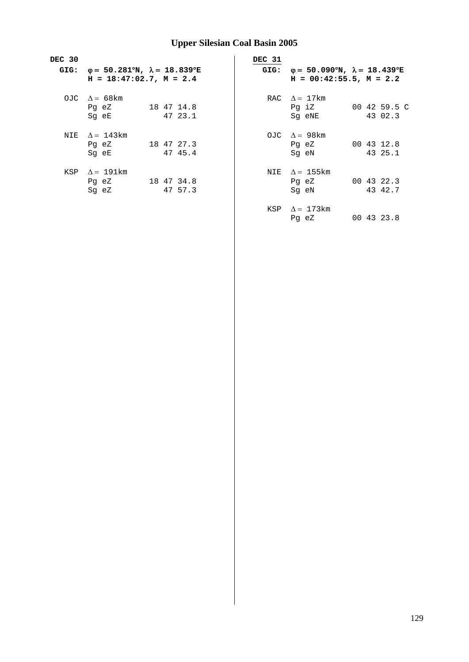| DEC 30 |                                                                |            | DEC 31 |                                                           |              |
|--------|----------------------------------------------------------------|------------|--------|-----------------------------------------------------------|--------------|
|        | GIG: $\varphi = 50.281^{\circ}N$ , $\lambda = 18.839^{\circ}E$ |            | GIG:   | $\varphi = 50.090^{\circ}N$ , $\lambda = 18.439^{\circ}E$ |              |
|        | $H = 18:47:02.7$ , $M = 2.4$                                   |            |        | $H = 00:42:55.5$ , $M = 2.2$                              |              |
|        | OJC $\Lambda = 68 \text{ km}$                                  |            |        | RAC $\Lambda = 17 \text{km}$                              |              |
|        | Pg eZ                                                          | 18 47 14.8 |        | Pq iZ                                                     | 00 42 59.5 C |
|        | Sq eE                                                          | 47 23.1    |        | Sg eNE                                                    | 43 02.3      |
|        | NIE $\Lambda = 143$ km                                         |            |        | OJC $\Delta = 98$ km                                      |              |
|        | Pg eZ                                                          | 18 47 27.3 |        | Pq eZ                                                     | 00 43 12.8   |
|        | Sq eE                                                          | 47 45.4    |        | Sq eN                                                     | 43 25.1      |
| KSP    | $\Delta = 191 \text{km}$                                       |            |        | NIE $\Lambda = 155$ km                                    |              |
|        | Pg eZ                                                          | 18 47 34.8 |        | Pg eZ                                                     | 00 43 22.3   |
|        | Sq eZ                                                          | 47 57.3    |        | Sg eN                                                     | 43 42.7      |

KSP  $\Delta = 173$ km Pg eZ 00 43 23.8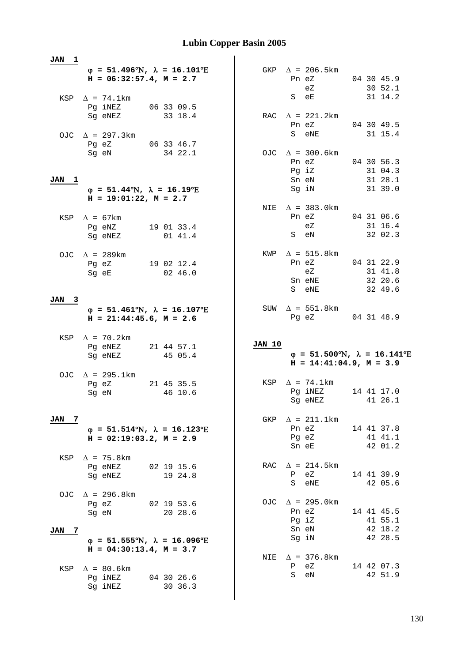|                     | $H = 06:32:57.4$ , $M = 2.7$<br>KSP $\Delta$ = 74.1km                 | $\varphi = 51.496^{\circ}N$ , $\lambda = 16.101^{\circ}E$               |        | GKP $\Delta$ = 206.5km<br>Pn eZ<br>eZ<br>S eE             | 04 30 45.9                       | 30 52.1<br>31 14.2            |
|---------------------|-----------------------------------------------------------------------|-------------------------------------------------------------------------|--------|-----------------------------------------------------------|----------------------------------|-------------------------------|
|                     | Pg iNEZ<br>Sg eNEZ                                                    | 06 33 09.5<br>33 18.4                                                   |        | RAC $\Delta$ = 221.2km<br>Pn eZ                           | 04 30 49.5                       |                               |
|                     | OJC $\Delta$ = 297.3km<br>Pg eZ 06 33 46.7<br>Sg eN                   | 34 22.1                                                                 |        | S eNE<br>OJC $\Delta$ = 300.6km                           |                                  | 31 15.4                       |
| JAN<br>$\mathbf{1}$ | $\varphi = 51.44^{\circ}\text{N}$ , $\lambda = 16.19^{\circ}\text{E}$ |                                                                         |        | Pn eZ<br>Pg iZ<br>Sn eN<br>Sg iN                          | 04 30 56.3<br>31 28.1<br>31 39.0 | 31 04.3                       |
|                     | $H = 19:01:22$ , $M = 2.7$<br>KSP $\Delta$ = 67km                     |                                                                         |        | NIE $\Delta$ = 383.0km<br>Pn eZ                           | 04 31 06.6                       |                               |
|                     | Pg eNZ<br>Sg eNEZ                                                     | 19 01 33.4<br>01 41.4                                                   |        | eZ<br>S eN                                                |                                  | 31 16.4<br>32 02.3            |
|                     | OJC $\Delta$ = 289km<br>Pg eZ<br>Sg eE                                | 19 02 12.4<br>02 46.0                                                   |        | KWP $\Delta = 515.8$ km<br>Pn eZ<br>eZ<br>Sn eNE<br>S eNE | 04 31 22.9                       | 31 41.8<br>32 20.6<br>32 49.6 |
| JAN 3               |                                                                       |                                                                         |        |                                                           |                                  |                               |
|                     | $H = 21:44:45.6$ , $M = 2.6$                                          | $\varphi = 51.461^{\circ}\text{N}$ , $\lambda = 16.107^{\circ}\text{E}$ |        | SUW $\Delta$ = 551.8km<br>Pg eZ 04 31 48.9                |                                  |                               |
|                     | KSP $\Delta$ = 70.2km<br>Pg eNEZ<br>Sg eNEZ                           | 21 44 57.1                                                              | JAN 10 | $\varphi = 51.500^{\circ}N$ , $\lambda = 16.141^{\circ}E$ |                                  |                               |
|                     |                                                                       | 45 05.4                                                                 |        | $H = 14:41:04.9, M = 3.9$                                 |                                  |                               |
|                     | OJC $\Delta$ = 295.1km<br>Pg eZ<br>Sg eN                              | 21 45 35.5<br>46 10.6                                                   |        | KSP $\Delta$ = 74.1km<br>Pg iNEZ<br>Sg eNEZ               | 14 41 17.0                       | 41 26.1                       |
| 7<br>JAN            | $H = 02:19:03.2, M = 2.9$                                             | $\varphi = 51.514^{\circ}\text{N}$ , $\lambda = 16.123^{\circ}\text{E}$ |        | GKP $\Delta$ = 211.1km<br>Pn eZ<br>Pg eZ<br>Sn eE         | 14 41 37.8                       | 41 41.1<br>42 01.2            |
|                     | KSP $\Delta$ = 75.8km<br>Pg eNEZ<br>Sg eNEZ                           | 02 19 15.6<br>19 24.8                                                   |        | RAC $\Delta$ = 214.5km<br>$P$ eZ<br>S eNE                 | 14 41 39.9                       | 42 05.6                       |
| JAN<br>7            | OJC $\Delta$ = 296.8km<br>Pg eZ<br>Sg eN                              | 02 19 53.6<br>20 28.6                                                   |        | OJC $\Delta$ = 295.0km<br>Pn eZ<br>Pg iZ<br>Sn eN         | 14 41 45.5                       | 41 55.1<br>42 18.2            |
|                     | $H = 04:30:13.4, M = 3.7$                                             | $\varphi$ = 51.555°N, $\lambda$ = 16.096°E                              |        | Sg iN<br>NIE $\Delta$ = 376.8km                           |                                  | 42 28.5                       |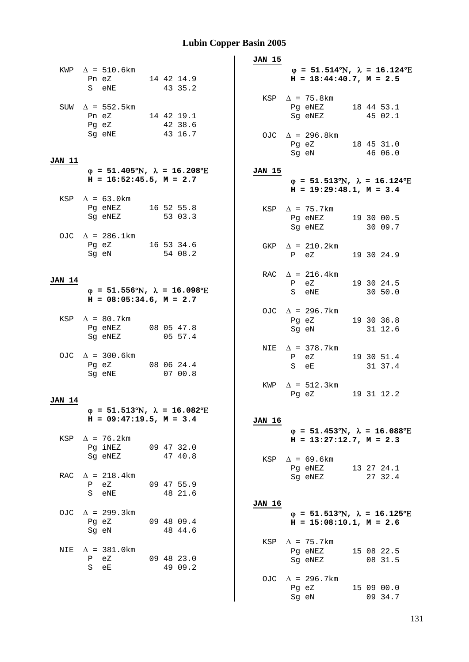|               |                                                                 |                                                                         | JAN 15                                                                                                         |
|---------------|-----------------------------------------------------------------|-------------------------------------------------------------------------|----------------------------------------------------------------------------------------------------------------|
|               | KWP $\Delta = 510.6 \text{km}$<br>Pn eZ 14 42 14.9<br>S eNE     | 43 35.2                                                                 | $\varphi = 51.514^{\circ}\text{N}$ , $\lambda = 16.124^{\circ}\text{E}$<br>$H = 18:44:40.7$ , $M = 2.5$        |
|               | SUW $\Delta$ = 552.5km<br>Pn eZ 14 42 19.1<br>Pg eZ             | 42 38.6                                                                 | KSP $\Delta$ = 75.8km<br>Pg eNEZ 18 44 53.1<br>Sg eNEZ<br>45 02.1                                              |
| JAN 11        | Sg eNE                                                          | 43 16.7                                                                 | OJC $\Delta$ = 296.8km<br>Pg eZ 18 45 31.0<br>Sg eN<br>46 06.0                                                 |
|               | $H = 16:52:45.5$ , $M = 2.7$                                    | $\varphi = 51.405^{\circ}N$ , $\lambda = 16.208^{\circ}E$               | JAN 15<br>$\varphi = 51.513^{\circ}\text{N}$ , $\lambda = 16.124^{\circ}\text{E}$<br>$H = 19:29:48.1, M = 3.4$ |
|               | KSP $\Delta = 63.0 \text{km}$                                   |                                                                         |                                                                                                                |
|               | Pg eNEZ 16 52 55.8<br>Sg eNEZ 53 03.3<br>OJC $\Delta$ = 286.1km |                                                                         | KSP $\Delta$ = 75.7km<br>Pq eNEZ 19 30 00.5<br>Sg eNEZ 30 09.7                                                 |
|               | Pg eZ 16 53 34.6<br>Sg eN                                       | 54 08.2                                                                 | GKP $\Delta$ = 210.2km<br>$P$ eZ<br>19 30 24.9                                                                 |
| <b>JAN 14</b> |                                                                 | $\varphi$ = 51.556°N, $\lambda$ = 16.098°E                              | RAC $\Delta$ = 216.4km<br>P eZ<br>19 30 24.5<br>S eNE 30 50.0                                                  |
|               | $H = 08:05:34.6$ , $M = 2.7$                                    |                                                                         |                                                                                                                |
|               | KSP $\Delta = 80.7$ km<br>Pg eNEZ 08 05 47.8<br>Sg eNEZ         | 05 57.4                                                                 | OJC $\Delta$ = 296.7km<br>19 30 36.8<br>Pg eZ<br>Sg eN 31 12.6                                                 |
|               | OJC $\Delta$ = 300.6km<br>Pg eZ 08 06 24.4<br>Sg eNE            | 07 00.8                                                                 | NIE $\Delta$ = 378.7km<br>19 30 51.4<br>P eZ<br>31 37.4<br>S eE                                                |
|               |                                                                 |                                                                         | KWP $\Delta = 512.3 \text{km}$<br>19 31 12.2                                                                   |
| JAN 14        |                                                                 |                                                                         | Pg eZ                                                                                                          |
|               | $H = 09:47:19.5, M = 3.4$                                       | $\varphi = 51.513^{\circ}\text{N}$ , $\lambda = 16.082^{\circ}\text{E}$ | JAN 16<br>$\varphi = 51.453^{\circ}\text{N}$ , $\lambda = 16.088^{\circ}\text{E}$                              |
|               | KSP $\Delta$ = 76.2km<br>Pg iNEZ                                | 09 47 32.0                                                              | $H = 13:27:12.7$ , $M = 2.3$                                                                                   |
|               | Sg eNEZ                                                         | 47 40.8                                                                 | $\Delta$ = 69.6km<br>KSP<br>Pg eNEZ<br>13 27 24.1                                                              |
|               | RAC $\Delta$ = 218.4km<br>P eZ<br>S eNE                         | 09 47 55.9<br>48 21.6                                                   | Sg eNEZ<br>27 32.4<br>JAN 16                                                                                   |
|               | OJC $\Delta$ = 299.3km<br>Pg eZ<br>Sg eN                        | 09 48 09.4<br>48 44.6                                                   | $\varphi = 51.513^{\circ}\text{N}$ , $\lambda = 16.125^{\circ}\text{E}$<br>$H = 15:08:10.1, M = 2.6$           |
|               | NIE $\Delta$ = 381.0km<br>P eZ<br>S eE                          | 09 48 23.0<br>49 09.2                                                   | KSP $\Delta$ = 75.7km<br>Pg eNEZ<br>15 08 22.5<br>Sg eNEZ<br>08 31.5                                           |
|               |                                                                 |                                                                         | OJC $\Delta$ = 296.7km<br>Pg eZ<br>15 09 00.0<br>09 34.7<br>Sg eN                                              |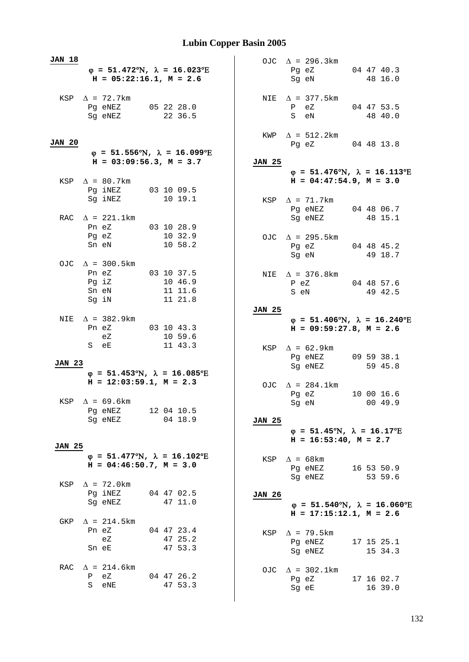| <b>JAN 18</b> |                                                                                        |  |                               |  |               | OJC $\Delta$ = 296.3km                                                                              |  |                       |
|---------------|----------------------------------------------------------------------------------------|--|-------------------------------|--|---------------|-----------------------------------------------------------------------------------------------------|--|-----------------------|
|               | $\varphi = 51.472^{\circ}N$ , $\lambda = 16.023^{\circ}E$<br>$H = 05:22:16.1, M = 2.6$ |  |                               |  |               | Pg eZ 04 47 40.3<br>Sg eN                                                                           |  | 48 16.0               |
|               | KSP $\Delta$ = 72.7km<br>Pg eNEZ 05 22 28.0<br>Sg eNEZ                                 |  | 22 36.5                       |  |               | NIE $\Delta$ = 377.5 km<br>04 47 53.5<br>P eZ<br>S eN                                               |  | 48 40.0               |
| <b>JAN 20</b> | $\varphi$ = 51.556°N, $\lambda$ = 16.099°E                                             |  |                               |  |               | KWP $\Delta$ = 512.2km<br>Pg eZ 04 48 13.8                                                          |  |                       |
|               | $H = 03:09:56.3, M = 3.7$                                                              |  |                               |  | JAN 25        |                                                                                                     |  |                       |
|               | KSP $\Delta$ = 80.7km                                                                  |  |                               |  |               | $\varphi = 51.476^{\circ}N$ , $\lambda = 16.113^{\circ}E$<br>$H = 04:47:54.9$ , $M = 3.0$           |  |                       |
|               | Pg iNEZ 03 10 09.5<br>Sg iNEZ                                                          |  | 10 19.1                       |  |               | KSP $\Delta$ = 71.7km                                                                               |  |                       |
|               | RAC $\Delta$ = 221.1km<br>Pn eZ<br>$03$ 10 28.9                                        |  |                               |  |               | Pg eNEZ 04 48 06.7<br>Sg eNEZ                                                                       |  | 48 15.1               |
|               | Pg eZ 10 32.9<br>Sn eN 10 58.2                                                         |  |                               |  |               | OJC $\Delta$ = 295.5km<br>Pg eZ 04 48 45.2<br>Sg eN 49 18.7                                         |  |                       |
|               | OJC $\Delta$ = 300.5km<br>Pn eZ 03 10 37.5<br>Pg iZ<br>Sn eN<br>Sg iN                  |  | 10 46.9<br>11 11.6<br>11 21.8 |  |               | NIE $\Delta$ = 376.8km<br>P eZ<br>S eN                                                              |  | 04 48 57.6<br>49 42.5 |
|               |                                                                                        |  |                               |  | <b>JAN 25</b> |                                                                                                     |  |                       |
|               | NIE $\Delta$ = 382.9km<br>Pn eZ 03 10 43.3<br>eZ                                       |  | 10 59.6                       |  |               | $\varphi = 51.406^{\circ}N$ , $\lambda = 16.240^{\circ}E$<br>$H = 09:59:27.8$ , $M = 2.6$           |  |                       |
|               | S eE                                                                                   |  | 11 43.3                       |  |               | KSP $\Delta = 62.9 \text{km}$<br>Pg eNEZ 09 59 38.1                                                 |  |                       |
| <b>JAN 23</b> | $\varphi = 51.453^{\circ}\text{N}$ , $\lambda = 16.085^{\circ}\text{E}$                |  |                               |  |               | Sg eNEZ                                                                                             |  | 59 45.8               |
|               | $H = 12:03:59.1, M = 2.3$                                                              |  |                               |  |               | OJC $\Delta = 284.1 \text{km}$<br>Pg eZ                                                             |  | 10 00 16.6            |
|               | KSP $\Delta = 69.6 \text{km}$<br>Pg eNEZ 12 04 10.5<br>Sg eNEZ                         |  | 04 18.9                       |  | <b>JAN 25</b> | Sg eN 00 49.9                                                                                       |  |                       |
| <b>JAN 25</b> |                                                                                        |  |                               |  |               | $\varphi = 51.45^{\circ}\text{N}$ , $\lambda = 16.17^{\circ}\text{E}$<br>$H = 16:53:40$ , $M = 2.7$ |  |                       |
|               | $\varphi = 51.477^{\circ}\text{N}$ , $\lambda = 16.102^{\circ}\text{E}$                |  |                               |  | KSP           | $\Delta$ = 68 km                                                                                    |  |                       |
|               | $H = 04:46:50.7$ , $M = 3.0$                                                           |  |                               |  |               | Pg eNEZ 16 53 50.9<br>Sg eNEZ                                                                       |  | 53 59.6               |
|               | KSP $\Delta$ = 72.0km<br>Pg iNEZ 04 47 02.5<br>Sg eNEZ                                 |  | 47 11.0                       |  | <b>JAN 26</b> | $\varphi = 51.540^{\circ}N$ , $\lambda = 16.060^{\circ}E$<br>$H = 17:15:12.1, M = 2.6$              |  |                       |
|               | GKP $\Delta$ = 214.5km<br>04 47 23.4<br>Pn eZ                                          |  |                               |  |               |                                                                                                     |  |                       |
|               | еZ<br>Sn eE                                                                            |  | 47 25.2<br>47 53.3            |  |               | KSP $\Delta$ = 79.5km<br>Pg eNEZ<br>Sg eNEZ                                                         |  | 17 15 25.1<br>15 34.3 |
|               | RAC $\Delta$ = 214.6km<br>eZ<br>04 47 26.2<br>P<br>S eNE                               |  | 47 53.3                       |  |               | OJC $\Delta$ = 302.1km<br>Pg eZ<br>Sg eE                                                            |  | 17 16 02.7<br>16 39.0 |
|               |                                                                                        |  |                               |  |               |                                                                                                     |  |                       |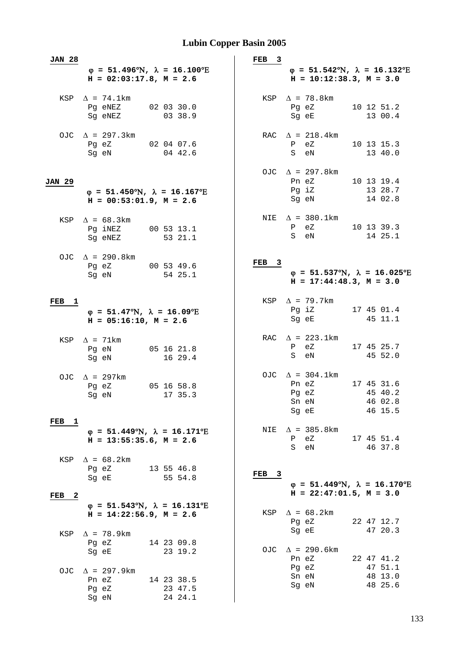| <b>JAN 28</b>                         |                                                                                           |                                                                         | FEB 3            |                                                                                           |                                             |
|---------------------------------------|-------------------------------------------------------------------------------------------|-------------------------------------------------------------------------|------------------|-------------------------------------------------------------------------------------------|---------------------------------------------|
|                                       | $H = 02:03:17.8, M = 2.6$                                                                 | $\varphi = 51.496^{\circ}N$ , $\lambda = 16.100^{\circ}E$               |                  | $\varphi = 51.542^{\circ}N$ , $\lambda = 16.132^{\circ}E$<br>$H = 10:12:38.3, M = 3.0$    |                                             |
|                                       | KSP $\Delta$ = 74.1km<br>Pq eNEZ<br>Sg eNEZ                                               | 020330.0<br>03 38.9                                                     |                  | KSP $\Delta$ = 78.8km<br>Pg eZ<br>Sg eE                                                   | 10 12 51.2<br>13 00.4                       |
|                                       | OJC $\Delta$ = 297.3km<br>Pg eZ 02 04 07.6<br>Sg eN                                       | 04 42.6                                                                 |                  | RAC $\Delta$ = 218.4km<br>P eZ<br>S eN                                                    | 10 13 15.3<br>13 40.0                       |
| JAN 29                                | $\varphi = 51.450^{\circ}N$ , $\lambda = 16.167^{\circ}E$<br>$H = 00:53:01.9$ , $M = 2.6$ |                                                                         |                  | OJC $\Delta$ = 297.8km<br>Pn eZ<br>Pg iZ<br>Sg eN                                         | 10 13 19.4<br>13 28.7<br>14 02.8            |
| KSP                                   | $\Delta = 68.3 \text{km}$<br>Pg iNEZ<br>Sq eNEZ                                           | 00 53 13.1<br>53 21.1                                                   |                  | NIE $\Delta$ = 380.1km<br>P eZ<br>S eN                                                    | 10 13 39.3<br>14 25.1                       |
|                                       | OJC $\Delta$ = 290.8km<br>Pg eZ 00 53 49.6<br>Sg eN                                       | 54 25.1                                                                 | FEB <sub>3</sub> | $\varphi$ = 51.537°N, $\lambda$ = 16.025°E<br>$H = 17:44:48.3, M = 3.0$                   |                                             |
| FEB<br>1                              | $\varphi = 51.47^{\circ}N$ , $\lambda = 16.09^{\circ}E$<br>$H = 05:16:10$ , $M = 2.6$     |                                                                         |                  | KSP $\Delta$ = 79.7km<br>Pg iZ<br>Sg eE                                                   | 17 45 01.4<br>45 11.1                       |
|                                       | KSP $\Delta$ = 71km<br>Pg eN<br>Sg eN                                                     | 05 16 21.8<br>16 29.4                                                   |                  | RAC $\Delta$ = 223.1km<br>P eZ<br>S eN                                                    | 17 45 25.7<br>45 52.0                       |
|                                       | OJC $\Delta$ = 297km<br>Pg eZ<br>Sg eN                                                    | 05 16 58.8<br>17 35.3                                                   |                  | OJC $\Delta$ = 304.1km<br>Pn eZ<br>Pg eZ<br>Sn eN<br>Sg eE                                | 17 45 31.6<br>45 40.2<br>46 02.8<br>46 15.5 |
| FEB<br>1                              | $H = 13:55:35.6$ , $M = 2.6$                                                              | $\varphi = 51.449^{\circ}N$ , $\lambda = 16.171^{\circ}E$               | NIE              | $\Delta$ = 385.8km<br>еZ<br>$\mathbf{P}$<br>S eN                                          | 17 45 51.4<br>46 37.8                       |
| KSP<br>FEB<br>$\overline{\mathbf{2}}$ | $\Delta = 68.2 \text{km}$<br>Pq eZ<br>Sq eE                                               | 13 55 46.8<br>55 54.8                                                   | FEB <sub>3</sub> | $\varphi = 51.449^{\circ}N$ , $\lambda = 16.170^{\circ}E$<br>$H = 22:47:01.5$ , $M = 3.0$ |                                             |
|                                       | $H = 14:22:56.9, M = 2.6$                                                                 | $\varphi = 51.543^{\circ}\text{N}$ , $\lambda = 16.131^{\circ}\text{E}$ |                  | KSP $\Delta = 68.2$ km<br>Pg eZ                                                           | 22 47 12.7<br>47 20.3                       |
| KSP                                   | $\Delta$ = 78.9km<br>Pg eZ<br>Sq eE                                                       | 14 23 09.8<br>23 19.2                                                   |                  | Sg eE<br>OJC $\Delta$ = 290.6km<br>Pn eZ                                                  | 22 47 41.2                                  |
|                                       | OJC $\Delta$ = 297.9km<br>Pn eZ<br>Pg eZ<br>Sg eN                                         | 14 23 38.5<br>23 47.5<br>24 24.1                                        |                  | Pg eZ<br>Sn eN<br>Sg eN                                                                   | 47 51.1<br>48 13.0<br>48 25.6               |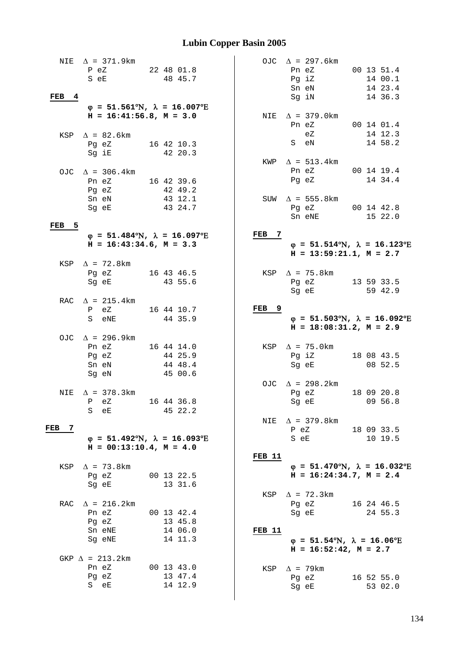| NIE<br>FEB<br>$\frac{4}{3}$ | $\Delta$ = 371.9km<br>P eZ<br>S eE                                                                                 | 22 48 01.8<br>48 45.7                       |                       | OJC $\Delta$ = 297.6km<br>Pn eZ<br>Pg iZ<br>Sn eN<br>Sg iN                                           | 00 13 51.4<br>14 00.1<br>14 23.4<br>14 36.3 |
|-----------------------------|--------------------------------------------------------------------------------------------------------------------|---------------------------------------------|-----------------------|------------------------------------------------------------------------------------------------------|---------------------------------------------|
| KSP                         | $\varphi$ = 51.561°N, $\lambda$ = 16.007°E<br>$H = 16:41:56.8$ , $M = 3.0$<br>$\Delta$ = 82.6km<br>Pg eZ<br>Sg iE  | 16 42 10.3<br>42 20.3                       | NIE                   | $\Delta$ = 379.0km<br>Pn eZ<br>eZ<br>S eN                                                            | 00 14 01.4<br>14 12.3<br>14 58.2            |
|                             | OJC $\Delta$ = 306.4km<br>Pn eZ<br>Pg eZ                                                                           | 16 42 39.6<br>42 49.2                       | KWP                   | $\Delta$ = 513.4km<br>Pn eZ<br>Pg eZ                                                                 | 001419.4<br>14 34.4                         |
| $\overline{5}$<br>FEB       | Sn eN<br>Sg eE                                                                                                     | 43 12.1<br>43 24.7                          |                       | SUW $\Delta$ = 555.8km<br>Pg eZ 00 14 42.8<br>Sn eNE                                                 | 15 22.0                                     |
|                             | $\varphi = 51.484^{\circ}N$ , $\lambda = 16.097^{\circ}E$<br>$H = 16:43:34.6$ , $M = 3.3$<br>KSP $\Delta$ = 72.8km |                                             | FEB<br>$\overline{7}$ | $\varphi = 51.514^{\circ}\text{N}$ , $\lambda = 16.123^{\circ}\text{E}$<br>$H = 13:59:21.1, M = 2.7$ |                                             |
|                             | Pg eZ<br>Sg eE                                                                                                     | 16 43 46.5<br>43 55.6                       |                       | KSP $\Delta$ = 75.8km<br>Pg eZ<br>Sg eE                                                              | 13 59 33.5<br>59 42.9                       |
|                             | RAC $\Delta$ = 215.4km<br>P eZ<br>S eNE                                                                            | 16 44 10.7<br>44 35.9                       | FEB <sub>9</sub>      | $\varphi = 51.503^{\circ}N$ , $\lambda = 16.092^{\circ}E$<br>$H = 18:08:31.2$ , $M = 2.9$            |                                             |
|                             | OJC $\Delta$ = 296.9km<br>Pn eZ<br>Pg eZ<br>Sn eN<br>Sg eN                                                         | 16 44 14.0<br>44 25.9<br>44 48.4<br>45 00.6 |                       | KSP $\Delta$ = 75.0km<br>Pg iZ<br>Sg eE                                                              | 18 08 43.5<br>08 52.5                       |
| NIE                         | $\Delta$ = 378.3km<br>P eZ<br>S<br>eE                                                                              | 16 44 36.8<br>45 22.2                       |                       | OJC $\Delta$ = 298.2km<br>Pg eZ<br>Sg eE                                                             | 18 09 20.8<br>09 56.8                       |
| FEB<br>-7                   | $\varphi = 51.492^{\circ}N$ , $\lambda = 16.093^{\circ}E$<br>$H = 00:13:10.4$ , $M = 4.0$                          |                                             | <b>FEB 11</b>         | NIE $\Delta$ = 379.8km<br>P eZ<br>S eE                                                               | 18 09 33.5<br>10 19.5                       |
| KSP                         | $\Delta$ = 73.8km<br>Pg eZ<br>Sg eE                                                                                | 00 13 22.5<br>13 31.6                       |                       | $\varphi = 51.470^{\circ}N$ , $\lambda = 16.032^{\circ}E$<br>$H = 16:24:34.7$ , $M = 2.4$            |                                             |
|                             | RAC $\Delta$ = 216.2km<br>Pn eZ<br>Pg eZ<br>Sn eNE                                                                 | 00 13 42.4<br>13 45.8<br>14 06.0            | FEB 11                | KSP $\Delta$ = 72.3km<br>Pg eZ<br>Sg eE                                                              | 16 24 46.5<br>24 55.3                       |
|                             | Sg eNE<br>GKP $\Delta$ = 213.2km<br>Pn eZ                                                                          | 14 11.3<br>00 13 43.0                       |                       | $\varphi = 51.54$ °N, $\lambda = 16.06$ °E<br>$H = 16:52:42$ , $M = 2.7$<br>KSP $\Delta$ = 79km      |                                             |
|                             |                                                                                                                    |                                             |                       |                                                                                                      |                                             |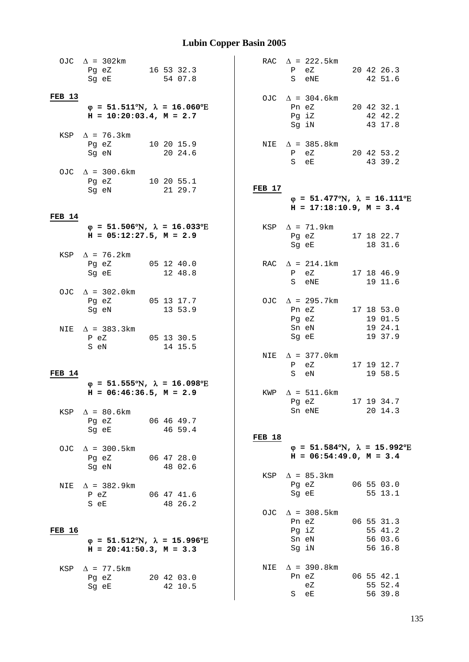|               | OJC $\Delta$ = 302km<br>Pg eZ<br>Sg eE                                                                  | 16 53 32.3<br>54 07.8 |               | RAC $\Delta$ = 222.5km<br>P eZ<br>eNE<br>S                                                           | 20 42 26.3<br>42 51.6                       |
|---------------|---------------------------------------------------------------------------------------------------------|-----------------------|---------------|------------------------------------------------------------------------------------------------------|---------------------------------------------|
| <b>FEB 13</b> | $\varphi = 51.511^{\circ}\text{N}$ , $\lambda = 16.060^{\circ}\text{E}$<br>$H = 10:20:03.4$ , $M = 2.7$ |                       |               | OJC $\Delta$ = 304.6km<br>Pn eZ 20 42 32.1<br>Pg iZ<br>Sg iN                                         | 42 42.2<br>43 17.8                          |
|               | KSP $\Delta$ = 76.3km<br>Pg eZ 10 20 15.9<br>Sg eN                                                      | 20 24.6               |               | NIE $\Delta$ = 385.8km<br>P eZ 20 42 53.2<br>S eE                                                    | 43 39.2                                     |
|               | OJC $\Delta$ = 300.6km<br>Pg eZ 10 20 55.1<br>Sg eN                                                     | 21 29.7               | FEB 17        | $\varphi = 51.477^{\circ}\text{N}$ , $\lambda = 16.111^{\circ}\text{E}$<br>$H = 17:18:10.9, M = 3.4$ |                                             |
| <b>FEB 14</b> | $\varphi = 51.506^{\circ}N$ , $\lambda = 16.033^{\circ}E$<br>$H = 05:12:27.5, M = 2.9$                  |                       |               | KSP $\Delta$ = 71.9km<br>Pg eZ 17 18 22.7<br>Sg eE                                                   | 18 31.6                                     |
|               | KSP $\Delta$ = 76.2km<br>Pg eZ<br>Sg eE                                                                 | 05 12 40.0<br>12 48.8 |               | RAC $\Delta = 214.1 \text{km}$<br>P eZ<br>S eNE                                                      | 17 18 46.9<br>19 11.6                       |
|               | OJC $\Delta$ = 302.0km<br>Pg eZ 05 13 17.7<br>Sg eN                                                     | 13 53.9               |               | OJC $\Delta$ = 295.7km<br>Pn eZ 17 18 53.0<br>Pg eZ                                                  | 19 01.5                                     |
|               | NIE $\Delta$ = 383.3km<br>P eZ 05 13 30.5<br>S eN                                                       | 14 15.5               |               | Sn eN<br>Sg eE<br>NIE $\Delta$ = 377.0 km                                                            | 19 24.1<br>19 37.9                          |
| FEB 14        |                                                                                                         |                       |               | eZ 17 19 12.7<br>P<br>S eN                                                                           | 19 58.5                                     |
|               | $\varphi$ = 51.555°N, $\lambda$ = 16.098°E<br>$H = 06:46:36.5$ , $M = 2.9$                              |                       |               | KWP $\Delta = 511.6 \text{km}$<br>Pg eZ<br>Sn eNE                                                    | 17 19 34.7<br>20 14.3                       |
| KSP           | $\Delta$ = 80.6km<br>Pg eZ<br>Sg eE 46 59.4                                                             | $06\;46\;49.7$        | <b>FEB 18</b> |                                                                                                      |                                             |
|               | OJC $\Delta$ = 300.5km<br>Pg eZ<br>Sg eN                                                                | 06 47 28.0<br>48 02.6 |               | $\varphi$ = 51.584°N, $\lambda$ = 15.992°E<br>$H = 06:54:49.0, M = 3.4$<br>KSP $\Delta$ = 85.3km     |                                             |
|               | NIE $\Delta$ = 382.9km<br>P eZ<br>S eE                                                                  | 06 47 41.6<br>48 26.2 |               | Pg eZ<br>Sg eE                                                                                       | 06 55 03.0<br>55 13.1                       |
| <b>FEB 16</b> | $\varphi$ = 51.512°N, $\lambda$ = 15.996°E<br>$H = 20:41:50.3, M = 3.3$                                 |                       |               | OJC $\Delta$ = 308.5km<br>Pn eZ<br>Pg iZ<br>Sn eN<br>Sg iN                                           | 06 55 31.3<br>55 41.2<br>56 03.6<br>56 16.8 |
|               | KSP $\Delta$ = 77.5km<br>Pg eZ 20 42 03.0<br>Sg eE                                                      | 42 10.5               |               | NIE $\Delta$ = 390.8km<br>Pn eZ 06 55 42.1<br>eZ<br>S eE                                             | 55 52.4<br>56 39.8                          |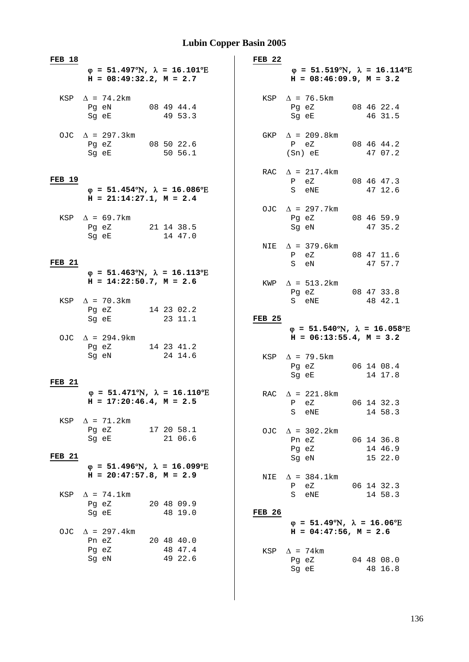| <b>FEB 18</b>        |                                                                                                                                                             |                                  | FEB <sub>22</sub> |                                                                                                      |                                  |
|----------------------|-------------------------------------------------------------------------------------------------------------------------------------------------------------|----------------------------------|-------------------|------------------------------------------------------------------------------------------------------|----------------------------------|
|                      | $\varphi = 51.497^{\circ}\text{N}$ , $\lambda = 16.101^{\circ}\text{E}$<br>$H = 08:49:32.2, M = 2.7$                                                        |                                  |                   | $\varphi = 51.519^{\circ}\text{N}$ , $\lambda = 16.114^{\circ}\text{E}$<br>$H = 08:46:09.9, M = 3.2$ |                                  |
|                      | KSP $\Delta$ = 74.2km<br>Pg eN<br>Sg eE                                                                                                                     | 08 49 44.4<br>49 53.3            |                   | $KSP \quad \Delta = 76.5 \text{km}$<br>Pg eZ<br>Sg eE                                                | 08 46 22.4<br>46 31.5            |
|                      | OJC $\Delta$ = 297.3km<br>Pg eZ 08 50 22.6<br>Sg eE                                                                                                         | 50 56.1                          |                   | GKP $\Delta$ = 209.8km<br>P eZ<br>(Sn) eE                                                            | 08 46 44.2<br>47 07.2            |
| <b>FEB 19</b>        | $\varphi = 51.454^{\circ}N$ , $\lambda = 16.086^{\circ}E$<br>$H = 21:14:27.1, M = 2.4$                                                                      |                                  |                   | RAC $\Delta$ = 217.4km<br>P eZ<br>S eNE                                                              | 08 46 47.3<br>47 12.6            |
|                      | KSP $\Delta$ = 69.7km<br>Pg eZ 21 14 38.5<br>Sg eE and the state of the state of the state of the state of the state of the state of the state of the state | 14 47.0                          |                   | OJC $\Delta$ = 297.7km<br>Pg eZ<br>Sg eN                                                             | 08 46 59.9<br>47 35.2            |
| FEB <sub>21</sub>    | $\varphi = 51.463^{\circ}\text{N}$ , $\lambda = 16.113^{\circ}\text{E}$                                                                                     |                                  |                   | NIE $\Delta$ = 379.6km<br>P eZ 08 47 11.6<br>S eN                                                    | 47 57.7                          |
|                      | $H = 14:22:50.7$ , $M = 2.6$<br>KSP $\Delta$ = 70.3km                                                                                                       |                                  |                   | KWP $\Delta = 513.2$ km<br>Pg eZ 08 47 33.8<br>S eNE                                                 | 48 42.1                          |
|                      | Pg eZ<br>Sg eE<br>OJC $\Delta$ = 294.9km                                                                                                                    | 14 23 02.2<br>23 11.1            | <b>FEB 25</b>     | $\varphi$ = 51.540°N, $\lambda$ = 16.058°E<br>$H = 06:13:55.4$ , $M = 3.2$                           |                                  |
|                      | Pg eZ 14 23 41.2<br>Sg eN                                                                                                                                   | 24 14.6                          |                   | KSP $\Delta$ = 79.5 km<br>Pg eZ<br>Sg eE                                                             | 06 14 08.4<br>14 17.8            |
| <b>FEB 21</b><br>KSP | $\varphi = 51.471^{\circ}\text{N}$ , $\lambda = 16.110^{\circ}\text{E}$<br>$H = 17:20:46.4$ , $M = 2.5$<br>$\Delta$ = 71.2km                                |                                  |                   | RAC $\Delta$ = 221.8km<br>P eZ<br>S<br>eNE                                                           | 06 14 32.3<br>14 58.3            |
| <b>FEB 21</b>        | Pg eZ<br>Sg eE                                                                                                                                              | 17 20 58.1<br>21 06.6            |                   | OJC $\Delta$ = 302.2km<br>Pn eZ<br>Pg eZ<br>Sg eN                                                    | 06 14 36.8<br>14 46.9<br>15 22.0 |
|                      | $\varphi = 51.496^{\circ}N$ , $\lambda = 16.099^{\circ}E$<br>$H = 20:47:57.8$ , $M = 2.9$                                                                   |                                  | NIE               | $\Delta$ = 384.1km<br>еZ<br>$\mathbf{P}$                                                             | 06 14 32.3                       |
| KSP                  | $\Delta$ = 74.1km<br>Pg eZ<br>Sq eE                                                                                                                         | 20 48 09.9<br>48 19.0            | <b>FEB 26</b>     | S<br>eNE<br>$\varphi = 51.49^{\circ}N$ , $\lambda = 16.06^{\circ}E$                                  | 14 58.3                          |
| OJC                  | $\Delta$ = 297.4 km<br>Pn eZ<br>Pg eZ<br>Sg eN                                                                                                              | 20 48 40.0<br>48 47.4<br>49 22.6 | KSP               | $H = 04:47:56$ , $M = 2.6$<br>$\Delta$ = 74 km<br>Pg eZ<br>Sg eE                                     | 04 48 08.0<br>48 16.8            |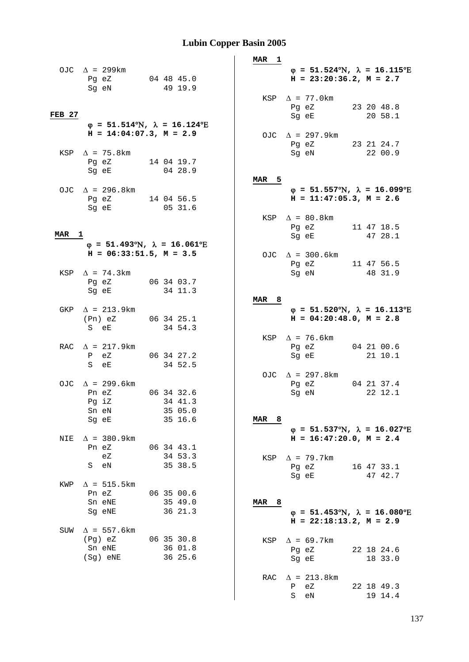|       | OJC $\Lambda = 299$ km |  |            |
|-------|------------------------|--|------------|
| Pg eZ |                        |  | 04 48 45.0 |
| Sq eN |                        |  | 49 19.9    |

#### **FEB 27**

- ϕ **= 51.514**°Ν**,** λ **= 16.124**°Ε  $H = 14:04:07.3, M = 2.9$
- KSP  $\Delta = 75.8 \text{ km}$ <br>Pg eZ Pg eZ 14 04 19.7<br>Sq eE 04 28.9  $04, 28.9$
- OJC  $\Delta$  = 296.8km Pg eZ 14 04 56.5 Sg eE 05 31.6

#### **MAR 1**

- ϕ **= 51.493**°Ν**,** λ **= 16.061**°Ε  $H = 06:33:51.5$ ,  $M = 3.5$
- KSP  $\Delta = 74.3 \text{km}$ <br>Pq eZ Pg eZ 06 34 03.7<br>Sq eE 34 11.3 34 11.3
- GKP  $\Delta$  = 213.9km (Pn) eZ 06 34 25.1<br>S eE 34 54.3 34 54.3
- RAC  $\Delta = 217.9 \text{km}$ <br>P eZ P eZ 06 34 27.2<br>S eE 34 52.5 34 52.5
- OJC  $\Delta$  = 299.6km Pn eZ 06 34 32.6<br>Pq iZ 34 41.3 34 41.3<br>35 05.0 Sn eN 35 05.0<br>Sq eE 35 16.6  $Sq$  eE
- NIE  $\Delta = 380.9$ km Pn eZ 06 34 43.1 eZ 34 53.3 S eN 35 38.5
- KWP  $\Delta = 515.5 \text{km}$ <br>Pn eZ Pn eZ 06 35 00.6<br>Sn eNE 35 49.0  $35, 49.0$  Sg eNE 36 21.3 SUW  $\Delta$  = 557.6km
- (Pg) eZ 06 35 30.8<br>Sn eNF: 36 01.8  $36$  01.8<br>36 25.6 Sn eNE<br>(Sg) eNE

**MAR 1** ϕ **= 51.524**°Ν**,** λ **= 16.115**°Ε  $H = 23:20:36.2$ ,  $M = 2.7$ KSP  $\Delta$  = 77.0km Pg eZ 23 20 48.8<br>Sg eE 20 58.1  $20, 58.1$ OJC  $\Delta = 297.9 \text{km}$ <br>Pg eZ Pg eZ 23 21 24.7<br>Sq eN 22 00.9  $2200.9$ **MAR 5** ϕ **= 51.557**°Ν**,** λ **= 16.099**°Ε  **H = 11:47:05.3, M = 2.6**  KSP  $\Delta = 80.8$ km Pg eZ 11 47 18.5<br>Sq eE 47 28.1 47 28.1 OJC  $\Delta$  = 300.6km Pg eZ 11 47 56.5<br>Sq eN 48 31.9 Sg eN 48 31.9 **MAR 8** ϕ **= 51.520**°Ν**,** λ **= 16.113**°Ε  $H = 04:20:48.0, M = 2.8$ 

|       | $KSP \quad \Lambda = 76.6 \text{km}$ |  |            |
|-------|--------------------------------------|--|------------|
| Pa eZ |                                      |  | 04 21 00.6 |
| Sg eE |                                      |  | 21 10.1    |

OJC  $\Delta$  = 297.8km Pg eZ 04 21 37.4 Sg eN 22 12.1

#### **MAR 8**

ϕ **= 51.537**°Ν**,** λ **= 16.027**°Ε  **H = 16:47:20.0, M = 2.4** 

KSP  $\Delta$  = 79.7km Pg eZ 16 47 33.1 Sg eE 47 42.7

#### **MAR 8**

ϕ **= 51.453**°Ν**,** λ **= 16.080**°Ε  **H = 22:18:13.2, M = 2.9** 

KSP  $\Delta$  = 69.7km Pg eZ 22 18 24.6 Sq eE 18 33.0 RAC  $\Delta$  = 213.8km P eZ 22 18 49.3<br>S eN 19 14.4 19 14.4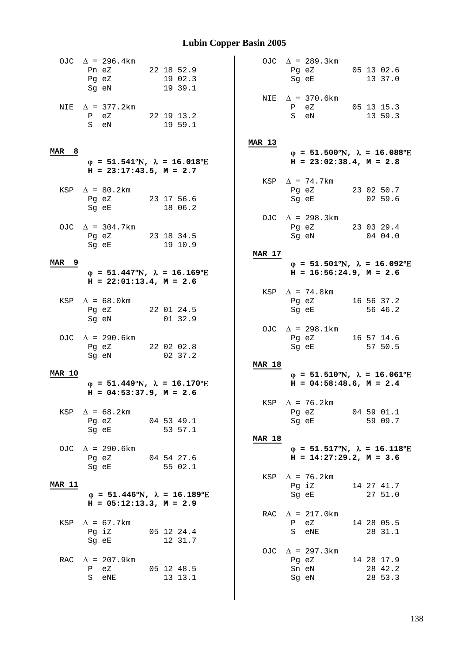|               | OJC $\Delta$ = 296.4km<br>Pn eZ<br>Pg eZ<br>Sg eN                                                                                  | 22 18 52.9<br>19 02.3<br>19 39.1                                        |               | OJC $\Delta$ = 289.3km<br>Pg eZ 05 13 02.6<br>Sg eE<br>NIE $\Delta$ = 370.6km             | 13 37.0    |
|---------------|------------------------------------------------------------------------------------------------------------------------------------|-------------------------------------------------------------------------|---------------|-------------------------------------------------------------------------------------------|------------|
|               | NIE $\Delta$ = 377.2km<br>P eZ 22 19 13.2<br>S eN                                                                                  | 19 59.1                                                                 |               | P eZ 05 13 15.3<br>S eN                                                                   | 13 59.3    |
|               |                                                                                                                                    |                                                                         | <b>MAR 13</b> |                                                                                           |            |
| MAR 8         | $H = 23:17:43.5$ , $M = 2.7$                                                                                                       | $\varphi = 51.541^{\circ}\text{N}$ , $\lambda = 16.018^{\circ}\text{E}$ |               | $\varphi = 51.500^{\circ}N$ , $\lambda = 16.088^{\circ}E$<br>$H = 23:02:38.4$ , $M = 2.8$ |            |
|               |                                                                                                                                    |                                                                         |               | KSP $\Delta$ = 74.7km                                                                     |            |
|               | KSP $\Delta = 80.2$ km                                                                                                             |                                                                         |               | Pg eZ 23 02 50.7                                                                          |            |
|               | Pg eZ 23 17 56.6<br>Sq eE and the state of the state of the state of the state of the state of the state of the state of the state | 18 06.2                                                                 |               | Sg eE 02 59.6                                                                             |            |
|               |                                                                                                                                    |                                                                         |               | OJC $\Delta$ = 298.3km                                                                    |            |
|               | OJC $\Delta$ = 304.7km                                                                                                             |                                                                         |               | Pg eZ 23 03 29.4                                                                          |            |
|               | Pg eZ 23 18 34.5                                                                                                                   |                                                                         |               | Sg eN 04 04.0                                                                             |            |
|               | Sg eE and the state of the state of the state of the state of the state of the state of the state of the state                     | 19 10.9                                                                 |               |                                                                                           |            |
|               |                                                                                                                                    |                                                                         | <b>MAR 17</b> |                                                                                           |            |
| MAR 9         |                                                                                                                                    |                                                                         |               | $\varphi = 51.501^{\circ}\text{N}$ , $\lambda = 16.092^{\circ}\text{E}$                   |            |
|               |                                                                                                                                    | $\varphi = 51.447^{\circ}\text{N}$ , $\lambda = 16.169^{\circ}\text{E}$ |               | $H = 16:56:24.9, M = 2.6$                                                                 |            |
|               | $H = 22:01:13.4, M = 2.6$                                                                                                          |                                                                         |               |                                                                                           |            |
|               |                                                                                                                                    |                                                                         |               | KSP $\Delta$ = 74.8km                                                                     |            |
|               | KSP $\Delta = 68.0$ km<br>Pg eZ 22 01 24.5                                                                                         |                                                                         |               | Pg eZ 16 56 37.2<br>Sg eE                                                                 | 56 46.2    |
|               | Sg eN                                                                                                                              | 01 32.9                                                                 |               |                                                                                           |            |
|               |                                                                                                                                    |                                                                         |               | OJC $\Delta$ = 298.1km                                                                    |            |
|               | OJC $\Delta$ = 290.6km                                                                                                             |                                                                         |               | Pg eZ 16 57 14.6                                                                          |            |
|               | Pg eZ 22 02 02.8                                                                                                                   |                                                                         |               | Sg eE                                                                                     | 57 50.5    |
|               | Sg eN                                                                                                                              | 02 37.2                                                                 |               |                                                                                           |            |
|               |                                                                                                                                    |                                                                         | <b>MAR 18</b> |                                                                                           |            |
| <b>MAR 10</b> |                                                                                                                                    |                                                                         |               | $\varphi$ = 51.510°N, $\lambda$ = 16.061°E                                                |            |
|               | $H = 04:53:37.9$ , $M = 2.6$                                                                                                       | $\varphi = 51.449^{\circ}N$ , $\lambda = 16.170^{\circ}E$               |               | $H = 04:58:48.6$ , $M = 2.4$                                                              |            |
|               |                                                                                                                                    |                                                                         |               | KSP $\Delta$ = 76.2km                                                                     |            |
|               | KSP $\Delta = 68.2$ km                                                                                                             |                                                                         |               | Pg eZ 04 59 01.1                                                                          |            |
|               | Pg eZ                                                                                                                              | 04 53 49.1                                                              |               | Sg eE                                                                                     | 59 09.7    |
|               | Sg eE 53 57.1                                                                                                                      |                                                                         |               |                                                                                           |            |
|               |                                                                                                                                    |                                                                         | <b>MAR 18</b> |                                                                                           |            |
|               | OJC $\Delta$ = 290.6km                                                                                                             |                                                                         |               | $\varphi$ = 51.517°N, $\lambda$ = 16.118°E                                                |            |
|               | Pg eZ                                                                                                                              | 04 54 27.6                                                              |               | $H = 14:27:29.2, M = 3.6$                                                                 |            |
|               | Sg eE 55 02.1                                                                                                                      |                                                                         |               |                                                                                           |            |
| <b>MAR 11</b> |                                                                                                                                    |                                                                         |               | KSP $\Delta$ = 76.2km                                                                     |            |
|               |                                                                                                                                    | $\varphi = 51.446^{\circ}N$ , $\lambda = 16.189^{\circ}E$               |               | Pg iZ 14 27 41.7<br>Sg eE                                                                 | 27 51.0    |
|               | $H = 05:12:13.3, M = 2.9$                                                                                                          |                                                                         |               |                                                                                           |            |
|               |                                                                                                                                    |                                                                         |               | RAC $\Delta = 217.0 \text{km}$                                                            |            |
|               | KSP $\Delta = 67.7 \text{km}$                                                                                                      |                                                                         |               | P eZ                                                                                      | 14 28 05.5 |
|               | Pg iZ                                                                                                                              | 05 12 24.4                                                              |               | S eNE                                                                                     | 28 31.1    |
|               | Sg eE                                                                                                                              | 12 31.7                                                                 |               |                                                                                           |            |
|               |                                                                                                                                    |                                                                         |               | OJC $\Delta$ = 297.3km                                                                    |            |
|               | RAC $\Delta$ = 207.9km                                                                                                             |                                                                         |               | Pg eZ 14 28 17.9                                                                          |            |
|               | P eZ 05 12 48.5                                                                                                                    |                                                                         |               | Sn eN                                                                                     | 28 42.2    |
|               | S eNE                                                                                                                              | 13 13.1                                                                 |               | Sg eN                                                                                     | 28 53.3    |
|               |                                                                                                                                    |                                                                         |               |                                                                                           |            |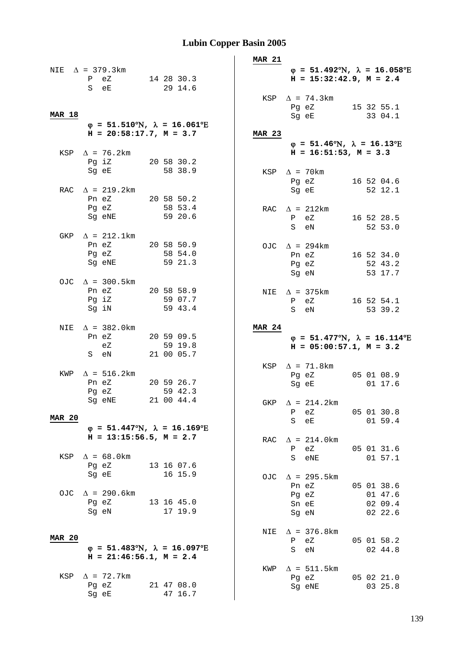|               |                                                                                                                |            |                       | <b>MAR 21</b> |              |                                                                                                                |  |                    |
|---------------|----------------------------------------------------------------------------------------------------------------|------------|-----------------------|---------------|--------------|----------------------------------------------------------------------------------------------------------------|--|--------------------|
| NIE           | $\Delta$ = 379.3km                                                                                             |            |                       |               |              | $\varphi = 51.492^{\circ}N$ , $\lambda = 16.058^{\circ}E$                                                      |  |                    |
|               | P eZ                                                                                                           | 14 28 30.3 |                       |               |              | $H = 15:32:42.9$ , $M = 2.4$                                                                                   |  |                    |
|               | S eE                                                                                                           |            | 29 14.6               |               |              |                                                                                                                |  |                    |
|               |                                                                                                                |            |                       |               |              | $KSP \quad \Delta = 74.3 \text{km}$                                                                            |  |                    |
| <b>MAR 18</b> |                                                                                                                |            |                       |               |              | Pg eZ 15 32 55.1<br>Sg eE                                                                                      |  | 33 04.1            |
|               | $\varphi = 51.510^{\circ}N$ , $\lambda = 16.061^{\circ}E$                                                      |            |                       |               |              |                                                                                                                |  |                    |
|               | $H = 20:58:17.7$ , $M = 3.7$                                                                                   |            |                       | <b>MAR 23</b> |              |                                                                                                                |  |                    |
|               |                                                                                                                |            |                       |               |              | $\varphi = 51.46^{\circ}N$ , $\lambda = 16.13^{\circ}E$                                                        |  |                    |
|               | KSP $\Delta$ = 76.2km<br>20 58 30.2<br>Pg iZ                                                                   |            |                       |               |              | $H = 16:51:53$ , $M = 3.3$                                                                                     |  |                    |
|               | Sg eE and the state of the state of the state of the state of the state of the state of the state of the state |            | 58 38.9               |               |              | KSP $\Delta$ = 70km                                                                                            |  |                    |
|               |                                                                                                                |            |                       |               |              | Pg eZ                                                                                                          |  | 16 52 04.6         |
|               | RAC $\Delta$ = 219.2km                                                                                         |            |                       |               |              | Sg eE and the state of the state of the state of the state of the state of the state of the state of the state |  | 52 12.1            |
|               | Pn eZ 20 58 50.2                                                                                               |            |                       |               |              |                                                                                                                |  |                    |
|               | Pg eZ<br>Sq eNE                                                                                                |            | 58 53.4<br>59 20.6    |               |              | RAC $\Delta$ = 212km                                                                                           |  |                    |
|               |                                                                                                                |            |                       |               | P eZ         | 16 52 28.5<br>S eN                                                                                             |  | 52 53.0            |
|               | GKP $\Delta$ = 212.1km                                                                                         |            |                       |               |              |                                                                                                                |  |                    |
|               | Pn eZ 20 58 50.9                                                                                               |            |                       |               |              | OJC $\Delta$ = 294km                                                                                           |  |                    |
|               | Pg eZ                                                                                                          |            | 58 54.0               |               |              | Pn eZ 16 52 34.0                                                                                               |  |                    |
|               | Sq eNE                                                                                                         |            | 59 21.3               |               |              | Pg eZ                                                                                                          |  | 52 43.2<br>53 17.7 |
|               | OJC $\Delta$ = 300.5km                                                                                         |            |                       |               |              | Sg eN                                                                                                          |  |                    |
|               | Pn eZ 20 58 58.9                                                                                               |            |                       |               |              | NIE $\Delta$ = 375 km                                                                                          |  |                    |
|               | Pg iZ                                                                                                          |            | 59 07.7               |               |              | P eZ                                                                                                           |  | 16 52 54.1         |
|               | Sg iN                                                                                                          |            | 59 43.4               |               |              | S eN                                                                                                           |  | 53 39.2            |
|               |                                                                                                                |            |                       |               |              |                                                                                                                |  |                    |
|               |                                                                                                                |            |                       |               |              |                                                                                                                |  |                    |
|               | NIE $\Delta$ = 382.0km<br>Pn eZ                                                                                |            |                       | <b>MAR 24</b> |              |                                                                                                                |  |                    |
|               | 20 59 09.5<br>eZ                                                                                               |            | 59 19.8               |               |              | $\varphi = 51.477^{\circ}\text{N}$ , $\lambda = 16.114^{\circ}\text{E}$<br>$H = 05:00:57.1, M = 3.2$           |  |                    |
|               | S eN 21 00 05.7                                                                                                |            |                       |               |              |                                                                                                                |  |                    |
|               |                                                                                                                |            |                       |               |              | KSP $\Delta$ = 71.8km                                                                                          |  |                    |
| KWP           | $\Delta$ = 516.2km                                                                                             |            |                       |               |              | Pg eZ 05 01 08.9                                                                                               |  |                    |
|               | Pn eZ<br>20 59 26.7<br>Pq eZ                                                                                   |            | 59 42.3               |               |              | Sg eE                                                                                                          |  | 01 17.6            |
|               | Sg eNE                                                                                                         |            | 21 00 44.4            |               |              | GKP $\Delta$ = 214.2km                                                                                         |  |                    |
|               |                                                                                                                |            |                       |               | $\mathbf{P}$ | еZ                                                                                                             |  | 05 01 30.8         |
| <b>MAR 20</b> |                                                                                                                |            |                       |               |              | S eE                                                                                                           |  | 01 59.4            |
|               | $\varphi = 51.447^{\circ}\text{N}$ , $\lambda = 16.169^{\circ}\text{E}$<br>$H = 13:15:56.5$ , $M = 2.7$        |            |                       |               |              |                                                                                                                |  |                    |
|               |                                                                                                                |            |                       | RAC           | $\mathbf{P}$ | $\Delta$ = 214.0 km<br>eZ                                                                                      |  | 05 01 31.6         |
| KSP           | $\Delta$ = 68.0km                                                                                              |            |                       |               | S            | eNE                                                                                                            |  | 01 57.1            |
|               | Pg eZ                                                                                                          |            | 13 16 07.6            |               |              |                                                                                                                |  |                    |
|               | Sg eE                                                                                                          |            | 16 15.9               | OJC           |              | $\Delta$ = 295.5 km                                                                                            |  |                    |
|               |                                                                                                                |            |                       |               |              | Pn eZ                                                                                                          |  | 05 01 38.6         |
|               | OJC $\Delta$ = 290.6km<br>Pq eZ                                                                                |            | 13 16 45.0            |               |              | Pg eZ                                                                                                          |  | 01 47.6            |
|               | Sq eN                                                                                                          |            | 17 19.9               |               |              | Sn eE<br>Sg eN                                                                                                 |  | 02 09.4<br>02 22.6 |
|               |                                                                                                                |            |                       |               |              |                                                                                                                |  |                    |
|               |                                                                                                                |            |                       | NIE           |              | $\Delta$ = 376.8km                                                                                             |  |                    |
| <b>MAR 20</b> | $\varphi = 51.483^{\circ}N$ , $\lambda = 16.097^{\circ}E$                                                      |            |                       |               | S            | P eZ                                                                                                           |  | 05 01 58.2         |
|               | $H = 21:46:56.1, M = 2.4$                                                                                      |            |                       |               |              | eN                                                                                                             |  | 02 44.8            |
|               |                                                                                                                |            |                       | KWP           |              | $\Delta$ = 511.5 km                                                                                            |  |                    |
| KSP           | $\Delta$ = 72.7km                                                                                              |            |                       |               |              | Pg eZ                                                                                                          |  | 05 02 21.0         |
|               | Pq eZ<br>Sg eE                                                                                                 |            | 21 47 08.0<br>47 16.7 |               |              | Sg eNE                                                                                                         |  | 03 25.8            |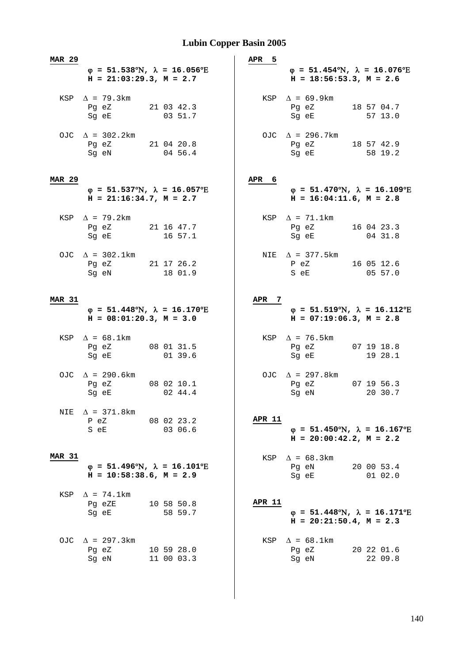| <b>MAR 29</b> |                                                                                                                                                   |                                                           | APR <sub>5</sub> |                                                                                                                                                              |                       |
|---------------|---------------------------------------------------------------------------------------------------------------------------------------------------|-----------------------------------------------------------|------------------|--------------------------------------------------------------------------------------------------------------------------------------------------------------|-----------------------|
|               | $H = 21:03:29.3, M = 2.7$                                                                                                                         | $\varphi$ = 51.538°N, $\lambda$ = 16.056°E                |                  | $\varphi = 51.454$ °N, $\lambda = 16.076$ °E<br>$H = 18:56:53.3, M = 2.6$                                                                                    |                       |
|               | KSP $\Delta$ = 79.3km<br>Pg eZ<br>Sg eE and the state of the state of the state of the state of the state of the state of the state of the state  | 21 03 42.3<br>03 51.7                                     |                  | KSP $\Delta = 69.9 \text{km}$<br>Pg eZ 18 57 04.7<br>Sg eE                                                                                                   | 57 13.0               |
|               | OJC $\Delta$ = 302.2km<br>Pg eZ<br>Sg eN and the state of the state of the state of the state of the state of the state of the state of the state | 21 04 20.8<br>04 56.4                                     |                  | OJC $\Delta$ = 296.7km<br>Pg eZ 18 57 42.9<br>Sg eE and the state of the state of the state of the state of the state of the state of the state of the state | 58 19.2               |
| <b>MAR 29</b> |                                                                                                                                                   |                                                           | APR 6            |                                                                                                                                                              |                       |
|               | $H = 21:16:34.7, M = 2.7$                                                                                                                         | $\varphi$ = 51.537°N, $\lambda$ = 16.057°E                |                  | $\varphi = 51.470^{\circ}N$ , $\lambda = 16.109^{\circ}E$<br>$H = 16:04:11.6$ , $M = 2.8$                                                                    |                       |
|               | KSP $\Delta$ = 79.2km<br>Pg eZ 21 16 47.7<br>Sg eE                                                                                                | 16 57.1                                                   |                  | KSP $\Delta$ = 71.1km<br>Pg eZ<br>Sg eE                                                                                                                      | 16 04 23.3<br>04 31.8 |
|               | OJC $\Delta$ = 302.1km<br>Pg eZ 21 17 26.2<br>Sq eN                                                                                               | 18 01.9                                                   |                  | NIE $\Delta$ = 377.5km<br>$P$ eZ<br>S eE                                                                                                                     | 16 05 12.6<br>05 57.0 |
| <b>MAR 31</b> |                                                                                                                                                   |                                                           | APR 7            |                                                                                                                                                              |                       |
|               | $H = 08:01:20.3, M = 3.0$                                                                                                                         | $\varphi = 51.448^{\circ}N$ , $\lambda = 16.170^{\circ}E$ |                  | $\varphi = 51.519^{\circ}\text{N}$ , $\lambda = 16.112^{\circ}\text{E}$<br>$H = 07:19:06.3, M = 2.8$                                                         |                       |
|               | KSP $\Delta = 68.1 \text{km}$<br>Pg eZ 08 01 31.5<br>Sg eE                                                                                        | 01 39.6                                                   |                  | KSP $\Delta$ = 76.5km<br>Pg eZ 07 19 18.8<br>Sg eE                                                                                                           | 19 28.1               |
|               | OJC $\Delta$ = 290.6km<br>Pg eZ 08 02 10.1<br>Sg eE                                                                                               | 02 44.4                                                   |                  | OJC $\Delta$ = 297.8km<br>Pg eZ<br>Sg eN                                                                                                                     | 07 19 56.3<br>20 30.7 |
| NIE           | $\Delta$ = 371.8km<br>P eZ<br>S eE                                                                                                                | 08 02 23.2<br>03 06.6                                     | APR 11           | $\varphi = 51.450^{\circ}N$ , $\lambda = 16.167^{\circ}E$<br>$H = 20:00:42.2, M = 2.2$                                                                       |                       |
| <b>MAR 31</b> | $H = 10:58:38.6$ , $M = 2.9$                                                                                                                      | $\varphi = 51.496^{\circ}N$ , $\lambda = 16.101^{\circ}E$ |                  | KSP $\Delta = 68.3 \text{km}$<br>Pg eN<br>Sg eE                                                                                                              | 20 00 53.4<br>01 02.0 |
|               | KSP $\Delta$ = 74.1km<br>Pg eZE<br>Sg eE                                                                                                          | 10 58 50.8<br>58 59.7                                     | APR 11           | $\varphi$ = 51.448°N, $\lambda$ = 16.171°E<br>$H = 20:21:50.4$ , $M = 2.3$                                                                                   |                       |
| OJC.          | $\Delta$ = 297.3km<br>Pg eZ<br>Sg eN                                                                                                              | 10 59 28.0<br>11 00 03.3                                  | KSP              | $\Delta = 68.1 \text{km}$<br>Pg eZ<br>Sg eN                                                                                                                  | 20 22 01.6<br>22 09.8 |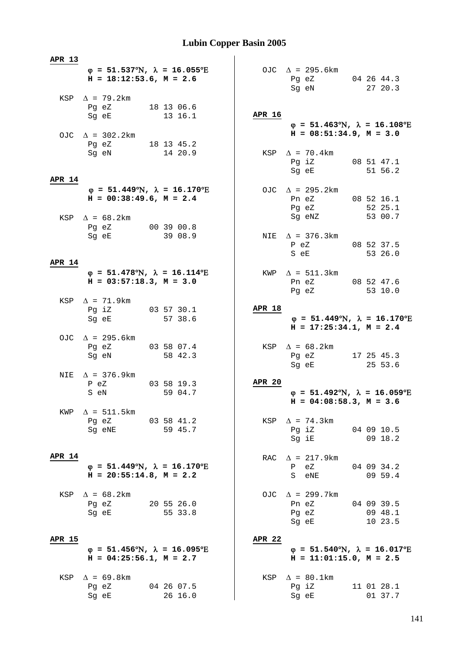| APR 13        |                                                                                                                            |                       |               |                                                                                           |                                  |
|---------------|----------------------------------------------------------------------------------------------------------------------------|-----------------------|---------------|-------------------------------------------------------------------------------------------|----------------------------------|
|               | $\varphi = 51.537^{\circ}\text{N}$ , $\lambda = 16.055^{\circ}\text{E}$<br>$H = 18:12:53.6$ , $M = 2.6$                    |                       |               | OJC $\Delta$ = 295.6km<br>Pg eZ 04 26 44.3<br>Sg eN                                       | 27 20.3                          |
|               | KSP $\Delta$ = 79.2km<br>Pg eZ 18 13 06.6<br>Sg eE                                                                         | 13 16.1               | APR 16        | $\varphi = 51.463^{\circ}\text{N}$ , $\lambda = 16.108^{\circ}\text{E}$                   |                                  |
|               | OJC $\Delta$ = 302.2km<br>Pg eZ 18 13 45.2                                                                                 |                       |               | $H = 08:51:34.9, M = 3.0$                                                                 |                                  |
| APR 14        | Sg eN 14 20.9                                                                                                              |                       |               | KSP $\Delta$ = 70.4km<br>Pg iZ 08 51 47.1<br>Sg eE 51 56.2                                |                                  |
|               | $\varphi = 51.449^{\circ}N$ , $\lambda = 16.170^{\circ}E$<br>$H = 00:38:49.6$ , $M = 2.4$<br>KSP $\Delta = 68.2 \text{km}$ |                       |               | OJC $\Delta$ = 295.2km<br>Pn eZ 08 52 16.1<br>Pg eZ 52 25.1<br>Sg eNZ 53 00.7             |                                  |
|               | Pg eZ 00 39 00.8<br>Sg eE 39 08.9                                                                                          |                       |               | NIE $\Delta$ = 376.3km<br>P eZ<br>S eE                                                    | 08 52 37.5<br>53 26.0            |
| <b>APR 14</b> | $\varphi = 51.478^{\circ}\text{N}$ , $\lambda = 16.114^{\circ}\text{E}$<br>$H = 03:57:18.3, M = 3.0$                       |                       |               | KWP $\Delta = 511.3 \text{km}$<br>Pn eZ 08 52 47.6<br>Pg eZ                               | 53 10.0                          |
|               | KSP $\Delta$ = 71.9km<br>Pg iZ 03 57 30.1<br>Sg eE                                                                         | 57 38.6               | APR 18        | $\varphi = 51.449^{\circ}N$ , $\lambda = 16.170^{\circ}E$<br>$H = 17:25:34.1, M = 2.4$    |                                  |
|               | OJC $\Delta$ = 295.6km<br>Pg eZ 03 58 07.4<br>Sg eN                                                                        | 58 42.3               |               | KSP $\Delta = 68.2 \text{km}$<br>Pg eZ 17 25 45.3<br>Sg eE                                | 25 53.6                          |
|               | NIE $\Delta$ = 376.9km<br>P eZ<br>S eN                                                                                     | 03 58 19.3<br>59 04.7 | <b>APR 20</b> | $\varphi = 51.492^{\circ}N$ , $\lambda = 16.059^{\circ}E$<br>$H = 04:08:58.3$ , $M = 3.6$ |                                  |
| KWP           | $\Delta$ = 511.5 km<br>Pg eZ<br>Sg eNE                                                                                     | 03 58 41.2<br>59 45.7 |               | KSP $\Delta$ = 74.3km<br>Pg iZ<br>Sq iE                                                   | 04 09 10.5<br>$09\;18.2$         |
| <b>APR 14</b> | $\varphi = 51.449^{\circ}N$ , $\lambda = 16.170^{\circ}E$<br>$H = 20:55:14.8$ , $M = 2.2$                                  |                       | RAC           | $\Delta$ = 217.9km<br>P eZ<br>S eNE                                                       | 04 09 34.2<br>09 59.4            |
|               | $KSP \quad \Delta = 68.2 \text{km}$<br>Pg eZ<br>Sg eE                                                                      | 20 55 26.0<br>55 33.8 |               | OJC $\Delta$ = 299.7km<br>Pn eZ<br>Pg eZ<br>Sg eE                                         | 04 09 39.5<br>09 48.1<br>10 23.5 |
| <b>APR 15</b> | $\varphi$ = 51.456°N, $\lambda$ = 16.095°E<br>$H = 04:25:56.1, M = 2.7$                                                    |                       | <b>APR 22</b> | $\varphi = 51.540^{\circ}N$ , $\lambda = 16.017^{\circ}E$<br>$H = 11:01:15.0$ , $M = 2.5$ |                                  |
| KSP           | $\Delta$ = 69.8km<br>Pg eZ<br>Sg eE                                                                                        | 04 26 07.5<br>26 16.0 | KSP           | $\Delta = 80.1 \text{km}$<br>Pg iZ<br>Sg eE                                               | 11 01 28.1<br>01 37.7            |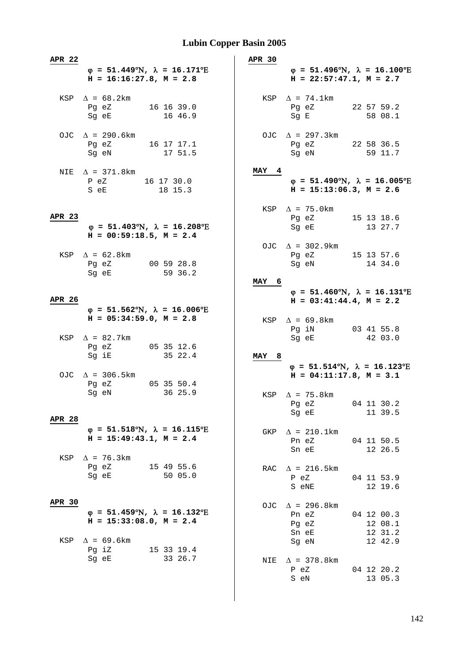| <b>APR 22</b> | $\varphi = 51.449^{\circ}N$ , $\lambda = 16.171^{\circ}E$<br>$H = 16:16:27.8$ , $M = 2.8$                                                                      |                                                           | <b>APR 30</b>   | $\varphi = 51.496^{\circ}N$ , $\lambda = 16.100^{\circ}E$<br>$H = 22:57:47.1, M = 2.7$ |                                             |
|---------------|----------------------------------------------------------------------------------------------------------------------------------------------------------------|-----------------------------------------------------------|-----------------|----------------------------------------------------------------------------------------|---------------------------------------------|
|               | $KSP \quad \Delta = 68.2 \text{km}$<br>Pg eZ<br>Sg eE and the state of the state of the state of the state of the state of the state of the state of the state | 16 16 39.0<br>16 46.9                                     |                 | $KSP \quad \Delta = 74.1 \text{km}$<br>Pg eZ 22 57 59.2<br>Sg E                        | 58 08.1                                     |
|               | OJC $\Delta$ = 290.6km<br>Pg eZ<br>Sg eN                                                                                                                       | 16 17 17.1<br>17 51.5                                     |                 | OJC $\Delta$ = 297.3km<br>Pg eZ 22 58 36.5<br>Sg eN                                    | 59 11.7                                     |
|               | NIE $\Delta$ = 371.8km<br>P eZ<br>S eE                                                                                                                         | 16 17 30.0<br>18 15.3                                     | MAY 4           | $\varphi = 51.490^{\circ}N$ , $\lambda = 16.005^{\circ}E$<br>$H = 15:13:06.3, M = 2.6$ |                                             |
| APR 23        | $H = 00:59:18.5$ , $M = 2.4$                                                                                                                                   | $\varphi = 51.403^{\circ}N$ , $\lambda = 16.208^{\circ}E$ |                 | KSP $\Delta$ = 75.0km<br>Pg eZ 15 13 18.6<br>Sg eE                                     | 13 27.7                                     |
|               | KSP $\Delta = 62.8$ km<br>Pg eZ 00 59 28.8<br>Sg eE                                                                                                            | 59 36.2                                                   |                 | OJC $\Delta$ = 302.9km<br>Pg eZ 15 13 57.6<br>Sg eN                                    | 14 34.0                                     |
|               |                                                                                                                                                                |                                                           | MAY 6           |                                                                                        |                                             |
| APR 26        | $\varphi = 51.562^{\circ}N$ , $\lambda = 16.006^{\circ}E$                                                                                                      |                                                           |                 | $\varphi = 51.460^{\circ}N$ , $\lambda = 16.131^{\circ}E$<br>$H = 03:41:44.4, M = 2.2$ |                                             |
|               | $H = 05:34:59.0, M = 2.8$<br>KSP $\Delta = 82.7$ km                                                                                                            |                                                           |                 | KSP $\Delta = 69.8$ km<br>Pg iN 03 41 55.8<br>Sg eE 42 03.0                            |                                             |
|               | Pg eZ<br>Sg iE                                                                                                                                                 | 05 35 12.6<br>35 22.4                                     | <b>MAY</b><br>8 | $\varphi = 51.514^{\circ}\text{N}$ , $\lambda = 16.123^{\circ}\text{E}$                |                                             |
|               | OJC $\Delta$ = 306.5km<br>Pg eZ 05 35 50.4<br>Sg eN                                                                                                            | 36 25.9                                                   |                 | $H = 04:11:17.8, M = 3.1$<br>KSP $\Delta$ = 75.8km                                     |                                             |
| APR 28        |                                                                                                                                                                |                                                           |                 | Pg eZ<br>Sg eE                                                                         | 04 11 30.2<br>11 39.5                       |
|               | $\varphi = 51.518^{\circ}\text{N}$ , $\lambda = 16.115^{\circ}\text{E}$<br>$H = 15:49:43.1, M = 2.4$                                                           |                                                           |                 | GKP $\Delta$ = 210.1km<br>Pn eZ<br>Sn eE                                               | 04 11 50.5<br>12 26.5                       |
|               | KSP $\Delta$ = 76.3km<br>Pg eZ 15 49 55.6<br>Sg eE                                                                                                             | 50 05.0                                                   |                 | RAC $\Delta$ = 216.5km<br>P eZ<br>S eNE                                                | 04 11 53.9<br>12 19.6                       |
| APR 30<br>KSP | $\varphi = 51.459^{\circ}\text{N}$ , $\lambda = 16.132^{\circ}\text{E}$<br>$H = 15:33:08.0, M = 2.4$<br>$\Delta$ = 69.6km                                      |                                                           |                 | OJC $\Delta$ = 296.8km<br>Pn eZ<br>Pg eZ<br>Sn eE<br>Sg eN                             | 04 12 00.3<br>12 08.1<br>12 31.2<br>12 42.9 |
|               | Pg iZ<br>Sg eE                                                                                                                                                 | 15 33 19.4<br>33 26.7                                     |                 | NIE $\Delta$ = 378.8 km<br>P eZ<br>S eN                                                | 04 12 20.2<br>13 05.3                       |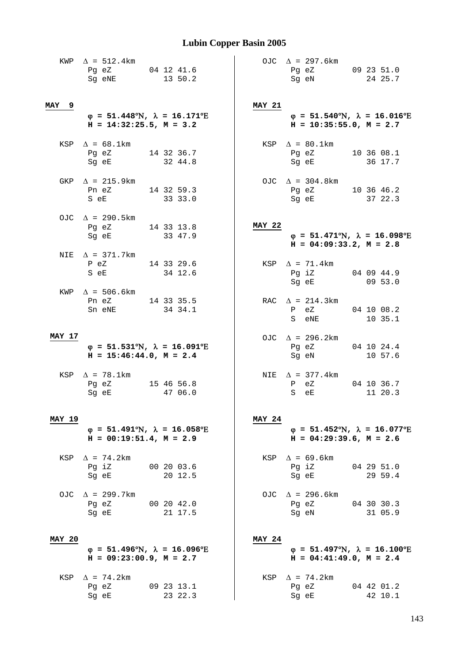|               | KWP $\Delta$ = 512.4km<br>Pg eZ 04 12 41.6<br>Sg eNE                                                 | 13 50.2               |               | OJC $\Delta$ = 297.6km<br>Pg eZ 09 23 51.0<br>Sg eN                                                     | 24 25.7               |
|---------------|------------------------------------------------------------------------------------------------------|-----------------------|---------------|---------------------------------------------------------------------------------------------------------|-----------------------|
| MAY 9         | $\varphi = 51.448^{\circ}N$ , $\lambda = 16.171^{\circ}E$<br>$H = 14:32:25.5$ , $M = 3.2$            |                       | <b>MAY 21</b> | $\varphi = 51.540^{\circ}N$ , $\lambda = 16.016^{\circ}E$<br>$H = 10:35:55.0$ , $M = 2.7$               |                       |
|               | KSP $\Delta = 68.1$ km<br>Pg eZ 14 32 36.7<br>Sg eE 32 44.8                                          |                       |               | KSP $\Delta = 80.1$ km<br>Pg eZ 10 36 08.1<br>Sg eE 36 17.7                                             |                       |
|               | GKP $\Delta$ = 215.9km<br>Pn eZ 14 32 59.3<br>S eE 33 33.0                                           |                       |               | OJC $\Delta = 304.8 \text{km}$<br>Pg eZ 10 36 46.2<br>Sg eE 37 22.3                                     |                       |
|               | OJC $\Delta$ = 290.5km<br>Pg eZ 14 33 13.8<br>Sg eE 33 47.9                                          |                       | <b>MAY 22</b> | $\varphi = 51.471^{\circ}\text{N}$ , $\lambda = 16.098^{\circ}\text{E}$<br>$H = 04:09:33.2$ , $M = 2.8$ |                       |
|               | NIE $\Delta$ = 371.7km<br>P eZ<br>S eE 34 12.6                                                       | 14 33 29.6            |               | KSP $\Delta$ = 71.4km<br>Pg iZ 04 09 44.9<br>Sg eE 09 53.0                                              |                       |
|               | KWP $\Delta$ = 506.6km<br>Pn eZ 14 33 35.5<br>Sn eNE                                                 | 34 34.1               |               | RAC $\Delta$ = 214.3km<br>P eZ<br>S eNE                                                                 | 04 10 08.2<br>10 35.1 |
| <b>MAY 17</b> | $\varphi = 51.531^{\circ}\text{N}$ , $\lambda = 16.091^{\circ}\text{E}$<br>$H = 15:46:44.0, M = 2.4$ |                       |               | OJC $\Delta$ = 296.2km<br>Pg eZ<br>Sg eN                                                                | 04 10 24.4<br>10 57.6 |
|               | KSP $\Delta$ = 78.1km<br>Pg eZ 15 46 56.8<br>Sg eE                                                   | 47 06.0               |               | NIE $\Delta$ = 377.4km<br>$P$ eZ<br>S eE                                                                | 04 10 36.7<br>11 20.3 |
| <b>MAY 19</b> | $\varphi = 51.491^{\circ}\text{N}$ , $\lambda = 16.058^{\circ}\text{E}$<br>$H = 00:19:51.4, M = 2.9$ |                       | <b>MAY 24</b> | $\varphi = 51.452^{\circ}N$ , $\lambda = 16.077^{\circ}E$<br>$H = 04:29:39.6$ , $M = 2.6$               |                       |
|               | KSP $\Delta$ = 74.2km<br>Pg iZ<br>Sg eE                                                              | 00 20 03.6<br>20 12.5 |               | KSP $\Delta = 69.6$ km<br>Pg iZ<br>Sg eE                                                                | 04 29 51.0<br>29 59.4 |
|               | OJC $\Delta$ = 299.7km<br>Pg eZ<br>Sg eE                                                             | 00 20 42.0<br>21 17.5 |               | OJC $\Delta$ = 296.6km<br>Pg eZ<br>Sg eN                                                                | 04 30 30.3<br>31 05.9 |
| <b>MAY 20</b> | $\varphi = 51.496^{\circ}N$ , $\lambda = 16.096^{\circ}E$<br>$H = 09:23:00.9$ , $M = 2.7$            |                       | <b>MAY 24</b> | $\varphi = 51.497^{\circ}N$ , $\lambda = 16.100^{\circ}E$<br>$H = 04:41:49.0, M = 2.4$                  |                       |
|               | KSP $\Delta$ = 74.2km<br>Pg eZ<br>Sg eE                                                              | 09 23 13.1<br>23 22.3 |               | KSP $\Delta$ = 74.2km<br>Pg eZ<br>Sg eE                                                                 | 04 42 01.2<br>42 10.1 |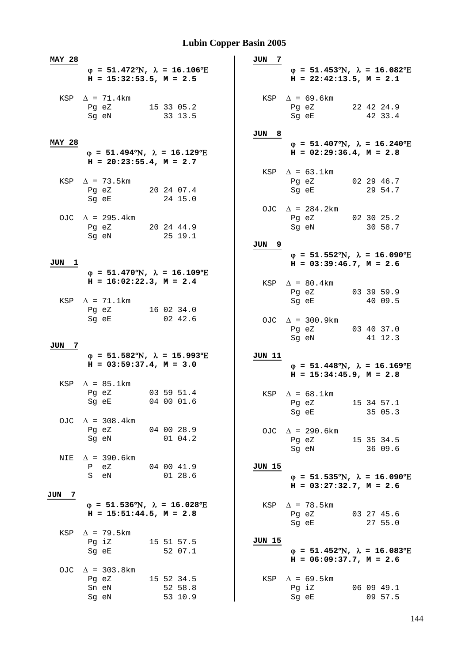| <b>MAY 28</b> |                                                                                                                               |                                  | JUN<br>7     |                                                                                                                                                             |                       |
|---------------|-------------------------------------------------------------------------------------------------------------------------------|----------------------------------|--------------|-------------------------------------------------------------------------------------------------------------------------------------------------------------|-----------------------|
|               | $\varphi = 51.472^{\circ}\text{N}$ , $\lambda = 16.106^{\circ}\text{E}$<br>$H = 15:32:53.5, M = 2.5$                          |                                  |              | $\varphi = 51.453^{\circ}\text{N}$ , $\lambda = 16.082^{\circ}\text{E}$<br>$H = 22:42:13.5, M = 2.1$                                                        |                       |
|               | $KSP \quad \Delta = 71.4 \text{km}$<br>Pg eZ 15 33 05.2<br>Sg eN                                                              | 33 13.5                          |              | $KSP \quad \Delta = 69.6 \text{km}$<br>Pg eZ<br>Sg eE                                                                                                       | 22 42 24.9<br>42 33.4 |
| <b>MAY 28</b> | $\varphi = 51.494$ °N, $\lambda = 16.129$ °E                                                                                  |                                  | JUN 8        | $\varphi = 51.407^{\circ}\text{N}$ , $\lambda = 16.240^{\circ}\text{E}$<br>$H = 02:29:36.4, M = 2.8$                                                        |                       |
|               | $H = 20:23:55.4$ , $M = 2.7$<br>KSP $\Delta$ = 73.5km<br>Pg eZ 20 24 07.4<br>Sg eE                                            | 24 15.0                          |              | KSP $\Delta = 63.1 \text{km}$<br>Pg eZ<br>Sg eE                                                                                                             | 02 29 46.7<br>29 54.7 |
|               | OJC $\Delta$ = 295.4km<br>Pg eZ 20 24 44.9<br>Sg eN                                                                           | 25 19.1                          |              | OJC $\Delta = 284.2 \text{km}$<br>Pg eZ 02 30 25.2<br>Sq eN                                                                                                 | 30 58.7               |
| JUN 1         |                                                                                                                               |                                  | <u>JUN 9</u> | $\varphi$ = 51.552°N, $\lambda$ = 16.090°E<br>$H = 03:39:46.7$ , $M = 2.6$                                                                                  |                       |
|               | $\varphi = 51.470^{\circ}N$ , $\lambda = 16.109^{\circ}E$<br>$H = 16:02:22.3, M = 2.4$<br>$KSP \quad \Delta = 71.1 \text{km}$ |                                  |              | KSP $\Delta = 80.4$ km<br>Pg eZ<br>Sg eE                                                                                                                    | 03 39 59.9<br>40 09.5 |
|               | Pg eZ<br>Sg eE                                                                                                                | 16 02 34.0<br>02 42.6            |              | OJC $\Delta$ = 300.9km<br>Pg eZ<br>Sg eN                                                                                                                    | 03 40 37.0<br>41 12.3 |
| JUN 7         | $\varphi = 51.582^{\circ}N$ , $\lambda = 15.993^{\circ}E$<br>$H = 03:59:37.4$ , $M = 3.0$                                     |                                  | JUN 11       | $\varphi = 51.448^{\circ}N$ , $\lambda = 16.169^{\circ}E$<br>$H = 15:34:45.9, M = 2.8$                                                                      |                       |
|               | $KSP \quad \Delta = 85.1 \text{km}$<br>Pg eZ 03 59 51.4<br>Sq eE                                                              | 04 00 01.6                       |              | KSP $\Delta = 68.1$ km<br>Pg eZ<br>Sg eE                                                                                                                    | 15 34 57.1<br>35 05.3 |
|               | OJC $\Delta$ = 308.4km<br>Pg eZ 04 00 28.9<br>Sg eN                                                                           | $01 \t04.2$                      |              | OJC $\Delta$ = 290.6km<br>Pg eZ 15 35 34.5<br>Sg eN                                                                                                         | 36 09.6               |
|               | NIE $\Delta$ = 390.6km<br>P eZ<br>eN<br>S –                                                                                   | 04 00 41.9<br>0128.6             | JUN 15       | $\varphi$ = 51.535°N, $\lambda$ = 16.090°E<br>$H = 03:27:32.7$ , $M = 2.6$                                                                                  |                       |
| JUN 7         | $\varphi = 51.536^{\circ}\text{N}$ , $\lambda = 16.028^{\circ}\text{E}$<br>$H = 15:51:44.5, M = 2.8$                          |                                  |              | KSP $\Delta$ = 78.5km<br>Pg eZ 03 27 45.6<br>Sg eE and the state of the state of the state of the state of the state of the state of the state of the state | 27 55.0               |
|               | KSP $\Delta$ = 79.5km<br>Pg iZ<br>Sg eE                                                                                       | 15 51 57.5<br>52 07.1            | JUN 15       | $\varphi$ = 51.452°N, $\lambda$ = 16.083°E<br>$H = 06:09:37.7$ , $M = 2.6$                                                                                  |                       |
|               | OJC $\Delta$ = 303.8km<br>Pg eZ<br>Sn eN<br>Sg eN                                                                             | 15 52 34.5<br>52 58.8<br>53 10.9 |              | KSP $\Delta = 69.5 \text{km}$<br>Pg iZ<br>Sg eE                                                                                                             | 06 09 49.1<br>09 57.5 |
|               |                                                                                                                               |                                  |              |                                                                                                                                                             |                       |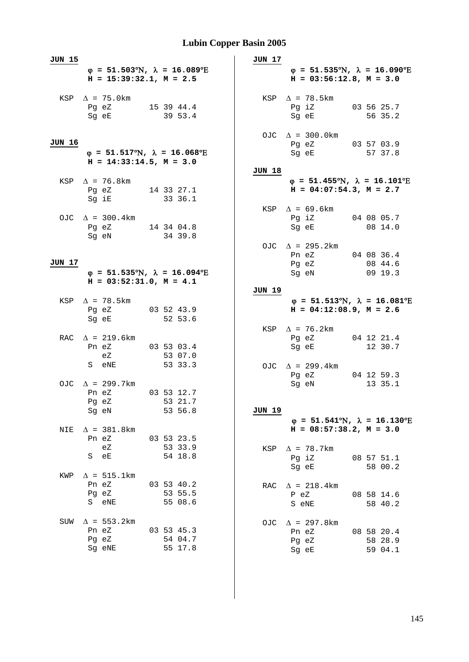| <b>JUN 15</b> |                                                                                                         |            |                                  | <b>JUN 17</b> |                                                                                                                                                  |                                  |
|---------------|---------------------------------------------------------------------------------------------------------|------------|----------------------------------|---------------|--------------------------------------------------------------------------------------------------------------------------------------------------|----------------------------------|
|               | $\varphi = 51.503^{\circ}N$ , $\lambda = 16.089^{\circ}E$<br>$H = 15:39:32.1, M = 2.5$                  |            |                                  |               | $\varphi = 51.535^{\circ}N$ , $\lambda = 16.090^{\circ}E$<br>$H = 03:56:12.8, M = 3.0$                                                           |                                  |
|               | KSP $\Delta$ = 75.0km<br>Pg eZ<br>15 39 44.4<br>Sg eE                                                   | 39 53.4    |                                  |               | KSP $\Delta$ = 78.5km<br>Pg iZ<br>Sg eE and the state of the state of the state of the state of the state of the state of the state of the state | 03 56 25.7<br>56 35.2            |
| <b>JUN 16</b> | $\varphi = 51.517^{\circ}\text{N}$ , $\lambda = 16.068^{\circ}\text{E}$<br>$H = 14:33:14.5$ , $M = 3.0$ |            |                                  |               | OJC $\Delta$ = 300.0km<br>Pg eZ<br>Sg eE                                                                                                         | 03 57 03.9<br>57 37.8            |
|               | KSP $\Delta$ = 76.8km<br>Pg eZ 14 33 27.1<br>Sg iE                                                      | 33 36.1    |                                  | JUN 18        | $\varphi$ = 51.455°N, $\lambda$ = 16.101°E<br>$H = 04:07:54.3, M = 2.7$                                                                          |                                  |
|               | OJC $\Delta$ = 300.4km<br>Pg eZ 14 34 04.8<br>Sq eN 34 39.8                                             |            |                                  |               | KSP $\Delta$ = 69.6km<br>Pg iZ 04 08 05.7<br>Sg eE                                                                                               | 08 14.0                          |
| JUN 17        | $\varphi = 51.535^{\circ}\text{N}$ , $\lambda = 16.094^{\circ}\text{E}$                                 |            |                                  |               | OJC $\Delta$ = 295.2km<br>Pn eZ 04 08 36.4<br>Pg eZ<br>Sg eN                                                                                     | 08 44.6<br>0919.3                |
|               | $H = 03:52:31.0$ , $M = 4.1$                                                                            |            |                                  |               |                                                                                                                                                  |                                  |
|               | KSP $\Delta$ = 78.5 km<br>Pg eZ<br>Sg eE                                                                | 03 52 43.9 | 52 53.6                          | JUN 19        | $\varphi = 51.513^{\circ}\text{N}$ , $\lambda = 16.081^{\circ}\text{E}$<br>$H = 04:12:08.9, M = 2.6$                                             |                                  |
|               | RAC $\Delta$ = 219.6km<br>Pn eZ 03 53 03.4<br>eZ                                                        |            | 53 07.0                          |               | KSP $\Delta$ = 76.2km<br>Pg eZ<br>Sg eE                                                                                                          | 04 12 21.4<br>12 30.7            |
|               | S eNE<br>OJC $\Delta$ = 299.7km                                                                         |            | 53 33.3                          |               | OJC $\Delta$ = 299.4km<br>Pg eZ<br>Sg eN                                                                                                         | 04 12 59.3<br>13 35.1            |
|               | 03 53 12.7<br>Pn eZ<br>Pg eZ<br>Sg eN                                                                   |            | 53 21.7<br>53 56.8               | JUN 19        |                                                                                                                                                  |                                  |
| NIE           | $\Delta$ = 381.8km<br>Pn eZ                                                                             |            | 03 53 23.5                       |               | $\varphi = 51.541^{\circ}\text{N}$ , $\lambda = 16.130^{\circ}\text{E}$<br>$H = 08:57:38.2, M = 3.0$                                             |                                  |
| KWP           | еZ<br>еE<br>S<br>$\Delta$ = 515.1km                                                                     |            | 53 33.9<br>54 18.8               | KSP           | $\Delta$ = 78.7km<br>Pg iZ<br>Sg eE                                                                                                              | 08 57 51.1<br>58 00.2            |
|               | Pn eZ<br>Pg eZ<br>S<br>eNE                                                                              |            | 03 53 40.2<br>53 55.5<br>55 08.6 | RAC           | $\Delta$ = 218.4 km<br>P eZ<br>S eNE                                                                                                             | 08 58 14.6<br>58 40.2            |
| SUW           | $\Delta$ = 553.2km<br>Pn eZ<br>Pg eZ<br>Sg eNE                                                          |            | 03 53 45.3<br>54 04.7<br>55 17.8 | OJC.          | $\Delta$ = 297.8 km<br>Pn eZ<br>Pg eZ<br>Sg eE                                                                                                   | 08 58 20.4<br>58 28.9<br>59 04.1 |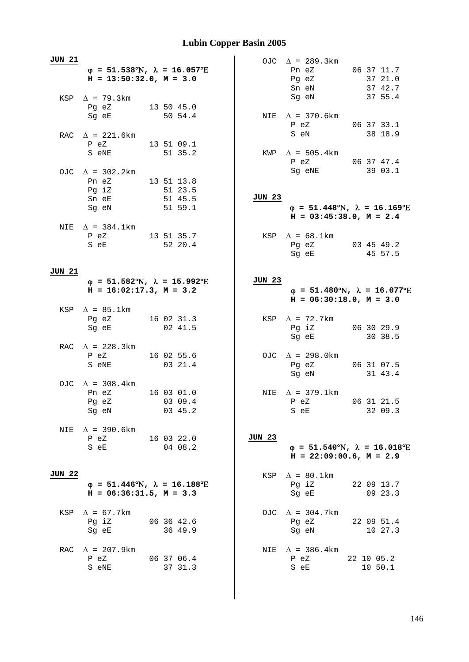| <b>JUN 21</b> | $\varphi$ = 51.538°N, $\lambda$ = 16.057°E<br>$H = 13:50:32.0, M = 3.0$                                                                                    |  |                       |               | OJC $\Delta$ = 289.3km<br>Pn eZ 06 37 11.7<br>Pg eZ 37 21.0                               |  | 37 42.7               |
|---------------|------------------------------------------------------------------------------------------------------------------------------------------------------------|--|-----------------------|---------------|-------------------------------------------------------------------------------------------|--|-----------------------|
|               | KSP $\Delta$ = 79.3km<br>Pg eZ 13 50 45.0<br>Sg eE 50 54.4                                                                                                 |  |                       |               | Sn eN 37 42.7<br>Sg eN 37 55.4                                                            |  |                       |
|               | RAC $\Delta$ = 221.6km                                                                                                                                     |  |                       |               | NIE $\Delta$ = 370.6km<br>P eZ 06 37 33.1<br>S eN 38 18.9                                 |  |                       |
|               | P eZ 13 51 09.1<br>S eNE                                                                                                                                   |  | 51 35.2               |               | KWP $\Delta$ = 505.4km<br>P eZ 06 37 47.4<br>Sg eNE 39 03.1                               |  |                       |
|               | OJC $\Delta$ = 302.2km<br>Pn eZ 13 51 13.8<br>Pg iZ<br>Sn eE<br>Sg eN 51 59.1                                                                              |  | 51 23.5<br>51 45.5    | <b>JUN 23</b> | $\varphi = 51.448^{\circ}N$ , $\lambda = 16.169^{\circ}E$<br>$H = 03:45:38.0, M = 2.4$    |  |                       |
|               | NIE $\Delta$ = 384.1km<br>P eZ 13 51 35.7<br>S eE and the state of the state of the state of the state of the state of the state of the state of the state |  | 52 20.4               |               | $KSP \quad \Delta = 68.1 \text{km}$<br>Pg eZ 03 45 49.2<br>Sg eE 45 57.5                  |  |                       |
| JUN 21        | $\varphi = 51.582^{\circ}N$ , $\lambda = 15.992^{\circ}E$                                                                                                  |  |                       | <b>JUN 23</b> |                                                                                           |  |                       |
|               | $H = 16:02:17.3, M = 3.2$                                                                                                                                  |  |                       |               | $\varphi = 51.480^{\circ}N$ , $\lambda = 16.077^{\circ}E$<br>$H = 06:30:18.0, M = 3.0$    |  |                       |
|               | $KSP \quad \Delta = 85.1 \text{km}$<br>Pg eZ 16 02 31.3<br>Sg eE                                                                                           |  | 02 41.5               |               | KSP $\Delta$ = 72.7km<br>Pg iZ 06 30 29.9<br>Sg eE                                        |  | 30 38.5               |
|               | RAC $\Delta$ = 228.3km<br>P eZ 16 02 55.6<br>S eNE                                                                                                         |  | 03 21.4               |               | OJC $\Delta$ = 298.0km<br>Pg eZ 06 31 07.5<br>Sg eN 31 43.4                               |  |                       |
|               | OJC $\Delta = 308.4 \text{km}$<br>Pn eZ 16 03 01.0<br>Pg eZ<br>Sg eN                                                                                       |  | 03 09.4<br>03 45.2    |               | NIE $\Delta$ = 379.1km<br>06 31 21.5<br>P eZ<br>S eE                                      |  | 32 09.3               |
|               | NIE $\Delta$ = 390.6km<br>16 03 22.0<br>P eZ<br>S eE                                                                                                       |  | 04 08.2               | <b>JUN 23</b> | $\varphi = 51.540^{\circ}N$ , $\lambda = 16.018^{\circ}E$<br>$H = 22:09:00.6$ , $M = 2.9$ |  |                       |
| <b>JUN 22</b> | $\varphi = 51.446^{\circ}N$ , $\lambda = 16.188^{\circ}E$<br>$H = 06:36:31.5$ , $M = 3.3$                                                                  |  |                       |               | $KSP \quad \Delta = 80.1 \text{km}$<br>Pg iZ<br>Sg eE                                     |  | 22 09 13.7<br>09 23.3 |
| KSP           | $\Delta$ = 67.7km<br>Pg iZ<br>Sg eE                                                                                                                        |  | 06 36 42.6<br>36 49.9 |               | OJC $\Delta$ = 304.7km<br>Pg eZ<br>Sg eN                                                  |  | 22 09 51.4<br>10 27.3 |
| RAC           | $\Delta$ = 207.9km<br>P eZ<br>S eNE                                                                                                                        |  | 06 37 06.4<br>37 31.3 |               | NIE $\Delta$ = 386.4km<br>P eZ<br>S eE                                                    |  | 22 10 05.2<br>10 50.1 |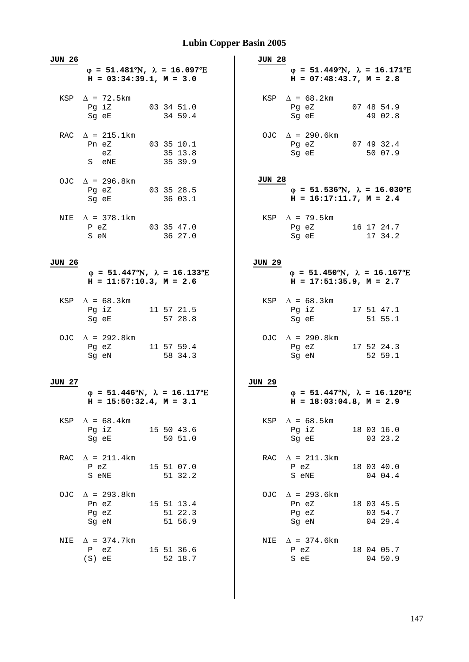| <b>JUN 26</b> | $\varphi = 51.481^{\circ}\text{N}$ , $\lambda = 16.097^{\circ}\text{E}$<br>$H = 03:34:39.1, M = 3.0$ |                                  | JUN 28        | $\varphi = 51.449^{\circ}N$ , $\lambda = 16.171^{\circ}E$<br>$H = 07:48:43.7, M = 2.8$                                                                      |                                  |
|---------------|------------------------------------------------------------------------------------------------------|----------------------------------|---------------|-------------------------------------------------------------------------------------------------------------------------------------------------------------|----------------------------------|
|               | KSP $\Delta$ = 72.5km<br>Pg iZ 03 34 51.0<br>Sg eE                                                   | 34 59.4                          |               | KSP $\Delta = 68.2$ km<br>Pg eZ 07 48 54.9<br>Sg eE                                                                                                         | 49 02.8                          |
|               | RAC $\Delta$ = 215.1km<br>Pn eZ 03 35 10.1<br>eZ<br>S eNE                                            | 35 13.8<br>35 39.9               |               | OJC $\Delta$ = 290.6km<br>Pg eZ 07 49 32.4<br>Sg eE 50 07.9                                                                                                 |                                  |
|               | OJC $\Delta$ = 296.8km<br>Pg eZ 03 35 28.5<br>Sg eE 36 03.1                                          |                                  | JUN 28        | $\varphi = 51.536^{\circ}N$ , $\lambda = 16.030^{\circ}E$<br>$H = 16:17:11.7$ , $M = 2.4$                                                                   |                                  |
|               | NIE $\Delta$ = 378.1km<br>P eZ 03 35 47.0<br>S eN 36 27.0                                            |                                  |               | KSP $\Delta$ = 79.5km<br>Pg eZ 16 17 24.7<br>Sg eE and the state of the state of the state of the state of the state of the state of the state of the state | 17 34.2                          |
| <b>JUN 26</b> | $\varphi = 51.447^{\circ}\text{N}$ , $\lambda = 16.133^{\circ}\text{E}$<br>$H = 11:57:10.3, M = 2.6$ |                                  | <b>JUN 29</b> | $\varphi = 51.450^{\circ}N$ , $\lambda = 16.167^{\circ}E$<br>$H = 17:51:35.9, M = 2.7$                                                                      |                                  |
|               | KSP $\Delta = 68.3 \text{km}$<br>Pg iZ 11 57 21.5<br>Sg eE                                           | 57 28.8                          |               | KSP $\Delta = 68.3 \text{km}$<br>Pg iZ 17 51 47.1<br>Sg eE                                                                                                  | 51 55.1                          |
|               | OJC $\Delta$ = 292.8km<br>Pg eZ 11 57 59.4<br>Sg eN                                                  | 58 34.3                          |               | OJC $\Delta$ = 290.8km<br>Pg eZ 17 52 24.3<br>Sg eN                                                                                                         | 52 59.1                          |
| <b>JUN 27</b> | $\varphi = 51.446^{\circ}N$ , $\lambda = 16.117^{\circ}E$<br>$H = 15:50:32.4$ , $M = 3.1$            |                                  | <b>JUN 29</b> | $\varphi = 51.447^{\circ}N$ , $\lambda = 16.120^{\circ}E$<br>$H = 18:03:04.8$ , $M = 2.9$                                                                   |                                  |
|               | KSP $\Delta = 68.4$ km<br>Pg iZ 15 50 43.6<br>Sg eE 50 51.0                                          |                                  |               | KSP $\Delta = 68.5 \text{km}$<br>Pg iZ 18 03 16.0<br>Sq eE                                                                                                  | 0323.2                           |
|               | RAC $\Delta$ = 211.4km<br>P eZ<br>S eNE                                                              | 15 51 07.0<br>51 32.2            |               | RAC $\Delta = 211.3 \text{km}$<br>P eZ<br>S eNE                                                                                                             | 18 03 40.0<br>04 04.4            |
|               | OJC $\Delta$ = 293.8km<br>Pn eZ<br>Pg eZ<br>Sg eN                                                    | 15 51 13.4<br>51 22.3<br>51 56.9 |               | OJC $\Delta$ = 293.6km<br>Pn eZ<br>Pg eZ<br>Sg eN                                                                                                           | 18 03 45.5<br>03 54.7<br>04 29.4 |
| NIE           | $\Delta$ = 374.7km<br>P eZ<br>$(S)$ eE                                                               | 15 51 36.6<br>52 18.7            |               | NIE $\Delta$ = 374.6km<br>P eZ<br>S eE                                                                                                                      | 18 04 05.7<br>04 50.9            |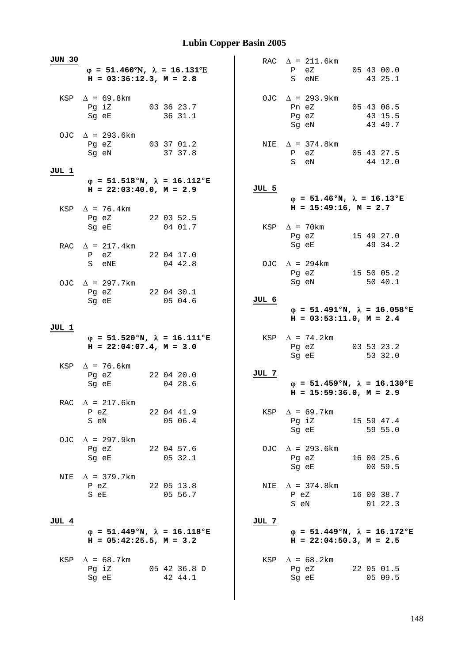| JUN 30 |                                                                                        |            |         |         |  |       | RAC $\Delta = 211.6 \text{km}$                                                         |                       |
|--------|----------------------------------------------------------------------------------------|------------|---------|---------|--|-------|----------------------------------------------------------------------------------------|-----------------------|
|        | $\varphi = 51.460^{\circ}N$ , $\lambda = 16.131^{\circ}E$<br>$H = 03:36:12.3, M = 2.8$ |            |         |         |  |       | P eZ<br>S eNE                                                                          | 05 43 00.0<br>43 25.1 |
|        | KSP $\Delta = 69.8$ km<br>Pg iZ 03 36 23.7<br>Sg eE                                    |            | 36 31.1 |         |  |       | OJC $\Delta$ = 293.9km<br>Pn eZ 05 43 06.5<br>Pg eZ<br>Sg eN                           | 43 15.5<br>43 49.7    |
|        | OJC $\Delta$ = 293.6km<br>Pg eZ 03 37 01.2<br>Sg eN                                    |            | 37 37.8 |         |  |       | NIE $\Delta = 374.8$ km<br>P eZ 05 43 27.5<br>S eN                                     | 44 12.0               |
| JUL 1  |                                                                                        |            |         |         |  |       |                                                                                        |                       |
|        | $\varphi = 51.518$ °N, $\lambda = 16.112$ °E<br>$H = 22:03:40.0, M = 2.9$              |            |         |         |  | JUL 5 |                                                                                        |                       |
|        | KSP $\Delta$ = 76.4km<br>Pg eZ 22 03 52.5                                              |            |         |         |  |       | $\varphi = 51.46$ °N, $\lambda = 16.13$ °E<br>$H = 15:49:16$ , $M = 2.7$               |                       |
|        | Sg eE 04 01.7                                                                          |            |         |         |  |       | KSP $\Delta$ = 70km<br>Pg eZ 15 49 27.0                                                |                       |
|        | RAC $\Delta$ = 217.4km<br>P eZ 22 04 17.0                                              |            |         |         |  |       | Sg eE                                                                                  | 49 34.2               |
|        | S eNE 04 42.8                                                                          |            |         |         |  |       | OJC $\Delta$ = 294km<br>Pg eZ                                                          | 15 50 05.2            |
|        | OJC $\Delta$ = 297.7km<br>Pg eZ 22 04 30.1<br>Sg eE 05 04.6                            |            |         |         |  | JUL 6 | Sg eN                                                                                  | 5040.1                |
|        |                                                                                        |            |         |         |  |       | $\varphi = 51.491^{\circ}N$ , $\lambda = 16.058^{\circ}E$<br>$H = 03:53:11.0, M = 2.4$ |                       |
| JUL 1  |                                                                                        |            |         |         |  |       |                                                                                        |                       |
|        |                                                                                        |            |         |         |  |       |                                                                                        |                       |
|        | $\varphi = 51.520$ °N, $\lambda = 16.111$ °E<br>$H = 22:04:07.4$ , $M = 3.0$           |            |         |         |  |       | KSP $\Delta$ = 74.2km<br>Pg eZ 03 53 23.2<br>Sg eE                                     | 53 32.0               |
|        | KSP $\Delta$ = 76.6km<br>Pg eZ 22 04 20.0<br>Sq eE                                     |            |         | 04 28.6 |  | JUL 7 | $\varphi = 51.459$ °N, $\lambda = 16.130$ °E<br>$H = 15:59:36.0, M = 2.9$              |                       |
|        | RAC $\Delta$ = 217.6km<br>P eZ<br>S eN                                                 | 22 04 41.9 | 05 06.4 |         |  |       | KSP $\Delta$ = 69.7km<br>Pg iZ 15 59 47.4                                              |                       |
|        | OJC $\Delta$ = 297.9km<br>Pg eZ<br>22 04 57.6<br>Sg eE 05 32.1                         |            |         |         |  |       | Sg eE 59 55.0<br>OJC $\Delta$ = 293.6km<br>Pg eZ                                       | 16 00 25.6            |
| NIE    | $\Delta$ = 379.7km<br>P eZ<br>22 05 13.8<br>S eE 05 56.7                               |            |         |         |  | NIE   | Sg eE 00 59.5<br>$\Delta$ = 374.8km<br>P eZ 16 00 38.7<br>S eN                         | 0122.3                |
| JUL 4  |                                                                                        |            |         |         |  | JUL 7 |                                                                                        |                       |
|        | $\varphi = 51.449$ °N, $\lambda = 16.118$ °E<br>$H = 05:42:25.5$ , $M = 3.2$           |            |         |         |  |       | $\varphi = 51.449$ °N, $\lambda = 16.172$ °E<br>$H = 22:04:50.3$ , $M = 2.5$           |                       |
| KSP    | $\Delta$ = 68.7km<br>Pg iZ 05 42 36.8 D<br>Sg eE                                       |            | 42 44.1 |         |  |       | KSP $\Delta = 68.2$ km<br>Pg eZ 22 05 01.5<br>Sg eE                                    | 05 09.5               |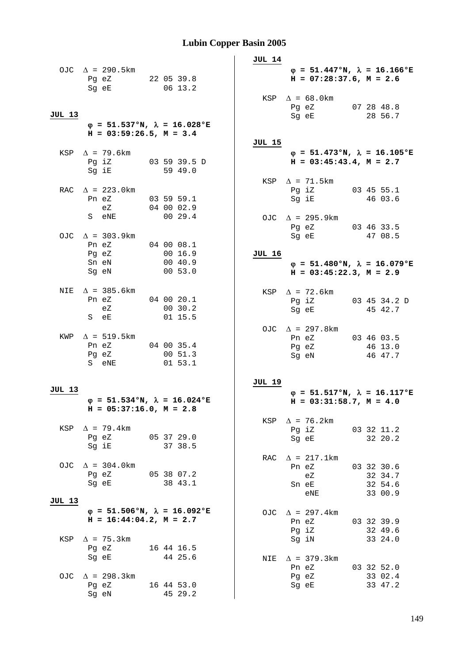|        |                                                                                                                                                                   |                                              | JUL 14                                                                                                        |
|--------|-------------------------------------------------------------------------------------------------------------------------------------------------------------------|----------------------------------------------|---------------------------------------------------------------------------------------------------------------|
|        | OJC $\Delta$ = 290.5km<br>Pg eZ 22 05 39.8<br>Sg eE                                                                                                               | 06 13.2                                      | $\varphi = 51.447$ °N, $\lambda = 16.166$ °E<br>$H = 07:28:37.6$ , $M = 2.6$<br>KSP $\Delta = 68.0 \text{km}$ |
| JUL 13 | $H = 03:59:26.5$ , $M = 3.4$                                                                                                                                      | $\varphi = 51.537$ °N, $\lambda = 16.028$ °E | Pg eZ 07 28 48.8<br>Sg eE<br>28 56.7                                                                          |
|        |                                                                                                                                                                   |                                              | JUL 15                                                                                                        |
|        | KSP $\Delta$ = 79.6km<br>Pg iZ 03 59 39.5 D<br>Sg iE 59 49.0                                                                                                      |                                              | $\varphi = 51.473$ °N, $\lambda = 16.105$ °E<br>$H = 03:45:43.4, M = 2.7$                                     |
|        | RAC $\Delta$ = 223.0km<br>Pn eZ 03 59 59.1<br>eZ 04 00 02.9                                                                                                       |                                              | KSP $\Delta$ = 71.5km<br>Pg iZ 03 45 55.1<br>Sg iE 46 03.6                                                    |
|        | S eNE 00 29.4<br>OJC $\Delta$ = 303.9km                                                                                                                           |                                              | OJC $\Delta$ = 295.9km<br>Pg eZ 03 46 33.5<br>Sg eE 47 08.5                                                   |
|        | Pn eZ 04 00 08.1<br>Pg eZ<br>Sn eN<br>Sg eN                                                                                                                       | 00 16.9<br>00 40.9<br>00 53.0                | <b>JUL 16</b><br>$\varphi = 51.480^{\circ}N$ , $\lambda = 16.079^{\circ}E$<br>$H = 03:45:22.3, M = 2.9$       |
|        |                                                                                                                                                                   |                                              |                                                                                                               |
|        | NIE $\Delta$ = 385.6km<br>Pn eZ 04 00 20.1<br>eZ<br>S eE and the state of the state of the state of the state of the state of the state of the state of the state | 00 30.2<br>01 15.5                           | KSP $\Delta$ = 72.6km<br>Pg iZ 03 45 34.2 D<br>Sg eE<br>45 42.7                                               |
|        | KWP $\Delta$ = 519.5km<br>Pn eZ 04 00 35.4<br>Pg eZ 00 51.3<br>S eNE 01 53.1                                                                                      |                                              | OJC $\Delta$ = 297.8km<br>Pn eZ 03 46 03.5<br>Pg eZ<br>46 13.0<br>Sg eN<br>46 47.7                            |
|        |                                                                                                                                                                   |                                              |                                                                                                               |
| JUL 13 |                                                                                                                                                                   |                                              | JUL 19<br>$\varphi = 51.517$ °N, $\lambda = 16.117$ °E                                                        |
|        | $H = 05:37:16.0, M = 2.8$                                                                                                                                         | $\varphi = 51.534$ °N, $\lambda = 16.024$ °E | $H = 03:31:58.7$ , $M = 4.0$<br>KSP $\Delta$ = 76.2km                                                         |
| KSP    | $\Delta$ = 79.4km<br>Pg eZ 05 37 29.0<br>Sq iE                                                                                                                    | 37 38.5                                      | Pg iZ<br>03 32 11.2<br>32 20.2<br>Sg eE                                                                       |
|        | OJC $\Delta$ = 304.0km<br>Pg eZ 05 38 07.2<br>Sg eE                                                                                                               | 38 43.1                                      | $\Delta$ = 217.1km<br>RAC<br>Pn eZ<br>03 32 30.6<br>32 34.7<br>eZ<br>32 54.6<br>Sn eE<br>33 00.9<br>eNE       |
| JUL 13 | $H = 16:44:04.2, M = 2.7$                                                                                                                                         | $\varphi = 51.506$ °N, $\lambda = 16.092$ °E | OJC $\Delta$ = 297.4km<br>03 32 39.9<br>Pn eZ<br>Pg iZ<br>32 49.6                                             |
| KSP    | $\Delta$ = 75.3km<br>Pg eZ 16 44 16.5<br>Sg eE                                                                                                                    | 44 25.6                                      | Sg iN<br>33 24.0<br>$\Delta$ = 379.3km<br>NIE                                                                 |
|        | OJC $\Delta$ = 298.3km<br>Pg eZ<br>Sg eN                                                                                                                          | 16 44 53.0<br>45 29.2                        | Pn eZ<br>03 32 52.0<br>Pg eZ<br>33 02.4<br>33 47.2<br>Sg eE                                                   |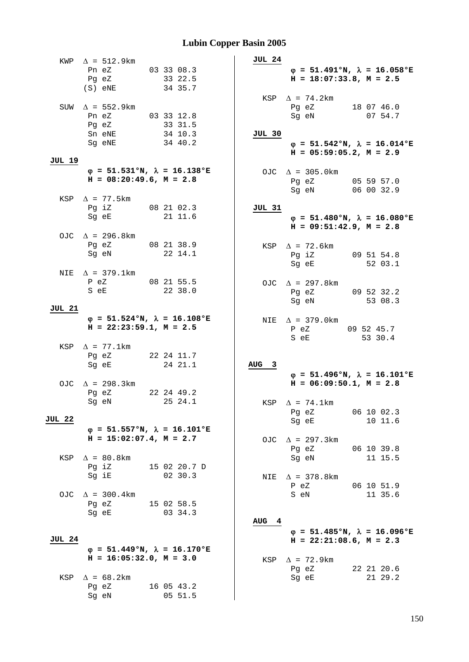|               | KWP $\Delta = 512.9 \text{km}$                                               |                       |              | JUL 24           |                                                                                        |                       |
|---------------|------------------------------------------------------------------------------|-----------------------|--------------|------------------|----------------------------------------------------------------------------------------|-----------------------|
|               | Pn eZ 03 33 08.3<br>Pg eZ<br>$(S)$ eNE                                       | 33 22.5<br>34 35.7    |              |                  | $\varphi = 51.491^{\circ}N$ , $\lambda = 16.058^{\circ}E$<br>$H = 18:07:33.8, M = 2.5$ |                       |
|               | SUW $\Delta$ = 552.9km<br>Pn eZ 03 33 12.8<br>Pg eZ                          | 33 31.5               |              |                  | KSP $\Delta$ = 74.2km<br>Pg eZ 18 07 46.0<br>Sg eN                                     | 07 54.7               |
|               | Sn eNE 34 10.3<br>34 40.2<br>Sg eNE                                          |                       |              | JUL 30           | $\varphi = 51.542$ °N, $\lambda = 16.014$ °E<br>$H = 05:59:05.2$ , $M = 2.9$           |                       |
| <b>JUL 19</b> |                                                                              |                       |              |                  |                                                                                        |                       |
|               | $\varphi = 51.531$ °N, $\lambda = 16.138$ °E<br>$H = 08:20:49.6$ , $M = 2.8$ |                       |              |                  | OJC $\Delta$ = 305.0km<br>Pg eZ 05 59 57.0<br>Sg eN 06 00 32.9                         |                       |
|               | KSP $\Delta$ = 77.5 km                                                       |                       |              |                  |                                                                                        |                       |
|               | Pg iZ 08 21 02.3<br>Sg eE 21 11.6                                            |                       |              | JUL 31           | $\varphi = 51.480^{\circ}N$ , $\lambda = 16.080^{\circ}E$<br>$H = 09:51:42.9, M = 2.8$ |                       |
|               | OJC $\Delta$ = 296.8km                                                       |                       |              |                  |                                                                                        |                       |
|               | Pg eZ 08 21 38.9<br>Sg eN 22 14.1                                            |                       |              |                  | KSP $\Delta$ = 72.6km<br>Pg iZ 09 51 54.8<br>Sg eE 52 03.1                             |                       |
|               | NIE $\Delta$ = 379.1km                                                       |                       |              |                  |                                                                                        |                       |
|               | P eZ 08 21 55.5<br>S eE                                                      | 22 38.0               |              |                  | OJC $\Delta$ = 297.8km<br>Pg eZ 09 52 32.2<br>Sg eN 53 08.3                            |                       |
| JUL 21        |                                                                              |                       |              |                  |                                                                                        |                       |
|               | $\varphi = 51.524$ °N, $\lambda = 16.108$ °E<br>$H = 22:23:59.1, M = 2.5$    |                       |              |                  | NIE $\Delta$ = 379.0km<br>P eZ 09 52 45.7<br>S eE                                      | 53 30.4               |
|               | KSP $\Delta$ = 77.1km                                                        |                       |              |                  |                                                                                        |                       |
|               | Pg eZ 22 24 11.7<br>Sg eE                                                    | 24 21.1               |              | AUG <sub>3</sub> | $\varphi = 51.496$ °N, $\lambda = 16.101$ °E                                           |                       |
|               | OJC $\Delta$ = 298.3km                                                       |                       |              |                  | $H = 06:09:50.1, M = 2.8$                                                              |                       |
|               | Pg eZ 22 24 49.2<br>Sg eN 25 24.1                                            |                       |              |                  | KSP $\Delta$ = 74.1km<br>Pg eZ                                                         | 06 10 02.3            |
| JUL 22        |                                                                              |                       |              |                  | Sg eE                                                                                  | 10 11.6               |
|               | $\varphi$ = 51.557°N, $\lambda$ = 16.101°E<br>$H = 15:02:07.4$ , $M = 2.7$   |                       |              |                  | OJC $\Delta$ = 297.3km                                                                 |                       |
|               | KSP $\Delta = 80.8$ km                                                       |                       |              |                  | Pg eZ<br>06 10 39.8<br>Sg eN                                                           | 11 15.5               |
|               | Pg iZ<br>Sg iE                                                               | 02 30.3               | 15 02 20.7 D |                  | NIE $\Delta$ = 378.8km<br>P eZ                                                         | 06 10 51.9            |
|               | OJC $\Delta$ = 300.4km<br>Pg eZ 15 02 58.5<br>Sg eE                          | 03 34.3               |              |                  | S eN                                                                                   | 11 35.6               |
|               |                                                                              |                       |              | AUG <sub>4</sub> |                                                                                        |                       |
| <b>JUL 24</b> |                                                                              |                       |              |                  | $\varphi = 51.485$ °N, $\lambda = 16.096$ °E<br>$H = 22:21:08.6$ , $M = 2.3$           |                       |
|               | $\varphi = 51.449$ °N, $\lambda = 16.170$ °E<br>$H = 16:05:32.0, M = 3.0$    |                       |              |                  |                                                                                        |                       |
| KSP           | $\Delta = 68.2 \text{km}$                                                    |                       |              |                  | KSP $\Delta$ = 72.9km<br>Pg eZ<br>Sg eE                                                | 22 21 20.6<br>21 29.2 |
|               | Pg eZ<br>Sg eN                                                               | 16 05 43.2<br>05 51.5 |              |                  |                                                                                        |                       |
|               |                                                                              |                       |              |                  |                                                                                        |                       |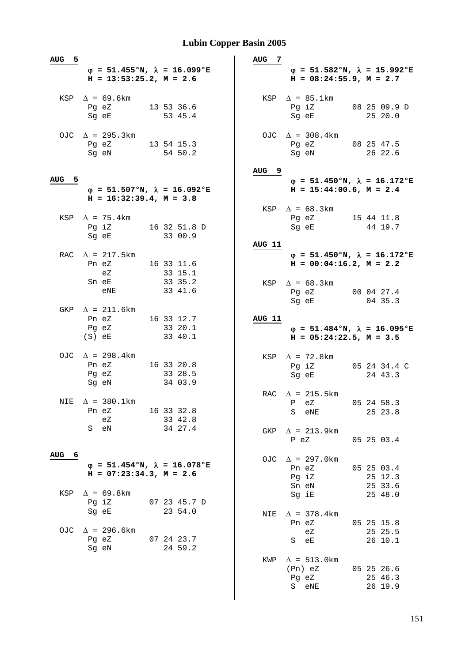| AUG <sub>5</sub> |                                                              |                                              | AUG <sub>7</sub>                                                                                 |
|------------------|--------------------------------------------------------------|----------------------------------------------|--------------------------------------------------------------------------------------------------|
|                  | $H = 13:53:25.2$ , $M = 2.6$                                 | $\varphi = 51.455$ °N, $\lambda = 16.099$ °E | $\varphi = 51.582$ °N, $\lambda = 15.992$ °E<br>$H = 08:24:55.9$ , $M = 2.7$                     |
|                  | KSP $\Delta = 69.6$ km<br>Pg eZ<br>Sg eE                     | 13 53 36.6<br>53 45.4                        | KSP $\Delta$ = 85.1km<br>Pg iZ<br>08 25 09.9 D<br>Sg eE<br>25 20.0                               |
|                  | OJC $\Delta$ = 295.3km<br>Pg eZ 13 54 15.3<br>Sg eN          | 54 50.2                                      | OJC $\Delta$ = 308.4km<br>Pg eZ 08 25 47.5<br>26 22.6<br>Sg eN                                   |
| 5<br>AUG         | $H = 16:32:39.4, M = 3.8$                                    | $\varphi = 51.507$ °N, $\lambda = 16.092$ °E | AUG <sub>9</sub><br>$\varphi = 51.450$ °N, $\lambda = 16.172$ °E<br>$H = 15:44:00.6$ , $M = 2.4$ |
|                  | KSP $\Delta$ = 75.4 km<br>Pg iZ 16 32 51.8 D<br>Sq eE        | 33 00.9                                      | KSP $\Delta = 68.3 \text{km}$<br>Pq eZ 15 44 11.8<br>44 19.7<br>Sq eE                            |
|                  | RAC $\Delta$ = 217.5km<br>Pn eZ<br>eZ                        | 16 33 11.6<br>33 15.1                        | <b>AUG 11</b><br>$\varphi = 51.450$ °N, $\lambda = 16.172$ °E<br>$H = 00:04:16.2, M = 2.2$       |
|                  | Sn eE<br>eNE<br>GKP $\Delta$ = 211.6km                       | 33 35.2<br>33 41.6                           | KSP $\Delta = 68.3 \text{km}$<br>Pg eZ<br>00 04 27.4<br>Sg eE<br>04 35.3                         |
|                  | Pn eZ 16 33 12.7<br>Pg eZ<br>$(S)$ eE                        | 33 20.1<br>33 40.1                           | AUG 11<br>$\varphi = 51.484$ °N, $\lambda = 16.095$ °E<br>$H = 05:24:22.5, M = 3.5$              |
|                  | OJC $\Delta$ = 298.4km<br>Pn eZ 16 33 20.8<br>Pg eZ<br>Sg eN | 33 28.5<br>34 03.9                           | KSP $\Delta$ = 72.8km<br>Pg iZ<br>05 24 34.4 C<br>Sg eE<br>24 43.3                               |
|                  | NIE $\Delta$ = 380.1km<br>Pn eZ<br>еZ                        | 16 33 32.8<br>33 42.8                        | $\Delta$ = 215.5km<br>RAC<br>05 24 58.3<br>P eZ<br>25 23.8<br>S eNE                              |
|                  | eN<br>S                                                      | 34 27.4                                      | $\Delta$ = 213.9km<br>GKP<br>P eZ<br>05 25 03.4                                                  |
| AUG<br>-6        | $H = 07:23:34.3, M = 2.6$                                    | $\varphi$ = 51.454°N, $\lambda$ = 16.078°E   | $\Delta$ = 297.0km<br>OJC<br>Pn eZ<br>05 25 03.4<br>Pg iZ<br>25 12.3<br>25 33.6<br>Sn eN         |
| KSP              | $\Delta = 69.8$ km<br>Pg iZ<br>Sq eE                         | 07 23 45.7 D<br>23 54.0                      | 25 48.0<br>Sg iE<br>$\Delta$ = 378.4 km<br>NIE<br>05 25 15.8<br>Pn eZ                            |
| OJC.             | $\Delta$ = 296.6km<br>Pg eZ<br>Sg eN                         | 07 24 23.7<br>24 59.2                        | 25 25.5<br>еZ<br>26 10.1<br>S<br>еE                                                              |
|                  |                                                              |                                              | $\Delta$ = 513.0 km<br>KWP<br>(Pn) eZ<br>05 25 26.6<br>25 46.3<br>Pg eZ<br>26 19.9<br>S eNE      |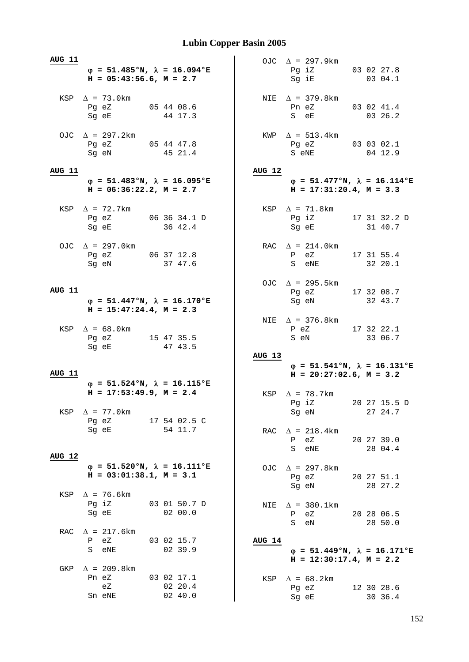| <b>AUG 11</b> |                                                                                                                         |                         |               | OJC $\Delta$ = 297.9km                                                       |                         |
|---------------|-------------------------------------------------------------------------------------------------------------------------|-------------------------|---------------|------------------------------------------------------------------------------|-------------------------|
|               | $\varphi = 51.485$ °N, $\lambda = 16.094$ °E<br>$H = 05:43:56.6$ , $M = 2.7$                                            |                         |               | Pg iZ 03 02 27.8<br>Sg iE                                                    | 03 04.1                 |
|               | KSP $\Delta$ = 73.0 km<br>Pg eZ 05 44 08.6<br>Sg eE                                                                     | 44 17.3                 |               | NIE $\Delta$ = 379.8km<br>Pn eZ 03 02 41.4<br>S eE                           | 03 26.2                 |
|               | OJC $\Delta$ = 297.2km<br>Pg eZ 05 44 47.8<br>Sg eN                                                                     | 45 21.4                 |               | $KWP \quad \Delta = 513.4 \text{km}$<br>Pg eZ 03 03 02.1<br>S eNE            | 04 12.9                 |
| <b>AUG 11</b> |                                                                                                                         |                         | AUG 12        |                                                                              |                         |
|               | $\varphi = 51.483$ °N, $\lambda = 16.095$ °E<br>$H = 06:36:22.2, M = 2.7$                                               |                         |               | $\varphi = 51.477$ °N, $\lambda = 16.114$ °E<br>$H = 17:31:20.4$ , $M = 3.3$ |                         |
|               | KSP $\Delta$ = 72.7km<br>Pg eZ 06 36 34.1 D<br>Sg eE 36 42.4                                                            |                         |               | KSP $\Delta$ = 71.8km<br>Pg iZ 17 31 32.2 D<br>Sg eE 31 40.7                 |                         |
|               | OJC $\Delta$ = 297.0km<br>Pg eZ 06 37 12.8<br>Sg eN 37 47.6                                                             |                         |               | RAC $\Delta = 214.0 \text{km}$<br>P eZ 17 31 55.4<br>S eNE 32 20.1           |                         |
| <b>AUG 11</b> | $\varphi = 51.447$ °N, $\lambda = 16.170$ °E<br>$H = 15:47:24.4, M = 2.3$                                               |                         |               | OJC $\Delta$ = 295.5km<br>Pg eZ 17 32 08.7<br>Sg eN 32 43.7                  |                         |
|               | KSP $\Delta = 68.0$ km<br>Pg eZ 15 47 35.5<br>Sg eE                                                                     | 47 43.5                 |               | NIE $\Delta$ = 376.8km<br>P eZ 17 32 22.1<br>S eN                            | 33 06.7                 |
|               |                                                                                                                         |                         | <b>AUG 13</b> |                                                                              |                         |
| <b>AUG 11</b> |                                                                                                                         |                         |               | $\varphi = 51.541$ °N, $\lambda = 16.131$ °E<br>$H = 20:27:02.6$ , $M = 3.2$ |                         |
| KSP           | $\varphi$ = 51.524°N, $\lambda$ = 16.115°E<br>$H = 17:53:49.9$ , $M = 2.4$<br>$\Delta$ = 77.0km                         |                         |               | KSP $\Delta$ = 78.7km<br>Pg iZ<br>Sg eN                                      | 20 27 15.5 D<br>27 24.7 |
|               | Pg eZ<br>Sq eE and the state of the state of the state of the state of the state of the state of the state of the state | 17 54 02.5 C<br>54 11.7 | RAC           | $\Delta$ = 218.4km<br>eZ<br>P<br>S eNE                                       | 20 27 39.0<br>28 04.4   |
| AUG 12        | $\varphi = 51.520$ °N, $\lambda = 16.111$ °E<br>$H = 03:01:38.1, M = 3.1$                                               |                         |               | OJC $\Delta$ = 297.8km<br>Pg eZ<br>Sq eN                                     | 20 27 51.1<br>28 27.2   |
| KSP           | $\Delta$ = 76.6km<br>Pg iZ<br>Sg eE                                                                                     | 03 01 50.7 D<br>0200.0  | NIE           | $\Delta$ = 380.1km<br>eZ<br>$\mathbf{P}$<br>S<br>eN                          | 20 28 06.5<br>28 50.0   |
| RAC           |                                                                                                                         |                         |               |                                                                              |                         |
|               | $\Delta$ = 217.6km<br>P eZ<br>S eNE                                                                                     | 03 02 15.7<br>02 39.9   | <b>AUG 14</b> | $\varphi = 51.449$ °N, $\lambda = 16.171$ °E<br>$H = 12:30:17.4$ , $M = 2.2$ |                         |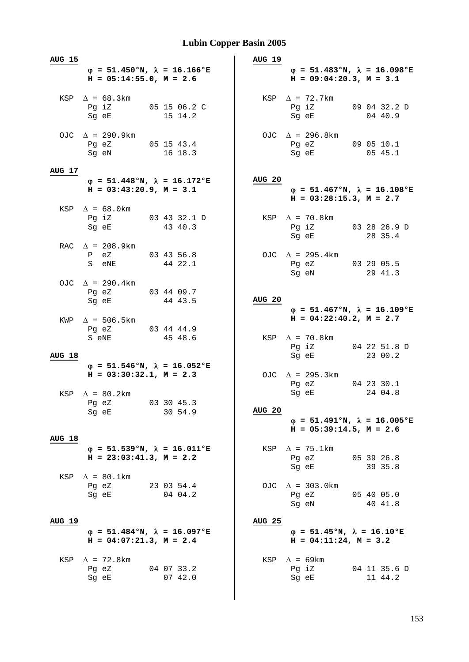| <b>AUG 15</b> |                                                                                                                                                                                                                                                                             |                       | <b>AUG 19</b>                                                                              |
|---------------|-----------------------------------------------------------------------------------------------------------------------------------------------------------------------------------------------------------------------------------------------------------------------------|-----------------------|--------------------------------------------------------------------------------------------|
|               | $\varphi = 51.450$ °N, $\lambda = 16.166$ °E<br>$H = 05:14:55.0$ , $M = 2.6$                                                                                                                                                                                                |                       | $\varphi = 51.483°N, \lambda = 16.098°E$<br>$H = 09:04:20.3, M = 3.1$                      |
|               | KSP $\Delta = 68.3 \text{km}$<br>Pg iZ 05 15 06.2 C<br>Sg eE 15 14.2                                                                                                                                                                                                        |                       | $KSP \quad \Delta = 72.7 \text{km}$<br>Pg iZ 09 04 32.2 D<br>0440.9<br>Sg eE               |
|               | OJC $\Delta$ = 290.9km<br>Pg eZ 05 15 43.4<br>Sg eN                                                                                                                                                                                                                         | 16 18.3               | OJC $\Delta$ = 296.8km<br>Pg eZ 09 05 10.1<br>Sg eE 05 45.1                                |
| AUG 17        |                                                                                                                                                                                                                                                                             |                       |                                                                                            |
|               | $\varphi = 51.448$ °N, $\lambda = 16.172$ °E<br>$H = 03:43:20.9$ , $M = 3.1$                                                                                                                                                                                                |                       | <b>AUG 20</b><br>$\varphi = 51.467$ °N, $\lambda = 16.108$ °E<br>$H = 03:28:15.3, M = 2.7$ |
|               | KSP $\Delta = 68.0 \text{km}$<br>Pg iZ 03 43 32.1 D<br>Sq eE 43 40.3                                                                                                                                                                                                        |                       | KSP $\Delta$ = 70.8km<br>Pg iZ 03 28 26.9 D<br>Sg eE 28 35.4                               |
|               | RAC $\Delta$ = 208.9km<br>P eZ 03 43 56.8<br>S eNE and the set of the set of the set of the set of the set of the set of the set of the set of the set of the set of the set of the set of the set of the set of the set of the set of the set of the set of the set of the | 44 22.1               | OJC $\Delta$ = 295.4km<br>Pg eZ 03 29 05.5<br>Sg eN<br>29 41.3                             |
|               | OJC $\Delta$ = 290.4km<br>Pg eZ 03 44 09.7<br>Sg eE                                                                                                                                                                                                                         | 44 43.5               | AUG 20                                                                                     |
|               | KWP $\Delta$ = 506.5km                                                                                                                                                                                                                                                      |                       | $\varphi = 51.467$ °N, $\lambda = 16.109$ °E<br>$H = 04:22:40.2, M = 2.7$                  |
|               | Pg eZ 03 44 44.9<br>S eNE                                                                                                                                                                                                                                                   | 45 48.6               | KSP $\Delta$ = 70.8km<br>Pg iZ 04 22 51.8 D                                                |
| <b>AUG 18</b> |                                                                                                                                                                                                                                                                             |                       | 23 00.2<br>Sg eE                                                                           |
|               | $\varphi = 51.546$ °N, $\lambda = 16.052$ °E<br>$H = 03:30:32.1, M = 2.3$                                                                                                                                                                                                   |                       | OJC $\Delta$ = 295.3km<br>Pg eZ 04 23 30.1<br>24 04.8<br>Sg eE                             |
|               | KSP $\Delta = 80.2 \text{km}$<br>Pg eZ 03 30 45.3<br>Sg eE                                                                                                                                                                                                                  | 30 54.9               | <b>AUG 20</b><br>$\varphi = 51.491^{\circ}N$ , $\lambda = 16.005^{\circ}E$                 |
|               |                                                                                                                                                                                                                                                                             |                       | $H = 05:39:14.5$ , $M = 2.6$                                                               |
| <b>AUG 18</b> | $\varphi = 51.539$ °N, $\lambda = 16.011$ °E<br>$H = 23:03:41.3$ , $M = 2.2$                                                                                                                                                                                                |                       | KSP $\Delta$ = 75.1km<br>05 39 26.8<br>Pg eZ<br>39 35.8<br>Sg eE                           |
|               | KSP $\Delta = 80.1$ km<br>Pg eZ<br>Sg eE                                                                                                                                                                                                                                    | 23 03 54.4<br>04 04.2 | OJC $\Delta$ = 303.0km<br>05 40 05.0<br>Pg eZ<br>Sg eN<br>40 41.8                          |
| <b>AUG 19</b> |                                                                                                                                                                                                                                                                             |                       | <b>AUG 25</b>                                                                              |
|               | $\varphi = 51.484$ °N, $\lambda = 16.097$ °E<br>$H = 04:07:21.3$ , $M = 2.4$                                                                                                                                                                                                |                       | $\varphi = 51.45^{\circ}N$ , $\lambda = 16.10^{\circ}E$<br>$H = 04:11:24$ , $M = 3.2$      |
| KSP           | $\Delta$ = 72.8km<br>Pg eZ<br>Sq eE                                                                                                                                                                                                                                         | 04 07 33.2<br>07 42.0 | $\Delta$ = 69km<br>KSP<br>Pg iZ<br>04 11 35.6 D<br>11 44.2<br>Sg eE                        |
|               |                                                                                                                                                                                                                                                                             |                       |                                                                                            |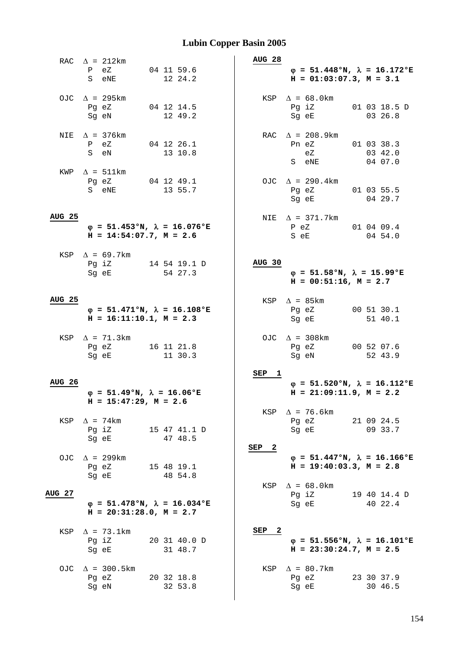|               | RAC $\Delta$ = 212km<br>$P$ eZ |                                                                           | 04 11 59.6            |              | <b>AUG 28</b> | $\varphi = 51.448$ °N, $\lambda = 16.172$ °E                                 |  |                         |  |
|---------------|--------------------------------|---------------------------------------------------------------------------|-----------------------|--------------|---------------|------------------------------------------------------------------------------|--|-------------------------|--|
|               | S eNE                          |                                                                           | 12 24.2               |              |               | $H = 01:03:07.3, M = 3.1$                                                    |  |                         |  |
|               | OJC $\Delta$ = 295km           |                                                                           |                       |              |               | KSP $\Delta = 68.0$ km                                                       |  |                         |  |
|               | Pg eZ<br>Sg eN                 |                                                                           | 04 12 14.5<br>12 49.2 |              |               | Pg iZ<br>Sg eE                                                               |  | 01 03 18.5 D<br>03 26.8 |  |
|               | NIE $\Delta$ = 376km           |                                                                           |                       |              |               | RAC $\Delta$ = 208.9km                                                       |  |                         |  |
|               | P eZ<br>S eN                   |                                                                           | 04 12 26.1<br>13 10.8 |              |               | Pn eZ<br>eZ                                                                  |  | 01 03 38.3<br>03 42.0   |  |
|               | $KWP \quad \Delta = 511km$     |                                                                           |                       |              |               | S eNE                                                                        |  | 04 07.0                 |  |
|               | Pg eZ                          |                                                                           | 04 12 49.1            |              |               | OJC $\Delta$ = 290.4km                                                       |  |                         |  |
|               | S eNE                          |                                                                           | 13 55.7               |              |               | Pg eZ<br>Sg eE                                                               |  | 01 03 55.5<br>04 29.7   |  |
| <b>AUG 25</b> |                                |                                                                           |                       |              |               | NIE $\Delta$ = 371.7km                                                       |  |                         |  |
|               |                                | $\varphi = 51.453$ °N, $\lambda = 16.076$ °E<br>$H = 14:54:07.7, M = 2.6$ |                       |              |               | P eZ 01 04 09.4<br>S eE                                                      |  | 04 54.0                 |  |
|               | KSP $\Delta = 69.7$ km         |                                                                           |                       |              | AUG 30        |                                                                              |  |                         |  |
|               | Pg iZ<br>Sg eE                 |                                                                           | 54 27.3               | 14 54 19.1 D |               | $\varphi = 51.58$ °N, $\lambda = 15.99$ °E                                   |  |                         |  |
|               |                                |                                                                           |                       |              |               | $H = 00:51:16$ , $M = 2.7$                                                   |  |                         |  |
| <b>AUG 25</b> |                                |                                                                           |                       |              |               | KSP $\Delta$ = 85km                                                          |  |                         |  |
|               |                                | $\varphi = 51.471$ °N, $\lambda = 16.108$ °E<br>$H = 16:11:10.1, M = 2.3$ |                       |              |               | Pg eZ<br>Sg eE                                                               |  | 00 51 30.1<br>51 40.1   |  |
|               | KSP $\Delta$ = 71.3km          |                                                                           |                       |              |               | OJC $\Delta$ = 308km                                                         |  |                         |  |
|               | Pg eZ<br>Sg eE                 |                                                                           | 16 11 21.8<br>11 30.3 |              |               | Pg eZ<br>Sg eN                                                               |  | 00 52 07.6<br>52 43.9   |  |
|               |                                |                                                                           |                       |              | SEP 1         |                                                                              |  |                         |  |
| <b>AUG 26</b> |                                | $\varphi = 51.49$ °N, $\lambda = 16.06$ °E                                |                       |              |               | $\varphi = 51.520$ °N, $\lambda = 16.112$ °E<br>$H = 21:09:11.9$ , $M = 2.2$ |  |                         |  |
|               |                                | $H = 15:47:29$ , $M = 2.6$                                                |                       |              | KSP           | $\Delta$ = 76.6km                                                            |  |                         |  |
|               | KSP $\Delta$ = 74km            |                                                                           |                       |              |               | Pg eZ                                                                        |  | 21 09 24.5              |  |
|               | Pg iZ<br>Sq eE                 |                                                                           | 47 48.5               | 15 47 41.1 D |               | Sg eE                                                                        |  | 09 33.7                 |  |
|               |                                |                                                                           |                       |              | SEP<br>2      |                                                                              |  |                         |  |
|               | OJC $\Delta$ = 299km           |                                                                           |                       |              |               | $\varphi = 51.447$ °N, $\lambda = 16.166$ °E                                 |  |                         |  |
|               | Pg eZ<br>Sg eE                 |                                                                           | 15 48 19.1<br>48 54.8 |              |               | $H = 19:40:03.3, M = 2.8$                                                    |  |                         |  |
|               |                                |                                                                           |                       |              |               | KSP $\Delta = 68.0$ km                                                       |  |                         |  |
| <b>AUG 27</b> |                                |                                                                           |                       |              |               | Pg iZ                                                                        |  | 19 40 14.4 D            |  |
|               |                                | $\varphi = 51.478$ °N, $\lambda = 16.034$ °E<br>$H = 20:31:28.0, M = 2.7$ |                       |              |               | Sg eE                                                                        |  | 40 22.4                 |  |
| KSP           | $\Delta$ = 73.1km              |                                                                           |                       |              | SEP<br>- 2    |                                                                              |  |                         |  |
|               | Pg iZ<br>Sg eE                 |                                                                           | 31 48.7               | 20 31 40.0 D |               | $\varphi = 51.556$ °N, $\lambda = 16.101$ °E<br>$H = 23:30:24.7$ , $M = 2.5$ |  |                         |  |
|               | OJC $\Delta$ = 300.5km         |                                                                           |                       |              |               | KSP $\Delta$ = 80.7km                                                        |  |                         |  |
|               | Pg eZ                          |                                                                           | 20 32 18.8            |              |               | Pg eZ                                                                        |  | 23 30 37.9              |  |
|               | Sg eN                          |                                                                           |                       | 32 53.8      |               | Sg eE                                                                        |  | 30 46.5                 |  |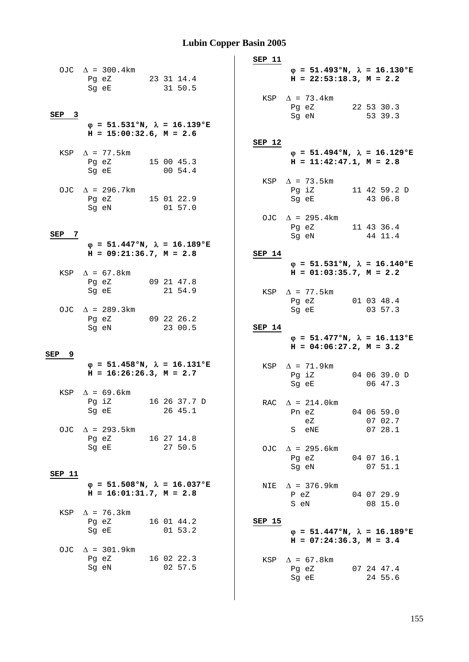|                  |                                                                                                                |                                              | SEP 11        |                                                                              |                       |
|------------------|----------------------------------------------------------------------------------------------------------------|----------------------------------------------|---------------|------------------------------------------------------------------------------|-----------------------|
|                  | OJC $\Delta$ = 300.4km<br>Pg eZ 23 31 14.4<br>Sg eE                                                            | 31 50.5                                      |               | $\varphi = 51.493$ °N, $\lambda = 16.130$ °E<br>$H = 22:53:18.3, M = 2.2$    |                       |
| SEP <sub>3</sub> |                                                                                                                |                                              |               | KSP $\Delta$ = 73.4km<br>Pg eZ<br>Sg eN                                      | 22 53 30.3<br>53 39.3 |
|                  | $H = 15:00:32.6$ , $M = 2.6$                                                                                   | $\varphi = 51.531$ °N, $\lambda = 16.139$ °E | SEP 12        |                                                                              |                       |
|                  | KSP $\Delta$ = 77.5km<br>Pg eZ 15 00 45.3<br>Sg eE                                                             | 00 54.4                                      |               | $\varphi = 51.494$ °N, $\lambda = 16.129$ °E<br>$H = 11:42:47.1, M = 2.8$    |                       |
|                  | OJC $\Delta$ = 296.7km<br>Pg eZ 15 01 22.9<br>Sq eN                                                            | 01 57.0                                      |               | KSP $\Delta$ = 73.5km<br>Pg iZ 11 42 59.2 D<br>Sg eE                         | 43 06.8               |
| SEP<br>7         |                                                                                                                |                                              |               | OJC $\Delta$ = 295.4km<br>Pg eZ<br>Sg eN                                     | 11 43 36.4<br>44 11.4 |
|                  | $H = 09:21:36.7, M = 2.8$                                                                                      | $\varphi$ = 51.447°N, $\lambda$ = 16.189°E   | SEP 14        |                                                                              |                       |
|                  | KSP $\Delta = 67.8$ km<br>Pg eZ                                                                                | 09 21 47.8                                   |               | $\varphi = 51.531$ °N, $\lambda = 16.140$ °E<br>$H = 01:03:35.7$ , $M = 2.2$ |                       |
|                  | Sg eE<br>OJC $\Delta$ = 289.3km                                                                                | 21 54.9                                      |               | $KSP \quad \Delta = 77.5 \text{km}$<br>Pg eZ<br>Sg eE                        | 01 03 48.4<br>03 57.3 |
|                  | Pg eZ 09 22 26.2<br>Sg eN                                                                                      | 23 00.5                                      | SEP 14        |                                                                              |                       |
|                  |                                                                                                                |                                              |               | $\varphi = 51.477$ °N, $\lambda = 16.113$ °E<br>$H = 04:06:27.2, M = 3.2$    |                       |
| SEP<br>9         |                                                                                                                |                                              |               |                                                                              |                       |
|                  | $H = 16:26:26.3, M = 2.7$                                                                                      | $\varphi = 51.458$ °N, $\lambda = 16.131$ °E |               | KSP $\Delta$ = 71.9km<br>Pg iZ                                               | 04 06 39.0 D          |
|                  | KSP $\Delta$ = 69.6km<br>Pq iZ<br>Sg eE                                                                        | 16 26 37.7 D<br>26 45.1                      |               | Sg eE<br>RAC $\Delta = 214.0 \text{km}$<br>Pn eZ                             | 06 47.3<br>04 06 59.0 |
|                  | OJC $\Delta$ = 293.5km<br>Pg eZ                                                                                | 16 27 14.8                                   |               | eZ<br>S eNE                                                                  | 07 02.7<br>0728.1     |
|                  | Sg eE and the state of the state of the state of the state of the state of the state of the state of the state | 27 50.5                                      |               | OJC $\Delta$ = 295.6km<br>Pg eZ<br>Sg eN                                     | 04 07 16.1<br>0751.1  |
| SEP 11           | $H = 16:01:31.7$ , $M = 2.8$                                                                                   | $\varphi = 51.508$ °N, $\lambda = 16.037$ °E | NIE           | $\Delta$ = 376.9km<br>P eZ                                                   | 04 07 29.9            |
| KSP              | $\Delta$ = 76.3km<br>Pg eZ 16 01 44.2<br>Sg eE                                                                 | $01\ 53.2$                                   | <b>SEP 15</b> | S eN<br>$\varphi = 51.447$ °N, $\lambda = 16.189$ °E                         | 08 15.0               |
|                  | OJC $\Delta$ = 301.9km<br>Pg eZ 16 02 22.3<br>Sg eN                                                            | 02 57.5                                      |               | $H = 07:24:36.3, M = 3.4$<br>KSP $\Delta = 67.8$ km<br>Pg eZ<br>Sg eE        | 07 24 47.4<br>24 55.6 |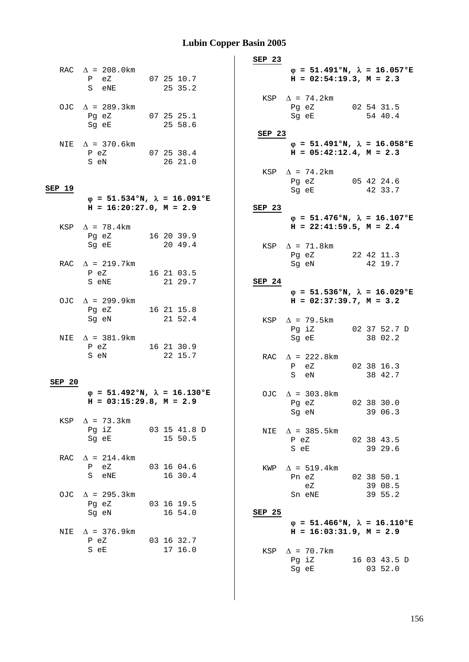|        | RAC $\Delta$ = 208.0km<br>$P$ eZ<br>S eNE | 07 25 10.7<br>25 35.2                        |
|--------|-------------------------------------------|----------------------------------------------|
|        | OJC $\Delta$ = 289.3km<br>Pq eZ<br>Sg eE  | 07 25 25.1<br>25 58.6                        |
|        | NIE $\Delta$ = 370.6km<br>P eZ<br>S eN    | 07 25 38.4<br>26 21.0                        |
| SEP 19 | $H = 16:20:27.0, M = 2.9$                 | $\varphi$ = 51.534°N, $\lambda$ = 16.091°E   |
|        | KSP $\Delta$ = 78.4km<br>Pg eZ<br>Sg eE   | 16 20 39.9<br>20 49.4                        |
|        | RAC $\Delta$ = 219.7km<br>P eZ<br>S eNE   | 16 21 03.5<br>21 29.7                        |
|        | OJC $\Delta$ = 299.9km<br>Pg eZ<br>Sg eN  | 16 21 15.8<br>21 52.4                        |
|        | NIE $\Delta$ = 381.9km<br>P eZ<br>S eN    | 16 21 30.9<br>22 15.7                        |
| SEP 20 | $H = 03:15:29.8, M = 2.9$                 | $\varphi = 51.492$ °N, $\lambda = 16.130$ °E |
| KSP    | $\Delta$ = 73.3km<br>Pg iZ<br>Sg eE       | 03 15 41.8 D<br>15 50.5                      |
|        | RAC $\Delta$ = 214.4km<br>P eZ<br>S eNE   | 03 16 04.6<br>16 30.4                        |
|        | OJC $\Delta$ = 295.3km<br>Pq eZ<br>Sq eN  | 03 16 19.5<br>16 54.0                        |
|        | NIE $\Delta$ = 376.9km<br>P eZ<br>S<br>еE | 03 16 32.7<br>17 16.0                        |

 **SEP 23** ϕ **= 51.491°N,** λ **= 16.057°E**   $H = 02:54:19.3, M = 2.3$ KSP  $\Delta$  = 74.2km Pg eZ 02 54 31.5 Sg eE 54 40.4 **SEP 23**  $\varphi = 51.491^{\circ}N$ ,  $\lambda = 16.058^{\circ}E$  **H = 05:42:12.4, M = 2.3**  KSP  $\Delta$  = 74.2km Pg eZ 05 42 24.6 Sg eE 42 33.7 **SEP 23** ϕ **= 51.476°N,** λ **= 16.107°E H = 22:41:59.5, M = 2.4**  KSP  $\Delta$  = 71.8km Pg eZ 22 42 11.3 Sg eN 42 19.7 **SEP 24**  $\varphi = 51.536$ °N,  $\lambda = 16.029$ °E  $H = 02:37:39.7, M = 3.2$ KSP  $\Delta$  = 79.5km Pg iZ 02 37 52.7 D Sg eE 38 02.2 RAC  $\Delta$  = 222.8km P eZ 02 38 16.3 S eN 38 42.7 OJC  $\Delta = 303.8$ km Pg eZ 02 38 30.0<br>Sg eN 39 06.3 39 06.3 NIE  $\Delta$  = 385.5km P eZ 02 38 43.5<br>S eE 39 29.6 39 29.6 KWP  $\Delta = 519.4$ km Pn eZ 02 38 50.1<br>eZ 39 08.5 39 08.5<br>39 55.2  $\epsilon$ <br>Sn eNE **SEP 25**  $\theta = 51.466$ °N,  $\lambda = 16.110$ °E  $H = 16:03:31.9, M = 2.9$ KSP  $\Delta$  = 70.7km Pg iZ 16 03 43.5 D Sg eE 03 52.0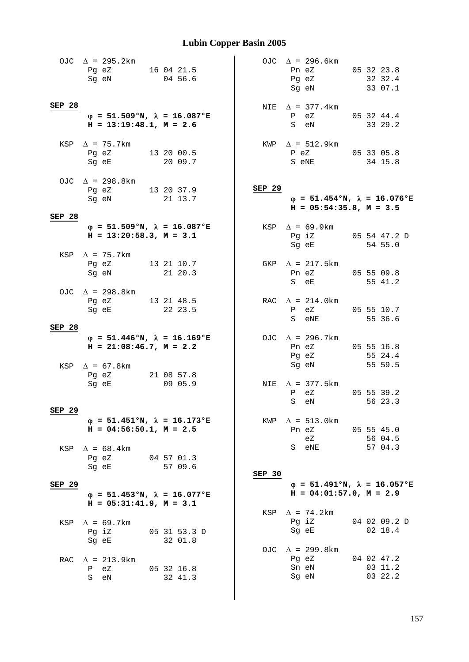|               | OJC $\Delta$ = 295.2km<br>Pg eZ 16 04 21.5<br>Sg eN 04 56.6                                                                                  |                         |        | OJC $\Delta$ = 296.6km<br>Pn eZ 05 32 23.8<br>Pg eZ 32 32.4<br>Sg eN      | 33 07.1                          |
|---------------|----------------------------------------------------------------------------------------------------------------------------------------------|-------------------------|--------|---------------------------------------------------------------------------|----------------------------------|
| SEP 28        | $\varphi = 51.509$ °N, $\lambda = 16.087$ °E<br>$H = 13:19:48.1, M = 2.6$                                                                    |                         |        | NIE $\Delta$ = 377.4 km<br>P eZ<br>S eN                                   | 05 32 44.4<br>33 29.2            |
|               | KSP $\Delta$ = 75.7km<br>Pg eZ 13 20 00.5<br>Sg eE                                                                                           | 20 09.7                 |        | $KWP \quad \Delta = 512.9 \text{km}$<br>P eZ 05 33 05.8<br>S eNE          | 34 15.8                          |
| SEP 28        | OJC $\Delta$ = 298.8km<br>Pg eZ 13 20 37.9<br>Sg eN                                                                                          | 21 13.7                 | SEP 29 | $\varphi = 51.454$ °N, $\lambda = 16.076$ °E<br>$H = 05:54:35.8, M = 3.5$ |                                  |
|               | $\varphi = 51.509$ °N, $\lambda = 16.087$ °E<br>$H = 13:20:58.3, M = 3.1$                                                                    |                         |        | KSP $\Delta = 69.9 \text{km}$<br>Pg iZ 05 54 47.2 D<br>Sg eE 54 55.0      |                                  |
|               | KSP $\Delta$ = 75.7km<br>Pg eZ 13 21 10.7<br>Sg eN 21 20.3                                                                                   |                         |        | GKP $\Delta$ = 217.5km<br>Pn eZ 05 55 09.8<br>S eE 55 41.2                |                                  |
|               | OJC $\Delta$ = 298.8km<br>Pg eZ 13 21 48.5<br>Sg eE 22 23.5                                                                                  |                         |        | RAC $\Delta = 214.0 \text{km}$<br>P eZ 05 55 10.7<br>S eNE                | 55 36.6                          |
| SEP 28        | $\varphi = 51.446$ °N, $\lambda = 16.169$ °E<br>$H = 21:08:46.7$ , $M = 2.2$<br>KSP $\Delta = 67.8$ km                                       |                         |        | OJC $\Delta$ = 296.7km<br>Pn eZ<br>Pg eZ<br>Sg eN                         | 05 55 16.8<br>55 24.4<br>55 59.5 |
| SEP 29        | Pg eZ 21 08 57.8<br>Sg eE                                                                                                                    | 09 05.9                 |        | NIE $\Delta$ = 377.5km<br>P eZ<br>S eN                                    | 05 55 39.2<br>56 23.3            |
| KSP           | $\varphi = 51.451$ °N, $\lambda = 16.173$ °E<br>$H = 04:56:50.1, M = 2.5$<br>$\Delta$ = 68.4km                                               |                         | KWP    | $\Delta$ = 513.0km<br>Pn eZ 05 55 45.0<br>eZ<br>S eNE                     | 56 04.5<br>57 04.3               |
| <b>SEP 29</b> | Pg eZ<br>Sg eE 57 09.6                                                                                                                       | 04 57 01.3              | SEP 30 | $\varphi = 51.491^{\circ}N$ , $\lambda = 16.057^{\circ}E$                 |                                  |
|               | $\varphi = 51.453$ °N, $\lambda = 16.077$ °E<br>$H = 05:31:41.9$ , $M = 3.1$                                                                 |                         |        | $H = 04:01:57.0$ , $M = 2.9$                                              |                                  |
| KSP           | $\Delta$ = 69.7km<br>Pq iZ<br>Sg eE and the state of the state of the state of the state of the state of the state of the state of the state | 05 31 53.3 D<br>32 01.8 | KSP    | $\Delta$ = 74.2km<br>Pg iZ<br>Sg eE                                       | 04 02 09.2 D<br>02 18.4          |
|               | RAC $\Delta$ = 213.9km<br>P eZ<br>S eN                                                                                                       | 05 32 16.8<br>32 41.3   |        | OJC $\Delta$ = 299.8km<br>Pg eZ<br>Sn eN<br>Sg eN                         | 04 02 47.2<br>03 11.2<br>03 22.2 |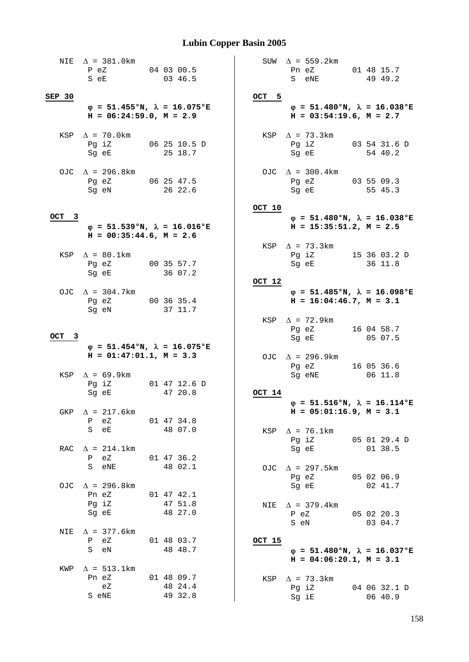|        | NIE $\Delta$ = 381.0km<br>P eZ<br>S eE                                       | 04 03 00.5<br>03 46.5   |        | SUW $\Delta$ = 559.2km<br>Pn eZ<br>S eNE                                     | 01 48 15.7<br>49 49.2   |
|--------|------------------------------------------------------------------------------|-------------------------|--------|------------------------------------------------------------------------------|-------------------------|
| SEP 30 |                                                                              |                         | OCT 5  |                                                                              |                         |
|        | $\varphi$ = 51.455°N, $\lambda$ = 16.075°E<br>$H = 06:24:59.0, M = 2.9$      |                         |        | $\varphi = 51.480$ °N, $\lambda = 16.038$ °E<br>$H = 03:54:19.6$ , $M = 2.7$ |                         |
|        | KSP $\Delta$ = 70.0km<br>Pg iZ<br>Sq eE                                      | 06 25 10.5 D<br>25 18.7 |        | KSP $\Delta$ = 73.3km<br>Pg iZ<br>Sg eE                                      | 03 54 31.6 D<br>54 40.2 |
|        | OJC $\Delta$ = 296.8km<br>Pg eZ<br>Sg eN                                     | 06 25 47.5<br>26 22.6   |        | OJC $\Delta$ = 300.4km<br>Pg eZ 03 55 09.3<br>Sg eE                          | 55 45.3                 |
|        |                                                                              |                         | OCT 10 |                                                                              |                         |
| OCT 3  |                                                                              |                         |        | $\varphi = 51.480$ °N, $\lambda = 16.038$ °E                                 |                         |
|        | $\varphi = 51.539$ °N, $\lambda = 16.016$ °E<br>$H = 00:35:44.6$ , $M = 2.6$ |                         |        | $H = 15:35:51.2$ , $M = 2.5$<br>KSP $\Delta$ = 73.3km                        |                         |
|        | KSP $\Delta = 80.1$ km                                                       |                         |        | Pg iZ 15 36 03.2 D                                                           |                         |
|        | Pg eZ                                                                        | 00 35 57.7              |        | Sg eE                                                                        | 36 11.8                 |
|        | Sg eE                                                                        | 36 07.2                 |        |                                                                              |                         |
|        |                                                                              |                         | OCT 12 |                                                                              |                         |
|        |                                                                              |                         |        |                                                                              |                         |
|        | OJC $\Delta$ = 304.7km<br>Pg eZ<br>Sg eN                                     | 00 36 35.4<br>37 11.7   |        | $\varphi = 51.485$ °N, $\lambda = 16.098$ °E<br>$H = 16:04:46.7$ , $M = 3.1$ |                         |
|        |                                                                              |                         |        | $KSP \quad \Delta = 72.9 \text{km}$                                          |                         |
|        |                                                                              |                         |        | Pg eZ                                                                        | 16 04 58.7              |
| OCT 3  |                                                                              |                         |        | Sg eE                                                                        | 05 07.5                 |
|        | $\varphi = 51.454$ °N, $\lambda = 16.075$ °E                                 |                         |        |                                                                              |                         |
|        | $H = 01:47:01.1, M = 3.3$                                                    |                         |        | OJC $\Delta$ = 296.9km                                                       |                         |
|        |                                                                              |                         |        | Pg eZ                                                                        | 16 05 36.6              |
|        | KSP $\Delta = 69.9$ km                                                       |                         |        | Sg eNE                                                                       | 06 11.8                 |
|        | Pg iZ                                                                        | 01 47 12.6 D            |        |                                                                              |                         |
|        | Sg eE                                                                        | 47 20.8                 | OCT 14 |                                                                              |                         |
|        |                                                                              |                         |        | $\varphi$ = 51.516°N, $\lambda$ = 16.114°E                                   |                         |
| GKP    | $\Delta$ = 217.6km                                                           |                         |        | $H = 05:01:16.9$ , $M = 3.1$                                                 |                         |
|        | $\mathbf{P}$<br>eZ                                                           | 01 47 34.8              |        |                                                                              |                         |
|        | S eE                                                                         | 48 07.0                 |        | KSP $\Delta$ = 76.1km                                                        |                         |
|        |                                                                              |                         |        |                                                                              |                         |
| RAC    |                                                                              |                         |        |                                                                              |                         |
|        |                                                                              |                         |        | Pg iZ<br>05 01 29.4 D                                                        |                         |
|        | $\Delta$ = 214.1km                                                           |                         |        | Sg eE                                                                        | 01 38.5                 |
|        | P eZ                                                                         | 01 47 36.2              |        |                                                                              |                         |
|        | S eNE                                                                        | 48 02.1                 |        | OJC $\Delta$ = 297.5km                                                       |                         |
|        |                                                                              |                         |        | Pg eZ                                                                        | 05 02 06.9              |
|        | OJC $\Delta$ = 296.8km                                                       |                         |        | Sg eE                                                                        | 02 41.7                 |
|        | Pn eZ                                                                        | 01 47 42.1              |        |                                                                              |                         |
|        | Pg iZ                                                                        | 47 51.8                 |        | NIE $\Delta$ = 379.4km                                                       |                         |
|        | Sg eE                                                                        | 48 27.0                 |        | P eZ                                                                         | 05 02 20.3              |
|        |                                                                              |                         |        | S eN                                                                         | 03 04.7                 |
| NIE    | $\Delta$ = 377.6km                                                           |                         |        |                                                                              |                         |
|        | P eZ                                                                         | 01 48 03.7              | OCT 15 |                                                                              |                         |
|        | S eN                                                                         | 48 48.7                 |        | $\varphi = 51.480^{\circ}N$ , $\lambda = 16.037^{\circ}E$                    |                         |
|        |                                                                              |                         |        | $H = 04:06:20.1, M = 3.1$                                                    |                         |
| KWP    | $\Delta$ = 513.1km                                                           |                         |        |                                                                              |                         |
|        | Pn eZ                                                                        | 01 48 09.7              |        | KSP $\Delta$ = 73.3km                                                        |                         |
|        | eZ                                                                           | 48 24.4                 |        | Pg iZ                                                                        | 04 06 32.1 D            |
|        | S eNE                                                                        | 49 32.8                 |        | Sg iE                                                                        | 06 40.9                 |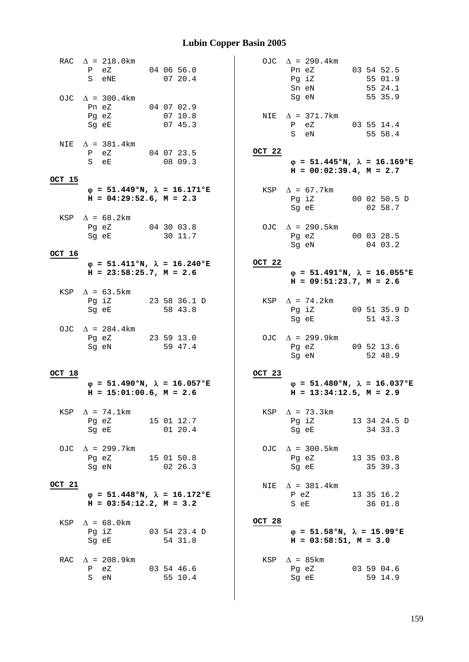|        | RAC $\Delta = 218.0 \text{km}$<br>P eZ 04 06 56.0<br>S eNE                                                                                                     |  | 0720.4                  |        | OJC $\Delta$ = 290.4km<br>Pn eZ<br>Pg iZ<br>Sn eN                                                                                                 | 03 54 52.5<br>55 01.9<br>55 24.1 |
|--------|----------------------------------------------------------------------------------------------------------------------------------------------------------------|--|-------------------------|--------|---------------------------------------------------------------------------------------------------------------------------------------------------|----------------------------------|
|        | OJC $\Delta$ = 300.4km<br>Pn eZ 04 07 02.9<br>Pg eZ<br>Sg eE                                                                                                   |  | 0710.8<br>0745.3        |        | Sg eN<br>NIE $\Delta$ = 371.7km<br>P eZ 03 55 14.4<br>S eN                                                                                        | 55 35.9<br>55 58.4               |
|        | NIE $\Delta$ = 381.4km<br>P eZ 04 07 23.5<br>S eE                                                                                                              |  | 08 09.3                 | OCT 22 | $\varphi = 51.445$ °N, $\lambda = 16.169$ °E<br>$H = 00:02:39.4, M = 2.7$                                                                         |                                  |
| OCT 15 | $\varphi = 51.449$ °N, $\lambda = 16.171$ °E<br>$H = 04:29:52.6$ , $M = 2.3$                                                                                   |  |                         |        | KSP $\Delta$ = 67.7km<br>Pg iZ 00 02 50.5 D<br>Sg eE 02 58.7                                                                                      |                                  |
|        | KSP $\Delta = 68.2$ km<br>Pg eZ 04 30 03.8<br>Sq eE 30 11.7                                                                                                    |  |                         |        | OJC $\Delta$ = 290.5km<br>Pg eZ 00 03 28.5<br>Sg eN 04 03.2                                                                                       |                                  |
| OCT 16 | $\varphi = 51.411$ °N, $\lambda = 16.240$ °E<br>$H = 23:58:25.7$ , $M = 2.6$                                                                                   |  |                         | OCT 22 | $\varphi = 51.491^{\circ}N$ , $\lambda = 16.055^{\circ}E$<br>$H = 09:51:23.7, M = 2.6$                                                            |                                  |
|        | KSP $\Delta = 63.5 \text{km}$<br>Pg iZ 23 58 36.1 D<br>Sg eE                                                                                                   |  | 58 43.8                 |        | KSP $\Delta$ = 74.2km<br>Pg iZ 09 51 35.9 D<br>Sg eE                                                                                              | 51 43.3                          |
|        | OJC $\Delta$ = 284.4km<br>Pg eZ 23 59 13.0<br>Sg eN 59 47.4<br>Sg eN                                                                                           |  | 59 47.4                 |        | OJC $\Delta$ = 299.9km<br>Pg eZ 09 52 13.6<br>Sg eN                                                                                               | 52 48.9                          |
| OCT 18 | $\varphi = 51.490^{\circ}N$ , $\lambda = 16.057^{\circ}E$<br>$H = 15:01:00.6$ , $M = 2.6$                                                                      |  |                         | OCT 23 | $\varphi = 51.480^{\circ}N$ , $\lambda = 16.037^{\circ}E$<br>$H = 13:34:12.5$ , $M = 2.9$                                                         |                                  |
|        | KSP $\Delta$ = 74.1km<br>Pg eZ<br>15 01 12.7<br>Sg eE and the state of the state of the state of the state of the state of the state of the state of the state |  | 01 20.4                 |        | KSP $\Delta$ = 73.3km<br>Pg iZ 13 34 24.5 D<br>Sg eE 34 33.3                                                                                      |                                  |
|        | OJC $\Delta$ = 299.7km<br>Pq eZ<br>15 01 50.8<br>Sg eN 02 26.3                                                                                                 |  |                         |        | OJC $\Delta$ = 300.5km<br>Pg eZ<br>Sg eE and the state of the state of the state of the state of the state of the state of the state of the state | 13 35 03.8<br>35 39.3            |
| OCT 21 | $\varphi = 51.448$ °N, $\lambda = 16.172$ °E<br>$H = 03:54:12.2$ , $M = 3.2$                                                                                   |  |                         | NIE    | $\Delta$ = 381.4km<br>P eZ<br>S eE                                                                                                                | 13 35 16.2<br>36 01.8            |
| KSP    | $\Delta = 68.0 \text{km}$<br>Pg iZ<br>Sg eE                                                                                                                    |  | 03 54 23.4 D<br>54 31.8 | OCT 28 | $\varphi = 51.58$ °N, $\lambda = 15.99$ °E<br>$H = 03:58:51, M = 3.0$                                                                             |                                  |
|        | RAC $\Delta$ = 208.9km<br>P eZ 03 54 46.6<br>S eN                                                                                                              |  | 55 10.4                 |        | KSP $\Delta$ = 85km<br>Pg eZ<br>Sg eE                                                                                                             | 03 59 04.6<br>59 14.9            |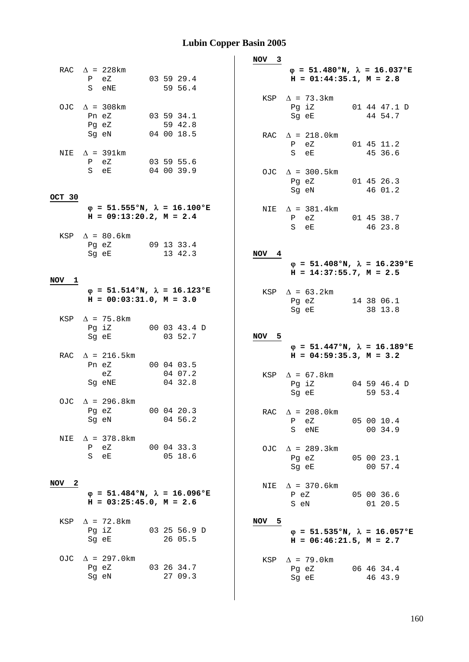|                     |                                                      |                                              | NOV <sub>3</sub>                                                                      |
|---------------------|------------------------------------------------------|----------------------------------------------|---------------------------------------------------------------------------------------|
|                     | RAC $\Delta$ = 228 km<br>P eZ<br>S eNE               | 03 59 29.4<br>59 56.4                        | $\varphi = 51.480$ °N, $\lambda = 16.037$ °E<br>$H = 01:44:35.1, M = 2.8$             |
|                     | OJC $\Delta$ = 308km<br>Pn eZ<br>Pg eZ               | 03 59 34.1<br>59 42.8                        | KSP $\Delta$ = 73.3km<br>Pg iZ<br>01 44 47.1 D<br>44 54.7<br>Sg eE                    |
|                     | Sg eN<br>NIE $\Delta$ = 391km<br>P eZ                | 04 00 18.5<br>03 59 55.6                     | RAC $\Delta = 218.0 \text{km}$<br>P eZ<br>01 45 11.2<br>45 36.6<br>S eE               |
| OCT 30              | S eE                                                 | 04 00 39.9                                   | OJC $\Delta$ = 300.5km<br>Pg eZ 01 45 26.3<br>46 01.2<br>Sg eN                        |
|                     | $H = 09:13:20.2$ , $M = 2.4$                         | $\varphi = 51.555$ °N, $\lambda = 16.100$ °E | NIE $\Delta$ = 381.4km<br>P eZ 01 45 38.7<br>S eE<br>46 23.8                          |
|                     | KSP $\Delta = 80.6 \text{km}$<br>Pg eZ<br>Sg eE      | 09 13 33.4<br>13 42.3                        | NOV 4<br>$\varphi = 51.408$ °N, $\lambda = 16.239$ °E                                 |
| NOV 1               |                                                      |                                              | $H = 14:37:55.7$ , $M = 2.5$                                                          |
|                     | $H = 00:03:31.0, M = 3.0$                            | $\varphi = 51.514$ °N, $\lambda = 16.123$ °E | $KSP \quad \Delta = 63.2 \text{km}$<br>Pg eZ 14 38 06.1<br>38 13.8<br>Sg eE           |
|                     | KSP $\Delta$ = 75.8km<br>Pg iZ 00 03 43.4 D<br>Sg eE | 03 52.7                                      |                                                                                       |
|                     |                                                      |                                              | NOV 5                                                                                 |
|                     | RAC $\Delta$ = 216.5km<br>Pn eZ 00 04 03.5<br>eZ     | 04 07.2                                      | $\varphi = 51.447$ °N, $\lambda = 16.189$ °E<br>$H = 04:59:35.3, M = 3.2$             |
|                     | Sg eNE<br>OJC $\Delta$ = 296.8km                     | 04 32.8                                      | KSP $\Delta = 67.8$ km<br>Pg iZ<br>04 59 46.4 D<br>Sg eE<br>59 53.4                   |
|                     | Pg eZ<br>Sg eN                                       | 00 04 20.3<br>04 56.2                        | $\Delta$ = 208.0km<br>RAC<br>eZ<br>$\mathbf{P}$<br>05 00 10.4<br>00 34.9<br>S eNE     |
| NIE                 | $\Delta$ = 378.8km<br>P eZ<br>S eE                   | 00 04 33.3<br>$05$ 18.6                      | OJC $\Delta$ = 289.3km<br>Pg eZ<br>05 00 23.1<br>00 57.4<br>Sg eE                     |
| $\mathbf{2}$<br>NOV | $H = 03:25:45.0$ , $M = 2.6$                         | $\varphi = 51.484$ °N, $\lambda = 16.096$ °E | $\Delta$ = 370.6km<br>NIE<br>P eZ<br>05 00 36.6<br>01 20.5<br>S eN                    |
| KSP                 | $\Delta$ = 72.8km<br>Pg iZ<br>Sg eE                  | 03 25 56.9 D<br>26 05.5                      | NOV 5<br>$\varphi = 51.535$ °N, $\lambda = 16.057$ °E<br>$H = 06:46:21.5$ , $M = 2.7$ |
|                     | OJC $\Delta$ = 297.0km<br>Pg eZ<br>Sg eN             | 03 26 34.7<br>27 09.3                        | KSP $\Delta$ = 79.0km<br>Pg eZ<br>06 46 34.4<br>46 43.9<br>Sg eE                      |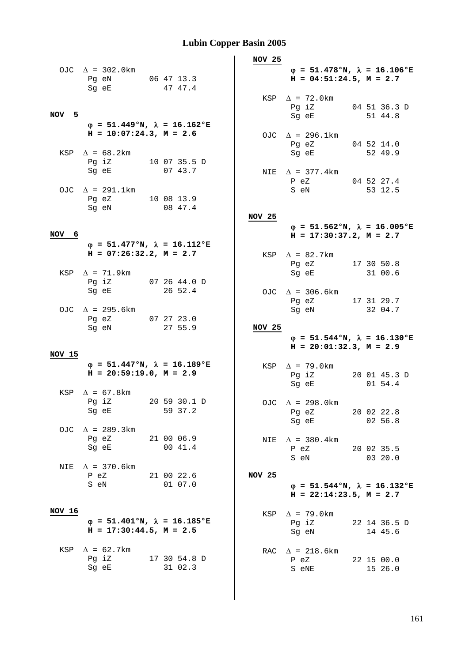|        | OJC $\Delta$ = 302.0km<br>Pg eN 06 47 13.3<br>Sg eE                                                                                | 47 47.4                 | <b>NOV 25</b> | $\varphi = 51.478$ °N, $\lambda = 16.106$ °E<br>$H = 04:51:24.5, M = 2.7$<br>$KSP \quad \Delta = 72.0 \text{km}$ |                         |
|--------|------------------------------------------------------------------------------------------------------------------------------------|-------------------------|---------------|------------------------------------------------------------------------------------------------------------------|-------------------------|
| NOV 5  | $\varphi = 51.449$ °N, $\lambda = 16.162$ °E                                                                                       |                         |               | Pg iZ<br>Sg eE                                                                                                   | 04 51 36.3 D<br>51 44.8 |
|        | $H = 10:07:24.3, M = 2.6$<br>KSP $\Delta = 68.2$ km<br>Pg iZ 10 07 35.5 D                                                          |                         |               | OJC $\Delta$ = 296.1km<br>Pg eZ 04 52 14.0<br>Sg eE                                                              | 52 49.9                 |
|        | Sg eE<br>OJC $\Delta$ = 291.1km                                                                                                    | 07 43.7                 |               | NIE $\Delta$ = 377.4km<br>P eZ 04 52 27.4<br>S eN                                                                | 53 12.5                 |
|        | Pg eZ 10 08 13.9<br>Sg eN and the state of the state of the state of the state of the state of the state of the state of the state | 08 47.4                 | NOV 25        |                                                                                                                  |                         |
| NOV 6  |                                                                                                                                    |                         |               | $\varphi = 51.562$ °N, $\lambda = 16.005$ °E<br>$H = 17:30:37.2$ , $M = 2.7$                                     |                         |
|        | $\varphi = 51.477$ °N, $\lambda = 16.112$ °E<br>$H = 07:26:32.2, M = 2.7$                                                          |                         |               | KSP $\Delta$ = 82.7km<br>Pg eZ 17 30 50.8                                                                        |                         |
|        | KSP $\Delta$ = 71.9km<br>Pg iZ<br>Sg eE                                                                                            | 07 26 44.0 D<br>26 52.4 |               | Sg eE 31 00.6<br>OJC $\Delta$ = 306.6km<br>Pg eZ                                                                 | 17 31 29.7              |
|        | OJC $\Delta$ = 295.6km<br>Pg eZ 07 27 23.0<br>Sg eN                                                                                | 27 55.9                 | <b>NOV 25</b> | Sg eN                                                                                                            | 32 04.7                 |
|        |                                                                                                                                    |                         |               | $\varphi = 51.544$ °N, $\lambda = 16.130$ °E<br>$H = 20:01:32.3, M = 2.9$                                        |                         |
| NOV 15 | $\varphi = 51.447$ °N, $\lambda = 16.189$ °E<br>$H = 20:59:19.0, M = 2.9$                                                          |                         |               | KSP $\Delta$ = 79.0km<br>Pg iZ<br>Sg eE                                                                          | 20 01 45.3 D<br>01 54.4 |
|        | KSP $\Delta = 67.8$ km<br>Pg iZ<br>Sg eE                                                                                           | 20 59 30.1 D<br>59 37.2 |               | OJC $\Delta = 298.0 \text{km}$<br>Pg eZ<br>Sg eE                                                                 | 20 02 22.8<br>02 56.8   |
|        | OJC $\Delta$ = 289.3km<br>Pg eZ 21 00 06.9<br>Sq eE 00 41.4                                                                        |                         | NIE           | $\Delta$ = 380.4km<br>P eZ 20 02 35.5<br>S eN 03 20.0                                                            |                         |
| NIE    | $\Delta$ = 370.6km<br>P eZ<br>21 00 22.6<br>S eN                                                                                   | 01 07.0                 | <b>NOV 25</b> | $\varphi = 51.544$ °N, $\lambda = 16.132$ °E<br>$H = 22:14:23.5$ , $M = 2.7$                                     |                         |
| NOV 16 |                                                                                                                                    |                         |               | KSP $\Delta$ = 79.0km                                                                                            |                         |
|        | $\varphi = 51.401$ °N, $\lambda = 16.185$ °E<br>$H = 17:30:44.5$ , $M = 2.5$                                                       |                         |               | Pg iZ 22 14 36.5 D<br>Sg eN 14 45.6                                                                              |                         |
| KSP    | $\Delta$ = 62.7km<br>Pg iZ 17 30 54.8 D<br>Sg eE                                                                                   | 31 02.3                 |               | RAC $\Delta$ = 218.6km<br>P eZ<br>S eNE                                                                          | 22 15 00.0<br>15 26.0   |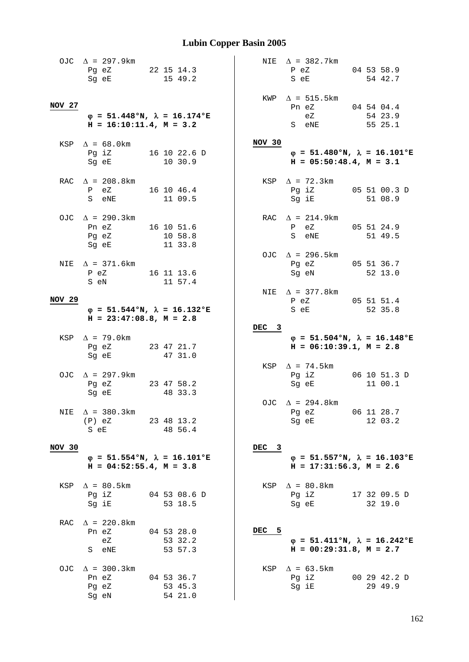|                   | OJC $\Delta$ = 297.9km<br>Pg eZ 22 15 14.3<br>Sg eE                                                                                                          | 15 49.2                          |                  | NIE $\Delta$ = 382.7km<br>P eZ<br>S eE                                    | 04 53 58.9<br>54 42.7   |
|-------------------|--------------------------------------------------------------------------------------------------------------------------------------------------------------|----------------------------------|------------------|---------------------------------------------------------------------------|-------------------------|
| NOV 27            | $\varphi = 51.448$ °N, $\lambda = 16.174$ °E<br>$H = 16:10:11.4, M = 3.2$                                                                                    |                                  |                  | $KWP \quad \Delta = 515.5km$<br>Pn eZ 04 54 04.4<br>eZ<br>S eNE           | 54 23.9<br>55 25.1      |
|                   | KSP $\Delta = 68.0$ km<br>Pg iZ 16 10 22.6 D<br>Sg eE 10 30.9                                                                                                |                                  | NOV 30           | $\varphi = 51.480$ °N, $\lambda = 16.101$ °E<br>$H = 05:50:48.4, M = 3.1$ |                         |
|                   | RAC $\Delta$ = 208.8km<br>P eZ 16 10 46.4<br>S eNE 11 09.5                                                                                                   |                                  |                  | KSP $\Delta$ = 72.3km<br>Pg iZ 05 51 00.3 D<br>Sg iE 51 08.9              |                         |
|                   | OJC $\Delta$ = 290.3km<br>Pn eZ 16 10 51.6<br>Pg eZ 10 58.8<br>Sg eE 11 33.8                                                                                 |                                  |                  | RAC $\Delta = 214.9 \text{km}$<br>P eZ 05 51 24.9<br>S eNE 51 49.5        |                         |
|                   | NIE $\Delta$ = 371.6km<br>P eZ 16 11 13.6<br>S eN                                                                                                            | 11 57.4                          |                  | OJC $\Delta$ = 296.5km<br>Pg eZ 05 51 36.7<br>Sg eN 52 13.0               |                         |
| NOV <sub>29</sub> |                                                                                                                                                              |                                  |                  | NIE $\Delta$ = 377.8km                                                    |                         |
|                   | $\varphi = 51.544$ °N, $\lambda = 16.132$ °E<br>$H = 23:47:08.8$ , $M = 2.8$                                                                                 |                                  |                  | P eZ 05 51 51.4<br>S eE                                                   | 52 35.8                 |
|                   |                                                                                                                                                              |                                  |                  |                                                                           |                         |
|                   |                                                                                                                                                              |                                  | DEC 3            |                                                                           |                         |
|                   | KSP $\Delta$ = 79.0km<br>Pg eZ 23 47 21.7<br>Sg eE                                                                                                           | 47 31.0                          |                  | $\varphi = 51.504$ °N, $\lambda = 16.148$ °E<br>$H = 06:10:39.1, M = 2.8$ |                         |
|                   | OJC $\Delta$ = 297.9km<br>Pg eZ 23 47 58.2<br>Sg eE and the state of the state of the state of the state of the state of the state of the state of the state | 48 33.3                          |                  | KSP $\Delta$ = 74.5km<br>Pg iZ 06 10 51.3 D<br>Sg eE                      | 11 00.1                 |
| NIE               | $\Delta$ = 380.3km<br>$(P)$ eZ<br>S eE                                                                                                                       | 23 48 13.2<br>48 56.4            |                  | OJC $\Delta$ = 294.8km<br>Pg eZ<br>Sg eE                                  | 06 11 28.7<br>12 03.2   |
| NOV 30            |                                                                                                                                                              |                                  | DEC <sub>3</sub> |                                                                           |                         |
|                   | $\varphi = 51.554$ °N, $\lambda = 16.101$ °E<br>$H = 04:52:55.4, M = 3.8$                                                                                    |                                  |                  | $\varphi = 51.557$ °N, $\lambda = 16.103$ °E<br>$H = 17:31:56.3, M = 2.6$ |                         |
|                   | KSP $\Delta = 80.5$ km<br>Pg iZ<br>Sg iE                                                                                                                     | 04 53 08.6 D<br>53 18.5          |                  | KSP $\Delta = 80.8$ km<br>Pg iZ<br>Sg eE                                  | 17 32 09.5 D<br>32 19.0 |
| RAC               | $\Delta$ = 220.8km<br>Pn eZ<br>eZ<br>S eNE                                                                                                                   | 04 53 28.0<br>53 32.2<br>53 57.3 | DEC 5            | $\varphi = 51.411$ °N, $\lambda = 16.242$ °E<br>$H = 00:29:31.8, M = 2.7$ |                         |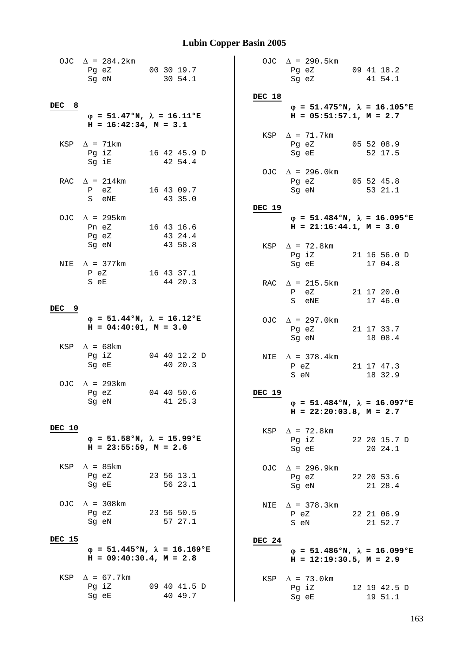|            | OJC $\Delta$ = 284.2km<br>Pg eZ<br>Sg eN                                 | 00 30 19.7<br>30 54.1   |               | OJC $\Delta$ = 290.5km<br>Pg eZ<br>Sg eZ                                                                                  | 09 41 18.2<br>41 54.1   |
|------------|--------------------------------------------------------------------------|-------------------------|---------------|---------------------------------------------------------------------------------------------------------------------------|-------------------------|
|            |                                                                          |                         | DEC 18        |                                                                                                                           |                         |
| DEC<br>- 8 | $\varphi = 51.47$ °N, $\lambda = 16.11$ °E<br>$H = 16:42:34$ , $M = 3.1$ |                         |               | $\varphi = 51.475$ °N, $\lambda = 16.105$ °E<br>$H = 05:51:57.1, M = 2.7$                                                 |                         |
|            |                                                                          |                         |               | KSP $\Delta$ = 71.7km                                                                                                     |                         |
|            | KSP $\Delta$ = 71km<br>Pg iZ<br>Sg iE                                    | 16 42 45.9 D<br>42 54.4 |               | Pg eZ<br>Sg eE                                                                                                            | 05 52 08.9<br>52 17.5   |
|            | RAC $\Delta$ = 214km                                                     |                         |               | OJC $\Delta$ = 296.0km<br>Pg eZ                                                                                           | 05 52 45.8              |
|            | P eZ<br>S eNE                                                            | 16 43 09.7<br>43 35.0   |               | Sg eN                                                                                                                     | 53 21.1                 |
|            | OJC $\Delta$ = 295km                                                     |                         | DEC 19        | $\varphi = 51.484$ °N, $\lambda = 16.095$ °E                                                                              |                         |
|            | Pn eZ                                                                    | 16 43 16.6              |               | $H = 21:16:44.1, M = 3.0$                                                                                                 |                         |
|            | Pg eZ<br>Sg eN                                                           | 43 24.4<br>43 58.8      |               | KSP $\Delta$ = 72.8km                                                                                                     |                         |
|            |                                                                          |                         |               | Pg iZ                                                                                                                     | 21 16 56.0 D            |
|            | NIE $\Delta$ = 377km<br>P eZ                                             | 16 43 37.1              |               | Sg eE                                                                                                                     | 17 04.8                 |
|            | S eE                                                                     | 44 20.3                 |               | RAC $\Delta$ = 215.5km                                                                                                    |                         |
|            |                                                                          |                         |               | P eZ<br>S eNE                                                                                                             | 21 17 20.0<br>17 46.0   |
| 9<br>DEC   |                                                                          |                         |               |                                                                                                                           |                         |
|            | $\varphi = 51.44$ °N, $\lambda = 16.12$ °E<br>$H = 04:40:01, M = 3.0$    |                         |               | OJC $\Delta$ = 297.0km<br>Pg eZ<br>Sg eN                                                                                  | 21 17 33.7<br>18 08.4   |
|            | KSP $\Delta = 68$ km<br>Pg iZ                                            | 04 40 12.2 D            |               |                                                                                                                           |                         |
|            | Sg eE                                                                    | 40 20.3                 |               | NIE $\Delta$ = 378.4km<br>$P$ eZ<br>S eN                                                                                  | 21 17 47.3<br>18 32.9   |
|            | OJC $\Delta$ = 293km<br>Pg eZ                                            | 04 40 50.6              | <b>DEC 19</b> |                                                                                                                           |                         |
|            | Sg eN                                                                    | 41 25.3                 |               | $\varphi$ = 51.484°N, $\lambda$ = 16.097°E                                                                                |                         |
|            |                                                                          |                         |               | $H = 22:20:03.8$ , $M = 2.7$                                                                                              |                         |
| DEC 10     |                                                                          |                         |               | KSP $\Delta$ = 72.8km                                                                                                     |                         |
|            | $\varphi$ = 51.58°N, $\lambda$ = 15.99°E<br>$H = 23:55:59$ , $M = 2.6$   |                         |               | Pg iZ 22 20 15.7 D<br>Sg eE and the state of the state of the state of the state of the state of the state of the state o | 20 24.1                 |
|            |                                                                          |                         |               |                                                                                                                           |                         |
|            | KSP $\Delta$ = 85km<br>Pg eZ                                             | 23 56 13.1              |               | OJC $\Delta$ = 296.9km<br>Pg eZ                                                                                           | 22 20 53.6              |
|            | Sg eE                                                                    | 56 23.1                 |               | Sg eN and the state of the state of the state of the state of the state of the state of the state of the state            | 21 28.4                 |
|            | OJC $\Delta$ = 308km                                                     |                         |               | NIE $\Delta$ = 378.3km                                                                                                    |                         |
|            | Pg eZ                                                                    | 23 56 50.5              |               | P eZ                                                                                                                      | 22 21 06.9              |
|            | Sg eN                                                                    | 57 27.1                 |               | S eN                                                                                                                      | 21 52.7                 |
| DEC 15     | $\varphi = 51.445$ °N, $\lambda = 16.169$ °E                             |                         | DEC 24        |                                                                                                                           |                         |
|            | $H = 09:40:30.4$ , $M = 2.8$                                             |                         |               | $\varphi = 51.486$ °N, $\lambda = 16.099$ °E<br>$H = 12:19:30.5$ , $M = 2.9$                                              |                         |
|            | KSP $\Delta = 67.7 \text{km}$                                            |                         |               | KSP $\Delta$ = 73.0km                                                                                                     |                         |
|            | Pg iZ<br>Sg eE                                                           | 09 40 41.5 D<br>40 49.7 |               | Pg iZ<br>Sg eE                                                                                                            | 12 19 42.5 D<br>19 51.1 |
|            |                                                                          |                         |               |                                                                                                                           |                         |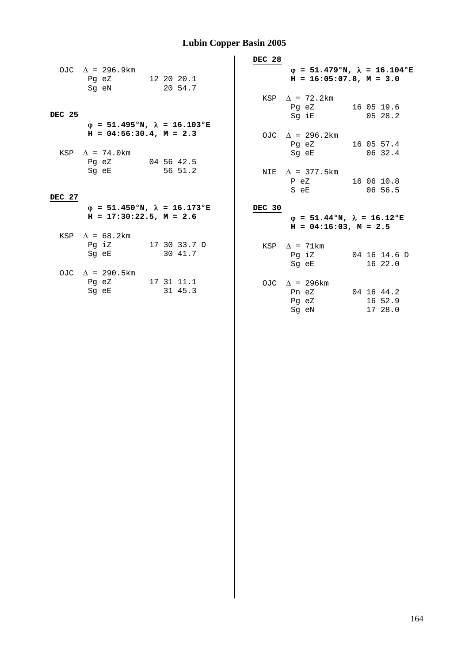|        |                               |                                              | DEC 28 |                                  |                                              |
|--------|-------------------------------|----------------------------------------------|--------|----------------------------------|----------------------------------------------|
|        | OJC $\Delta$ = 296.9km        |                                              |        |                                  | $\varphi = 51.479$ °N, $\lambda = 16.104$ °E |
|        | Pg eZ 12 20 20.1              |                                              |        | $H = 16:05:07.8$ , $M = 3.0$     |                                              |
|        | Sg eN 20 54.7                 |                                              |        |                                  |                                              |
|        |                               |                                              |        | KSP $\Delta$ = 72.2km            |                                              |
|        |                               |                                              |        | Pg eZ 16 05 19.6                 |                                              |
| DEC 25 |                               |                                              |        | Sg iE                            | 0528.2                                       |
|        |                               | $\varphi = 51.495$ °N, $\lambda = 16.103$ °E |        |                                  |                                              |
|        | $H = 04:56:30.4$ , $M = 2.3$  |                                              |        | OJC $\Delta$ = 296.2km           |                                              |
|        |                               |                                              |        | Pg eZ 16 05 57.4                 |                                              |
|        | KSP $\Delta$ = 74.0 km        |                                              |        | Sg eE 06 32.4                    |                                              |
|        | Pg eZ 04 56 42.5              |                                              |        |                                  |                                              |
|        | Sg eE 56 51.2                 |                                              |        | NIE $\Delta$ = 377.5 km          |                                              |
|        |                               |                                              |        | P eZ 16 06 10.8<br>S e E 06 56.5 |                                              |
| DEC 27 |                               |                                              |        |                                  |                                              |
|        |                               | $\varphi = 51.450$ °N, $\lambda = 16.173$ °E | DEC 30 |                                  |                                              |
|        | $H = 17:30:22.5$ , $M = 2.6$  |                                              |        |                                  | $\varphi = 51.44$ °N, $\lambda = 16.12$ °E   |
|        |                               |                                              |        | $H = 04:16:03$ , $M = 2.5$       |                                              |
|        | KSP $\Delta = 68.2 \text{km}$ |                                              |        |                                  |                                              |
|        | Pg iZ 17 30 33.7 D            |                                              |        | KSP $\Delta$ = 71km              |                                              |
|        | Sg eE 30 41.7                 |                                              |        | Pq iZ                            | 04 16 14.6 D                                 |
|        |                               |                                              |        | Sq eE                            | 1622.0                                       |
|        | OJC $\Delta$ = 290.5km        |                                              |        |                                  |                                              |
|        | Pg eZ 17 31 11.1              |                                              |        | OJC $\Delta$ = 296km             |                                              |
|        | Sq eE 31 45.3                 |                                              |        | Pn eZ 04 16 44.2                 |                                              |
|        |                               |                                              |        | Pg eZ                            | 16 52.9                                      |
|        |                               |                                              |        | Sg eN                            | 17 28.0                                      |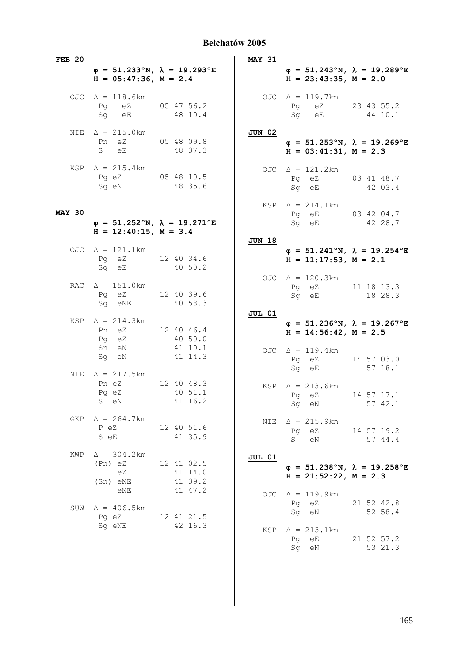#### **Bełchatów 2005**

| <b>FEB 20</b> |                                                                                         |                                  | <b>MAY 31</b> |                                                                                         |                       |
|---------------|-----------------------------------------------------------------------------------------|----------------------------------|---------------|-----------------------------------------------------------------------------------------|-----------------------|
|               | $\varphi = 51.233^{\circ}N$ , $\lambda = 19.293^{\circ}E$<br>$H = 05:47:36$ , $M = 2.4$ |                                  |               | $\varphi = 51.243^{\circ}N$ , $\lambda = 19.289^{\circ}E$<br>$H = 23:43:35$ , $M = 2.0$ |                       |
|               | OJC $\Delta = 118.6$ km<br>Pg eZ<br>Sq eE                                               | 05 47 56.2<br>48 10.4            |               | OJC $\Delta = 119.7 \text{km}$<br>Pq eZ<br>Sg eE                                        | 23 43 55.2<br>44 10.1 |
|               | NIE $\Delta = 215.0 \text{ km}$<br>Pn eZ<br>S<br>eE                                     | 05 48 09.8<br>48 37.3            | <b>JUN 02</b> | $\varphi = 51.253$ °N, $\lambda = 19.269$ °E<br>$H = 03:41:31, M = 2.3$                 |                       |
|               | KSP $\Delta = 215.4 \text{ km}$<br>Pg eZ<br>Sq eN                                       | 05 48 10.5<br>48 35.6            |               | OJC $\Delta = 121.2 \text{ km}$<br>Pg eZ 03 41 48.7<br>Sq eE                            | 42 03.4               |
| <b>MAY 30</b> | $\varphi = 51.252$ °N, $\lambda = 19.271$ °E<br>$H = 12:40:15$ , $M = 3.4$              |                                  |               | $KSP \quad \Delta = 214.1 \text{ km}$<br>Pq eE 03 42 04.7<br>Sg eE                      | 42 28.7               |
|               | OJC $\Delta = 121.1 \text{ km}$<br>Pg eZ<br>Sq eE                                       | 12 40 34.6<br>40 50.2            | <b>JUN 18</b> | $\varphi = 51.241^{\circ}N$ , $\lambda = 19.254^{\circ}E$<br>$H = 11:17:53$ , $M = 2.1$ |                       |
|               | RAC $\Delta = 151.0 \text{km}$<br>Pg eZ<br>Sg eNE                                       | 12 40 39.6<br>40 58.3            |               | OJC $\Delta = 120.3 \text{km}$<br>Pg eZ 11 18 13.3<br>Sq eE                             | 18 28.3               |
|               | KSP $\Delta = 214.3 \text{km}$<br>Pn eZ                                                 |                                  | <b>JUL 01</b> | $\varphi = 51.236^{\circ}N$ , $\lambda = 19.267^{\circ}E$                               |                       |
|               | Pq eZ                                                                                   | 12 40 46.4<br>40 50.0            |               | $H = 14:56:42, M = 2.5$                                                                 |                       |
|               | Sn eN<br>Sg eN                                                                          | 41 10.1<br>41 14.3               |               | OJC $\Delta = 119.4 \text{ km}$<br>Pq eZ<br>Sq eE                                       | 14 57 03.0<br>57 18.1 |
| NIE           | $\Delta = 217.5 \text{km}$<br>Pn eZ<br>Pg eZ<br>S eN                                    | 12 40 48.3<br>40 51.1<br>41 16.2 |               | $KSP \triangle = 213.6km$<br>Pq eZ<br>Sq<br>eN                                          | 14 57 17.1<br>57 42.1 |
|               | GKP $\Delta = 264.7 \text{ km}$<br>P eZ<br>S eE                                         | 12 40 51.6<br>41 35.9            |               | NIE $\Delta = 215.9 \text{km}$<br>Pg eZ<br>S<br>eN                                      | 14 57 19.2<br>57 44.4 |
| KWP           | $\Delta = 304.2 \text{km}$<br>(Pn) eZ<br>eZ                                             | 12 41 02.5<br>41 14.0            | <b>JUL 01</b> | $\varphi = 51.238^{\circ}N$ , $\lambda = 19.258^{\circ}E$<br>$H = 21:52:22$ , $M = 2.3$ |                       |
| SUW           | (Sn) eNE<br>eNE<br>$\Delta = 406.5 \text{km}$                                           | 41 39.2<br>41 47.2               | OJC           | $\Delta = 119.9 \text{ km}$<br>Pq eZ<br>Sq eN                                           | 21 52 42.8<br>52 58.4 |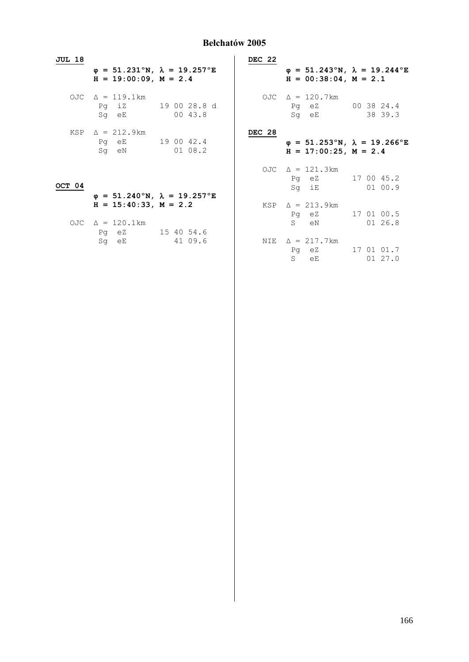#### **Bełchatów 2005**

| JUL 18 |                                                                                         |                               | DEC 22 |                                                                                         |                      |
|--------|-----------------------------------------------------------------------------------------|-------------------------------|--------|-----------------------------------------------------------------------------------------|----------------------|
|        | $\varphi = 51.231^{\circ}N$ , $\lambda = 19.257^{\circ}E$<br>$H = 19:00:09$ , $M = 2.4$ |                               |        | $\varphi = 51.243^{\circ}N$ , $\lambda = 19.244^{\circ}E$<br>$H = 00:38:04$ , $M = 2.1$ |                      |
|        | OJC $\Delta = 119.1 \text{km}$<br>Sq eE                                                 | Pg iZ 19 00 28.8 d<br>00 43.8 |        | OJC $\Delta = 120.7 \text{km}$<br>Pg eZ 00 38 24.4<br>Sq eE                             | 38 39.3              |
|        | $KSP \quad \Delta = 212.9 \text{km}$<br>Pq eE 19 00 42.4<br>Sq eN 01 08.2               |                               | DEC 28 | $\varphi = 51.253$ °N, $\lambda = 19.266$ °E<br>$H = 17:00:25$ , $M = 2.4$              |                      |
| OCT 04 |                                                                                         |                               |        | OJC $\Delta = 121.3 \text{km}$<br>Pg eZ 17 00 45.2<br>Sq iE                             | 01 00.9              |
|        | $\varphi = 51.240^{\circ}N$ , $\lambda = 19.257^{\circ}E$<br>$H = 15:40:33, M = 2.2$    |                               |        | $KSP \triangle = 213.9 \text{km}$<br>Pg eZ                                              | 17 01 00.5           |
|        | OJC $\Delta = 120.1 \text{km}$<br>Pq eZ 15 40 54.6                                      |                               |        | S eN                                                                                    | 01 26.8              |
|        | Sq eE 41 09.6                                                                           |                               |        | NIE $\Delta = 217.7$ km<br>Pq eZ<br>S eE                                                | 17 01 01.7<br>0127.0 |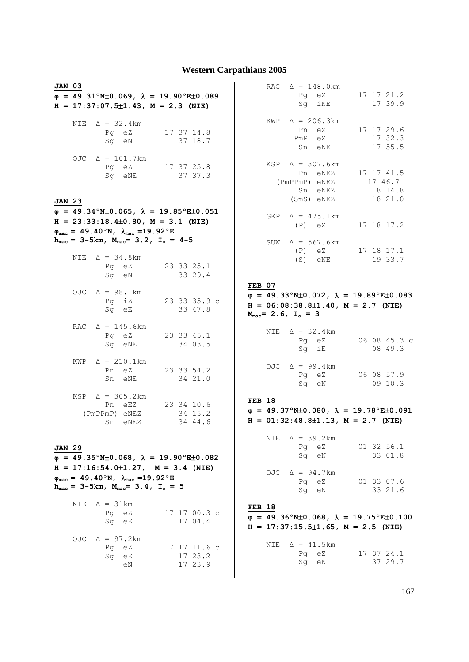#### **Western Carpathians 2005**

| JAN 03        |                                |                  | $\varphi = 49.31^{\circ}N\pm0.069$ , $\lambda = 19.90^{\circ}E\pm0.089$<br>$H = 17:37:07.5 \pm 1.43$ , $M = 2.3$ (NIE)                                                                                                                                                     |  |                                    |  |
|---------------|--------------------------------|------------------|----------------------------------------------------------------------------------------------------------------------------------------------------------------------------------------------------------------------------------------------------------------------------|--|------------------------------------|--|
|               |                                | Pg eZ            | NIE $\Delta = 32.4 \text{ km}$<br>Sg eN                                                                                                                                                                                                                                    |  | 17 37 14.8<br>37 18.7              |  |
|               |                                |                  | OJC $\Delta = 101.7 \text{ km}$<br>Pq eZ<br>Sg eNE                                                                                                                                                                                                                         |  | 17 37 25.8<br>37 37.3              |  |
| <b>JAN 23</b> |                                |                  | $\varphi = 49.34^{\circ}$ N±0.065, $\lambda = 19.85^{\circ}$ E±0.051<br>$H = 23:33:18.4 \pm 0.80$ , $M = 3.1$ (NIE)<br>$\varphi_{\text{mac}} = 49.40^{\circ} N, \lambda_{\text{mac}} = 19.92^{\circ} E$<br>$h_{mac} = 3-5km$ , $M_{mac} = 3.2$ , $I_o = 4-5$               |  |                                    |  |
|               |                                |                  | NIE $\Delta = 34.8 \text{ km}$<br>Pg eZ<br>Sg eN                                                                                                                                                                                                                           |  | 23 33 25.1<br>33 29.4              |  |
|               |                                | Pq iZ<br>Sg eE   | OJC $\Delta = 98.1 \text{ km}$                                                                                                                                                                                                                                             |  | 23 33 35.9 c<br>33 47.8            |  |
|               |                                |                  | RAC $\Delta = 145.6 \text{km}$<br>Pg eZ<br>Sg eNE                                                                                                                                                                                                                          |  | 23 33 45.1<br>34 03.5              |  |
|               |                                | Pn eZ            | $KWP \quad \triangle = 210.1 \text{ km}$<br>Sn eNE                                                                                                                                                                                                                         |  | 23 33 54.2<br>34 21.0              |  |
|               |                                |                  | KSP $\Delta = 305.2 \text{ km}$<br>Pn eEZ<br>(PmPPmP) eNEZ<br>Sn eNEZ                                                                                                                                                                                                      |  | 23 34 10.6<br>34 15.2<br>34 44.6   |  |
| <b>JAN 29</b> |                                |                  | $\varphi = 49.35^{\circ}$ N±0.068, $\lambda = 19.90^{\circ}$ E±0.082<br>$H = 17:16:54.0 \pm 1.27$ , $M = 3.4$ (NIE)<br>$\varphi_{\text{mac}} = 49.40^{\circ}$ N, $\lambda_{\text{mac}} = 19.92^{\circ}$ E<br>$h_{\text{mac}} = 3-5km$ , $M_{\text{mac}} = 3.4$ , $I_o = 5$ |  |                                    |  |
|               | NIE $\Delta = 31 \text{km}$    | Pg eZ<br>$Sg$ eE |                                                                                                                                                                                                                                                                            |  | 17 17 00.3 c<br>17 04.4            |  |
|               | OJC $\Delta = 97.2 \text{ km}$ | Pg eZ<br>Sg eE   | eN                                                                                                                                                                                                                                                                         |  | 17 17 11.6 c<br>17 23.2<br>17 23.9 |  |

| RAC $\Delta = 148.0 \text{ km}$<br>Pq eZ<br>Sq iNE                                | 17 17 21.2<br>17 39.9                               |
|-----------------------------------------------------------------------------------|-----------------------------------------------------|
| KWP $\Delta = 206.3 \text{km}$<br>Pn eZ<br>PmP eZ<br>Sn eNE                       | 17 17 29.6<br>17 32.3<br>17 55.5                    |
| $KSP \quad \Delta = 307.6 \text{ km}$<br>(PmPPmP) eNEZ<br>Sn eNEZ<br>$(SmS)$ eNEZ | Pn eNEZ 17 17 41.5<br>17 46.7<br>18 14.8<br>18 21.0 |
| GKP $\Delta = 475.1 \text{km}$<br>$(P)$ eZ                                        | 17 18 17.2                                          |
| SUW $\Delta = 567.6 \text{km}$<br>$(P)$ eZ<br>(S) eNE                             | 17 18 17.1<br>19 33.7                               |

#### **FEB 07**

 $\overline{\varphi}$  = 49.33°N±0.072,  $\lambda$  = 19.89°E±0.083 **H = 06:08:38.8**±**1.40, M = 2.7 (NIE)**  $M_{\text{mac}} = 2.6$ ,  $I_o = 3$ 

| NIE $\Delta = 32.4 \text{ km}$ |              |
|--------------------------------|--------------|
| Pa eZ                          | 06 08 45.3 c |
| Sa iE                          | 08 49.3      |

| OJC $\Delta = 99.4 \text{ km}$ |            |
|--------------------------------|------------|
| Pa eZ                          | 06 08 57.9 |
| Sa eN                          | 09 10.3    |

#### **FEB 18**

 $\varphi = 49.37^{\circ}$ N±0.080,  $\lambda = 19.78^{\circ}$ E±0.091 **H = 01:32:48.8**±**1.13, M = 2.7 (NIE)**

| NIE $\Delta = 39.2 \text{ km}$<br>Pq eZ<br>Sq eN | 01 32 56.1<br>33 01.8 |
|--------------------------------------------------|-----------------------|
| OJC $\Delta = 94.7 \text{ km}$<br>Pq eZ<br>Sq eN | 01 33 07.6<br>33 21.6 |

#### **FEB 18**

 $\overline{\varphi}$  = 49.36°N±0.068,  $\lambda$  = 19.75°E±0.100 **H = 17:37:15.5**±**1.65, M = 2.5 (NIE)**

| NIE $\Delta = 41.5 \text{km}$ |  |            |
|-------------------------------|--|------------|
| Pa eZ                         |  | 17 37 24.1 |
| Sa eN                         |  | 37 29.7    |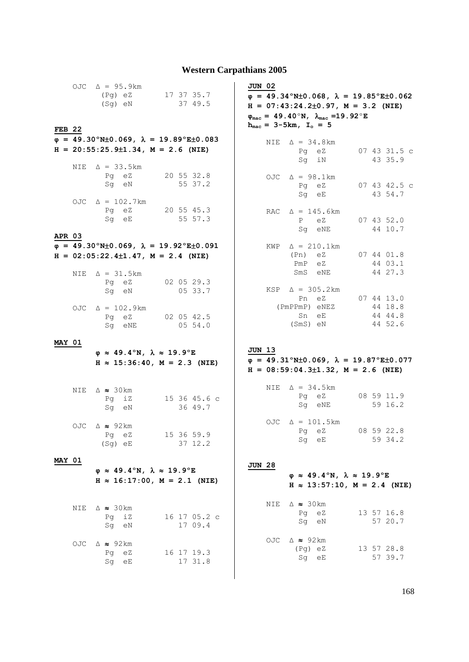#### **Western Carpathians 2005**

| <b>FEB 22</b> |      | OJC $\Delta = 95.9 \text{km}$<br>(Pg) eZ 17 37 35.7<br>(Sg) eN                                                                                        | 37 49.5                    | <b>JUN 02</b><br>$\varphi = 49.34^{\circ}$ N±0.068, $\lambda = 19.85^{\circ}$ E±0.062<br>$H = 07:43:24.2\pm0.97$ , $M = 3.2$ (NIE)<br>$\varphi_{\text{mac}} = 49.40^{\circ}N, \lambda_{\text{mac}} = 19.92^{\circ}E$<br>$h_{\text{mac}} = 3 - 5km, I_{\text{o}} = 5$ |
|---------------|------|-------------------------------------------------------------------------------------------------------------------------------------------------------|----------------------------|----------------------------------------------------------------------------------------------------------------------------------------------------------------------------------------------------------------------------------------------------------------------|
|               | NIE  | $\varphi = 49.30^{\circ}$ N $\pm$ 0.069, $\lambda = 19.89^{\circ}$ E $\pm$ 0.083<br>$H = 20:55:25.9 \pm 1.34$ , $M = 2.6$ (NIE)<br>$\Delta$ = 33.5 km |                            | NIE $\Delta = 34.8 \text{ km}$<br>07 43 31.5 c<br>Pg eZ<br>43 35.9<br>Sg iN                                                                                                                                                                                          |
|               |      | Pg eZ<br>Sg eN<br>OJC $\Delta = 102.7 \text{ km}$                                                                                                     | 20 55 32.8<br>55 37.2      | OJC $\Delta = 98.1 \text{km}$<br>Pg eZ<br>07 43 42.5 c<br>Sg eE<br>43 54.7                                                                                                                                                                                           |
| <b>APR 03</b> |      | Pg eZ 20 55 45.3<br>Sg eE 55 57.3                                                                                                                     |                            | RAC $\Delta = 145.6 \text{ km}$<br>eZ<br>$07$ 43 52.0<br>P<br>Sg eNE<br>44 10.7                                                                                                                                                                                      |
|               |      | $\varphi = 49.30^{\circ}$ N±0.069, $\lambda = 19.92^{\circ}$ E±0.091<br>$H = 02:05:22.4 \pm 1.47$ , $M = 2.4$ (NIE)<br>NIE $\Delta = 31.5 \text{km}$  |                            | $KWP \quad \Delta = 210.1 \text{ km}$<br>(Pn) eZ 07 44 01.8<br>PmP eZ<br>44 03.1<br>SmS eNE<br>44 27.3                                                                                                                                                               |
|               |      | Pg eZ<br>Sg eN                                                                                                                                        | $02 \t05 \t29.3$<br>0533.7 | $KSP \quad \Delta = 305.2 \text{ km}$<br>Pn eZ 07 44 13.0<br>(PmPPmP) eNEZ<br>44 18.8                                                                                                                                                                                |
|               |      | OJC $\Delta = 102.9 \text{km}$<br>Pg eZ 02 05 42.5<br>Sg eNE                                                                                          | 0554.0                     | Sn eE<br>44 44.8<br>$(SmS)$ eN<br>44 52.6                                                                                                                                                                                                                            |
| <b>MAY 01</b> |      | $\varphi \approx 49.4^\circ N$ , $\lambda \approx 19.9^\circ E$<br>$H \approx 15:36:40$ , $M = 2.3$ (NIE)                                             |                            | <b>JUN 13</b><br>$\varphi = 49.31^{\circ}N\pm0.069$ , $\lambda = 19.87^{\circ}E\pm0.077$<br>$H = 08:59:04.3 \pm 1.32$ , $M = 2.6$ (NIE)                                                                                                                              |
|               |      | NIE $\triangle \approx 30$ km<br>Sg eN 36 49.7                                                                                                        | Pq iZ 15 36 45.6 c         | NIE $\Delta = 34.5 \text{km}$<br>08 59 11.9<br>Pg eZ<br>59 16.2<br>Sq eNE                                                                                                                                                                                            |
|               |      | OJC $\triangle \approx 92 \text{km}$<br>Pg eZ<br>$(Sq)$ eE                                                                                            | 15 36 59.9<br>37 12.2      | OJC $\Delta = 101.5 \text{km}$<br>08 59 22.8<br>Pg eZ<br>59 34.2<br>Sq eE                                                                                                                                                                                            |
| <b>MAY 01</b> |      | $\varphi \approx 49.4^\circ N$ , $\lambda \approx 19.9^\circ E$<br>$H \approx 16:17:00$ , $M = 2.1$ (NIE)                                             |                            | <b>JUN 28</b><br>$\varphi \approx 49.4^{\circ}$ N, $\lambda \approx 19.9^{\circ}$ E<br>$H \approx 13:57:10$ , $M = 2.4$ (NIE)                                                                                                                                        |
|               | NIE  | $\triangle \approx 30 \text{km}$<br>iΖ<br>Pg<br>Sq eN                                                                                                 | 16 17 05.2 c<br>17 09.4    | $\triangle \approx 30 \text{km}$<br>NIE<br>13 57 16.8<br>Pq eZ<br>57 20.7<br>Sq eN                                                                                                                                                                                   |
|               | OJC. | $\triangle \approx 92 \text{km}$<br>Pq eZ<br>Sg eE                                                                                                    | 16 17 19.3<br>17 31.8      | $\triangle \approx 92 \text{ km}$<br>OJC<br>(Pg) eZ<br>13 57 28.8<br>57 39.7<br>Sq eE                                                                                                                                                                                |